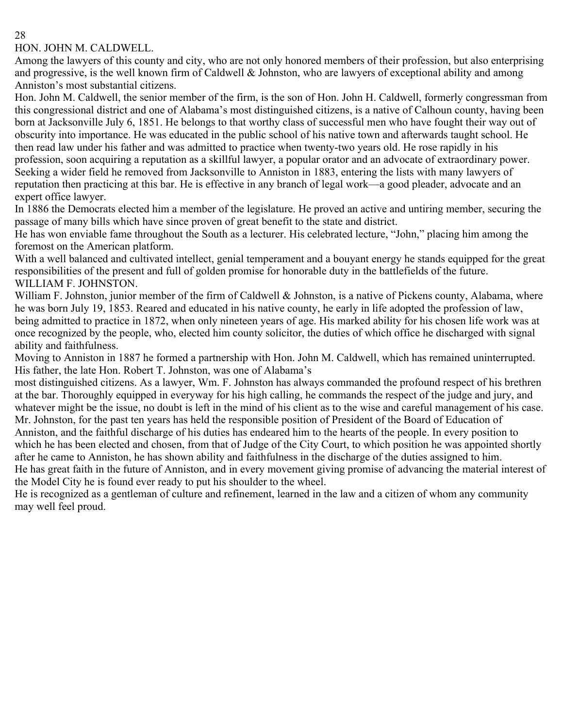#### 28

### HON. JOHN M. CALDWELL.

Among the lawyers of this county and city, who are not only honored members of their profession, but also enterprising and progressive, is the well known firm of Caldwell & Johnston, who are lawyers of exceptional ability and among Anniston's most substantial citizens.

Hon. John M. Caldwell, the senior member of the firm, is the son of Hon. John H. Caldwell, formerly congressman from this congressional district and one of Alabama's most distinguished citizens, is a native of Calhoun county, having been born at Jacksonville July 6, 1851. He belongs to that worthy class of successful men who have fought their way out of obscurity into importance. He was educated in the public school of his native town and afterwards taught school. He then read law under his father and was admitted to practice when twenty-two years old. He rose rapidly in his profession, soon acquiring a reputation as a skillful lawyer, a popular orator and an advocate of extraordinary power. Seeking a wider field he removed from Jacksonville to Anniston in 1883, entering the lists with many lawyers of reputation then practicing at this bar. He is effective in any branch of legal work—a good pleader, advocate and an expert office lawyer.

In 1886 the Democrats elected him a member of the legislature. He proved an active and untiring member, securing the passage of many bills which have since proven of great benefit to the state and district.

He has won enviable fame throughout the South as a lecturer. His celebrated lecture, "John," placing him among the foremost on the American platform.

With a well balanced and cultivated intellect, genial temperament and a bouyant energy he stands equipped for the great responsibilities of the present and full of golden promise for honorable duty in the battlefields of the future. WILLIAM F. JOHNSTON.

William F. Johnston, junior member of the firm of Caldwell & Johnston, is a native of Pickens county, Alabama, where he was born July 19, 1853. Reared and educated in his native county, he early in life adopted the profession of law, being admitted to practice in 1872, when only nineteen years of age. His marked ability for his chosen life work was at once recognized by the people, who, elected him county solicitor, the duties of which office he discharged with signal ability and faithfulness.

Moving to Anniston in 1887 he formed a partnership with Hon. John M. Caldwell, which has remained uninterrupted. His father, the late Hon. Robert T. Johnston, was one of Alabama's

most distinguished citizens. As a lawyer, Wm. F. Johnston has always commanded the profound respect of his brethren at the bar. Thoroughly equipped in everyway for his high calling, he commands the respect of the judge and jury, and whatever might be the issue, no doubt is left in the mind of his client as to the wise and careful management of his case. Mr. Johnston, for the past ten years has held the responsible position of President of the Board of Education of Anniston, and the faithful discharge of his duties has endeared him to the hearts of the people. In every position to which he has been elected and chosen, from that of Judge of the City Court, to which position he was appointed shortly after he came to Anniston, he has shown ability and faithfulness in the discharge of the duties assigned to him.

He has great faith in the future of Anniston, and in every movement giving promise of advancing the material interest of the Model City he is found ever ready to put his shoulder to the wheel.

He is recognized as a gentleman of culture and refinement, learned in the law and a citizen of whom any community may well feel proud.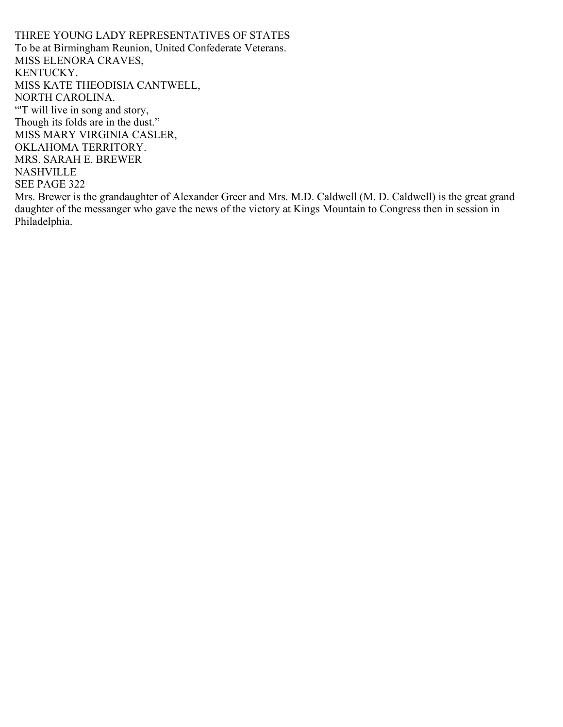THREE YOUNG LADY REPRESENTATIVES OF STATES To be at Birmingham Reunion, United Confederate Veterans. MISS ELENORA CRAVES, KENTUCKY. MISS KATE THEODISIA CANTWELL, NORTH CAROLINA. "T will live in song and story, Though its folds are in the dust." MISS MARY VIRGINIA CASLER, OKLAHOMA TERRITORY. MRS. SARAH E. BREWER NASHVILLE SEE PAGE 322 Mrs. Brewer is the grandaughter of Alexander Greer and Mrs. M.D. Caldwell (M. D. Caldwell) is the great grand daughter of the messanger who gave the news of the victory at Kings Mountain to Congress then in session in Philadelphia.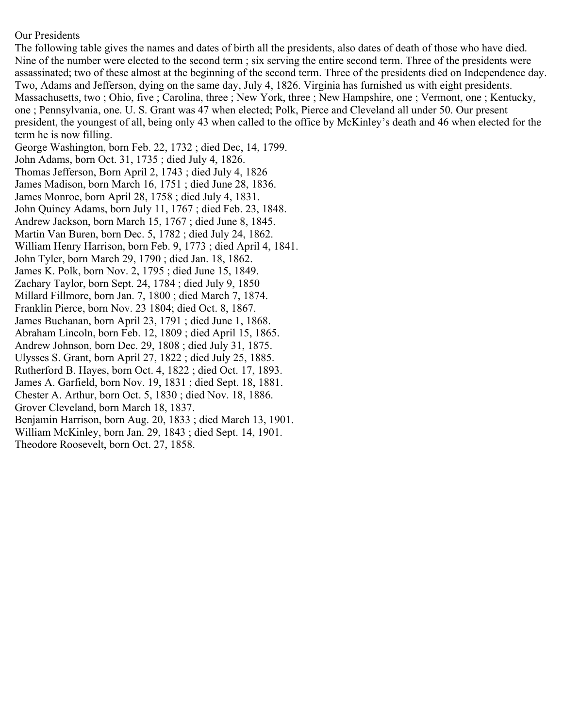### Our Presidents

The following table gives the names and dates of birth all the presidents, also dates of death of those who have died. Nine of the number were elected to the second term ; six serving the entire second term. Three of the presidents were assassinated; two of these almost at the beginning of the second term. Three of the presidents died on Independence day. Two, Adams and Jefferson, dying on the same day, July 4, 1826. Virginia has furnished us with eight presidents. Massachusetts, two ; Ohio, five ; Carolina, three ; New York, three ; New Hampshire, one ; Vermont, one ; Kentucky, one ; Pennsylvania, one. U. S. Grant was 47 when elected; Polk, Pierce and Cleveland all under 50. Our present president, the youngest of all, being only 43 when called to the office by McKinley's death and 46 when elected for the term he is now filling.

George Washington, born Feb. 22, 1732 ; died Dec, 14, 1799. John Adams, born Oct. 31, 1735 ; died July 4, 1826. Thomas Jefferson, Born April 2, 1743 ; died July 4, 1826 James Madison, born March 16, 1751 ; died June 28, 1836. James Monroe, born April 28, 1758 ; died July 4, 1831. John Quincy Adams, born July 11, 1767 ; died Feb. 23, 1848. Andrew Jackson, born March 15, 1767 ; died June 8, 1845. Martin Van Buren, born Dec. 5, 1782 ; died July 24, 1862. William Henry Harrison, born Feb. 9, 1773 ; died April 4, 1841. John Tyler, born March 29, 1790 ; died Jan. 18, 1862. James K. Polk, born Nov. 2, 1795 ; died June 15, 1849. Zachary Taylor, born Sept. 24, 1784 ; died July 9, 1850 Millard Fillmore, born Jan. 7, 1800 ; died March 7, 1874. Franklin Pierce, born Nov. 23 1804; died Oct. 8, 1867. James Buchanan, born April 23, 1791 ; died June 1, 1868. Abraham Lincoln, born Feb. 12, 1809 ; died April 15, 1865. Andrew Johnson, born Dec. 29, 1808 ; died July 31, 1875. Ulysses S. Grant, born April 27, 1822 ; died July 25, 1885. Rutherford B. Hayes, born Oct. 4, 1822 ; died Oct. 17, 1893. James A. Garfield, born Nov. 19, 1831 ; died Sept. 18, 1881. Chester A. Arthur, born Oct. 5, 1830 ; died Nov. 18, 1886. Grover Cleveland, born March 18, 1837. Benjamin Harrison, born Aug. 20, 1833 ; died March 13, 1901. William McKinley, born Jan. 29, 1843 ; died Sept. 14, 1901. Theodore Roosevelt, born Oct. 27, 1858.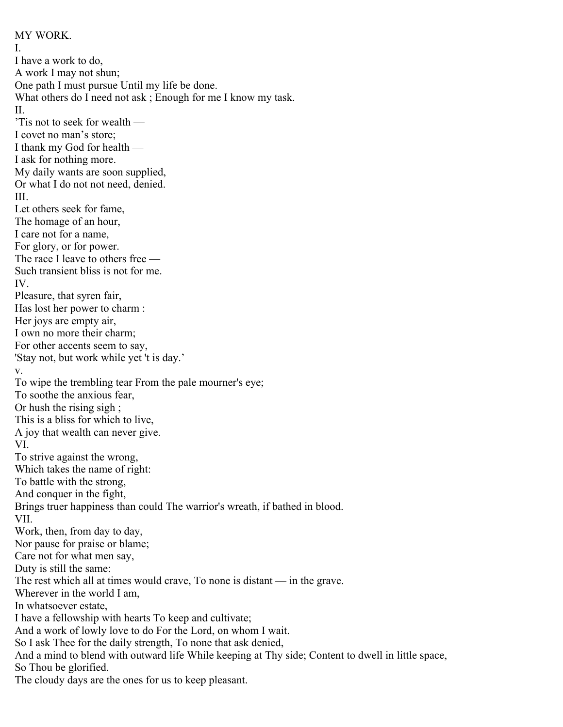MY WORK. I. I have a work to do, A work I may not shun; One path I must pursue Until my life be done. What others do I need not ask; Enough for me I know my task. II. 'Tis not to seek for wealth — I covet no man's store; I thank my God for health — I ask for nothing more. My daily wants are soon supplied, Or what I do not not need, denied. III. Let others seek for fame, The homage of an hour, I care not for a name, For glory, or for power. The race I leave to others free — Such transient bliss is not for me. IV. Pleasure, that syren fair, Has lost her power to charm : Her joys are empty air, I own no more their charm; For other accents seem to say, 'Stay not, but work while yet 't is day.' v. To wipe the trembling tear From the pale mourner's eye; To soothe the anxious fear, Or hush the rising sigh ; This is a bliss for which to live, A joy that wealth can never give. VI. To strive against the wrong, Which takes the name of right: To battle with the strong, And conquer in the fight, Brings truer happiness than could The warrior's wreath, if bathed in blood. VII. Work, then, from day to day, Nor pause for praise or blame; Care not for what men say, Duty is still the same: The rest which all at times would crave, To none is distant — in the grave. Wherever in the world I am, In whatsoever estate, I have a fellowship with hearts To keep and cultivate; And a work of lowly love to do For the Lord, on whom I wait. So I ask Thee for the daily strength, To none that ask denied, And a mind to blend with outward life While keeping at Thy side; Content to dwell in little space, So Thou be glorified. The cloudy days are the ones for us to keep pleasant.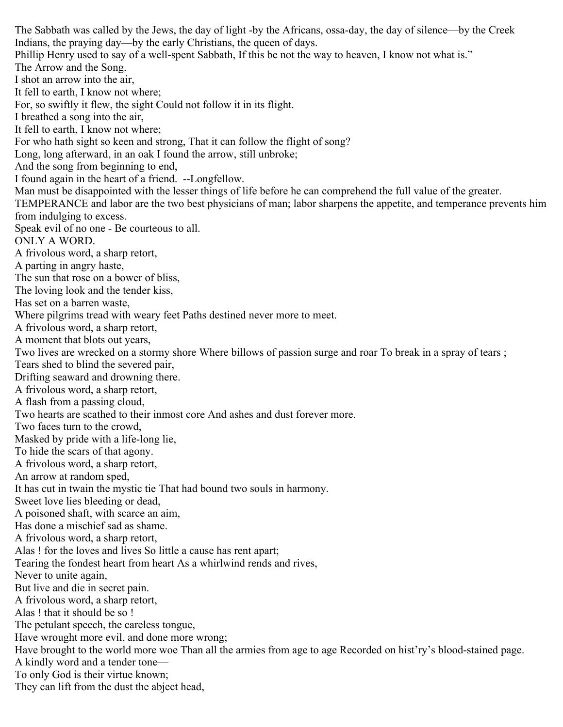The Sabbath was called by the Jews, the day of light -by the Africans, ossa-day, the day of silence—by the Creek Indians, the praying day—by the early Christians, the queen of days. Phillip Henry used to say of a well-spent Sabbath, If this be not the way to heaven, I know not what is." The Arrow and the Song. I shot an arrow into the air, It fell to earth, I know not where; For, so swiftly it flew, the sight Could not follow it in its flight. I breathed a song into the air, It fell to earth, I know not where; For who hath sight so keen and strong, That it can follow the flight of song? Long, long afterward, in an oak I found the arrow, still unbroke; And the song from beginning to end, I found again in the heart of a friend. --Longfellow. Man must be disappointed with the lesser things of life before he can comprehend the full value of the greater. TEMPERANCE and labor are the two best physicians of man; labor sharpens the appetite, and temperance prevents him from indulging to excess. Speak evil of no one - Be courteous to all. ONLY A WORD. A frivolous word, a sharp retort, A parting in angry haste, The sun that rose on a bower of bliss, The loving look and the tender kiss, Has set on a barren waste, Where pilgrims tread with weary feet Paths destined never more to meet. A frivolous word, a sharp retort, A moment that blots out years, Two lives are wrecked on a stormy shore Where billows of passion surge and roar To break in a spray of tears ; Tears shed to blind the severed pair, Drifting seaward and drowning there. A frivolous word, a sharp retort, A flash from a passing cloud, Two hearts are scathed to their inmost core And ashes and dust forever more. Two faces turn to the crowd, Masked by pride with a life-long lie, To hide the scars of that agony. A frivolous word, a sharp retort, An arrow at random sped, It has cut in twain the mystic tie That had bound two souls in harmony. Sweet love lies bleeding or dead, A poisoned shaft, with scarce an aim, Has done a mischief sad as shame. A frivolous word, a sharp retort, Alas ! for the loves and lives So little a cause has rent apart; Tearing the fondest heart from heart As a whirlwind rends and rives, Never to unite again, But live and die in secret pain. A frivolous word, a sharp retort, Alas ! that it should be so ! The petulant speech, the careless tongue, Have wrought more evil, and done more wrong; Have brought to the world more woe Than all the armies from age to age Recorded on hist'ry's blood-stained page. A kindly word and a tender tone— To only God is their virtue known; They can lift from the dust the abject head,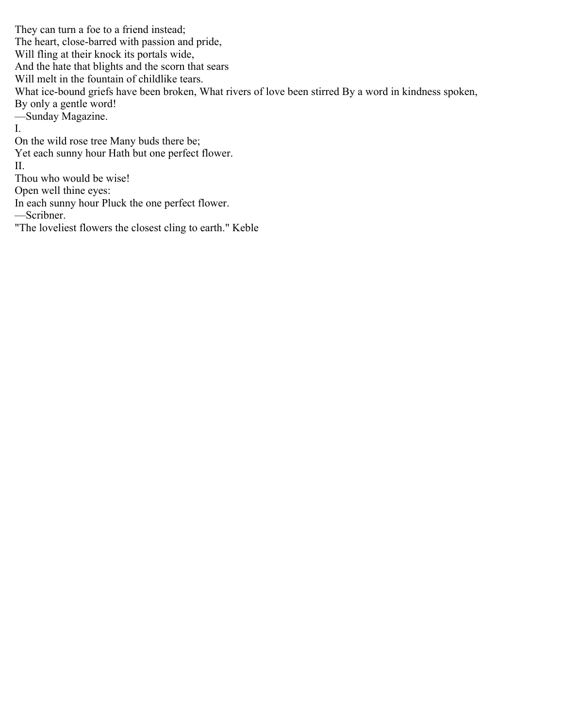They can turn a foe to a friend instead; The heart, close-barred with passion and pride, Will fling at their knock its portals wide, And the hate that blights and the scorn that sears Will melt in the fountain of childlike tears. What ice-bound griefs have been broken, What rivers of love been stirred By a word in kindness spoken, By only a gentle word! —Sunday Magazine. I. On the wild rose tree Many buds there be; Yet each sunny hour Hath but one perfect flower. II. Thou who would be wise! Open well thine eyes: In each sunny hour Pluck the one perfect flower. —Scribner.

"The loveliest flowers the closest cling to earth." Keble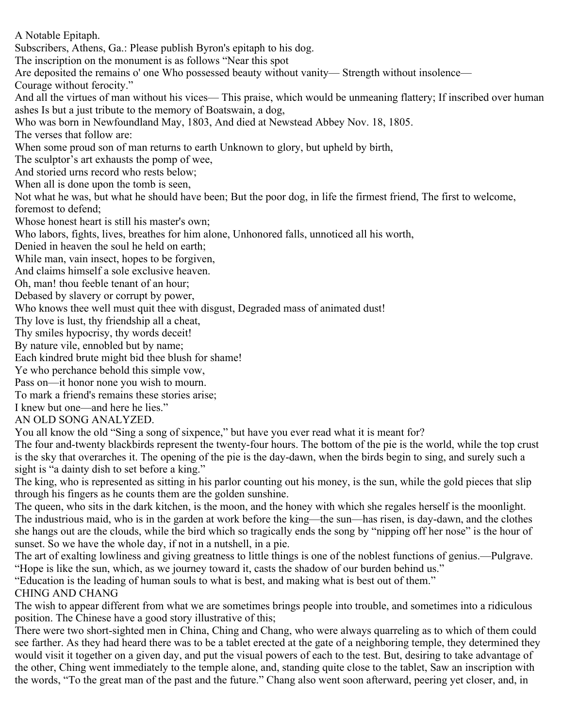A Notable Epitaph. Subscribers, Athens, Ga.: Please publish Byron's epitaph to his dog. The inscription on the monument is as follows "Near this spot Are deposited the remains o' one Who possessed beauty without vanity— Strength without insolence— Courage without ferocity." And all the virtues of man without his vices— This praise, which would be unmeaning flattery; If inscribed over human ashes Is but a just tribute to the memory of Boatswain, a dog, Who was born in Newfoundland May, 1803, And died at Newstead Abbey Nov. 18, 1805. The verses that follow are: When some proud son of man returns to earth Unknown to glory, but upheld by birth, The sculptor's art exhausts the pomp of wee, And storied urns record who rests below; When all is done upon the tomb is seen, Not what he was, but what he should have been; But the poor dog, in life the firmest friend, The first to welcome, foremost to defend; Whose honest heart is still his master's own; Who labors, fights, lives, breathes for him alone, Unhonored falls, unnoticed all his worth, Denied in heaven the soul he held on earth; While man, vain insect, hopes to be forgiven, And claims himself a sole exclusive heaven. Oh, man! thou feeble tenant of an hour; Debased by slavery or corrupt by power, Who knows thee well must quit thee with disgust, Degraded mass of animated dust! Thy love is lust, thy friendship all a cheat, Thy smiles hypocrisy, thy words deceit! By nature vile, ennobled but by name; Each kindred brute might bid thee blush for shame! Ye who perchance behold this simple vow, Pass on—it honor none you wish to mourn. To mark a friend's remains these stories arise; I knew but one—and here he lies." AN OLD SONG ANALYZED. You all know the old "Sing a song of sixpence," but have you ever read what it is meant for? The four and-twenty blackbirds represent the twenty-four hours. The bottom of the pie is the world, while the top crust is the sky that overarches it. The opening of the pie is the day-dawn, when the birds begin to sing, and surely such a sight is "a dainty dish to set before a king." The king, who is represented as sitting in his parlor counting out his money, is the sun, while the gold pieces that slip through his fingers as he counts them are the golden sunshine. The queen, who sits in the dark kitchen, is the moon, and the honey with which she regales herself is the moonlight. The industrious maid, who is in the garden at work before the king—the sun—has risen, is day-dawn, and the clothes she hangs out are the clouds, while the bird which so tragically ends the song by "nipping off her nose" is the hour of sunset. So we have the whole day, if not in a nutshell, in a pie. The art of exalting lowliness and giving greatness to little things is one of the noblest functions of genius.—Pulgrave. "Hope is like the sun, which, as we journey toward it, casts the shadow of our burden behind us." "Education is the leading of human souls to what is best, and making what is best out of them." CHING AND CHANG The wish to appear different from what we are sometimes brings people into trouble, and sometimes into a ridiculous position. The Chinese have a good story illustrative of this;

There were two short-sighted men in China, Ching and Chang, who were always quarreling as to which of them could see farther. As they had heard there was to be a tablet erected at the gate of a neighboring temple, they determined they would visit it together on a given day, and put the visual powers of each to the test. But, desiring to take advantage of the other, Ching went immediately to the temple alone, and, standing quite close to the tablet, Saw an inscription with the words, "To the great man of the past and the future." Chang also went soon afterward, peering yet closer, and, in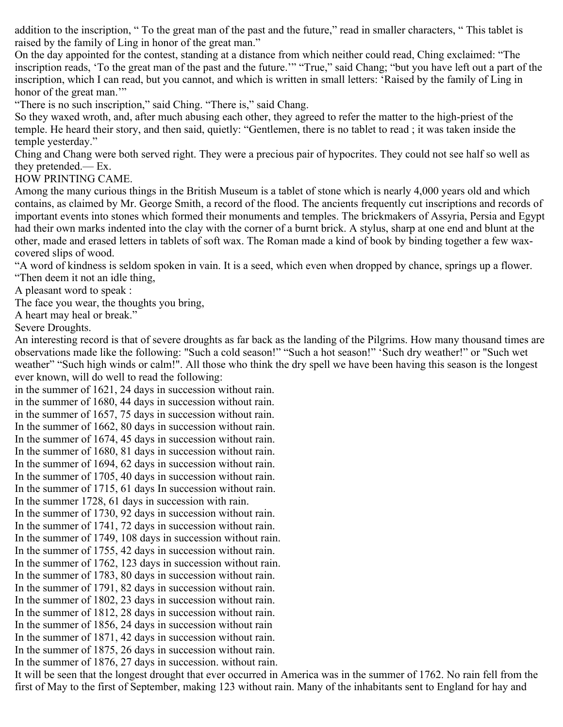addition to the inscription, " To the great man of the past and the future," read in smaller characters, " This tablet is raised by the family of Ling in honor of the great man."

On the day appointed for the contest, standing at a distance from which neither could read, Ching exclaimed: "The inscription reads, 'To the great man of the past and the future.'" "True," said Chang; "but you have left out a part of the inscription, which I can read, but you cannot, and which is written in small letters: 'Raised by the family of Ling in honor of the great man."

"There is no such inscription," said Ching. "There is," said Chang.

So they waxed wroth, and, after much abusing each other, they agreed to refer the matter to the high-priest of the temple. He heard their story, and then said, quietly: "Gentlemen, there is no tablet to read ; it was taken inside the temple yesterday."

Ching and Chang were both served right. They were a precious pair of hypocrites. They could not see half so well as they pretended.— Ex.

HOW PRINTING CAME.

Among the many curious things in the British Museum is a tablet of stone which is nearly 4,000 years old and which contains, as claimed by Mr. George Smith, a record of the flood. The ancients frequently cut inscriptions and records of important events into stones which formed their monuments and temples. The brickmakers of Assyria, Persia and Egypt had their own marks indented into the clay with the corner of a burnt brick. A stylus, sharp at one end and blunt at the other, made and erased letters in tablets of soft wax. The Roman made a kind of book by binding together a few waxcovered slips of wood.

"A word of kindness is seldom spoken in vain. It is a seed, which even when dropped by chance, springs up a flower. "Then deem it not an idle thing,

A pleasant word to speak :

The face you wear, the thoughts you bring,

A heart may heal or break."

Severe Droughts.

An interesting record is that of severe droughts as far back as the landing of the Pilgrims. How many thousand times are observations made like the following: "Such a cold season!" "Such a hot season!" 'Such dry weather!" or "Such wet weather" "Such high winds or calm!". All those who think the dry spell we have been having this season is the longest ever known, will do well to read the following:

in the summer of 1621, 24 days in succession without rain. in the summer of 1680, 44 days in succession without rain. in the summer of 1657, 75 days in succession without rain. In the summer of 1662, 80 days in succession without rain. In the summer of 1674, 45 days in succession without rain. In the summer of 1680, 81 days in succession without rain. In the summer of 1694, 62 days in succession without rain. In the summer of 1705, 40 days in succession without rain. In the summer of 1715, 61 days In succession without rain. In the summer 1728, 61 days in succession with rain. In the summer of 1730, 92 days in succession without rain. In the summer of 1741, 72 days in succession without rain. In the summer of 1749, 108 days in succession without rain. In the summer of 1755, 42 days in succession without rain. In the summer of 1762, 123 days in succession without rain. In the summer of 1783, 80 days in succession without rain. In the summer of 1791, 82 days in succession without rain. In the summer of 1802, 23 days in succession without rain. In the summer of 1812, 28 days in succession without rain. In the summer of 1856, 24 days in succession without rain In the summer of 1871, 42 days in succession without rain. In the summer of 1875, 26 days in succession without rain. In the summer of 1876, 27 days in succession. without rain.

It will be seen that the longest drought that ever occurred in America was in the summer of 1762. No rain fell from the first of May to the first of September, making 123 without rain. Many of the inhabitants sent to England for hay and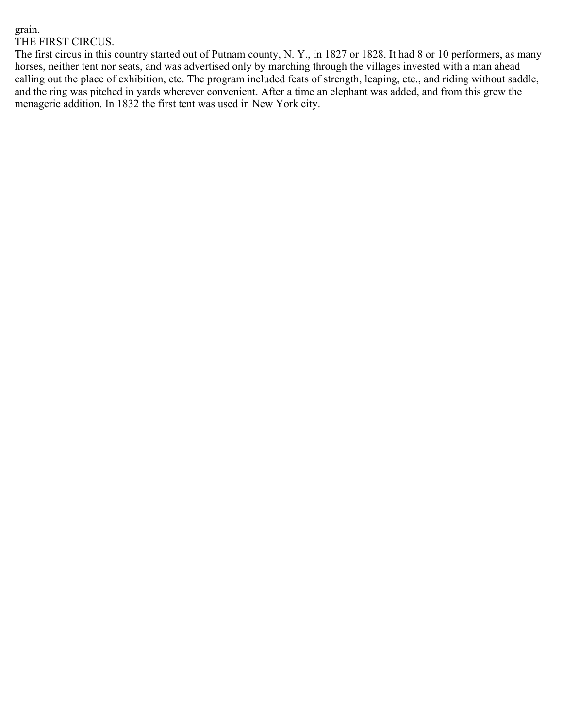### grain. THE FIRST CIRCUS.

The first circus in this country started out of Putnam county, N. Y., in 1827 or 1828. It had 8 or 10 performers, as many horses, neither tent nor seats, and was advertised only by marching through the villages invested with a man ahead calling out the place of exhibition, etc. The program included feats of strength, leaping, etc., and riding without saddle, and the ring was pitched in yards wherever convenient. After a time an elephant was added, and from this grew the menagerie addition. In 1832 the first tent was used in New York city.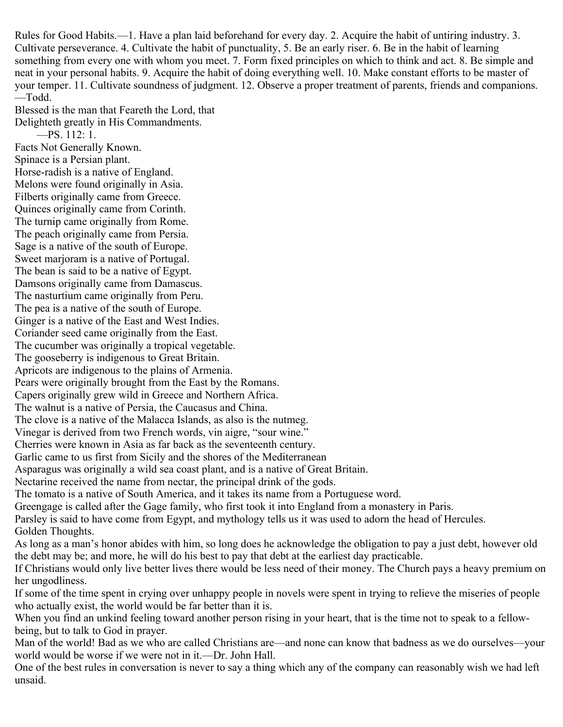Rules for Good Habits.—1. Have a plan laid beforehand for every day. 2. Acquire the habit of untiring industry. 3. Cultivate perseverance. 4. Cultivate the habit of punctuality, 5. Be an early riser. 6. Be in the habit of learning something from every one with whom you meet. 7. Form fixed principles on which to think and act. 8. Be simple and neat in your personal habits. 9. Acquire the habit of doing everything well. 10. Make constant efforts to be master of your temper. 11. Cultivate soundness of judgment. 12. Observe a proper treatment of parents, friends and companions. —Todd.

Blessed is the man that Feareth the Lord, that Delighteth greatly in His Commandments. —PS. 112: 1. Facts Not Generally Known.

Spinace is a Persian plant. Horse-radish is a native of England. Melons were found originally in Asia. Filberts originally came from Greece. Quinces originally came from Corinth. The turnip came originally from Rome. The peach originally came from Persia. Sage is a native of the south of Europe. Sweet marjoram is a native of Portugal. The bean is said to be a native of Egypt. Damsons originally came from Damascus. The nasturtium came originally from Peru. The pea is a native of the south of Europe. Ginger is a native of the East and West Indies. Coriander seed came originally from the East. The cucumber was originally a tropical vegetable. The gooseberry is indigenous to Great Britain. Apricots are indigenous to the plains of Armenia. Pears were originally brought from the East by the Romans. Capers originally grew wild in Greece and Northern Africa. The walnut is a native of Persia, the Caucasus and China. The clove is a native of the Malacca Islands, as also is the nutmeg. Vinegar is derived from two French words, vin aigre, "sour wine." Cherries were known in Asia as far back as the seventeenth century. Garlic came to us first from Sicily and the shores of the Mediterranean Asparagus was originally a wild sea coast plant, and is a native of Great Britain. Nectarine received the name from nectar, the principal drink of the gods. The tomato is a native of South America, and it takes its name from a Portuguese word. Greengage is called after the Gage family, who first took it into England from a monastery in Paris. Parsley is said to have come from Egypt, and mythology tells us it was used to adorn the head of Hercules. Golden Thoughts. As long as a man's honor abides with him, so long does he acknowledge the obligation to pay a just debt, however old the debt may be; and more, he will do his best to pay that debt at the earliest day practicable. If Christians would only live better lives there would be less need of their money. The Church pays a heavy premium on her ungodliness.

If some of the time spent in crying over unhappy people in novels were spent in trying to relieve the miseries of people who actually exist, the world would be far better than it is.

When you find an unkind feeling toward another person rising in your heart, that is the time not to speak to a fellowbeing, but to talk to God in prayer.

Man of the world! Bad as we who are called Christians are—and none can know that badness as we do ourselves—your world would be worse if we were not in it.—Dr. John Hall.

One of the best rules in conversation is never to say a thing which any of the company can reasonably wish we had left unsaid.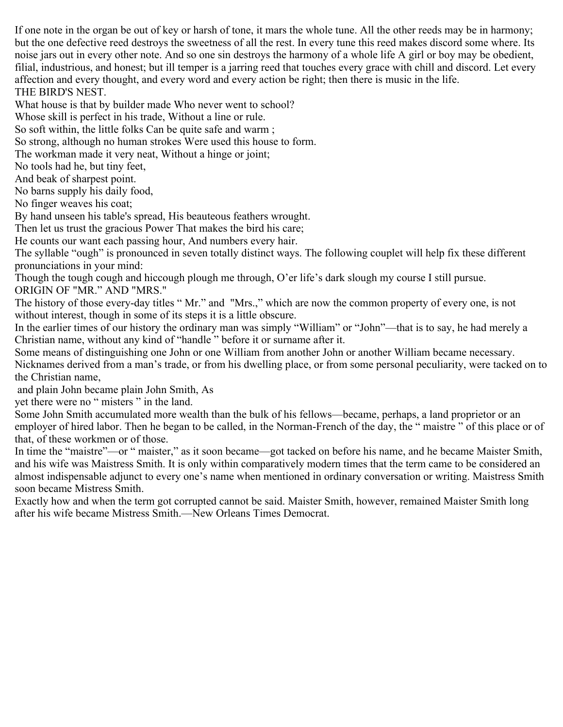If one note in the organ be out of key or harsh of tone, it mars the whole tune. All the other reeds may be in harmony; but the one defective reed destroys the sweetness of all the rest. In every tune this reed makes discord some where. Its noise jars out in every other note. And so one sin destroys the harmony of a whole life A girl or boy may be obedient, filial, industrious, and honest; but ill temper is a jarring reed that touches every grace with chill and discord. Let every affection and every thought, and every word and every action be right; then there is music in the life. THE BIRD'S NEST.

What house is that by builder made Who never went to school?

Whose skill is perfect in his trade, Without a line or rule.

So soft within, the little folks Can be quite safe and warm ;

So strong, although no human strokes Were used this house to form.

The workman made it very neat, Without a hinge or joint;

No tools had he, but tiny feet,

And beak of sharpest point.

No barns supply his daily food,

No finger weaves his coat;

By hand unseen his table's spread, His beauteous feathers wrought.

Then let us trust the gracious Power That makes the bird his care;

He counts our want each passing hour, And numbers every hair.

The syllable "ough" is pronounced in seven totally distinct ways. The following couplet will help fix these different pronunciations in your mind:

Though the tough cough and hiccough plough me through, O'er life's dark slough my course I still pursue. ORIGIN OF "MR." AND "MRS."

The history of those every-day titles " Mr." and "Mrs.," which are now the common property of every one, is not without interest, though in some of its steps it is a little obscure.

In the earlier times of our history the ordinary man was simply "William" or "John"—that is to say, he had merely a Christian name, without any kind of "handle " before it or surname after it.

Some means of distinguishing one John or one William from another John or another William became necessary.

Nicknames derived from a man's trade, or from his dwelling place, or from some personal peculiarity, were tacked on to the Christian name,

and plain John became plain John Smith, As

yet there were no " misters " in the land.

Some John Smith accumulated more wealth than the bulk of his fellows—became, perhaps, a land proprietor or an employer of hired labor. Then he began to be called, in the Norman-French of the day, the " maistre " of this place or of that, of these workmen or of those.

In time the "maistre"—or " maister," as it soon became—got tacked on before his name, and he became Maister Smith, and his wife was Maistress Smith. It is only within comparatively modern times that the term came to be considered an almost indispensable adjunct to every one's name when mentioned in ordinary conversation or writing. Maistress Smith soon became Mistress Smith.

Exactly how and when the term got corrupted cannot be said. Maister Smith, however, remained Maister Smith long after his wife became Mistress Smith.—New Orleans Times Democrat.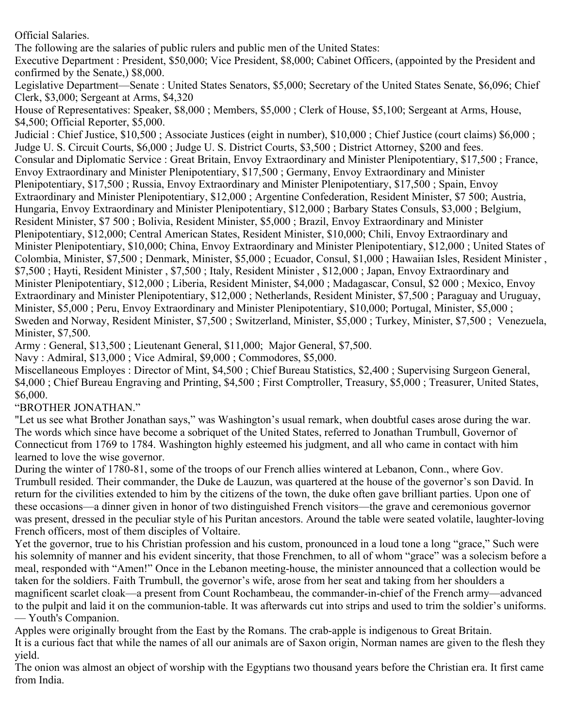Official Salaries.

The following are the salaries of public rulers and public men of the United States:

Executive Department : President, \$50,000; Vice President, \$8,000; Cabinet Officers, (appointed by the President and confirmed by the Senate,) \$8,000.

Legislative Department—Senate : United States Senators, \$5,000; Secretary of the United States Senate, \$6,096; Chief Clerk, \$3,000; Sergeant at Arms, \$4,320

House of Representatives: Speaker, \$8,000 ; Members, \$5,000 ; Clerk of House, \$5,100; Sergeant at Arms, House, \$4,500; Official Reporter, \$5,000.

Judicial : Chief Justice, \$10,500 ; Associate Justices (eight in number), \$10,000 ; Chief Justice (court claims) \$6,000 ; Judge U. S. Circuit Courts, \$6,000 ; Judge U. S. District Courts, \$3,500 ; District Attorney, \$200 and fees. Consular and Diplomatic Service : Great Britain, Envoy Extraordinary and Minister Plenipotentiary, \$17,500 ; France, Envoy Extraordinary and Minister Plenipotentiary, \$17,500 ; Germany, Envoy Extraordinary and Minister Plenipotentiary, \$17,500 ; Russia, Envoy Extraordinary and Minister Plenipotentiary, \$17,500 ; Spain, Envoy Extraordinary and Minister Plenipotentiary, \$12,000 ; Argentine Confederation, Resident Minister, \$7 500; Austria, Hungaria, Envoy Extraordinary and Minister Plenipotentiary, \$12,000 ; Barbary States Consuls, \$3,000 ; Belgium, Resident Minister, \$7 500 ; Bolivia, Resident Minister, \$5,000 ; Brazil, Envoy Extraordinary and Minister Plenipotentiary, \$12,000; Central American States, Resident Minister, \$10,000; Chili, Envoy Extraordinary and Minister Plenipotentiary, \$10,000; China, Envoy Extraordinary and Minister Plenipotentiary, \$12,000 ; United States of Colombia, Minister, \$7,500 ; Denmark, Minister, \$5,000 ; Ecuador, Consul, \$1,000 ; Hawaiian Isles, Resident Minister , \$7,500 ; Hayti, Resident Minister , \$7,500 ; Italy, Resident Minister , \$12,000 ; Japan, Envoy Extraordinary and Minister Plenipotentiary, \$12,000 ; Liberia, Resident Minister, \$4,000 ; Madagascar, Consul, \$2 000 ; Mexico, Envoy Extraordinary and Minister Plenipotentiary, \$12,000 ; Netherlands, Resident Minister, \$7,500 ; Paraguay and Uruguay, Minister, \$5,000 ; Peru, Envoy Extraordinary and Minister Plenipotentiary, \$10,000; Portugal, Minister, \$5,000 ; Sweden and Norway, Resident Minister, \$7,500 ; Switzerland, Minister, \$5,000 ; Turkey, Minister, \$7,500 ; Venezuela, Minister, \$7,500.

Army : General, \$13,500 ; Lieutenant General, \$11,000; Major General, \$7,500.

Navy : Admiral, \$13,000 ; Vice Admiral, \$9,000 ; Commodores, \$5,000.

Miscellaneous Employes : Director of Mint, \$4,500 ; Chief Bureau Statistics, \$2,400 ; Supervising Surgeon General, \$4,000 ; Chief Bureau Engraving and Printing, \$4,500 ; First Comptroller, Treasury, \$5,000 ; Treasurer, United States, \$6,000.

"BROTHER JONATHAN."

"Let us see what Brother Jonathan says," was Washington's usual remark, when doubtful cases arose during the war. The words which since have become a sobriquet of the United States, referred to Jonathan Trumbull, Governor of Connecticut from 1769 to 1784. Washington highly esteemed his judgment, and all who came in contact with him learned to love the wise governor.

During the winter of 1780-81, some of the troops of our French allies wintered at Lebanon, Conn., where Gov. Trumbull resided. Their commander, the Duke de Lauzun, was quartered at the house of the governor's son David. In return for the civilities extended to him by the citizens of the town, the duke often gave brilliant parties. Upon one of these occasions—a dinner given in honor of two distinguished French visitors—the grave and ceremonious governor was present, dressed in the peculiar style of his Puritan ancestors. Around the table were seated volatile, laughter-loving French officers, most of them disciples of Voltaire.

Yet the governor, true to his Christian profession and his custom, pronounced in a loud tone a long "grace," Such were his solemnity of manner and his evident sincerity, that those Frenchmen, to all of whom "grace" was a solecism before a meal, responded with "Amen!" Once in the Lebanon meeting-house, the minister announced that a collection would be taken for the soldiers. Faith Trumbull, the governor's wife, arose from her seat and taking from her shoulders a magnificent scarlet cloak—a present from Count Rochambeau, the commander-in-chief of the French army—advanced to the pulpit and laid it on the communion-table. It was afterwards cut into strips and used to trim the soldier's uniforms.

— Youth's Companion.

Apples were originally brought from the East by the Romans. The crab-apple is indigenous to Great Britain.

It is a curious fact that while the names of all our animals are of Saxon origin, Norman names are given to the flesh they yield.

The onion was almost an object of worship with the Egyptians two thousand years before the Christian era. It first came from India.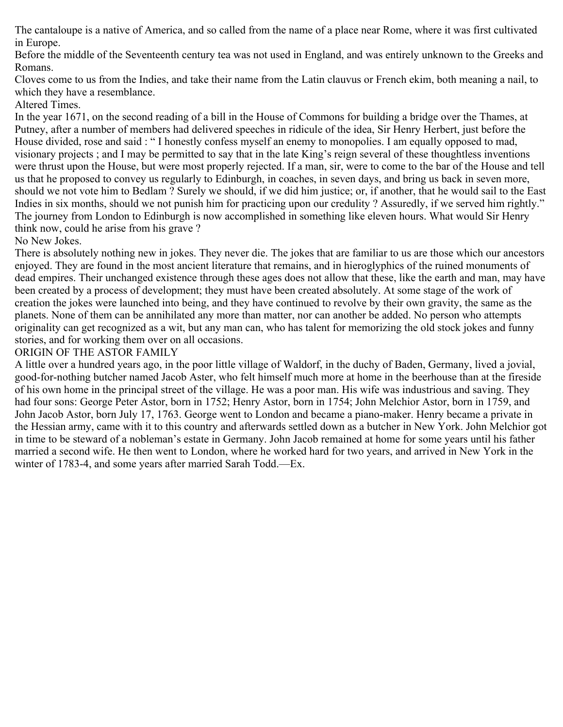The cantaloupe is a native of America, and so called from the name of a place near Rome, where it was first cultivated in Europe.

Before the middle of the Seventeenth century tea was not used in England, and was entirely unknown to the Greeks and Romans.

Cloves come to us from the Indies, and take their name from the Latin clauvus or French ekim, both meaning a nail, to which they have a resemblance.

## Altered Times.

In the year 1671, on the second reading of a bill in the House of Commons for building a bridge over the Thames, at Putney, after a number of members had delivered speeches in ridicule of the idea, Sir Henry Herbert, just before the House divided, rose and said : " I honestly confess myself an enemy to monopolies. I am equally opposed to mad, visionary projects ; and I may be permitted to say that in the late King's reign several of these thoughtless inventions were thrust upon the House, but were most properly rejected. If a man, sir, were to come to the bar of the House and tell us that he proposed to convey us regularly to Edinburgh, in coaches, in seven days, and bring us back in seven more, should we not vote him to Bedlam ? Surely we should, if we did him justice; or, if another, that he would sail to the East Indies in six months, should we not punish him for practicing upon our credulity ? Assuredly, if we served him rightly." The journey from London to Edinburgh is now accomplished in something like eleven hours. What would Sir Henry think now, could he arise from his grave ?

## No New Jokes.

There is absolutely nothing new in jokes. They never die. The jokes that are familiar to us are those which our ancestors enjoyed. They are found in the most ancient literature that remains, and in hieroglyphics of the ruined monuments of dead empires. Their unchanged existence through these ages does not allow that these, like the earth and man, may have been created by a process of development; they must have been created absolutely. At some stage of the work of creation the jokes were launched into being, and they have continued to revolve by their own gravity, the same as the planets. None of them can be annihilated any more than matter, nor can another be added. No person who attempts originality can get recognized as a wit, but any man can, who has talent for memorizing the old stock jokes and funny stories, and for working them over on all occasions.

## ORIGIN OF THE ASTOR FAMILY

A little over a hundred years ago, in the poor little village of Waldorf, in the duchy of Baden, Germany, lived a jovial, good-for-nothing butcher named Jacob Aster, who felt himself much more at home in the beerhouse than at the fireside of his own home in the principal street of the village. He was a poor man. His wife was industrious and saving. They had four sons: George Peter Astor, born in 1752; Henry Astor, born in 1754; John Melchior Astor, born in 1759, and John Jacob Astor, born July 17, 1763. George went to London and became a piano-maker. Henry became a private in the Hessian army, came with it to this country and afterwards settled down as a butcher in New York. John Melchior got in time to be steward of a nobleman's estate in Germany. John Jacob remained at home for some years until his father married a second wife. He then went to London, where he worked hard for two years, and arrived in New York in the winter of 1783-4, and some years after married Sarah Todd.—Ex.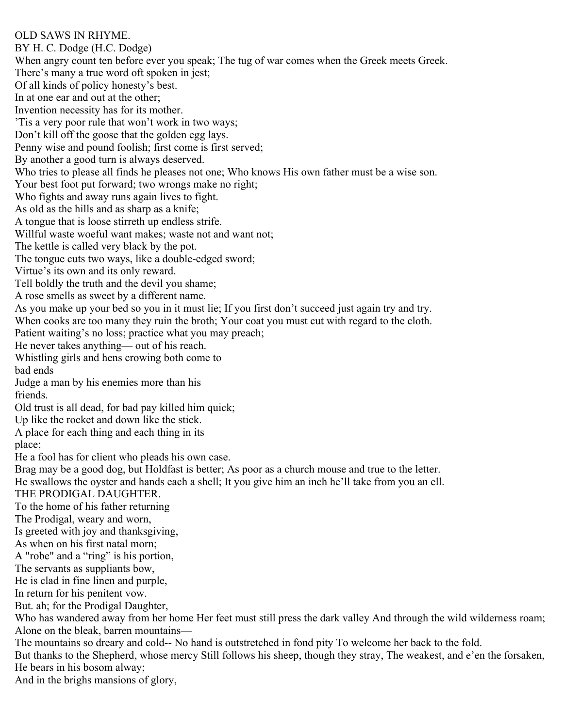## OLD SAWS IN RHYME.

BY H. C. Dodge (H.C. Dodge) When angry count ten before ever you speak; The tug of war comes when the Greek meets Greek. There's many a true word oft spoken in jest; Of all kinds of policy honesty's best. In at one ear and out at the other; Invention necessity has for its mother. 'Tis a very poor rule that won't work in two ways; Don't kill off the goose that the golden egg lays. Penny wise and pound foolish; first come is first served; By another a good turn is always deserved. Who tries to please all finds he pleases not one; Who knows His own father must be a wise son. Your best foot put forward; two wrongs make no right; Who fights and away runs again lives to fight. As old as the hills and as sharp as a knife; A tongue that is loose stirreth up endless strife. Willful waste woeful want makes; waste not and want not; The kettle is called very black by the pot. The tongue cuts two ways, like a double-edged sword; Virtue's its own and its only reward. Tell boldly the truth and the devil you shame; A rose smells as sweet by a different name. As you make up your bed so you in it must lie; If you first don't succeed just again try and try. When cooks are too many they ruin the broth; Your coat you must cut with regard to the cloth. Patient waiting's no loss; practice what you may preach; He never takes anything— out of his reach. Whistling girls and hens crowing both come to bad ends Judge a man by his enemies more than his friends. Old trust is all dead, for bad pay killed him quick; Up like the rocket and down like the stick. A place for each thing and each thing in its place; He a fool has for client who pleads his own case. Brag may be a good dog, but Holdfast is better; As poor as a church mouse and true to the letter. He swallows the oyster and hands each a shell; It you give him an inch he'll take from you an ell. THE PRODIGAL DAUGHTER. To the home of his father returning The Prodigal, weary and worn, Is greeted with joy and thanksgiving, As when on his first natal morn; A "robe" and a "ring" is his portion, The servants as suppliants bow, He is clad in fine linen and purple, In return for his penitent vow. But. ah; for the Prodigal Daughter, Who has wandered away from her home Her feet must still press the dark valley And through the wild wilderness roam; Alone on the bleak, barren mountains— The mountains so dreary and cold-- No hand is outstretched in fond pity To welcome her back to the fold. But thanks to the Shepherd, whose mercy Still follows his sheep, though they stray, The weakest, and e'en the forsaken, He bears in his bosom alway;

And in the brighs mansions of glory,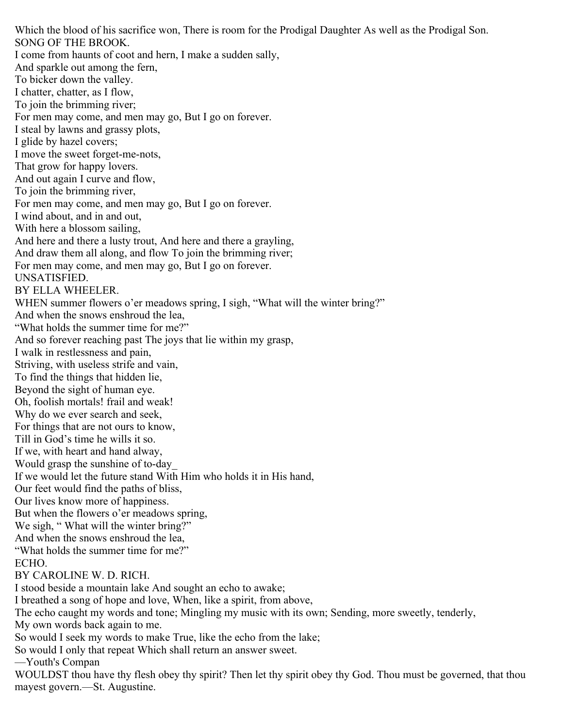Which the blood of his sacrifice won, There is room for the Prodigal Daughter As well as the Prodigal Son. SONG OF THE BROOK. I come from haunts of coot and hern, I make a sudden sally, And sparkle out among the fern, To bicker down the valley. I chatter, chatter, as I flow, To join the brimming river; For men may come, and men may go, But I go on forever. I steal by lawns and grassy plots, I glide by hazel covers; I move the sweet forget-me-nots, That grow for happy lovers. And out again I curve and flow, To join the brimming river, For men may come, and men may go, But I go on forever. I wind about, and in and out, With here a blossom sailing, And here and there a lusty trout, And here and there a grayling, And draw them all along, and flow To join the brimming river; For men may come, and men may go, But I go on forever. UNSATISFIED. BY ELLA WHEELER. WHEN summer flowers o'er meadows spring, I sigh, "What will the winter bring?" And when the snows enshroud the lea, "What holds the summer time for me?" And so forever reaching past The joys that lie within my grasp, I walk in restlessness and pain, Striving, with useless strife and vain, To find the things that hidden lie, Beyond the sight of human eye. Oh, foolish mortals! frail and weak! Why do we ever search and seek, For things that are not ours to know, Till in God's time he wills it so. If we, with heart and hand alway, Would grasp the sunshine of to-day\_ If we would let the future stand With Him who holds it in His hand, Our feet would find the paths of bliss, Our lives know more of happiness. But when the flowers o'er meadows spring, We sigh, "What will the winter bring?" And when the snows enshroud the lea, "What holds the summer time for me?" ECHO. BY CAROLINE W. D. RICH. I stood beside a mountain lake And sought an echo to awake; I breathed a song of hope and love, When, like a spirit, from above, The echo caught my words and tone; Mingling my music with its own; Sending, more sweetly, tenderly, My own words back again to me. So would I seek my words to make True, like the echo from the lake; So would I only that repeat Which shall return an answer sweet. —Youth's Compan WOULDST thou have thy flesh obey thy spirit? Then let thy spirit obey thy God. Thou must be governed, that thou mayest govern.—St. Augustine.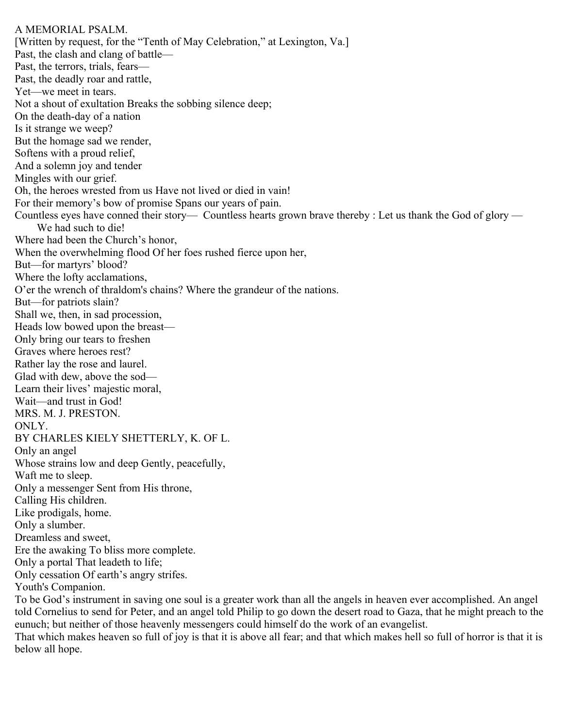A MEMORIAL PSALM. [Written by request, for the "Tenth of May Celebration," at Lexington, Va.] Past, the clash and clang of battle— Past, the terrors, trials, fears— Past, the deadly roar and rattle, Yet—we meet in tears. Not a shout of exultation Breaks the sobbing silence deep; On the death-day of a nation Is it strange we weep? But the homage sad we render, Softens with a proud relief, And a solemn joy and tender Mingles with our grief. Oh, the heroes wrested from us Have not lived or died in vain! For their memory's bow of promise Spans our years of pain. Countless eyes have conned their story— Countless hearts grown brave thereby : Let us thank the God of glory — We had such to die! Where had been the Church's honor, When the overwhelming flood Of her foes rushed fierce upon her, But—for martyrs' blood? Where the lofty acclamations, O'er the wrench of thraldom's chains? Where the grandeur of the nations. But—for patriots slain? Shall we, then, in sad procession, Heads low bowed upon the breast— Only bring our tears to freshen Graves where heroes rest? Rather lay the rose and laurel. Glad with dew, above the sod— Learn their lives' majestic moral, Wait—and trust in God! MRS. M. J. PRESTON. ONLY. BY CHARLES KIELY SHETTERLY, K. OF L. Only an angel Whose strains low and deep Gently, peacefully, Waft me to sleep. Only a messenger Sent from His throne, Calling His children. Like prodigals, home. Only a slumber. Dreamless and sweet, Ere the awaking To bliss more complete. Only a portal That leadeth to life; Only cessation Of earth's angry strifes. Youth's Companion.

To be God's instrument in saving one soul is a greater work than all the angels in heaven ever accomplished. An angel told Cornelius to send for Peter, and an angel told Philip to go down the desert road to Gaza, that he might preach to the eunuch; but neither of those heavenly messengers could himself do the work of an evangelist.

That which makes heaven so full of joy is that it is above all fear; and that which makes hell so full of horror is that it is below all hope.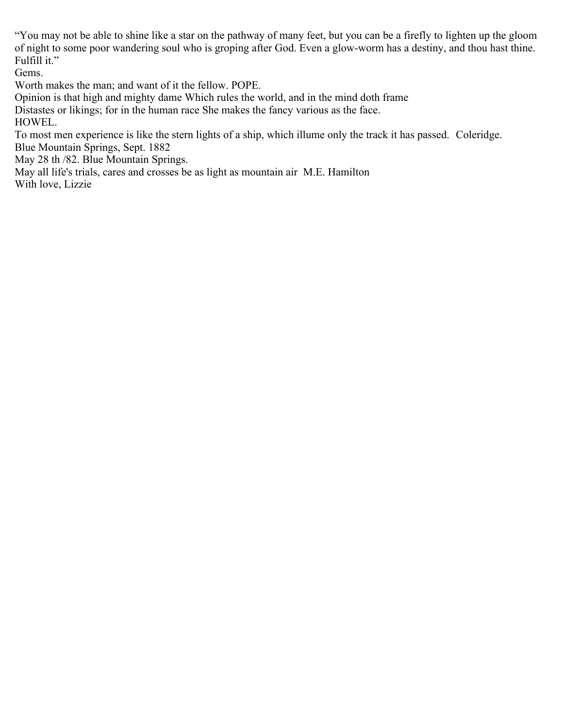"You may not be able to shine like a star on the pathway of many feet, but you can be a firefly to lighten up the gloom of night to some poor wandering soul who is groping after God. Even a glow-worm has a destiny, and thou hast thine. Fulfill it."

Gems.

Worth makes the man; and want of it the fellow. POPE.

Opinion is that high and mighty dame Which rules the world, and in the mind doth frame

Distastes or likings; for in the human race She makes the fancy various as the face.

HOWEL.

To most men experience is like the stern lights of a ship, which illume only the track it has passed. Coleridge. Blue Mountain Springs, Sept. 1882

May 28 th /82. Blue Mountain Springs.

May all life's trials, cares and crosses be as light as mountain air M.E. Hamilton

With love, Lizzie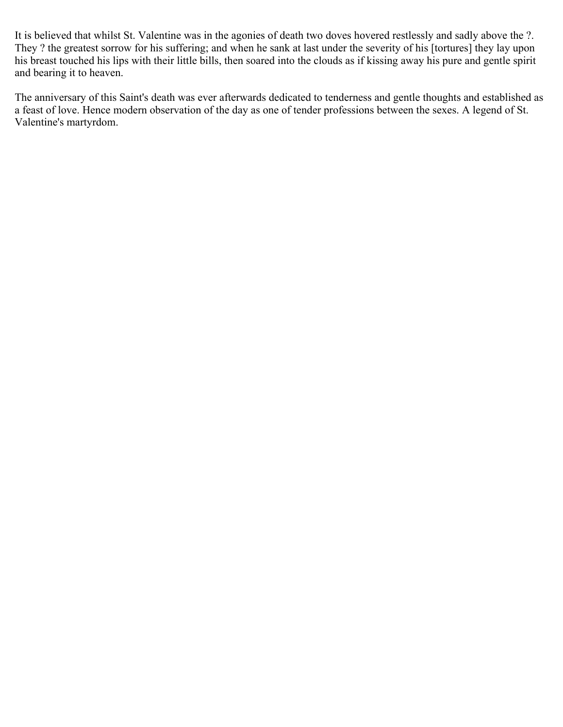It is believed that whilst St. Valentine was in the agonies of death two doves hovered restlessly and sadly above the ?. They ? the greatest sorrow for his suffering; and when he sank at last under the severity of his [tortures] they lay upon his breast touched his lips with their little bills, then soared into the clouds as if kissing away his pure and gentle spirit and bearing it to heaven.

The anniversary of this Saint's death was ever afterwards dedicated to tenderness and gentle thoughts and established as a feast of love. Hence modern observation of the day as one of tender professions between the sexes. A legend of St. Valentine's martyrdom.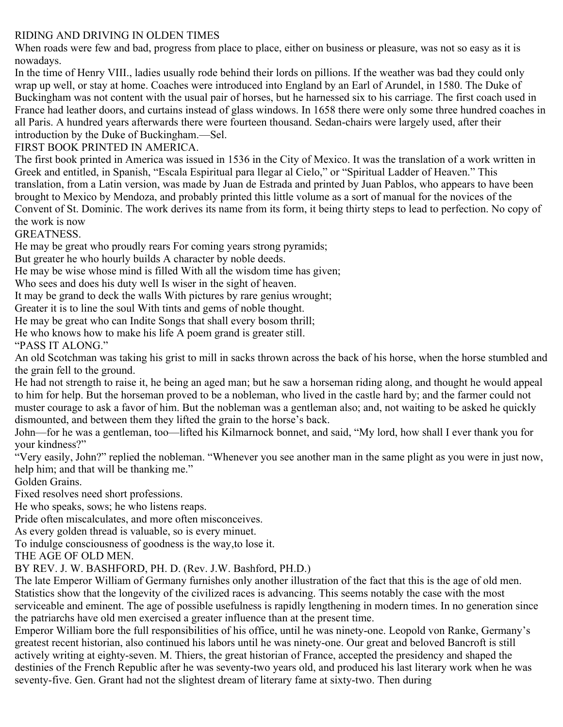# RIDING AND DRIVING IN OLDEN TIMES

When roads were few and bad, progress from place to place, either on business or pleasure, was not so easy as it is nowadays.

In the time of Henry VIII., ladies usually rode behind their lords on pillions. If the weather was bad they could only wrap up well, or stay at home. Coaches were introduced into England by an Earl of Arundel, in 1580. The Duke of Buckingham was not content with the usual pair of horses, but he harnessed six to his carriage. The first coach used in France had leather doors, and curtains instead of glass windows. In 1658 there were only some three hundred coaches in all Paris. A hundred years afterwards there were fourteen thousand. Sedan-chairs were largely used, after their introduction by the Duke of Buckingham.—Sel.

# FIRST BOOK PRINTED IN AMERICA.

The first book printed in America was issued in 1536 in the City of Mexico. It was the translation of a work written in Greek and entitled, in Spanish, "Escala Espiritual para llegar al Cielo," or "Spiritual Ladder of Heaven." This translation, from a Latin version, was made by Juan de Estrada and printed by Juan Pablos, who appears to have been brought to Mexico by Mendoza, and probably printed this little volume as a sort of manual for the novices of the Convent of St. Dominic. The work derives its name from its form, it being thirty steps to lead to perfection. No copy of the work is now

GREATNESS.

He may be great who proudly rears For coming years strong pyramids;

But greater he who hourly builds A character by noble deeds.

He may be wise whose mind is filled With all the wisdom time has given;

Who sees and does his duty well Is wiser in the sight of heaven.

It may be grand to deck the walls With pictures by rare genius wrought;

Greater it is to line the soul With tints and gems of noble thought.

He may be great who can Indite Songs that shall every bosom thrill;

He who knows how to make his life A poem grand is greater still.

"PASS IT ALONG."

An old Scotchman was taking his grist to mill in sacks thrown across the back of his horse, when the horse stumbled and the grain fell to the ground.

He had not strength to raise it, he being an aged man; but he saw a horseman riding along, and thought he would appeal to him for help. But the horseman proved to be a nobleman, who lived in the castle hard by; and the farmer could not muster courage to ask a favor of him. But the nobleman was a gentleman also; and, not waiting to be asked he quickly dismounted, and between them they lifted the grain to the horse's back.

John—for he was a gentleman, too—lifted his Kilmarnock bonnet, and said, "My lord, how shall I ever thank you for your kindness?"

"Very easily, John?" replied the nobleman. "Whenever you see another man in the same plight as you were in just now, help him; and that will be thanking me."

Golden Grains.

Fixed resolves need short professions.

He who speaks, sows; he who listens reaps.

Pride often miscalculates, and more often misconceives.

As every golden thread is valuable, so is every minuet.

To indulge consciousness of goodness is the way,to lose it.

THE AGE OF OLD MEN.

BY REV. J. W. BASHFORD, PH. D. (Rev. J.W. Bashford, PH.D.)

The late Emperor William of Germany furnishes only another illustration of the fact that this is the age of old men. Statistics show that the longevity of the civilized races is advancing. This seems notably the case with the most serviceable and eminent. The age of possible usefulness is rapidly lengthening in modern times. In no generation since the patriarchs have old men exercised a greater influence than at the present time.

Emperor William bore the full responsibilities of his office, until he was ninety-one. Leopold von Ranke, Germany's greatest recent historian, also continued his labors until he was ninety-one. Our great and beloved Bancroft is still actively writing at eighty-seven. M. Thiers, the great historian of France, accepted the presidency and shaped the destinies of the French Republic after he was seventy-two years old, and produced his last literary work when he was seventy-five. Gen. Grant had not the slightest dream of literary fame at sixty-two. Then during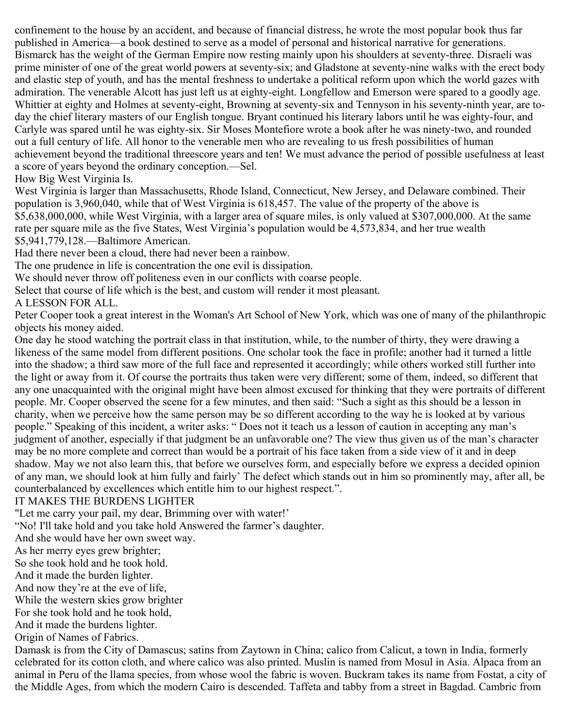confinement to the house by an accident, and because of financial distress, he wrote the most popular book thus far published in America—a book destined to serve as a model of personal and historical narrative for generations. Bismarck has the weight of the German Empire now resting mainly upon his shoulders at seventy-three. Disraeli was prime minister of one of the great world powers at seventy-six; and Gladstone at seventy-nine walks with the erect body and elastic step of youth, and has the mental freshness to undertake a political reform upon which the world gazes with admiration. The venerable Alcott has just left us at eighty-eight. Longfellow and Emerson were spared to a goodly age. Whittier at eighty and Holmes at seventy-eight, Browning at seventy-six and Tennyson in his seventy-ninth year, are today the chief literary masters of our English tongue. Bryant continued his literary labors until he was eighty-four, and Carlyle was spared until he was eighty-six. Sir Moses Montefiore wrote a book after he was ninety-two, and rounded out a full century of life. All honor to the venerable men who are revealing to us fresh possibilities of human achievement beyond the traditional threescore years and ten! We must advance the period of possible usefulness at least a score of years beyond the ordinary conception.—Sel.

## How Big West Virginia Is.

West Virginia is larger than Massachusetts, Rhode Island, Connecticut, New Jersey, and Delaware combined. Their population is 3,960,040, while that of West Virginia is 618,457. The value of the property of the above is \$5,638,000,000, while West Virginia, with a larger area of square miles, is only valued at \$307,000,000. At the same rate per square mile as the five States, West Virginia's population would be 4,573,834, and her true wealth \$5,941,779,128.—Baltimore American.

Had there never been a cloud, there had never been a rainbow.

The one prudence in life is concentration the one evil is dissipation.

We should never throw off politeness even in our conflicts with coarse people.

Select that course of life which is the best, and custom will render it most pleasant.

A LESSON FOR ALL.

Peter Cooper took a great interest in the Woman's Art School of New York, which was one of many of the philanthropic objects his money aided.

One day he stood watching the portrait class in that institution, while, to the number of thirty, they were drawing a likeness of the same model from different positions. One scholar took the face in profile; another had it turned a little into the shadow; a third saw more of the full face and represented it accordingly; while others worked still further into the light or away from it. Of course the portraits thus taken were very different; some of them, indeed, so different that any one unacquainted with the original might have been almost excused for thinking that they were portraits of different people. Mr. Cooper observed the scene for a few minutes, and then said: "Such a sight as this should be a lesson in charity, when we perceive how the same person may be so different according to the way he is looked at by various people." Speaking of this incident, a writer asks: " Does not it teach us a lesson of caution in accepting any man's judgment of another, especially if that judgment be an unfavorable one? The view thus given us of the man's character may be no more complete and correct than would be a portrait of his face taken from a side view of it and in deep shadow. May we not also learn this, that before we ourselves form, and especially before we express a decided opinion of any man, we should look at him fully and fairly' The defect which stands out in him so prominently may, after all, be counterbalanced by excellences which entitle him to our highest respect.".

# IT MAKES THE BURDENS LIGHTER

"Let me carry your pail, my dear, Brimming over with water!'

"No! I'll take hold and you take hold Answered the farmer's daughter.

And she would have her own sweet way.

As her merry eyes grew brighter;

So she took hold and he took hold.

And it made the burden lighter.

And now they're at the eve of life,

While the western skies grow brighter

For she took hold and he took hold,

And it made the burdens lighter.

Origin of Names of Fabrics.

Damask is from the City of Damascus; satins from Zaytown in China; calico from Calicut, a town in India, formerly celebrated for its cotton cloth, and where calico was also printed. Muslin is named from Mosul in Asia. Alpaca from an animal in Peru of the llama species, from whose wool the fabric is woven. Buckram takes its name from Fostat, a city of the Middle Ages, from which the modern Cairo is descended. Taffeta and tabby from a street in Bagdad. Cambric from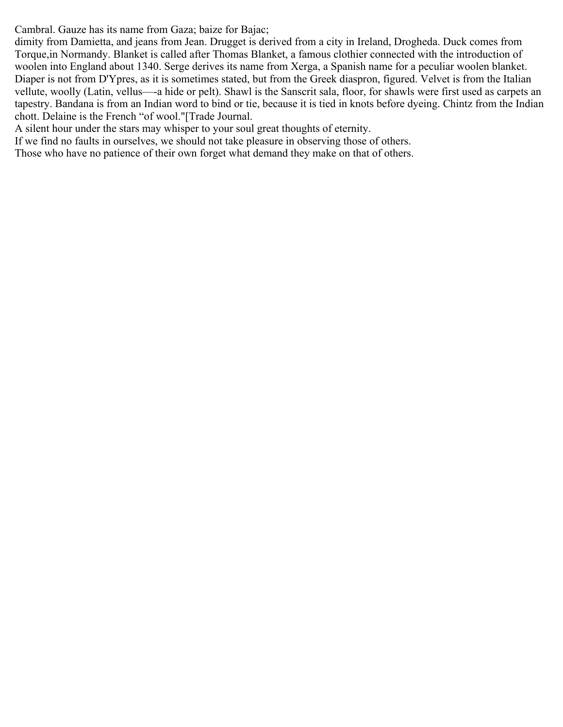Cambral. Gauze has its name from Gaza; baize for Bajac;

dimity from Damietta, and jeans from Jean. Drugget is derived from a city in Ireland, Drogheda. Duck comes from Torque,in Normandy. Blanket is called after Thomas Blanket, a famous clothier connected with the introduction of woolen into England about 1340. Serge derives its name from Xerga, a Spanish name for a peculiar woolen blanket. Diaper is not from D'Ypres, as it is sometimes stated, but from the Greek diaspron, figured. Velvet is from the Italian vellute, woolly (Latin, vellus—-a hide or pelt). Shawl is the Sanscrit sala, floor, for shawls were first used as carpets an tapestry. Bandana is from an Indian word to bind or tie, because it is tied in knots before dyeing. Chintz from the Indian chott. Delaine is the French "of wool."[Trade Journal.

A silent hour under the stars may whisper to your soul great thoughts of eternity.

If we find no faults in ourselves, we should not take pleasure in observing those of others.

Those who have no patience of their own forget what demand they make on that of others.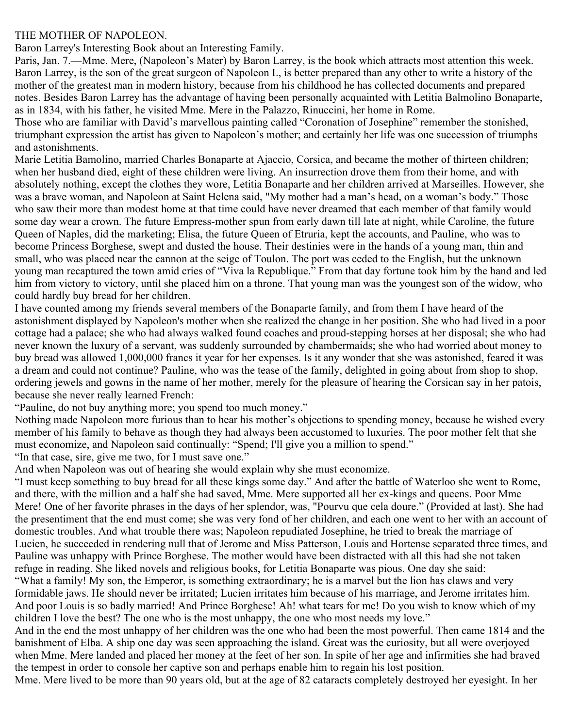### THE MOTHER OF NAPOLEON.

Baron Larrey's Interesting Book about an Interesting Family.

Paris, Jan. 7.—Mme. Mere, (Napoleon's Mater) by Baron Larrey, is the book which attracts most attention this week. Baron Larrey, is the son of the great surgeon of Napoleon I., is better prepared than any other to write a history of the mother of the greatest man in modern history, because from his childhood he has collected documents and prepared notes. Besides Baron Larrey has the advantage of having been personally acquainted with Letitia Balmolino Bonaparte, as in 1834, with his father, he visited Mme. Mere in the Palazzo, Rinuccini, her home in Rome.

Those who are familiar with David's marvellous painting called "Coronation of Josephine" remember the stonished, triumphant expression the artist has given to Napoleon's mother; and certainly her life was one succession of triumphs and astonishments.

Marie Letitia Bamolino, married Charles Bonaparte at Ajaccio, Corsica, and became the mother of thirteen children; when her husband died, eight of these children were living. An insurrection drove them from their home, and with absolutely nothing, except the clothes they wore, Letitia Bonaparte and her children arrived at Marseilles. However, she was a brave woman, and Napoleon at Saint Helena said, "My mother had a man's head, on a woman's body." Those who saw their more than modest home at that time could have never dreamed that each member of that family would some day wear a crown. The future Empress-mother spun from early dawn till late at night, while Caroline, the future Queen of Naples, did the marketing; Elisa, the future Queen of Etruria, kept the accounts, and Pauline, who was to become Princess Borghese, swept and dusted the house. Their destinies were in the hands of a young man, thin and small, who was placed near the cannon at the seige of Toulon. The port was ceded to the English, but the unknown young man recaptured the town amid cries of "Viva la Republique." From that day fortune took him by the hand and led him from victory to victory, until she placed him on a throne. That young man was the youngest son of the widow, who could hardly buy bread for her children.

I have counted among my friends several members of the Bonaparte family, and from them I have heard of the astonishment displayed by Napoleon's mother when she realized the change in her position. She who had lived in a poor cottage had a palace; she who had always walked found coaches and proud-stepping horses at her disposal; she who had never known the luxury of a servant, was suddenly surrounded by chambermaids; she who had worried about money to buy bread was allowed 1,000,000 francs it year for her expenses. Is it any wonder that she was astonished, feared it was a dream and could not continue? Pauline, who was the tease of the family, delighted in going about from shop to shop, ordering jewels and gowns in the name of her mother, merely for the pleasure of hearing the Corsican say in her patois, because she never really learned French:

"Pauline, do not buy anything more; you spend too much money."

Nothing made Napoleon more furious than to hear his mother's objections to spending money, because he wished every member of his family to behave as though they had always been accustomed to luxuries. The poor mother felt that she must economize, and Napoleon said continually: "Spend; I'll give you a million to spend."

"In that case, sire, give me two, for I must save one."

And when Napoleon was out of hearing she would explain why she must economize.

"I must keep something to buy bread for all these kings some day." And after the battle of Waterloo she went to Rome, and there, with the million and a half she had saved, Mme. Mere supported all her ex-kings and queens. Poor Mme Mere! One of her favorite phrases in the days of her splendor, was, "Pourvu que cela doure." (Provided at last). She had the presentiment that the end must come; she was very fond of her children, and each one went to her with an account of domestic troubles. And what trouble there was; Napoleon repudiated Josephine, he tried to break the marriage of Lucien, he succeeded in rendering null that of Jerome and Miss Patterson, Louis and Hortense separated three times, and Pauline was unhappy with Prince Borghese. The mother would have been distracted with all this had she not taken refuge in reading. She liked novels and religious books, for Letitia Bonaparte was pious. One day she said: "What a family! My son, the Emperor, is something extraordinary; he is a marvel but the lion has claws and very formidable jaws. He should never be irritated; Lucien irritates him because of his marriage, and Jerome irritates him. And poor Louis is so badly married! And Prince Borghese! Ah! what tears for me! Do you wish to know which of my children I love the best? The one who is the most unhappy, the one who most needs my love."

And in the end the most unhappy of her children was the one who had been the most powerful. Then came 1814 and the banishment of Elba. A ship one day was seen approaching the island. Great was the curiosity, but all were overjoyed when Mme. Mere landed and placed her money at the feet of her son. In spite of her age and infirmities she had braved the tempest in order to console her captive son and perhaps enable him to regain his lost position.

Mme. Mere lived to be more than 90 years old, but at the age of 82 cataracts completely destroyed her eyesight. In her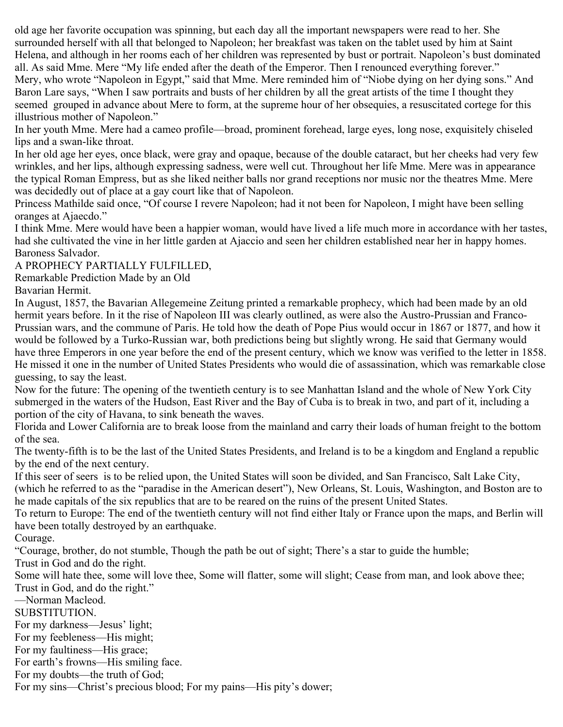old age her favorite occupation was spinning, but each day all the important newspapers were read to her. She surrounded herself with all that belonged to Napoleon; her breakfast was taken on the tablet used by him at Saint Helena, and although in her rooms each of her children was represented by bust or portrait. Napoleon's bust dominated all. As said Mme. Mere "My life ended after the death of the Emperor. Then I renounced everything forever." Mery, who wrote "Napoleon in Egypt," said that Mme. Mere reminded him of "Niobe dying on her dying sons." And Baron Lare says, "When I saw portraits and busts of her children by all the great artists of the time I thought they seemed grouped in advance about Mere to form, at the supreme hour of her obsequies, a resuscitated cortege for this illustrious mother of Napoleon."

In her youth Mme. Mere had a cameo profile—broad, prominent forehead, large eyes, long nose, exquisitely chiseled lips and a swan-like throat.

In her old age her eyes, once black, were gray and opaque, because of the double cataract, but her cheeks had very few wrinkles, and her lips, although expressing sadness, were well cut. Throughout her life Mme. Mere was in appearance the typical Roman Empress, but as she liked neither balls nor grand receptions nor music nor the theatres Mme. Mere was decidedly out of place at a gay court like that of Napoleon.

Princess Mathilde said once, "Of course I revere Napoleon; had it not been for Napoleon, I might have been selling oranges at Ajaecdo."

I think Mme. Mere would have been a happier woman, would have lived a life much more in accordance with her tastes, had she cultivated the vine in her little garden at Ajaccio and seen her children established near her in happy homes. Baroness Salvador.

# A PROPHECY PARTIALLY FULFILLED,

Remarkable Prediction Made by an Old

Bavarian Hermit.

In August, 1857, the Bavarian Allegemeine Zeitung printed a remarkable prophecy, which had been made by an old hermit years before. In it the rise of Napoleon III was clearly outlined, as were also the Austro-Prussian and Franco-Prussian wars, and the commune of Paris. He told how the death of Pope Pius would occur in 1867 or 1877, and how it would be followed by a Turko-Russian war, both predictions being but slightly wrong. He said that Germany would have three Emperors in one year before the end of the present century, which we know was verified to the letter in 1858. He missed it one in the number of United States Presidents who would die of assassination, which was remarkable close guessing, to say the least.

Now for the future: The opening of the twentieth century is to see Manhattan Island and the whole of New York City submerged in the waters of the Hudson, East River and the Bay of Cuba is to break in two, and part of it, including a portion of the city of Havana, to sink beneath the waves.

Florida and Lower California are to break loose from the mainland and carry their loads of human freight to the bottom of the sea.

The twenty-fifth is to be the last of the United States Presidents, and Ireland is to be a kingdom and England a republic by the end of the next century.

If this seer of seers is to be relied upon, the United States will soon be divided, and San Francisco, Salt Lake City, (which he referred to as the "paradise in the American desert"), New Orleans, St. Louis, Washington, and Boston are to he made capitals of the six republics that are to be reared on the ruins of the present United States.

To return to Europe: The end of the twentieth century will not find either Italy or France upon the maps, and Berlin will have been totally destroyed by an earthquake.

Courage.

"Courage, brother, do not stumble, Though the path be out of sight; There's a star to guide the humble;

Trust in God and do the right.

Some will hate thee, some will love thee, Some will flatter, some will slight; Cease from man, and look above thee; Trust in God, and do the right."

—Norman Macleod.

SUBSTITUTION.

For my darkness—Jesus' light;

For my feebleness—His might;

For my faultiness—His grace;

For earth's frowns—His smiling face.

For my doubts—the truth of God;

For my sins—Christ's precious blood; For my pains—His pity's dower;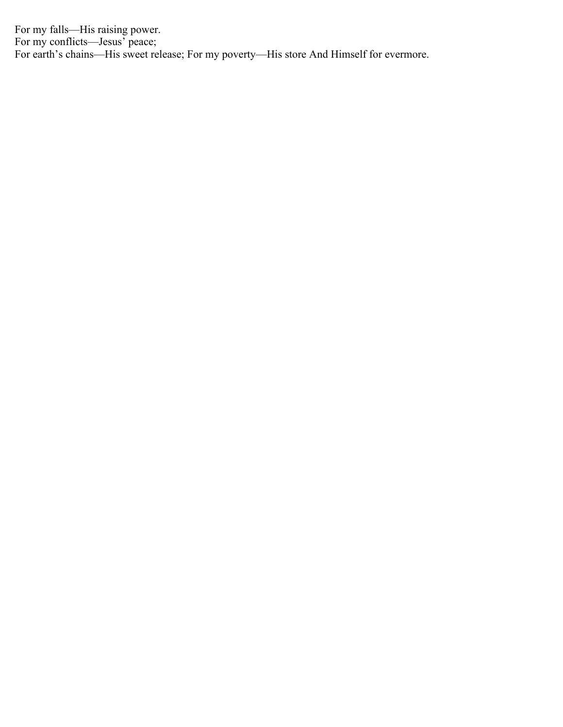For my falls—His raising power. For my conflicts—Jesus' peace; For earth's chains—His sweet release; For my poverty—His store And Himself for evermore.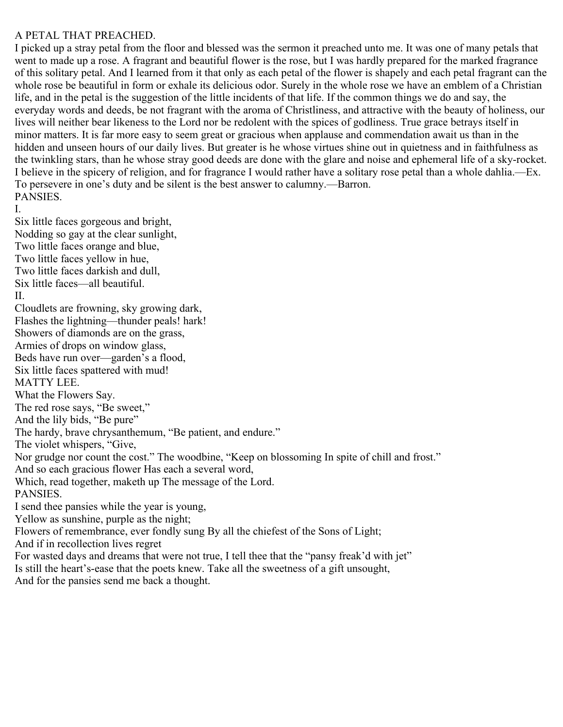## A PETAL THAT PREACHED.

I picked up a stray petal from the floor and blessed was the sermon it preached unto me. It was one of many petals that went to made up a rose. A fragrant and beautiful flower is the rose, but I was hardly prepared for the marked fragrance of this solitary petal. And I learned from it that only as each petal of the flower is shapely and each petal fragrant can the whole rose be beautiful in form or exhale its delicious odor. Surely in the whole rose we have an emblem of a Christian life, and in the petal is the suggestion of the little incidents of that life. If the common things we do and say, the everyday words and deeds, be not fragrant with the aroma of Christliness, and attractive with the beauty of holiness, our lives will neither bear likeness to the Lord nor be redolent with the spices of godliness. True grace betrays itself in minor matters. It is far more easy to seem great or gracious when applause and commendation await us than in the hidden and unseen hours of our daily lives. But greater is he whose virtues shine out in quietness and in faithfulness as the twinkling stars, than he whose stray good deeds are done with the glare and noise and ephemeral life of a sky-rocket. I believe in the spicery of religion, and for fragrance I would rather have a solitary rose petal than a whole dahlia.—Ex. To persevere in one's duty and be silent is the best answer to calumny.—Barron. PANSIES.

I.

Six little faces gorgeous and bright, Nodding so gay at the clear sunlight, Two little faces orange and blue, Two little faces yellow in hue, Two little faces darkish and dull, Six little faces—all beautiful. II. Cloudlets are frowning, sky growing dark, Flashes the lightning—thunder peals! hark! Showers of diamonds are on the grass, Armies of drops on window glass, Beds have run over—garden's a flood, Six little faces spattered with mud! MATTY LEE. What the Flowers Say. The red rose says, "Be sweet," And the lily bids, "Be pure" The hardy, brave chrysanthemum, "Be patient, and endure." The violet whispers, "Give, Nor grudge nor count the cost." The woodbine, "Keep on blossoming In spite of chill and frost." And so each gracious flower Has each a several word, Which, read together, maketh up The message of the Lord. PANSIES. I send thee pansies while the year is young, Yellow as sunshine, purple as the night; Flowers of remembrance, ever fondly sung By all the chiefest of the Sons of Light; And if in recollection lives regret For wasted days and dreams that were not true, I tell thee that the "pansy freak'd with jet" Is still the heart's-ease that the poets knew. Take all the sweetness of a gift unsought,

And for the pansies send me back a thought.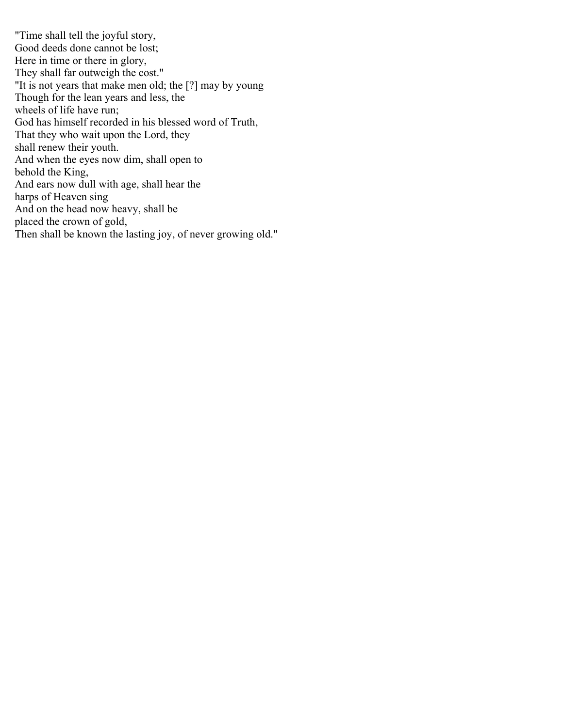"Time shall tell the joyful story, Good deeds done cannot be lost; Here in time or there in glory, They shall far outweigh the cost." "It is not years that make men old; the [?] may by young Though for the lean years and less, the wheels of life have run; God has himself recorded in his blessed word of Truth, That they who wait upon the Lord, they shall renew their youth. And when the eyes now dim, shall open to behold the King, And ears now dull with age, shall hear the harps of Heaven sing And on the head now heavy, shall be placed the crown of gold, Then shall be known the lasting joy, of never growing old."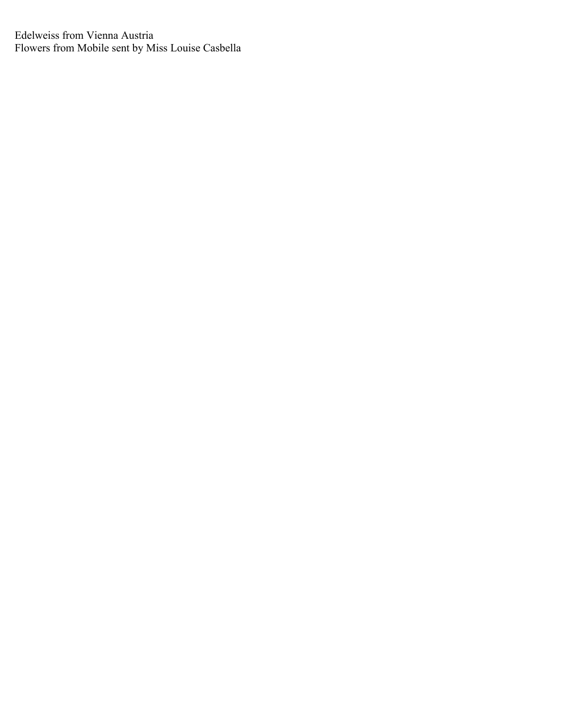Edelweiss from Vienna Austria Flowers from Mobile sent by Miss Louise Casbella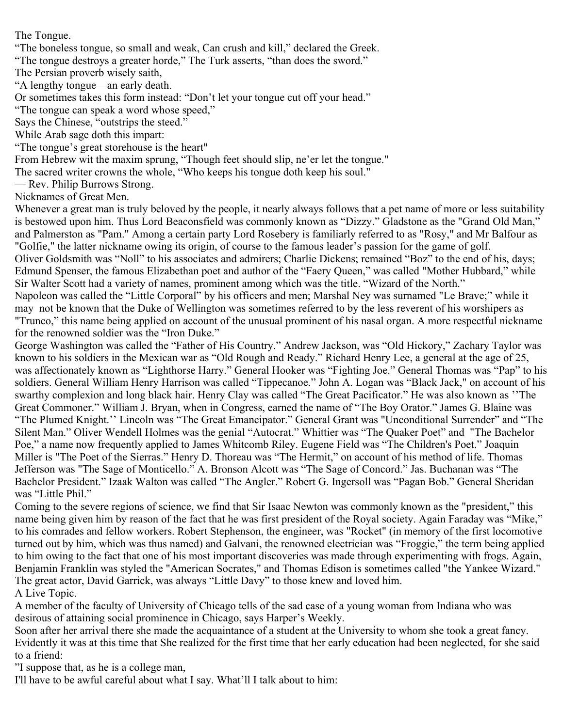The Tongue.

"The boneless tongue, so small and weak, Can crush and kill," declared the Greek.

"The tongue destroys a greater horde," The Turk asserts, "than does the sword."

The Persian proverb wisely saith,

"A lengthy tongue—an early death.

Or sometimes takes this form instead: "Don't let your tongue cut off your head."

"The tongue can speak a word whose speed,"

Says the Chinese, "outstrips the steed."

While Arab sage doth this impart:

"The tongue's great storehouse is the heart"

From Hebrew wit the maxim sprung, "Though feet should slip, ne'er let the tongue."

The sacred writer crowns the whole, "Who keeps his tongue doth keep his soul."

— Rev. Philip Burrows Strong.

Nicknames of Great Men.

Whenever a great man is truly beloved by the people, it nearly always follows that a pet name of more or less suitability is bestowed upon him. Thus Lord Beaconsfield was commonly known as "Dizzy." Gladstone as the "Grand Old Man," and Palmerston as "Pam." Among a certain party Lord Rosebery is familiarly referred to as "Rosy," and Mr Balfour as "Golfie," the latter nickname owing its origin, of course to the famous leader's passion for the game of golf.

Oliver Goldsmith was "Noll" to his associates and admirers; Charlie Dickens; remained "Boz" to the end of his, days; Edmund Spenser, the famous Elizabethan poet and author of the "Faery Queen," was called "Mother Hubbard," while Sir Walter Scott had a variety of names, prominent among which was the title. "Wizard of the North."

Napoleon was called the "Little Corporal" by his officers and men; Marshal Ney was surnamed "Le Brave;" while it may not be known that the Duke of Wellington was sometimes referred to by the less reverent of his worshipers as "Trunco," this name being applied on account of the unusual prominent of his nasal organ. A more respectful nickname for the renowned soldier was the "Iron Duke."

George Washington was called the "Father of His Country." Andrew Jackson, was "Old Hickory," Zachary Taylor was known to his soldiers in the Mexican war as "Old Rough and Ready." Richard Henry Lee, a general at the age of 25, was affectionately known as "Lighthorse Harry." General Hooker was "Fighting Joe." General Thomas was "Pap" to his soldiers. General William Henry Harrison was called "Tippecanoe." John A. Logan was "Black Jack," on account of his swarthy complexion and long black hair. Henry Clay was called "The Great Pacificator." He was also known as ''The Great Commoner." William J. Bryan, when in Congress, earned the name of "The Boy Orator." James G. Blaine was "The Plumed Knight.'' Lincoln was "The Great Emancipator." General Grant was "Unconditional Surrender" and "The Silent Man." Oliver Wendell Holmes was the genial "Autocrat." Whittier was "The Quaker Poet" and "The Bachelor Poe," a name now frequently applied to James Whitcomb Riley. Eugene Field was "The Children's Poet." Joaquin Miller is "The Poet of the Sierras." Henry D. Thoreau was "The Hermit," on account of his method of life. Thomas Jefferson was "The Sage of Monticello." A. Bronson Alcott was "The Sage of Concord." Jas. Buchanan was "The Bachelor President." Izaak Walton was called "The Angler." Robert G. Ingersoll was "Pagan Bob." General Sheridan was "Little Phil."

Coming to the severe regions of science, we find that Sir Isaac Newton was commonly known as the "president," this name being given him by reason of the fact that he was first president of the Royal society. Again Faraday was "Mike," to his comrades and fellow workers. Robert Stephenson, the engineer, was "Rocket" (in memory of the first locomotive turned out by him, which was thus named) and Galvani, the renowned electrician was "Froggie," the term being applied to him owing to the fact that one of his most important discoveries was made through experimenting with frogs. Again, Benjamin Franklin was styled the "American Socrates," and Thomas Edison is sometimes called "the Yankee Wizard." The great actor, David Garrick, was always "Little Davy" to those knew and loved him. A Live Topic.

A member of the faculty of University of Chicago tells of the sad case of a young woman from Indiana who was desirous of attaining social prominence in Chicago, says Harper's Weekly.

Soon after her arrival there she made the acquaintance of a student at the University to whom she took a great fancy. Evidently it was at this time that She realized for the first time that her early education had been neglected, for she said to a friend:

"I suppose that, as he is a college man,

I'll have to be awful careful about what I say. What'll I talk about to him: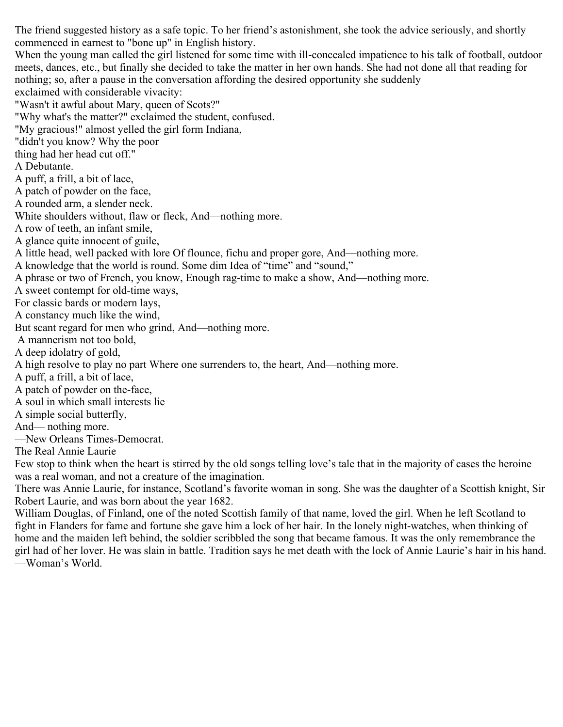The friend suggested history as a safe topic. To her friend's astonishment, she took the advice seriously, and shortly commenced in earnest to "bone up" in English history. When the young man called the girl listened for some time with ill-concealed impatience to his talk of football, outdoor meets, dances, etc., but finally she decided to take the matter in her own hands. She had not done all that reading for nothing; so, after a pause in the conversation affording the desired opportunity she suddenly exclaimed with considerable vivacity: "Wasn't it awful about Mary, queen of Scots?" "Why what's the matter?" exclaimed the student, confused. "My gracious!" almost yelled the girl form Indiana, "didn't you know? Why the poor thing had her head cut off." A Debutante. A puff, a frill, a bit of lace, A patch of powder on the face, A rounded arm, a slender neck. White shoulders without, flaw or fleck, And—nothing more. A row of teeth, an infant smile, A glance quite innocent of guile, A little head, well packed with lore Of flounce, fichu and proper gore, And—nothing more. A knowledge that the world is round. Some dim Idea of "time" and "sound," A phrase or two of French, you know, Enough rag-time to make a show, And—nothing more. A sweet contempt for old-time ways, For classic bards or modern lays, A constancy much like the wind, But scant regard for men who grind, And—nothing more. A mannerism not too bold, A deep idolatry of gold, A high resolve to play no part Where one surrenders to, the heart, And—nothing more. A puff, a frill, a bit of lace, A patch of powder on the-face, A soul in which small interests lie A simple social butterfly, And— nothing more. —New Orleans Times-Democrat. The Real Annie Laurie

Few stop to think when the heart is stirred by the old songs telling love's tale that in the majority of cases the heroine was a real woman, and not a creature of the imagination.

There was Annie Laurie, for instance, Scotland's favorite woman in song. She was the daughter of a Scottish knight, Sir Robert Laurie, and was born about the year 1682.

William Douglas, of Finland, one of the noted Scottish family of that name, loved the girl. When he left Scotland to fight in Flanders for fame and fortune she gave him a lock of her hair. In the lonely night-watches, when thinking of home and the maiden left behind, the soldier scribbled the song that became famous. It was the only remembrance the girl had of her lover. He was slain in battle. Tradition says he met death with the lock of Annie Laurie's hair in his hand. —Woman's World.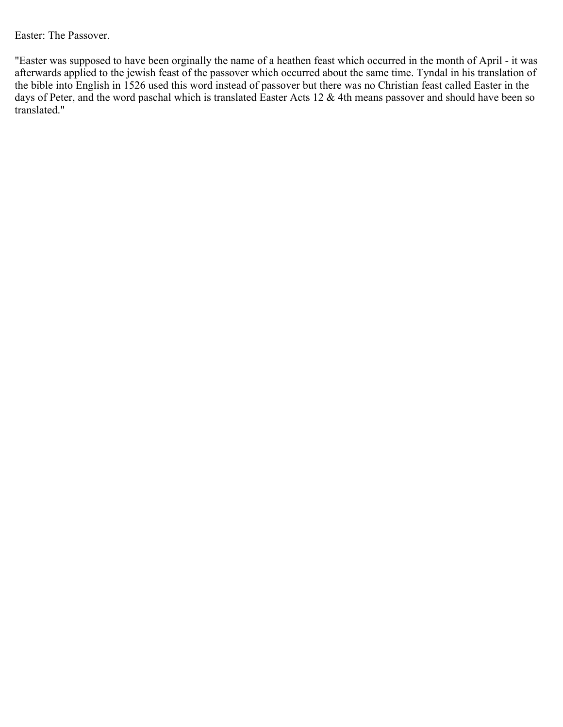Easter: The Passover.

"Easter was supposed to have been orginally the name of a heathen feast which occurred in the month of April - it was afterwards applied to the jewish feast of the passover which occurred about the same time. Tyndal in his translation of the bible into English in 1526 used this word instead of passover but there was no Christian feast called Easter in the days of Peter, and the word paschal which is translated Easter Acts 12 & 4th means passover and should have been so translated."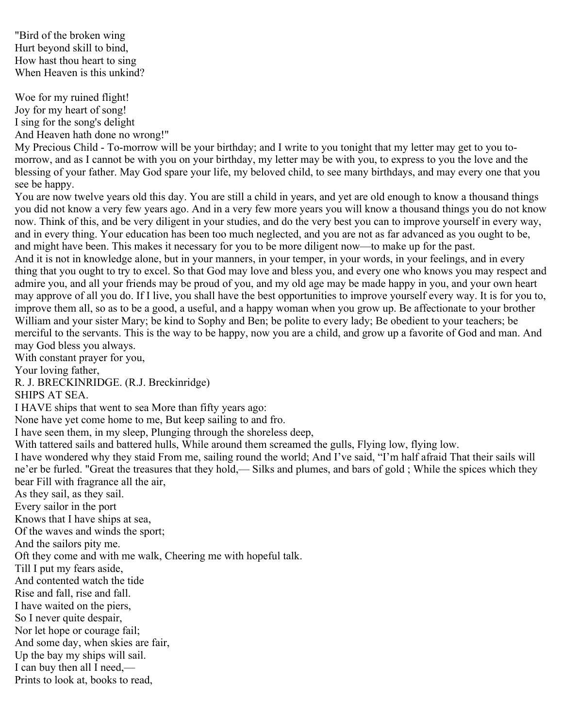"Bird of the broken wing Hurt beyond skill to bind, How hast thou heart to sing When Heaven is this unkind?

Woe for my ruined flight! Joy for my heart of song! I sing for the song's delight And Heaven hath done no wrong!"

My Precious Child - To-morrow will be your birthday; and I write to you tonight that my letter may get to you tomorrow, and as I cannot be with you on your birthday, my letter may be with you, to express to you the love and the blessing of your father. May God spare your life, my beloved child, to see many birthdays, and may every one that you see be happy.

You are now twelve years old this day. You are still a child in years, and yet are old enough to know a thousand things you did not know a very few years ago. And in a very few more years you will know a thousand things you do not know now. Think of this, and be very diligent in your studies, and do the very best you can to improve yourself in every way, and in every thing. Your education has been too much neglected, and you are not as far advanced as you ought to be, and might have been. This makes it necessary for you to be more diligent now—to make up for the past. And it is not in knowledge alone, but in your manners, in your temper, in your words, in your feelings, and in every thing that you ought to try to excel. So that God may love and bless you, and every one who knows you may respect and admire you, and all your friends may be proud of you, and my old age may be made happy in you, and your own heart may approve of all you do. If I live, you shall have the best opportunities to improve yourself every way. It is for you to, improve them all, so as to be a good, a useful, and a happy woman when you grow up. Be affectionate to your brother William and your sister Mary; be kind to Sophy and Ben; be polite to every lady; Be obedient to your teachers; be merciful to the servants. This is the way to be happy, now you are a child, and grow up a favorite of God and man. And may God bless you always.

With constant prayer for you,

Your loving father,

R. J. BRECKINRIDGE. (R.J. Breckinridge)

SHIPS AT SEA.

I HAVE ships that went to sea More than fifty years ago:

None have yet come home to me, But keep sailing to and fro.

I have seen them, in my sleep, Plunging through the shoreless deep,

With tattered sails and battered hulls, While around them screamed the gulls, Flying low, flying low.

I have wondered why they staid From me, sailing round the world; And I've said, "I'm half afraid That their sails will ne'er be furled. "Great the treasures that they hold,— Silks and plumes, and bars of gold ; While the spices which they bear Fill with fragrance all the air,

As they sail, as they sail.

Every sailor in the port

Knows that I have ships at sea,

Of the waves and winds the sport;

And the sailors pity me.

Oft they come and with me walk, Cheering me with hopeful talk.

Till I put my fears aside,

And contented watch the tide

Rise and fall, rise and fall.

I have waited on the piers,

So I never quite despair,

Nor let hope or courage fail;

And some day, when skies are fair,

Up the bay my ships will sail.

I can buy then all I need,—

Prints to look at, books to read,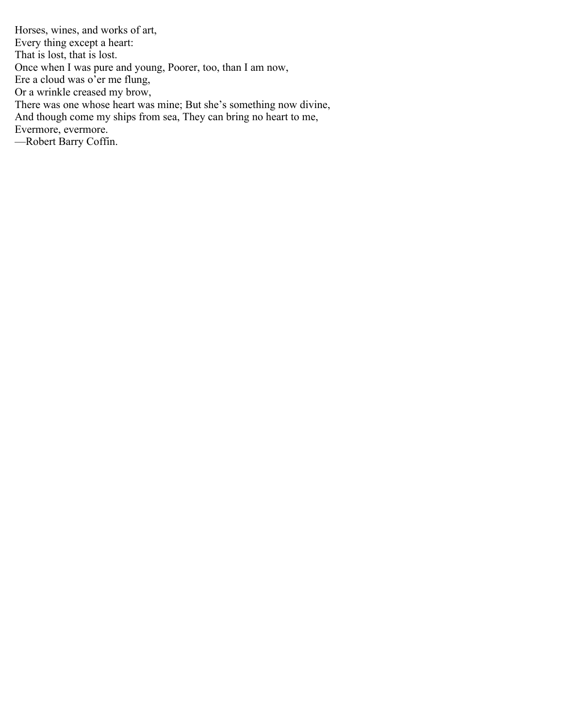Horses, wines, and works of art, Every thing except a heart: That is lost, that is lost. Once when I was pure and young, Poorer, too, than I am now, Ere a cloud was o'er me flung, Or a wrinkle creased my brow, There was one whose heart was mine; But she's something now divine, And though come my ships from sea, They can bring no heart to me, Evermore, evermore. —Robert Barry Coffin.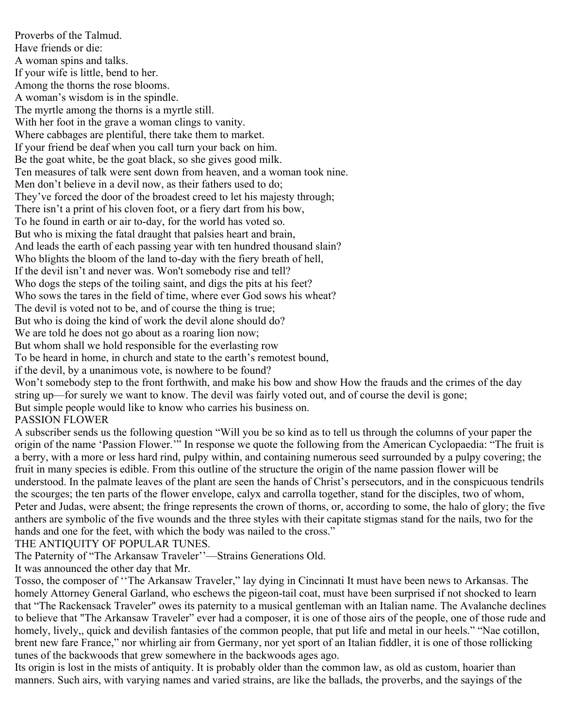Proverbs of the Talmud. Have friends or die: A woman spins and talks. If your wife is little, bend to her. Among the thorns the rose blooms. A woman's wisdom is in the spindle. The myrtle among the thorns is a myrtle still. With her foot in the grave a woman clings to vanity. Where cabbages are plentiful, there take them to market. If your friend be deaf when you call turn your back on him. Be the goat white, be the goat black, so she gives good milk. Ten measures of talk were sent down from heaven, and a woman took nine. Men don't believe in a devil now, as their fathers used to do; They've forced the door of the broadest creed to let his majesty through; There isn't a print of his cloven foot, or a fiery dart from his bow, To he found in earth or air to-day, for the world has voted so. But who is mixing the fatal draught that palsies heart and brain, And leads the earth of each passing year with ten hundred thousand slain? Who blights the bloom of the land to-day with the fiery breath of hell, If the devil isn't and never was. Won't somebody rise and tell? Who dogs the steps of the toiling saint, and digs the pits at his feet? Who sows the tares in the field of time, where ever God sows his wheat? The devil is voted not to be, and of course the thing is true; But who is doing the kind of work the devil alone should do? We are told he does not go about as a roaring lion now; But whom shall we hold responsible for the everlasting row To be heard in home, in church and state to the earth's remotest bound, if the devil, by a unanimous vote, is nowhere to be found? Won't somebody step to the front forthwith, and make his bow and show How the frauds and the crimes of the day string up—for surely we want to know. The devil was fairly voted out, and of course the devil is gone; But simple people would like to know who carries his business on. PASSION FLOWER

A subscriber sends us the following question "Will you be so kind as to tell us through the columns of your paper the origin of the name 'Passion Flower.'" In response we quote the following from the American Cyclopaedia: "The fruit is a berry, with a more or less hard rind, pulpy within, and containing numerous seed surrounded by a pulpy covering; the fruit in many species is edible. From this outline of the structure the origin of the name passion flower will be understood. In the palmate leaves of the plant are seen the hands of Christ's persecutors, and in the conspicuous tendrils the scourges; the ten parts of the flower envelope, calyx and carrolla together, stand for the disciples, two of whom, Peter and Judas, were absent; the fringe represents the crown of thorns, or, according to some, the halo of glory; the five anthers are symbolic of the five wounds and the three styles with their capitate stigmas stand for the nails, two for the hands and one for the feet, with which the body was nailed to the cross."

# THE ANTIQUITY OF POPULAR TUNES.

The Paternity of "The Arkansaw Traveler''—Strains Generations Old.

It was announced the other day that Mr.

Tosso, the composer of ''The Arkansaw Traveler," lay dying in Cincinnati It must have been news to Arkansas. The homely Attorney General Garland, who eschews the pigeon-tail coat, must have been surprised if not shocked to learn that "The Rackensack Traveler" owes its paternity to a musical gentleman with an Italian name. The Avalanche declines to believe that "The Arkansaw Traveler" ever had a composer, it is one of those airs of the people, one of those rude and homely, lively,, quick and devilish fantasies of the common people, that put life and metal in our heels." "Nae cotillon, brent new fare France," nor whirling air from Germany, nor yet sport of an Italian fiddler, it is one of those rollicking tunes of the backwoods that grew somewhere in the backwoods ages ago.

Its origin is lost in the mists of antiquity. It is probably older than the common law, as old as custom, hoarier than manners. Such airs, with varying names and varied strains, are like the ballads, the proverbs, and the sayings of the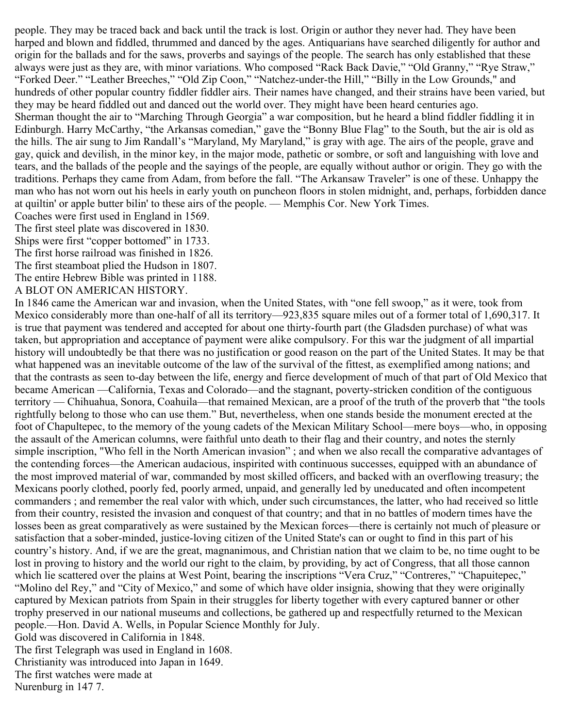people. They may be traced back and back until the track is lost. Origin or author they never had. They have been harped and blown and fiddled, thrummed and danced by the ages. Antiquarians have searched diligently for author and origin for the ballads and for the saws, proverbs and sayings of the people. The search has only established that these always were just as they are, with minor variations. Who composed "Rack Back Davie," "Old Granny," "Rye Straw," "Forked Deer." "Leather Breeches," "Old Zip Coon," "Natchez-under-the Hill," "Billy in the Low Grounds," and hundreds of other popular country fiddler fiddler airs. Their names have changed, and their strains have been varied, but they may be heard fiddled out and danced out the world over. They might have been heard centuries ago. Sherman thought the air to "Marching Through Georgia" a war composition, but he heard a blind fiddler fiddling it in Edinburgh. Harry McCarthy, "the Arkansas comedian," gave the "Bonny Blue Flag" to the South, but the air is old as the hills. The air sung to Jim Randall's "Maryland, My Maryland," is gray with age. The airs of the people, grave and gay, quick and devilish, in the minor key, in the major mode, pathetic or sombre, or soft and languishing with love and tears, and the ballads of the people and the sayings of the people, are equally without author or origin. They go with the traditions. Perhaps they came from Adam, from before the fall. "The Arkansaw Traveler" is one of these. Unhappy the man who has not worn out his heels in early youth on puncheon floors in stolen midnight, and, perhaps, forbidden dance at quiltin' or apple butter bilin' to these airs of the people. — Memphis Cor. New York Times.

Coaches were first used in England in 1569.

The first steel plate was discovered in 1830.

Ships were first "copper bottomed" in 1733.

The first horse railroad was finished in 1826.

The first steamboat plied the Hudson in 1807.

The entire Hebrew Bible was printed in 1188.

A BLOT ON AMERICAN HISTORY.

In 1846 came the American war and invasion, when the United States, with "one fell swoop," as it were, took from Mexico considerably more than one-half of all its territory—923,835 square miles out of a former total of 1,690,317. It is true that payment was tendered and accepted for about one thirty-fourth part (the Gladsden purchase) of what was taken, but appropriation and acceptance of payment were alike compulsory. For this war the judgment of all impartial history will undoubtedly be that there was no justification or good reason on the part of the United States. It may be that what happened was an inevitable outcome of the law of the survival of the fittest, as exemplified among nations; and that the contrasts as seen to-day between the life, energy and fierce development of much of that part of Old Mexico that became American —California, Texas and Colorado—and the stagnant, poverty-stricken condition of the contiguous territory — Chihuahua, Sonora, Coahuila—that remained Mexican, are a proof of the truth of the proverb that "the tools rightfully belong to those who can use them." But, nevertheless, when one stands beside the monument erected at the foot of Chapultepec, to the memory of the young cadets of the Mexican Military School—mere boys—who, in opposing the assault of the American columns, were faithful unto death to their flag and their country, and notes the sternly simple inscription, "Who fell in the North American invasion" ; and when we also recall the comparative advantages of the contending forces—the American audacious, inspirited with continuous successes, equipped with an abundance of the most improved material of war, commanded by most skilled officers, and backed with an overflowing treasury; the Mexicans poorly clothed, poorly fed, poorly armed, unpaid, and generally led by uneducated and often incompetent commanders ; and remember the real valor with which, under such circumstances, the latter, who had received so little from their country, resisted the invasion and conquest of that country; and that in no battles of modern times have the losses been as great comparatively as were sustained by the Mexican forces—there is certainly not much of pleasure or satisfaction that a sober-minded, justice-loving citizen of the United State's can or ought to find in this part of his country's history. And, if we are the great, magnanimous, and Christian nation that we claim to be, no time ought to be lost in proving to history and the world our right to the claim, by providing, by act of Congress, that all those cannon which lie scattered over the plains at West Point, bearing the inscriptions "Vera Cruz," "Contreres," "Chapuitepec," "Molino del Rey," and "City of Mexico," and some of which have older insignia, showing that they were originally captured by Mexican patriots from Spain in their struggles for liberty together with every captured banner or other trophy preserved in our national museums and collections, be gathered up and respectfully returned to the Mexican people.—Hon. David A. Wells, in Popular Science Monthly for July. Gold was discovered in California in 1848.

The first Telegraph was used in England in 1608.

Christianity was introduced into Japan in 1649.

The first watches were made at

Nurenburg in 147 7.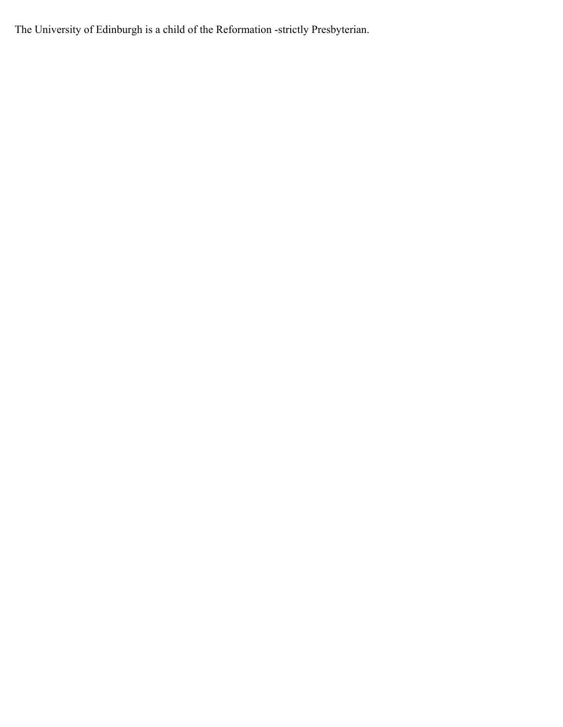The University of Edinburgh is a child of the Reformation -strictly Presbyterian.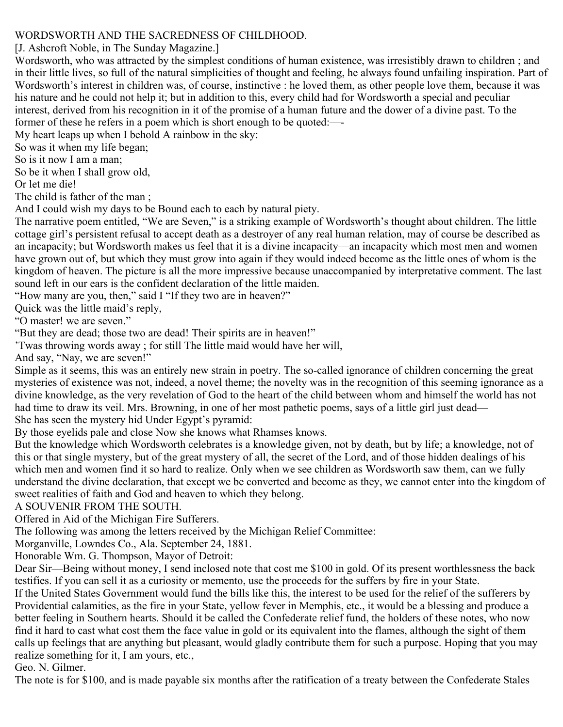# WORDSWORTH AND THE SACREDNESS OF CHILDHOOD.

[J. Ashcroft Noble, in The Sunday Magazine.]

Wordsworth, who was attracted by the simplest conditions of human existence, was irresistibly drawn to children ; and in their little lives, so full of the natural simplicities of thought and feeling, he always found unfailing inspiration. Part of Wordsworth's interest in children was, of course, instinctive : he loved them, as other people love them, because it was his nature and he could not help it; but in addition to this, every child had for Wordsworth a special and peculiar interest, derived from his recognition in it of the promise of a human future and the dower of a divine past. To the former of these he refers in a poem which is short enough to be quoted:—-

My heart leaps up when I behold A rainbow in the sky:

So was it when my life began;

So is it now I am a man;

So be it when I shall grow old,

Or let me die!

The child is father of the man ;

And I could wish my days to be Bound each to each by natural piety.

The narrative poem entitled, "We are Seven," is a striking example of Wordsworth's thought about children. The little cottage girl's persistent refusal to accept death as a destroyer of any real human relation, may of course be described as an incapacity; but Wordsworth makes us feel that it is a divine incapacity—an incapacity which most men and women have grown out of, but which they must grow into again if they would indeed become as the little ones of whom is the kingdom of heaven. The picture is all the more impressive because unaccompanied by interpretative comment. The last sound left in our ears is the confident declaration of the little maiden.

"How many are you, then," said I "If they two are in heaven?"

Quick was the little maid's reply,

"O master! we are seven."

"But they are dead; those two are dead! Their spirits are in heaven!"

'Twas throwing words away ; for still The little maid would have her will,

And say, "Nay, we are seven!"

Simple as it seems, this was an entirely new strain in poetry. The so-called ignorance of children concerning the great mysteries of existence was not, indeed, a novel theme; the novelty was in the recognition of this seeming ignorance as a divine knowledge, as the very revelation of God to the heart of the child between whom and himself the world has not had time to draw its veil. Mrs. Browning, in one of her most pathetic poems, says of a little girl just dead— She has seen the mystery hid Under Egypt's pyramid:

By those eyelids pale and close Now she knows what Rhamses knows.

But the knowledge which Wordsworth celebrates is a knowledge given, not by death, but by life; a knowledge, not of this or that single mystery, but of the great mystery of all, the secret of the Lord, and of those hidden dealings of his which men and women find it so hard to realize. Only when we see children as Wordsworth saw them, can we fully understand the divine declaration, that except we be converted and become as they, we cannot enter into the kingdom of sweet realities of faith and God and heaven to which they belong.

A SOUVENIR FROM THE SOUTH.

Offered in Aid of the Michigan Fire Sufferers.

The following was among the letters received by the Michigan Relief Committee:

Morganville, Lowndes Co., Ala. September 24, 1881.

Honorable Wm. G. Thompson, Mayor of Detroit:

Dear Sir—Being without money, I send inclosed note that cost me \$100 in gold. Of its present worthlessness the back testifies. If you can sell it as a curiosity or memento, use the proceeds for the suffers by fire in your State.

If the United States Government would fund the bills like this, the interest to be used for the relief of the sufferers by Providential calamities, as the fire in your State, yellow fever in Memphis, etc., it would be a blessing and produce a better feeling in Southern hearts. Should it be called the Confederate relief fund, the holders of these notes, who now find it hard to cast what cost them the face value in gold or its equivalent into the flames, although the sight of them calls up feelings that are anything but pleasant, would gladly contribute them for such a purpose. Hoping that you may realize something for it, I am yours, etc.,

Geo. N. Gilmer.

The note is for \$100, and is made payable six months after the ratification of a treaty between the Confederate Stales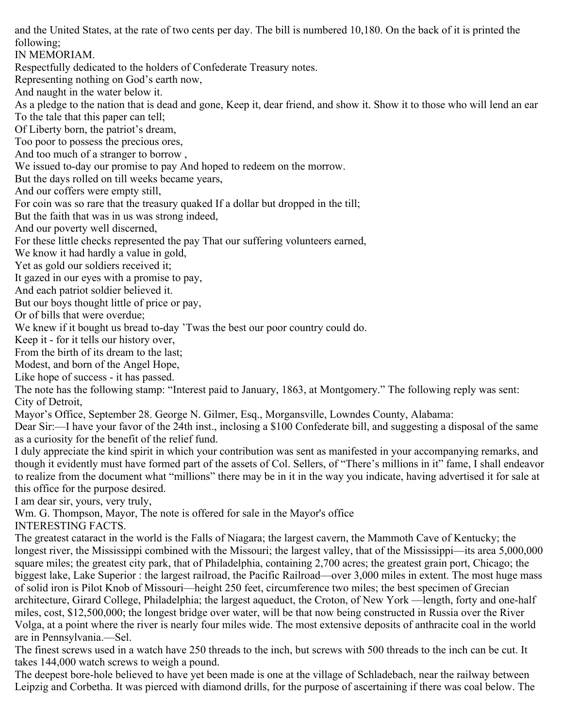and the United States, at the rate of two cents per day. The bill is numbered 10,180. On the back of it is printed the following;

IN MEMORIAM.

Respectfully dedicated to the holders of Confederate Treasury notes.

Representing nothing on God's earth now,

And naught in the water below it.

As a pledge to the nation that is dead and gone, Keep it, dear friend, and show it. Show it to those who will lend an ear To the tale that this paper can tell;

Of Liberty born, the patriot's dream,

Too poor to possess the precious ores,

And too much of a stranger to borrow ,

We issued to-day our promise to pay And hoped to redeem on the morrow.

But the days rolled on till weeks became years,

And our coffers were empty still,

For coin was so rare that the treasury quaked If a dollar but dropped in the till;

But the faith that was in us was strong indeed,

And our poverty well discerned,

For these little checks represented the pay That our suffering volunteers earned,

We know it had hardly a value in gold,

Yet as gold our soldiers received it;

It gazed in our eyes with a promise to pay,

And each patriot soldier believed it.

But our boys thought little of price or pay,

Or of bills that were overdue;

We knew if it bought us bread to-day 'Twas the best our poor country could do.

Keep it - for it tells our history over,

From the birth of its dream to the last;

Modest, and born of the Angel Hope,

Like hope of success - it has passed.

The note has the following stamp: "Interest paid to January, 1863, at Montgomery." The following reply was sent: City of Detroit,

Mayor's Office, September 28. George N. Gilmer, Esq., Morgansville, Lowndes County, Alabama:

Dear Sir:—I have your favor of the 24th inst., inclosing a \$100 Confederate bill, and suggesting a disposal of the same as a curiosity for the benefit of the relief fund.

I duly appreciate the kind spirit in which your contribution was sent as manifested in your accompanying remarks, and though it evidently must have formed part of the assets of Col. Sellers, of "There's millions in it" fame, I shall endeavor to realize from the document what "millions" there may be in it in the way you indicate, having advertised it for sale at this office for the purpose desired.

I am dear sir, yours, very truly,

Wm. G. Thompson, Mayor, The note is offered for sale in the Mayor's office

INTERESTING FACTS.

The greatest cataract in the world is the Falls of Niagara; the largest cavern, the Mammoth Cave of Kentucky; the longest river, the Mississippi combined with the Missouri; the largest valley, that of the Mississippi—its area 5,000,000 square miles; the greatest city park, that of Philadelphia, containing 2,700 acres; the greatest grain port, Chicago; the biggest lake, Lake Superior : the largest railroad, the Pacific Railroad—over 3,000 miles in extent. The most huge mass of solid iron is Pilot Knob of Missouri—height 250 feet, circumference two miles; the best specimen of Grecian architecture, Girard College, Philadelphia; the largest aqueduct, the Croton, of New York —length, forty and one-half miles, cost, \$12,500,000; the longest bridge over water, will be that now being constructed in Russia over the River Volga, at a point where the river is nearly four miles wide. The most extensive deposits of anthracite coal in the world are in Pennsylvania.—Sel.

The finest screws used in a watch have 250 threads to the inch, but screws with 500 threads to the inch can be cut. It takes 144,000 watch screws to weigh a pound.

The deepest bore-hole believed to have yet been made is one at the village of Schladebach, near the railway between Leipzig and Corbetha. It was pierced with diamond drills, for the purpose of ascertaining if there was coal below. The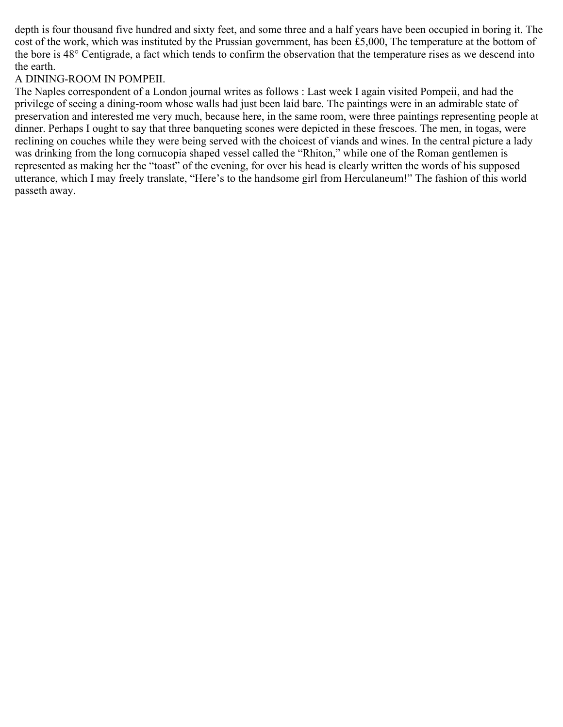depth is four thousand five hundred and sixty feet, and some three and a half years have been occupied in boring it. The cost of the work, which was instituted by the Prussian government, has been £5,000, The temperature at the bottom of the bore is 48° Centigrade, a fact which tends to confirm the observation that the temperature rises as we descend into the earth.

## A DINING-ROOM IN POMPEII.

The Naples correspondent of a London journal writes as follows : Last week I again visited Pompeii, and had the privilege of seeing a dining-room whose walls had just been laid bare. The paintings were in an admirable state of preservation and interested me very much, because here, in the same room, were three paintings representing people at dinner. Perhaps I ought to say that three banqueting scones were depicted in these frescoes. The men, in togas, were reclining on couches while they were being served with the choicest of viands and wines. In the central picture a lady was drinking from the long cornucopia shaped vessel called the "Rhiton," while one of the Roman gentlemen is represented as making her the "toast" of the evening, for over his head is clearly written the words of his supposed utterance, which I may freely translate, "Here's to the handsome girl from Herculaneum!" The fashion of this world passeth away.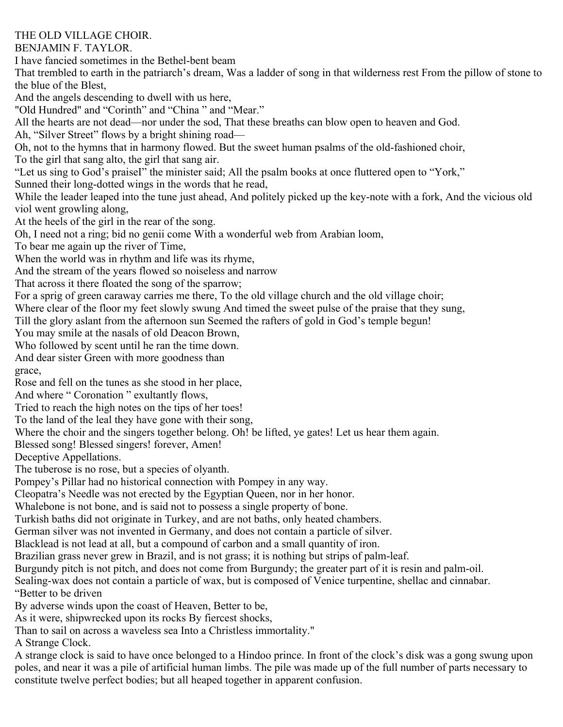# THE OLD VILLAGE CHOIR.

BENJAMIN F. TAYLOR.

I have fancied sometimes in the Bethel-bent beam

That trembled to earth in the patriarch's dream, Was a ladder of song in that wilderness rest From the pillow of stone to the blue of the Blest,

And the angels descending to dwell with us here,

"Old Hundred" and "Corinth" and "China " and "Mear."

All the hearts are not dead—nor under the sod, That these breaths can blow open to heaven and God.

Ah, "Silver Street" flows by a bright shining road—

Oh, not to the hymns that in harmony flowed. But the sweet human psalms of the old-fashioned choir,

To the girl that sang alto, the girl that sang air.

"Let us sing to God's praiseI" the minister said; All the psalm books at once fluttered open to "York,"

Sunned their long-dotted wings in the words that he read,

While the leader leaped into the tune just ahead, And politely picked up the key-note with a fork, And the vicious old viol went growling along,

At the heels of the girl in the rear of the song.

Oh, I need not a ring; bid no genii come With a wonderful web from Arabian loom,

To bear me again up the river of Time,

When the world was in rhythm and life was its rhyme,

And the stream of the years flowed so noiseless and narrow

That across it there floated the song of the sparrow;

For a sprig of green caraway carries me there, To the old village church and the old village choir;

Where clear of the floor my feet slowly swung And timed the sweet pulse of the praise that they sung,

Till the glory aslant from the afternoon sun Seemed the rafters of gold in God's temple begun!

You may smile at the nasals of old Deacon Brown,

Who followed by scent until he ran the time down.

And dear sister Green with more goodness than

grace,

Rose and fell on the tunes as she stood in her place,

And where " Coronation " exultantly flows,

Tried to reach the high notes on the tips of her toes!

To the land of the leal they have gone with their song,

Where the choir and the singers together belong. Oh! be lifted, ye gates! Let us hear them again.

Blessed song! Blessed singers! forever, Amen!

Deceptive Appellations.

The tuberose is no rose, but a species of olyanth.

Pompey's Pillar had no historical connection with Pompey in any way.

Cleopatra's Needle was not erected by the Egyptian Queen, nor in her honor.

Whalebone is not bone, and is said not to possess a single property of bone.

Turkish baths did not originate in Turkey, and are not baths, only heated chambers.

German silver was not invented in Germany, and does not contain a particle of silver.

Blacklead is not lead at all, but a compound of carbon and a small quantity of iron.

Brazilian grass never grew in Brazil, and is not grass; it is nothing but strips of palm-leaf.

Burgundy pitch is not pitch, and does not come from Burgundy; the greater part of it is resin and palm-oil.

Sealing-wax does not contain a particle of wax, but is composed of Venice turpentine, shellac and cinnabar. "Better to be driven

By adverse winds upon the coast of Heaven, Better to be,

As it were, shipwrecked upon its rocks By fiercest shocks,

Than to sail on across a waveless sea Into a Christless immortality."

A Strange Clock.

A strange clock is said to have once belonged to a Hindoo prince. In front of the clock's disk was a gong swung upon poles, and near it was a pile of artificial human limbs. The pile was made up of the full number of parts necessary to constitute twelve perfect bodies; but all heaped together in apparent confusion.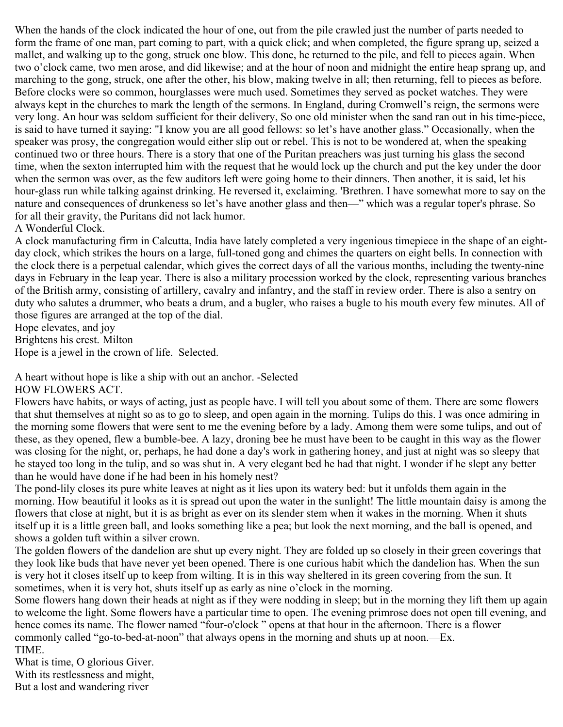When the hands of the clock indicated the hour of one, out from the pile crawled just the number of parts needed to form the frame of one man, part coming to part, with a quick click; and when completed, the figure sprang up, seized a mallet, and walking up to the gong, struck one blow. This done, he returned to the pile, and fell to pieces again. When two o'clock came, two men arose, and did likewise; and at the hour of noon and midnight the entire heap sprang up, and marching to the gong, struck, one after the other, his blow, making twelve in all; then returning, fell to pieces as before. Before clocks were so common, hourglasses were much used. Sometimes they served as pocket watches. They were always kept in the churches to mark the length of the sermons. In England, during Cromwell's reign, the sermons were very long. An hour was seldom sufficient for their delivery, So one old minister when the sand ran out in his time-piece, is said to have turned it saying: "I know you are all good fellows: so let's have another glass." Occasionally, when the speaker was prosy, the congregation would either slip out or rebel. This is not to be wondered at, when the speaking continued two or three hours. There is a story that one of the Puritan preachers was just turning his glass the second time, when the sexton interrupted him with the request that he would lock up the church and put the key under the door when the sermon was over, as the few auditors left were going home to their dinners. Then another, it is said, let his hour-glass run while talking against drinking. He reversed it, exclaiming. 'Brethren. I have somewhat more to say on the nature and consequences of drunkeness so let's have another glass and then—" which was a regular toper's phrase. So for all their gravity, the Puritans did not lack humor.

#### A Wonderful Clock.

A clock manufacturing firm in Calcutta, India have lately completed a very ingenious timepiece in the shape of an eightday clock, which strikes the hours on a large, full-toned gong and chimes the quarters on eight bells. In connection with the clock there is a perpetual calendar, which gives the correct days of all the various months, including the twenty-nine days in February in the leap year. There is also a military procession worked by the clock, representing various branches of the British army, consisting of artillery, cavalry and infantry, and the staff in review order. There is also a sentry on duty who salutes a drummer, who beats a drum, and a bugler, who raises a bugle to his mouth every few minutes. All of those figures are arranged at the top of the dial.

Hope elevates, and joy

Brightens his crest. Milton

Hope is a jewel in the crown of life. Selected.

A heart without hope is like a ship with out an anchor. -Selected HOW FLOWERS ACT.

Flowers have habits, or ways of acting, just as people have. I will tell you about some of them. There are some flowers that shut themselves at night so as to go to sleep, and open again in the morning. Tulips do this. I was once admiring in the morning some flowers that were sent to me the evening before by a lady. Among them were some tulips, and out of these, as they opened, flew a bumble-bee. A lazy, droning bee he must have been to be caught in this way as the flower was closing for the night, or, perhaps, he had done a day's work in gathering honey, and just at night was so sleepy that he stayed too long in the tulip, and so was shut in. A very elegant bed he had that night. I wonder if he slept any better than he would have done if he had been in his homely nest?

The pond-lily closes its pure white leaves at night as it lies upon its watery bed: but it unfolds them again in the morning. How beautiful it looks as it is spread out upon the water in the sunlight! The little mountain daisy is among the flowers that close at night, but it is as bright as ever on its slender stem when it wakes in the morning. When it shuts itself up it is a little green ball, and looks something like a pea; but look the next morning, and the ball is opened, and shows a golden tuft within a silver crown.

The golden flowers of the dandelion are shut up every night. They are folded up so closely in their green coverings that they look like buds that have never yet been opened. There is one curious habit which the dandelion has. When the sun is very hot it closes itself up to keep from wilting. It is in this way sheltered in its green covering from the sun. It sometimes, when it is very hot, shuts itself up as early as nine o'clock in the morning.

Some flowers hang down their heads at night as if they were nodding in sleep; but in the morning they lift them up again to welcome the light. Some flowers have a particular time to open. The evening primrose does not open till evening, and hence comes its name. The flower named "four-o'clock " opens at that hour in the afternoon. There is a flower commonly called "go-to-bed-at-noon" that always opens in the morning and shuts up at noon.—Ex. TIME.

What is time, O glorious Giver. With its restlessness and might,

But a lost and wandering river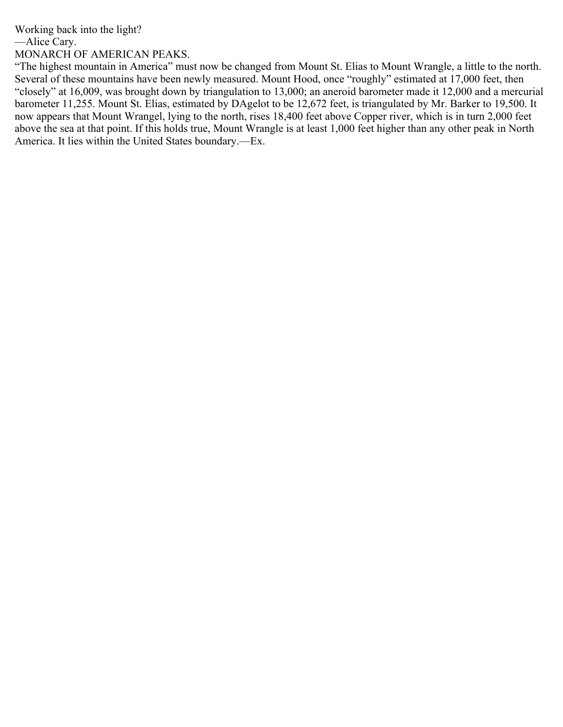Working back into the light?

—Alice Cary.

MONARCH OF AMERICAN PEAKS.

"The highest mountain in America" must now be changed from Mount St. Elias to Mount Wrangle, a little to the north. Several of these mountains have been newly measured. Mount Hood, once "roughly" estimated at 17,000 feet, then "closely" at 16,009, was brought down by triangulation to 13,000; an aneroid barometer made it 12,000 and a mercurial barometer 11,255. Mount St. Elias, estimated by DAgelot to be 12,672 feet, is triangulated by Mr. Barker to 19,500. It now appears that Mount Wrangel, lying to the north, rises 18,400 feet above Copper river, which is in turn 2,000 feet above the sea at that point. If this holds true, Mount Wrangle is at least 1,000 feet higher than any other peak in North America. It lies within the United States boundary.—Ex.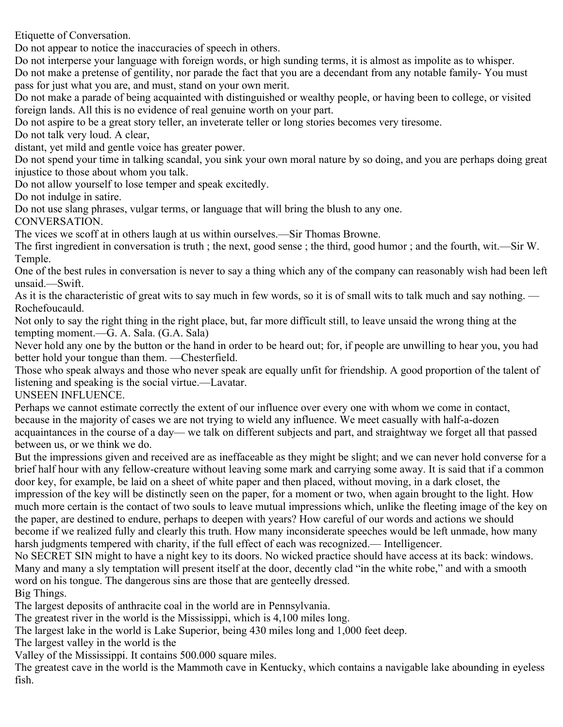Etiquette of Conversation.

Do not appear to notice the inaccuracies of speech in others.

Do not interperse your language with foreign words, or high sunding terms, it is almost as impolite as to whisper.

Do not make a pretense of gentility, nor parade the fact that you are a decendant from any notable family- You must pass for just what you are, and must, stand on your own merit.

Do not make a parade of being acquainted with distinguished or wealthy people, or having been to college, or visited foreign lands. All this is no evidence of real genuine worth on your part.

Do not aspire to be a great story teller, an inveterate teller or long stories becomes very tiresome.

Do not talk very loud. A clear,

distant, yet mild and gentle voice has greater power.

Do not spend your time in talking scandal, you sink your own moral nature by so doing, and you are perhaps doing great injustice to those about whom you talk.

Do not allow yourself to lose temper and speak excitedly.

Do not indulge in satire.

Do not use slang phrases, vulgar terms, or language that will bring the blush to any one.

CONVERSATION.

The vices we scoff at in others laugh at us within ourselves.—Sir Thomas Browne.

The first ingredient in conversation is truth ; the next, good sense ; the third, good humor ; and the fourth, wit.—Sir W. Temple.

One of the best rules in conversation is never to say a thing which any of the company can reasonably wish had been left unsaid.—Swift.

As it is the characteristic of great wits to say much in few words, so it is of small wits to talk much and say nothing. — Rochefoucauld.

Not only to say the right thing in the right place, but, far more difficult still, to leave unsaid the wrong thing at the tempting moment.—G. A. Sala. (G.A. Sala)

Never hold any one by the button or the hand in order to be heard out; for, if people are unwilling to hear you, you had better hold your tongue than them. —Chesterfield.

Those who speak always and those who never speak are equally unfit for friendship. A good proportion of the talent of listening and speaking is the social virtue.—Lavatar.

UNSEEN INFLUENCE.

Perhaps we cannot estimate correctly the extent of our influence over every one with whom we come in contact, because in the majority of cases we are not trying to wield any influence. We meet casually with half-a-dozen acquaintances in the course of a day— we talk on different subjects and part, and straightway we forget all that passed between us, or we think we do.

But the impressions given and received are as ineffaceable as they might be slight; and we can never hold converse for a brief half hour with any fellow-creature without leaving some mark and carrying some away. It is said that if a common door key, for example, be laid on a sheet of white paper and then placed, without moving, in a dark closet, the impression of the key will be distinctly seen on the paper, for a moment or two, when again brought to the light. How much more certain is the contact of two souls to leave mutual impressions which, unlike the fleeting image of the key on the paper, are destined to endure, perhaps to deepen with years? How careful of our words and actions we should become if we realized fully and clearly this truth. How many inconsiderate speeches would be left unmade, how many harsh judgments tempered with charity, if the full effect of each was recognized.— Intelligencer.

No SECRET SIN might to have a night key to its doors. No wicked practice should have access at its back: windows. Many and many a sly temptation will present itself at the door, decently clad "in the white robe," and with a smooth word on his tongue. The dangerous sins are those that are genteelly dressed. Big Things.

The largest deposits of anthracite coal in the world are in Pennsylvania.

The greatest river in the world is the Mississippi, which is 4,100 miles long.

The largest lake in the world is Lake Superior, being 430 miles long and 1,000 feet deep.

The largest valley in the world is the

Valley of the Mississippi. It contains 500.000 square miles.

The greatest cave in the world is the Mammoth cave in Kentucky, which contains a navigable lake abounding in eyeless fish.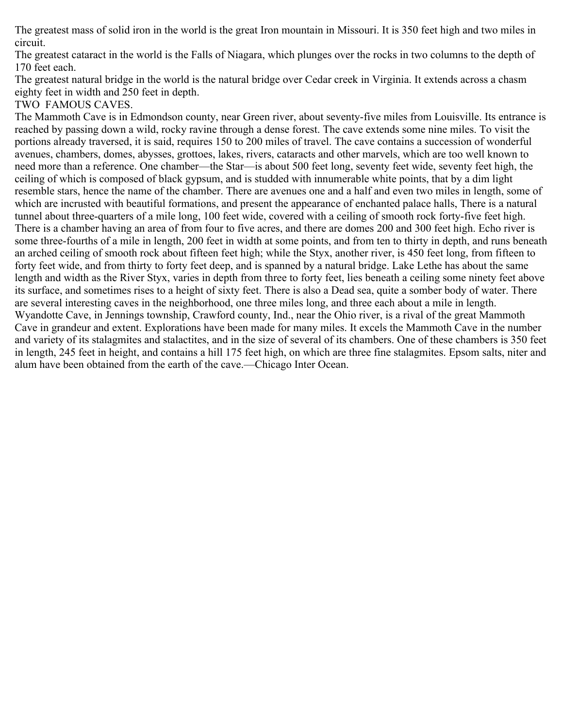The greatest mass of solid iron in the world is the great Iron mountain in Missouri. It is 350 feet high and two miles in circuit.

The greatest cataract in the world is the Falls of Niagara, which plunges over the rocks in two columns to the depth of 170 feet each.

The greatest natural bridge in the world is the natural bridge over Cedar creek in Virginia. It extends across a chasm eighty feet in width and 250 feet in depth.

TWO FAMOUS CAVES.

The Mammoth Cave is in Edmondson county, near Green river, about seventy-five miles from Louisville. Its entrance is reached by passing down a wild, rocky ravine through a dense forest. The cave extends some nine miles. To visit the portions already traversed, it is said, requires 150 to 200 miles of travel. The cave contains a succession of wonderful avenues, chambers, domes, abysses, grottoes, lakes, rivers, cataracts and other marvels, which are too well known to need more than a reference. One chamber—the Star—is about 500 feet long, seventy feet wide, seventy feet high, the ceiling of which is composed of black gypsum, and is studded with innumerable white points, that by a dim light resemble stars, hence the name of the chamber. There are avenues one and a half and even two miles in length, some of which are incrusted with beautiful formations, and present the appearance of enchanted palace halls, There is a natural tunnel about three-quarters of a mile long, 100 feet wide, covered with a ceiling of smooth rock forty-five feet high. There is a chamber having an area of from four to five acres, and there are domes 200 and 300 feet high. Echo river is some three-fourths of a mile in length, 200 feet in width at some points, and from ten to thirty in depth, and runs beneath an arched ceiling of smooth rock about fifteen feet high; while the Styx, another river, is 450 feet long, from fifteen to forty feet wide, and from thirty to forty feet deep, and is spanned by a natural bridge. Lake Lethe has about the same length and width as the River Styx, varies in depth from three to forty feet, lies beneath a ceiling some ninety feet above its surface, and sometimes rises to a height of sixty feet. There is also a Dead sea, quite a somber body of water. There are several interesting caves in the neighborhood, one three miles long, and three each about a mile in length. Wyandotte Cave, in Jennings township, Crawford county, Ind., near the Ohio river, is a rival of the great Mammoth Cave in grandeur and extent. Explorations have been made for many miles. It excels the Mammoth Cave in the number and variety of its stalagmites and stalactites, and in the size of several of its chambers. One of these chambers is 350 feet in length, 245 feet in height, and contains a hill 175 feet high, on which are three fine stalagmites. Epsom salts, niter and alum have been obtained from the earth of the cave.—Chicago Inter Ocean.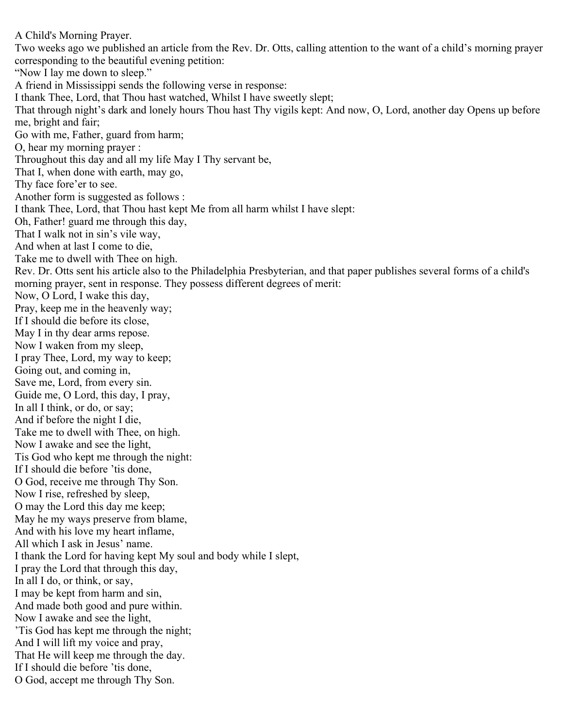A Child's Morning Prayer. Two weeks ago we published an article from the Rev. Dr. Otts, calling attention to the want of a child's morning prayer corresponding to the beautiful evening petition: "Now I lay me down to sleep." A friend in Mississippi sends the following verse in response: I thank Thee, Lord, that Thou hast watched, Whilst I have sweetly slept; That through night's dark and lonely hours Thou hast Thy vigils kept: And now, O, Lord, another day Opens up before me, bright and fair; Go with me, Father, guard from harm; O, hear my morning prayer : Throughout this day and all my life May I Thy servant be, That I, when done with earth, may go, Thy face fore'er to see. Another form is suggested as follows : I thank Thee, Lord, that Thou hast kept Me from all harm whilst I have slept: Oh, Father! guard me through this day, That I walk not in sin's vile way, And when at last I come to die, Take me to dwell with Thee on high. Rev. Dr. Otts sent his article also to the Philadelphia Presbyterian, and that paper publishes several forms of a child's morning prayer, sent in response. They possess different degrees of merit: Now, O Lord, I wake this day, Pray, keep me in the heavenly way; If I should die before its close, May I in thy dear arms repose. Now I waken from my sleep, I pray Thee, Lord, my way to keep; Going out, and coming in, Save me, Lord, from every sin. Guide me, O Lord, this day, I pray, In all I think, or do, or say; And if before the night I die, Take me to dwell with Thee, on high. Now I awake and see the light, Tis God who kept me through the night: If I should die before 'tis done, O God, receive me through Thy Son. Now I rise, refreshed by sleep, O may the Lord this day me keep; May he my ways preserve from blame, And with his love my heart inflame, All which I ask in Jesus' name. I thank the Lord for having kept My soul and body while I slept, I pray the Lord that through this day, In all I do, or think, or say, I may be kept from harm and sin, And made both good and pure within. Now I awake and see the light, 'Tis God has kept me through the night; And I will lift my voice and pray, That He will keep me through the day. If I should die before 'tis done, O God, accept me through Thy Son.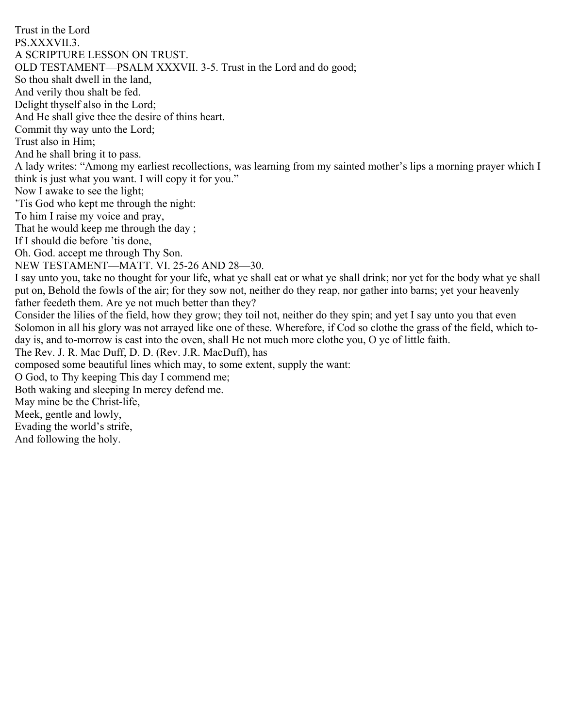Trust in the Lord PS.XXXVII.3. A SCRIPTURE LESSON ON TRUST. OLD TESTAMENT—PSALM XXXVII. 3-5. Trust in the Lord and do good; So thou shalt dwell in the land, And verily thou shalt be fed. Delight thyself also in the Lord; And He shall give thee the desire of thins heart. Commit thy way unto the Lord; Trust also in Him; And he shall bring it to pass. A lady writes: "Among my earliest recollections, was learning from my sainted mother's lips a morning prayer which I think is just what you want. I will copy it for you." Now I awake to see the light; 'Tis God who kept me through the night: To him I raise my voice and pray, That he would keep me through the day ; If I should die before 'tis done, Oh. God. accept me through Thy Son. NEW TESTAMENT—MATT. VI. 25-26 AND 28—30. I say unto you, take no thought for your life, what ye shall eat or what ye shall drink; nor yet for the body what ye shall put on, Behold the fowls of the air; for they sow not, neither do they reap, nor gather into barns; yet your heavenly father feedeth them. Are ye not much better than they? Consider the lilies of the field, how they grow; they toil not, neither do they spin; and yet I say unto you that even Solomon in all his glory was not arrayed like one of these. Wherefore, if Cod so clothe the grass of the field, which today is, and to-morrow is cast into the oven, shall He not much more clothe you, O ye of little faith. The Rev. J. R. Mac Duff, D. D. (Rev. J.R. MacDuff), has composed some beautiful lines which may, to some extent, supply the want: O God, to Thy keeping This day I commend me; Both waking and sleeping In mercy defend me. May mine be the Christ-life, Meek, gentle and lowly, Evading the world's strife, And following the holy.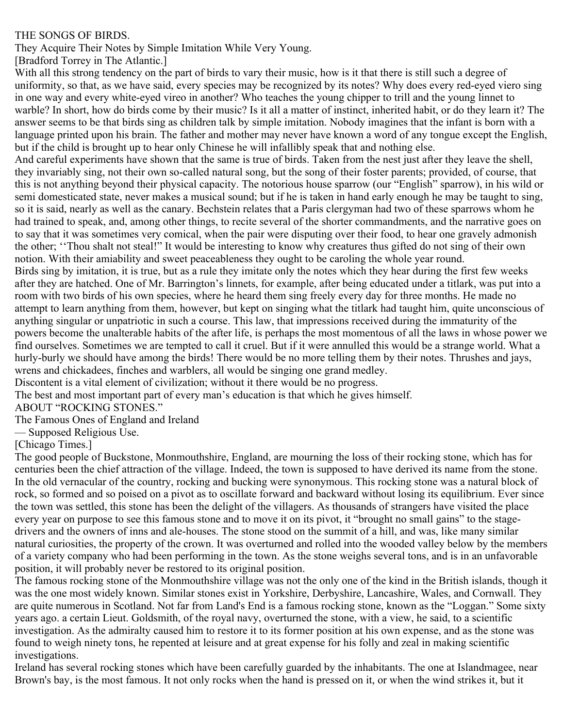### THE SONGS OF BIRDS.

They Acquire Their Notes by Simple Imitation While Very Young.

[Bradford Torrey in The Atlantic.]

With all this strong tendency on the part of birds to vary their music, how is it that there is still such a degree of uniformity, so that, as we have said, every species may be recognized by its notes? Why does every red-eyed viero sing in one way and every white-eyed vireo in another? Who teaches the young chipper to trill and the young linnet to warble? In short, how do birds come by their music? Is it all a matter of instinct, inherited habit, or do they learn it? The answer seems to be that birds sing as children talk by simple imitation. Nobody imagines that the infant is born with a language printed upon his brain. The father and mother may never have known a word of any tongue except the English, but if the child is brought up to hear only Chinese he will infallibly speak that and nothing else.

And careful experiments have shown that the same is true of birds. Taken from the nest just after they leave the shell, they invariably sing, not their own so-called natural song, but the song of their foster parents; provided, of course, that this is not anything beyond their physical capacity. The notorious house sparrow (our "English" sparrow), in his wild or semi domesticated state, never makes a musical sound; but if he is taken in hand early enough he may be taught to sing, so it is said, nearly as well as the canary. Bechstein relates that a Paris clergyman had two of these sparrows whom he had trained to speak, and, among other things, to recite several of the shorter commandments, and the narrative goes on to say that it was sometimes very comical, when the pair were disputing over their food, to hear one gravely admonish the other; ''Thou shalt not steal!" It would be interesting to know why creatures thus gifted do not sing of their own notion. With their amiability and sweet peaceableness they ought to be caroling the whole year round.

Birds sing by imitation, it is true, but as a rule they imitate only the notes which they hear during the first few weeks after they are hatched. One of Mr. Barrington's linnets, for example, after being educated under a titlark, was put into a room with two birds of his own species, where he heard them sing freely every day for three months. He made no attempt to learn anything from them, however, but kept on singing what the titlark had taught him, quite unconscious of anything singular or unpatriotic in such a course. This law, that impressions received during the immaturity of the powers become the unalterable habits of the after life, is perhaps the most momentous of all the laws in whose power we find ourselves. Sometimes we are tempted to call it cruel. But if it were annulled this would be a strange world. What a hurly-burly we should have among the birds! There would be no more telling them by their notes. Thrushes and jays, wrens and chickadees, finches and warblers, all would be singing one grand medley.

Discontent is a vital element of civilization; without it there would be no progress.

The best and most important part of every man's education is that which he gives himself.

## ABOUT "ROCKING STONES."

The Famous Ones of England and Ireland

— Supposed Religious Use.

[Chicago Times.]

The good people of Buckstone, Monmouthshire, England, are mourning the loss of their rocking stone, which has for centuries been the chief attraction of the village. Indeed, the town is supposed to have derived its name from the stone. In the old vernacular of the country, rocking and bucking were synonymous. This rocking stone was a natural block of rock, so formed and so poised on a pivot as to oscillate forward and backward without losing its equilibrium. Ever since the town was settled, this stone has been the delight of the villagers. As thousands of strangers have visited the place every year on purpose to see this famous stone and to move it on its pivot, it "brought no small gains" to the stagedrivers and the owners of inns and ale-houses. The stone stood on the summit of a hill, and was, like many similar natural curiosities, the property of the crown. It was overturned and rolled into the wooded valley below by the members of a variety company who had been performing in the town. As the stone weighs several tons, and is in an unfavorable position, it will probably never be restored to its original position.

The famous rocking stone of the Monmouthshire village was not the only one of the kind in the British islands, though it was the one most widely known. Similar stones exist in Yorkshire, Derbyshire, Lancashire, Wales, and Cornwall. They are quite numerous in Scotland. Not far from Land's End is a famous rocking stone, known as the "Loggan." Some sixty years ago. a certain Lieut. Goldsmith, of the royal navy, overturned the stone, with a view, he said, to a scientific investigation. As the admiralty caused him to restore it to its former position at his own expense, and as the stone was found to weigh ninety tons, he repented at leisure and at great expense for his folly and zeal in making scientific investigations.

Ireland has several rocking stones which have been carefully guarded by the inhabitants. The one at Islandmagee, near Brown's bay, is the most famous. It not only rocks when the hand is pressed on it, or when the wind strikes it, but it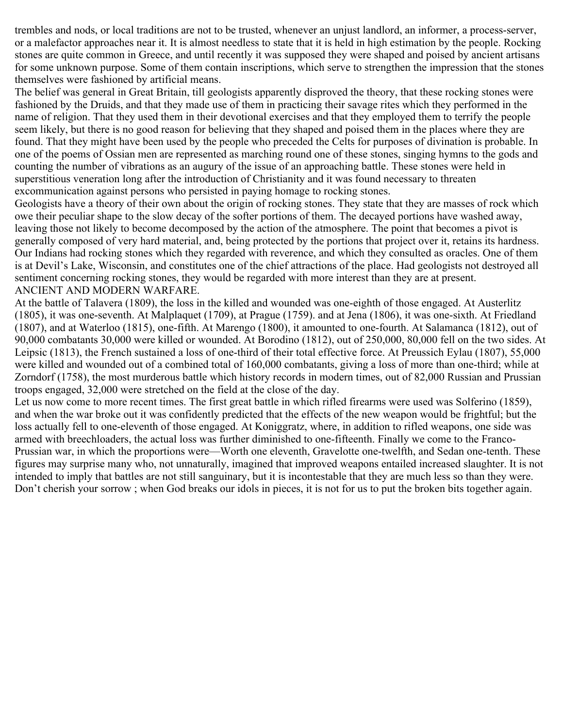trembles and nods, or local traditions are not to be trusted, whenever an unjust landlord, an informer, a process-server, or a malefactor approaches near it. It is almost needless to state that it is held in high estimation by the people. Rocking stones are quite common in Greece, and until recently it was supposed they were shaped and poised by ancient artisans for some unknown purpose. Some of them contain inscriptions, which serve to strengthen the impression that the stones themselves were fashioned by artificial means.

The belief was general in Great Britain, till geologists apparently disproved the theory, that these rocking stones were fashioned by the Druids, and that they made use of them in practicing their savage rites which they performed in the name of religion. That they used them in their devotional exercises and that they employed them to terrify the people seem likely, but there is no good reason for believing that they shaped and poised them in the places where they are found. That they might have been used by the people who preceded the Celts for purposes of divination is probable. In one of the poems of Ossian men are represented as marching round one of these stones, singing hymns to the gods and counting the number of vibrations as an augury of the issue of an approaching battle. These stones were held in superstitious veneration long after the introduction of Christianity and it was found necessary to threaten excommunication against persons who persisted in paying homage to rocking stones.

Geologists have a theory of their own about the origin of rocking stones. They state that they are masses of rock which owe their peculiar shape to the slow decay of the softer portions of them. The decayed portions have washed away, leaving those not likely to become decomposed by the action of the atmosphere. The point that becomes a pivot is generally composed of very hard material, and, being protected by the portions that project over it, retains its hardness. Our Indians had rocking stones which they regarded with reverence, and which they consulted as oracles. One of them is at Devil's Lake, Wisconsin, and constitutes one of the chief attractions of the place. Had geologists not destroyed all sentiment concerning rocking stones, they would be regarded with more interest than they are at present. ANCIENT AND MODERN WARFARE.

At the battle of Talavera (1809), the loss in the killed and wounded was one-eighth of those engaged. At Austerlitz (1805), it was one-seventh. At Malplaquet (1709), at Prague (1759). and at Jena (1806), it was one-sixth. At Friedland (1807), and at Waterloo (1815), one-fifth. At Marengo (1800), it amounted to one-fourth. At Salamanca (1812), out of 90,000 combatants 30,000 were killed or wounded. At Borodino (1812), out of 250,000, 80,000 fell on the two sides. At Leipsic (1813), the French sustained a loss of one-third of their total effective force. At Preussich Eylau (1807), 55,000 were killed and wounded out of a combined total of 160,000 combatants, giving a loss of more than one-third; while at Zorndorf (1758), the most murderous battle which history records in modern times, out of 82,000 Russian and Prussian troops engaged, 32,000 were stretched on the field at the close of the day.

Let us now come to more recent times. The first great battle in which rifled firearms were used was Solferino (1859), and when the war broke out it was confidently predicted that the effects of the new weapon would be frightful; but the loss actually fell to one-eleventh of those engaged. At Koniggratz, where, in addition to rifled weapons, one side was armed with breechloaders, the actual loss was further diminished to one-fifteenth. Finally we come to the Franco-Prussian war, in which the proportions were—Worth one eleventh, Gravelotte one-twelfth, and Sedan one-tenth. These figures may surprise many who, not unnaturally, imagined that improved weapons entailed increased slaughter. It is not intended to imply that battles are not still sanguinary, but it is incontestable that they are much less so than they were. Don't cherish your sorrow ; when God breaks our idols in pieces, it is not for us to put the broken bits together again.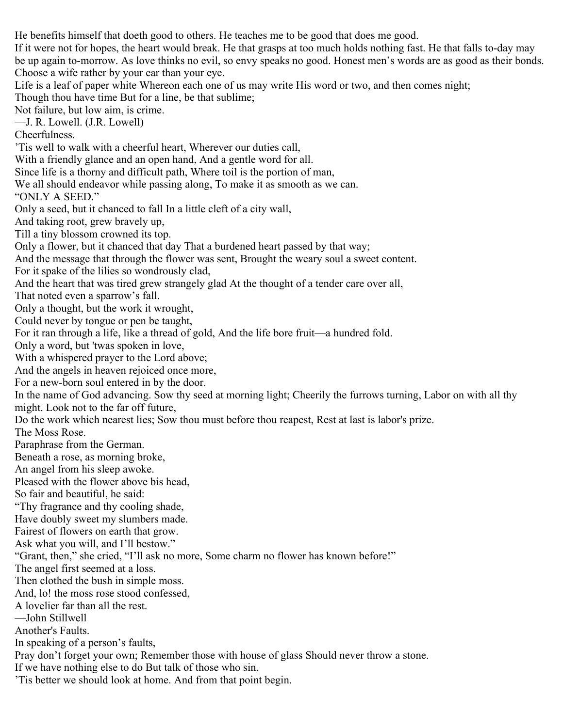He benefits himself that doeth good to others. He teaches me to be good that does me good.

If it were not for hopes, the heart would break. He that grasps at too much holds nothing fast. He that falls to-day may be up again to-morrow. As love thinks no evil, so envy speaks no good. Honest men's words are as good as their bonds. Choose a wife rather by your ear than your eye.

Life is a leaf of paper white Whereon each one of us may write His word or two, and then comes night; Though thou have time But for a line, be that sublime;

Not failure, but low aim, is crime.

—J. R. Lowell. (J.R. Lowell)

Cheerfulness.

'Tis well to walk with a cheerful heart, Wherever our duties call,

With a friendly glance and an open hand, And a gentle word for all.

Since life is a thorny and difficult path, Where toil is the portion of man,

We all should endeavor while passing along, To make it as smooth as we can.

"ONLY A SEED."

Only a seed, but it chanced to fall In a little cleft of a city wall,

And taking root, grew bravely up,

Till a tiny blossom crowned its top.

Only a flower, but it chanced that day That a burdened heart passed by that way;

And the message that through the flower was sent, Brought the weary soul a sweet content.

For it spake of the lilies so wondrously clad,

And the heart that was tired grew strangely glad At the thought of a tender care over all,

That noted even a sparrow's fall.

Only a thought, but the work it wrought,

Could never by tongue or pen be taught,

For it ran through a life, like a thread of gold, And the life bore fruit—a hundred fold.

Only a word, but 'twas spoken in love,

With a whispered prayer to the Lord above;

And the angels in heaven rejoiced once more,

For a new-born soul entered in by the door.

In the name of God advancing. Sow thy seed at morning light; Cheerily the furrows turning, Labor on with all thy might. Look not to the far off future,

Do the work which nearest lies; Sow thou must before thou reapest, Rest at last is labor's prize.

The Moss Rose.

Paraphrase from the German.

Beneath a rose, as morning broke,

An angel from his sleep awoke.

Pleased with the flower above bis head,

So fair and beautiful, he said:

"Thy fragrance and thy cooling shade,

Have doubly sweet my slumbers made.

Fairest of flowers on earth that grow.

Ask what you will, and I'll bestow."

"Grant, then," she cried, "I'll ask no more, Some charm no flower has known before!"

The angel first seemed at a loss.

Then clothed the bush in simple moss.

And, lo! the moss rose stood confessed,

A lovelier far than all the rest.

—John Stillwell

Another's Faults.

In speaking of a person's faults,

Pray don't forget your own; Remember those with house of glass Should never throw a stone.

If we have nothing else to do But talk of those who sin,

'Tis better we should look at home. And from that point begin.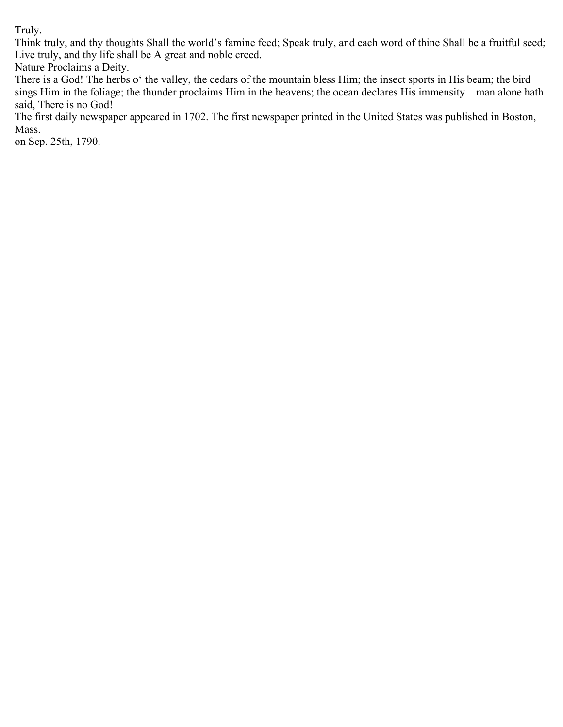Truly.

Think truly, and thy thoughts Shall the world's famine feed; Speak truly, and each word of thine Shall be a fruitful seed; Live truly, and thy life shall be A great and noble creed.

Nature Proclaims a Deity.

There is a God! The herbs o' the valley, the cedars of the mountain bless Him; the insect sports in His beam; the bird sings Him in the foliage; the thunder proclaims Him in the heavens; the ocean declares His immensity—man alone hath said, There is no God!

The first daily newspaper appeared in 1702. The first newspaper printed in the United States was published in Boston, Mass.

on Sep. 25th, 1790.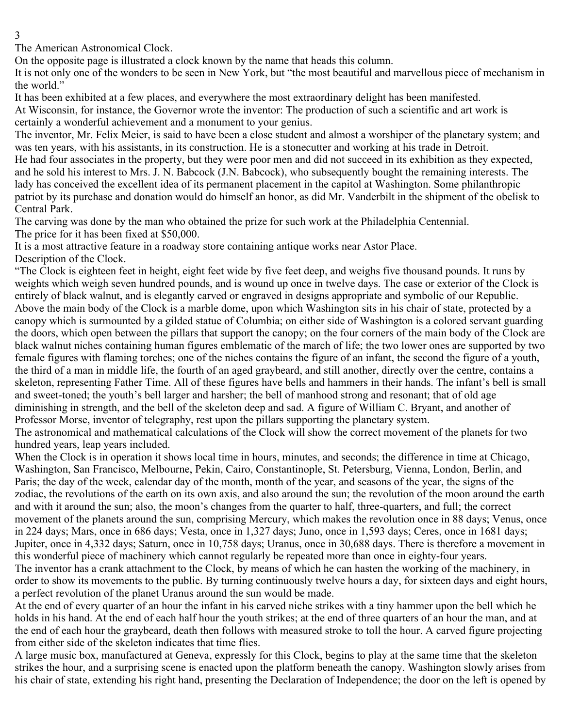3

The American Astronomical Clock.

On the opposite page is illustrated a clock known by the name that heads this column.

It is not only one of the wonders to be seen in New York, but "the most beautiful and marvellous piece of mechanism in the world."

It has been exhibited at a few places, and everywhere the most extraordinary delight has been manifested. At Wisconsin, for instance, the Governor wrote the inventor: The production of such a scientific and art work is certainly a wonderful achievement and a monument to your genius.

The inventor, Mr. Felix Meier, is said to have been a close student and almost a worshiper of the planetary system; and was ten years, with his assistants, in its construction. He is a stonecutter and working at his trade in Detroit.

He had four associates in the property, but they were poor men and did not succeed in its exhibition as they expected, and he sold his interest to Mrs. J. N. Babcock (J.N. Babcock), who subsequently bought the remaining interests. The lady has conceived the excellent idea of its permanent placement in the capitol at Washington. Some philanthropic patriot by its purchase and donation would do himself an honor, as did Mr. Vanderbilt in the shipment of the obelisk to Central Park.

The carving was done by the man who obtained the prize for such work at the Philadelphia Centennial. The price for it has been fixed at \$50,000.

It is a most attractive feature in a roadway store containing antique works near Astor Place. Description of the Clock.

"The Clock is eighteen feet in height, eight feet wide by five feet deep, and weighs five thousand pounds. It runs by weights which weigh seven hundred pounds, and is wound up once in twelve days. The case or exterior of the Clock is entirely of black walnut, and is elegantly carved or engraved in designs appropriate and symbolic of our Republic. Above the main body of the Clock is a marble dome, upon which Washington sits in his chair of state, protected by a canopy which is surmounted by a gilded statue of Columbia; on either side of Washington is a colored servant guarding the doors, which open between the pillars that support the canopy; on the four corners of the main body of the Clock are black walnut niches containing human figures emblematic of the march of life; the two lower ones are supported by two female figures with flaming torches; one of the niches contains the figure of an infant, the second the figure of a youth, the third of a man in middle life, the fourth of an aged graybeard, and still another, directly over the centre, contains a skeleton, representing Father Time. All of these figures have bells and hammers in their hands. The infant's bell is small and sweet-toned; the youth's bell larger and harsher; the bell of manhood strong and resonant; that of old age diminishing in strength, and the bell of the skeleton deep and sad. A figure of William C. Bryant, and another of Professor Morse, inventor of telegraphy, rest upon the pillars supporting the planetary system.

The astronomical and mathematical calculations of the Clock will show the correct movement of the planets for two hundred years, leap years included.

When the Clock is in operation it shows local time in hours, minutes, and seconds; the difference in time at Chicago, Washington, San Francisco, Melbourne, Pekin, Cairo, Constantinople, St. Petersburg, Vienna, London, Berlin, and Paris; the day of the week, calendar day of the month, month of the year, and seasons of the year, the signs of the zodiac, the revolutions of the earth on its own axis, and also around the sun; the revolution of the moon around the earth and with it around the sun; also, the moon's changes from the quarter to half, three-quarters, and full; the correct movement of the planets around the sun, comprising Mercury, which makes the revolution once in 88 days; Venus, once in 224 days; Mars, once in 686 days; Vesta, once in 1,327 days; Juno, once in 1,593 days; Ceres, once in 1681 days; Jupiter, once in 4,332 days; Saturn, once in 10,758 days; Uranus, once in 30,688 days. There is therefore a movement in this wonderful piece of machinery which cannot regularly be repeated more than once in eighty-four years. The inventor has a crank attachment to the Clock, by means of which he can hasten the working of the machinery, in order to show its movements to the public. By turning continuously twelve hours a day, for sixteen days and eight hours, a perfect revolution of the planet Uranus around the sun would be made.

At the end of every quarter of an hour the infant in his carved niche strikes with a tiny hammer upon the bell which he holds in his hand. At the end of each half hour the youth strikes; at the end of three quarters of an hour the man, and at the end of each hour the graybeard, death then follows with measured stroke to toll the hour. A carved figure projecting from either side of the skeleton indicates that time flies.

A large music box, manufactured at Geneva, expressly for this Clock, begins to play at the same time that the skeleton strikes the hour, and a surprising scene is enacted upon the platform beneath the canopy. Washington slowly arises from his chair of state, extending his right hand, presenting the Declaration of Independence; the door on the left is opened by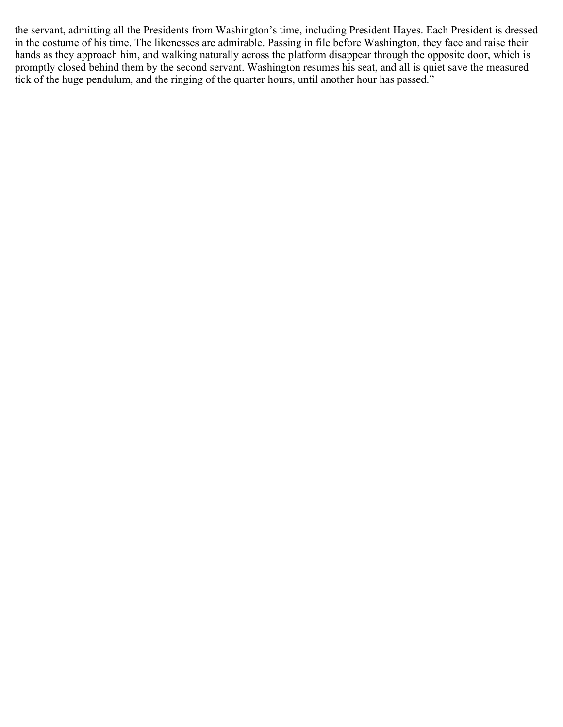the servant, admitting all the Presidents from Washington's time, including President Hayes. Each President is dressed in the costume of his time. The likenesses are admirable. Passing in file before Washington, they face and raise their hands as they approach him, and walking naturally across the platform disappear through the opposite door, which is promptly closed behind them by the second servant. Washington resumes his seat, and all is quiet save the measured tick of the huge pendulum, and the ringing of the quarter hours, until another hour has passed."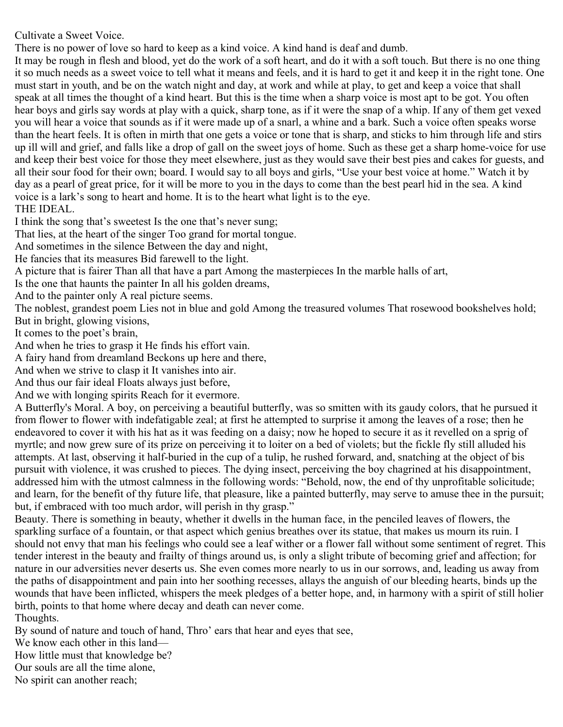Cultivate a Sweet Voice.

There is no power of love so hard to keep as a kind voice. A kind hand is deaf and dumb.

It may be rough in flesh and blood, yet do the work of a soft heart, and do it with a soft touch. But there is no one thing it so much needs as a sweet voice to tell what it means and feels, and it is hard to get it and keep it in the right tone. One must start in youth, and be on the watch night and day, at work and while at play, to get and keep a voice that shall speak at all times the thought of a kind heart. But this is the time when a sharp voice is most apt to be got. You often hear boys and girls say words at play with a quick, sharp tone, as if it were the snap of a whip. If any of them get vexed you will hear a voice that sounds as if it were made up of a snarl, a whine and a bark. Such a voice often speaks worse than the heart feels. It is often in mirth that one gets a voice or tone that is sharp, and sticks to him through life and stirs up ill will and grief, and falls like a drop of gall on the sweet joys of home. Such as these get a sharp home-voice for use and keep their best voice for those they meet elsewhere, just as they would save their best pies and cakes for guests, and all their sour food for their own; board. I would say to all boys and girls, "Use your best voice at home." Watch it by day as a pearl of great price, for it will be more to you in the days to come than the best pearl hid in the sea. A kind voice is a lark's song to heart and home. It is to the heart what light is to the eye. THE IDEAL.

I think the song that's sweetest Is the one that's never sung;

That lies, at the heart of the singer Too grand for mortal tongue.

And sometimes in the silence Between the day and night,

He fancies that its measures Bid farewell to the light.

A picture that is fairer Than all that have a part Among the masterpieces In the marble halls of art,

Is the one that haunts the painter In all his golden dreams,

And to the painter only A real picture seems.

The noblest, grandest poem Lies not in blue and gold Among the treasured volumes That rosewood bookshelves hold; But in bright, glowing visions,

It comes to the poet's brain,

And when he tries to grasp it He finds his effort vain.

A fairy hand from dreamland Beckons up here and there,

And when we strive to clasp it It vanishes into air.

And thus our fair ideal Floats always just before,

And we with longing spirits Reach for it evermore.

A Butterfly's Moral. A boy, on perceiving a beautiful butterfly, was so smitten with its gaudy colors, that he pursued it from flower to flower with indefatigable zeal; at first he attempted to surprise it among the leaves of a rose; then he endeavored to cover it with his hat as it was feeding on a daisy; now he hoped to secure it as it revelled on a sprig of myrtle; and now grew sure of its prize on perceiving it to loiter on a bed of violets; but the fickle fly still alluded his attempts. At last, observing it half-buried in the cup of a tulip, he rushed forward, and, snatching at the object of bis pursuit with violence, it was crushed to pieces. The dying insect, perceiving the boy chagrined at his disappointment, addressed him with the utmost calmness in the following words: "Behold, now, the end of thy unprofitable solicitude; and learn, for the benefit of thy future life, that pleasure, like a painted butterfly, may serve to amuse thee in the pursuit; but, if embraced with too much ardor, will perish in thy grasp."

Beauty. There is something in beauty, whether it dwells in the human face, in the penciled leaves of flowers, the sparkling surface of a fountain, or that aspect which genius breathes over its statue, that makes us mourn its ruin. I should not envy that man his feelings who could see a leaf wither or a flower fall without some sentiment of regret. This tender interest in the beauty and frailty of things around us, is only a slight tribute of becoming grief and affection; for nature in our adversities never deserts us. She even comes more nearly to us in our sorrows, and, leading us away from the paths of disappointment and pain into her soothing recesses, allays the anguish of our bleeding hearts, binds up the wounds that have been inflicted, whispers the meek pledges of a better hope, and, in harmony with a spirit of still holier birth, points to that home where decay and death can never come.

Thoughts.

By sound of nature and touch of hand, Thro' ears that hear and eyes that see,

We know each other in this land—

How little must that knowledge be?

Our souls are all the time alone,

No spirit can another reach;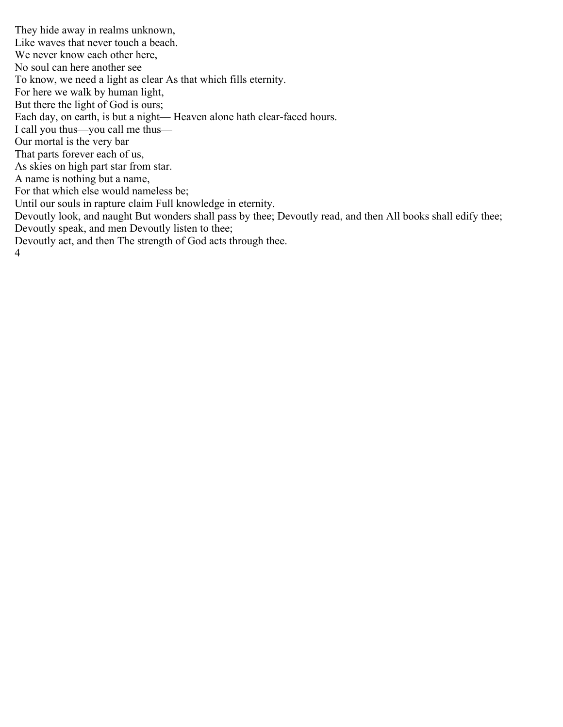They hide away in realms unknown, Like waves that never touch a beach. We never know each other here, No soul can here another see To know, we need a light as clear As that which fills eternity. For here we walk by human light, But there the light of God is ours; Each day, on earth, is but a night— Heaven alone hath clear-faced hours. I call you thus—you call me thus— Our mortal is the very bar That parts forever each of us, As skies on high part star from star. A name is nothing but a name, For that which else would nameless be; Until our souls in rapture claim Full knowledge in eternity. Devoutly look, and naught But wonders shall pass by thee; Devoutly read, and then All books shall edify thee; Devoutly speak, and men Devoutly listen to thee; Devoutly act, and then The strength of God acts through thee. 4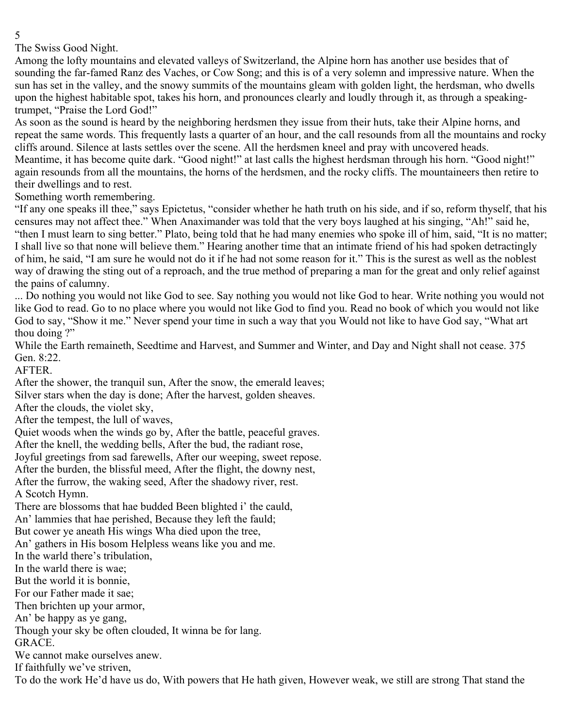5

The Swiss Good Night.

Among the lofty mountains and elevated valleys of Switzerland, the Alpine horn has another use besides that of sounding the far-famed Ranz des Vaches, or Cow Song; and this is of a very solemn and impressive nature. When the sun has set in the valley, and the snowy summits of the mountains gleam with golden light, the herdsman, who dwells upon the highest habitable spot, takes his horn, and pronounces clearly and loudly through it, as through a speakingtrumpet, "Praise the Lord God!"

As soon as the sound is heard by the neighboring herdsmen they issue from their huts, take their Alpine horns, and repeat the same words. This frequently lasts a quarter of an hour, and the call resounds from all the mountains and rocky cliffs around. Silence at lasts settles over the scene. All the herdsmen kneel and pray with uncovered heads. Meantime, it has become quite dark. "Good night!" at last calls the highest herdsman through his horn. "Good night!" again resounds from all the mountains, the horns of the herdsmen, and the rocky cliffs. The mountaineers then retire to their dwellings and to rest.

Something worth remembering.

"If any one speaks ill thee," says Epictetus, "consider whether he hath truth on his side, and if so, reform thyself, that his censures may not affect thee." When Anaximander was told that the very boys laughed at his singing, "Ah!" said he, "then I must learn to sing better." Plato, being told that he had many enemies who spoke ill of him, said, "It is no matter; I shall live so that none will believe them." Hearing another time that an intimate friend of his had spoken detractingly of him, he said, "I am sure he would not do it if he had not some reason for it." This is the surest as well as the noblest way of drawing the sting out of a reproach, and the true method of preparing a man for the great and only relief against the pains of calumny.

... Do nothing you would not like God to see. Say nothing you would not like God to hear. Write nothing you would not like God to read. Go to no place where you would not like God to find you. Read no book of which you would not like God to say, "Show it me." Never spend your time in such a way that you Would not like to have God say, "What art thou doing ?"

While the Earth remaineth, Seedtime and Harvest, and Summer and Winter, and Day and Night shall not cease. 375 Gen. 8:22.

AFTER.

After the shower, the tranquil sun, After the snow, the emerald leaves; Silver stars when the day is done; After the harvest, golden sheaves. After the clouds, the violet sky,

After the tempest, the lull of waves,

Quiet woods when the winds go by, After the battle, peaceful graves.

After the knell, the wedding bells, After the bud, the radiant rose,

Joyful greetings from sad farewells, After our weeping, sweet repose.

After the burden, the blissful meed, After the flight, the downy nest,

After the furrow, the waking seed, After the shadowy river, rest.

A Scotch Hymn.

There are blossoms that hae budded Been blighted i' the cauld,

An' lammies that hae perished, Because they left the fauld;

But cower ye aneath His wings Wha died upon the tree,

An' gathers in His bosom Helpless weans like you and me.

In the warld there's tribulation,

In the warld there is wae;

But the world it is bonnie,

For our Father made it sae;

Then brichten up your armor,

An' be happy as ye gang,

Though your sky be often clouded, It winna be for lang.

GRACE.

We cannot make ourselves anew.

If faithfully we've striven,

To do the work He'd have us do, With powers that He hath given, However weak, we still are strong That stand the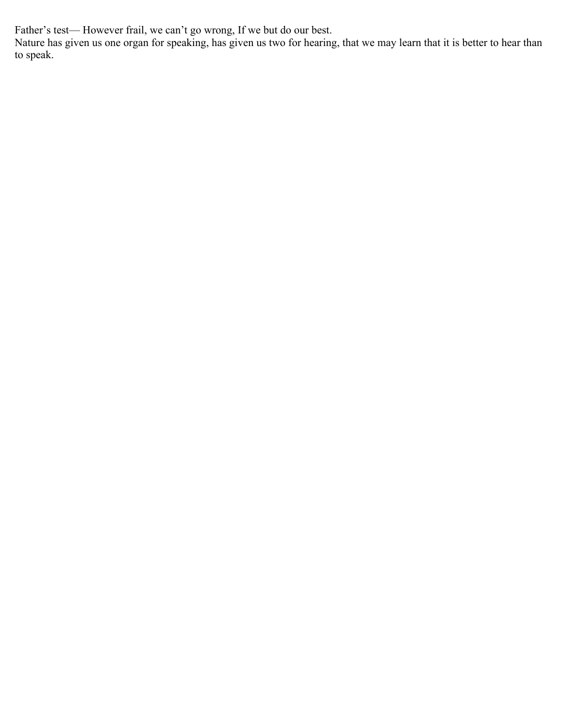Father's test— However frail, we can't go wrong, If we but do our best.

Nature has given us one organ for speaking, has given us two for hearing, that we may learn that it is better to hear than to speak.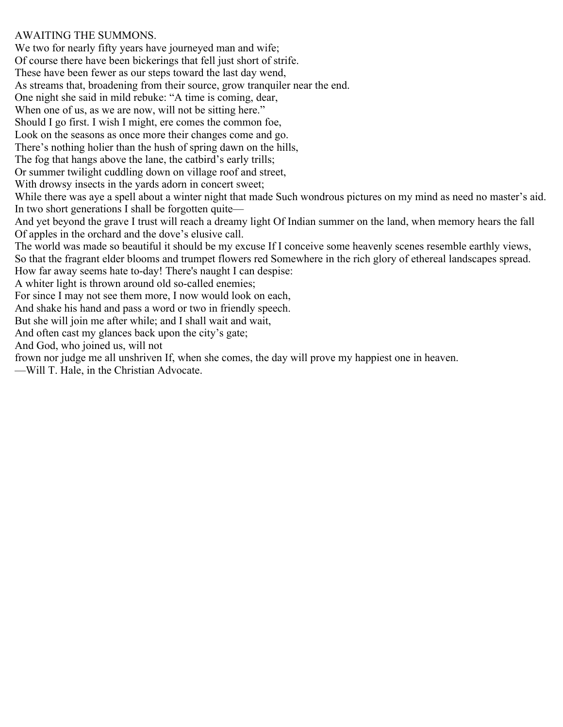## AWAITING THE SUMMONS.

We two for nearly fifty years have journeyed man and wife; Of course there have been bickerings that fell just short of strife. These have been fewer as our steps toward the last day wend, As streams that, broadening from their source, grow tranquiler near the end. One night she said in mild rebuke: "A time is coming, dear, When one of us, as we are now, will not be sitting here." Should I go first. I wish I might, ere comes the common foe, Look on the seasons as once more their changes come and go. There's nothing holier than the hush of spring dawn on the hills, The fog that hangs above the lane, the catbird's early trills; Or summer twilight cuddling down on village roof and street, With drowsy insects in the yards adorn in concert sweet; While there was aye a spell about a winter night that made Such wondrous pictures on my mind as need no master's aid. In two short generations I shall be forgotten quite— And yet beyond the grave I trust will reach a dreamy light Of Indian summer on the land, when memory hears the fall Of apples in the orchard and the dove's elusive call. The world was made so beautiful it should be my excuse If I conceive some heavenly scenes resemble earthly views, So that the fragrant elder blooms and trumpet flowers red Somewhere in the rich glory of ethereal landscapes spread. How far away seems hate to-day! There's naught I can despise: A whiter light is thrown around old so-called enemies; For since I may not see them more, I now would look on each, And shake his hand and pass a word or two in friendly speech. But she will join me after while; and I shall wait and wait, And often cast my glances back upon the city's gate; And God, who joined us, will not frown nor judge me all unshriven If, when she comes, the day will prove my happiest one in heaven. —Will T. Hale, in the Christian Advocate.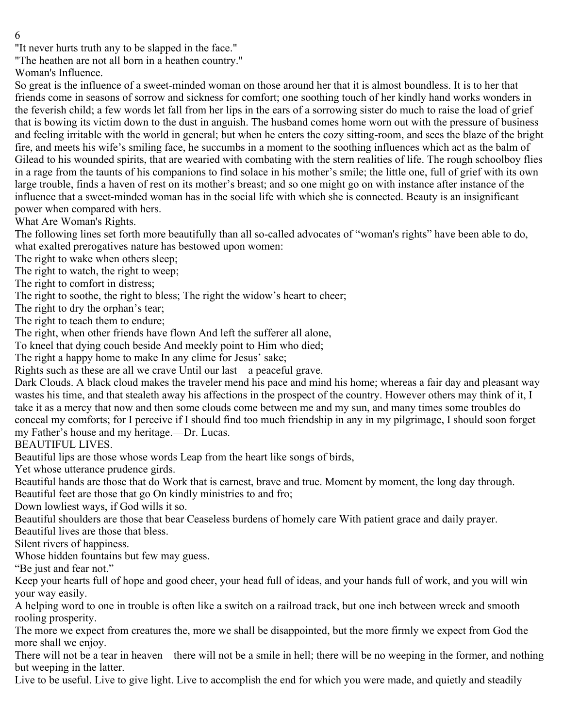6

"It never hurts truth any to be slapped in the face."

"The heathen are not all born in a heathen country."

Woman's Influence.

So great is the influence of a sweet-minded woman on those around her that it is almost boundless. It is to her that friends come in seasons of sorrow and sickness for comfort; one soothing touch of her kindly hand works wonders in the feverish child; a few words let fall from her lips in the ears of a sorrowing sister do much to raise the load of grief that is bowing its victim down to the dust in anguish. The husband comes home worn out with the pressure of business and feeling irritable with the world in general; but when he enters the cozy sitting-room, and sees the blaze of the bright fire, and meets his wife's smiling face, he succumbs in a moment to the soothing influences which act as the balm of Gilead to his wounded spirits, that are wearied with combating with the stern realities of life. The rough schoolboy flies in a rage from the taunts of his companions to find solace in his mother's smile; the little one, full of grief with its own large trouble, finds a haven of rest on its mother's breast; and so one might go on with instance after instance of the influence that a sweet-minded woman has in the social life with which she is connected. Beauty is an insignificant power when compared with hers.

What Are Woman's Rights.

The following lines set forth more beautifully than all so-called advocates of "woman's rights" have been able to do, what exalted prerogatives nature has bestowed upon women:

The right to wake when others sleep;

The right to watch, the right to weep;

The right to comfort in distress;

The right to soothe, the right to bless; The right the widow's heart to cheer;

The right to dry the orphan's tear;

The right to teach them to endure;

The right, when other friends have flown And left the sufferer all alone,

To kneel that dying couch beside And meekly point to Him who died;

The right a happy home to make In any clime for Jesus' sake;

Rights such as these are all we crave Until our last—a peaceful grave.

Dark Clouds. A black cloud makes the traveler mend his pace and mind his home; whereas a fair day and pleasant way wastes his time, and that stealeth away his affections in the prospect of the country. However others may think of it, I take it as a mercy that now and then some clouds come between me and my sun, and many times some troubles do conceal my comforts; for I perceive if I should find too much friendship in any in my pilgrimage, I should soon forget my Father's house and my heritage.—Dr. Lucas.

BEAUTIFUL LIVES.

Beautiful lips are those whose words Leap from the heart like songs of birds,

Yet whose utterance prudence girds.

Beautiful hands are those that do Work that is earnest, brave and true. Moment by moment, the long day through. Beautiful feet are those that go On kindly ministries to and fro;

Down lowliest ways, if God wills it so.

Beautiful shoulders are those that bear Ceaseless burdens of homely care With patient grace and daily prayer.

Beautiful lives are those that bless.

Silent rivers of happiness.

Whose hidden fountains but few may guess.

"Be just and fear not."

Keep your hearts full of hope and good cheer, your head full of ideas, and your hands full of work, and you will win your way easily.

A helping word to one in trouble is often like a switch on a railroad track, but one inch between wreck and smooth rooling prosperity.

The more we expect from creatures the, more we shall be disappointed, but the more firmly we expect from God the more shall we enjoy.

There will not be a tear in heaven—there will not be a smile in hell; there will be no weeping in the former, and nothing but weeping in the latter.

Live to be useful. Live to give light. Live to accomplish the end for which you were made, and quietly and steadily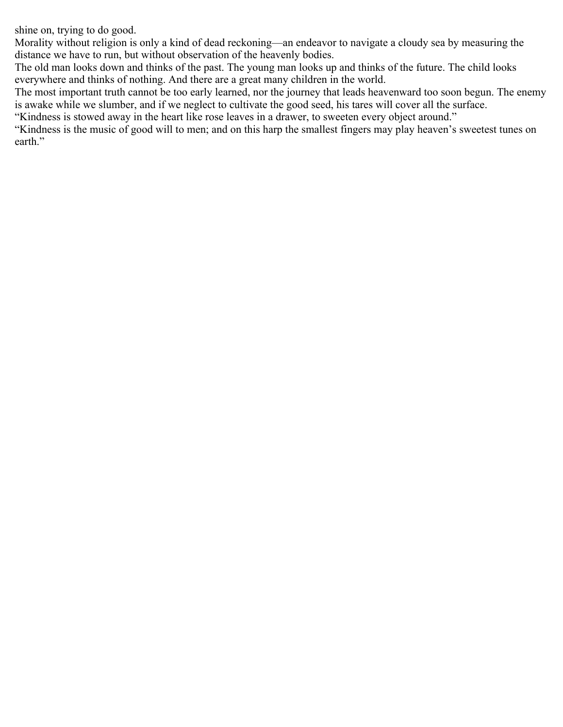shine on, trying to do good.

Morality without religion is only a kind of dead reckoning—an endeavor to navigate a cloudy sea by measuring the distance we have to run, but without observation of the heavenly bodies.

The old man looks down and thinks of the past. The young man looks up and thinks of the future. The child looks everywhere and thinks of nothing. And there are a great many children in the world.

The most important truth cannot be too early learned, nor the journey that leads heavenward too soon begun. The enemy is awake while we slumber, and if we neglect to cultivate the good seed, his tares will cover all the surface.

"Kindness is stowed away in the heart like rose leaves in a drawer, to sweeten every object around."

"Kindness is the music of good will to men; and on this harp the smallest fingers may play heaven's sweetest tunes on earth."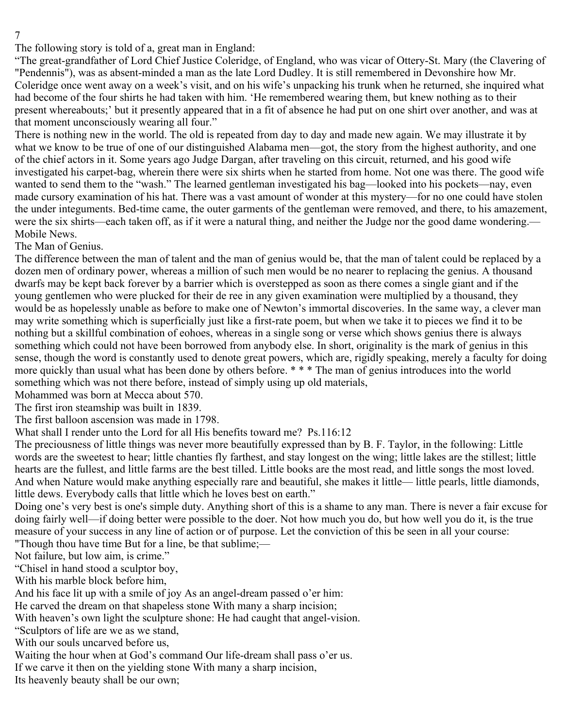7

The following story is told of a, great man in England:

"The great-grandfather of Lord Chief Justice Coleridge, of England, who was vicar of Ottery-St. Mary (the Clavering of "Pendennis"), was as absent-minded a man as the late Lord Dudley. It is still remembered in Devonshire how Mr. Coleridge once went away on a week's visit, and on his wife's unpacking his trunk when he returned, she inquired what had become of the four shirts he had taken with him. 'He remembered wearing them, but knew nothing as to their present whereabouts;' but it presently appeared that in a fit of absence he had put on one shirt over another, and was at that moment unconsciously wearing all four."

There is nothing new in the world. The old is repeated from day to day and made new again. We may illustrate it by what we know to be true of one of our distinguished Alabama men—got, the story from the highest authority, and one of the chief actors in it. Some years ago Judge Dargan, after traveling on this circuit, returned, and his good wife investigated his carpet-bag, wherein there were six shirts when he started from home. Not one was there. The good wife wanted to send them to the "wash." The learned gentleman investigated his bag—looked into his pockets—nay, even made cursory examination of his hat. There was a vast amount of wonder at this mystery—for no one could have stolen the under integuments. Bed-time came, the outer garments of the gentleman were removed, and there, to his amazement, were the six shirts—each taken off, as if it were a natural thing, and neither the Judge nor the good dame wondering.— Mobile News.

The Man of Genius.

The difference between the man of talent and the man of genius would be, that the man of talent could be replaced by a dozen men of ordinary power, whereas a million of such men would be no nearer to replacing the genius. A thousand dwarfs may be kept back forever by a barrier which is overstepped as soon as there comes a single giant and if the young gentlemen who were plucked for their de ree in any given examination were multiplied by a thousand, they would be as hopelessly unable as before to make one of Newton's immortal discoveries. In the same way, a clever man may write something which is superficially just like a first-rate poem, but when we take it to pieces we find it to be nothing but a skillful combination of eohoes, whereas in a single song or verse which shows genius there is always something which could not have been borrowed from anybody else. In short, originality is the mark of genius in this sense, though the word is constantly used to denote great powers, which are, rigidly speaking, merely a faculty for doing more quickly than usual what has been done by others before. \* \* \* The man of genius introduces into the world something which was not there before, instead of simply using up old materials,

Mohammed was born at Mecca about 570.

The first iron steamship was built in 1839.

The first balloon ascension was made in 1798.

What shall I render unto the Lord for all His benefits toward me? Ps.116:12

The preciousness of little things was never more beautifully expressed than by B. F. Taylor, in the following: Little words are the sweetest to hear; little chanties fly farthest, and stay longest on the wing; little lakes are the stillest; little hearts are the fullest, and little farms are the best tilled. Little books are the most read, and little songs the most loved. And when Nature would make anything especially rare and beautiful, she makes it little— little pearls, little diamonds, little dews. Everybody calls that little which he loves best on earth."

Doing one's very best is one's simple duty. Anything short of this is a shame to any man. There is never a fair excuse for doing fairly well—if doing better were possible to the doer. Not how much you do, but how well you do it, is the true measure of your success in any line of action or of purpose. Let the conviction of this be seen in all your course: "Though thou have time But for a line, be that sublime;—

Not failure, but low aim, is crime."

"Chisel in hand stood a sculptor boy,

With his marble block before him,

And his face lit up with a smile of joy As an angel-dream passed o'er him:

He carved the dream on that shapeless stone With many a sharp incision;

With heaven's own light the sculpture shone: He had caught that angel-vision.

"Sculptors of life are we as we stand,

With our souls uncarved before us,

Waiting the hour when at God's command Our life-dream shall pass o'er us.

If we carve it then on the yielding stone With many a sharp incision,

Its heavenly beauty shall be our own;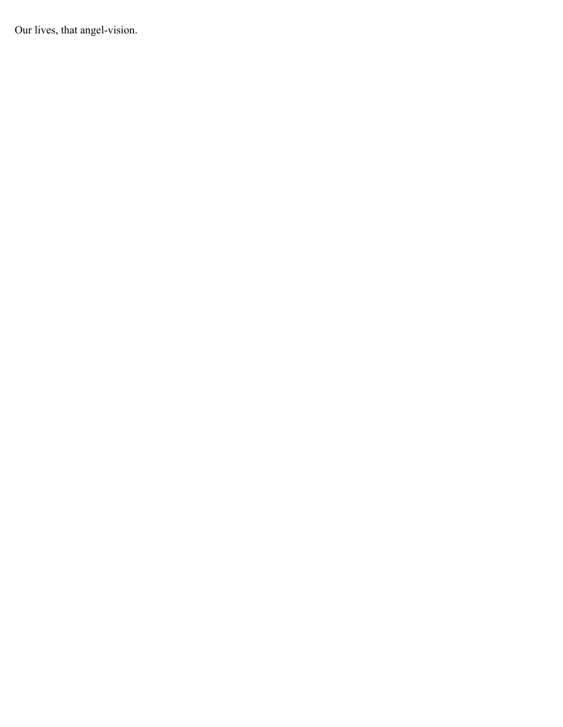Our lives, that angel-vision.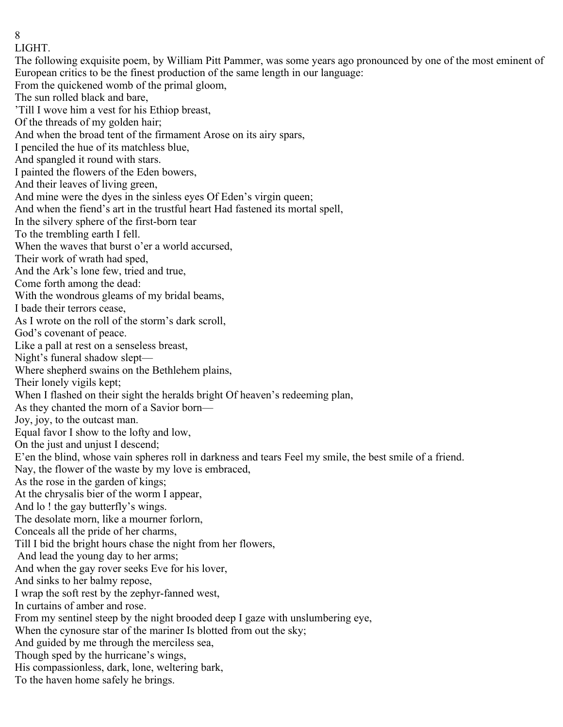8 LIGHT.

The following exquisite poem, by William Pitt Pammer, was some years ago pronounced by one of the most eminent of European critics to be the finest production of the same length in our language: From the quickened womb of the primal gloom, The sun rolled black and bare, 'Till I wove him a vest for his Ethiop breast, Of the threads of my golden hair; And when the broad tent of the firmament Arose on its airy spars, I penciled the hue of its matchless blue, And spangled it round with stars. I painted the flowers of the Eden bowers, And their leaves of living green, And mine were the dyes in the sinless eyes Of Eden's virgin queen; And when the fiend's art in the trustful heart Had fastened its mortal spell, In the silvery sphere of the first-born tear To the trembling earth I fell. When the waves that burst o'er a world accursed, Their work of wrath had sped, And the Ark's lone few, tried and true, Come forth among the dead: With the wondrous gleams of my bridal beams, I bade their terrors cease, As I wrote on the roll of the storm's dark scroll, God's covenant of peace. Like a pall at rest on a senseless breast, Night's funeral shadow slept— Where shepherd swains on the Bethlehem plains, Their lonely vigils kept; When I flashed on their sight the heralds bright Of heaven's redeeming plan, As they chanted the morn of a Savior born— Joy, joy, to the outcast man. Equal favor I show to the lofty and low, On the just and unjust I descend; E'en the blind, whose vain spheres roll in darkness and tears Feel my smile, the best smile of a friend. Nay, the flower of the waste by my love is embraced, As the rose in the garden of kings; At the chrysalis bier of the worm I appear, And lo ! the gay butterfly's wings. The desolate morn, like a mourner forlorn, Conceals all the pride of her charms, Till I bid the bright hours chase the night from her flowers, And lead the young day to her arms; And when the gay rover seeks Eve for his lover, And sinks to her balmy repose, I wrap the soft rest by the zephyr-fanned west, In curtains of amber and rose. From my sentinel steep by the night brooded deep I gaze with unslumbering eye, When the cynosure star of the mariner Is blotted from out the sky; And guided by me through the merciless sea, Though sped by the hurricane's wings, His compassionless, dark, lone, weltering bark, To the haven home safely he brings.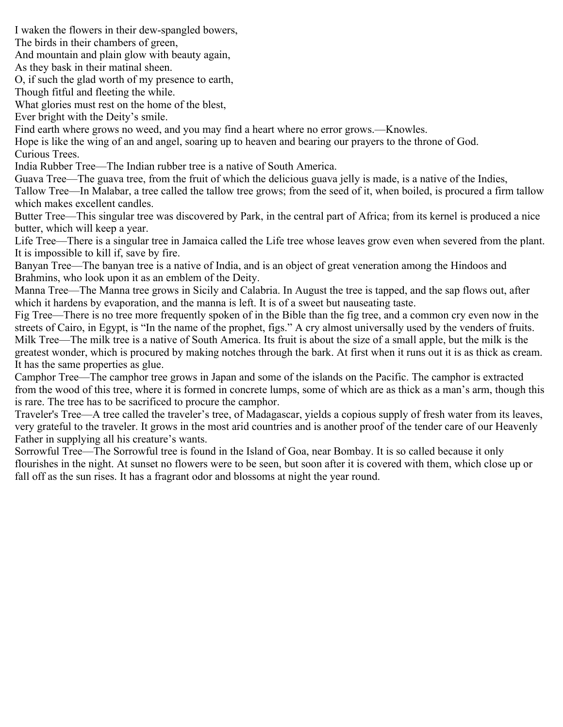I waken the flowers in their dew-spangled bowers,

The birds in their chambers of green,

And mountain and plain glow with beauty again,

As they bask in their matinal sheen.

O, if such the glad worth of my presence to earth,

Though fitful and fleeting the while.

What glories must rest on the home of the blest,

Ever bright with the Deity's smile.

Find earth where grows no weed, and you may find a heart where no error grows.—Knowles.

Hope is like the wing of an and angel, soaring up to heaven and bearing our prayers to the throne of God. Curious Trees.

India Rubber Tree—The Indian rubber tree is a native of South America.

Guava Tree—The guava tree, from the fruit of which the delicious guava jelly is made, is a native of the Indies,

Tallow Tree—In Malabar, a tree called the tallow tree grows; from the seed of it, when boiled, is procured a firm tallow which makes excellent candles.

Butter Tree—This singular tree was discovered by Park, in the central part of Africa; from its kernel is produced a nice butter, which will keep a year.

Life Tree—There is a singular tree in Jamaica called the Life tree whose leaves grow even when severed from the plant. It is impossible to kill if, save by fire.

Banyan Tree—The banyan tree is a native of India, and is an object of great veneration among the Hindoos and Brahmins, who look upon it as an emblem of the Deity.

Manna Tree—The Manna tree grows in Sicily and Calabria. In August the tree is tapped, and the sap flows out, after which it hardens by evaporation, and the manna is left. It is of a sweet but nauseating taste.

Fig Tree—There is no tree more frequently spoken of in the Bible than the fig tree, and a common cry even now in the streets of Cairo, in Egypt, is "In the name of the prophet, figs." A cry almost universally used by the venders of fruits. Milk Tree—The milk tree is a native of South America. Its fruit is about the size of a small apple, but the milk is the greatest wonder, which is procured by making notches through the bark. At first when it runs out it is as thick as cream. It has the same properties as glue.

Camphor Tree—The camphor tree grows in Japan and some of the islands on the Pacific. The camphor is extracted from the wood of this tree, where it is formed in concrete lumps, some of which are as thick as a man's arm, though this is rare. The tree has to be sacrificed to procure the camphor.

Traveler's Tree—A tree called the traveler's tree, of Madagascar, yields a copious supply of fresh water from its leaves, very grateful to the traveler. It grows in the most arid countries and is another proof of the tender care of our Heavenly Father in supplying all his creature's wants.

Sorrowful Tree—The Sorrowful tree is found in the Island of Goa, near Bombay. It is so called because it only flourishes in the night. At sunset no flowers were to be seen, but soon after it is covered with them, which close up or fall off as the sun rises. It has a fragrant odor and blossoms at night the year round.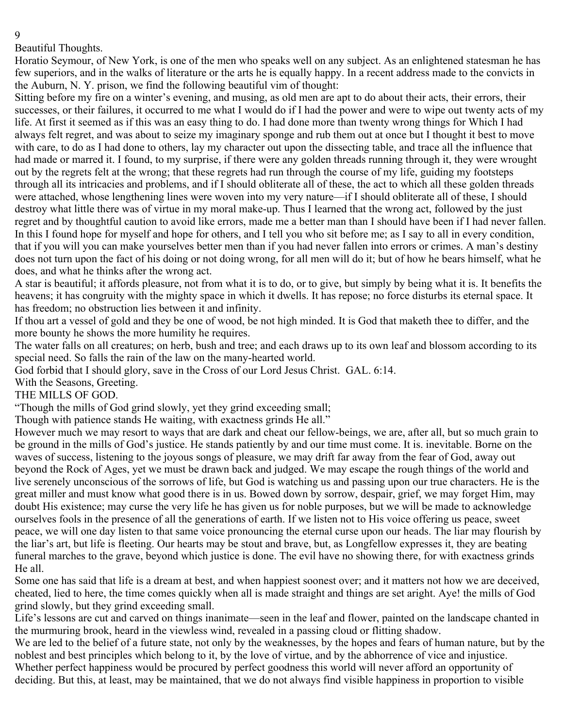Beautiful Thoughts.

Horatio Seymour, of New York, is one of the men who speaks well on any subject. As an enlightened statesman he has few superiors, and in the walks of literature or the arts he is equally happy. In a recent address made to the convicts in the Auburn, N. Y. prison, we find the following beautiful vim of thought:

Sitting before my fire on a winter's evening, and musing, as old men are apt to do about their acts, their errors, their successes, or their failures, it occurred to me what I would do if I had the power and were to wipe out twenty acts of my life. At first it seemed as if this was an easy thing to do. I had done more than twenty wrong things for Which I had always felt regret, and was about to seize my imaginary sponge and rub them out at once but I thought it best to move with care, to do as I had done to others, lay my character out upon the dissecting table, and trace all the influence that had made or marred it. I found, to my surprise, if there were any golden threads running through it, they were wrought out by the regrets felt at the wrong; that these regrets had run through the course of my life, guiding my footsteps through all its intricacies and problems, and if I should obliterate all of these, the act to which all these golden threads were attached, whose lengthening lines were woven into my very nature—if I should obliterate all of these, I should destroy what little there was of virtue in my moral make-up. Thus I learned that the wrong act, followed by the just regret and by thoughtful caution to avoid like errors, made me a better man than I should have been if I had never fallen. In this I found hope for myself and hope for others, and I tell you who sit before me; as I say to all in every condition, that if you will you can make yourselves better men than if you had never fallen into errors or crimes. A man's destiny does not turn upon the fact of his doing or not doing wrong, for all men will do it; but of how he bears himself, what he does, and what he thinks after the wrong act.

A star is beautiful; it affords pleasure, not from what it is to do, or to give, but simply by being what it is. It benefits the heavens; it has congruity with the mighty space in which it dwells. It has repose; no force disturbs its eternal space. It has freedom; no obstruction lies between it and infinity.

If thou art a vessel of gold and they be one of wood, be not high minded. It is God that maketh thee to differ, and the more bounty he shows the more humility he requires.

The water falls on all creatures; on herb, bush and tree; and each draws up to its own leaf and blossom according to its special need. So falls the rain of the law on the many-hearted world.

God forbid that I should glory, save in the Cross of our Lord Jesus Christ. GAL. 6:14.

With the Seasons, Greeting.

THE MILLS OF GOD.

"Though the mills of God grind slowly, yet they grind exceeding small;

Though with patience stands He waiting, with exactness grinds He all."

However much we may resort to ways that are dark and cheat our fellow-beings, we are, after all, but so much grain to be ground in the mills of God's justice. He stands patiently by and our time must come. It is. inevitable. Borne on the waves of success, listening to the joyous songs of pleasure, we may drift far away from the fear of God, away out beyond the Rock of Ages, yet we must be drawn back and judged. We may escape the rough things of the world and live serenely unconscious of the sorrows of life, but God is watching us and passing upon our true characters. He is the great miller and must know what good there is in us. Bowed down by sorrow, despair, grief, we may forget Him, may doubt His existence; may curse the very life he has given us for noble purposes, but we will be made to acknowledge ourselves fools in the presence of all the generations of earth. If we listen not to His voice offering us peace, sweet peace, we will one day listen to that same voice pronouncing the eternal curse upon our heads. The liar may flourish by the liar's art, but life is fleeting. Our hearts may be stout and brave, but, as Longfellow expresses it, they are beating funeral marches to the grave, beyond which justice is done. The evil have no showing there, for with exactness grinds He all.

Some one has said that life is a dream at best, and when happiest soonest over; and it matters not how we are deceived, cheated, lied to here, the time comes quickly when all is made straight and things are set aright. Aye! the mills of God grind slowly, but they grind exceeding small.

Life's lessons are cut and carved on things inanimate—seen in the leaf and flower, painted on the landscape chanted in the murmuring brook, heard in the viewless wind, revealed in a passing cloud or flitting shadow.

We are led to the belief of a future state, not only by the weaknesses, by the hopes and fears of human nature, but by the noblest and best principles which belong to it, by the love of virtue, and by the abhorrence of vice and injustice.

Whether perfect happiness would be procured by perfect goodness this world will never afford an opportunity of deciding. But this, at least, may be maintained, that we do not always find visible happiness in proportion to visible

9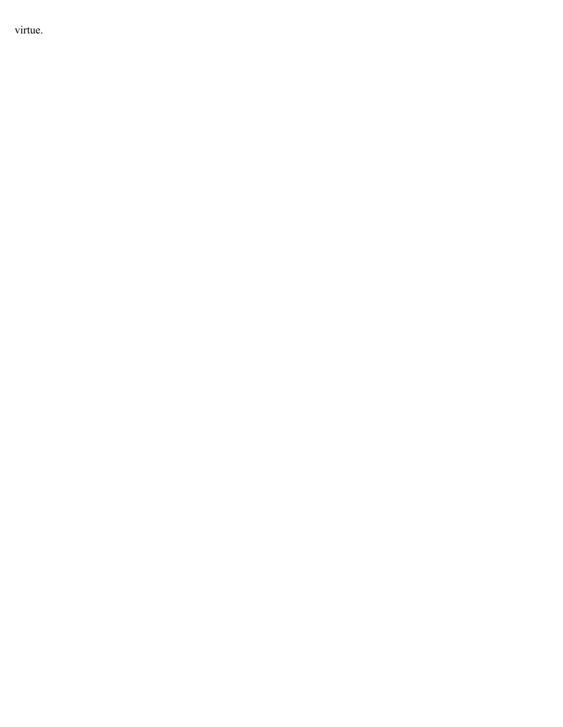virtue.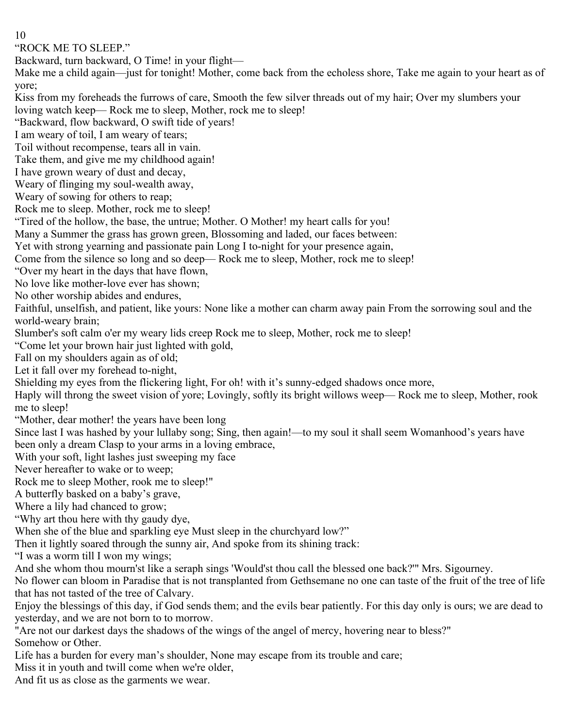10

"ROCK ME TO SLEEP."

Backward, turn backward, O Time! in your flight—

Make me a child again—just for tonight! Mother, come back from the echoless shore, Take me again to your heart as of yore;

Kiss from my foreheads the furrows of care, Smooth the few silver threads out of my hair; Over my slumbers your loving watch keep— Rock me to sleep, Mother, rock me to sleep!

"Backward, flow backward, O swift tide of years!

I am weary of toil, I am weary of tears;

Toil without recompense, tears all in vain.

Take them, and give me my childhood again!

I have grown weary of dust and decay,

Weary of flinging my soul-wealth away,

Weary of sowing for others to reap;

Rock me to sleep. Mother, rock me to sleep!

"Tired of the hollow, the base, the untrue; Mother. O Mother! my heart calls for you!

Many a Summer the grass has grown green, Blossoming and laded, our faces between:

Yet with strong yearning and passionate pain Long I to-night for your presence again,

Come from the silence so long and so deep— Rock me to sleep, Mother, rock me to sleep!

"Over my heart in the days that have flown,

No love like mother-love ever has shown;

No other worship abides and endures,

Faithful, unselfish, and patient, like yours: None like a mother can charm away pain From the sorrowing soul and the world-weary brain;

Slumber's soft calm o'er my weary lids creep Rock me to sleep, Mother, rock me to sleep!

"Come let your brown hair just lighted with gold,

Fall on my shoulders again as of old;

Let it fall over my forehead to-night,

Shielding my eyes from the flickering light, For oh! with it's sunny-edged shadows once more,

Haply will throng the sweet vision of yore; Lovingly, softly its bright willows weep— Rock me to sleep, Mother, rook me to sleep!

"Mother, dear mother! the years have been long

Since last I was hashed by your lullaby song; Sing, then again!—to my soul it shall seem Womanhood's years have been only a dream Clasp to your arms in a loving embrace,

With your soft, light lashes just sweeping my face

Never hereafter to wake or to weep;

Rock me to sleep Mother, rook me to sleep!"

A butterfly basked on a baby's grave,

Where a lily had chanced to grow;

"Why art thou here with thy gaudy dye,

When she of the blue and sparkling eye Must sleep in the churchyard low?"

Then it lightly soared through the sunny air, And spoke from its shining track:

"I was a worm till I won my wings;

And she whom thou mourn'st like a seraph sings 'Would'st thou call the blessed one back?'" Mrs. Sigourney.

No flower can bloom in Paradise that is not transplanted from Gethsemane no one can taste of the fruit of the tree of life that has not tasted of the tree of Calvary.

Enjoy the blessings of this day, if God sends them; and the evils bear patiently. For this day only is ours; we are dead to yesterday, and we are not born to to morrow.

"Are not our darkest days the shadows of the wings of the angel of mercy, hovering near to bless?" Somehow or Other.

Life has a burden for every man's shoulder, None may escape from its trouble and care;

Miss it in youth and twill come when we're older,

And fit us as close as the garments we wear.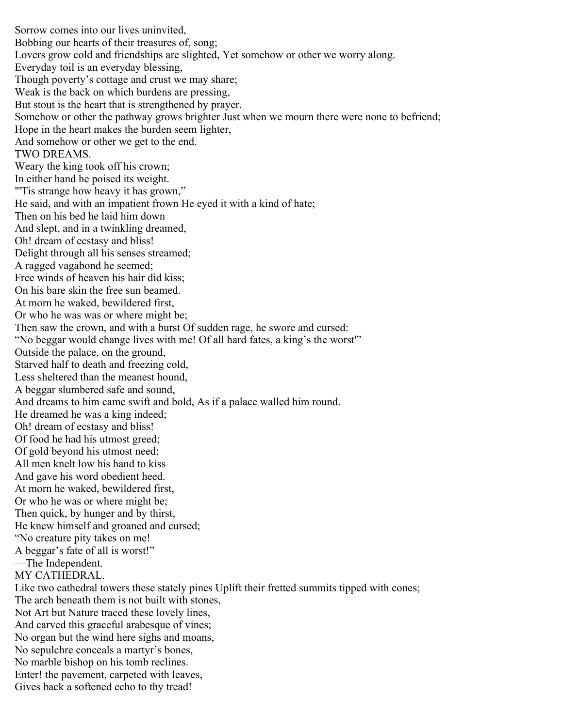Sorrow comes into our lives uninvited, Bobbing our hearts of their treasures of, song; Lovers grow cold and friendships are slighted, Yet somehow or other we worry along. Everyday toil is an everyday blessing, Though poverty's cottage and crust we may share; Weak is the back on which burdens are pressing, But stout is the heart that is strengthened by prayer. Somehow or other the pathway grows brighter Just when we mourn there were none to befriend; Hope in the heart makes the burden seem lighter, And somehow or other we get to the end. TWO DREAMS. Weary the king took off his crown; In either hand he poised its weight. "Tis strange how heavy it has grown," He said, and with an impatient frown He eyed it with a kind of hate; Then on his bed he laid him down And slept, and in a twinkling dreamed, Oh! dream of ecstasy and bliss! Delight through all his senses streamed; A ragged vagabond he seemed; Free winds of heaven his hair did kiss; On his bare skin the free sun beamed. At morn he waked, bewildered first, Or who he was was or where might be; Then saw the crown, and with a burst Of sudden rage, he swore and cursed: "No beggar would change lives with me! Of all hard fates, a king's the worst'" Outside the palace, on the ground, Starved half to death and freezing cold, Less sheltered than the meanest hound, A beggar slumbered safe and sound, And dreams to him came swift and bold, As if a palace walled him round. He dreamed he was a king indeed; Oh! dream of ecstasy and bliss! Of food he had his utmost greed; Of gold beyond his utmost need; All men knelt low his hand to kiss And gave his word obedient heed. At morn he waked, bewildered first, Or who he was or where might be; Then quick, by hunger and by thirst, He knew himself and groaned and cursed; "No creature pity takes on me! A beggar's fate of all is worst!" —The Independent. MY CATHEDRAL. Like two cathedral towers these stately pines Uplift their fretted summits tipped with cones; The arch beneath them is not built with stones, Not Art but Nature traced these lovely lines, And carved this graceful arabesque of vines; No organ but the wind here sighs and moans, No sepulchre conceals a martyr's bones, No marble bishop on his tomb reclines. Enter! the pavement, carpeted with leaves, Gives back a softened echo to thy tread!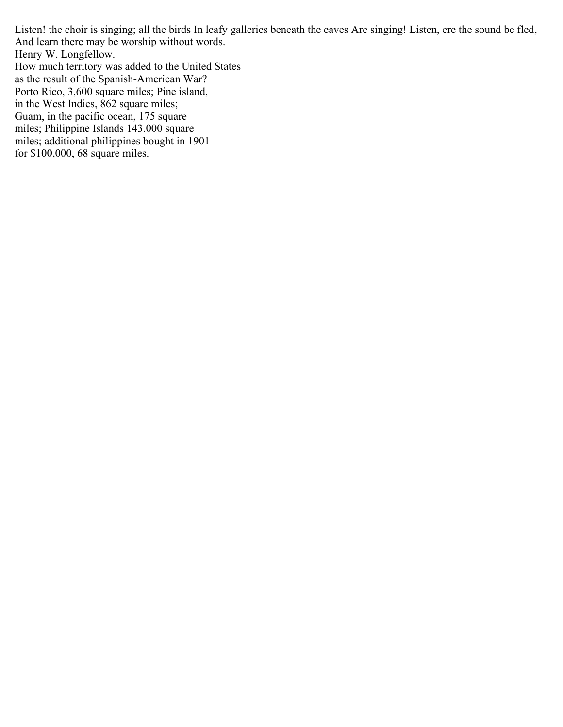Listen! the choir is singing; all the birds In leafy galleries beneath the eaves Are singing! Listen, ere the sound be fled, And learn there may be worship without words. Henry W. Longfellow. How much territory was added to the United States as the result of the Spanish-American War? Porto Rico, 3,600 square miles; Pine island, in the West Indies, 862 square miles; Guam, in the pacific ocean, 175 square miles; Philippine Islands 143.000 square miles; additional philippines bought in 1901

for \$100,000, 68 square miles.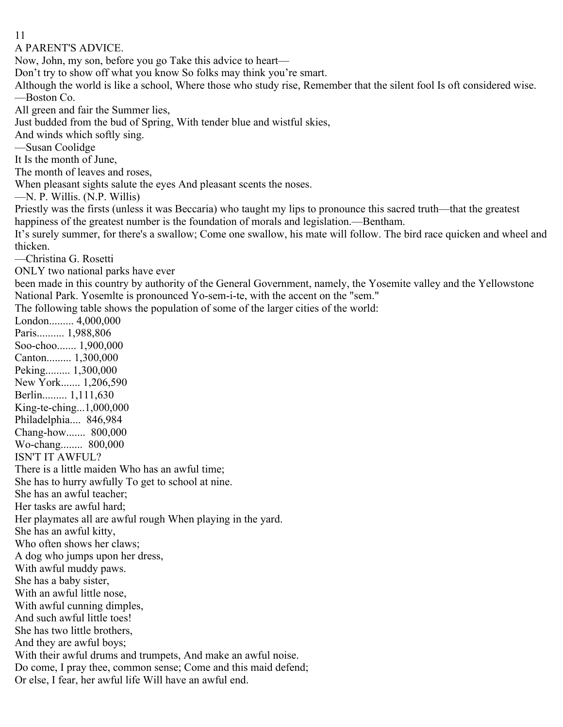11

A PARENT'S ADVICE.

Now, John, my son, before you go Take this advice to heart—

Don't try to show off what you know So folks may think you're smart.

Although the world is like a school, Where those who study rise, Remember that the silent fool Is oft considered wise. —Boston Co.

All green and fair the Summer lies,

Just budded from the bud of Spring, With tender blue and wistful skies,

And winds which softly sing.

—Susan Coolidge

It Is the month of June,

The month of leaves and roses,

When pleasant sights salute the eyes And pleasant scents the noses.

—N. P. Willis. (N.P. Willis)

Priestly was the firsts (unless it was Beccaria) who taught my lips to pronounce this sacred truth—that the greatest happiness of the greatest number is the foundation of morals and legislation.—Bentham.

It's surely summer, for there's a swallow; Come one swallow, his mate will follow. The bird race quicken and wheel and thicken.

—Christina G. Rosetti

ONLY two national parks have ever

been made in this country by authority of the General Government, namely, the Yosemite valley and the Yellowstone National Park. Yosemlte is pronounced Yo-sem-i-te, with the accent on the "sem."

The following table shows the population of some of the larger cities of the world:

London......... 4,000,000 Paris.......... 1,988,806 Soo-choo....... 1,900,000 Canton......... 1,300,000 Peking......... 1,300,000 New York....... 1,206,590 Berlin......... 1,111,630 King-te-ching...1,000,000 Philadelphia.... 846,984 Chang-how....... 800,000 Wo-chang........ 800,000 ISN'T IT AWFUL? There is a little maiden Who has an awful time; She has to hurry awfully To get to school at nine. She has an awful teacher; Her tasks are awful hard; Her playmates all are awful rough When playing in the yard. She has an awful kitty, Who often shows her claws; A dog who jumps upon her dress, With awful muddy paws. She has a baby sister, With an awful little nose, With awful cunning dimples, And such awful little toes! She has two little brothers, And they are awful boys; With their awful drums and trumpets, And make an awful noise. Do come, I pray thee, common sense; Come and this maid defend; Or else, I fear, her awful life Will have an awful end.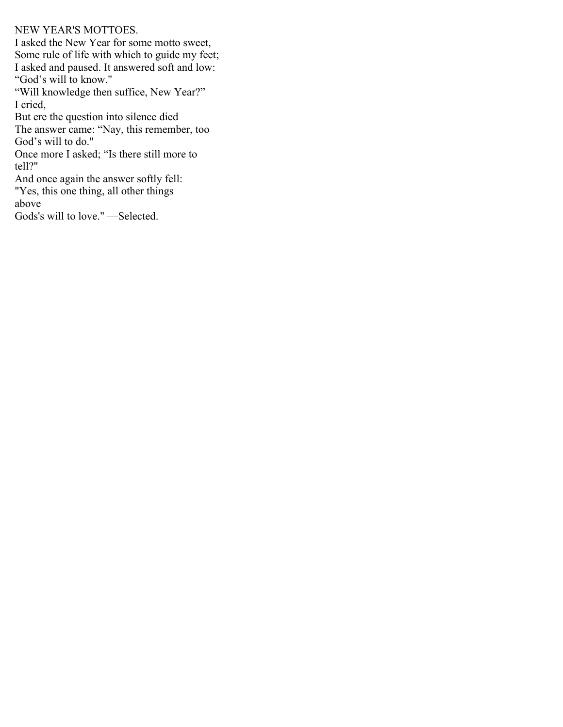#### NEW YEAR'S MOTTOES.

I asked the New Year for some motto sweet, Some rule of life with which to guide my feet; I asked and paused. It answered soft and low: "God's will to know." "Will knowledge then suffice, New Year?" I cried, But ere the question into silence died The answer came: "Nay, this remember, too God's will to do." Once more I asked; "Is there still more to tell?" And once again the answer softly fell: "Yes, this one thing, all other things above Gods's will to love." —Selected.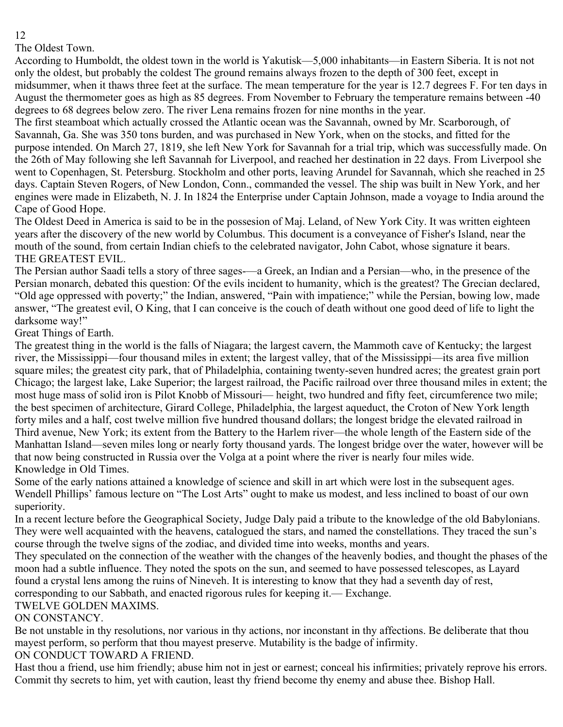The Oldest Town.

According to Humboldt, the oldest town in the world is Yakutisk—5,000 inhabitants—in Eastern Siberia. It is not not only the oldest, but probably the coldest The ground remains always frozen to the depth of 300 feet, except in midsummer, when it thaws three feet at the surface. The mean temperature for the year is 12.7 degrees F. For ten days in August the thermometer goes as high as 85 degrees. From November to February the temperature remains between -40 degrees to 68 degrees below zero. The river Lena remains frozen for nine months in the year.

The first steamboat which actually crossed the Atlantic ocean was the Savannah, owned by Mr. Scarborough, of Savannah, Ga. She was 350 tons burden, and was purchased in New York, when on the stocks, and fitted for the purpose intended. On March 27, 1819, she left New York for Savannah for a trial trip, which was successfully made. On the 26th of May following she left Savannah for Liverpool, and reached her destination in 22 days. From Liverpool she went to Copenhagen, St. Petersburg. Stockholm and other ports, leaving Arundel for Savannah, which she reached in 25 days. Captain Steven Rogers, of New London, Conn., commanded the vessel. The ship was built in New York, and her engines were made in Elizabeth, N. J. In 1824 the Enterprise under Captain Johnson, made a voyage to India around the Cape of Good Hope.

The Oldest Deed in America is said to be in the possesion of Maj. Leland, of New York City. It was written eighteen years after the discovery of the new world by Columbus. This document is a conveyance of Fisher's Island, near the mouth of the sound, from certain Indian chiefs to the celebrated navigator, John Cabot, whose signature it bears. THE GREATEST EVIL.

The Persian author Saadi tells a story of three sages-—a Greek, an Indian and a Persian—who, in the presence of the Persian monarch, debated this question: Of the evils incident to humanity, which is the greatest? The Grecian declared, "Old age oppressed with poverty;" the Indian, answered, "Pain with impatience;" while the Persian, bowing low, made answer, "The greatest evil, O King, that I can conceive is the couch of death without one good deed of life to light the darksome way!"

## Great Things of Earth.

The greatest thing in the world is the falls of Niagara; the largest cavern, the Mammoth cave of Kentucky; the largest river, the Mississippi—four thousand miles in extent; the largest valley, that of the Mississippi—its area five million square miles; the greatest city park, that of Philadelphia, containing twenty-seven hundred acres; the greatest grain port Chicago; the largest lake, Lake Superior; the largest railroad, the Pacific railroad over three thousand miles in extent; the most huge mass of solid iron is Pilot Knobb of Missouri— height, two hundred and fifty feet, circumference two mile; the best specimen of architecture, Girard College, Philadelphia, the largest aqueduct, the Croton of New York length forty miles and a half, cost twelve million five hundred thousand dollars; the longest bridge the elevated railroad in Third avenue, New York; its extent from the Battery to the Harlem river—the whole length of the Eastern side of the Manhattan Island—seven miles long or nearly forty thousand yards. The longest bridge over the water, however will be that now being constructed in Russia over the Volga at a point where the river is nearly four miles wide. Knowledge in Old Times.

Some of the early nations attained a knowledge of science and skill in art which were lost in the subsequent ages. Wendell Phillips' famous lecture on "The Lost Arts" ought to make us modest, and less inclined to boast of our own superiority.

In a recent lecture before the Geographical Society, Judge Daly paid a tribute to the knowledge of the old Babylonians. They were well acquainted with the heavens, catalogued the stars, and named the constellations. They traced the sun's course through the twelve signs of the zodiac, and divided time into weeks, months and years.

They speculated on the connection of the weather with the changes of the heavenly bodies, and thought the phases of the moon had a subtle influence. They noted the spots on the sun, and seemed to have possessed telescopes, as Layard found a crystal lens among the ruins of Nineveh. It is interesting to know that they had a seventh day of rest, corresponding to our Sabbath, and enacted rigorous rules for keeping it.— Exchange.

## TWELVE GOLDEN MAXIMS.

## ON CONSTANCY.

Be not unstable in thy resolutions, nor various in thy actions, nor inconstant in thy affections. Be deliberate that thou mayest perform, so perform that thou mayest preserve. Mutability is the badge of infirmity.

## ON CONDUCT TOWARD A FRIEND.

Hast thou a friend, use him friendly; abuse him not in jest or earnest; conceal his infirmities; privately reprove his errors. Commit thy secrets to him, yet with caution, least thy friend become thy enemy and abuse thee. Bishop Hall.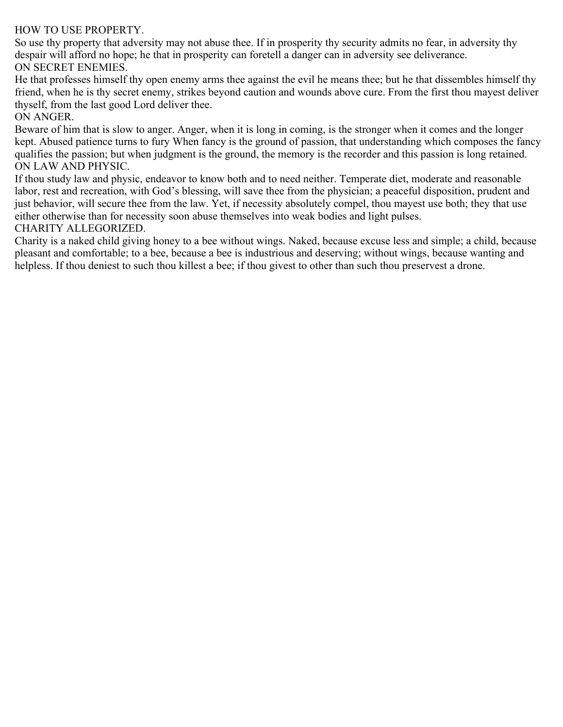#### HOW TO USE PROPERTY.

So use thy property that adversity may not abuse thee. If in prosperity thy security admits no fear, in adversity thy despair will afford no hope; he that in prosperity can foretell a danger can in adversity see deliverance. ON SECRET ENEMIES.

He that professes himself thy open enemy arms thee against the evil he means thee; but he that dissembles himself thy friend, when he is thy secret enemy, strikes beyond caution and wounds above cure. From the first thou mayest deliver thyself, from the last good Lord deliver thee.

#### ON ANGER.

Beware of him that is slow to anger. Anger, when it is long in coming, is the stronger when it comes and the longer kept. Abused patience turns to fury When fancy is the ground of passion, that understanding which composes the fancy qualifies the passion; but when judgment is the ground, the memory is the recorder and this passion is long retained. ON LAW AND PHYSIC.

If thou study law and physic, endeavor to know both and to need neither. Temperate diet, moderate and reasonable labor, rest and recreation, with God's blessing, will save thee from the physician; a peaceful disposition, prudent and just behavior, will secure thee from the law. Yet, if necessity absolutely compel, thou mayest use both; they that use either otherwise than for necessity soon abuse themselves into weak bodies and light pulses. CHARITY ALLEGORIZED.

Charity is a naked child giving honey to a bee without wings. Naked, because excuse less and simple; a child, because pleasant and comfortable; to a bee, because a bee is industrious and deserving; without wings, because wanting and helpless. If thou deniest to such thou killest a bee; if thou givest to other than such thou preservest a drone.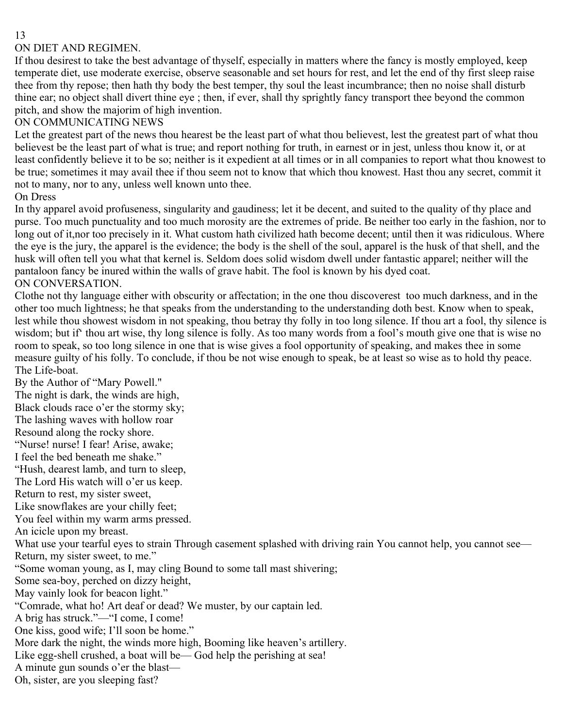#### ON DIET AND REGIMEN.

If thou desirest to take the best advantage of thyself, especially in matters where the fancy is mostly employed, keep temperate diet, use moderate exercise, observe seasonable and set hours for rest, and let the end of thy first sleep raise thee from thy repose; then hath thy body the best temper, thy soul the least incumbrance; then no noise shall disturb thine ear; no object shall divert thine eye ; then, if ever, shall thy sprightly fancy transport thee beyond the common pitch, and show the majorim of high invention.

## ON COMMUNICATING NEWS

Let the greatest part of the news thou hearest be the least part of what thou believest, lest the greatest part of what thou believest be the least part of what is true; and report nothing for truth, in earnest or in jest, unless thou know it, or at least confidently believe it to be so; neither is it expedient at all times or in all companies to report what thou knowest to be true; sometimes it may avail thee if thou seem not to know that which thou knowest. Hast thou any secret, commit it not to many, nor to any, unless well known unto thee.

#### On Dress

In thy apparel avoid profuseness, singularity and gaudiness; let it be decent, and suited to the quality of thy place and purse. Too much punctuality and too much morosity are the extremes of pride. Be neither too early in the fashion, nor to long out of it,nor too precisely in it. What custom hath civilized hath become decent; until then it was ridiculous. Where the eye is the jury, the apparel is the evidence; the body is the shell of the soul, apparel is the husk of that shell, and the husk will often tell you what that kernel is. Seldom does solid wisdom dwell under fantastic apparel; neither will the pantaloon fancy be inured within the walls of grave habit. The fool is known by his dyed coat. ON CONVERSATION.

Clothe not thy language either with obscurity or affectation; in the one thou discoverest too much darkness, and in the other too much lightness; he that speaks from the understanding to the understanding doth best. Know when to speak, lest while thou showest wisdom in not speaking, thou betray thy folly in too long silence. If thou art a fool, thy silence is wisdom; but if' thou art wise, thy long silence is folly. As too many words from a fool's mouth give one that is wise no room to speak, so too long silence in one that is wise gives a fool opportunity of speaking, and makes thee in some measure guilty of his folly. To conclude, if thou be not wise enough to speak, be at least so wise as to hold thy peace. The Life-boat.

By the Author of "Mary Powell." The night is dark, the winds are high, Black clouds race o'er the stormy sky; The lashing waves with hollow roar Resound along the rocky shore. "Nurse! nurse! I fear! Arise, awake; I feel the bed beneath me shake." "Hush, dearest lamb, and turn to sleep, The Lord His watch will o'er us keep. Return to rest, my sister sweet, Like snowflakes are your chilly feet; You feel within my warm arms pressed. An icicle upon my breast. What use your tearful eyes to strain Through casement splashed with driving rain You cannot help, you cannot see— Return, my sister sweet, to me." "Some woman young, as I, may cling Bound to some tall mast shivering; Some sea-boy, perched on dizzy height, May vainly look for beacon light." "Comrade, what ho! Art deaf or dead? We muster, by our captain led. A brig has struck."—"I come, I come! One kiss, good wife; I'll soon be home." More dark the night, the winds more high, Booming like heaven's artillery. Like egg-shell crushed, a boat will be— God help the perishing at sea! A minute gun sounds o'er the blast— Oh, sister, are you sleeping fast?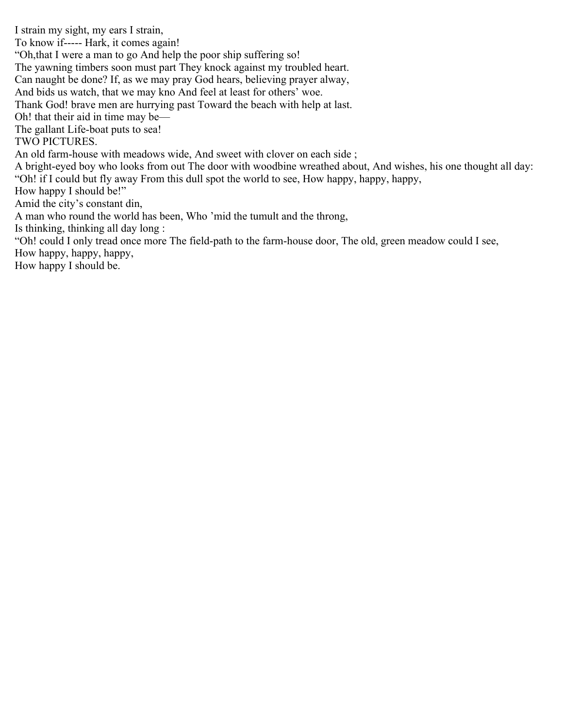I strain my sight, my ears I strain, To know if----- Hark, it comes again! "Oh,that I were a man to go And help the poor ship suffering so! The yawning timbers soon must part They knock against my troubled heart. Can naught be done? If, as we may pray God hears, believing prayer alway, And bids us watch, that we may kno And feel at least for others' woe. Thank God! brave men are hurrying past Toward the beach with help at last. Oh! that their aid in time may be— The gallant Life-boat puts to sea! TWO PICTURES. An old farm-house with meadows wide, And sweet with clover on each side ; A bright-eyed boy who looks from out The door with woodbine wreathed about, And wishes, his one thought all day: "Oh! if I could but fly away From this dull spot the world to see, How happy, happy, happy, How happy I should be!" Amid the city's constant din, A man who round the world has been, Who 'mid the tumult and the throng, Is thinking, thinking all day long : "Oh! could I only tread once more The field-path to the farm-house door, The old, green meadow could I see, How happy, happy, happy, How happy I should be.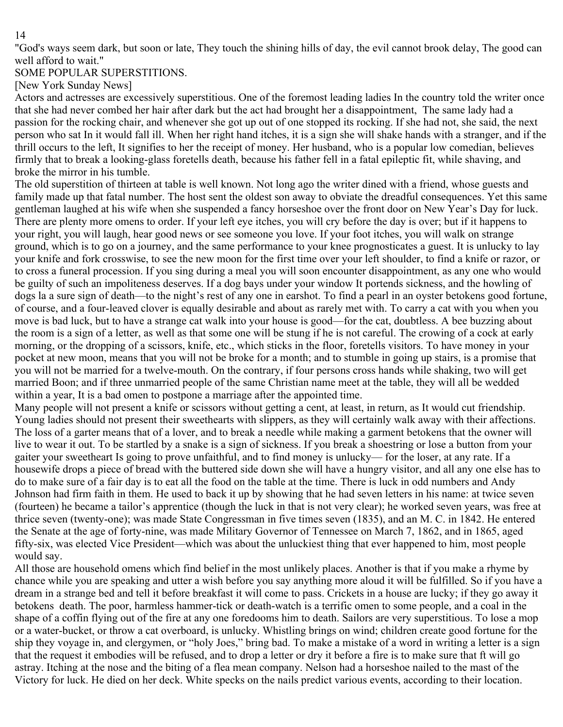"God's ways seem dark, but soon or late, They touch the shining hills of day, the evil cannot brook delay, The good can well afford to wait."

## SOME POPULAR SUPERSTITIONS.

[New York Sunday News]

Actors and actresses are excessively superstitious. One of the foremost leading ladies In the country told the writer once that she had never combed her hair after dark but the act had brought her a disappointment, The same lady had a passion for the rocking chair, and whenever she got up out of one stopped its rocking. If she had not, she said, the next person who sat In it would fall ill. When her right hand itches, it is a sign she will shake hands with a stranger, and if the thrill occurs to the left, It signifies to her the receipt of money. Her husband, who is a popular low comedian, believes firmly that to break a looking-glass foretells death, because his father fell in a fatal epileptic fit, while shaving, and broke the mirror in his tumble.

The old superstition of thirteen at table is well known. Not long ago the writer dined with a friend, whose guests and family made up that fatal number. The host sent the oldest son away to obviate the dreadful consequences. Yet this same gentleman laughed at his wife when she suspended a fancy horseshoe over the front door on New Year's Day for luck. There are plenty more omens to order. If your left eye itches, you will cry before the day is over; but if it happens to your right, you will laugh, hear good news or see someone you love. If your foot itches, you will walk on strange ground, which is to go on a journey, and the same performance to your knee prognosticates a guest. It is unlucky to lay your knife and fork crosswise, to see the new moon for the first time over your left shoulder, to find a knife or razor, or to cross a funeral procession. If you sing during a meal you will soon encounter disappointment, as any one who would be guilty of such an impoliteness deserves. If a dog bays under your window It portends sickness, and the howling of dogs la a sure sign of death—to the night's rest of any one in earshot. To find a pearl in an oyster betokens good fortune, of course, and a four-leaved clover is equally desirable and about as rarely met with. To carry a cat with you when you move is bad luck, but to have a strange cat walk into your house is good—for the cat, doubtless. A bee buzzing about the room is a sign of a letter, as well as that some one will be stung if he is not careful. The crowing of a cock at early morning, or the dropping of a scissors, knife, etc., which sticks in the floor, foretells visitors. To have money in your pocket at new moon, means that you will not be broke for a month; and to stumble in going up stairs, is a promise that you will not be married for a twelve-mouth. On the contrary, if four persons cross hands while shaking, two will get married Boon; and if three unmarried people of the same Christian name meet at the table, they will all be wedded within a year, It is a bad omen to postpone a marriage after the appointed time.

Many people will not present a knife or scissors without getting a cent, at least, in return, as It would cut friendship. Young ladies should not present their sweethearts with slippers, as they will certainly walk away with their affections. The loss of a garter means that of a lover, and to break a needle while making a garment betokens that the owner will live to wear it out. To be startled by a snake is a sign of sickness. If you break a shoestring or lose a button from your gaiter your sweetheart Is going to prove unfaithful, and to find money is unlucky— for the loser, at any rate. If a housewife drops a piece of bread with the buttered side down she will have a hungry visitor, and all any one else has to do to make sure of a fair day is to eat all the food on the table at the time. There is luck in odd numbers and Andy Johnson had firm faith in them. He used to back it up by showing that he had seven letters in his name: at twice seven (fourteen) he became a tailor's apprentice (though the luck in that is not very clear); he worked seven years, was free at thrice seven (twenty-one); was made State Congressman in five times seven (1835), and an M. C. in 1842. He entered the Senate at the age of forty-nine, was made Military Governor of Tennessee on March 7, 1862, and in 1865, aged fifty-six, was elected Vice President—which was about the unluckiest thing that ever happened to him, most people would say.

All those are household omens which find belief in the most unlikely places. Another is that if you make a rhyme by chance while you are speaking and utter a wish before you say anything more aloud it will be fulfilled. So if you have a dream in a strange bed and tell it before breakfast it will come to pass. Crickets in a house are lucky; if they go away it betokens death. The poor, harmless hammer-tick or death-watch is a terrific omen to some people, and a coal in the shape of a coffin flying out of the fire at any one foredooms him to death. Sailors are very superstitious. To lose a mop or a water-bucket, or throw a cat overboard, is unlucky. Whistling brings on wind; children create good fortune for the ship they voyage in, and clergymen, or "holy Joes," bring bad. To make a mistake of a word in writing a letter is a sign that the request it embodies will be refused, and to drop a letter or dry it before a fire is to make sure that ft will go astray. Itching at the nose and the biting of a flea mean company. Nelson had a horseshoe nailed to the mast of the Victory for luck. He died on her deck. White specks on the nails predict various events, according to their location.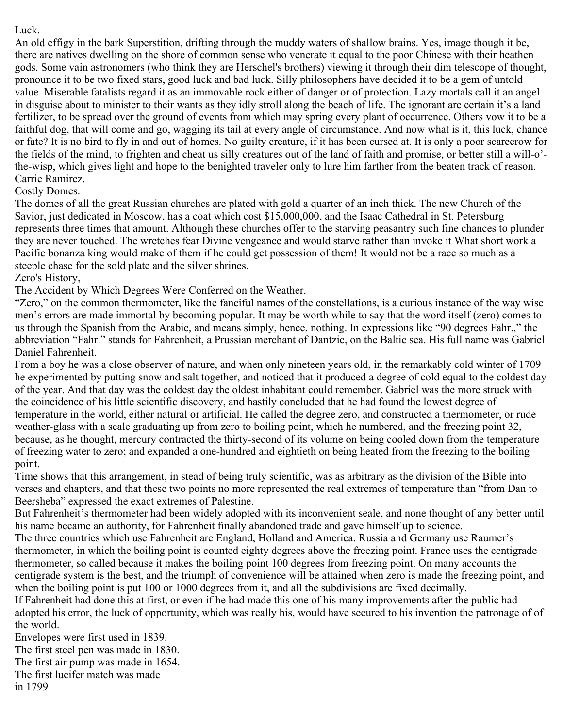## Luck.

An old effigy in the bark Superstition, drifting through the muddy waters of shallow brains. Yes, image though it be, there are natives dwelling on the shore of common sense who venerate it equal to the poor Chinese with their heathen gods. Some vain astronomers (who think they are Herschel's brothers) viewing it through their dim telescope of thought, pronounce it to be two fixed stars, good luck and bad luck. Silly philosophers have decided it to be a gem of untold value. Miserable fatalists regard it as an immovable rock either of danger or of protection. Lazy mortals call it an angel in disguise about to minister to their wants as they idly stroll along the beach of life. The ignorant are certain it's a land fertilizer, to be spread over the ground of events from which may spring every plant of occurrence. Others vow it to be a faithful dog, that will come and go, wagging its tail at every angle of circumstance. And now what is it, this luck, chance or fate? It is no bird to fly in and out of homes. No guilty creature, if it has been cursed at. It is only a poor scarecrow for the fields of the mind, to frighten and cheat us silly creatures out of the land of faith and promise, or better still a will-o' the-wisp, which gives light and hope to the benighted traveler only to lure him farther from the beaten track of reason.— Carrie Ramirez.

## Costly Domes.

The domes of all the great Russian churches are plated with gold a quarter of an inch thick. The new Church of the Savior, just dedicated in Moscow, has a coat which cost \$15,000,000, and the Isaac Cathedral in St. Petersburg represents three times that amount. Although these churches offer to the starving peasantry such fine chances to plunder they are never touched. The wretches fear Divine vengeance and would starve rather than invoke it What short work a Pacific bonanza king would make of them if he could get possession of them! It would not be a race so much as a steeple chase for the sold plate and the silver shrines.

## Zero's History,

The Accident by Which Degrees Were Conferred on the Weather.

"Zero," on the common thermometer, like the fanciful names of the constellations, is a curious instance of the way wise men's errors are made immortal by becoming popular. It may be worth while to say that the word itself (zero) comes to us through the Spanish from the Arabic, and means simply, hence, nothing. In expressions like "90 degrees Fahr.," the abbreviation "Fahr." stands for Fahrenheit, a Prussian merchant of Dantzic, on the Baltic sea. His full name was Gabriel Daniel Fahrenheit.

From a boy he was a close observer of nature, and when only nineteen years old, in the remarkably cold winter of 1709 he experimented by putting snow and salt together, and noticed that it produced a degree of cold equal to the coldest day of the year. And that day was the coldest day the oldest inhabitant could remember. Gabriel was the more struck with the coincidence of his little scientific discovery, and hastily concluded that he had found the lowest degree of temperature in the world, either natural or artificial. He called the degree zero, and constructed a thermometer, or rude weather-glass with a scale graduating up from zero to boiling point, which he numbered, and the freezing point 32, because, as he thought, mercury contracted the thirty-second of its volume on being cooled down from the temperature of freezing water to zero; and expanded a one-hundred and eightieth on being heated from the freezing to the boiling point.

Time shows that this arrangement, in stead of being truly scientific, was as arbitrary as the division of the Bible into verses and chapters, and that these two points no more represented the real extremes of temperature than "from Dan to Beersheba" expressed the exact extremes of Palestine.

But Fahrenheit's thermometer had been widely adopted with its inconvenient seale, and none thought of any better until his name became an authority, for Fahrenheit finally abandoned trade and gave himself up to science.

The three countries which use Fahrenheit are England, Holland and America. Russia and Germany use Raumer's thermometer, in which the boiling point is counted eighty degrees above the freezing point. France uses the centigrade thermometer, so called because it makes the boiling point 100 degrees from freezing point. On many accounts the centigrade system is the best, and the triumph of convenience will be attained when zero is made the freezing point, and when the boiling point is put 100 or 1000 degrees from it, and all the subdivisions are fixed decimally.

If Fahrenheit had done this at first, or even if he had made this one of his many improvements after the public had adopted his error, the luck of opportunity, which was really his, would have secured to his invention the patronage of of the world.

Envelopes were first used in 1839. The first steel pen was made in 1830. The first air pump was made in 1654. The first lucifer match was made in 1799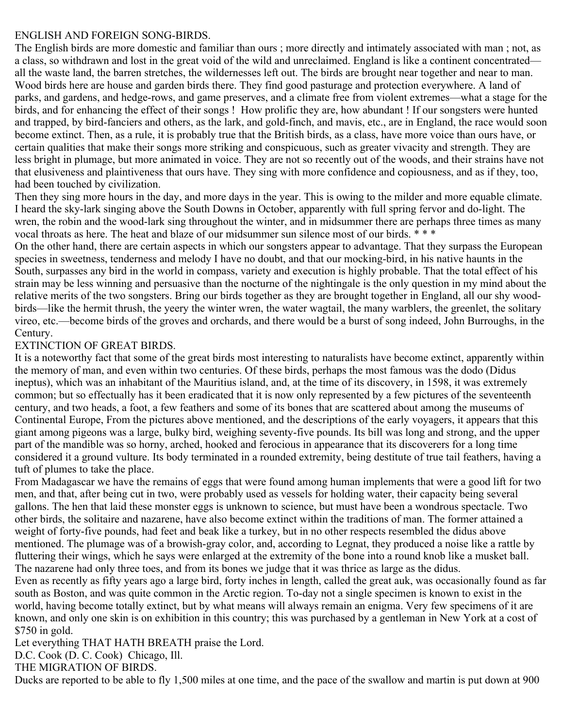#### ENGLISH AND FOREIGN SONG-BIRDS.

The English birds are more domestic and familiar than ours ; more directly and intimately associated with man ; not, as a class, so withdrawn and lost in the great void of the wild and unreclaimed. England is like a continent concentrated all the waste land, the barren stretches, the wildernesses left out. The birds are brought near together and near to man. Wood birds here are house and garden birds there. They find good pasturage and protection everywhere. A land of parks, and gardens, and hedge-rows, and game preserves, and a climate free from violent extremes—what a stage for the birds, and for enhancing the effect of their songs ! How prolific they are, how abundant ! If our songsters were hunted and trapped, by bird-fanciers and others, as the lark, and gold-finch, and mavis, etc., are in England, the race would soon become extinct. Then, as a rule, it is probably true that the British birds, as a class, have more voice than ours have, or certain qualities that make their songs more striking and conspicuous, such as greater vivacity and strength. They are less bright in plumage, but more animated in voice. They are not so recently out of the woods, and their strains have not that elusiveness and plaintiveness that ours have. They sing with more confidence and copiousness, and as if they, too, had been touched by civilization.

Then they sing more hours in the day, and more days in the year. This is owing to the milder and more equable climate. I heard the sky-lark singing above the South Downs in October, apparently with full spring fervor and do-light. The wren, the robin and the wood-lark sing throughout the winter, and in midsummer there are perhaps three times as many vocal throats as here. The heat and blaze of our midsummer sun silence most of our birds. \* \* \*

On the other hand, there are certain aspects in which our songsters appear to advantage. That they surpass the European species in sweetness, tenderness and melody I have no doubt, and that our mocking-bird, in his native haunts in the South, surpasses any bird in the world in compass, variety and execution is highly probable. That the total effect of his strain may be less winning and persuasive than the nocturne of the nightingale is the only question in my mind about the relative merits of the two songsters. Bring our birds together as they are brought together in England, all our shy woodbirds—like the hermit thrush, the yeery the winter wren, the water wagtail, the many warblers, the greenlet, the solitary vireo, etc.—become birds of the groves and orchards, and there would be a burst of song indeed, John Burroughs, in the Century.

## EXTINCTION OF GREAT BIRDS.

It is a noteworthy fact that some of the great birds most interesting to naturalists have become extinct, apparently within the memory of man, and even within two centuries. Of these birds, perhaps the most famous was the dodo (Didus ineptus), which was an inhabitant of the Mauritius island, and, at the time of its discovery, in 1598, it was extremely common; but so effectually has it been eradicated that it is now only represented by a few pictures of the seventeenth century, and two heads, a foot, a few feathers and some of its bones that are scattered about among the museums of Continental Europe, From the pictures above mentioned, and the descriptions of the early voyagers, it appears that this giant among pigeons was a large, bulky bird, weighing seventy-five pounds. Its bill was long and strong, and the upper part of the mandible was so horny, arched, hooked and ferocious in appearance that its discoverers for a long time considered it a ground vulture. Its body terminated in a rounded extremity, being destitute of true tail feathers, having a tuft of plumes to take the place.

From Madagascar we have the remains of eggs that were found among human implements that were a good lift for two men, and that, after being cut in two, were probably used as vessels for holding water, their capacity being several gallons. The hen that laid these monster eggs is unknown to science, but must have been a wondrous spectacle. Two other birds, the solitaire and nazarene, have also become extinct within the traditions of man. The former attained a weight of forty-five pounds, had feet and beak like a turkey, but in no other respects resembled the didus above mentioned. The plumage was of a browish-gray color, and, according to Legnat, they produced a noise like a rattle by fluttering their wings, which he says were enlarged at the extremity of the bone into a round knob like a musket ball. The nazarene had only three toes, and from its bones we judge that it was thrice as large as the didus.

Even as recently as fifty years ago a large bird, forty inches in length, called the great auk, was occasionally found as far south as Boston, and was quite common in the Arctic region. To-day not a single specimen is known to exist in the world, having become totally extinct, but by what means will always remain an enigma. Very few specimens of it are known, and only one skin is on exhibition in this country; this was purchased by a gentleman in New York at a cost of \$750 in gold.

Let everything THAT HATH BREATH praise the Lord.

D.C. Cook (D. C. Cook) Chicago, Ill.

THE MIGRATION OF BIRDS.

Ducks are reported to be able to fly 1,500 miles at one time, and the pace of the swallow and martin is put down at 900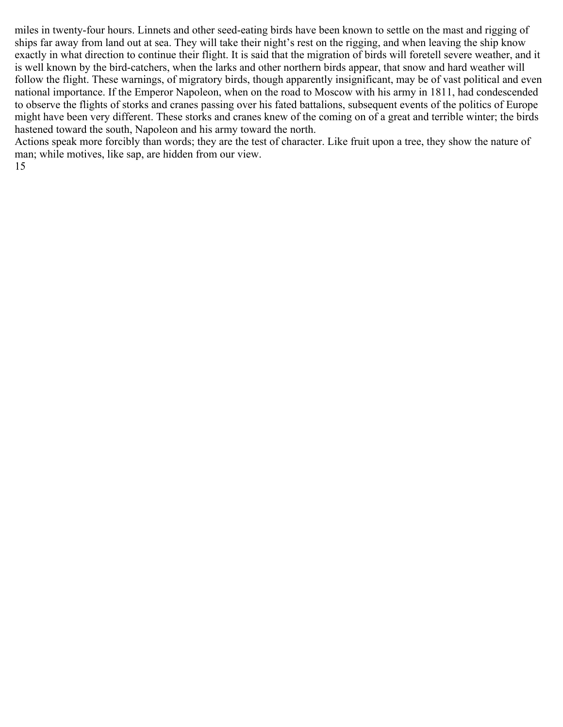miles in twenty-four hours. Linnets and other seed-eating birds have been known to settle on the mast and rigging of ships far away from land out at sea. They will take their night's rest on the rigging, and when leaving the ship know exactly in what direction to continue their flight. It is said that the migration of birds will foretell severe weather, and it is well known by the bird-catchers, when the larks and other northern birds appear, that snow and hard weather will follow the flight. These warnings, of migratory birds, though apparently insignificant, may be of vast political and even national importance. If the Emperor Napoleon, when on the road to Moscow with his army in 1811, had condescended to observe the flights of storks and cranes passing over his fated battalions, subsequent events of the politics of Europe might have been very different. These storks and cranes knew of the coming on of a great and terrible winter; the birds hastened toward the south, Napoleon and his army toward the north.

Actions speak more forcibly than words; they are the test of character. Like fruit upon a tree, they show the nature of man; while motives, like sap, are hidden from our view. 15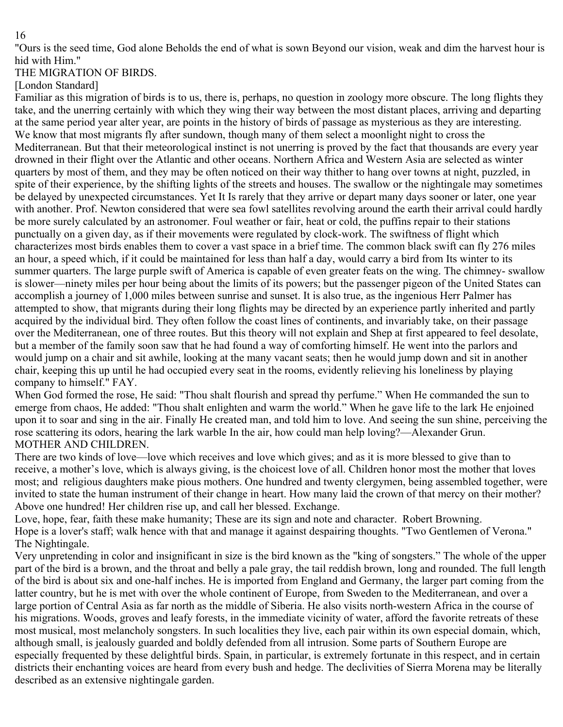"Ours is the seed time, God alone Beholds the end of what is sown Beyond our vision, weak and dim the harvest hour is hid with Him."

THE MIGRATION OF BIRDS.

[London Standard]

Familiar as this migration of birds is to us, there is, perhaps, no question in zoology more obscure. The long flights they take, and the unerring certainly with which they wing their way between the most distant places, arriving and departing at the same period year alter year, are points in the history of birds of passage as mysterious as they are interesting. We know that most migrants fly after sundown, though many of them select a moonlight night to cross the Mediterranean. But that their meteorological instinct is not unerring is proved by the fact that thousands are every year drowned in their flight over the Atlantic and other oceans. Northern Africa and Western Asia are selected as winter quarters by most of them, and they may be often noticed on their way thither to hang over towns at night, puzzled, in spite of their experience, by the shifting lights of the streets and houses. The swallow or the nightingale may sometimes be delayed by unexpected circumstances. Yet It Is rarely that they arrive or depart many days sooner or later, one year with another. Prof. Newton considered that were sea fowl satellites revolving around the earth their arrival could hardly be more surely calculated by an astronomer. Foul weather or fair, heat or cold, the puffins repair to their stations punctually on a given day, as if their movements were regulated by clock-work. The swiftness of flight which characterizes most birds enables them to cover a vast space in a brief time. The common black swift can fly 276 miles an hour, a speed which, if it could be maintained for less than half a day, would carry a bird from Its winter to its summer quarters. The large purple swift of America is capable of even greater feats on the wing. The chimney- swallow is slower—ninety miles per hour being about the limits of its powers; but the passenger pigeon of the United States can accomplish a journey of 1,000 miles between sunrise and sunset. It is also true, as the ingenious Herr Palmer has attempted to show, that migrants during their long flights may be directed by an experience partly inherited and partly acquired by the individual bird. They often follow the coast lines of continents, and invariably take, on their passage over the Mediterranean, one of three routes. But this theory will not explain and Shep at first appeared to feel desolate, but a member of the family soon saw that he had found a way of comforting himself. He went into the parlors and would jump on a chair and sit awhile, looking at the many vacant seats; then he would jump down and sit in another chair, keeping this up until he had occupied every seat in the rooms, evidently relieving his loneliness by playing company to himself." FAY.

When God formed the rose, He said: "Thou shalt flourish and spread thy perfume." When He commanded the sun to emerge from chaos, He added: "Thou shalt enlighten and warm the world." When he gave life to the lark He enjoined upon it to soar and sing in the air. Finally He created man, and told him to love. And seeing the sun shine, perceiving the rose scattering its odors, hearing the lark warble In the air, how could man help loving?—Alexander Grun. MOTHER AND CHILDREN.

There are two kinds of love—love which receives and love which gives; and as it is more blessed to give than to receive, a mother's love, which is always giving, is the choicest love of all. Children honor most the mother that loves most; and religious daughters make pious mothers. One hundred and twenty clergymen, being assembled together, were invited to state the human instrument of their change in heart. How many laid the crown of that mercy on their mother? Above one hundred! Her children rise up, and call her blessed. Exchange.

Love, hope, fear, faith these make humanity; These are its sign and note and character. Robert Browning. Hope is a lover's staff; walk hence with that and manage it against despairing thoughts. "Two Gentlemen of Verona." The Nightingale.

Very unpretending in color and insignificant in size is the bird known as the "king of songsters." The whole of the upper part of the bird is a brown, and the throat and belly a pale gray, the tail reddish brown, long and rounded. The full length of the bird is about six and one-half inches. He is imported from England and Germany, the larger part coming from the latter country, but he is met with over the whole continent of Europe, from Sweden to the Mediterranean, and over a large portion of Central Asia as far north as the middle of Siberia. He also visits north-western Africa in the course of his migrations. Woods, groves and leafy forests, in the immediate vicinity of water, afford the favorite retreats of these most musical, most melancholy songsters. In such localities they live, each pair within its own especial domain, which, although small, is jealously guarded and boldly defended from all intrusion. Some parts of Southern Europe are especially frequented by these delightful birds. Spain, in particular, is extremely fortunate in this respect, and in certain districts their enchanting voices are heard from every bush and hedge. The declivities of Sierra Morena may be literally described as an extensive nightingale garden.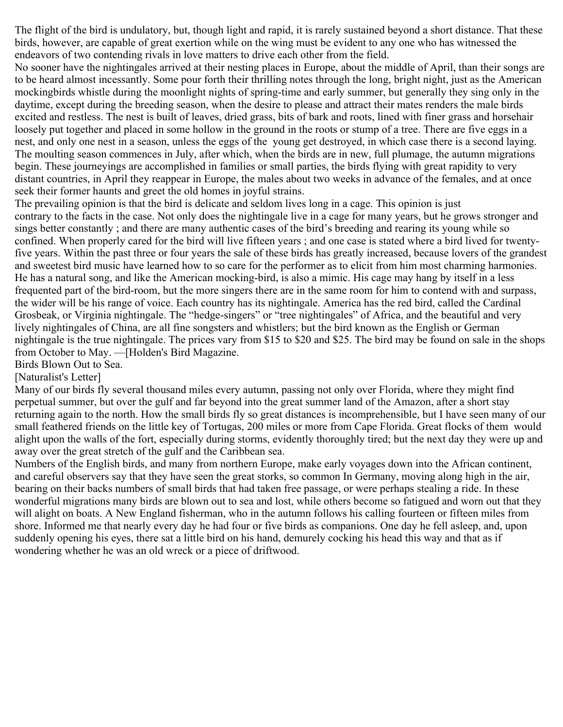The flight of the bird is undulatory, but, though light and rapid, it is rarely sustained beyond a short distance. That these birds, however, are capable of great exertion while on the wing must be evident to any one who has witnessed the endeavors of two contending rivals in love matters to drive each other from the field.

No sooner have the nightingales arrived at their nesting places in Europe, about the middle of April, than their songs are to be heard almost incessantly. Some pour forth their thrilling notes through the long, bright night, just as the American mockingbirds whistle during the moonlight nights of spring-time and early summer, but generally they sing only in the daytime, except during the breeding season, when the desire to please and attract their mates renders the male birds excited and restless. The nest is built of leaves, dried grass, bits of bark and roots, lined with finer grass and horsehair loosely put together and placed in some hollow in the ground in the roots or stump of a tree. There are five eggs in a nest, and only one nest in a season, unless the eggs of the young get destroyed, in which case there is a second laying. The moulting season commences in July, after which, when the birds are in new, full plumage, the autumn migrations begin. These journeyings are accomplished in families or small parties, the birds flying with great rapidity to very distant countries, in April they reappear in Europe, the males about two weeks in advance of the females, and at once seek their former haunts and greet the old homes in joyful strains.

The prevailing opinion is that the bird is delicate and seldom lives long in a cage. This opinion is just contrary to the facts in the case. Not only does the nightingale live in a cage for many years, but he grows stronger and sings better constantly ; and there are many authentic cases of the bird's breeding and rearing its young while so confined. When properly cared for the bird will live fifteen years ; and one case is stated where a bird lived for twentyfive years. Within the past three or four years the sale of these birds has greatly increased, because lovers of the grandest and sweetest bird music have learned how to so care for the performer as to elicit from him most charming harmonies. He has a natural song, and like the American mocking-bird, is also a mimic. His cage may hang by itself in a less frequented part of the bird-room, but the more singers there are in the same room for him to contend with and surpass, the wider will be his range of voice. Each country has its nightingale. America has the red bird, called the Cardinal Grosbeak, or Virginia nightingale. The "hedge-singers" or "tree nightingales" of Africa, and the beautiful and very lively nightingales of China, are all fine songsters and whistlers; but the bird known as the English or German nightingale is the true nightingale. The prices vary from \$15 to \$20 and \$25. The bird may be found on sale in the shops from October to May. —[Holden's Bird Magazine.

Birds Blown Out to Sea.

## [Naturalist's Letter]

Many of our birds fly several thousand miles every autumn, passing not only over Florida, where they might find perpetual summer, but over the gulf and far beyond into the great summer land of the Amazon, after a short stay returning again to the north. How the small birds fly so great distances is incomprehensible, but I have seen many of our small feathered friends on the little key of Tortugas, 200 miles or more from Cape Florida. Great flocks of them would alight upon the walls of the fort, especially during storms, evidently thoroughly tired; but the next day they were up and away over the great stretch of the gulf and the Caribbean sea.

Numbers of the English birds, and many from northern Europe, make early voyages down into the African continent, and careful observers say that they have seen the great storks, so common In Germany, moving along high in the air, bearing on their backs numbers of small birds that had taken free passage, or were perhaps stealing a ride. In these wonderful migrations many birds are blown out to sea and lost, while others become so fatigued and worn out that they will alight on boats. A New England fisherman, who in the autumn follows his calling fourteen or fifteen miles from shore. Informed me that nearly every day he had four or five birds as companions. One day he fell asleep, and, upon suddenly opening his eyes, there sat a little bird on his hand, demurely cocking his head this way and that as if wondering whether he was an old wreck or a piece of driftwood.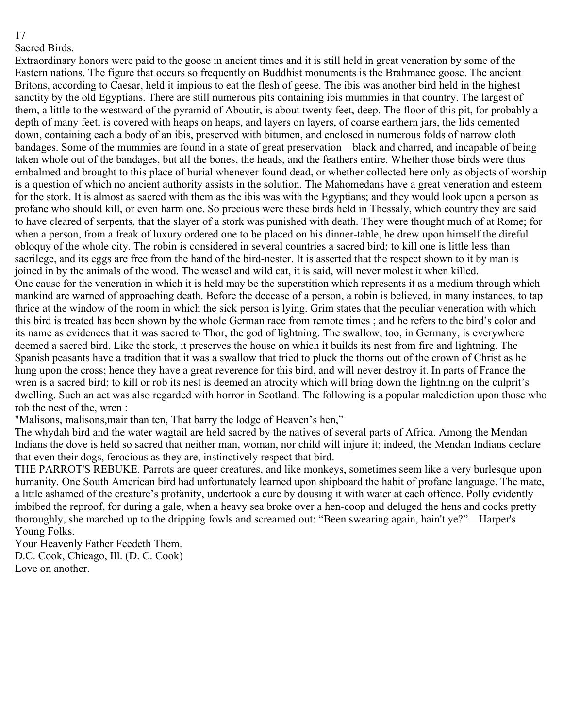Sacred Birds.

Extraordinary honors were paid to the goose in ancient times and it is still held in great veneration by some of the Eastern nations. The figure that occurs so frequently on Buddhist monuments is the Brahmanee goose. The ancient Britons, according to Caesar, held it impious to eat the flesh of geese. The ibis was another bird held in the highest sanctity by the old Egyptians. There are still numerous pits containing ibis mummies in that country. The largest of them, a little to the westward of the pyramid of Aboutir, is about twenty feet, deep. The floor of this pit, for probably a depth of many feet, is covered with heaps on heaps, and layers on layers, of coarse earthern jars, the lids cemented down, containing each a body of an ibis, preserved with bitumen, and enclosed in numerous folds of narrow cloth bandages. Some of the mummies are found in a state of great preservation—black and charred, and incapable of being taken whole out of the bandages, but all the bones, the heads, and the feathers entire. Whether those birds were thus embalmed and brought to this place of burial whenever found dead, or whether collected here only as objects of worship is a question of which no ancient authority assists in the solution. The Mahomedans have a great veneration and esteem for the stork. It is almost as sacred with them as the ibis was with the Egyptians; and they would look upon a person as profane who should kill, or even harm one. So precious were these birds held in Thessaly, which country they are said to have cleared of serpents, that the slayer of a stork was punished with death. They were thought much of at Rome; for when a person, from a freak of luxury ordered one to be placed on his dinner-table, he drew upon himself the direful obloquy of the whole city. The robin is considered in several countries a sacred bird; to kill one is little less than sacrilege, and its eggs are free from the hand of the bird-nester. It is asserted that the respect shown to it by man is joined in by the animals of the wood. The weasel and wild cat, it is said, will never molest it when killed. One cause for the veneration in which it is held may be the superstition which represents it as a medium through which mankind are warned of approaching death. Before the decease of a person, a robin is believed, in many instances, to tap thrice at the window of the room in which the sick person is lying. Grim states that the peculiar veneration with which this bird is treated has been shown by the whole German race from remote times ; and he refers to the bird's color and its name as evidences that it was sacred to Thor, the god of lightning. The swallow, too, in Germany, is everywhere deemed a sacred bird. Like the stork, it preserves the house on which it builds its nest from fire and lightning. The Spanish peasants have a tradition that it was a swallow that tried to pluck the thorns out of the crown of Christ as he hung upon the cross; hence they have a great reverence for this bird, and will never destroy it. In parts of France the wren is a sacred bird; to kill or rob its nest is deemed an atrocity which will bring down the lightning on the culprit's dwelling. Such an act was also regarded with horror in Scotland. The following is a popular malediction upon those who rob the nest of the, wren :

"Malisons, malisons,mair than ten, That barry the lodge of Heaven's hen,"

The whydah bird and the water wagtail are held sacred by the natives of several parts of Africa. Among the Mendan Indians the dove is held so sacred that neither man, woman, nor child will injure it; indeed, the Mendan Indians declare that even their dogs, ferocious as they are, instinctively respect that bird.

THE PARROT'S REBUKE. Parrots are queer creatures, and like monkeys, sometimes seem like a very burlesque upon humanity. One South American bird had unfortunately learned upon shipboard the habit of profane language. The mate, a little ashamed of the creature's profanity, undertook a cure by dousing it with water at each offence. Polly evidently imbibed the reproof, for during a gale, when a heavy sea broke over a hen-coop and deluged the hens and cocks pretty thoroughly, she marched up to the dripping fowls and screamed out: "Been swearing again, hain't ye?"—Harper's Young Folks.

Your Heavenly Father Feedeth Them. D.C. Cook, Chicago, Ill. (D. C. Cook) Love on another.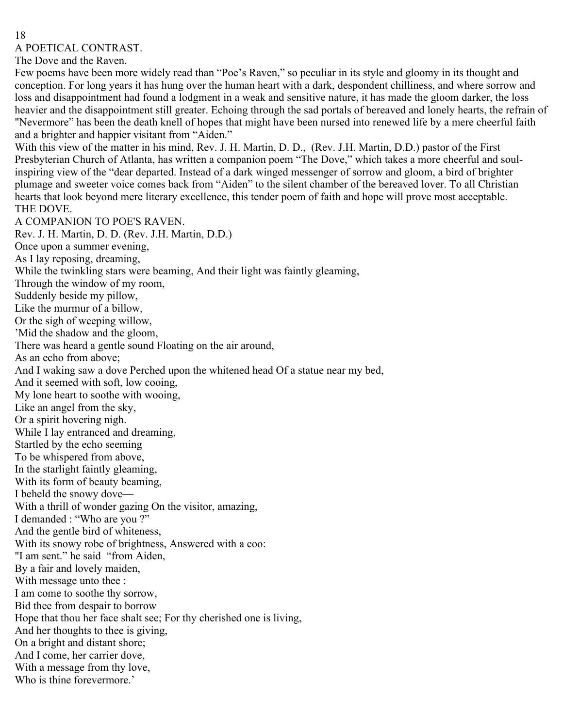A POETICAL CONTRAST.

The Dove and the Raven.

Few poems have been more widely read than "Poe's Raven," so peculiar in its style and gloomy in its thought and conception. For long years it has hung over the human heart with a dark, despondent chilliness, and where sorrow and loss and disappointment had found a lodgment in a weak and sensitive nature, it has made the gloom darker, the loss heavier and the disappointment still greater. Echoing through the sad portals of bereaved and lonely hearts, the refrain of "Nevermore" has been the death knell of hopes that might have been nursed into renewed life by a mere cheerful faith and a brighter and happier visitant from "Aiden."

With this view of the matter in his mind, Rev. J. H. Martin, D. D., (Rev. J.H. Martin, D.D.) pastor of the First Presbyterian Church of Atlanta, has written a companion poem "The Dove," which takes a more cheerful and soulinspiring view of the "dear departed. Instead of a dark winged messenger of sorrow and gloom, a bird of brighter plumage and sweeter voice comes back from "Aiden" to the silent chamber of the bereaved lover. To all Christian hearts that look beyond mere literary excellence, this tender poem of faith and hope will prove most acceptable. THE DOVE.

A COMPANION TO POE'S RAVEN. Rev. J. H. Martin, D. D. (Rev. J.H. Martin, D.D.) Once upon a summer evening, As I lay reposing, dreaming, While the twinkling stars were beaming, And their light was faintly gleaming, Through the window of my room, Suddenly beside my pillow, Like the murmur of a billow, Or the sigh of weeping willow, 'Mid the shadow and the gloom, There was heard a gentle sound Floating on the air around, As an echo from above; And I waking saw a dove Perched upon the whitened head Of a statue near my bed, And it seemed with soft, low cooing, My lone heart to soothe with wooing, Like an angel from the sky, Or a spirit hovering nigh. While I lay entranced and dreaming, Startled by the echo seeming To be whispered from above, In the starlight faintly gleaming, With its form of beauty beaming, I beheld the snowy dove— With a thrill of wonder gazing On the visitor, amazing, I demanded : "Who are you ?" And the gentle bird of whiteness, With its snowy robe of brightness, Answered with a coo: "I am sent." he said "from Aiden, By a fair and lovely maiden, With message unto thee : I am come to soothe thy sorrow, Bid thee from despair to borrow Hope that thou her face shalt see; For thy cherished one is living, And her thoughts to thee is giving, On a bright and distant shore; And I come, her carrier dove, With a message from thy love, Who is thine forevermore.'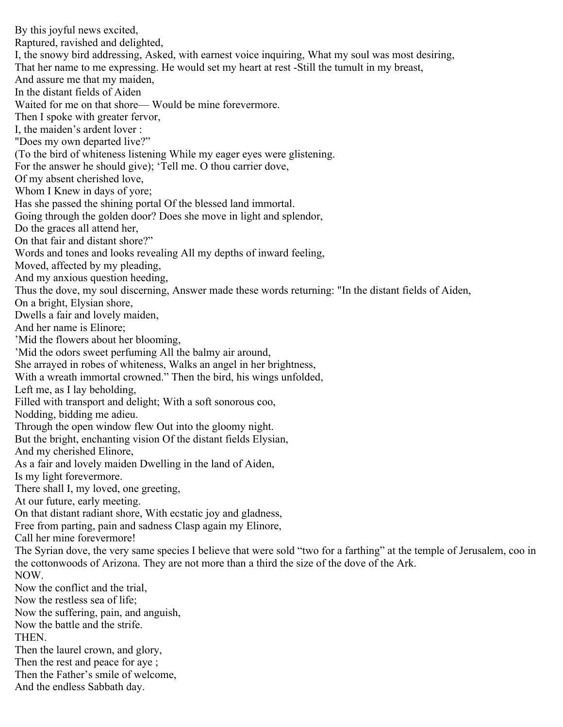By this joyful news excited, Raptured, ravished and delighted, I, the snowy bird addressing, Asked, with earnest voice inquiring, What my soul was most desiring, That her name to me expressing. He would set my heart at rest -Still the tumult in my breast, And assure me that my maiden, In the distant fields of Aiden Waited for me on that shore— Would be mine forevermore. Then I spoke with greater fervor, I, the maiden's ardent lover : "Does my own departed live?" (To the bird of whiteness listening While my eager eyes were glistening. For the answer he should give); 'Tell me. O thou carrier dove, Of my absent cherished love, Whom I Knew in days of yore; Has she passed the shining portal Of the blessed land immortal. Going through the golden door? Does she move in light and splendor, Do the graces all attend her, On that fair and distant shore?" Words and tones and looks revealing All my depths of inward feeling, Moved, affected by my pleading, And my anxious question heeding, Thus the dove, my soul discerning, Answer made these words returning: "In the distant fields of Aiden, On a bright, Elysian shore, Dwells a fair and lovely maiden, And her name is Elinore; 'Mid the flowers about her blooming, 'Mid the odors sweet perfuming All the balmy air around, She arrayed in robes of whiteness, Walks an angel in her brightness, With a wreath immortal crowned." Then the bird, his wings unfolded, Left me, as I lay beholding, Filled with transport and delight; With a soft sonorous coo, Nodding, bidding me adieu. Through the open window flew Out into the gloomy night. But the bright, enchanting vision Of the distant fields Elysian, And my cherished Elinore, As a fair and lovely maiden Dwelling in the land of Aiden, Is my light forevermore. There shall I, my loved, one greeting, At our future, early meeting. On that distant radiant shore, With ecstatic joy and gladness, Free from parting, pain and sadness Clasp again my Elinore, Call her mine forevermore! The Syrian dove, the very same species I believe that were sold "two for a farthing" at the temple of Jerusalem, coo in the cottonwoods of Arizona. They are not more than a third the size of the dove of the Ark. NOW. Now the conflict and the trial, Now the restless sea of life; Now the suffering, pain, and anguish, Now the battle and the strife. THEN. Then the laurel crown, and glory, Then the rest and peace for aye ; Then the Father's smile of welcome, And the endless Sabbath day.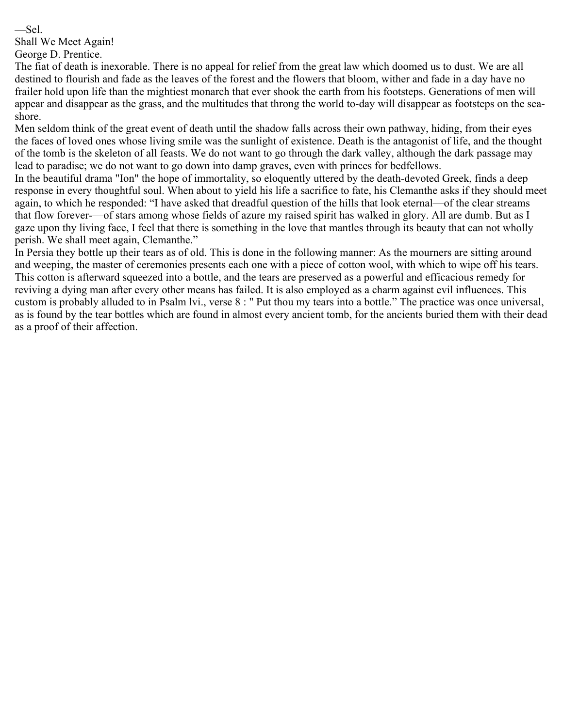—Sel.

Shall We Meet Again!

George D. Prentice.

The fiat of death is inexorable. There is no appeal for relief from the great law which doomed us to dust. We are all destined to flourish and fade as the leaves of the forest and the flowers that bloom, wither and fade in a day have no frailer hold upon life than the mightiest monarch that ever shook the earth from his footsteps. Generations of men will appear and disappear as the grass, and the multitudes that throng the world to-day will disappear as footsteps on the seashore.

Men seldom think of the great event of death until the shadow falls across their own pathway, hiding, from their eyes the faces of loved ones whose living smile was the sunlight of existence. Death is the antagonist of life, and the thought of the tomb is the skeleton of all feasts. We do not want to go through the dark valley, although the dark passage may lead to paradise; we do not want to go down into damp graves, even with princes for bedfellows.

In the beautiful drama "Ion" the hope of immortality, so eloquently uttered by the death-devoted Greek, finds a deep response in every thoughtful soul. When about to yield his life a sacrifice to fate, his Clemanthe asks if they should meet again, to which he responded: "I have asked that dreadful question of the hills that look eternal—of the clear streams that flow forever-—of stars among whose fields of azure my raised spirit has walked in glory. All are dumb. But as I gaze upon thy living face, I feel that there is something in the love that mantles through its beauty that can not wholly perish. We shall meet again, Clemanthe."

In Persia they bottle up their tears as of old. This is done in the following manner: As the mourners are sitting around and weeping, the master of ceremonies presents each one with a piece of cotton wool, with which to wipe off his tears. This cotton is afterward squeezed into a bottle, and the tears are preserved as a powerful and efficacious remedy for reviving a dying man after every other means has failed. It is also employed as a charm against evil influences. This custom is probably alluded to in Psalm lvi., verse 8 : " Put thou my tears into a bottle." The practice was once universal, as is found by the tear bottles which are found in almost every ancient tomb, for the ancients buried them with their dead as a proof of their affection.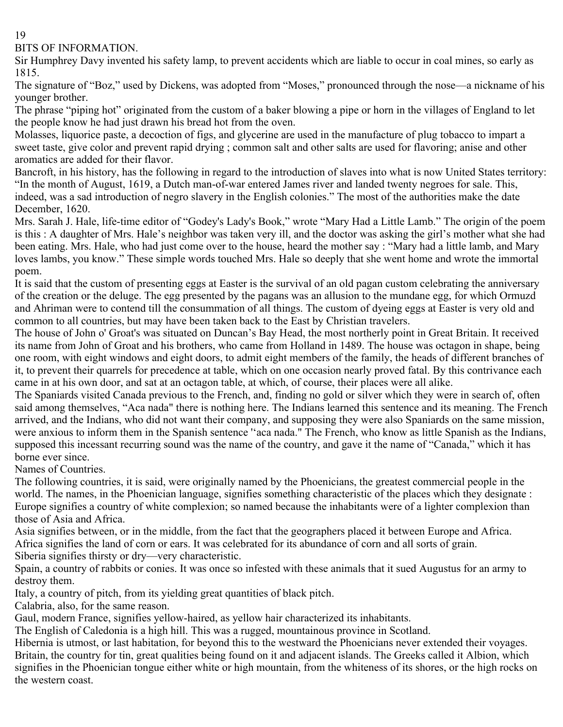BITS OF INFORMATION.

Sir Humphrey Davy invented his safety lamp, to prevent accidents which are liable to occur in coal mines, so early as 1815.

The signature of "Boz," used by Dickens, was adopted from "Moses," pronounced through the nose—a nickname of his younger brother.

The phrase "piping hot" originated from the custom of a baker blowing a pipe or horn in the villages of England to let the people know he had just drawn his bread hot from the oven.

Molasses, liquorice paste, a decoction of figs, and glycerine are used in the manufacture of plug tobacco to impart a sweet taste, give color and prevent rapid drying ; common salt and other salts are used for flavoring; anise and other aromatics are added for their flavor.

Bancroft, in his history, has the following in regard to the introduction of slaves into what is now United States territory: "In the month of August, 1619, a Dutch man-of-war entered James river and landed twenty negroes for sale. This, indeed, was a sad introduction of negro slavery in the English colonies." The most of the authorities make the date December, 1620.

Mrs. Sarah J. Hale, life-time editor of "Godey's Lady's Book," wrote "Mary Had a Little Lamb." The origin of the poem is this : A daughter of Mrs. Hale's neighbor was taken very ill, and the doctor was asking the girl's mother what she had been eating. Mrs. Hale, who had just come over to the house, heard the mother say : "Mary had a little lamb, and Mary loves lambs, you know." These simple words touched Mrs. Hale so deeply that she went home and wrote the immortal poem.

It is said that the custom of presenting eggs at Easter is the survival of an old pagan custom celebrating the anniversary of the creation or the deluge. The egg presented by the pagans was an allusion to the mundane egg, for which Ormuzd and Ahriman were to contend till the consummation of all things. The custom of dyeing eggs at Easter is very old and common to all countries, but may have been taken back to the East by Christian travelers.

The house of John o' Groat's was situated on Duncan's Bay Head, the most northerly point in Great Britain. It received its name from John of Groat and his brothers, who came from Holland in 1489. The house was octagon in shape, being one room, with eight windows and eight doors, to admit eight members of the family, the heads of different branches of it, to prevent their quarrels for precedence at table, which on one occasion nearly proved fatal. By this contrivance each came in at his own door, and sat at an octagon table, at which, of course, their places were all alike.

The Spaniards visited Canada previous to the French, and, finding no gold or silver which they were in search of, often said among themselves, "Aca nada" there is nothing here. The Indians learned this sentence and its meaning. The French arrived, and the Indians, who did not want their company, and supposing they were also Spaniards on the same mission, were anxious to inform them in the Spanish sentence "aca nada." The French, who know as little Spanish as the Indians, supposed this incessant recurring sound was the name of the country, and gave it the name of "Canada," which it has borne ever since.

Names of Countries.

The following countries, it is said, were originally named by the Phoenicians, the greatest commercial people in the world. The names, in the Phoenician language, signifies something characteristic of the places which they designate : Europe signifies a country of white complexion; so named because the inhabitants were of a lighter complexion than those of Asia and Africa.

Asia signifies between, or in the middle, from the fact that the geographers placed it between Europe and Africa. Africa signifies the land of corn or ears. It was celebrated for its abundance of corn and all sorts of grain. Siberia signifies thirsty or dry—very characteristic.

Spain, a country of rabbits or conies. It was once so infested with these animals that it sued Augustus for an army to destroy them.

Italy, a country of pitch, from its yielding great quantities of black pitch.

Calabria, also, for the same reason.

Gaul, modern France, signifies yellow-haired, as yellow hair characterized its inhabitants.

The English of Caledonia is a high hill. This was a rugged, mountainous province in Scotland.

Hibernia is utmost, or last habitation, for beyond this to the westward the Phoenicians never extended their voyages. Britain, the country for tin, great qualities being found on it and adjacent islands. The Greeks called it Albion, which signifies in the Phoenician tongue either white or high mountain, from the whiteness of its shores, or the high rocks on the western coast.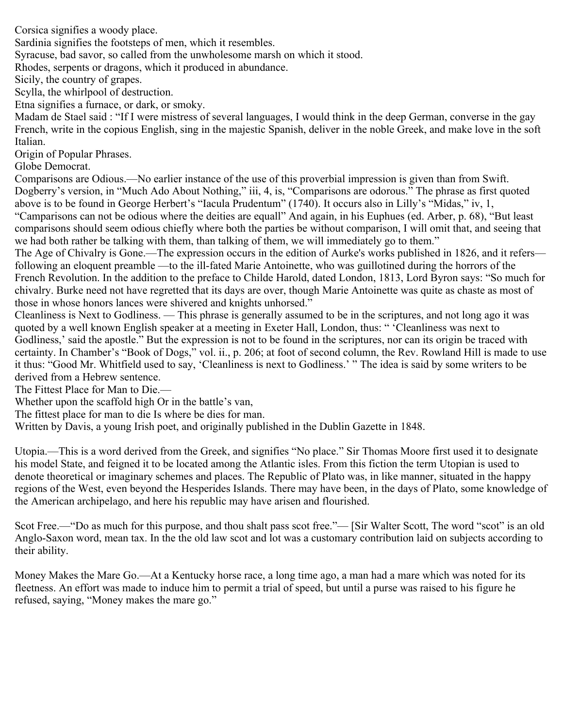Corsica signifies a woody place.

Sardinia signifies the footsteps of men, which it resembles.

Syracuse, bad savor, so called from the unwholesome marsh on which it stood.

Rhodes, serpents or dragons, which it produced in abundance.

Sicily, the country of grapes.

Scylla, the whirlpool of destruction.

Etna signifies a furnace, or dark, or smoky.

Madam de Stael said : "If I were mistress of several languages, I would think in the deep German, converse in the gay French, write in the copious English, sing in the majestic Spanish, deliver in the noble Greek, and make love in the soft Italian.

Origin of Popular Phrases.

Globe Democrat.

Comparisons are Odious.—No earlier instance of the use of this proverbial impression is given than from Swift. Dogberry's version, in "Much Ado About Nothing," iii, 4, is, "Comparisons are odorous." The phrase as first quoted above is to be found in George Herbert's "Iacula Prudentum" (1740). It occurs also in Lilly's "Midas," iv, 1, "Camparisons can not be odious where the deities are equall" And again, in his Euphues (ed. Arber, p. 68), "But least comparisons should seem odious chiefly where both the parties be without comparison, I will omit that, and seeing that we had both rather be talking with them, than talking of them, we will immediately go to them."

The Age of Chivalry is Gone.—The expression occurs in the edition of Aurke's works published in 1826, and it refers following an eloquent preamble —to the ill-fated Marie Antoinette, who was guillotined during the horrors of the French Revolution. In the addition to the preface to Childe Harold, dated London, 1813, Lord Byron says: "So much for chivalry. Burke need not have regretted that its days are over, though Marie Antoinette was quite as chaste as most of those in whose honors lances were shivered and knights unhorsed."

Cleanliness is Next to Godliness. — This phrase is generally assumed to be in the scriptures, and not long ago it was quoted by a well known English speaker at a meeting in Exeter Hall, London, thus: " 'Cleanliness was next to Godliness,' said the apostle." But the expression is not to be found in the scriptures, nor can its origin be traced with certainty. In Chamber's "Book of Dogs," vol. ii., p. 206; at foot of second column, the Rev. Rowland Hill is made to use it thus: "Good Mr. Whitfield used to say, 'Cleanliness is next to Godliness.' " The idea is said by some writers to be derived from a Hebrew sentence.

The Fittest Place for Man to Die.—

Whether upon the scaffold high Or in the battle's van,

The fittest place for man to die Is where be dies for man.

Written by Davis, a young Irish poet, and originally published in the Dublin Gazette in 1848.

Utopia.—This is a word derived from the Greek, and signifies "No place." Sir Thomas Moore first used it to designate his model State, and feigned it to be located among the Atlantic isles. From this fiction the term Utopian is used to denote theoretical or imaginary schemes and places. The Republic of Plato was, in like manner, situated in the happy regions of the West, even beyond the Hesperides Islands. There may have been, in the days of Plato, some knowledge of the American archipelago, and here his republic may have arisen and flourished.

Scot Free.—"Do as much for this purpose, and thou shalt pass scot free."— [Sir Walter Scott, The word "scot" is an old Anglo-Saxon word, mean tax. In the the old law scot and lot was a customary contribution laid on subjects according to their ability.

Money Makes the Mare Go.—At a Kentucky horse race, a long time ago, a man had a mare which was noted for its fleetness. An effort was made to induce him to permit a trial of speed, but until a purse was raised to his figure he refused, saying, "Money makes the mare go."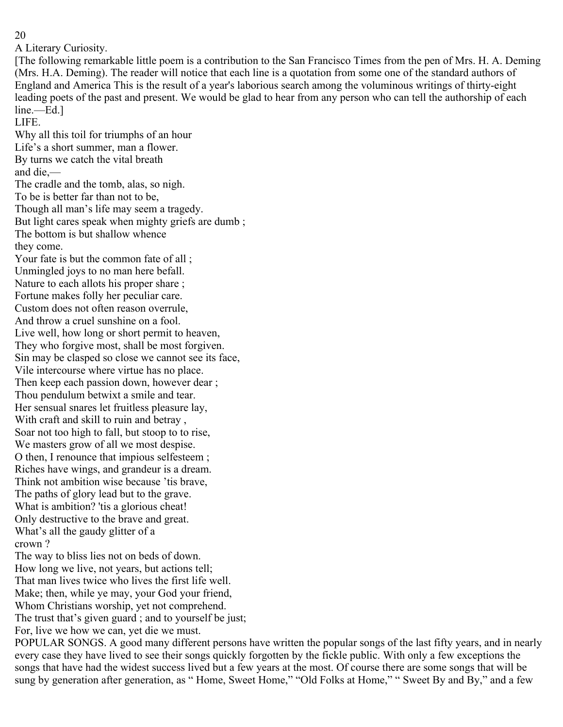A Literary Curiosity.

[The following remarkable little poem is a contribution to the San Francisco Times from the pen of Mrs. H. A. Deming (Mrs. H.A. Deming). The reader will notice that each line is a quotation from some one of the standard authors of England and America This is the result of a year's laborious search among the voluminous writings of thirty-eight leading poets of the past and present. We would be glad to hear from any person who can tell the authorship of each line.—Ed.]

LIFE.

Why all this toil for triumphs of an hour Life's a short summer, man a flower. By turns we catch the vital breath and die,— The cradle and the tomb, alas, so nigh. To be is better far than not to be, Though all man's life may seem a tragedy. But light cares speak when mighty griefs are dumb ; The bottom is but shallow whence they come. Your fate is but the common fate of all ; Unmingled joys to no man here befall. Nature to each allots his proper share ; Fortune makes folly her peculiar care. Custom does not often reason overrule, And throw a cruel sunshine on a fool. Live well, how long or short permit to heaven, They who forgive most, shall be most forgiven. Sin may be clasped so close we cannot see its face, Vile intercourse where virtue has no place. Then keep each passion down, however dear ; Thou pendulum betwixt a smile and tear. Her sensual snares let fruitless pleasure lay, With craft and skill to ruin and betray , Soar not too high to fall, but stoop to to rise, We masters grow of all we most despise. O then, I renounce that impious selfesteem ; Riches have wings, and grandeur is a dream. Think not ambition wise because 'tis brave, The paths of glory lead but to the grave. What is ambition? 'tis a glorious cheat! Only destructive to the brave and great. What's all the gaudy glitter of a crown ? The way to bliss lies not on beds of down.

How long we live, not years, but actions tell; That man lives twice who lives the first life well. Make; then, while ye may, your God your friend, Whom Christians worship, yet not comprehend. The trust that's given guard ; and to yourself be just; For, live we how we can, yet die we must.

POPULAR SONGS. A good many different persons have written the popular songs of the last fifty years, and in nearly every case they have lived to see their songs quickly forgotten by the fickle public. With only a few exceptions the songs that have had the widest success lived but a few years at the most. Of course there are some songs that will be sung by generation after generation, as "Home, Sweet Home," "Old Folks at Home," "Sweet By and By," and a few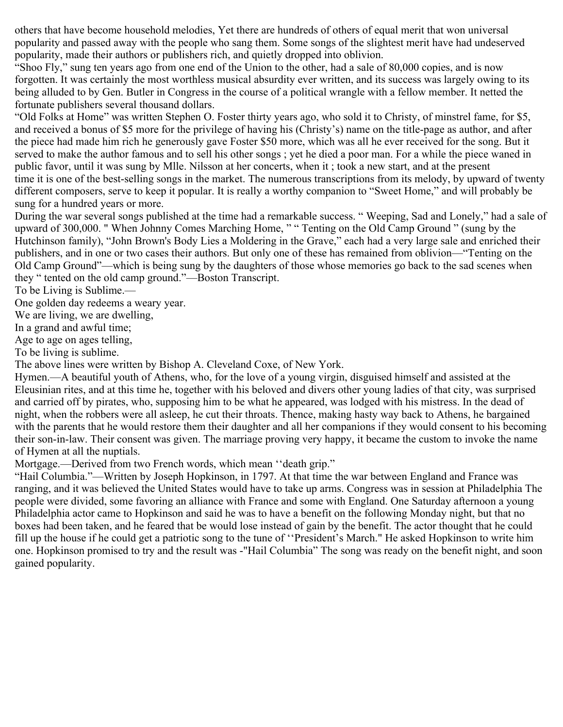others that have become household melodies, Yet there are hundreds of others of equal merit that won universal popularity and passed away with the people who sang them. Some songs of the slightest merit have had undeserved popularity, made their authors or publishers rich, and quietly dropped into oblivion.

"Shoo Fly," sung ten years ago from one end of the Union to the other, had a sale of 80,000 copies, and is now forgotten. It was certainly the most worthless musical absurdity ever written, and its success was largely owing to its being alluded to by Gen. Butler in Congress in the course of a political wrangle with a fellow member. It netted the fortunate publishers several thousand dollars.

"Old Folks at Home" was written Stephen O. Foster thirty years ago, who sold it to Christy, of minstrel fame, for \$5, and received a bonus of \$5 more for the privilege of having his (Christy's) name on the title-page as author, and after the piece had made him rich he generously gave Foster \$50 more, which was all he ever received for the song. But it served to make the author famous and to sell his other songs ; yet he died a poor man. For a while the piece waned in public favor, until it was sung by Mlle. Nilsson at her concerts, when it ; took a new start, and at the present time it is one of the best-selling songs in the market. The numerous transcriptions from its melody, by upward of twenty different composers, serve to keep it popular. It is really a worthy companion to "Sweet Home," and will probably be sung for a hundred years or more.

During the war several songs published at the time had a remarkable success. " Weeping, Sad and Lonely," had a sale of upward of 300,000. " When Johnny Comes Marching Home, " " Tenting on the Old Camp Ground " (sung by the Hutchinson family), "John Brown's Body Lies a Moldering in the Grave," each had a very large sale and enriched their publishers, and in one or two cases their authors. But only one of these has remained from oblivion—"Tenting on the Old Camp Ground"—which is being sung by the daughters of those whose memories go back to the sad scenes when they " tented on the old camp ground."—Boston Transcript.

To be Living is Sublime.—

One golden day redeems a weary year.

We are living, we are dwelling,

In a grand and awful time;

Age to age on ages telling,

To be living is sublime.

The above lines were written by Bishop A. Cleveland Coxe, of New York.

Hymen.—A beautiful youth of Athens, who, for the love of a young virgin, disguised himself and assisted at the Eleusinian rites, and at this time he, together with his beloved and divers other young ladies of that city, was surprised and carried off by pirates, who, supposing him to be what he appeared, was lodged with his mistress. In the dead of night, when the robbers were all asleep, he cut their throats. Thence, making hasty way back to Athens, he bargained with the parents that he would restore them their daughter and all her companions if they would consent to his becoming their son-in-law. Their consent was given. The marriage proving very happy, it became the custom to invoke the name of Hymen at all the nuptials.

Mortgage.—Derived from two French words, which mean ''death grip."

"Hail Columbia."—Written by Joseph Hopkinson, in 1797. At that time the war between England and France was ranging, and it was believed the United States would have to take up arms. Congress was in session at Philadelphia The people were divided, some favoring an alliance with France and some with England. One Saturday afternoon a young Philadelphia actor came to Hopkinson and said he was to have a benefit on the following Monday night, but that no boxes had been taken, and he feared that be would lose instead of gain by the benefit. The actor thought that he could fill up the house if he could get a patriotic song to the tune of ''President's March." He asked Hopkinson to write him one. Hopkinson promised to try and the result was -"Hail Columbia" The song was ready on the benefit night, and soon gained popularity.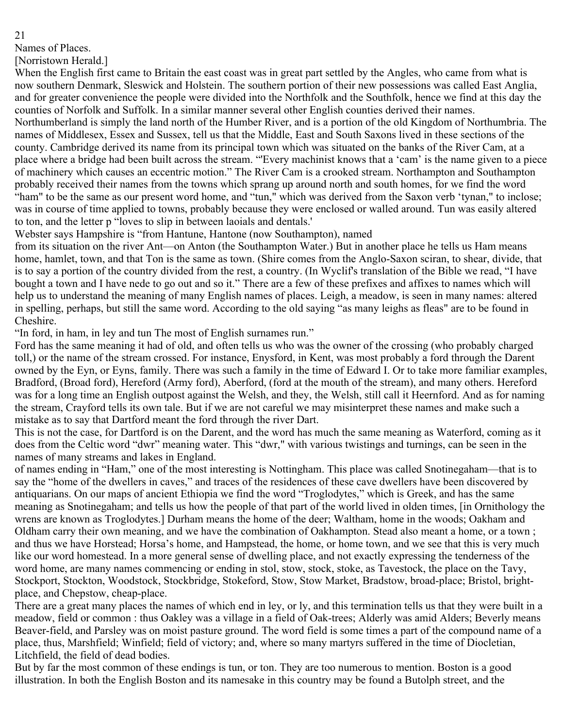Names of Places.

[Norristown Herald.]

When the English first came to Britain the east coast was in great part settled by the Angles, who came from what is now southern Denmark, Sleswick and Holstein. The southern portion of their new possessions was called East Anglia, and for greater convenience the people were divided into the Northfolk and the Southfolk, hence we find at this day the counties of Norfolk and Suffolk. In a similar manner several other English counties derived their names.

Northumberland is simply the land north of the Humber River, and is a portion of the old Kingdom of Northumbria. The names of Middlesex, Essex and Sussex, tell us that the Middle, East and South Saxons lived in these sections of the county. Cambridge derived its name from its principal town which was situated on the banks of the River Cam, at a place where a bridge had been built across the stream. "'Every machinist knows that a 'cam' is the name given to a piece of machinery which causes an eccentric motion." The River Cam is a crooked stream. Northampton and Southampton probably received their names from the towns which sprang up around north and south homes, for we find the word "ham" to be the same as our present word home, and "tun," which was derived from the Saxon verb 'tynan," to inclose; was in course of time applied to towns, probably because they were enclosed or walled around. Tun was easily altered to ton, and the letter p "loves to slip in between laoials and dentals.'

Webster says Hampshire is "from Hantune, Hantone (now Southampton), named

from its situation on the river Ant—on Anton (the Southampton Water.) But in another place he tells us Ham means home, hamlet, town, and that Ton is the same as town. (Shire comes from the Anglo-Saxon sciran, to shear, divide, that is to say a portion of the country divided from the rest, a country. (In Wyclif's translation of the Bible we read, "I have bought a town and I have nede to go out and so it." There are a few of these prefixes and affixes to names which will help us to understand the meaning of many English names of places. Leigh, a meadow, is seen in many names: altered in spelling, perhaps, but still the same word. According to the old saying "as many leighs as fleas" are to be found in Cheshire.

"In ford, in ham, in ley and tun The most of English surnames run."

Ford has the same meaning it had of old, and often tells us who was the owner of the crossing (who probably charged toll,) or the name of the stream crossed. For instance, Enysford, in Kent, was most probably a ford through the Darent owned by the Eyn, or Eyns, family. There was such a family in the time of Edward I. Or to take more familiar examples, Bradford, (Broad ford), Hereford (Army ford), Aberford, (ford at the mouth of the stream), and many others. Hereford was for a long time an English outpost against the Welsh, and they, the Welsh, still call it Heernford. And as for naming the stream, Crayford tells its own tale. But if we are not careful we may misinterpret these names and make such a mistake as to say that Dartford meant the ford through the river Dart.

This is not the case, for Dartford is on the Darent, and the word has much the same meaning as Waterford, coming as it does from the Celtic word "dwr" meaning water. This "dwr," with various twistings and turnings, can be seen in the names of many streams and lakes in England.

of names ending in "Ham," one of the most interesting is Nottingham. This place was called Snotinegaham—that is to say the "home of the dwellers in caves," and traces of the residences of these cave dwellers have been discovered by antiquarians. On our maps of ancient Ethiopia we find the word "Troglodytes," which is Greek, and has the same meaning as Snotinegaham; and tells us how the people of that part of the world lived in olden times, [in Ornithology the wrens are known as Troglodytes.] Durham means the home of the deer; Waltham, home in the woods; Oakham and Oldham carry their own meaning, and we have the combination of Oakhampton. Stead also meant a home, or a town ; and thus we have Horstead; Horsa's home, and Hampstead, the home, or home town, and we see that this is very much like our word homestead. In a more general sense of dwelling place, and not exactly expressing the tenderness of the word home, are many names commencing or ending in stol, stow, stock, stoke, as Tavestock, the place on the Tavy, Stockport, Stockton, Woodstock, Stockbridge, Stokeford, Stow, Stow Market, Bradstow, broad-place; Bristol, brightplace, and Chepstow, cheap-place.

There are a great many places the names of which end in ley, or ly, and this termination tells us that they were built in a meadow, field or common : thus Oakley was a village in a field of Oak-trees; Alderly was amid Alders; Beverly means Beaver-field, and Parsley was on moist pasture ground. The word field is some times a part of the compound name of a place, thus, Marshfield; Winfield; field of victory; and, where so many martyrs suffered in the time of Diocletian, Litchfield, the field of dead bodies.

But by far the most common of these endings is tun, or ton. They are too numerous to mention. Boston is a good illustration. In both the English Boston and its namesake in this country may be found a Butolph street, and the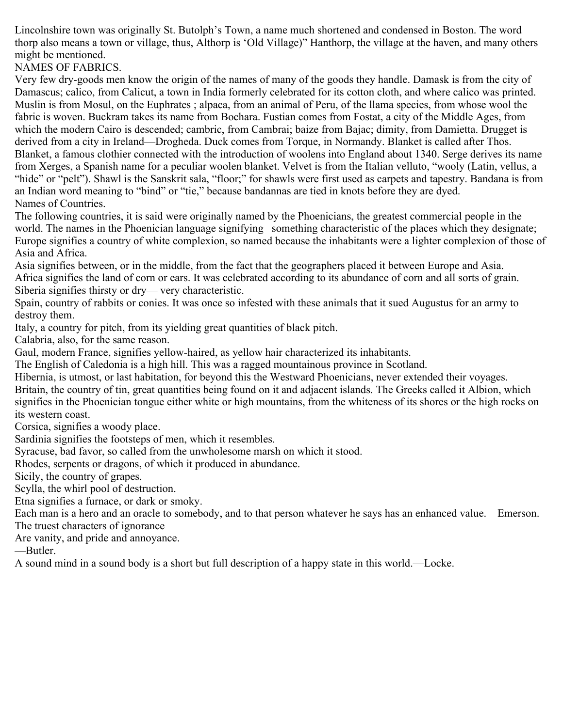Lincolnshire town was originally St. Butolph's Town, a name much shortened and condensed in Boston. The word thorp also means a town or village, thus, Althorp is 'Old Village)" Hanthorp, the village at the haven, and many others might be mentioned.

NAMES OF FABRICS.

Very few dry-goods men know the origin of the names of many of the goods they handle. Damask is from the city of Damascus; calico, from Calicut, a town in India formerly celebrated for its cotton cloth, and where calico was printed. Muslin is from Mosul, on the Euphrates ; alpaca, from an animal of Peru, of the llama species, from whose wool the fabric is woven. Buckram takes its name from Bochara. Fustian comes from Fostat, a city of the Middle Ages, from which the modern Cairo is descended; cambric, from Cambrai; baize from Bajac; dimity, from Damietta. Drugget is derived from a city in Ireland—Drogheda. Duck comes from Torque, in Normandy. Blanket is called after Thos. Blanket, a famous clothier connected with the introduction of woolens into England about 1340. Serge derives its name from Xerges, a Spanish name for a peculiar woolen blanket. Velvet is from the Italian velluto, "wooly (Latin, vellus, a "hide" or "pelt"). Shawl is the Sanskrit sala, "floor;" for shawls were first used as carpets and tapestry. Bandana is from an Indian word meaning to "bind" or "tie," because bandannas are tied in knots before they are dyed. Names of Countries.

The following countries, it is said were originally named by the Phoenicians, the greatest commercial people in the world. The names in the Phoenician language signifying something characteristic of the places which they designate; Europe signifies a country of white complexion, so named because the inhabitants were a lighter complexion of those of Asia and Africa.

Asia signifies between, or in the middle, from the fact that the geographers placed it between Europe and Asia. Africa signifies the land of corn or ears. It was celebrated according to its abundance of corn and all sorts of grain. Siberia signifies thirsty or dry— very characteristic.

Spain, country of rabbits or conies. It was once so infested with these animals that it sued Augustus for an army to destroy them.

Italy, a country for pitch, from its yielding great quantities of black pitch.

Calabria, also, for the same reason.

Gaul, modern France, signifies yellow-haired, as yellow hair characterized its inhabitants.

The English of Caledonia is a high hill. This was a ragged mountainous province in Scotland.

Hibernia, is utmost, or last habitation, for beyond this the Westward Phoenicians, never extended their voyages.

Britain, the country of tin, great quantities being found on it and adjacent islands. The Greeks called it Albion, which signifies in the Phoenician tongue either white or high mountains, from the whiteness of its shores or the high rocks on its western coast.

Corsica, signifies a woody place.

Sardinia signifies the footsteps of men, which it resembles.

Syracuse, bad favor, so called from the unwholesome marsh on which it stood.

Rhodes, serpents or dragons, of which it produced in abundance.

Sicily, the country of grapes.

Scylla, the whirl pool of destruction.

Etna signifies a furnace, or dark or smoky.

Each man is a hero and an oracle to somebody, and to that person whatever he says has an enhanced value.—Emerson. The truest characters of ignorance

Are vanity, and pride and annoyance.

—Butler.

A sound mind in a sound body is a short but full description of a happy state in this world.—Locke.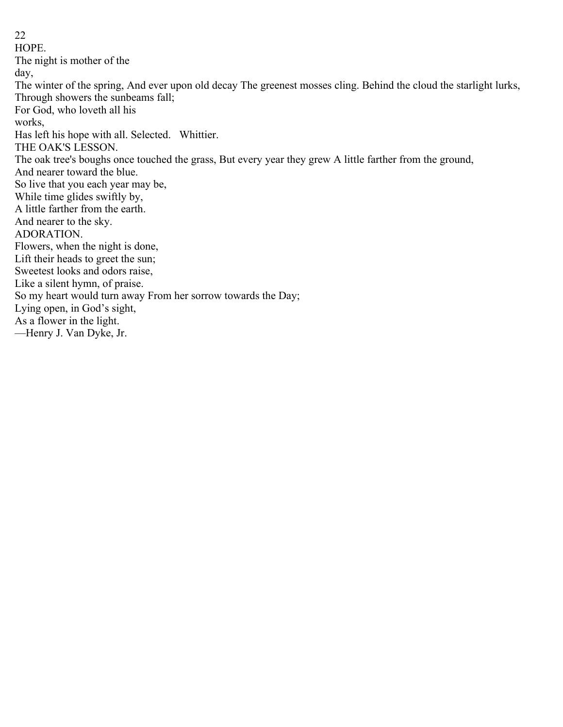22 HOPE. The night is mother of the day, The winter of the spring, And ever upon old decay The greenest mosses cling. Behind the cloud the starlight lurks, Through showers the sunbeams fall; For God, who loveth all his works, Has left his hope with all. Selected. Whittier. THE OAK'S LESSON. The oak tree's boughs once touched the grass, But every year they grew A little farther from the ground, And nearer toward the blue. So live that you each year may be, While time glides swiftly by, A little farther from the earth. And nearer to the sky. ADORATION. Flowers, when the night is done, Lift their heads to greet the sun; Sweetest looks and odors raise, Like a silent hymn, of praise. So my heart would turn away From her sorrow towards the Day; Lying open, in God's sight, As a flower in the light. —Henry J. Van Dyke, Jr.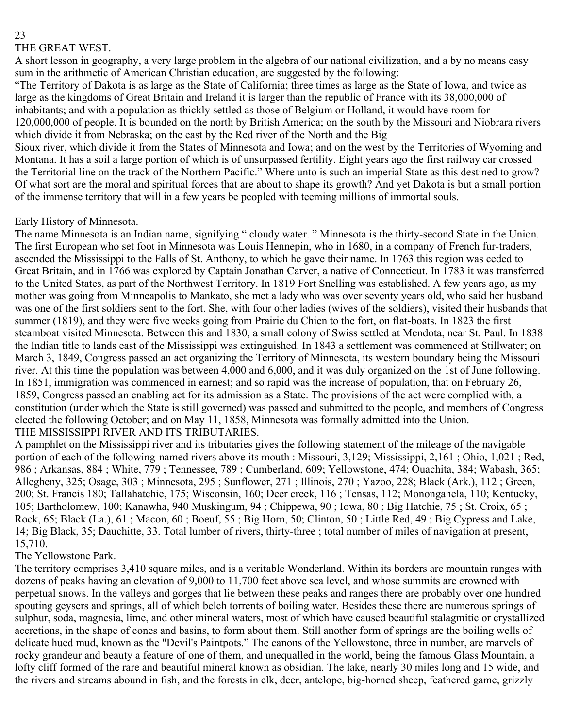# THE GREAT WEST.

A short lesson in geography, a very large problem in the algebra of our national civilization, and a by no means easy sum in the arithmetic of American Christian education, are suggested by the following:

"The Territory of Dakota is as large as the State of California; three times as large as the State of Iowa, and twice as large as the kingdoms of Great Britain and Ireland it is larger than the republic of France with its 38,000,000 of inhabitants; and with a population as thickly settled as those of Belgium or Holland, it would have room for 120,000,000 of people. It is bounded on the north by British America; on the south by the Missouri and Niobrara rivers which divide it from Nebraska; on the east by the Red river of the North and the Big

Sioux river, which divide it from the States of Minnesota and Iowa; and on the west by the Territories of Wyoming and Montana. It has a soil a large portion of which is of unsurpassed fertility. Eight years ago the first railway car crossed the Territorial line on the track of the Northern Pacific." Where unto is such an imperial State as this destined to grow? Of what sort are the moral and spiritual forces that are about to shape its growth? And yet Dakota is but a small portion of the immense territory that will in a few years be peopled with teeming millions of immortal souls.

Early History of Minnesota.

The name Minnesota is an Indian name, signifying " cloudy water. " Minnesota is the thirty-second State in the Union. The first European who set foot in Minnesota was Louis Hennepin, who in 1680, in a company of French fur-traders, ascended the Mississippi to the Falls of St. Anthony, to which he gave their name. In 1763 this region was ceded to Great Britain, and in 1766 was explored by Captain Jonathan Carver, a native of Connecticut. In 1783 it was transferred to the United States, as part of the Northwest Territory. In 1819 Fort Snelling was established. A few years ago, as my mother was going from Minneapolis to Mankato, she met a lady who was over seventy years old, who said her husband was one of the first soldiers sent to the fort. She, with four other ladies (wives of the soldiers), visited their husbands that summer (1819), and they were five weeks going from Prairie du Chien to the fort, on flat-boats. In 1823 the first steamboat visited Minnesota. Between this and 1830, a small colony of Swiss settled at Mendota, near St. Paul. In 1838 the Indian title to lands east of the Mississippi was extinguished. In 1843 a settlement was commenced at Stillwater; on March 3, 1849, Congress passed an act organizing the Territory of Minnesota, its western boundary being the Missouri river. At this time the population was between 4,000 and 6,000, and it was duly organized on the 1st of June following. In 1851, immigration was commenced in earnest; and so rapid was the increase of population, that on February 26, 1859, Congress passed an enabling act for its admission as a State. The provisions of the act were complied with, a constitution (under which the State is still governed) was passed and submitted to the people, and members of Congress elected the following October; and on May 11, 1858, Minnesota was formally admitted into the Union. THE MISSISSIPPI RIVER AND ITS TRIBUTARIES.

A pamphlet on the Mississippi river and its tributaries gives the following statement of the mileage of the navigable portion of each of the following-named rivers above its mouth : Missouri, 3,129; Mississippi, 2,161; Ohio, 1,021; Red, 986 ; Arkansas, 884 ; White, 779 ; Tennessee, 789 ; Cumberland, 609; Yellowstone, 474; Ouachita, 384; Wabash, 365; Allegheny, 325; Osage, 303 ; Minnesota, 295 ; Sunflower, 271 ; Illinois, 270 ; Yazoo, 228; Black (Ark.), 112 ; Green, 200; St. Francis 180; Tallahatchie, 175; Wisconsin, 160; Deer creek, 116 ; Tensas, 112; Monongahela, 110; Kentucky, 105; Bartholomew, 100; Kanawha, 940 Muskingum, 94 ; Chippewa, 90 ; Iowa, 80 ; Big Hatchie, 75 ; St. Croix, 65 ; Rock, 65; Black (La.), 61 ; Macon, 60 ; Boeuf, 55 ; Big Horn, 50; Clinton, 50 ; Little Red, 49 ; Big Cypress and Lake, 14; Big Black, 35; Dauchitte, 33. Total lumber of rivers, thirty-three ; total number of miles of navigation at present, 15,710.

## The Yellowstone Park.

The territory comprises 3,410 square miles, and is a veritable Wonderland. Within its borders are mountain ranges with dozens of peaks having an elevation of 9,000 to 11,700 feet above sea level, and whose summits are crowned with perpetual snows. In the valleys and gorges that lie between these peaks and ranges there are probably over one hundred spouting geysers and springs, all of which belch torrents of boiling water. Besides these there are numerous springs of sulphur, soda, magnesia, lime, and other mineral waters, most of which have caused beautiful stalagmitic or crystallized accretions, in the shape of cones and basins, to form about them. Still another form of springs are the boiling wells of delicate hued mud, known as the "Devil's Paintpots." The canons of the Yellowstone, three in number, are marvels of rocky grandeur and beauty a feature of one of them, and unequalled in the world, being the famous Glass Mountain, a lofty cliff formed of the rare and beautiful mineral known as obsidian. The lake, nearly 30 miles long and 15 wide, and the rivers and streams abound in fish, and the forests in elk, deer, antelope, big-horned sheep, feathered game, grizzly

#### 23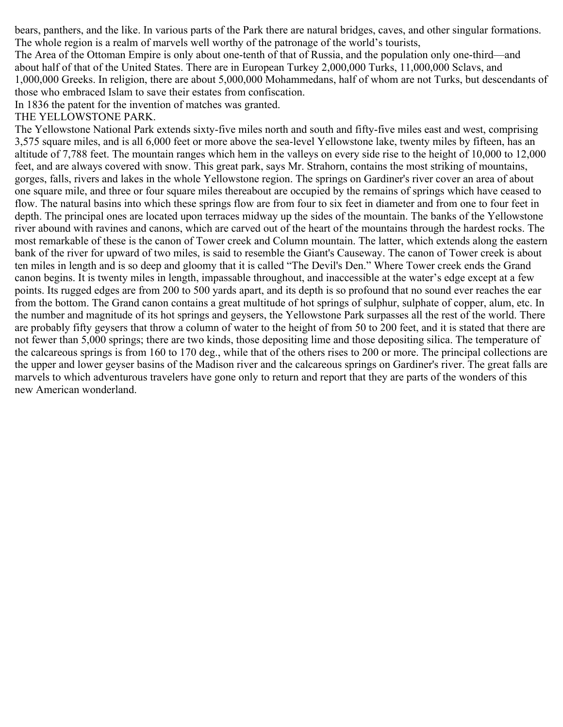bears, panthers, and the like. In various parts of the Park there are natural bridges, caves, and other singular formations. The whole region is a realm of marvels well worthy of the patronage of the world's tourists,

The Area of the Ottoman Empire is only about one-tenth of that of Russia, and the population only one-third—and about half of that of the United States. There are in European Turkey 2,000,000 Turks, 11,000,000 Sclavs, and 1,000,000 Greeks. In religion, there are about 5,000,000 Mohammedans, half of whom are not Turks, but descendants of those who embraced Islam to save their estates from confiscation.

In 1836 the patent for the invention of matches was granted.

#### THE YELLOWSTONE PARK.

The Yellowstone National Park extends sixty-five miles north and south and fifty-five miles east and west, comprising 3,575 square miles, and is all 6,000 feet or more above the sea-level Yellowstone lake, twenty miles by fifteen, has an altitude of 7,788 feet. The mountain ranges which hem in the valleys on every side rise to the height of 10,000 to 12,000 feet, and are always covered with snow. This great park, says Mr. Strahorn, contains the most striking of mountains, gorges, falls, rivers and lakes in the whole Yellowstone region. The springs on Gardiner's river cover an area of about one square mile, and three or four square miles thereabout are occupied by the remains of springs which have ceased to flow. The natural basins into which these springs flow are from four to six feet in diameter and from one to four feet in depth. The principal ones are located upon terraces midway up the sides of the mountain. The banks of the Yellowstone river abound with ravines and canons, which are carved out of the heart of the mountains through the hardest rocks. The most remarkable of these is the canon of Tower creek and Column mountain. The latter, which extends along the eastern bank of the river for upward of two miles, is said to resemble the Giant's Causeway. The canon of Tower creek is about ten miles in length and is so deep and gloomy that it is called "The Devil's Den." Where Tower creek ends the Grand canon begins. It is twenty miles in length, impassable throughout, and inaccessible at the water's edge except at a few points. Its rugged edges are from 200 to 500 yards apart, and its depth is so profound that no sound ever reaches the ear from the bottom. The Grand canon contains a great multitude of hot springs of sulphur, sulphate of copper, alum, etc. In the number and magnitude of its hot springs and geysers, the Yellowstone Park surpasses all the rest of the world. There are probably fifty geysers that throw a column of water to the height of from 50 to 200 feet, and it is stated that there are not fewer than 5,000 springs; there are two kinds, those depositing lime and those depositing silica. The temperature of the calcareous springs is from 160 to 170 deg., while that of the others rises to 200 or more. The principal collections are the upper and lower geyser basins of the Madison river and the calcareous springs on Gardiner's river. The great falls are marvels to which adventurous travelers have gone only to return and report that they are parts of the wonders of this new American wonderland.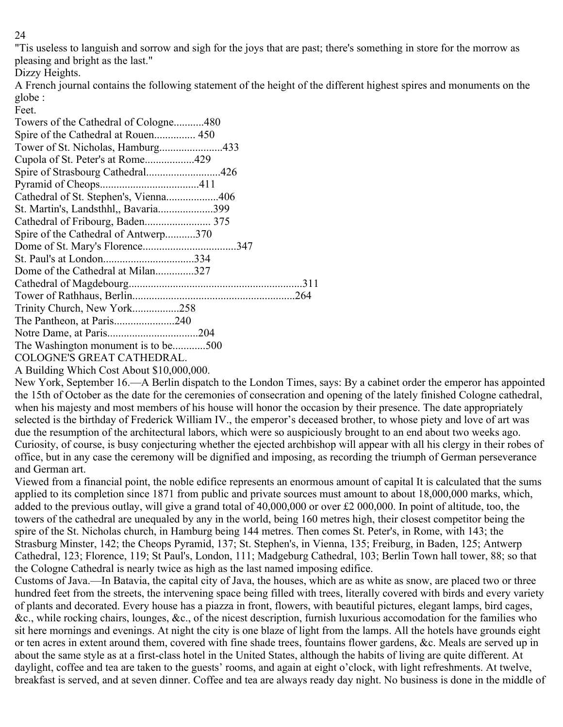"Tis useless to languish and sorrow and sigh for the joys that are past; there's something in store for the morrow as pleasing and bright as the last."

Dizzy Heights.

A French journal contains the following statement of the height of the different highest spires and monuments on the globe :

Feet.

| Towers of the Cathedral of Cologne480     |
|-------------------------------------------|
| Spire of the Cathedral at Rouen 450       |
|                                           |
| Cupola of St. Peter's at Rome429          |
| Spire of Strasbourg Cathedral426          |
|                                           |
| Cathedral of St. Stephen's, Vienna406     |
| St. Martin's, Landsthhl,, Bavaria399      |
|                                           |
| Spire of the Cathedral of Antwerp370      |
|                                           |
|                                           |
| Dome of the Cathedral at Milan327         |
|                                           |
|                                           |
| Trinity Church, New York258               |
| The Pantheon, at Paris240                 |
|                                           |
| The Washington monument is to be500       |
| COLOGNE'S GREAT CATHEDRAL.                |
| A Building Which Cost About \$10,000,000. |

New York, September 16.—A Berlin dispatch to the London Times, says: By a cabinet order the emperor has appointed the 15th of October as the date for the ceremonies of consecration and opening of the lately finished Cologne cathedral, when his majesty and most members of his house will honor the occasion by their presence. The date appropriately selected is the birthday of Frederick William IV., the emperor's deceased brother, to whose piety and love of art was due the resumption of the architectural labors, which were so auspiciously brought to an end about two weeks ago. Curiosity, of course, is busy conjecturing whether the ejected archbishop will appear with all his clergy in their robes of office, but in any case the ceremony will be dignified and imposing, as recording the triumph of German perseverance and German art.

Viewed from a financial point, the noble edifice represents an enormous amount of capital It is calculated that the sums applied to its completion since 1871 from public and private sources must amount to about 18,000,000 marks, which, added to the previous outlay, will give a grand total of 40,000,000 or over £2 000,000. In point of altitude, too, the towers of the cathedral are unequaled by any in the world, being 160 metres high, their closest competitor being the spire of the St. Nicholas church, in Hamburg being 144 metres. Then comes St. Peter's, in Rome, with 143; the Strasburg Minster, 142; the Cheops Pyramid, 137; St. Stephen's, in Vienna, 135; Freiburg, in Baden, 125; Antwerp Cathedral, 123; Florence, 119; St Paul's, London, 111; Madgeburg Cathedral, 103; Berlin Town hall tower, 88; so that the Cologne Cathedral is nearly twice as high as the last named imposing edifice.

Customs of Java.—In Batavia, the capital city of Java, the houses, which are as white as snow, are placed two or three hundred feet from the streets, the intervening space being filled with trees, literally covered with birds and every variety of plants and decorated. Every house has a piazza in front, flowers, with beautiful pictures, elegant lamps, bird cages, &c., while rocking chairs, lounges, &c., of the nicest description, furnish luxurious accomodation for the families who sit here mornings and evenings. At night the city is one blaze of light from the lamps. All the hotels have grounds eight or ten acres in extent around them, covered with fine shade trees, fountains flower gardens, &c. Meals are served up in about the same style as at a first-class hotel in the United States, although the habits of living are quite different. At daylight, coffee and tea are taken to the guests' rooms, and again at eight o'clock, with light refreshments. At twelve, breakfast is served, and at seven dinner. Coffee and tea are always ready day night. No business is done in the middle of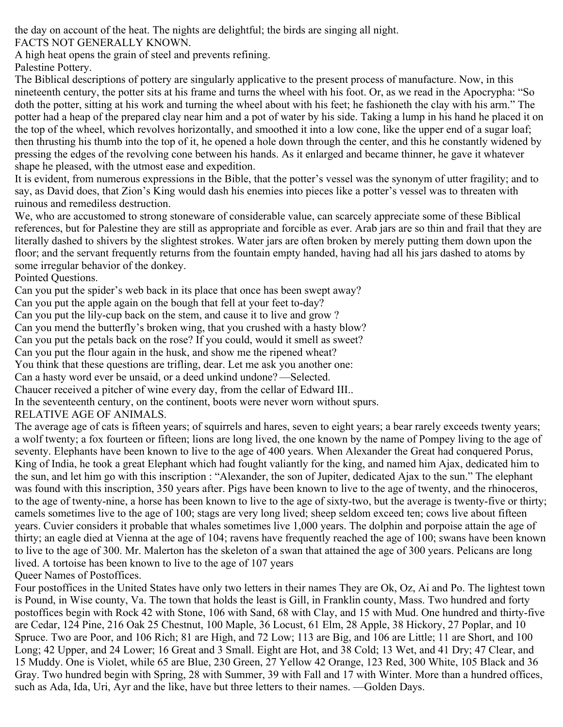the day on account of the heat. The nights are delightful; the birds are singing all night.

FACTS NOT GENERALLY KNOWN.

A high heat opens the grain of steel and prevents refining.

Palestine Pottery.

The Biblical descriptions of pottery are singularly applicative to the present process of manufacture. Now, in this nineteenth century, the potter sits at his frame and turns the wheel with his foot. Or, as we read in the Apocrypha: "So doth the potter, sitting at his work and turning the wheel about with his feet; he fashioneth the clay with his arm." The potter had a heap of the prepared clay near him and a pot of water by his side. Taking a lump in his hand he placed it on the top of the wheel, which revolves horizontally, and smoothed it into a low cone, like the upper end of a sugar loaf; then thrusting his thumb into the top of it, he opened a hole down through the center, and this he constantly widened by pressing the edges of the revolving cone between his hands. As it enlarged and became thinner, he gave it whatever shape he pleased, with the utmost ease and expedition.

It is evident, from numerous expressions in the Bible, that the potter's vessel was the synonym of utter fragility; and to say, as David does, that Zion's King would dash his enemies into pieces like a potter's vessel was to threaten with ruinous and remediless destruction.

We, who are accustomed to strong stoneware of considerable value, can scarcely appreciate some of these Biblical references, but for Palestine they are still as appropriate and forcible as ever. Arab jars are so thin and frail that they are literally dashed to shivers by the slightest strokes. Water jars are often broken by merely putting them down upon the floor; and the servant frequently returns from the fountain empty handed, having had all his jars dashed to atoms by some irregular behavior of the donkey.

Pointed Questions.

Can you put the spider's web back in its place that once has been swept away?

Can you put the apple again on the bough that fell at your feet to-day?

Can you put the lily-cup back on the stem, and cause it to live and grow ?

Can you mend the butterfly's broken wing, that you crushed with a hasty blow?

Can you put the petals back on the rose? If you could, would it smell as sweet?

Can you put the flour again in the husk, and show me the ripened wheat?

You think that these questions are trifling, dear. Let me ask you another one:

Can a hasty word ever be unsaid, or a deed unkind undone? —Selected.

Chaucer received a pitcher of wine every day, from the cellar of Edward III..

In the seventeenth century, on the continent, boots were never worn without spurs.

## RELATIVE AGE OF ANIMALS.

The average age of cats is fifteen years; of squirrels and hares, seven to eight years; a bear rarely exceeds twenty years; a wolf twenty; a fox fourteen or fifteen; lions are long lived, the one known by the name of Pompey living to the age of seventy. Elephants have been known to live to the age of 400 years. When Alexander the Great had conquered Porus, King of India, he took a great Elephant which had fought valiantly for the king, and named him Ajax, dedicated him to the sun, and let him go with this inscription : "Alexander, the son of Jupiter, dedicated Ajax to the sun." The elephant was found with this inscription, 350 years after. Pigs have been known to live to the age of twenty, and the rhinoceros, to the age of twenty-nine, a horse has been known to live to the age of sixty-two, but the average is twenty-five or thirty; camels sometimes live to the age of 100; stags are very long lived; sheep seldom exceed ten; cows live about fifteen years. Cuvier considers it probable that whales sometimes live 1,000 years. The dolphin and porpoise attain the age of thirty; an eagle died at Vienna at the age of 104; ravens have frequently reached the age of 100; swans have been known to live to the age of 300. Mr. Malerton has the skeleton of a swan that attained the age of 300 years. Pelicans are long lived. A tortoise has been known to live to the age of 107 years

Queer Names of Postoffices.

Four postoffices in the United States have only two letters in their names They are Ok, Oz, Ai and Po. The lightest town is Pound, in Wise county, Va. The town that holds the least is Gill, in Franklin county, Mass. Two hundred and forty postoffices begin with Rock 42 with Stone, 106 with Sand, 68 with Clay, and 15 with Mud. One hundred and thirty-five are Cedar, 124 Pine, 216 Oak 25 Chestnut, 100 Maple, 36 Locust, 61 Elm, 28 Apple, 38 Hickory, 27 Poplar, and 10 Spruce. Two are Poor, and 106 Rich; 81 are High, and 72 Low; 113 are Big, and 106 are Little; 11 are Short, and 100 Long; 42 Upper, and 24 Lower; 16 Great and 3 Small. Eight are Hot, and 38 Cold; 13 Wet, and 41 Dry; 47 Clear, and 15 Muddy. One is Violet, while 65 are Blue, 230 Green, 27 Yellow 42 Orange, 123 Red, 300 White, 105 Black and 36 Gray. Two hundred begin with Spring, 28 with Summer, 39 with Fall and 17 with Winter. More than a hundred offices, such as Ada, Ida, Uri, Ayr and the like, have but three letters to their names. —Golden Days.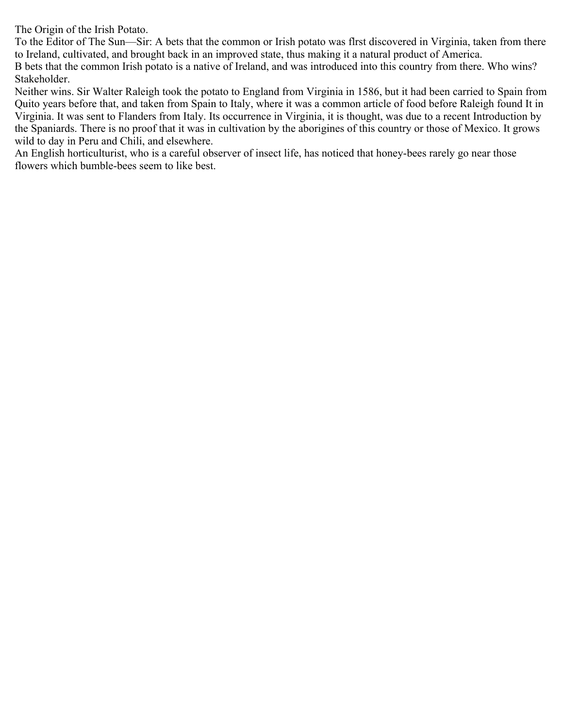The Origin of the Irish Potato.

To the Editor of The Sun—Sir: A bets that the common or Irish potato was flrst discovered in Virginia, taken from there to Ireland, cultivated, and brought back in an improved state, thus making it a natural product of America.

B bets that the common Irish potato is a native of Ireland, and was introduced into this country from there. Who wins? Stakeholder.

Neither wins. Sir Walter Raleigh took the potato to England from Virginia in 1586, but it had been carried to Spain from Quito years before that, and taken from Spain to Italy, where it was a common article of food before Raleigh found It in Virginia. It was sent to Flanders from Italy. Its occurrence in Virginia, it is thought, was due to a recent Introduction by the Spaniards. There is no proof that it was in cultivation by the aborigines of this country or those of Mexico. It grows wild to day in Peru and Chili, and elsewhere.

An English horticulturist, who is a careful observer of insect life, has noticed that honey-bees rarely go near those flowers which bumble-bees seem to like best.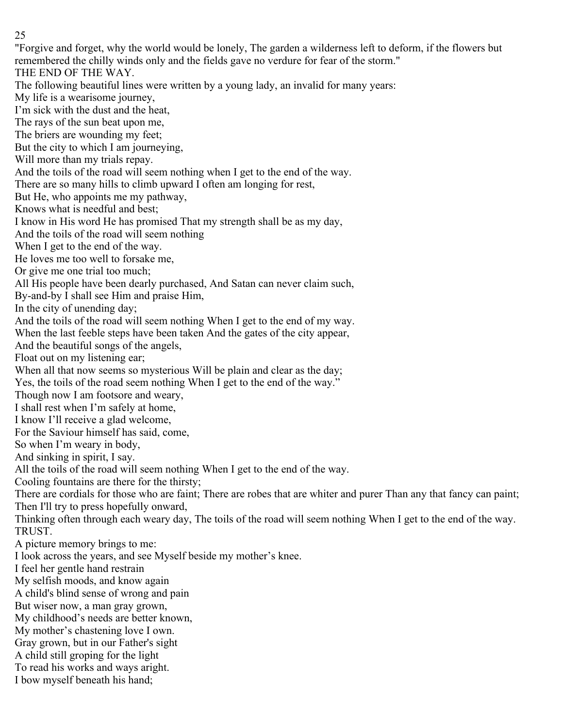"Forgive and forget, why the world would be lonely, The garden a wilderness left to deform, if the flowers but remembered the chilly winds only and the fields gave no verdure for fear of the storm." THE END OF THE WAY. The following beautiful lines were written by a young lady, an invalid for many years: My life is a wearisome journey, I'm sick with the dust and the heat, The rays of the sun beat upon me, The briers are wounding my feet; But the city to which I am journeying, Will more than my trials repay. And the toils of the road will seem nothing when I get to the end of the way. There are so many hills to climb upward I often am longing for rest, But He, who appoints me my pathway, Knows what is needful and best; I know in His word He has promised That my strength shall be as my day, And the toils of the road will seem nothing When I get to the end of the way. He loves me too well to forsake me, Or give me one trial too much; All His people have been dearly purchased, And Satan can never claim such, By-and-by I shall see Him and praise Him, In the city of unending day; And the toils of the road will seem nothing When I get to the end of my way. When the last feeble steps have been taken And the gates of the city appear, And the beautiful songs of the angels, Float out on my listening ear; When all that now seems so mysterious Will be plain and clear as the day; Yes, the toils of the road seem nothing When I get to the end of the way." Though now I am footsore and weary, I shall rest when I'm safely at home, I know I'll receive a glad welcome, For the Saviour himself has said, come, So when I'm weary in body, And sinking in spirit, I say. All the toils of the road will seem nothing When I get to the end of the way. Cooling fountains are there for the thirsty; There are cordials for those who are faint; There are robes that are whiter and purer Than any that fancy can paint; Then I'll try to press hopefully onward, Thinking often through each weary day, The toils of the road will seem nothing When I get to the end of the way. TRUST. A picture memory brings to me: I look across the years, and see Myself beside my mother's knee. I feel her gentle hand restrain My selfish moods, and know again A child's blind sense of wrong and pain But wiser now, a man gray grown, My childhood's needs are better known, My mother's chastening love I own. Gray grown, but in our Father's sight A child still groping for the light To read his works and ways aright.

I bow myself beneath his hand;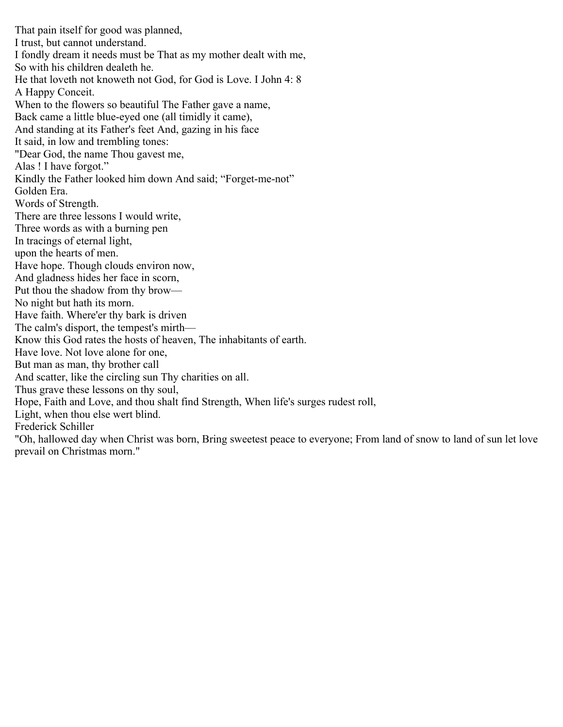That pain itself for good was planned, I trust, but cannot understand. I fondly dream it needs must be That as my mother dealt with me, So with his children dealeth he. He that loveth not knoweth not God, for God is Love. I John 4: 8 A Happy Conceit. When to the flowers so beautiful The Father gave a name, Back came a little blue-eyed one (all timidly it came), And standing at its Father's feet And, gazing in his face It said, in low and trembling tones: "Dear God, the name Thou gavest me, Alas ! I have forgot." Kindly the Father looked him down And said; "Forget-me-not" Golden Era. Words of Strength. There are three lessons I would write, Three words as with a burning pen In tracings of eternal light, upon the hearts of men. Have hope. Though clouds environ now, And gladness hides her face in scorn, Put thou the shadow from thy brow— No night but hath its morn. Have faith. Where'er thy bark is driven The calm's disport, the tempest's mirth— Know this God rates the hosts of heaven, The inhabitants of earth. Have love. Not love alone for one, But man as man, thy brother call And scatter, like the circling sun Thy charities on all. Thus grave these lessons on thy soul, Hope, Faith and Love, and thou shalt find Strength, When life's surges rudest roll, Light, when thou else wert blind. Frederick Schiller "Oh, hallowed day when Christ was born, Bring sweetest peace to everyone; From land of snow to land of sun let love prevail on Christmas morn."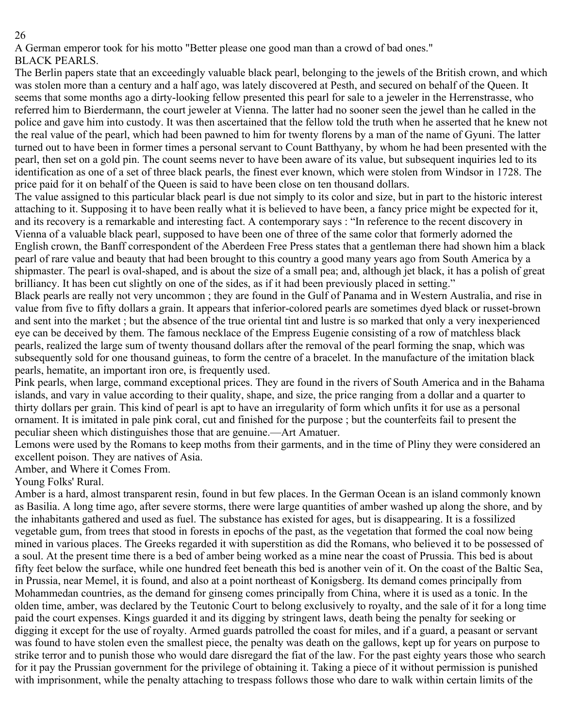A German emperor took for his motto "Better please one good man than a crowd of bad ones." BLACK PEARLS.

The Berlin papers state that an exceedingly valuable black pearl, belonging to the jewels of the British crown, and which was stolen more than a century and a half ago, was lately discovered at Pesth, and secured on behalf of the Queen. It seems that some months ago a dirty-looking fellow presented this pearl for sale to a jeweler in the Herrenstrasse, who referred him to Bierdermann, the court jeweler at Vienna. The latter had no sooner seen the jewel than he called in the police and gave him into custody. It was then ascertained that the fellow told the truth when he asserted that he knew not the real value of the pearl, which had been pawned to him for twenty florens by a man of the name of Gyuni. The latter turned out to have been in former times a personal servant to Count Batthyany, by whom he had been presented with the pearl, then set on a gold pin. The count seems never to have been aware of its value, but subsequent inquiries led to its identification as one of a set of three black pearls, the finest ever known, which were stolen from Windsor in 1728. The price paid for it on behalf of the Queen is said to have been close on ten thousand dollars.

The value assigned to this particular black pearl is due not simply to its color and size, but in part to the historic interest attaching to it. Supposing it to have been really what it is believed to have been, a fancy price might be expected for it, and its recovery is a remarkable and interesting fact. A contemporary says : "In reference to the recent discovery in Vienna of a valuable black pearl, supposed to have been one of three of the same color that formerly adorned the English crown, the Banff correspondent of the Aberdeen Free Press states that a gentleman there had shown him a black pearl of rare value and beauty that had been brought to this country a good many years ago from South America by a shipmaster. The pearl is oval-shaped, and is about the size of a small pea; and, although jet black, it has a polish of great brilliancy. It has been cut slightly on one of the sides, as if it had been previously placed in setting."

Black pearls are really not very uncommon ; they are found in the Gulf of Panama and in Western Australia, and rise in value from five to fifty dollars a grain. It appears that inferior-colored pearls are sometimes dyed black or russet-brown and sent into the market ; but the absence of the true oriental tint and lustre is so marked that only a very inexperienced eye can be deceived by them. The famous necklace of the Empress Eugenie consisting of a row of matchless black pearls, realized the large sum of twenty thousand dollars after the removal of the pearl forming the snap, which was subsequently sold for one thousand guineas, to form the centre of a bracelet. In the manufacture of the imitation black pearls, hematite, an important iron ore, is frequently used.

Pink pearls, when large, command exceptional prices. They are found in the rivers of South America and in the Bahama islands, and vary in value according to their quality, shape, and size, the price ranging from a dollar and a quarter to thirty dollars per grain. This kind of pearl is apt to have an irregularity of form which unfits it for use as a personal ornament. It is imitated in pale pink coral, cut and finished for the purpose ; but the counterfeits fail to present the peculiar sheen which distinguishes those that are genuine.—Art Amatuer.

Lemons were used by the Romans to keep moths from their garments, and in the time of Pliny they were considered an excellent poison. They are natives of Asia.

Amber, and Where it Comes From.

Young Folks' Rural.

Amber is a hard, almost transparent resin, found in but few places. In the German Ocean is an island commonly known as Basilia. A long time ago, after severe storms, there were large quantities of amber washed up along the shore, and by the inhabitants gathered and used as fuel. The substance has existed for ages, but is disappearing. It is a fossilized vegetable gum, from trees that stood in forests in epochs of the past, as the vegetation that formed the coal now being mined in various places. The Greeks regarded it with superstition as did the Romans, who believed it to be possessed of a soul. At the present time there is a bed of amber being worked as a mine near the coast of Prussia. This bed is about fifty feet below the surface, while one hundred feet beneath this bed is another vein of it. On the coast of the Baltic Sea, in Prussia, near Memel, it is found, and also at a point northeast of Konigsberg. Its demand comes principally from Mohammedan countries, as the demand for ginseng comes principally from China, where it is used as a tonic. In the olden time, amber, was declared by the Teutonic Court to belong exclusively to royalty, and the sale of it for a long time paid the court expenses. Kings guarded it and its digging by stringent laws, death being the penalty for seeking or digging it except for the use of royalty. Armed guards patrolled the coast for miles, and if a guard, a peasant or servant was found to have stolen even the smallest piece, the penalty was death on the gallows, kept up for years on purpose to strike terror and to punish those who would dare disregard the fiat of the law. For the past eighty years those who search for it pay the Prussian government for the privilege of obtaining it. Taking a piece of it without permission is punished with imprisonment, while the penalty attaching to trespass follows those who dare to walk within certain limits of the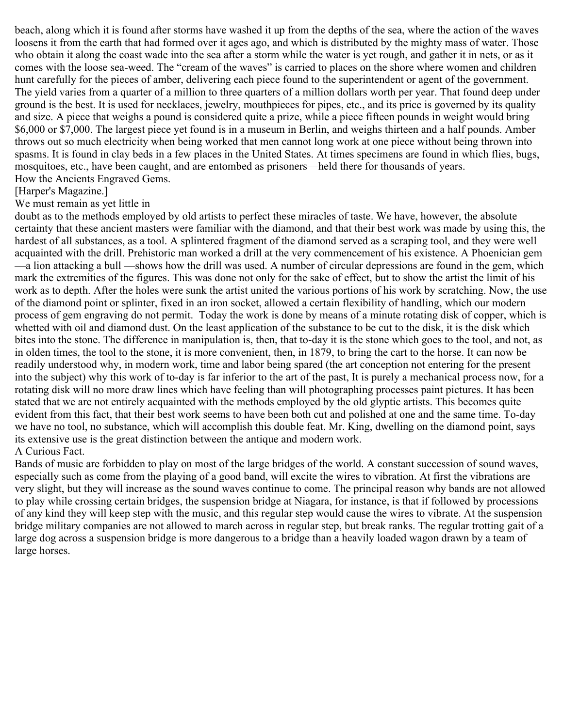beach, along which it is found after storms have washed it up from the depths of the sea, where the action of the waves loosens it from the earth that had formed over it ages ago, and which is distributed by the mighty mass of water. Those who obtain it along the coast wade into the sea after a storm while the water is yet rough, and gather it in nets, or as it comes with the loose sea-weed. The "cream of the waves" is carried to places on the shore where women and children hunt carefully for the pieces of amber, delivering each piece found to the superintendent or agent of the government. The yield varies from a quarter of a million to three quarters of a million dollars worth per year. That found deep under ground is the best. It is used for necklaces, jewelry, mouthpieces for pipes, etc., and its price is governed by its quality and size. A piece that weighs a pound is considered quite a prize, while a piece fifteen pounds in weight would bring \$6,000 or \$7,000. The largest piece yet found is in a museum in Berlin, and weighs thirteen and a half pounds. Amber throws out so much electricity when being worked that men cannot long work at one piece without being thrown into spasms. It is found in clay beds in a few places in the United States. At times specimens are found in which flies, bugs, mosquitoes, etc., have been caught, and are entombed as prisoners—held there for thousands of years. How the Ancients Engraved Gems.

#### [Harper's Magazine.]

#### We must remain as yet little in

doubt as to the methods employed by old artists to perfect these miracles of taste. We have, however, the absolute certainty that these ancient masters were familiar with the diamond, and that their best work was made by using this, the hardest of all substances, as a tool. A splintered fragment of the diamond served as a scraping tool, and they were well acquainted with the drill. Prehistoric man worked a drill at the very commencement of his existence. A Phoenician gem —a lion attacking a bull —shows how the drill was used. A number of circular depressions are found in the gem, which mark the extremities of the figures. This was done not only for the sake of effect, but to show the artist the limit of his work as to depth. After the holes were sunk the artist united the various portions of his work by scratching. Now, the use of the diamond point or splinter, fixed in an iron socket, allowed a certain flexibility of handling, which our modern process of gem engraving do not permit. Today the work is done by means of a minute rotating disk of copper, which is whetted with oil and diamond dust. On the least application of the substance to be cut to the disk, it is the disk which bites into the stone. The difference in manipulation is, then, that to-day it is the stone which goes to the tool, and not, as in olden times, the tool to the stone, it is more convenient, then, in 1879, to bring the cart to the horse. It can now be readily understood why, in modern work, time and labor being spared (the art conception not entering for the present into the subject) why this work of to-day is far inferior to the art of the past, It is purely a mechanical process now, for a rotating disk will no more draw lines which have feeling than will photographing processes paint pictures. It has been stated that we are not entirely acquainted with the methods employed by the old glyptic artists. This becomes quite evident from this fact, that their best work seems to have been both cut and polished at one and the same time. To-day we have no tool, no substance, which will accomplish this double feat. Mr. King, dwelling on the diamond point, says its extensive use is the great distinction between the antique and modern work. A Curious Fact.

Bands of music are forbidden to play on most of the large bridges of the world. A constant succession of sound waves, especially such as come from the playing of a good band, will excite the wires to vibration. At first the vibrations are very slight, but they will increase as the sound waves continue to come. The principal reason why bands are not allowed to play while crossing certain bridges, the suspension bridge at Niagara, for instance, is that if followed by processions of any kind they will keep step with the music, and this regular step would cause the wires to vibrate. At the suspension bridge military companies are not allowed to march across in regular step, but break ranks. The regular trotting gait of a large dog across a suspension bridge is more dangerous to a bridge than a heavily loaded wagon drawn by a team of large horses.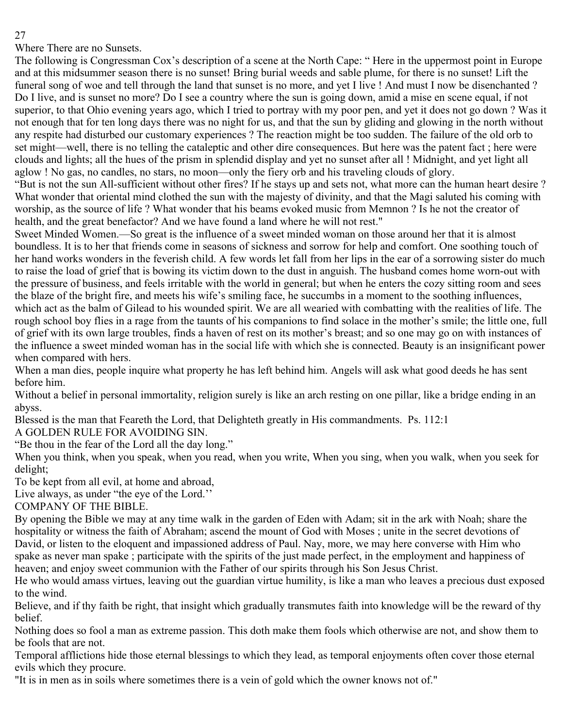Where There are no Sunsets.

The following is Congressman Cox's description of a scene at the North Cape: " Here in the uppermost point in Europe and at this midsummer season there is no sunset! Bring burial weeds and sable plume, for there is no sunset! Lift the funeral song of woe and tell through the land that sunset is no more, and yet I live ! And must I now be disenchanted ? Do I live, and is sunset no more? Do I see a country where the sun is going down, amid a mise en scene equal, if not superior, to that Ohio evening years ago, which I tried to portray with my poor pen, and yet it does not go down ? Was it not enough that for ten long days there was no night for us, and that the sun by gliding and glowing in the north without any respite had disturbed our customary experiences ? The reaction might be too sudden. The failure of the old orb to set might—well, there is no telling the cataleptic and other dire consequences. But here was the patent fact ; here were clouds and lights; all the hues of the prism in splendid display and yet no sunset after all ! Midnight, and yet light all aglow ! No gas, no candles, no stars, no moon—only the fiery orb and his traveling clouds of glory.

"But is not the sun All-sufficient without other fires? If he stays up and sets not, what more can the human heart desire ? What wonder that oriental mind clothed the sun with the majesty of divinity, and that the Magi saluted his coming with worship, as the source of life ? What wonder that his beams evoked music from Memnon ? Is he not the creator of health, and the great benefactor? And we have found a land where he will not rest."

Sweet Minded Women.—So great is the influence of a sweet minded woman on those around her that it is almost boundless. It is to her that friends come in seasons of sickness and sorrow for help and comfort. One soothing touch of her hand works wonders in the feverish child. A few words let fall from her lips in the ear of a sorrowing sister do much to raise the load of grief that is bowing its victim down to the dust in anguish. The husband comes home worn-out with the pressure of business, and feels irritable with the world in general; but when he enters the cozy sitting room and sees the blaze of the bright fire, and meets his wife's smiling face, he succumbs in a moment to the soothing influences, which act as the balm of Gilead to his wounded spirit. We are all wearied with combatting with the realities of life. The rough school boy flies in a rage from the taunts of his companions to find solace in the mother's smile; the little one, full of grief with its own large troubles, finds a haven of rest on its mother's breast; and so one may go on with instances of the influence a sweet minded woman has in the social life with which she is connected. Beauty is an insignificant power when compared with hers.

When a man dies, people inquire what property he has left behind him. Angels will ask what good deeds he has sent before him.

Without a belief in personal immortality, religion surely is like an arch resting on one pillar, like a bridge ending in an abyss.

Blessed is the man that Feareth the Lord, that Delighteth greatly in His commandments. Ps. 112:1

A GOLDEN RULE FOR AVOIDING SIN.

"Be thou in the fear of the Lord all the day long."

When you think, when you speak, when you read, when you write, When you sing, when you walk, when you seek for delight;

To be kept from all evil, at home and abroad,

Live always, as under "the eye of the Lord.''

COMPANY OF THE BIBLE.

By opening the Bible we may at any time walk in the garden of Eden with Adam; sit in the ark with Noah; share the hospitality or witness the faith of Abraham; ascend the mount of God with Moses ; unite in the secret devotions of David, or listen to the eloquent and impassioned address of Paul. Nay, more, we may here converse with Him who spake as never man spake ; participate with the spirits of the just made perfect, in the employment and happiness of heaven; and enjoy sweet communion with the Father of our spirits through his Son Jesus Christ.

He who would amass virtues, leaving out the guardian virtue humility, is like a man who leaves a precious dust exposed to the wind.

Believe, and if thy faith be right, that insight which gradually transmutes faith into knowledge will be the reward of thy belief.

Nothing does so fool a man as extreme passion. This doth make them fools which otherwise are not, and show them to be fools that are not.

Temporal afflictions hide those eternal blessings to which they lead, as temporal enjoyments often cover those eternal evils which they procure.

"It is in men as in soils where sometimes there is a vein of gold which the owner knows not of."

27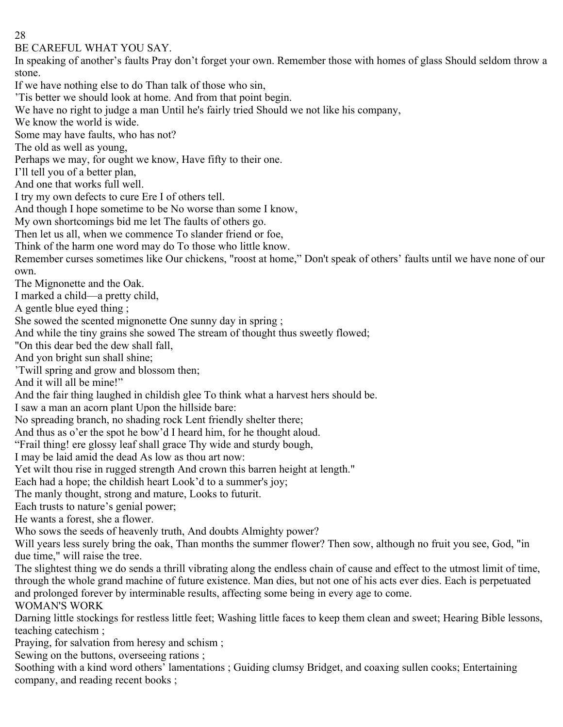BE CAREFUL WHAT YOU SAY.

In speaking of another's faults Pray don't forget your own. Remember those with homes of glass Should seldom throw a stone.

If we have nothing else to do Than talk of those who sin,

'Tis better we should look at home. And from that point begin.

We have no right to judge a man Until he's fairly tried Should we not like his company,

We know the world is wide.

Some may have faults, who has not?

The old as well as young,

Perhaps we may, for ought we know, Have fifty to their one.

I'll tell you of a better plan,

And one that works full well.

I try my own defects to cure Ere I of others tell.

And though I hope sometime to be No worse than some I know,

My own shortcomings bid me let The faults of others go.

Then let us all, when we commence To slander friend or foe,

Think of the harm one word may do To those who little know.

Remember curses sometimes like Our chickens, "roost at home," Don't speak of others' faults until we have none of our own.

The Mignonette and the Oak.

I marked a child—a pretty child,

A gentle blue eyed thing ;

She sowed the scented mignonette One sunny day in spring ;

And while the tiny grains she sowed The stream of thought thus sweetly flowed;

"On this dear bed the dew shall fall,

And yon bright sun shall shine;

'Twill spring and grow and blossom then;

And it will all be mine!"

And the fair thing laughed in childish glee To think what a harvest hers should be.

I saw a man an acorn plant Upon the hillside bare:

No spreading branch, no shading rock Lent friendly shelter there;

And thus as o'er the spot he bow'd I heard him, for he thought aloud.

"Frail thing! ere glossy leaf shall grace Thy wide and sturdy bough,

I may be laid amid the dead As low as thou art now:

Yet wilt thou rise in rugged strength And crown this barren height at length."

Each had a hope; the childish heart Look'd to a summer's joy;

The manly thought, strong and mature, Looks to futurit.

Each trusts to nature's genial power;

He wants a forest, she a flower.

Who sows the seeds of heavenly truth, And doubts Almighty power?

Will years less surely bring the oak, Than months the summer flower? Then sow, although no fruit you see, God, "in due time," will raise the tree.

The slightest thing we do sends a thrill vibrating along the endless chain of cause and effect to the utmost limit of time, through the whole grand machine of future existence. Man dies, but not one of his acts ever dies. Each is perpetuated and prolonged forever by interminable results, affecting some being in every age to come.

WOMAN'S WORK

Darning little stockings for restless little feet; Washing little faces to keep them clean and sweet; Hearing Bible lessons, teaching catechism ;

Praying, for salvation from heresy and schism ;

Sewing on the buttons, overseeing rations ;

Soothing with a kind word others' lamentations ; Guiding clumsy Bridget, and coaxing sullen cooks; Entertaining company, and reading recent books ;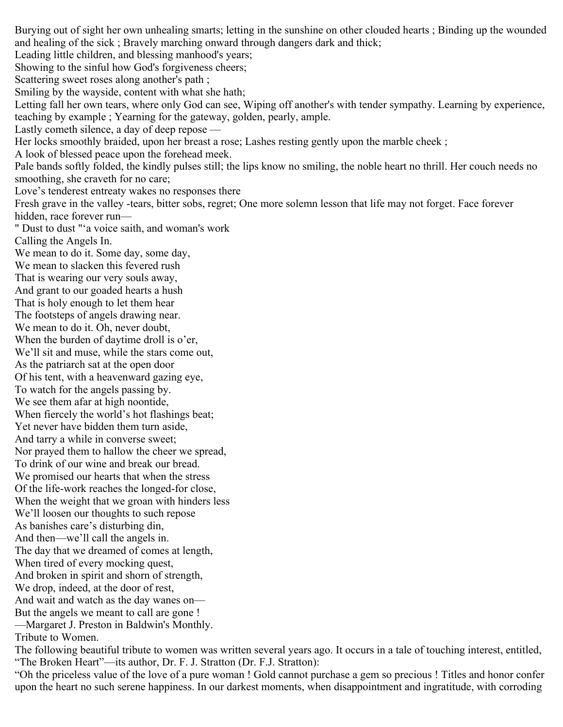Burying out of sight her own unhealing smarts; letting in the sunshine on other clouded hearts ; Binding up the wounded and healing of the sick ; Bravely marching onward through dangers dark and thick; Leading little children, and blessing manhood's years; Showing to the sinful how God's forgiveness cheers; Scattering sweet roses along another's path ; Smiling by the wayside, content with what she hath; Letting fall her own tears, where only God can see, Wiping off another's with tender sympathy. Learning by experience, teaching by example ; Yearning for the gateway, golden, pearly, ample. Lastly cometh silence, a day of deep repose — Her locks smoothly braided, upon her breast a rose; Lashes resting gently upon the marble cheek ; A look of blessed peace upon the forehead meek. Pale bands softly folded, the kindly pulses still; the lips know no smiling, the noble heart no thrill. Her couch needs no smoothing, she craveth for no care; Love's tenderest entreaty wakes no responses there Fresh grave in the valley -tears, bitter sobs, regret; One more solemn lesson that life may not forget. Face forever hidden, race forever run— " Dust to dust "'a voice saith, and woman's work Calling the Angels In. We mean to do it. Some day, some day, We mean to slacken this fevered rush That is wearing our very souls away, And grant to our goaded hearts a hush That is holy enough to let them hear The footsteps of angels drawing near. We mean to do it. Oh, never doubt, When the burden of daytime droll is o'er, We'll sit and muse, while the stars come out, As the patriarch sat at the open door Of his tent, with a heavenward gazing eye, To watch for the angels passing by. We see them afar at high noontide, When fiercely the world's hot flashings beat; Yet never have bidden them turn aside, And tarry a while in converse sweet; Nor prayed them to hallow the cheer we spread, To drink of our wine and break our bread. We promised our hearts that when the stress Of the life-work reaches the longed-for close, When the weight that we groan with hinders less We'll loosen our thoughts to such repose As banishes care's disturbing din, And then—we'll call the angels in. The day that we dreamed of comes at length, When tired of every mocking quest, And broken in spirit and shorn of strength, We drop, indeed, at the door of rest, And wait and watch as the day wanes on— But the angels we meant to call are gone ! —Margaret J. Preston in Baldwin's Monthly. Tribute to Women. The following beautiful tribute to women was written several years ago. It occurs in a tale of touching interest, entitled, "The Broken Heart"—its author, Dr. F. J. Stratton (Dr. F.J. Stratton):

"Oh the priceless value of the love of a pure woman ! Gold cannot purchase a gem so precious ! Titles and honor confer upon the heart no such serene happiness. In our darkest moments, when disappointment and ingratitude, with corroding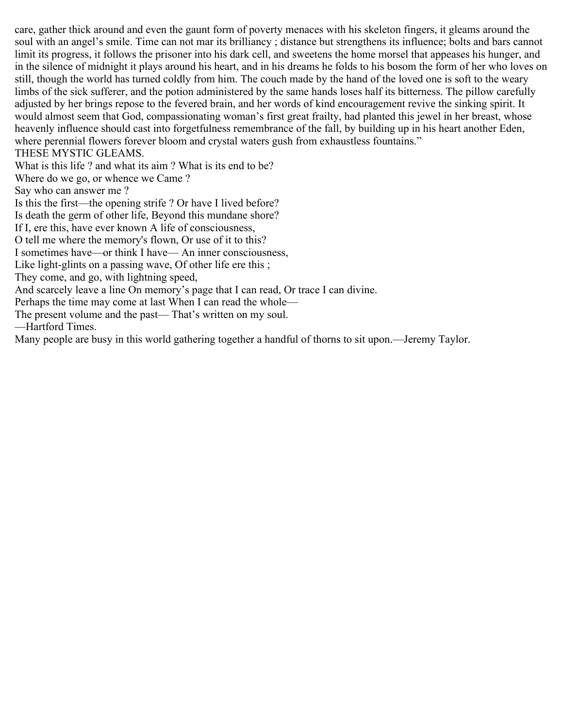care, gather thick around and even the gaunt form of poverty menaces with his skeleton fingers, it gleams around the soul with an angel's smile. Time can not mar its brilliancy ; distance but strengthens its influence; bolts and bars cannot limit its progress, it follows the prisoner into his dark cell, and sweetens the home morsel that appeases his hunger, and in the silence of midnight it plays around his heart, and in his dreams he folds to his bosom the form of her who loves on still, though the world has turned coldly from him. The couch made by the hand of the loved one is soft to the weary limbs of the sick sufferer, and the potion administered by the same hands loses half its bitterness. The pillow carefully adjusted by her brings repose to the fevered brain, and her words of kind encouragement revive the sinking spirit. It would almost seem that God, compassionating woman's first great frailty, had planted this jewel in her breast, whose heavenly influence should cast into forgetfulness remembrance of the fall, by building up in his heart another Eden, where perennial flowers forever bloom and crystal waters gush from exhaustless fountains."

THESE MYSTIC GLEAMS.

What is this life ? and what its aim ? What is its end to be?

Where do we go, or whence we Came ?

Say who can answer me ?

Is this the first—the opening strife ? Or have I lived before?

Is death the germ of other life, Beyond this mundane shore?

If I, ere this, have ever known A life of consciousness,

O tell me where the memory's flown, Or use of it to this?

I sometimes have—or think I have— An inner consciousness,

Like light-glints on a passing wave, Of other life ere this;

They come, and go, with lightning speed,

And scarcely leave a line On memory's page that I can read, Or trace I can divine.

Perhaps the time may come at last When I can read the whole—

The present volume and the past— That's written on my soul.

—Hartford Times.

Many people are busy in this world gathering together a handful of thorns to sit upon.—Jeremy Taylor.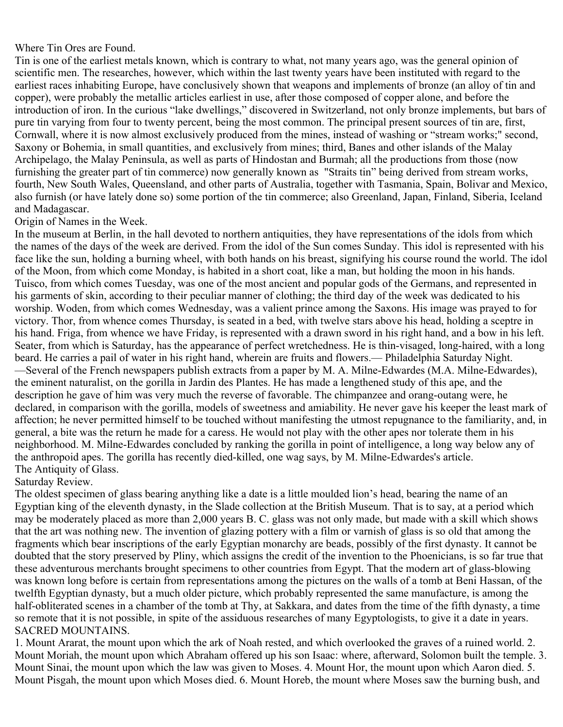#### Where Tin Ores are Found.

Tin is one of the earliest metals known, which is contrary to what, not many years ago, was the general opinion of scientific men. The researches, however, which within the last twenty years have been instituted with regard to the earliest races inhabiting Europe, have conclusively shown that weapons and implements of bronze (an alloy of tin and copper), were probably the metallic articles earliest in use, after those composed of copper alone, and before the introduction of iron. In the curious "lake dwellings," discovered in Switzerland, not only bronze implements, but bars of pure tin varying from four to twenty percent, being the most common. The principal present sources of tin are, first, Cornwall, where it is now almost exclusively produced from the mines, instead of washing or "stream works;" second, Saxony or Bohemia, in small quantities, and exclusively from mines; third, Banes and other islands of the Malay Archipelago, the Malay Peninsula, as well as parts of Hindostan and Burmah; all the productions from those (now furnishing the greater part of tin commerce) now generally known as "Straits tin" being derived from stream works, fourth, New South Wales, Queensland, and other parts of Australia, together with Tasmania, Spain, Bolivar and Mexico, also furnish (or have lately done so) some portion of the tin commerce; also Greenland, Japan, Finland, Siberia, Iceland and Madagascar.

#### Origin of Names in the Week.

In the museum at Berlin, in the hall devoted to northern antiquities, they have representations of the idols from which the names of the days of the week are derived. From the idol of the Sun comes Sunday. This idol is represented with his face like the sun, holding a burning wheel, with both hands on his breast, signifying his course round the world. The idol of the Moon, from which come Monday, is habited in a short coat, like a man, but holding the moon in his hands. Tuisco, from which comes Tuesday, was one of the most ancient and popular gods of the Germans, and represented in his garments of skin, according to their peculiar manner of clothing; the third day of the week was dedicated to his worship. Woden, from which comes Wednesday, was a valient prince among the Saxons. His image was prayed to for victory. Thor, from whence comes Thursday, is seated in a bed, with twelve stars above his head, holding a sceptre in his hand. Friga, from whence we have Friday, is represented with a drawn sword in his right hand, and a bow in his left. Seater, from which is Saturday, has the appearance of perfect wretchedness. He is thin-visaged, long-haired, with a long beard. He carries a pail of water in his right hand, wherein are fruits and flowers.— Philadelphia Saturday Night. —Several of the French newspapers publish extracts from a paper by M. A. Milne-Edwardes (M.A. Milne-Edwardes), the eminent naturalist, on the gorilla in Jardin des Plantes. He has made a lengthened study of this ape, and the description he gave of him was very much the reverse of favorable. The chimpanzee and orang-outang were, he declared, in comparison with the gorilla, models of sweetness and amiability. He never gave his keeper the least mark of affection; he never permitted himself to be touched without manifesting the utmost repugnance to the familiarity, and, in general, a bite was the return he made for a caress. He would not play with the other apes nor tolerate them in his neighborhood. M. Milne-Edwardes concluded by ranking the gorilla in point of intelligence, a long way below any of the anthropoid apes. The gorilla has recently died-killed, one wag says, by M. Milne-Edwardes's article. The Antiquity of Glass.

## Saturday Review.

The oldest specimen of glass bearing anything like a date is a little moulded lion's head, bearing the name of an Egyptian king of the eleventh dynasty, in the Slade collection at the British Museum. That is to say, at a period which may be moderately placed as more than 2,000 years B. C. glass was not only made, but made with a skill which shows that the art was nothing new. The invention of glazing pottery with a film or varnish of glass is so old that among the fragments which bear inscriptions of the early Egyptian monarchy are beads, possibly of the first dynasty. It cannot be doubted that the story preserved by Pliny, which assigns the credit of the invention to the Phoenicians, is so far true that these adventurous merchants brought specimens to other countries from Egypt. That the modern art of glass-blowing was known long before is certain from representations among the pictures on the walls of a tomb at Beni Hassan, of the twelfth Egyptian dynasty, but a much older picture, which probably represented the same manufacture, is among the half-obliterated scenes in a chamber of the tomb at Thy, at Sakkara, and dates from the time of the fifth dynasty, a time so remote that it is not possible, in spite of the assiduous researches of many Egyptologists, to give it a date in years. SACRED MOUNTAINS.

1. Mount Ararat, the mount upon which the ark of Noah rested, and which overlooked the graves of a ruined world. 2. Mount Moriah, the mount upon which Abraham offered up his son Isaac: where, afterward, Solomon built the temple. 3. Mount Sinai, the mount upon which the law was given to Moses. 4. Mount Hor, the mount upon which Aaron died. 5. Mount Pisgah, the mount upon which Moses died. 6. Mount Horeb, the mount where Moses saw the burning bush, and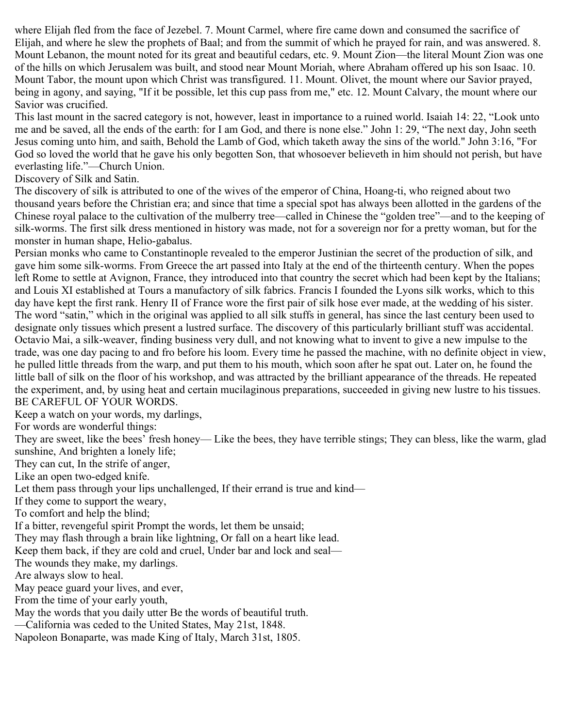where Elijah fled from the face of Jezebel. 7. Mount Carmel, where fire came down and consumed the sacrifice of Elijah, and where he slew the prophets of Baal; and from the summit of which he prayed for rain, and was answered. 8. Mount Lebanon, the mount noted for its great and beautiful cedars, etc. 9. Mount Zion—the literal Mount Zion was one of the hills on which Jerusalem was built, and stood near Mount Moriah, where Abraham offered up his son Isaac. 10. Mount Tabor, the mount upon which Christ was transfigured. 11. Mount. Olivet, the mount where our Savior prayed, being in agony, and saying, "If it be possible, let this cup pass from me," etc. 12. Mount Calvary, the mount where our Savior was crucified.

This last mount in the sacred category is not, however, least in importance to a ruined world. Isaiah 14: 22, "Look unto me and be saved, all the ends of the earth: for I am God, and there is none else." John 1: 29, "The next day, John seeth Jesus coming unto him, and saith, Behold the Lamb of God, which taketh away the sins of the world." John 3:16, "For God so loved the world that he gave his only begotten Son, that whosoever believeth in him should not perish, but have everlasting life."—Church Union.

Discovery of Silk and Satin.

The discovery of silk is attributed to one of the wives of the emperor of China, Hoang-ti, who reigned about two thousand years before the Christian era; and since that time a special spot has always been allotted in the gardens of the Chinese royal palace to the cultivation of the mulberry tree—called in Chinese the "golden tree"—and to the keeping of silk-worms. The first silk dress mentioned in history was made, not for a sovereign nor for a pretty woman, but for the monster in human shape, Helio-gabalus.

Persian monks who came to Constantinople revealed to the emperor Justinian the secret of the production of silk, and gave him some silk-worms. From Greece the art passed into Italy at the end of the thirteenth century. When the popes left Rome to settle at Avignon, France, they introduced into that country the secret which had been kept by the Italians; and Louis XI established at Tours a manufactory of silk fabrics. Francis I founded the Lyons silk works, which to this day have kept the first rank. Henry II of France wore the first pair of silk hose ever made, at the wedding of his sister. The word "satin," which in the original was applied to all silk stuffs in general, has since the last century been used to designate only tissues which present a lustred surface. The discovery of this particularly brilliant stuff was accidental. Octavio Mai, a silk-weaver, finding business very dull, and not knowing what to invent to give a new impulse to the trade, was one day pacing to and fro before his loom. Every time he passed the machine, with no definite object in view, he pulled little threads from the warp, and put them to his mouth, which soon after he spat out. Later on, he found the little ball of silk on the floor of his workshop, and was attracted by the brilliant appearance of the threads. He repeated the experiment, and, by using heat and certain mucilaginous preparations, succeeded in giving new lustre to his tissues. BE CAREFUL OF YOUR WORDS.

Keep a watch on your words, my darlings,

For words are wonderful things:

They are sweet, like the bees' fresh honey— Like the bees, they have terrible stings; They can bless, like the warm, glad sunshine, And brighten a lonely life;

They can cut, In the strife of anger,

Like an open two-edged knife.

Let them pass through your lips unchallenged, If their errand is true and kind—

If they come to support the weary,

To comfort and help the blind;

If a bitter, revengeful spirit Prompt the words, let them be unsaid;

They may flash through a brain like lightning, Or fall on a heart like lead.

Keep them back, if they are cold and cruel, Under bar and lock and seal—

The wounds they make, my darlings.

Are always slow to heal.

May peace guard your lives, and ever,

From the time of your early youth,

May the words that you daily utter Be the words of beautiful truth.

—California was ceded to the United States, May 21st, 1848.

Napoleon Bonaparte, was made King of Italy, March 31st, 1805.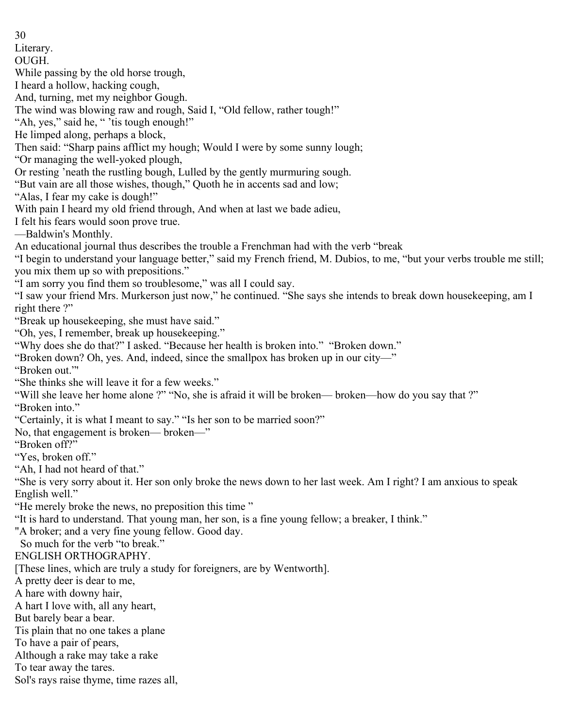30 Literary. OUGH. While passing by the old horse trough, I heard a hollow, hacking cough, And, turning, met my neighbor Gough. The wind was blowing raw and rough, Said I, "Old fellow, rather tough!" "Ah, yes," said he, " 'tis tough enough!" He limped along, perhaps a block, Then said: "Sharp pains afflict my hough; Would I were by some sunny lough; "Or managing the well-yoked plough, Or resting 'neath the rustling bough, Lulled by the gently murmuring sough. "But vain are all those wishes, though," Quoth he in accents sad and low; "Alas, I fear my cake is dough!" With pain I heard my old friend through, And when at last we bade adieu, I felt his fears would soon prove true. —Baldwin's Monthly. An educational journal thus describes the trouble a Frenchman had with the verb "break "I begin to understand your language better," said my French friend, M. Dubios, to me, "but your verbs trouble me still; you mix them up so with prepositions." "I am sorry you find them so troublesome," was all I could say. "I saw your friend Mrs. Murkerson just now," he continued. "She says she intends to break down housekeeping, am I right there ?" "Break up housekeeping, she must have said." "Oh, yes, I remember, break up housekeeping." "Why does she do that?" I asked. "Because her health is broken into." "Broken down." "Broken down? Oh, yes. And, indeed, since the smallpox has broken up in our city—" "Broken out."' "She thinks she will leave it for a few weeks." "Will she leave her home alone ?" "No, she is afraid it will be broken— broken—how do you say that ?" "Broken into." "Certainly, it is what I meant to say." "Is her son to be married soon?" No, that engagement is broken— broken—" "Broken off?" "Yes, broken off." "Ah, I had not heard of that." "She is very sorry about it. Her son only broke the news down to her last week. Am I right? I am anxious to speak English well." "He merely broke the news, no preposition this time " "It is hard to understand. That young man, her son, is a fine young fellow; a breaker, I think." "A broker; and a very fine young fellow. Good day. So much for the verb "to break." ENGLISH ORTHOGRAPHY. [These lines, which are truly a study for foreigners, are by Wentworth]. A pretty deer is dear to me, A hare with downy hair, A hart I love with, all any heart, But barely bear a bear. Tis plain that no one takes a plane To have a pair of pears, Although a rake may take a rake To tear away the tares. Sol's rays raise thyme, time razes all,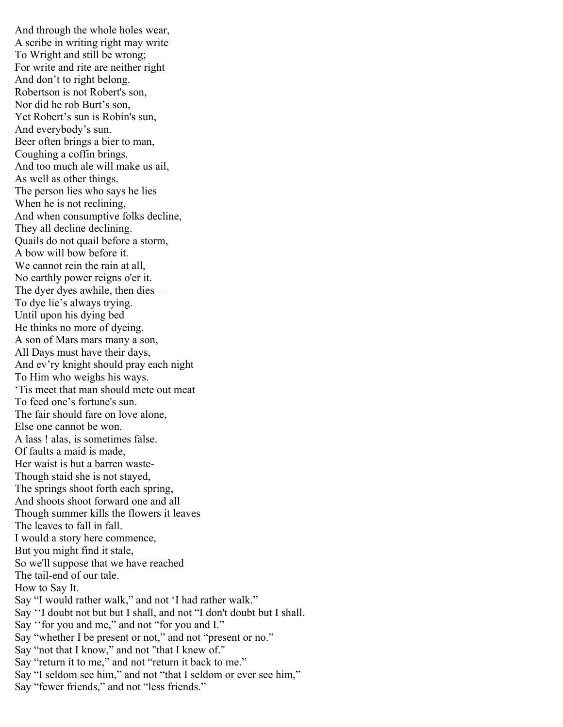And through the whole holes wear, A scribe in writing right may write To Wright and still be wrong; For write and rite are neither right And don't to right belong. Robertson is not Robert's son, Nor did he rob Burt's son, Yet Robert's sun is Robin's sun, And everybody's sun. Beer often brings a bier to man, Coughing a coffin brings. And too much ale will make us ail, As well as other things. The person lies who says he lies When he is not reclining, And when consumptive folks decline, They all decline declining. Quails do not quail before a storm, A bow will bow before it. We cannot rein the rain at all, No earthly power reigns o'er it. The dyer dyes awhile, then dies— To dye lie's always trying. Until upon his dying bed He thinks no more of dyeing. A son of Mars mars many a son, All Days must have their days, And ev'ry knight should pray each night To Him who weighs his ways. 'Tis meet that man should mete out meat To feed one's fortune's sun. The fair should fare on love alone, Else one cannot be won. A lass ! alas, is sometimes false. Of faults a maid is made, Her waist is but a barren waste-Though staid she is not stayed, The springs shoot forth each spring, And shoots shoot forward one and all Though summer kills the flowers it leaves The leaves to fall in fall. I would a story here commence, But you might find it stale, So we'll suppose that we have reached The tail-end of our tale. How to Say It. Say "I would rather walk," and not 'I had rather walk." Say ''I doubt not but but I shall, and not "I don't doubt but I shall. Say ''for you and me," and not "for you and I." Say "whether I be present or not," and not "present or no." Say "not that I know," and not "that I knew of." Say "return it to me," and not "return it back to me." Say "I seldom see him," and not "that I seldom or ever see him," Say "fewer friends," and not "less friends."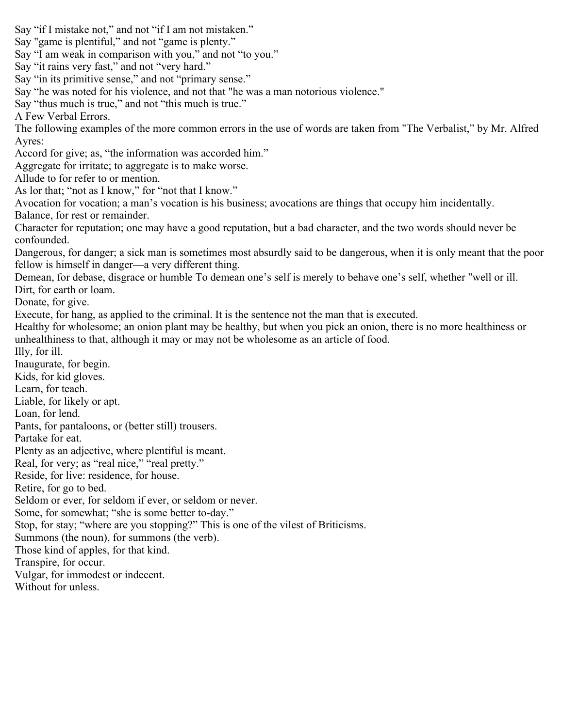Say "if I mistake not," and not "if I am not mistaken." Say "game is plentiful," and not "game is plenty." Say "I am weak in comparison with you," and not "to you." Say "it rains very fast," and not "very hard." Say "in its primitive sense," and not "primary sense." Say "he was noted for his violence, and not that "he was a man notorious violence." Say "thus much is true," and not "this much is true." A Few Verbal Errors. The following examples of the more common errors in the use of words are taken from "The Verbalist," by Mr. Alfred Ayres: Accord for give; as, "the information was accorded him." Aggregate for irritate; to aggregate is to make worse. Allude to for refer to or mention. As lor that; "not as I know," for "not that I know." Avocation for vocation; a man's vocation is his business; avocations are things that occupy him incidentally. Balance, for rest or remainder. Character for reputation; one may have a good reputation, but a bad character, and the two words should never be confounded. Dangerous, for danger; a sick man is sometimes most absurdly said to be dangerous, when it is only meant that the poor fellow is himself in danger—a very different thing. Demean, for debase, disgrace or humble To demean one's self is merely to behave one's self, whether "well or ill. Dirt, for earth or loam. Donate, for give. Execute, for hang, as applied to the criminal. It is the sentence not the man that is executed. Healthy for wholesome; an onion plant may be healthy, but when you pick an onion, there is no more healthiness or unhealthiness to that, although it may or may not be wholesome as an article of food. Illy, for ill. Inaugurate, for begin. Kids, for kid gloves. Learn, for teach. Liable, for likely or apt. Loan, for lend. Pants, for pantaloons, or (better still) trousers. Partake for eat. Plenty as an adjective, where plentiful is meant. Real, for very; as "real nice," "real pretty." Reside, for live: residence, for house. Retire, for go to bed. Seldom or ever, for seldom if ever, or seldom or never. Some, for somewhat; "she is some better to-day." Stop, for stay; "where are you stopping?" This is one of the vilest of Briticisms. Summons (the noun), for summons (the verb). Those kind of apples, for that kind. Transpire, for occur. Vulgar, for immodest or indecent. Without for unless.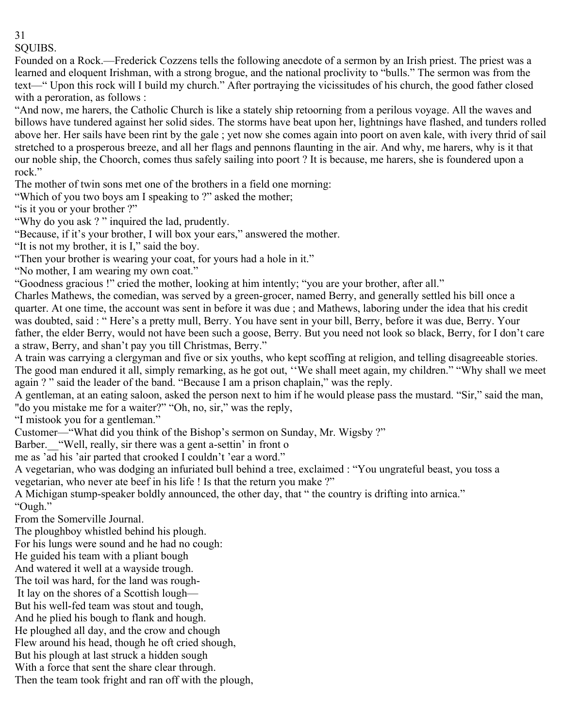SQUIBS.

Founded on a Rock.—Frederick Cozzens tells the following anecdote of a sermon by an Irish priest. The priest was a learned and eloquent Irishman, with a strong brogue, and the national proclivity to "bulls." The sermon was from the text—" Upon this rock will I build my church." After portraying the vicissitudes of his church, the good father closed with a peroration, as follows :

"And now, me harers, the Catholic Church is like a stately ship retoorning from a perilous voyage. All the waves and billows have tundered against her solid sides. The storms have beat upon her, lightnings have flashed, and tunders rolled above her. Her sails have been rint by the gale ; yet now she comes again into poort on aven kale, with ivery thrid of sail stretched to a prosperous breeze, and all her flags and pennons flaunting in the air. And why, me harers, why is it that our noble ship, the Choorch, comes thus safely sailing into poort ? It is because, me harers, she is foundered upon a rock."

The mother of twin sons met one of the brothers in a field one morning:

"Which of you two boys am I speaking to ?" asked the mother;

"is it you or your brother?"

"Why do you ask ? " inquired the lad, prudently.

"Because, if it's your brother, I will box your ears," answered the mother.

"It is not my brother, it is I," said the boy.

"Then your brother is wearing your coat, for yours had a hole in it."

"No mother, I am wearing my own coat."

"Goodness gracious !" cried the mother, looking at him intently; "you are your brother, after all."

Charles Mathews, the comedian, was served by a green-grocer, named Berry, and generally settled his bill once a quarter. At one time, the account was sent in before it was due ; and Mathews, laboring under the idea that his credit was doubted, said : " Here's a pretty mull, Berry. You have sent in your bill, Berry, before it was due, Berry. Your father, the elder Berry, would not have been such a goose, Berry. But you need not look so black, Berry, for I don't care a straw, Berry, and shan't pay you till Christmas, Berry."

A train was carrying a clergyman and five or six youths, who kept scoffing at religion, and telling disagreeable stories. The good man endured it all, simply remarking, as he got out, ''We shall meet again, my children." "Why shall we meet again ? " said the leader of the band. "Because I am a prison chaplain," was the reply.

A gentleman, at an eating saloon, asked the person next to him if he would please pass the mustard. "Sir," said the man, "do you mistake me for a waiter?" "Oh, no, sir," was the reply,

"I mistook you for a gentleman."

Customer—"What did you think of the Bishop's sermon on Sunday, Mr. Wigsby ?"

Barber. "Well, really, sir there was a gent a-settin' in front o

me as 'ad his 'air parted that crooked I couldn't 'ear a word."

A vegetarian, who was dodging an infuriated bull behind a tree, exclaimed : "You ungrateful beast, you toss a vegetarian, who never ate beef in his life ! Is that the return you make ?"

A Michigan stump-speaker boldly announced, the other day, that " the country is drifting into arnica." "Ough."

From the Somerville Journal.

The ploughboy whistled behind his plough.

For his lungs were sound and he had no cough:

He guided his team with a pliant bough

And watered it well at a wayside trough.

The toil was hard, for the land was rough-

It lay on the shores of a Scottish lough—

But his well-fed team was stout and tough,

And he plied his bough to flank and hough.

He ploughed all day, and the crow and chough

Flew around his head, though he oft cried shough,

But his plough at last struck a hidden sough

With a force that sent the share clear through.

Then the team took fright and ran off with the plough,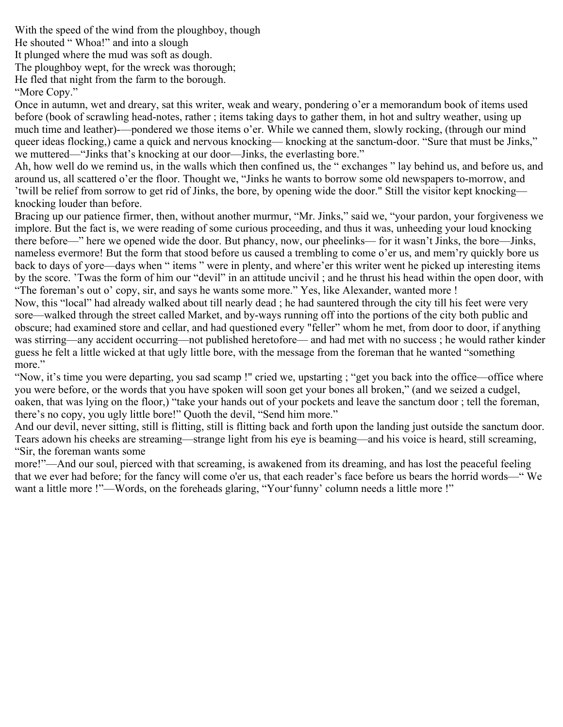With the speed of the wind from the ploughboy, though

He shouted " Whoa!" and into a slough

It plunged where the mud was soft as dough.

The ploughboy wept, for the wreck was thorough;

He fled that night from the farm to the borough.

"More Copy."

Once in autumn, wet and dreary, sat this writer, weak and weary, pondering o'er a memorandum book of items used before (book of scrawling head-notes, rather ; items taking days to gather them, in hot and sultry weather, using up much time and leather)-—pondered we those items o'er. While we canned them, slowly rocking, (through our mind queer ideas flocking,) came a quick and nervous knocking— knocking at the sanctum-door. "Sure that must be Jinks," we muttered—"Jinks that's knocking at our door—Jinks, the everlasting bore."

Ah, how well do we remind us, in the walls which then confined us, the " exchanges " lay behind us, and before us, and around us, all scattered o'er the floor. Thought we, "Jinks he wants to borrow some old newspapers to-morrow, and 'twill be relief from sorrow to get rid of Jinks, the bore, by opening wide the door." Still the visitor kept knocking knocking louder than before.

Bracing up our patience firmer, then, without another murmur, "Mr. Jinks," said we, "your pardon, your forgiveness we implore. But the fact is, we were reading of some curious proceeding, and thus it was, unheeding your loud knocking there before—" here we opened wide the door. But phancy, now, our pheelinks— for it wasn't Jinks, the bore—Jinks, nameless evermore! But the form that stood before us caused a trembling to come o'er us, and mem'ry quickly bore us back to days of yore—days when " items " were in plenty, and where'er this writer went he picked up interesting items by the score. 'Twas the form of him our "devil" in an attitude uncivil ; and he thrust his head within the open door, with "The foreman's out o' copy, sir, and says he wants some more." Yes, like Alexander, wanted more !

Now, this "local" had already walked about till nearly dead ; he had sauntered through the city till his feet were very sore—walked through the street called Market, and by-ways running off into the portions of the city both public and obscure; had examined store and cellar, and had questioned every "feller" whom he met, from door to door, if anything was stirring—any accident occurring—not published heretofore— and had met with no success ; he would rather kinder guess he felt a little wicked at that ugly little bore, with the message from the foreman that he wanted "something more."

"Now, it's time you were departing, you sad scamp !" cried we, upstarting ; "get you back into the office—office where you were before, or the words that you have spoken will soon get your bones all broken," (and we seized a cudgel, oaken, that was lying on the floor,) "take your hands out of your pockets and leave the sanctum door ; tell the foreman, there's no copy, you ugly little bore!" Quoth the devil, "Send him more."

And our devil, never sitting, still is flitting, still is flitting back and forth upon the landing just outside the sanctum door. Tears adown his cheeks are streaming—strange light from his eye is beaming—and his voice is heard, still screaming, "Sir, the foreman wants some

more!"—And our soul, pierced with that screaming, is awakened from its dreaming, and has lost the peaceful feeling that we ever had before; for the fancy will come o'er us, that each reader's face before us bears the horrid words—" We want a little more !"—Words, on the foreheads glaring, "Your'funny' column needs a little more !"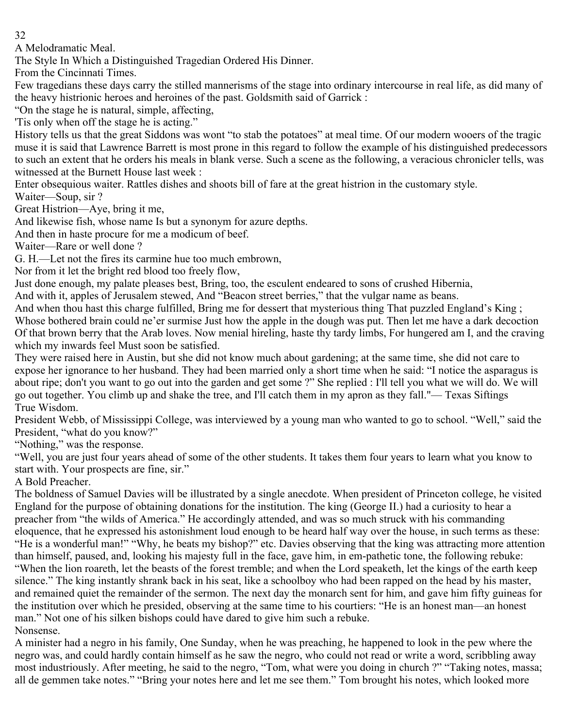A Melodramatic Meal.

The Style In Which a Distinguished Tragedian Ordered His Dinner.

From the Cincinnati Times.

Few tragedians these days carry the stilled mannerisms of the stage into ordinary intercourse in real life, as did many of the heavy histrionic heroes and heroines of the past. Goldsmith said of Garrick :

"On the stage he is natural, simple, affecting,

'Tis only when off the stage he is acting."

History tells us that the great Siddons was wont "to stab the potatoes" at meal time. Of our modern wooers of the tragic muse it is said that Lawrence Barrett is most prone in this regard to follow the example of his distinguished predecessors to such an extent that he orders his meals in blank verse. Such a scene as the following, a veracious chronicler tells, was witnessed at the Burnett House last week :

Enter obsequious waiter. Rattles dishes and shoots bill of fare at the great histrion in the customary style. Waiter—Soup, sir ?

Great Histrion—Aye, bring it me,

And likewise fish, whose name Is but a synonym for azure depths.

And then in haste procure for me a modicum of beef.

Waiter—Rare or well done ?

G. H.—Let not the fires its carmine hue too much embrown,

Nor from it let the bright red blood too freely flow,

Just done enough, my palate pleases best, Bring, too, the esculent endeared to sons of crushed Hibernia,

And with it, apples of Jerusalem stewed, And "Beacon street berries," that the vulgar name as beans.

And when thou hast this charge fulfilled, Bring me for dessert that mysterious thing That puzzled England's King ; Whose bothered brain could ne'er surmise Just how the apple in the dough was put. Then let me have a dark decoction Of that brown berry that the Arab loves. Now menial hireling, haste thy tardy limbs, For hungered am I, and the craving which my inwards feel Must soon be satisfied.

They were raised here in Austin, but she did not know much about gardening; at the same time, she did not care to expose her ignorance to her husband. They had been married only a short time when he said: "I notice the asparagus is about ripe; don't you want to go out into the garden and get some ?" She replied : I'll tell you what we will do. We will go out together. You climb up and shake the tree, and I'll catch them in my apron as they fall."— Texas Siftings True Wisdom.

President Webb, of Mississippi College, was interviewed by a young man who wanted to go to school. "Well," said the President, "what do you know?"

"Nothing," was the response.

"Well, you are just four years ahead of some of the other students. It takes them four years to learn what you know to start with. Your prospects are fine, sir."

A Bold Preacher.

The boldness of Samuel Davies will be illustrated by a single anecdote. When president of Princeton college, he visited England for the purpose of obtaining donations for the institution. The king (George II.) had a curiosity to hear a preacher from "the wilds of America." He accordingly attended, and was so much struck with his commanding eloquence, that he expressed his astonishment loud enough to be heard half way over the house, in such terms as these: "He is a wonderful man!" "Why, he beats my bishop?" etc. Davies observing that the king was attracting more attention than himself, paused, and, looking his majesty full in the face, gave him, in em-pathetic tone, the following rebuke: "When the lion roareth, let the beasts of the forest tremble; and when the Lord speaketh, let the kings of the earth keep silence." The king instantly shrank back in his seat, like a schoolboy who had been rapped on the head by his master, and remained quiet the remainder of the sermon. The next day the monarch sent for him, and gave him fifty guineas for the institution over which he presided, observing at the same time to his courtiers: "He is an honest man—an honest man." Not one of his silken bishops could have dared to give him such a rebuke. Nonsense.

A minister had a negro in his family, One Sunday, when he was preaching, he happened to look in the pew where the negro was, and could hardly contain himself as he saw the negro, who could not read or write a word, scribbling away most industriously. After meeting, he said to the negro, "Tom, what were you doing in church ?" "Taking notes, massa; all de gemmen take notes." "Bring your notes here and let me see them." Tom brought his notes, which looked more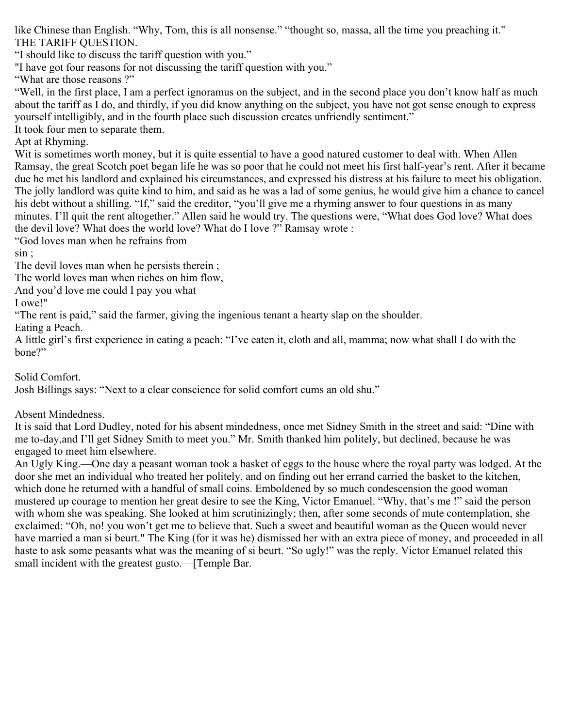like Chinese than English. "Why, Tom, this is all nonsense." "thought so, massa, all the time you preaching it." THE TARIFF QUESTION.

"I should like to discuss the tariff question with you."

"I have got four reasons for not discussing the tariff question with you."

"What are those reasons ?"

"Well, in the first place, I am a perfect ignoramus on the subject, and in the second place you don't know half as much about the tariff as I do, and thirdly, if you did know anything on the subject, you have not got sense enough to express yourself intelligibly, and in the fourth place such discussion creates unfriendly sentiment."

It took four men to separate them.

Apt at Rhyming.

Wit is sometimes worth money, but it is quite essential to have a good natured customer to deal with. When Allen Ramsay, the great Scotch poet began life he was so poor that he could not meet his first half-year's rent. After it became due he met his landlord and explained his circumstances, and expressed his distress at his failure to meet his obligation. The jolly landlord was quite kind to him, and said as he was a lad of some genius, he would give him a chance to cancel his debt without a shilling. "If," said the creditor, "you'll give me a rhyming answer to four questions in as many minutes. I'll quit the rent altogether." Allen said he would try. The questions were, "What does God love? What does the devil love? What does the world love? What do I love ?" Ramsay wrote :

"God loves man when he refrains from

sin ;

The devil loves man when he persists therein ;

The world loves man when riches on him flow,

And you'd love me could I pay you what

I owe!"

"The rent is paid," said the farmer, giving the ingenious tenant a hearty slap on the shoulder.

Eating a Peach.

A little girl's first experience in eating a peach: "I've eaten it, cloth and all, mamma; now what shall I do with the bone?"

Solid Comfort.

Josh Billings says: "Next to a clear conscience for solid comfort cums an old shu."

Absent Mindedness.

It is said that Lord Dudley, noted for his absent mindedness, once met Sidney Smith in the street and said: "Dine with me to-day,and I'll get Sidney Smith to meet you." Mr. Smith thanked him politely, but declined, because he was engaged to meet him elsewhere.

An Ugly King.—One day a peasant woman took a basket of eggs to the house where the royal party was lodged. At the door she met an individual who treated her politely, and on finding out her errand carried the basket to the kitchen, which done he returned with a handful of small coins. Emboldened by so much condescension the good woman mustered up courage to mention her great desire to see the King, Victor Emanuel. "Why, that's me !" said the person with whom she was speaking. She looked at him scrutinizingly; then, after some seconds of mute contemplation, she exclaimed: "Oh, no! you won't get me to believe that. Such a sweet and beautiful woman as the Queen would never have married a man si beurt." The King (for it was he) dismissed her with an extra piece of money, and proceeded in all haste to ask some peasants what was the meaning of si beurt. "So ugly!" was the reply. Victor Emanuel related this small incident with the greatest gusto.—[Temple Bar.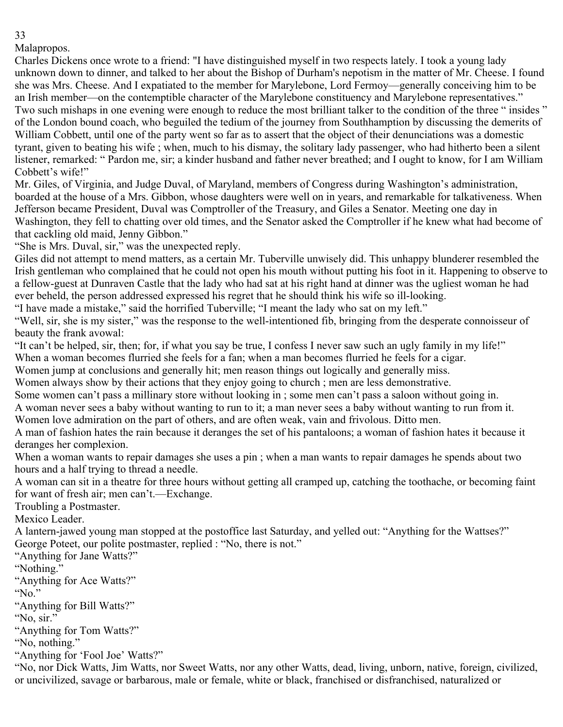Malapropos.

Charles Dickens once wrote to a friend: "I have distinguished myself in two respects lately. I took a young lady unknown down to dinner, and talked to her about the Bishop of Durham's nepotism in the matter of Mr. Cheese. I found she was Mrs. Cheese. And I expatiated to the member for Marylebone, Lord Fermoy—generally conceiving him to be an Irish member—on the contemptible character of the Marylebone constituency and Marylebone representatives." Two such mishaps in one evening were enough to reduce the most brilliant talker to the condition of the three " insides " of the London bound coach, who beguiled the tedium of the journey from Southhamption by discussing the demerits of William Cobbett, until one of the party went so far as to assert that the object of their denunciations was a domestic tyrant, given to beating his wife ; when, much to his dismay, the solitary lady passenger, who had hitherto been a silent listener, remarked: " Pardon me, sir; a kinder husband and father never breathed; and I ought to know, for I am William Cobbett's wife!"

Mr. Giles, of Virginia, and Judge Duval, of Maryland, members of Congress during Washington's administration, boarded at the house of a Mrs. Gibbon, whose daughters were well on in years, and remarkable for talkativeness. When Jefferson became President, Duval was Comptroller of the Treasury, and Giles a Senator. Meeting one day in Washington, they fell to chatting over old times, and the Senator asked the Comptroller if he knew what had become of that cackling old maid, Jenny Gibbon."

"She is Mrs. Duval, sir," was the unexpected reply.

Giles did not attempt to mend matters, as a certain Mr. Tuberville unwisely did. This unhappy blunderer resembled the Irish gentleman who complained that he could not open his mouth without putting his foot in it. Happening to observe to a fellow-guest at Dunraven Castle that the lady who had sat at his right hand at dinner was the ugliest woman he had ever beheld, the person addressed expressed his regret that he should think his wife so ill-looking.

"I have made a mistake," said the horrified Tuberville; "I meant the lady who sat on my left."

"Well, sir, she is my sister," was the response to the well-intentioned fib, bringing from the desperate connoisseur of beauty the frank avowal:

"It can't be helped, sir, then; for, if what you say be true, I confess I never saw such an ugly family in my life!"

When a woman becomes flurried she feels for a fan; when a man becomes flurried he feels for a cigar.

Women jump at conclusions and generally hit; men reason things out logically and generally miss.

Women always show by their actions that they enjoy going to church ; men are less demonstrative.

Some women can't pass a millinary store without looking in ; some men can't pass a saloon without going in.

A woman never sees a baby without wanting to run to it; a man never sees a baby without wanting to run from it.

Women love admiration on the part of others, and are often weak, vain and frivolous. Ditto men.

A man of fashion hates the rain because it deranges the set of his pantaloons; a woman of fashion hates it because it deranges her complexion.

When a woman wants to repair damages she uses a pin ; when a man wants to repair damages he spends about two hours and a half trying to thread a needle.

A woman can sit in a theatre for three hours without getting all cramped up, catching the toothache, or becoming faint for want of fresh air; men can't.—Exchange.

Troubling a Postmaster.

Mexico Leader.

A lantern-jawed young man stopped at the postoffice last Saturday, and yelled out: "Anything for the Wattses?" George Poteet, our polite postmaster, replied : "No, there is not."

"Anything for Jane Watts?"

"Nothing."

"Anything for Ace Watts?"

"No."

"Anything for Bill Watts?"

"No, sir."

"Anything for Tom Watts?"

"No, nothing."

"Anything for 'Fool Joe' Watts?"

"No, nor Dick Watts, Jim Watts, nor Sweet Watts, nor any other Watts, dead, living, unborn, native, foreign, civilized, or uncivilized, savage or barbarous, male or female, white or black, franchised or disfranchised, naturalized or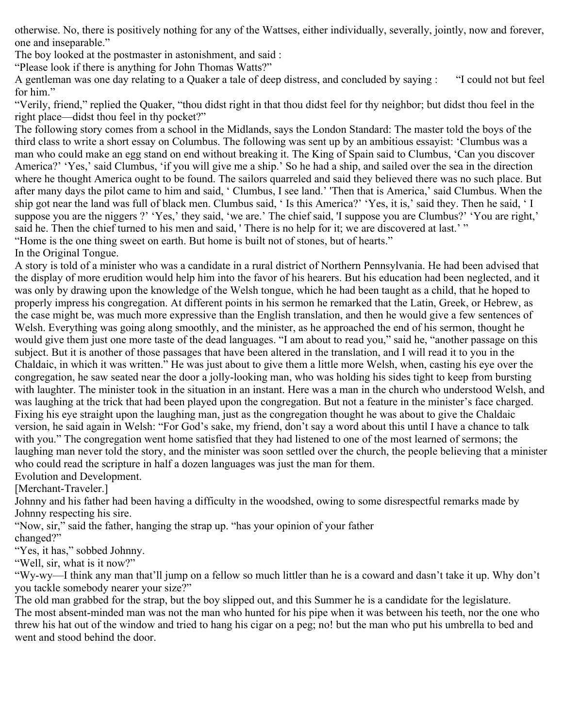otherwise. No, there is positively nothing for any of the Wattses, either individually, severally, jointly, now and forever, one and inseparable."

The boy looked at the postmaster in astonishment, and said :

"Please look if there is anything for John Thomas Watts?"

A gentleman was one day relating to a Quaker a tale of deep distress, and concluded by saying : "I could not but feel for him."

"Verily, friend," replied the Quaker, "thou didst right in that thou didst feel for thy neighbor; but didst thou feel in the right place—didst thou feel in thy pocket?"

The following story comes from a school in the Midlands, says the London Standard: The master told the boys of the third class to write a short essay on Columbus. The following was sent up by an ambitious essayist: 'Clumbus was a man who could make an egg stand on end without breaking it. The King of Spain said to Clumbus, 'Can you discover America?' 'Yes,' said Clumbus, 'if you will give me a ship.' So he had a ship, and sailed over the sea in the direction where he thought America ought to be found. The sailors quarreled and said they believed there was no such place. But after many days the pilot came to him and said, ' Clumbus, I see land.' 'Then that is America,' said Clumbus. When the ship got near the land was full of black men. Clumbus said, ' Is this America?' 'Yes, it is,' said they. Then he said, ' I suppose you are the niggers ?' 'Yes,' they said, 'we are.' The chief said, 'I suppose you are Clumbus?' 'You are right,' said he. Then the chief turned to his men and said, 'There is no help for it; we are discovered at last.' " "Home is the one thing sweet on earth. But home is built not of stones, but of hearts."

In the Original Tongue.

A story is told of a minister who was a candidate in a rural district of Northern Pennsylvania. He had been advised that the display of more erudition would help him into the favor of his hearers. But his education had been neglected, and it was only by drawing upon the knowledge of the Welsh tongue, which he had been taught as a child, that he hoped to properly impress his congregation. At different points in his sermon he remarked that the Latin, Greek, or Hebrew, as the case might be, was much more expressive than the English translation, and then he would give a few sentences of Welsh. Everything was going along smoothly, and the minister, as he approached the end of his sermon, thought he would give them just one more taste of the dead languages. "I am about to read you," said he, "another passage on this subject. But it is another of those passages that have been altered in the translation, and I will read it to you in the Chaldaic, in which it was written." He was just about to give them a little more Welsh, when, casting his eye over the congregation, he saw seated near the door a jolly-looking man, who was holding his sides tight to keep from bursting with laughter. The minister took in the situation in an instant. Here was a man in the church who understood Welsh, and was laughing at the trick that had been played upon the congregation. But not a feature in the minister's face charged. Fixing his eye straight upon the laughing man, just as the congregation thought he was about to give the Chaldaic version, he said again in Welsh: "For God's sake, my friend, don't say a word about this until I have a chance to talk with you." The congregation went home satisfied that they had listened to one of the most learned of sermons; the laughing man never told the story, and the minister was soon settled over the church, the people believing that a minister who could read the scripture in half a dozen languages was just the man for them.

Evolution and Development.

[Merchant-Traveler.]

Johnny and his father had been having a difficulty in the woodshed, owing to some disrespectful remarks made by Johnny respecting his sire.

"Now, sir," said the father, hanging the strap up. "has your opinion of your father changed?"

"Yes, it has," sobbed Johnny.

"Well, sir, what is it now?"

"Wy-wy—I think any man that'll jump on a fellow so much littler than he is a coward and dasn't take it up. Why don't you tackle somebody nearer your size?"

The old man grabbed for the strap, but the boy slipped out, and this Summer he is a candidate for the legislature. The most absent-minded man was not the man who hunted for his pipe when it was between his teeth, nor the one who threw his hat out of the window and tried to hang his cigar on a peg; no! but the man who put his umbrella to bed and went and stood behind the door.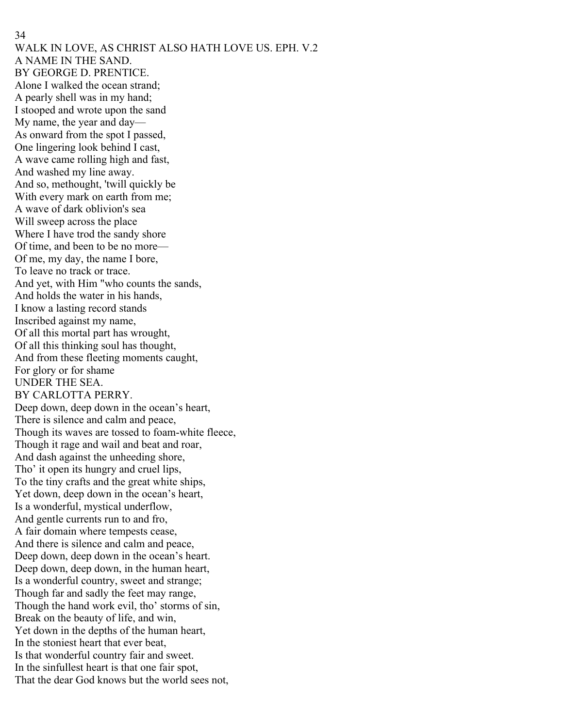WALK IN LOVE, AS CHRIST ALSO HATH LOVE US. EPH. V.2 A NAME IN THE SAND. BY GEORGE D. PRENTICE. Alone I walked the ocean strand; A pearly shell was in my hand; I stooped and wrote upon the sand My name, the year and day— As onward from the spot I passed, One lingering look behind I cast, A wave came rolling high and fast, And washed my line away. And so, methought, 'twill quickly be With every mark on earth from me; A wave of dark oblivion's sea Will sweep across the place Where I have trod the sandy shore Of time, and been to be no more— Of me, my day, the name I bore, To leave no track or trace. And yet, with Him "who counts the sands, And holds the water in his hands, I know a lasting record stands Inscribed against my name, Of all this mortal part has wrought, Of all this thinking soul has thought, And from these fleeting moments caught, For glory or for shame UNDER THE SEA. BY CARLOTTA PERRY. Deep down, deep down in the ocean's heart, There is silence and calm and peace, Though its waves are tossed to foam-white fleece, Though it rage and wail and beat and roar, And dash against the unheeding shore, Tho' it open its hungry and cruel lips, To the tiny crafts and the great white ships, Yet down, deep down in the ocean's heart, Is a wonderful, mystical underflow, And gentle currents run to and fro, A fair domain where tempests cease, And there is silence and calm and peace, Deep down, deep down in the ocean's heart. Deep down, deep down, in the human heart, Is a wonderful country, sweet and strange; Though far and sadly the feet may range, Though the hand work evil, tho' storms of sin, Break on the beauty of life, and win, Yet down in the depths of the human heart, In the stoniest heart that ever beat, Is that wonderful country fair and sweet. In the sinfullest heart is that one fair spot, That the dear God knows but the world sees not,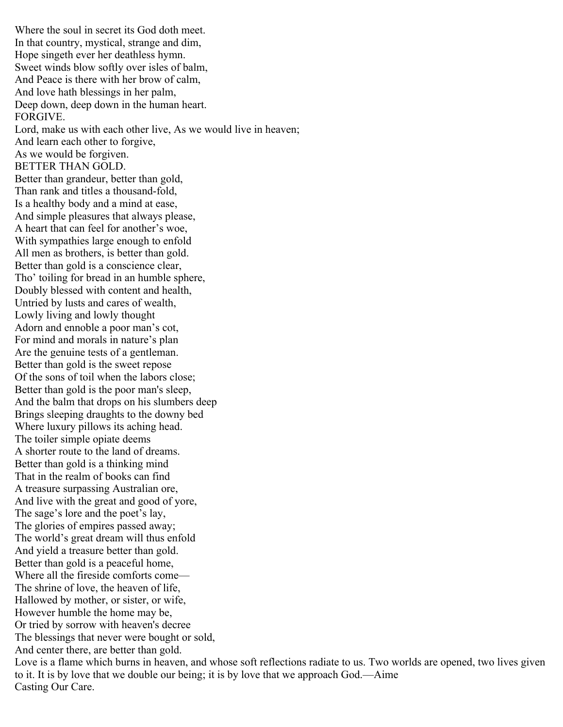Where the soul in secret its God doth meet. In that country, mystical, strange and dim, Hope singeth ever her deathless hymn. Sweet winds blow softly over isles of balm, And Peace is there with her brow of calm, And love hath blessings in her palm, Deep down, deep down in the human heart. FORGIVE. Lord, make us with each other live, As we would live in heaven; And learn each other to forgive, As we would be forgiven. BETTER THAN GOLD. Better than grandeur, better than gold, Than rank and titles a thousand-fold, Is a healthy body and a mind at ease, And simple pleasures that always please, A heart that can feel for another's woe, With sympathies large enough to enfold All men as brothers, is better than gold. Better than gold is a conscience clear, Tho' toiling for bread in an humble sphere, Doubly blessed with content and health, Untried by lusts and cares of wealth, Lowly living and lowly thought Adorn and ennoble a poor man's cot, For mind and morals in nature's plan Are the genuine tests of a gentleman. Better than gold is the sweet repose Of the sons of toil when the labors close; Better than gold is the poor man's sleep, And the balm that drops on his slumbers deep Brings sleeping draughts to the downy bed Where luxury pillows its aching head. The toiler simple opiate deems A shorter route to the land of dreams. Better than gold is a thinking mind That in the realm of books can find A treasure surpassing Australian ore, And live with the great and good of yore, The sage's lore and the poet's lay, The glories of empires passed away; The world's great dream will thus enfold And yield a treasure better than gold. Better than gold is a peaceful home, Where all the fireside comforts come— The shrine of love, the heaven of life, Hallowed by mother, or sister, or wife, However humble the home may be, Or tried by sorrow with heaven's decree The blessings that never were bought or sold, And center there, are better than gold.

Love is a flame which burns in heaven, and whose soft reflections radiate to us. Two worlds are opened, two lives given to it. It is by love that we double our being; it is by love that we approach God.—Aime Casting Our Care.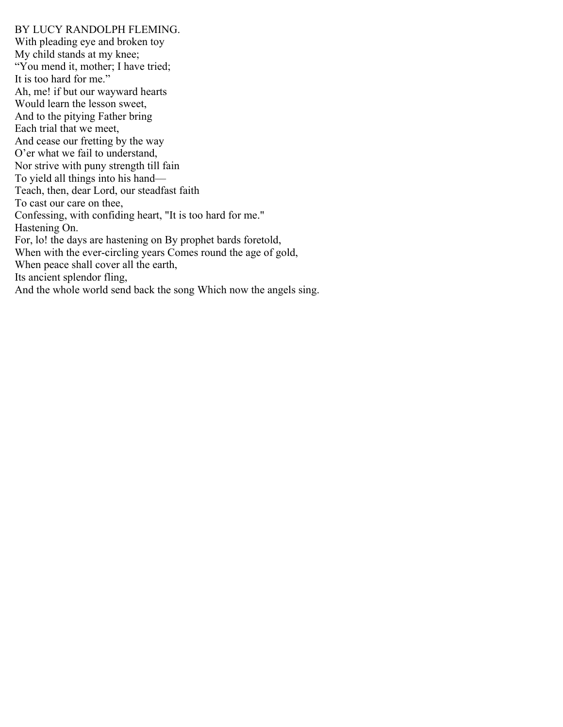## BY LUCY RANDOLPH FLEMING.

With pleading eye and broken toy My child stands at my knee; "You mend it, mother; I have tried; It is too hard for me." Ah, me! if but our wayward hearts Would learn the lesson sweet, And to the pitying Father bring Each trial that we meet, And cease our fretting by the way O'er what we fail to understand, Nor strive with puny strength till fain To yield all things into his hand— Teach, then, dear Lord, our steadfast faith To cast our care on thee, Confessing, with confiding heart, "It is too hard for me." Hastening On. For, lo! the days are hastening on By prophet bards foretold, When with the ever-circling years Comes round the age of gold, When peace shall cover all the earth, Its ancient splendor fling, And the whole world send back the song Which now the angels sing.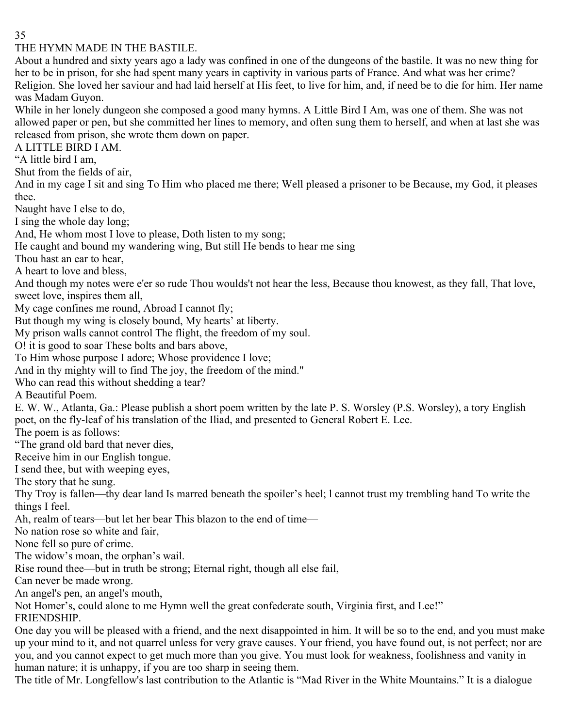THE HYMN MADE IN THE BASTILE.

About a hundred and sixty years ago a lady was confined in one of the dungeons of the bastile. It was no new thing for her to be in prison, for she had spent many years in captivity in various parts of France. And what was her crime? Religion. She loved her saviour and had laid herself at His feet, to live for him, and, if need be to die for him. Her name was Madam Guyon.

While in her lonely dungeon she composed a good many hymns. A Little Bird I Am, was one of them. She was not allowed paper or pen, but she committed her lines to memory, and often sung them to herself, and when at last she was released from prison, she wrote them down on paper.

A LITTLE BIRD I AM.

"A little bird I am,

Shut from the fields of air,

And in my cage I sit and sing To Him who placed me there; Well pleased a prisoner to be Because, my God, it pleases thee.

Naught have I else to do,

I sing the whole day long;

And, He whom most I love to please, Doth listen to my song;

He caught and bound my wandering wing, But still He bends to hear me sing

Thou hast an ear to hear,

A heart to love and bless,

And though my notes were e'er so rude Thou woulds't not hear the less, Because thou knowest, as they fall, That love, sweet love, inspires them all,

My cage confines me round, Abroad I cannot fly;

But though my wing is closely bound, My hearts' at liberty.

My prison walls cannot control The flight, the freedom of my soul.

O! it is good to soar These bolts and bars above,

To Him whose purpose I adore; Whose providence I love;

And in thy mighty will to find The joy, the freedom of the mind."

Who can read this without shedding a tear?

A Beautiful Poem.

E. W. W., Atlanta, Ga.: Please publish a short poem written by the late P. S. Worsley (P.S. Worsley), a tory English poet, on the fly-leaf of his translation of the Iliad, and presented to General Robert E. Lee.

The poem is as follows:

"The grand old bard that never dies,

Receive him in our English tongue.

I send thee, but with weeping eyes,

The story that he sung.

Thy Troy is fallen—thy dear land Is marred beneath the spoiler's heel; l cannot trust my trembling hand To write the things I feel.

Ah, realm of tears—but let her bear This blazon to the end of time—

No nation rose so white and fair,

None fell so pure of crime.

The widow's moan, the orphan's wail.

Rise round thee—but in truth be strong; Eternal right, though all else fail,

Can never be made wrong.

An angel's pen, an angel's mouth,

Not Homer's, could alone to me Hymn well the great confederate south, Virginia first, and Lee!"

FRIENDSHIP.

One day you will be pleased with a friend, and the next disappointed in him. It will be so to the end, and you must make up your mind to it, and not quarrel unless for very grave causes. Your friend, you have found out, is not perfect; nor are you, and you cannot expect to get much more than you give. You must look for weakness, foolishness and vanity in human nature; it is unhappy, if you are too sharp in seeing them.

The title of Mr. Longfellow's last contribution to the Atlantic is "Mad River in the White Mountains." It is a dialogue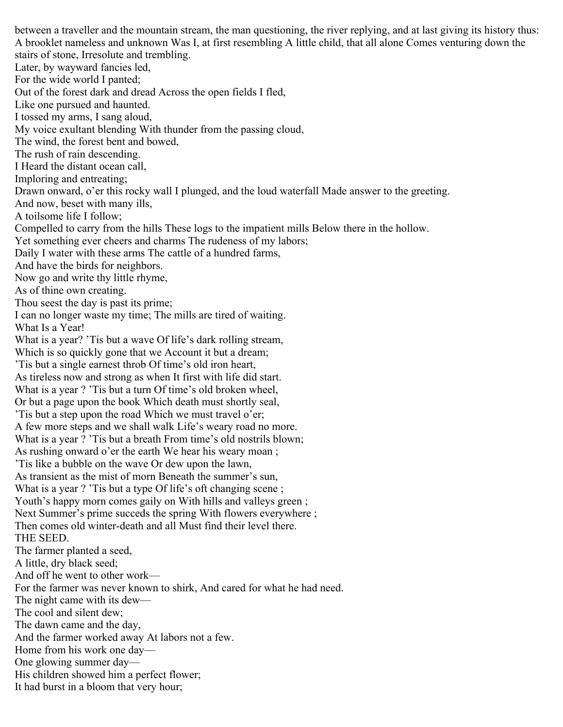between a traveller and the mountain stream, the man questioning, the river replying, and at last giving its history thus: A brooklet nameless and unknown Was I, at first resembling A little child, that all alone Comes venturing down the stairs of stone, Irresolute and trembling. Later, by wayward fancies led, For the wide world I panted; Out of the forest dark and dread Across the open fields I fled, Like one pursued and haunted. I tossed my arms, I sang aloud, My voice exultant blending With thunder from the passing cloud, The wind, the forest bent and bowed, The rush of rain descending. I Heard the distant ocean call, Imploring and entreating; Drawn onward, o'er this rocky wall I plunged, and the loud waterfall Made answer to the greeting. And now, beset with many ills, A toilsome life I follow; Compelled to carry from the hills These logs to the impatient mills Below there in the hollow. Yet something ever cheers and charms The rudeness of my labors; Daily I water with these arms The cattle of a hundred farms, And have the birds for neighbors. Now go and write thy little rhyme, As of thine own creating. Thou seest the day is past its prime; I can no longer waste my time; The mills are tired of waiting. What Is a Year! What is a year? 'Tis but a wave Of life's dark rolling stream, Which is so quickly gone that we Account it but a dream; 'Tis but a single earnest throb Of time's old iron heart, As tireless now and strong as when It first with life did start. What is a year ? 'Tis but a turn Of time's old broken wheel, Or but a page upon the book Which death must shortly seal, 'Tis but a step upon the road Which we must travel o'er; A few more steps and we shall walk Life's weary road no more. What is a year ? 'Tis but a breath From time's old nostrils blown; As rushing onward o'er the earth We hear his weary moan ; 'Tis like a bubble on the wave Or dew upon the lawn, As transient as the mist of morn Beneath the summer's sun, What is a year ? 'Tis but a type Of life's oft changing scene ; Youth's happy morn comes gaily on With hills and valleys green ; Next Summer's prime succeds the spring With flowers everywhere ; Then comes old winter-death and all Must find their level there. THE SEED. The farmer planted a seed, A little, dry black seed; And off he went to other work— For the farmer was never known to shirk, And cared for what he had need. The night came with its dew— The cool and silent dew; The dawn came and the day, And the farmer worked away At labors not a few. Home from his work one day— One glowing summer day— His children showed him a perfect flower; It had burst in a bloom that very hour;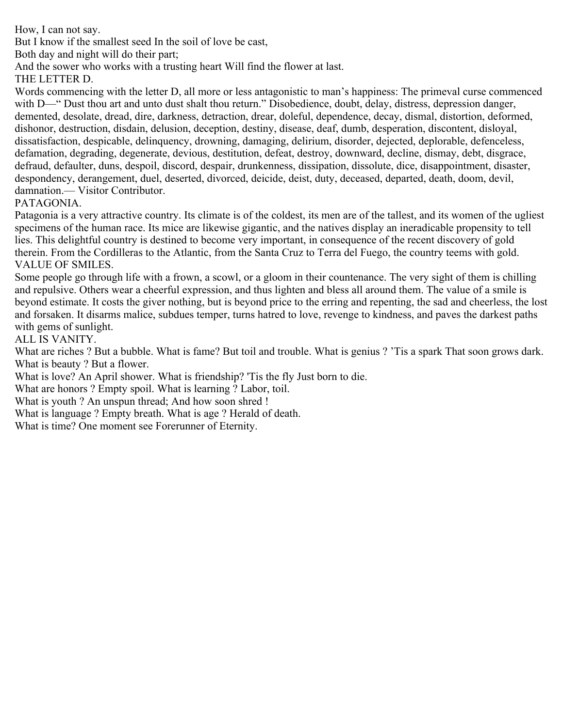How, I can not say.

But I know if the smallest seed In the soil of love be cast,

Both day and night will do their part;

And the sower who works with a trusting heart Will find the flower at last.

THE LETTER D.

Words commencing with the letter D, all more or less antagonistic to man's happiness: The primeval curse commenced with D—" Dust thou art and unto dust shalt thou return." Disobedience, doubt, delay, distress, depression danger, demented, desolate, dread, dire, darkness, detraction, drear, doleful, dependence, decay, dismal, distortion, deformed, dishonor, destruction, disdain, delusion, deception, destiny, disease, deaf, dumb, desperation, discontent, disloyal, dissatisfaction, despicable, delinquency, drowning, damaging, delirium, disorder, dejected, deplorable, defenceless, defamation, degrading, degenerate, devious, destitution, defeat, destroy, downward, decline, dismay, debt, disgrace, defraud, defaulter, duns, despoil, discord, despair, drunkenness, dissipation, dissolute, dice, disappointment, disaster, despondency, derangement, duel, deserted, divorced, deicide, deist, duty, deceased, departed, death, doom, devil, damnation.— Visitor Contributor.

## PATAGONIA.

Patagonia is a very attractive country. Its climate is of the coldest, its men are of the tallest, and its women of the ugliest specimens of the human race. Its mice are likewise gigantic, and the natives display an ineradicable propensity to tell lies. This delightful country is destined to become very important, in consequence of the recent discovery of gold therein. From the Cordilleras to the Atlantic, from the Santa Cruz to Terra del Fuego, the country teems with gold. VALUE OF SMILES.

Some people go through life with a frown, a scowl, or a gloom in their countenance. The very sight of them is chilling and repulsive. Others wear a cheerful expression, and thus lighten and bless all around them. The value of a smile is beyond estimate. It costs the giver nothing, but is beyond price to the erring and repenting, the sad and cheerless, the lost and forsaken. It disarms malice, subdues temper, turns hatred to love, revenge to kindness, and paves the darkest paths with gems of sunlight.

## ALL IS VANITY.

What are riches ? But a bubble. What is fame? But toil and trouble. What is genius ? 'Tis a spark That soon grows dark. What is beauty ? But a flower.

What is love? An April shower. What is friendship? 'Tis the fly Just born to die.

What are honors ? Empty spoil. What is learning ? Labor, toil.

What is youth ? An unspun thread; And how soon shred !

What is language ? Empty breath. What is age ? Herald of death.

What is time? One moment see Forerunner of Eternity.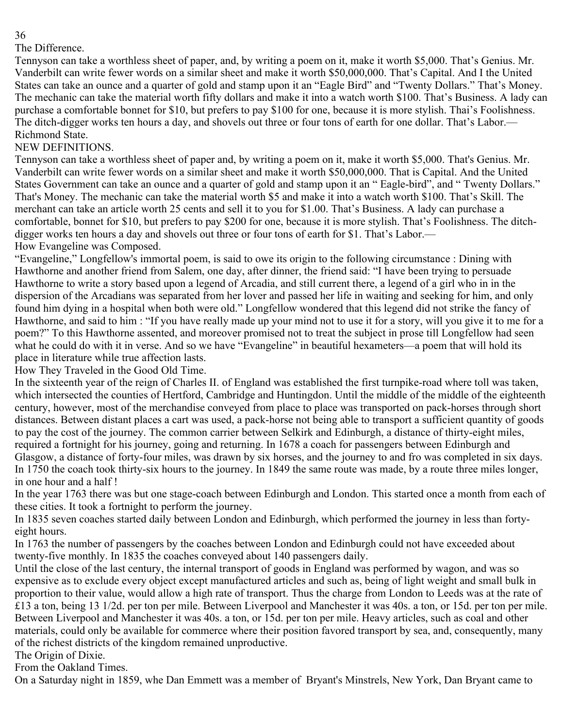## The Difference.

Tennyson can take a worthless sheet of paper, and, by writing a poem on it, make it worth \$5,000. That's Genius. Mr. Vanderbilt can write fewer words on a similar sheet and make it worth \$50,000,000. That's Capital. And I the United States can take an ounce and a quarter of gold and stamp upon it an "Eagle Bird" and "Twenty Dollars." That's Money. The mechanic can take the material worth fifty dollars and make it into a watch worth \$100. That's Business. A lady can purchase a comfortable bonnet for \$10, but prefers to pay \$100 for one, because it is more stylish. Thai's Foolishness. The ditch-digger works ten hours a day, and shovels out three or four tons of earth for one dollar. That's Labor.— Richmond State.

# NEW DEFINITIONS.

Tennyson can take a worthless sheet of paper and, by writing a poem on it, make it worth \$5,000. That's Genius. Mr. Vanderbilt can write fewer words on a similar sheet and make it worth \$50,000,000. That is Capital. And the United States Government can take an ounce and a quarter of gold and stamp upon it an " Eagle-bird", and " Twenty Dollars." That's Money. The mechanic can take the material worth \$5 and make it into a watch worth \$100. That's Skill. The merchant can take an article worth 25 cents and sell it to you for \$1.00. That's Business. A lady can purchase a comfortable, bonnet for \$10, but prefers to pay \$200 for one, because it is more stylish. That's Foolishness. The ditchdigger works ten hours a day and shovels out three or four tons of earth for \$1. That's Labor.— How Evangeline was Composed.

"Evangeline," Longfellow's immortal poem, is said to owe its origin to the following circumstance : Dining with Hawthorne and another friend from Salem, one day, after dinner, the friend said: "I have been trying to persuade Hawthorne to write a story based upon a legend of Arcadia, and still current there, a legend of a girl who in in the dispersion of the Arcadians was separated from her lover and passed her life in waiting and seeking for him, and only found him dying in a hospital when both were old." Longfellow wondered that this legend did not strike the fancy of Hawthorne, and said to him : "If you have really made up your mind not to use it for a story, will you give it to me for a poem?" To this Hawthorne assented, and moreover promised not to treat the subject in prose till Longfellow had seen what he could do with it in verse. And so we have "Evangeline" in beautiful hexameters—a poem that will hold its place in literature while true affection lasts.

How They Traveled in the Good Old Time.

In the sixteenth year of the reign of Charles II. of England was established the first turnpike-road where toll was taken, which intersected the counties of Hertford, Cambridge and Huntingdon. Until the middle of the middle of the eighteenth century, however, most of the merchandise conveyed from place to place was transported on pack-horses through short distances. Between distant places a cart was used, a pack-horse not being able to transport a sufficient quantity of goods to pay the cost of the journey. The common carrier between Selkirk and Edinburgh, a distance of thirty-eight miles, required a fortnight for his journey, going and returning. In 1678 a coach for passengers between Edinburgh and Glasgow, a distance of forty-four miles, was drawn by six horses, and the journey to and fro was completed in six days. In 1750 the coach took thirty-six hours to the journey. In 1849 the same route was made, by a route three miles longer, in one hour and a half !

In the year 1763 there was but one stage-coach between Edinburgh and London. This started once a month from each of these cities. It took a fortnight to perform the journey.

In 1835 seven coaches started daily between London and Edinburgh, which performed the journey in less than fortyeight hours.

In 1763 the number of passengers by the coaches between London and Edinburgh could not have exceeded about twenty-five monthly. In 1835 the coaches conveyed about 140 passengers daily.

Until the close of the last century, the internal transport of goods in England was performed by wagon, and was so expensive as to exclude every object except manufactured articles and such as, being of light weight and small bulk in proportion to their value, would allow a high rate of transport. Thus the charge from London to Leeds was at the rate of £13 a ton, being 13 1/2d. per ton per mile. Between Liverpool and Manchester it was 40s. a ton, or 15d. per ton per mile. Between Liverpool and Manchester it was 40s. a ton, or 15d. per ton per mile. Heavy articles, such as coal and other materials, could only be available for commerce where their position favored transport by sea, and, consequently, many of the richest districts of the kingdom remained unproductive.

The Origin of Dixie.

From the Oakland Times.

On a Saturday night in 1859, whe Dan Emmett was a member of Bryant's Minstrels, New York, Dan Bryant came to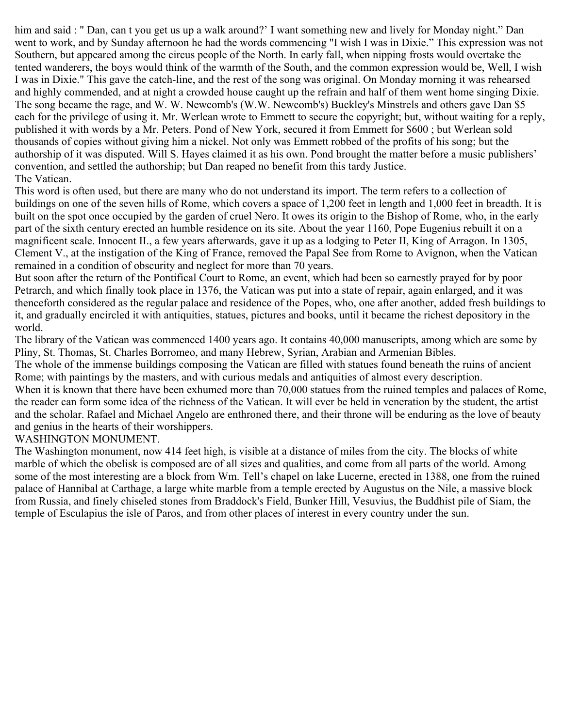him and said : " Dan, can t you get us up a walk around?' I want something new and lively for Monday night." Dan went to work, and by Sunday afternoon he had the words commencing "I wish I was in Dixie." This expression was not Southern, but appeared among the circus people of the North. In early fall, when nipping frosts would overtake the tented wanderers, the boys would think of the warmth of the South, and the common expression would be, Well, I wish I was in Dixie." This gave the catch-line, and the rest of the song was original. On Monday morning it was rehearsed and highly commended, and at night a crowded house caught up the refrain and half of them went home singing Dixie. The song became the rage, and W. W. Newcomb's (W.W. Newcomb's) Buckley's Minstrels and others gave Dan \$5 each for the privilege of using it. Mr. Werlean wrote to Emmett to secure the copyright; but, without waiting for a reply, published it with words by a Mr. Peters. Pond of New York, secured it from Emmett for \$600 ; but Werlean sold thousands of copies without giving him a nickel. Not only was Emmett robbed of the profits of his song; but the authorship of it was disputed. Will S. Hayes claimed it as his own. Pond brought the matter before a music publishers' convention, and settled the authorship; but Dan reaped no benefit from this tardy Justice. The Vatican.

This word is often used, but there are many who do not understand its import. The term refers to a collection of buildings on one of the seven hills of Rome, which covers a space of 1,200 feet in length and 1,000 feet in breadth. It is built on the spot once occupied by the garden of cruel Nero. It owes its origin to the Bishop of Rome, who, in the early part of the sixth century erected an humble residence on its site. About the year 1160, Pope Eugenius rebuilt it on a magnificent scale. Innocent II., a few years afterwards, gave it up as a lodging to Peter II, King of Arragon. In 1305, Clement V., at the instigation of the King of France, removed the Papal See from Rome to Avignon, when the Vatican remained in a condition of obscurity and neglect for more than 70 years.

But soon after the return of the Pontifical Court to Rome, an event, which had been so earnestly prayed for by poor Petrarch, and which finally took place in 1376, the Vatican was put into a state of repair, again enlarged, and it was thenceforth considered as the regular palace and residence of the Popes, who, one after another, added fresh buildings to it, and gradually encircled it with antiquities, statues, pictures and books, until it became the richest depository in the world.

The library of the Vatican was commenced 1400 years ago. It contains 40,000 manuscripts, among which are some by Pliny, St. Thomas, St. Charles Borromeo, and many Hebrew, Syrian, Arabian and Armenian Bibles.

The whole of the immense buildings composing the Vatican are filled with statues found beneath the ruins of ancient Rome; with paintings by the masters, and with curious medals and antiquities of almost every description.

When it is known that there have been exhumed more than 70,000 statues from the ruined temples and palaces of Rome, the reader can form some idea of the richness of the Vatican. It will ever be held in veneration by the student, the artist and the scholar. Rafael and Michael Angelo are enthroned there, and their throne will be enduring as the love of beauty and genius in the hearts of their worshippers.

WASHINGTON MONUMENT.

The Washington monument, now 414 feet high, is visible at a distance of miles from the city. The blocks of white marble of which the obelisk is composed are of all sizes and qualities, and come from all parts of the world. Among some of the most interesting are a block from Wm. Tell's chapel on lake Lucerne, erected in 1388, one from the ruined palace of Hannibal at Carthage, a large white marble from a temple erected by Augustus on the Nile, a massive block from Russia, and finely chiseled stones from Braddock's Field, Bunker Hill, Vesuvius, the Buddhist pile of Siam, the temple of Esculapius the isle of Paros, and from other places of interest in every country under the sun.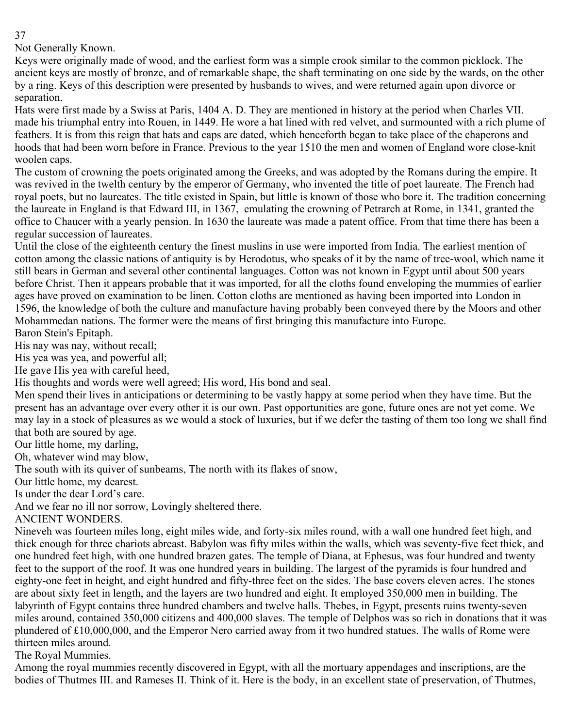Not Generally Known.

Keys were originally made of wood, and the earliest form was a simple crook similar to the common picklock. The ancient keys are mostly of bronze, and of remarkable shape, the shaft terminating on one side by the wards, on the other by a ring. Keys of this description were presented by husbands to wives, and were returned again upon divorce or separation.

Hats were first made by a Swiss at Paris, 1404 A. D. They are mentioned in history at the period when Charles VII. made his triumphal entry into Rouen, in 1449. He wore a hat lined with red velvet, and surmounted with a rich plume of feathers. It is from this reign that hats and caps are dated, which henceforth began to take place of the chaperons and hoods that had been worn before in France. Previous to the year 1510 the men and women of England wore close-knit woolen caps.

The custom of crowning the poets originated among the Greeks, and was adopted by the Romans during the empire. It was revived in the twelth century by the emperor of Germany, who invented the title of poet laureate. The French had royal poets, but no laureates. The title existed in Spain, but little is known of those who bore it. The tradition concerning the laureate in England is that Edward III, in 1367, emulating the crowning of Petrarch at Rome, in 1341, granted the office to Chaucer with a yearly pension. In 1630 the laureate was made a patent office. From that time there has been a regular succession of laureates.

Until the close of the eighteenth century the finest muslins in use were imported from India. The earliest mention of cotton among the classic nations of antiquity is by Herodotus, who speaks of it by the name of tree-wool, which name it still bears in German and several other continental languages. Cotton was not known in Egypt until about 500 years before Christ. Then it appears probable that it was imported, for all the cloths found enveloping the mummies of earlier ages have proved on examination to be linen. Cotton cloths are mentioned as having been imported into London in 1596, the knowledge of both the culture and manufacture having probably been conveyed there by the Moors and other Mohammedan nations. The former were the means of first bringing this manufacture into Europe. Baron Stein's Epitaph.

His nay was nay, without recall;

His yea was yea, and powerful all;

He gave His yea with careful heed,

His thoughts and words were well agreed; His word, His bond and seal.

Men spend their lives in anticipations or determining to be vastly happy at some period when they have time. But the present has an advantage over every other it is our own. Past opportunities are gone, future ones are not yet come. We may lay in a stock of pleasures as we would a stock of luxuries, but if we defer the tasting of them too long we shall find that both are soured by age.

Our little home, my darling,

Oh, whatever wind may blow,

The south with its quiver of sunbeams, The north with its flakes of snow,

Our little home, my dearest.

Is under the dear Lord's care.

And we fear no ill nor sorrow, Lovingly sheltered there.

ANCIENT WONDERS.

Nineveh was fourteen miles long, eight miles wide, and forty-six miles round, with a wall one hundred feet high, and thick enough for three chariots abreast. Babylon was fifty miles within the walls, which was seventy-five feet thick, and one hundred feet high, with one hundred brazen gates. The temple of Diana, at Ephesus, was four hundred and twenty feet to the support of the roof. It was one hundred years in building. The largest of the pyramids is four hundred and eighty-one feet in height, and eight hundred and fifty-three feet on the sides. The base covers eleven acres. The stones are about sixty feet in length, and the layers are two hundred and eight. It employed 350,000 men in building. The labyrinth of Egypt contains three hundred chambers and twelve halls. Thebes, in Egypt, presents ruins twenty-seven miles around, contained 350,000 citizens and 400,000 slaves. The temple of Delphos was so rich in donations that it was plundered of £10,000,000, and the Emperor Nero carried away from it two hundred statues. The walls of Rome were thirteen miles around.

The Royal Mummies.

Among the royal mummies recently discovered in Egypt, with all the mortuary appendages and inscriptions, are the bodies of Thutmes III. and Rameses II. Think of it. Here is the body, in an excellent state of preservation, of Thutmes,

37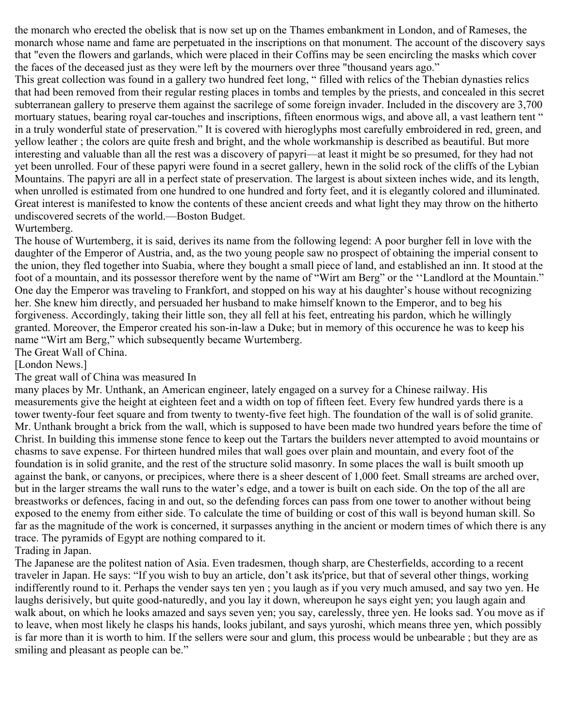the monarch who erected the obelisk that is now set up on the Thames embankment in London, and of Rameses, the monarch whose name and fame are perpetuated in the inscriptions on that monument. The account of the discovery says that "even the flowers and garlands, which were placed in their Coffins may be seen encircling the masks which cover the faces of the deceased just as they were left by the mourners over three "thousand years ago."

This great collection was found in a gallery two hundred feet long, " filled with relics of the Thebian dynasties relics that had been removed from their regular resting places in tombs and temples by the priests, and concealed in this secret subterranean gallery to preserve them against the sacrilege of some foreign invader. Included in the discovery are 3,700 mortuary statues, bearing royal car-touches and inscriptions, fifteen enormous wigs, and above all, a vast leathern tent " in a truly wonderful state of preservation." It is covered with hieroglyphs most carefully embroidered in red, green, and yellow leather ; the colors are quite fresh and bright, and the whole workmanship is described as beautiful. But more interesting and valuable than all the rest was a discovery of papyri—at least it might be so presumed, for they had not yet been unrolled. Four of these papyri were found in a secret gallery, hewn in the solid rock of the cliffs of the Lybian Mountains. The papyri are all in a perfect state of preservation. The largest is about sixteen inches wide, and its length, when unrolled is estimated from one hundred to one hundred and forty feet, and it is elegantly colored and illuminated. Great interest is manifested to know the contents of these ancient creeds and what light they may throw on the hitherto undiscovered secrets of the world.—Boston Budget.

## Wurtemberg.

The house of Wurtemberg, it is said, derives its name from the following legend: A poor burgher fell in love with the daughter of the Emperor of Austria, and, as the two young people saw no prospect of obtaining the imperial consent to the union, they fled together into Suabia, where they bought a small piece of land, and established an inn. It stood at the foot of a mountain, and its possessor therefore went by the name of "Wirt am Berg" or the ''Landlord at the Mountain." One day the Emperor was traveling to Frankfort, and stopped on his way at his daughter's house without recognizing her. She knew him directly, and persuaded her husband to make himself known to the Emperor, and to beg his forgiveness. Accordingly, taking their little son, they all fell at his feet, entreating his pardon, which he willingly granted. Moreover, the Emperor created his son-in-law a Duke; but in memory of this occurence he was to keep his name "Wirt am Berg," which subsequently became Wurtemberg.

The Great Wall of China.

[London News.]

## The great wall of China was measured In

many places by Mr. Unthank, an American engineer, lately engaged on a survey for a Chinese railway. His measurements give the height at eighteen feet and a width on top of fifteen feet. Every few hundred yards there is a tower twenty-four feet square and from twenty to twenty-five feet high. The foundation of the wall is of solid granite. Mr. Unthank brought a brick from the wall, which is supposed to have been made two hundred years before the time of Christ. In building this immense stone fence to keep out the Tartars the builders never attempted to avoid mountains or chasms to save expense. For thirteen hundred miles that wall goes over plain and mountain, and every foot of the foundation is in solid granite, and the rest of the structure solid masonry. In some places the wall is built smooth up against the bank, or canyons, or precipices, where there is a sheer descent of 1,000 feet. Small streams are arched over, but in the larger streams the wall runs to the water's edge, and a tower is built on each side. On the top of the all are breastworks or defences, facing in and out, so the defending forces can pass from one tower to another without being exposed to the enemy from either side. To calculate the time of building or cost of this wall is beyond human skill. So far as the magnitude of the work is concerned, it surpasses anything in the ancient or modern times of which there is any trace. The pyramids of Egypt are nothing compared to it.

## Trading in Japan.

The Japanese are the politest nation of Asia. Even tradesmen, though sharp, are Chesterfields, according to a recent traveler in Japan. He says: "If you wish to buy an article, don't ask its'price, but that of several other things, working indifferently round to it. Perhaps the vender says ten yen ; you laugh as if you very much amused, and say two yen. He laughs derisively, but quite good-naturedly, and you lay it down, whereupon he says eight yen; you laugh again and walk about, on which he looks amazed and says seven yen; you say, carelessly, three yen. He looks sad. You move as if to leave, when most likely he clasps his hands, looks jubilant, and says yuroshi, which means three yen, which possibly is far more than it is worth to him. If the sellers were sour and glum, this process would be unbearable ; but they are as smiling and pleasant as people can be."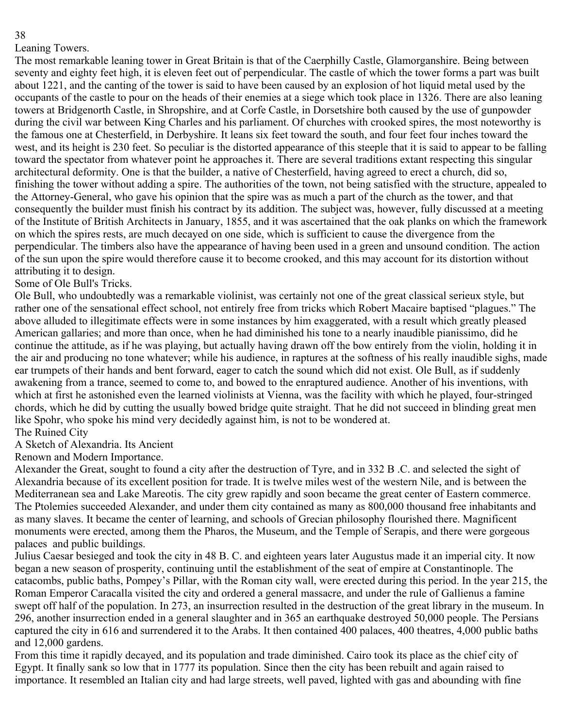## Leaning Towers.

The most remarkable leaning tower in Great Britain is that of the Caerphilly Castle, Glamorganshire. Being between seventy and eighty feet high, it is eleven feet out of perpendicular. The castle of which the tower forms a part was built about 1221, and the canting of the tower is said to have been caused by an explosion of hot liquid metal used by the occupants of the castle to pour on the heads of their enemies at a siege which took place in 1326. There are also leaning towers at Bridgenorth Castle, in Shropshire, and at Corfe Castle, in Dorsetshire both caused by the use of gunpowder during the civil war between King Charles and his parliament. Of churches with crooked spires, the most noteworthy is the famous one at Chesterfield, in Derbyshire. It leans six feet toward the south, and four feet four inches toward the west, and its height is 230 feet. So peculiar is the distorted appearance of this steeple that it is said to appear to be falling toward the spectator from whatever point he approaches it. There are several traditions extant respecting this singular architectural deformity. One is that the builder, a native of Chesterfield, having agreed to erect a church, did so, finishing the tower without adding a spire. The authorities of the town, not being satisfied with the structure, appealed to the Attorney-General, who gave his opinion that the spire was as much a part of the church as the tower, and that consequently the builder must finish his contract by its addition. The subject was, however, fully discussed at a meeting of the Institute of British Architects in January, 1855, and it was ascertained that the oak planks on which the framework on which the spires rests, are much decayed on one side, which is sufficient to cause the divergence from the perpendicular. The timbers also have the appearance of having been used in a green and unsound condition. The action of the sun upon the spire would therefore cause it to become crooked, and this may account for its distortion without attributing it to design.

## Some of Ole Bull's Tricks.

Ole Bull, who undoubtedly was a remarkable violinist, was certainly not one of the great classical serieux style, but rather one of the sensational effect school, not entirely free from tricks which Robert Macaire baptised "plagues." The above alluded to illegitimate effects were in some instances by him exaggerated, with a result which greatly pleased American gallaries; and more than once, when he had diminished his tone to a nearly inaudible pianissimo, did he continue the attitude, as if he was playing, but actually having drawn off the bow entirely from the violin, holding it in the air and producing no tone whatever; while his audience, in raptures at the softness of his really inaudible sighs, made ear trumpets of their hands and bent forward, eager to catch the sound which did not exist. Ole Bull, as if suddenly awakening from a trance, seemed to come to, and bowed to the enraptured audience. Another of his inventions, with which at first he astonished even the learned violinists at Vienna, was the facility with which he played, four-stringed chords, which he did by cutting the usually bowed bridge quite straight. That he did not succeed in blinding great men like Spohr, who spoke his mind very decidedly against him, is not to be wondered at. The Ruined City

# A Sketch of Alexandria. Its Ancient

Renown and Modern Importance.

Alexander the Great, sought to found a city after the destruction of Tyre, and in 332 B .C. and selected the sight of Alexandria because of its excellent position for trade. It is twelve miles west of the western Nile, and is between the Mediterranean sea and Lake Mareotis. The city grew rapidly and soon became the great center of Eastern commerce. The Ptolemies succeeded Alexander, and under them city contained as many as 800,000 thousand free inhabitants and as many slaves. It became the center of learning, and schools of Grecian philosophy flourished there. Magnificent monuments were erected, among them the Pharos, the Museum, and the Temple of Serapis, and there were gorgeous palaces and public buildings.

Julius Caesar besieged and took the city in 48 B. C. and eighteen years later Augustus made it an imperial city. It now began a new season of prosperity, continuing until the establishment of the seat of empire at Constantinople. The catacombs, public baths, Pompey's Pillar, with the Roman city wall, were erected during this period. In the year 215, the Roman Emperor Caracalla visited the city and ordered a general massacre, and under the rule of Gallienus a famine swept off half of the population. In 273, an insurrection resulted in the destruction of the great library in the museum. In 296, another insurrection ended in a general slaughter and in 365 an earthquake destroyed 50,000 people. The Persians captured the city in 616 and surrendered it to the Arabs. It then contained 400 palaces, 400 theatres, 4,000 public baths and 12,000 gardens.

From this time it rapidly decayed, and its population and trade diminished. Cairo took its place as the chief city of Egypt. It finally sank so low that in 1777 its population. Since then the city has been rebuilt and again raised to importance. It resembled an Italian city and had large streets, well paved, lighted with gas and abounding with fine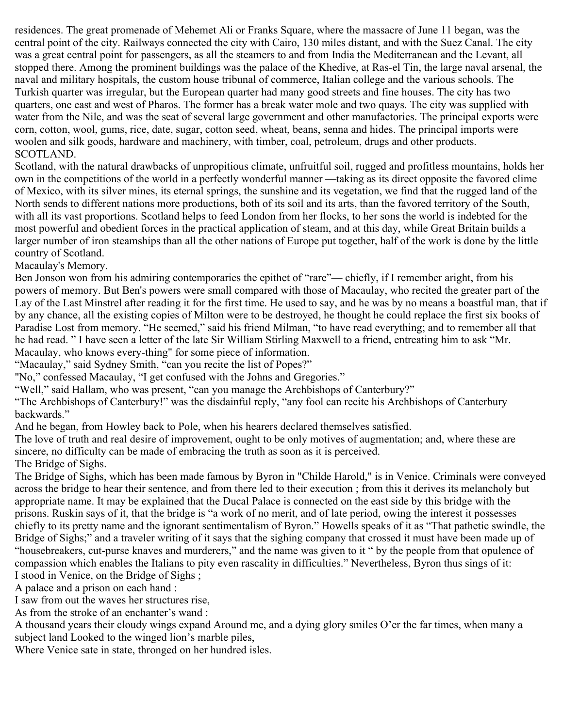residences. The great promenade of Mehemet Ali or Franks Square, where the massacre of June 11 began, was the central point of the city. Railways connected the city with Cairo, 130 miles distant, and with the Suez Canal. The city was a great central point for passengers, as all the steamers to and from India the Mediterranean and the Levant, all stopped there. Among the prominent buildings was the palace of the Khedive, at Ras-el Tin, the large naval arsenal, the naval and military hospitals, the custom house tribunal of commerce, Italian college and the various schools. The Turkish quarter was irregular, but the European quarter had many good streets and fine houses. The city has two quarters, one east and west of Pharos. The former has a break water mole and two quays. The city was supplied with water from the Nile, and was the seat of several large government and other manufactories. The principal exports were corn, cotton, wool, gums, rice, date, sugar, cotton seed, wheat, beans, senna and hides. The principal imports were woolen and silk goods, hardware and machinery, with timber, coal, petroleum, drugs and other products. SCOTLAND.

Scotland, with the natural drawbacks of unpropitious climate, unfruitful soil, rugged and profitless mountains, holds her own in the competitions of the world in a perfectly wonderful manner —taking as its direct opposite the favored clime of Mexico, with its silver mines, its eternal springs, the sunshine and its vegetation, we find that the rugged land of the North sends to different nations more productions, both of its soil and its arts, than the favored territory of the South, with all its vast proportions. Scotland helps to feed London from her flocks, to her sons the world is indebted for the most powerful and obedient forces in the practical application of steam, and at this day, while Great Britain builds a larger number of iron steamships than all the other nations of Europe put together, half of the work is done by the little country of Scotland.

Macaulay's Memory.

Ben Jonson won from his admiring contemporaries the epithet of "rare"— chiefly, if I remember aright, from his powers of memory. But Ben's powers were small compared with those of Macaulay, who recited the greater part of the Lay of the Last Minstrel after reading it for the first time. He used to say, and he was by no means a boastful man, that if by any chance, all the existing copies of Milton were to be destroyed, he thought he could replace the first six books of Paradise Lost from memory. "He seemed," said his friend Milman, "to have read everything; and to remember all that he had read. " I have seen a letter of the late Sir William Stirling Maxwell to a friend, entreating him to ask "Mr. Macaulay, who knows every-thing" for some piece of information.

"Macaulay," said Sydney Smith, "can you recite the list of Popes?"

"No," confessed Macaulay, "I get confused with the Johns and Gregories."

"Well," said Hallam, who was present, "can you manage the Archbishops of Canterbury?"

"The Archbishops of Canterbury!" was the disdainful reply, "any fool can recite his Archbishops of Canterbury backwards."

And he began, from Howley back to Pole, when his hearers declared themselves satisfied.

The love of truth and real desire of improvement, ought to be only motives of augmentation; and, where these are sincere, no difficulty can be made of embracing the truth as soon as it is perceived.

The Bridge of Sighs.

The Bridge of Sighs, which has been made famous by Byron in "Childe Harold," is in Venice. Criminals were conveyed across the bridge to hear their sentence, and from there led to their execution ; from this it derives its melancholy but appropriate name. It may be explained that the Ducal Palace is connected on the east side by this bridge with the prisons. Ruskin says of it, that the bridge is "a work of no merit, and of late period, owing the interest it possesses chiefly to its pretty name and the ignorant sentimentalism of Byron." Howells speaks of it as "That pathetic swindle, the Bridge of Sighs;" and a traveler writing of it says that the sighing company that crossed it must have been made up of "housebreakers, cut-purse knaves and murderers," and the name was given to it " by the people from that opulence of compassion which enables the Italians to pity even rascality in difficulties." Nevertheless, Byron thus sings of it: I stood in Venice, on the Bridge of Sighs ;

A palace and a prison on each hand :

I saw from out the waves her structures rise,

As from the stroke of an enchanter's wand :

A thousand years their cloudy wings expand Around me, and a dying glory smiles O'er the far times, when many a subject land Looked to the winged lion's marble piles,

Where Venice sate in state, thronged on her hundred isles.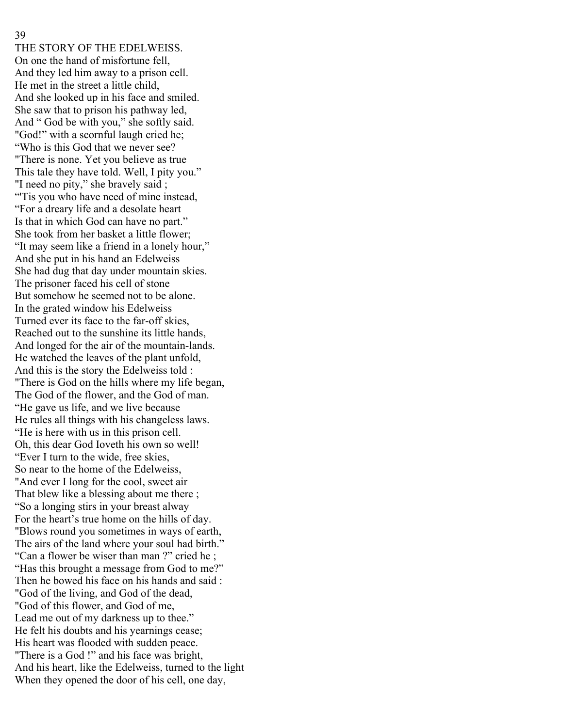THE STORY OF THE EDELWEISS. On one the hand of misfortune fell, And they led him away to a prison cell. He met in the street a little child, And she looked up in his face and smiled. She saw that to prison his pathway led, And " God be with you," she softly said. "God!" with a scornful laugh cried he; "Who is this God that we never see? "There is none. Yet you believe as true This tale they have told. Well, I pity you." "I need no pity," she bravely said; "Tis you who have need of mine instead, "For a dreary life and a desolate heart Is that in which God can have no part." She took from her basket a little flower; "It may seem like a friend in a lonely hour," And she put in his hand an Edelweiss She had dug that day under mountain skies. The prisoner faced his cell of stone But somehow he seemed not to be alone. In the grated window his Edelweiss Turned ever its face to the far-off skies, Reached out to the sunshine its little hands, And longed for the air of the mountain-lands. He watched the leaves of the plant unfold, And this is the story the Edelweiss told : "There is God on the hills where my life began, The God of the flower, and the God of man. "He gave us life, and we live because He rules all things with his changeless laws. "He is here with us in this prison cell. Oh, this dear God Ioveth his own so well! "Ever I turn to the wide, free skies, So near to the home of the Edelweiss, "And ever I long for the cool, sweet air That blew like a blessing about me there ; "So a longing stirs in your breast alway For the heart's true home on the hills of day. "Blows round you sometimes in ways of earth, The airs of the land where your soul had birth." "Can a flower be wiser than man ?" cried he ; "Has this brought a message from God to me?" Then he bowed his face on his hands and said : "God of the living, and God of the dead, "God of this flower, and God of me, Lead me out of my darkness up to thee." He felt his doubts and his yearnings cease; His heart was flooded with sudden peace. "There is a God !" and his face was bright, And his heart, like the Edelweiss, turned to the light When they opened the door of his cell, one day,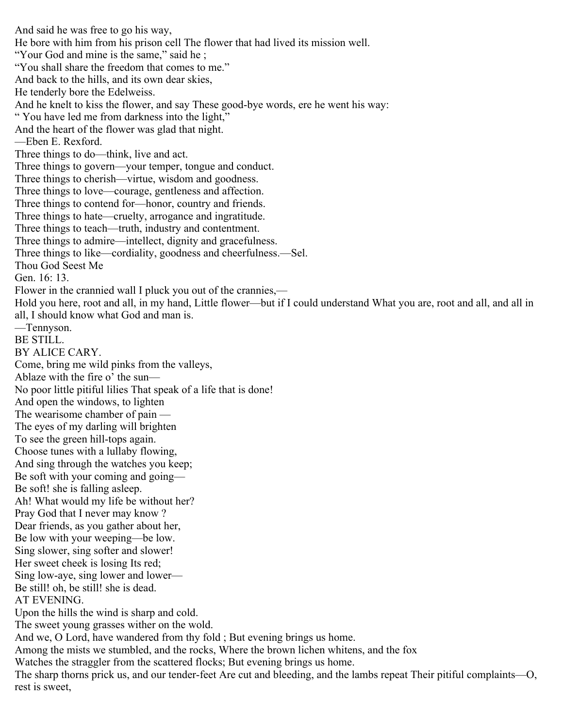And said he was free to go his way, He bore with him from his prison cell The flower that had lived its mission well. "Your God and mine is the same," said he; "You shall share the freedom that comes to me." And back to the hills, and its own dear skies, He tenderly bore the Edelweiss. And he knelt to kiss the flower, and say These good-bye words, ere he went his way: " You have led me from darkness into the light," And the heart of the flower was glad that night. —Eben E. Rexford. Three things to do—think, live and act. Three things to govern—your temper, tongue and conduct. Three things to cherish—virtue, wisdom and goodness. Three things to love—courage, gentleness and affection. Three things to contend for—honor, country and friends. Three things to hate—cruelty, arrogance and ingratitude. Three things to teach—truth, industry and contentment. Three things to admire—intellect, dignity and gracefulness. Three things to like—cordiality, goodness and cheerfulness.—Sel. Thou God Seest Me Gen. 16: 13. Flower in the crannied wall I pluck you out of the crannies,— Hold you here, root and all, in my hand, Little flower—but if I could understand What you are, root and all, and all in all, I should know what God and man is. —Tennyson. BE STILL. BY ALICE CARY. Come, bring me wild pinks from the valleys, Ablaze with the fire o' the sun— No poor little pitiful lilies That speak of a life that is done! And open the windows, to lighten The wearisome chamber of pain — The eyes of my darling will brighten To see the green hill-tops again. Choose tunes with a lullaby flowing, And sing through the watches you keep; Be soft with your coming and going— Be soft! she is falling asleep. Ah! What would my life be without her? Pray God that I never may know ? Dear friends, as you gather about her, Be low with your weeping—be low. Sing slower, sing softer and slower! Her sweet cheek is losing Its red; Sing low-aye, sing lower and lower— Be still! oh, be still! she is dead. AT EVENING. Upon the hills the wind is sharp and cold. The sweet young grasses wither on the wold. And we, O Lord, have wandered from thy fold ; But evening brings us home. Among the mists we stumbled, and the rocks, Where the brown lichen whitens, and the fox Watches the straggler from the scattered flocks; But evening brings us home. The sharp thorns prick us, and our tender-feet Are cut and bleeding, and the lambs repeat Their pitiful complaints—O,

rest is sweet,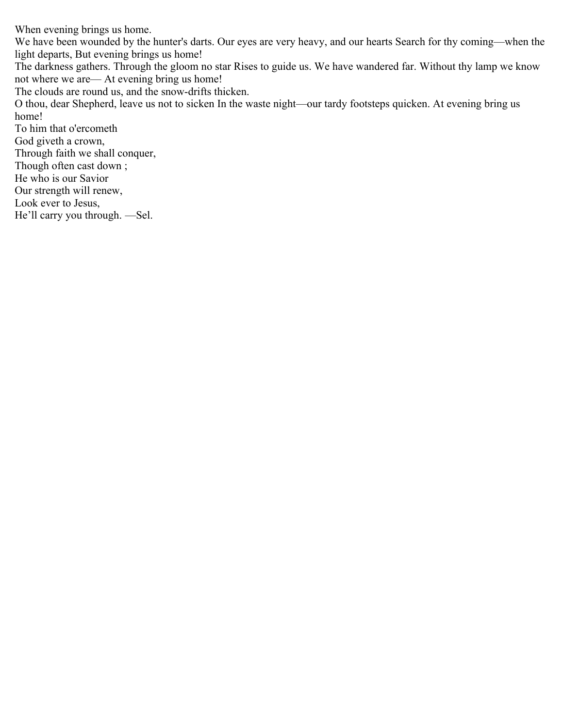When evening brings us home.

We have been wounded by the hunter's darts. Our eyes are very heavy, and our hearts Search for thy coming—when the light departs, But evening brings us home!

The darkness gathers. Through the gloom no star Rises to guide us. We have wandered far. Without thy lamp we know not where we are— At evening bring us home!

The clouds are round us, and the snow-drifts thicken.

O thou, dear Shepherd, leave us not to sicken In the waste night—our tardy footsteps quicken. At evening bring us home!

To him that o'ercometh God giveth a crown, Through faith we shall conquer, Though often cast down ; He who is our Savior Our strength will renew, Look ever to Jesus, He'll carry you through. —Sel.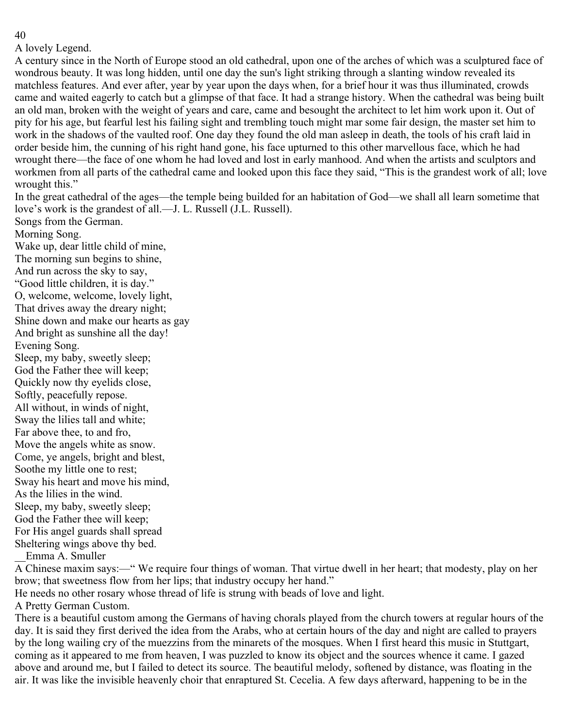A lovely Legend.

A century since in the North of Europe stood an old cathedral, upon one of the arches of which was a sculptured face of wondrous beauty. It was long hidden, until one day the sun's light striking through a slanting window revealed its matchless features. And ever after, year by year upon the days when, for a brief hour it was thus illuminated, crowds came and waited eagerly to catch but a glimpse of that face. It had a strange history. When the cathedral was being built an old man, broken with the weight of years and care, came and besought the architect to let him work upon it. Out of pity for his age, but fearful lest his failing sight and trembling touch might mar some fair design, the master set him to work in the shadows of the vaulted roof. One day they found the old man asleep in death, the tools of his craft laid in order beside him, the cunning of his right hand gone, his face upturned to this other marvellous face, which he had wrought there—the face of one whom he had loved and lost in early manhood. And when the artists and sculptors and workmen from all parts of the cathedral came and looked upon this face they said, "This is the grandest work of all; love wrought this."

In the great cathedral of the ages—the temple being builded for an habitation of God—we shall all learn sometime that love's work is the grandest of all.—J. L. Russell (J.L. Russell).

Songs from the German. Morning Song. Wake up, dear little child of mine, The morning sun begins to shine, And run across the sky to say, "Good little children, it is day." O, welcome, welcome, lovely light, That drives away the dreary night; Shine down and make our hearts as gay And bright as sunshine all the day! Evening Song. Sleep, my baby, sweetly sleep; God the Father thee will keep; Quickly now thy eyelids close, Softly, peacefully repose. All without, in winds of night, Sway the lilies tall and white; Far above thee, to and fro, Move the angels white as snow. Come, ye angels, bright and blest, Soothe my little one to rest; Sway his heart and move his mind, As the lilies in the wind. Sleep, my baby, sweetly sleep; God the Father thee will keep; For His angel guards shall spread Sheltering wings above thy bed.

\_\_Emma A. Smuller

A Chinese maxim says:—" We require four things of woman. That virtue dwell in her heart; that modesty, play on her brow; that sweetness flow from her lips; that industry occupy her hand."

He needs no other rosary whose thread of life is strung with beads of love and light.

A Pretty German Custom.

There is a beautiful custom among the Germans of having chorals played from the church towers at regular hours of the day. It is said they first derived the idea from the Arabs, who at certain hours of the day and night are called to prayers by the long wailing cry of the muezzins from the minarets of the mosques. When I first heard this music in Stuttgart, coming as it appeared to me from heaven, I was puzzled to know its object and the sources whence it came. I gazed above and around me, but I failed to detect its source. The beautiful melody, softened by distance, was floating in the air. It was like the invisible heavenly choir that enraptured St. Cecelia. A few days afterward, happening to be in the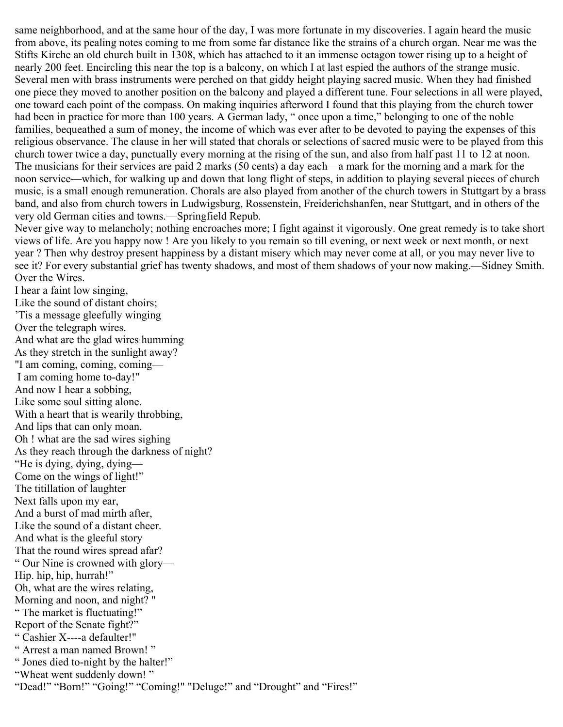same neighborhood, and at the same hour of the day, I was more fortunate in my discoveries. I again heard the music from above, its pealing notes coming to me from some far distance like the strains of a church organ. Near me was the Stifts Kirche an old church built in 1308, which has attached to it an immense octagon tower rising up to a height of nearly 200 feet. Encircling this near the top is a balcony, on which I at last espied the authors of the strange music. Several men with brass instruments were perched on that giddy height playing sacred music. When they had finished one piece they moved to another position on the balcony and played a different tune. Four selections in all were played, one toward each point of the compass. On making inquiries afterword I found that this playing from the church tower had been in practice for more than 100 years. A German lady, "once upon a time," belonging to one of the noble families, bequeathed a sum of money, the income of which was ever after to be devoted to paying the expenses of this religious observance. The clause in her will stated that chorals or selections of sacred music were to be played from this church tower twice a day, punctually every morning at the rising of the sun, and also from half past 11 to 12 at noon. The musicians for their services are paid 2 marks (50 cents) a day each—a mark for the morning and a mark for the noon service—which, for walking up and down that long flight of steps, in addition to playing several pieces of church music, is a small enough remuneration. Chorals are also played from another of the church towers in Stuttgart by a brass band, and also from church towers in Ludwigsburg, Rossenstein, Freiderichshanfen, near Stuttgart, and in others of the very old German cities and towns.—Springfield Repub.

Never give way to melancholy; nothing encroaches more; I fight against it vigorously. One great remedy is to take short views of life. Are you happy now ! Are you likely to you remain so till evening, or next week or next month, or next year ? Then why destroy present happiness by a distant misery which may never come at all, or you may never live to see it? For every substantial grief has twenty shadows, and most of them shadows of your now making.—Sidney Smith. Over the Wires.

I hear a faint low singing, Like the sound of distant choirs; 'Tis a message gleefully winging Over the telegraph wires. And what are the glad wires humming As they stretch in the sunlight away? "I am coming, coming, coming— I am coming home to-day!" And now I hear a sobbing, Like some soul sitting alone. With a heart that is wearily throbbing, And lips that can only moan. Oh ! what are the sad wires sighing As they reach through the darkness of night? "He is dying, dying, dying— Come on the wings of light!" The titillation of laughter Next falls upon my ear, And a burst of mad mirth after, Like the sound of a distant cheer. And what is the gleeful story That the round wires spread afar? " Our Nine is crowned with glory— Hip. hip, hip, hurrah!" Oh, what are the wires relating, Morning and noon, and night? " " The market is fluctuating!" Report of the Senate fight?" " Cashier X----a defaulter!" " Arrest a man named Brown! " " Jones died to-night by the halter!" "Wheat went suddenly down! " "Dead!" "Born!" "Going!" "Coming!" "Deluge!" and "Drought" and "Fires!"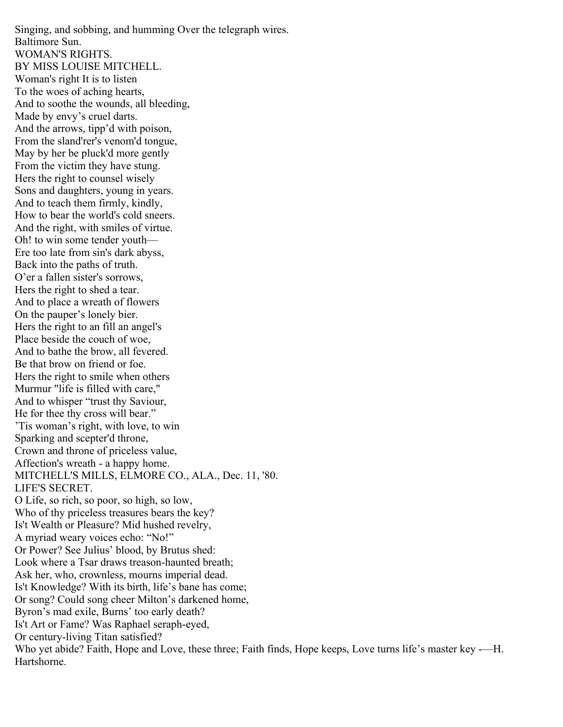Singing, and sobbing, and humming Over the telegraph wires. Baltimore Sun. WOMAN'S RIGHTS. BY MISS LOUISE MITCHELL. Woman's right It is to listen To the woes of aching hearts, And to soothe the wounds, all bleeding, Made by envy's cruel darts. And the arrows, tipp'd with poison, From the sland'rer's venom'd tongue, May by her be pluck'd more gently From the victim they have stung. Hers the right to counsel wisely Sons and daughters, young in years. And to teach them firmly, kindly, How to bear the world's cold sneers. And the right, with smiles of virtue. Oh! to win some tender youth— Ere too late from sin's dark abyss, Back into the paths of truth. O'er a fallen sister's sorrows, Hers the right to shed a tear. And to place a wreath of flowers On the pauper's lonely bier. Hers the right to an fill an angel's Place beside the couch of woe, And to bathe the brow, all fevered. Be that brow on friend or foe. Hers the right to smile when others Murmur "life is filled with care," And to whisper "trust thy Saviour, He for thee thy cross will bear." 'Tis woman's right, with love, to win Sparking and scepter'd throne, Crown and throne of priceless value, Affection's wreath - a happy home. MITCHELL'S MILLS, ELMORE CO., ALA., Dec. 11, '80. LIFE'S SECRET. O Life, so rich, so poor, so high, so low, Who of thy priceless treasures bears the key? Is't Wealth or Pleasure? Mid hushed revelry, A myriad weary voices echo: "No!" Or Power? See Julius' blood, by Brutus shed: Look where a Tsar draws treason-haunted breath; Ask her, who, crownless, mourns imperial dead. Is't Knowledge? With its birth, life's bane has come; Or song? Could song cheer Milton's darkened home, Byron's mad exile, Burns' too early death? Is't Art or Fame? Was Raphael seraph-eyed, Or century-living Titan satisfied? Who yet abide? Faith, Hope and Love, these three; Faith finds, Hope keeps, Love turns life's master key -—H. Hartshorne.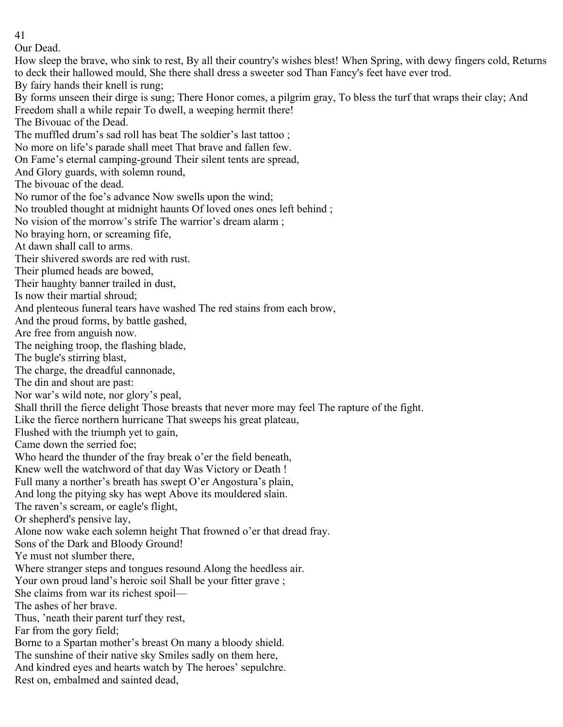Our Dead.

How sleep the brave, who sink to rest, By all their country's wishes blest! When Spring, with dewy fingers cold, Returns to deck their hallowed mould, She there shall dress a sweeter sod Than Fancy's feet have ever trod. By fairy hands their knell is rung; By forms unseen their dirge is sung; There Honor comes, a pilgrim gray, To bless the turf that wraps their clay; And Freedom shall a while repair To dwell, a weeping hermit there! The Bivouac of the Dead. The muffled drum's sad roll has beat The soldier's last tattoo ; No more on life's parade shall meet That brave and fallen few. On Fame's eternal camping-ground Their silent tents are spread, And Glory guards, with solemn round, The bivouac of the dead. No rumor of the foe's advance Now swells upon the wind; No troubled thought at midnight haunts Of loved ones ones left behind ; No vision of the morrow's strife The warrior's dream alarm ; No braying horn, or screaming fife, At dawn shall call to arms. Their shivered swords are red with rust. Their plumed heads are bowed, Their haughty banner trailed in dust, Is now their martial shroud; And plenteous funeral tears have washed The red stains from each brow, And the proud forms, by battle gashed, Are free from anguish now. The neighing troop, the flashing blade, The bugle's stirring blast, The charge, the dreadful cannonade, The din and shout are past: Nor war's wild note, nor glory's peal, Shall thrill the fierce delight Those breasts that never more may feel The rapture of the fight. Like the fierce northern hurricane That sweeps his great plateau, Flushed with the triumph yet to gain, Came down the serried foe; Who heard the thunder of the fray break o'er the field beneath, Knew well the watchword of that day Was Victory or Death ! Full many a norther's breath has swept O'er Angostura's plain, And long the pitying sky has wept Above its mouldered slain. The raven's scream, or eagle's flight, Or shepherd's pensive lay, Alone now wake each solemn height That frowned o'er that dread fray. Sons of the Dark and Bloody Ground! Ye must not slumber there, Where stranger steps and tongues resound Along the heedless air. Your own proud land's heroic soil Shall be your fitter grave ; She claims from war its richest spoil— The ashes of her brave. Thus, 'neath their parent turf they rest, Far from the gory field; Borne to a Spartan mother's breast On many a bloody shield. The sunshine of their native sky Smiles sadly on them here, And kindred eyes and hearts watch by The heroes' sepulchre. Rest on, embalmed and sainted dead,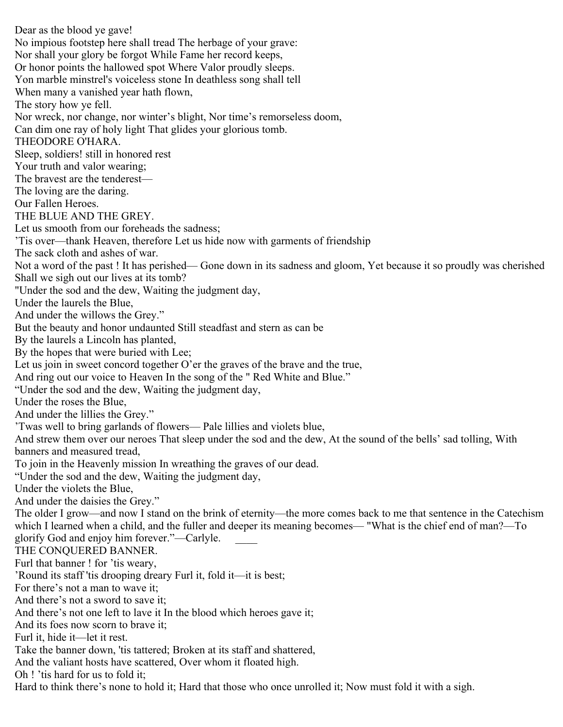Dear as the blood ye gave! No impious footstep here shall tread The herbage of your grave: Nor shall your glory be forgot While Fame her record keeps, Or honor points the hallowed spot Where Valor proudly sleeps. Yon marble minstrel's voiceless stone In deathless song shall tell When many a vanished year hath flown, The story how ye fell. Nor wreck, nor change, nor winter's blight, Nor time's remorseless doom, Can dim one ray of holy light That glides your glorious tomb. THEODORE O'HARA. Sleep, soldiers! still in honored rest Your truth and valor wearing; The bravest are the tenderest— The loving are the daring. Our Fallen Heroes. THE BLUE AND THE GREY. Let us smooth from our foreheads the sadness; 'Tis over—thank Heaven, therefore Let us hide now with garments of friendship The sack cloth and ashes of war. Not a word of the past ! It has perished— Gone down in its sadness and gloom, Yet because it so proudly was cherished Shall we sigh out our lives at its tomb? "Under the sod and the dew, Waiting the judgment day, Under the laurels the Blue, And under the willows the Grey." But the beauty and honor undaunted Still steadfast and stern as can be By the laurels a Lincoln has planted, By the hopes that were buried with Lee; Let us join in sweet concord together O'er the graves of the brave and the true, And ring out our voice to Heaven In the song of the "Red White and Blue." "Under the sod and the dew, Waiting the judgment day, Under the roses the Blue, And under the lillies the Grey." 'Twas well to bring garlands of flowers— Pale lillies and violets blue, And strew them over our neroes That sleep under the sod and the dew, At the sound of the bells' sad tolling, With banners and measured tread, To join in the Heavenly mission In wreathing the graves of our dead. "Under the sod and the dew, Waiting the judgment day, Under the violets the Blue, And under the daisies the Grey." The older I grow—and now I stand on the brink of eternity—the more comes back to me that sentence in the Catechism which I learned when a child, and the fuller and deeper its meaning becomes— "What is the chief end of man?—To glorify God and enjoy him forever."—Carlyle. THE CONQUERED BANNER. Furl that banner ! for 'tis weary, 'Round its staff 'tis drooping dreary Furl it, fold it—it is best; For there's not a man to wave it; And there's not a sword to save it; And there's not one left to lave it In the blood which heroes gave it; And its foes now scorn to brave it; Furl it, hide it—let it rest. Take the banner down, 'tis tattered; Broken at its staff and shattered, And the valiant hosts have scattered, Over whom it floated high. Oh ! 'tis hard for us to fold it; Hard to think there's none to hold it; Hard that those who once unrolled it; Now must fold it with a sigh.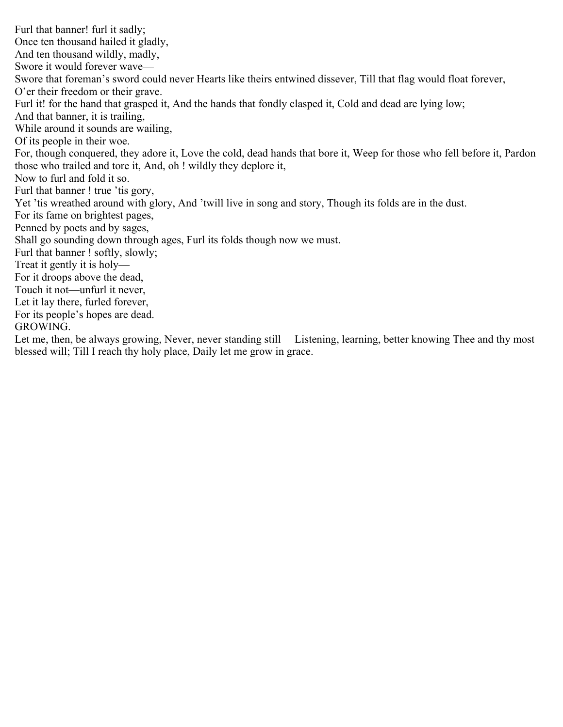Furl that banner! furl it sadly; Once ten thousand hailed it gladly, And ten thousand wildly, madly, Swore it would forever wave— Swore that foreman's sword could never Hearts like theirs entwined dissever, Till that flag would float forever, O'er their freedom or their grave. Furl it! for the hand that grasped it, And the hands that fondly clasped it, Cold and dead are lying low; And that banner, it is trailing, While around it sounds are wailing, Of its people in their woe. For, though conquered, they adore it, Love the cold, dead hands that bore it, Weep for those who fell before it, Pardon those who trailed and tore it, And, oh ! wildly they deplore it, Now to furl and fold it so. Furl that banner ! true 'tis gory, Yet 'tis wreathed around with glory, And 'twill live in song and story, Though its folds are in the dust. For its fame on brightest pages, Penned by poets and by sages, Shall go sounding down through ages, Furl its folds though now we must. Furl that banner ! softly, slowly; Treat it gently it is holy— For it droops above the dead, Touch it not—unfurl it never, Let it lay there, furled forever, For its people's hopes are dead. GROWING.

Let me, then, be always growing, Never, never standing still— Listening, learning, better knowing Thee and thy most blessed will; Till I reach thy holy place, Daily let me grow in grace.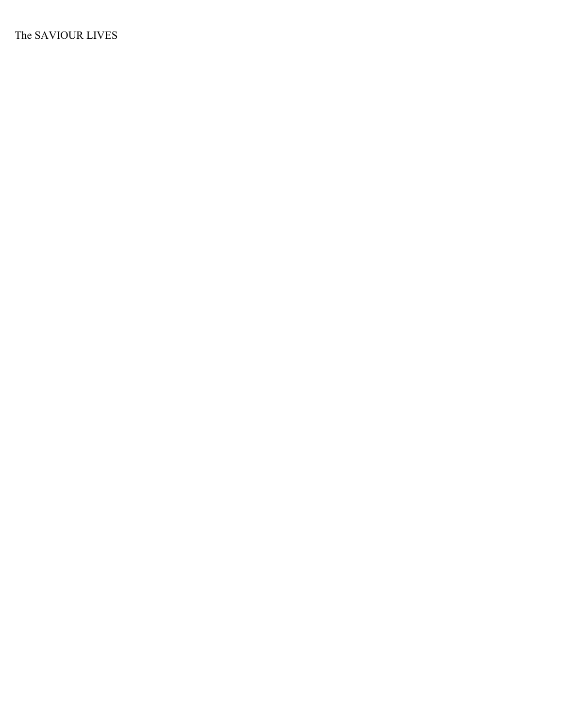The SAVIOUR LIVES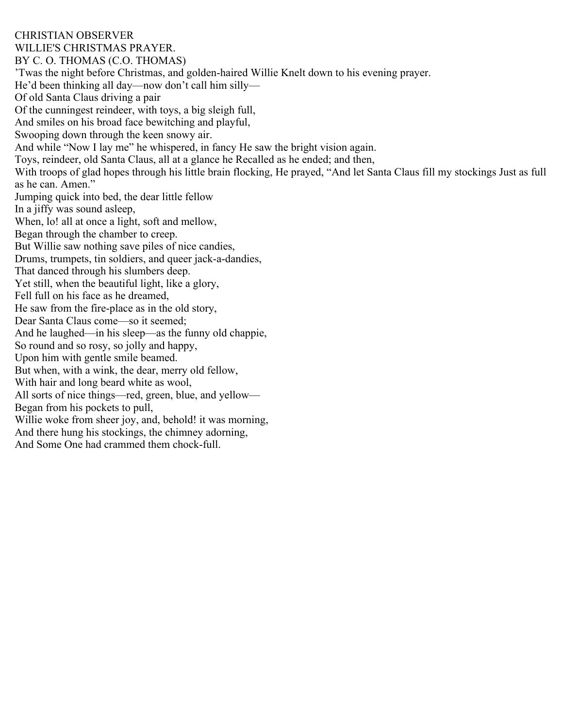CHRISTIAN OBSERVER WILLIE'S CHRISTMAS PRAYER. BY C. O. THOMAS (C.O. THOMAS) 'Twas the night before Christmas, and golden-haired Willie Knelt down to his evening prayer. He'd been thinking all day—now don't call him silly— Of old Santa Claus driving a pair Of the cunningest reindeer, with toys, a big sleigh full, And smiles on his broad face bewitching and playful, Swooping down through the keen snowy air. And while "Now I lay me" he whispered, in fancy He saw the bright vision again. Toys, reindeer, old Santa Claus, all at a glance he Recalled as he ended; and then, With troops of glad hopes through his little brain flocking, He prayed, "And let Santa Claus fill my stockings Just as full as he can. Amen." Jumping quick into bed, the dear little fellow In a jiffy was sound asleep, When, lo! all at once a light, soft and mellow, Began through the chamber to creep. But Willie saw nothing save piles of nice candies, Drums, trumpets, tin soldiers, and queer jack-a-dandies, That danced through his slumbers deep. Yet still, when the beautiful light, like a glory, Fell full on his face as he dreamed, He saw from the fire-place as in the old story, Dear Santa Claus come—so it seemed; And he laughed—in his sleep—as the funny old chappie, So round and so rosy, so jolly and happy, Upon him with gentle smile beamed. But when, with a wink, the dear, merry old fellow, With hair and long beard white as wool, All sorts of nice things—red, green, blue, and yellow— Began from his pockets to pull, Willie woke from sheer joy, and, behold! it was morning, And there hung his stockings, the chimney adorning, And Some One had crammed them chock-full.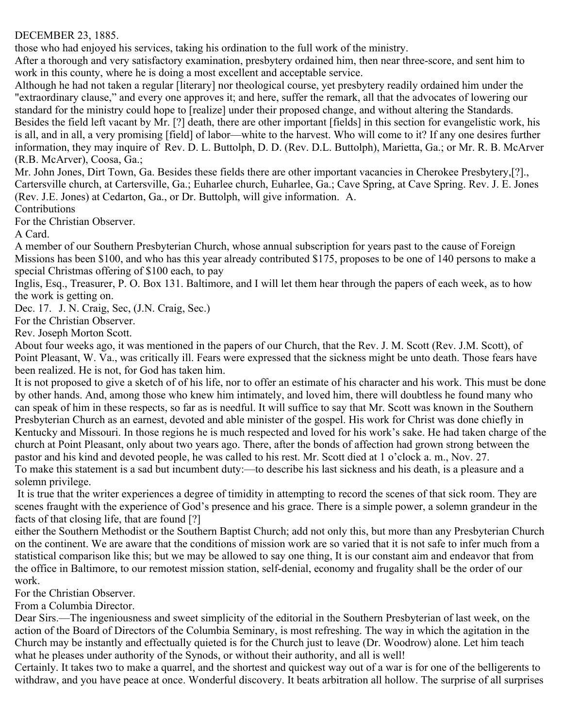# DECEMBER 23, 1885.

those who had enjoyed his services, taking his ordination to the full work of the ministry.

After a thorough and very satisfactory examination, presbytery ordained him, then near three-score, and sent him to work in this county, where he is doing a most excellent and acceptable service.

Although he had not taken a regular [literary] nor theological course, yet presbytery readily ordained him under the "extraordinary clause," and every one approves it; and here, suffer the remark, all that the advocates of lowering our standard for the ministry could hope to [realize] under their proposed change, and without altering the Standards.

Besides the field left vacant by Mr. [?] death, there are other important [fields] in this section for evangelistic work, his is all, and in all, a very promising [field] of labor—white to the harvest. Who will come to it? If any one desires further information, they may inquire of Rev. D. L. Buttolph, D. D. (Rev. D.L. Buttolph), Marietta, Ga.; or Mr. R. B. McArver (R.B. McArver), Coosa, Ga.;

Mr. John Jones, Dirt Town, Ga. Besides these fields there are other important vacancies in Cherokee Presbytery,[?]., Cartersville church, at Cartersville, Ga.; Euharlee church, Euharlee, Ga.; Cave Spring, at Cave Spring. Rev. J. E. Jones (Rev. J.E. Jones) at Cedarton, Ga., or Dr. Buttolph, will give information. A.

**Contributions** 

For the Christian Observer.

A Card.

A member of our Southern Presbyterian Church, whose annual subscription for years past to the cause of Foreign Missions has been \$100, and who has this year already contributed \$175, proposes to be one of 140 persons to make a special Christmas offering of \$100 each, to pay

Inglis, Esq., Treasurer, P. O. Box 131. Baltimore, and I will let them hear through the papers of each week, as to how the work is getting on.

Dec. 17. J. N. Craig, Sec, (J.N. Craig, Sec.)

For the Christian Observer.

Rev. Joseph Morton Scott.

About four weeks ago, it was mentioned in the papers of our Church, that the Rev. J. M. Scott (Rev. J.M. Scott), of Point Pleasant, W. Va., was critically ill. Fears were expressed that the sickness might be unto death. Those fears have been realized. He is not, for God has taken him.

It is not proposed to give a sketch of of his life, nor to offer an estimate of his character and his work. This must be done by other hands. And, among those who knew him intimately, and loved him, there will doubtless he found many who can speak of him in these respects, so far as is needful. It will suffice to say that Mr. Scott was known in the Southern Presbyterian Church as an earnest, devoted and able minister of the gospel. His work for Christ was done chiefly in Kentucky and Missouri. In those regions he is much respected and loved for his work's sake. He had taken charge of the church at Point Pleasant, only about two years ago. There, after the bonds of affection had grown strong between the pastor and his kind and devoted people, he was called to his rest. Mr. Scott died at 1 o'clock a. m., Nov. 27. To make this statement is a sad but incumbent duty:—to describe his last sickness and his death, is a pleasure and a solemn privilege.

 It is true that the writer experiences a degree of timidity in attempting to record the scenes of that sick room. They are scenes fraught with the experience of God's presence and his grace. There is a simple power, a solemn grandeur in the facts of that closing life, that are found [?]

either the Southern Methodist or the Southern Baptist Church; add not only this, but more than any Presbyterian Church on the continent. We are aware that the conditions of mission work are so varied that it is not safe to infer much from a statistical comparison like this; but we may be allowed to say one thing, It is our constant aim and endeavor that from the office in Baltimore, to our remotest mission station, self-denial, economy and frugality shall be the order of our work.

For the Christian Observer.

From a Columbia Director.

Dear Sirs.—The ingeniousness and sweet simplicity of the editorial in the Southern Presbyterian of last week, on the action of the Board of Directors of the Columbia Seminary, is most refreshing. The way in which the agitation in the Church may be instantly and effectually quieted is for the Church just to leave (Dr. Woodrow) alone. Let him teach what he pleases under authority of the Synods, or without their authority, and all is well!

Certainly. It takes two to make a quarrel, and the shortest and quickest way out of a war is for one of the belligerents to withdraw, and you have peace at once. Wonderful discovery. It beats arbitration all hollow. The surprise of all surprises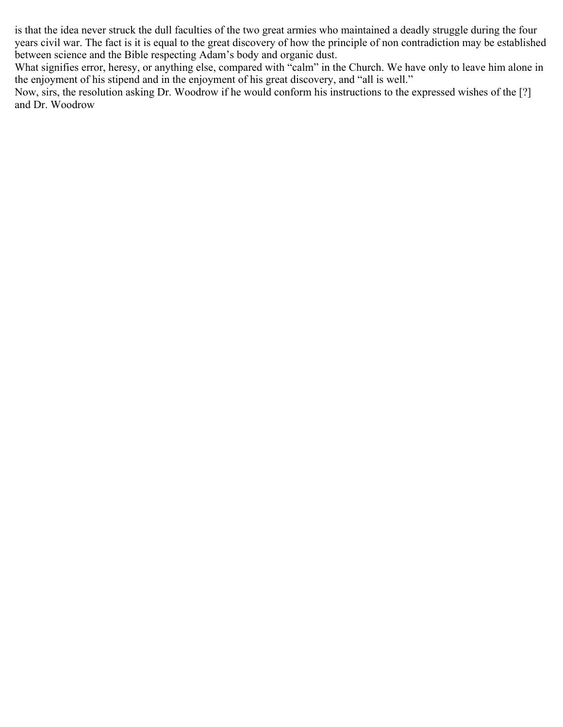is that the idea never struck the dull faculties of the two great armies who maintained a deadly struggle during the four years civil war. The fact is it is equal to the great discovery of how the principle of non contradiction may be established between science and the Bible respecting Adam's body and organic dust.

What signifies error, heresy, or anything else, compared with "calm" in the Church. We have only to leave him alone in the enjoyment of his stipend and in the enjoyment of his great discovery, and "all is well."

Now, sirs, the resolution asking Dr. Woodrow if he would conform his instructions to the expressed wishes of the [?] and Dr. Woodrow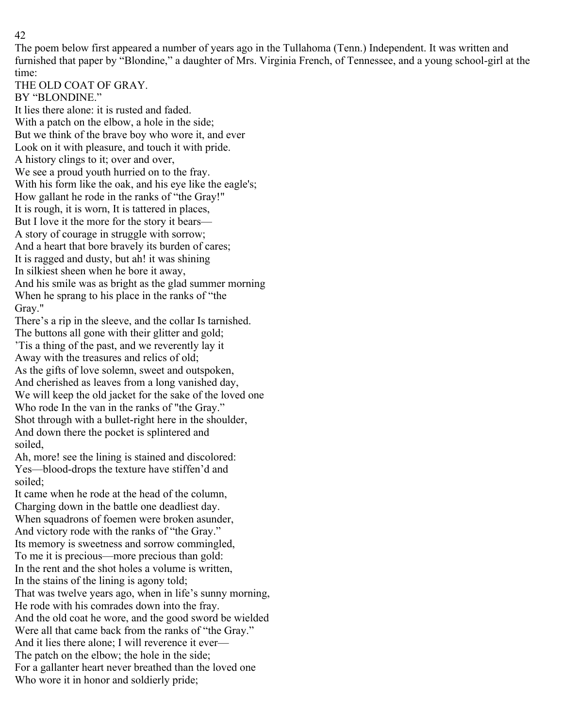The poem below first appeared a number of years ago in the Tullahoma (Tenn.) Independent. It was written and furnished that paper by "Blondine," a daughter of Mrs. Virginia French, of Tennessee, and a young school-girl at the time:

THE OLD COAT OF GRAY.

BY "BLONDINE." It lies there alone: it is rusted and faded. With a patch on the elbow, a hole in the side; But we think of the brave boy who wore it, and ever Look on it with pleasure, and touch it with pride. A history clings to it; over and over, We see a proud youth hurried on to the fray. With his form like the oak, and his eye like the eagle's; How gallant he rode in the ranks of "the Gray!" It is rough, it is worn, It is tattered in places, But I love it the more for the story it bears— A story of courage in struggle with sorrow; And a heart that bore bravely its burden of cares; It is ragged and dusty, but ah! it was shining In silkiest sheen when he bore it away, And his smile was as bright as the glad summer morning When he sprang to his place in the ranks of "the Gray."

There's a rip in the sleeve, and the collar Is tarnished. The buttons all gone with their glitter and gold; 'Tis a thing of the past, and we reverently lay it Away with the treasures and relics of old; As the gifts of love solemn, sweet and outspoken, And cherished as leaves from a long vanished day, We will keep the old jacket for the sake of the loved one Who rode In the van in the ranks of "the Gray." Shot through with a bullet-right here in the shoulder, And down there the pocket is splintered and soiled,

Ah, more! see the lining is stained and discolored: Yes—blood-drops the texture have stiffen'd and soiled;

It came when he rode at the head of the column, Charging down in the battle one deadliest day. When squadrons of foemen were broken asunder, And victory rode with the ranks of "the Gray." Its memory is sweetness and sorrow commingled, To me it is precious—more precious than gold: In the rent and the shot holes a volume is written, In the stains of the lining is agony told; That was twelve years ago, when in life's sunny morning, He rode with his comrades down into the fray. And the old coat he wore, and the good sword be wielded Were all that came back from the ranks of "the Gray." And it lies there alone; I will reverence it ever— The patch on the elbow; the hole in the side; For a gallanter heart never breathed than the loved one Who wore it in honor and soldierly pride;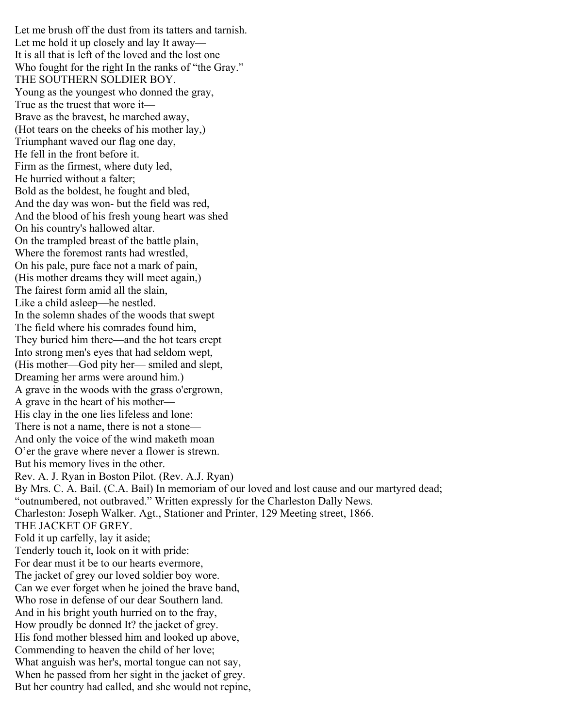Let me brush off the dust from its tatters and tarnish. Let me hold it up closely and lay It away— It is all that is left of the loved and the lost one Who fought for the right In the ranks of "the Gray." THE SOUTHERN SOLDIER BOY. Young as the youngest who donned the gray, True as the truest that wore it— Brave as the bravest, he marched away, (Hot tears on the cheeks of his mother lay,) Triumphant waved our flag one day, He fell in the front before it. Firm as the firmest, where duty led, He hurried without a falter; Bold as the boldest, he fought and bled, And the day was won- but the field was red, And the blood of his fresh young heart was shed On his country's hallowed altar. On the trampled breast of the battle plain, Where the foremost rants had wrestled, On his pale, pure face not a mark of pain, (His mother dreams they will meet again,) The fairest form amid all the slain, Like a child asleep—he nestled. In the solemn shades of the woods that swept The field where his comrades found him, They buried him there—and the hot tears crept Into strong men's eyes that had seldom wept, (His mother—God pity her— smiled and slept, Dreaming her arms were around him.) A grave in the woods with the grass o'ergrown, A grave in the heart of his mother— His clay in the one lies lifeless and lone: There is not a name, there is not a stone— And only the voice of the wind maketh moan O'er the grave where never a flower is strewn. But his memory lives in the other. Rev. A. J. Ryan in Boston Pilot. (Rev. A.J. Ryan) By Mrs. C. A. Bail. (C.A. Bail) In memoriam of our loved and lost cause and our martyred dead; "outnumbered, not outbraved." Written expressly for the Charleston Dally News. Charleston: Joseph Walker. Agt., Stationer and Printer, 129 Meeting street, 1866. THE JACKET OF GREY. Fold it up carfelly, lay it aside; Tenderly touch it, look on it with pride: For dear must it be to our hearts evermore, The jacket of grey our loved soldier boy wore. Can we ever forget when he joined the brave band, Who rose in defense of our dear Southern land. And in his bright youth hurried on to the fray, How proudly be donned It? the jacket of grey. His fond mother blessed him and looked up above, Commending to heaven the child of her love; What anguish was her's, mortal tongue can not say, When he passed from her sight in the jacket of grey. But her country had called, and she would not repine,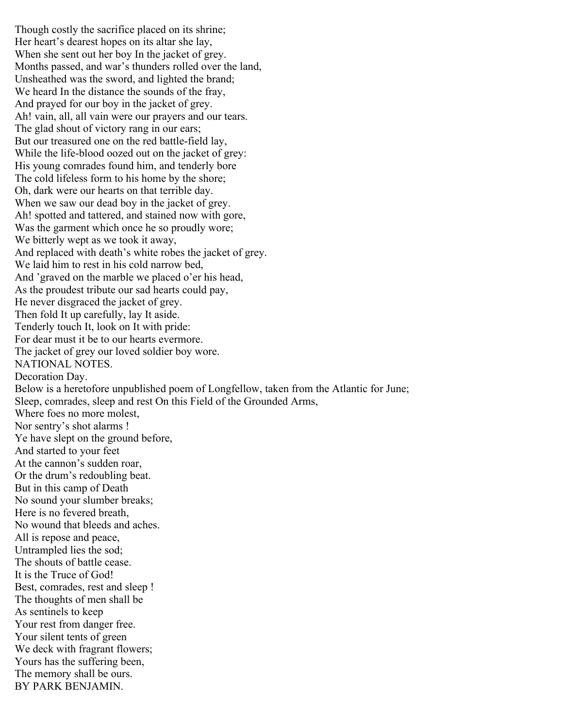Though costly the sacrifice placed on its shrine; Her heart's dearest hopes on its altar she lay, When she sent out her boy In the jacket of grey. Months passed, and war's thunders rolled over the land, Unsheathed was the sword, and lighted the brand; We heard In the distance the sounds of the fray, And prayed for our boy in the jacket of grey. Ah! vain, all, all vain were our prayers and our tears. The glad shout of victory rang in our ears; But our treasured one on the red battle-field lay, While the life-blood oozed out on the jacket of grey: His young comrades found him, and tenderly bore The cold lifeless form to his home by the shore; Oh, dark were our hearts on that terrible day. When we saw our dead boy in the jacket of grey. Ah! spotted and tattered, and stained now with gore, Was the garment which once he so proudly wore; We bitterly wept as we took it away, And replaced with death's white robes the jacket of grey. We laid him to rest in his cold narrow bed, And 'graved on the marble we placed o'er his head, As the proudest tribute our sad hearts could pay, He never disgraced the jacket of grey. Then fold It up carefully, lay It aside. Tenderly touch It, look on It with pride: For dear must it be to our hearts evermore. The jacket of grey our loved soldier boy wore. NATIONAL NOTES. Decoration Day. Below is a heretofore unpublished poem of Longfellow, taken from the Atlantic for June; Sleep, comrades, sleep and rest On this Field of the Grounded Arms, Where foes no more molest, Nor sentry's shot alarms ! Ye have slept on the ground before, And started to your feet At the cannon's sudden roar, Or the drum's redoubling beat. But in this camp of Death No sound your slumber breaks; Here is no fevered breath, No wound that bleeds and aches. All is repose and peace, Untrampled lies the sod; The shouts of battle cease. It is the Truce of God! Best, comrades, rest and sleep ! The thoughts of men shall be As sentinels to keep Your rest from danger free. Your silent tents of green We deck with fragrant flowers; Yours has the suffering been, The memory shall be ours. BY PARK BENJAMIN.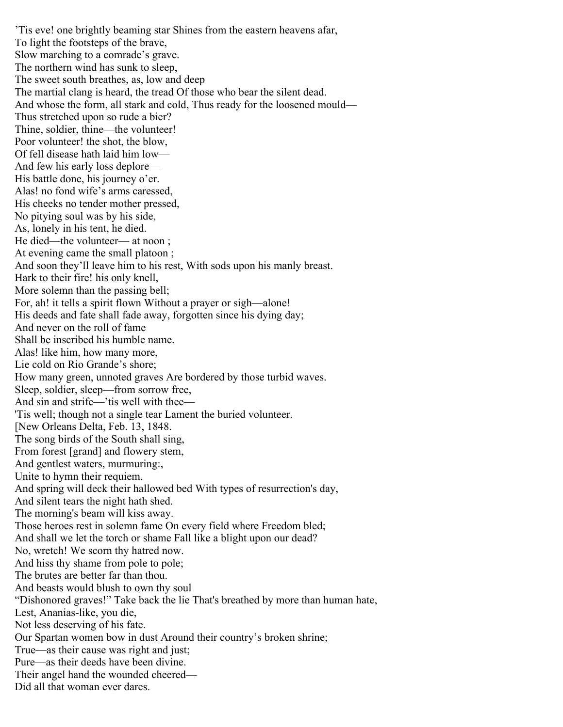'Tis eve! one brightly beaming star Shines from the eastern heavens afar, To light the footsteps of the brave, Slow marching to a comrade's grave. The northern wind has sunk to sleep, The sweet south breathes, as, low and deep The martial clang is heard, the tread Of those who bear the silent dead. And whose the form, all stark and cold, Thus ready for the loosened mould— Thus stretched upon so rude a bier? Thine, soldier, thine—the volunteer! Poor volunteer! the shot, the blow, Of fell disease hath laid him low— And few his early loss deplore— His battle done, his journey o'er. Alas! no fond wife's arms caressed, His cheeks no tender mother pressed, No pitying soul was by his side, As, lonely in his tent, he died. He died—the volunteer— at noon ; At evening came the small platoon ; And soon they'll leave him to his rest, With sods upon his manly breast. Hark to their fire! his only knell, More solemn than the passing bell; For, ah! it tells a spirit flown Without a prayer or sigh—alone! His deeds and fate shall fade away, forgotten since his dying day; And never on the roll of fame Shall be inscribed his humble name. Alas! like him, how many more, Lie cold on Rio Grande's shore; How many green, unnoted graves Are bordered by those turbid waves. Sleep, soldier, sleep—from sorrow free, And sin and strife—'tis well with thee— 'Tis well; though not a single tear Lament the buried volunteer. [New Orleans Delta, Feb. 13, 1848. The song birds of the South shall sing, From forest [grand] and flowery stem, And gentlest waters, murmuring:, Unite to hymn their requiem. And spring will deck their hallowed bed With types of resurrection's day, And silent tears the night hath shed. The morning's beam will kiss away. Those heroes rest in solemn fame On every field where Freedom bled; And shall we let the torch or shame Fall like a blight upon our dead? No, wretch! We scorn thy hatred now. And hiss thy shame from pole to pole; The brutes are better far than thou. And beasts would blush to own thy soul "Dishonored graves!" Take back the lie That's breathed by more than human hate, Lest, Ananias-like, you die, Not less deserving of his fate. Our Spartan women bow in dust Around their country's broken shrine; True—as their cause was right and just; Pure—as their deeds have been divine. Their angel hand the wounded cheered— Did all that woman ever dares.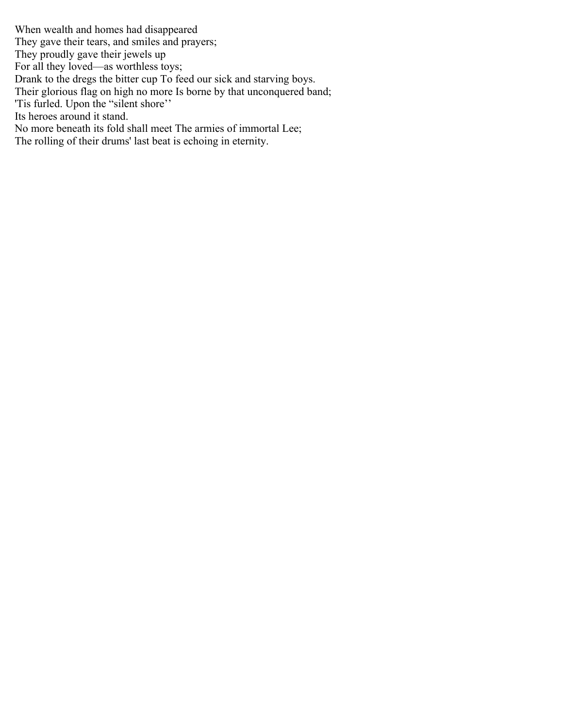When wealth and homes had disappeared They gave their tears, and smiles and prayers; They proudly gave their jewels up For all they loved—as worthless toys; Drank to the dregs the bitter cup To feed our sick and starving boys. Their glorious flag on high no more Is borne by that unconquered band; 'Tis furled. Upon the "silent shore'' Its heroes around it stand. No more beneath its fold shall meet The armies of immortal Lee; The rolling of their drums' last beat is echoing in eternity.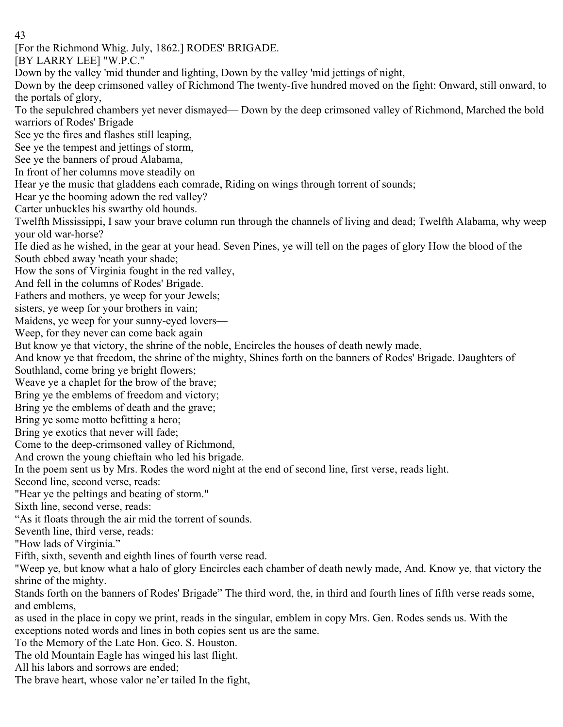[For the Richmond Whig. July, 1862.] RODES' BRIGADE.

[BY LARRY LEE] "W.P.C."

Down by the valley 'mid thunder and lighting, Down by the valley 'mid jettings of night,

Down by the deep crimsoned valley of Richmond The twenty-five hundred moved on the fight: Onward, still onward, to the portals of glory,

To the sepulchred chambers yet never dismayed— Down by the deep crimsoned valley of Richmond, Marched the bold warriors of Rodes' Brigade

See ye the fires and flashes still leaping,

See ye the tempest and jettings of storm,

See ye the banners of proud Alabama,

In front of her columns move steadily on

Hear ye the music that gladdens each comrade, Riding on wings through torrent of sounds;

Hear ye the booming adown the red valley?

Carter unbuckles his swarthy old hounds.

Twelfth Mississippi, I saw your brave column run through the channels of living and dead; Twelfth Alabama, why weep your old war-horse?

He died as he wished, in the gear at your head. Seven Pines, ye will tell on the pages of glory How the blood of the South ebbed away 'neath your shade;

How the sons of Virginia fought in the red valley,

And fell in the columns of Rodes' Brigade.

Fathers and mothers, ye weep for your Jewels;

sisters, ye weep for your brothers in vain;

Maidens, ye weep for your sunny-eyed lovers—

Weep, for they never can come back again

But know ye that victory, the shrine of the noble, Encircles the houses of death newly made,

And know ye that freedom, the shrine of the mighty, Shines forth on the banners of Rodes' Brigade. Daughters of

Southland, come bring ye bright flowers;

Weave ye a chaplet for the brow of the brave;

Bring ye the emblems of freedom and victory;

Bring ye the emblems of death and the grave;

Bring ye some motto befitting a hero;

Bring ye exotics that never will fade;

Come to the deep-crimsoned valley of Richmond,

And crown the young chieftain who led his brigade.

In the poem sent us by Mrs. Rodes the word night at the end of second line, first verse, reads light.

Second line, second verse, reads:

"Hear ye the peltings and beating of storm."

Sixth line, second verse, reads:

"As it floats through the air mid the torrent of sounds.

Seventh line, third verse, reads:

"How lads of Virginia."

Fifth, sixth, seventh and eighth lines of fourth verse read.

"Weep ye, but know what a halo of glory Encircles each chamber of death newly made, And. Know ye, that victory the shrine of the mighty.

Stands forth on the banners of Rodes' Brigade" The third word, the, in third and fourth lines of fifth verse reads some, and emblems,

as used in the place in copy we print, reads in the singular, emblem in copy Mrs. Gen. Rodes sends us. With the exceptions noted words and lines in both copies sent us are the same.

To the Memory of the Late Hon. Geo. S. Houston.

The old Mountain Eagle has winged his last flight.

All his labors and sorrows are ended;

The brave heart, whose valor ne'er tailed In the fight,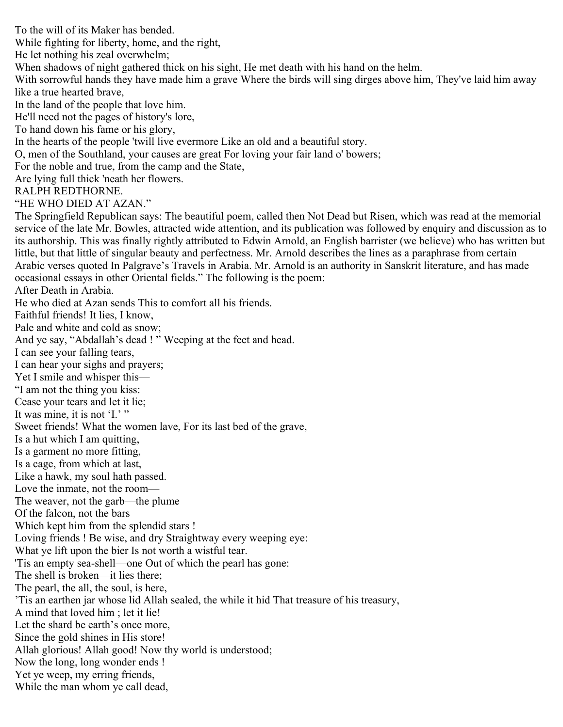To the will of its Maker has bended. While fighting for liberty, home, and the right, He let nothing his zeal overwhelm; When shadows of night gathered thick on his sight, He met death with his hand on the helm. With sorrowful hands they have made him a grave Where the birds will sing dirges above him, They've laid him away like a true hearted brave, In the land of the people that love him. He'll need not the pages of history's lore, To hand down his fame or his glory, In the hearts of the people 'twill live evermore Like an old and a beautiful story. O, men of the Southland, your causes are great For loving your fair land o' bowers; For the noble and true, from the camp and the State, Are lying full thick 'neath her flowers. RALPH REDTHORNE. "HE WHO DIED AT AZAN." The Springfield Republican says: The beautiful poem, called then Not Dead but Risen, which was read at the memorial service of the late Mr. Bowles, attracted wide attention, and its publication was followed by enquiry and discussion as to its authorship. This was finally rightly attributed to Edwin Arnold, an English barrister (we believe) who has written but little, but that little of singular beauty and perfectness. Mr. Arnold describes the lines as a paraphrase from certain Arabic verses quoted In Palgrave's Travels in Arabia. Mr. Arnold is an authority in Sanskrit literature, and has made occasional essays in other Oriental fields." The following is the poem: After Death in Arabia. He who died at Azan sends This to comfort all his friends. Faithful friends! It lies, I know, Pale and white and cold as snow; And ye say, "Abdallah's dead ! " Weeping at the feet and head. I can see your falling tears, I can hear your sighs and prayers; Yet I smile and whisper this— "I am not the thing you kiss: Cease your tears and let it lie; It was mine, it is not 'I.' " Sweet friends! What the women lave, For its last bed of the grave, Is a hut which I am quitting, Is a garment no more fitting, Is a cage, from which at last, Like a hawk, my soul hath passed. Love the inmate, not the room— The weaver, not the garb—the plume Of the falcon, not the bars Which kept him from the splendid stars ! Loving friends ! Be wise, and dry Straightway every weeping eye: What ye lift upon the bier Is not worth a wistful tear. 'Tis an empty sea-shell—one Out of which the pearl has gone: The shell is broken—it lies there; The pearl, the all, the soul, is here, 'Tis an earthen jar whose lid Allah sealed, the while it hid That treasure of his treasury, A mind that loved him ; let it lie! Let the shard be earth's once more, Since the gold shines in His store! Allah glorious! Allah good! Now thy world is understood; Now the long, long wonder ends ! Yet ye weep, my erring friends, While the man whom ye call dead,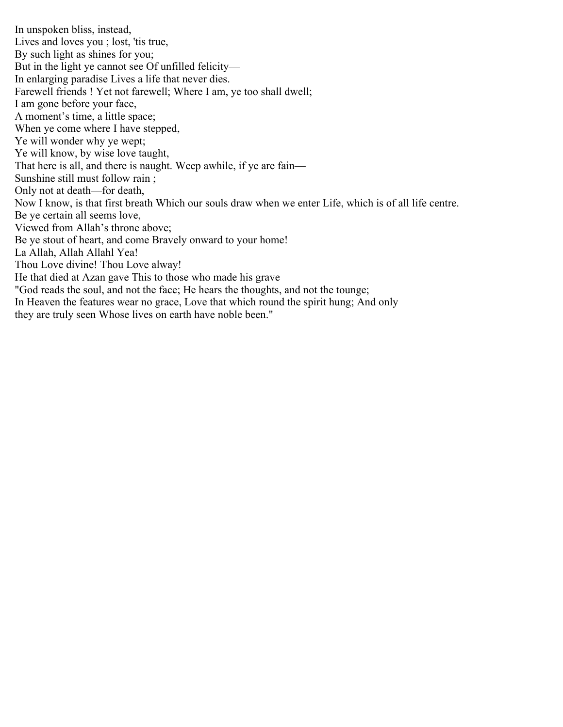In unspoken bliss, instead, Lives and loves you ; lost, 'tis true, By such light as shines for you; But in the light ye cannot see Of unfilled felicity— In enlarging paradise Lives a life that never dies. Farewell friends ! Yet not farewell; Where I am, ye too shall dwell; I am gone before your face, A moment's time, a little space; When ye come where I have stepped, Ye will wonder why ye wept; Ye will know, by wise love taught, That here is all, and there is naught. Weep awhile, if ye are fain— Sunshine still must follow rain ; Only not at death—for death, Now I know, is that first breath Which our souls draw when we enter Life, which is of all life centre. Be ye certain all seems love, Viewed from Allah's throne above; Be ye stout of heart, and come Bravely onward to your home! La Allah, Allah Allahl Yea! Thou Love divine! Thou Love alway! He that died at Azan gave This to those who made his grave "God reads the soul, and not the face; He hears the thoughts, and not the tounge; In Heaven the features wear no grace, Love that which round the spirit hung; And only they are truly seen Whose lives on earth have noble been."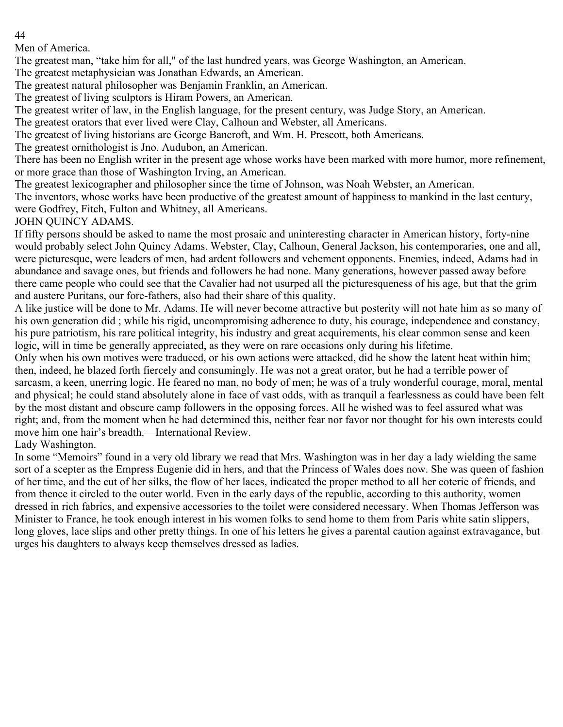Men of America.

The greatest man, "take him for all," of the last hundred years, was George Washington, an American.

The greatest metaphysician was Jonathan Edwards, an American.

The greatest natural philosopher was Benjamin Franklin, an American.

The greatest of living sculptors is Hiram Powers, an American.

The greatest writer of law, in the English language, for the present century, was Judge Story, an American.

The greatest orators that ever lived were Clay, Calhoun and Webster, all Americans.

The greatest of living historians are George Bancroft, and Wm. H. Prescott, both Americans.

The greatest ornithologist is Jno. Audubon, an American.

There has been no English writer in the present age whose works have been marked with more humor, more refinement, or more grace than those of Washington Irving, an American.

The greatest lexicographer and philosopher since the time of Johnson, was Noah Webster, an American.

The inventors, whose works have been productive of the greatest amount of happiness to mankind in the last century, were Godfrey, Fitch, Fulton and Whitney, all Americans.

JOHN QUINCY ADAMS.

If fifty persons should be asked to name the most prosaic and uninteresting character in American history, forty-nine would probably select John Quincy Adams. Webster, Clay, Calhoun, General Jackson, his contemporaries, one and all, were picturesque, were leaders of men, had ardent followers and vehement opponents. Enemies, indeed, Adams had in abundance and savage ones, but friends and followers he had none. Many generations, however passed away before there came people who could see that the Cavalier had not usurped all the picturesqueness of his age, but that the grim and austere Puritans, our fore-fathers, also had their share of this quality.

A like justice will be done to Mr. Adams. He will never become attractive but posterity will not hate him as so many of his own generation did ; while his rigid, uncompromising adherence to duty, his courage, independence and constancy, his pure patriotism, his rare political integrity, his industry and great acquirements, his clear common sense and keen logic, will in time be generally appreciated, as they were on rare occasions only during his lifetime.

Only when his own motives were traduced, or his own actions were attacked, did he show the latent heat within him; then, indeed, he blazed forth fiercely and consumingly. He was not a great orator, but he had a terrible power of sarcasm, a keen, unerring logic. He feared no man, no body of men; he was of a truly wonderful courage, moral, mental and physical; he could stand absolutely alone in face of vast odds, with as tranquil a fearlessness as could have been felt by the most distant and obscure camp followers in the opposing forces. All he wished was to feel assured what was right; and, from the moment when he had determined this, neither fear nor favor nor thought for his own interests could move him one hair's breadth.—International Review.

Lady Washington.

In some "Memoirs" found in a very old library we read that Mrs. Washington was in her day a lady wielding the same sort of a scepter as the Empress Eugenie did in hers, and that the Princess of Wales does now. She was queen of fashion of her time, and the cut of her silks, the flow of her laces, indicated the proper method to all her coterie of friends, and from thence it circled to the outer world. Even in the early days of the republic, according to this authority, women dressed in rich fabrics, and expensive accessories to the toilet were considered necessary. When Thomas Jefferson was Minister to France, he took enough interest in his women folks to send home to them from Paris white satin slippers, long gloves, lace slips and other pretty things. In one of his letters he gives a parental caution against extravagance, but urges his daughters to always keep themselves dressed as ladies.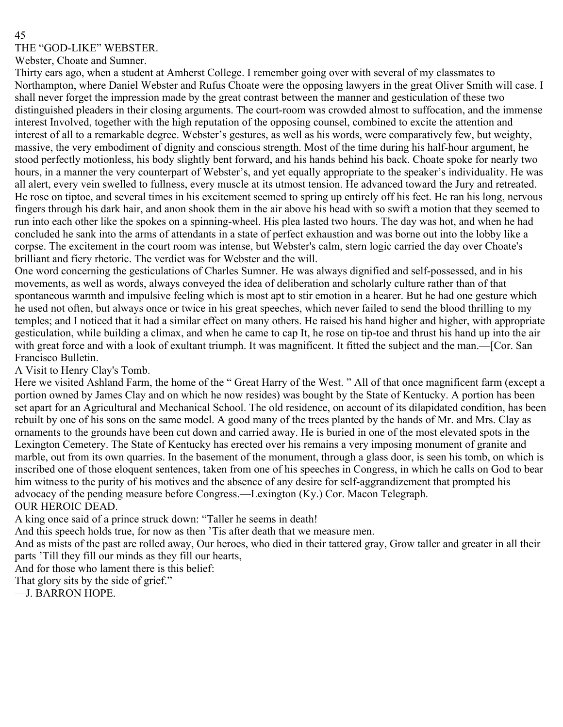THE "GOD-LIKE" WEBSTER.

Webster, Choate and Sumner.

Thirty ears ago, when a student at Amherst College. I remember going over with several of my classmates to Northampton, where Daniel Webster and Rufus Choate were the opposing lawyers in the great Oliver Smith will case. I shall never forget the impression made by the great contrast between the manner and gesticulation of these two distinguished pleaders in their closing arguments. The court-room was crowded almost to suffocation, and the immense interest Involved, together with the high reputation of the opposing counsel, combined to excite the attention and interest of all to a remarkable degree. Webster's gestures, as well as his words, were comparatively few, but weighty, massive, the very embodiment of dignity and conscious strength. Most of the time during his half-hour argument, he stood perfectly motionless, his body slightly bent forward, and his hands behind his back. Choate spoke for nearly two hours, in a manner the very counterpart of Webster's, and yet equally appropriate to the speaker's individuality. He was all alert, every vein swelled to fullness, every muscle at its utmost tension. He advanced toward the Jury and retreated. He rose on tiptoe, and several times in his excitement seemed to spring up entirely off his feet. He ran his long, nervous fingers through his dark hair, and anon shook them in the air above his head with so swift a motion that they seemed to run into each other like the spokes on a spinning-wheel. His plea lasted two hours. The day was hot, and when he had concluded he sank into the arms of attendants in a state of perfect exhaustion and was borne out into the lobby like a corpse. The excitement in the court room was intense, but Webster's calm, stern logic carried the day over Choate's brilliant and fiery rhetoric. The verdict was for Webster and the will.

One word concerning the gesticulations of Charles Sumner. He was always dignified and self-possessed, and in his movements, as well as words, always conveyed the idea of deliberation and scholarly culture rather than of that spontaneous warmth and impulsive feeling which is most apt to stir emotion in a hearer. But he had one gesture which he used not often, but always once or twice in his great speeches, which never failed to send the blood thrilling to my temples; and I noticed that it had a similar effect on many others. He raised his hand higher and higher, with appropriate gesticulation, while building a climax, and when he came to cap It, he rose on tip-toe and thrust his hand up into the air with great force and with a look of exultant triumph. It was magnificent. It fitted the subject and the man.—[Cor. San Francisco Bulletin.

A Visit to Henry Clay's Tomb.

Here we visited Ashland Farm, the home of the " Great Harry of the West. " All of that once magnificent farm (except a portion owned by James Clay and on which he now resides) was bought by the State of Kentucky. A portion has been set apart for an Agricultural and Mechanical School. The old residence, on account of its dilapidated condition, has been rebuilt by one of his sons on the same model. A good many of the trees planted by the hands of Mr. and Mrs. Clay as ornaments to the grounds have been cut down and carried away. He is buried in one of the most elevated spots in the Lexington Cemetery. The State of Kentucky has erected over his remains a very imposing monument of granite and marble, out from its own quarries. In the basement of the monument, through a glass door, is seen his tomb, on which is inscribed one of those eloquent sentences, taken from one of his speeches in Congress, in which he calls on God to bear him witness to the purity of his motives and the absence of any desire for self-aggrandizement that prompted his advocacy of the pending measure before Congress.—Lexington (Ky.) Cor. Macon Telegraph. OUR HEROIC DEAD.

A king once said of a prince struck down: "Taller he seems in death!

And this speech holds true, for now as then 'Tis after death that we measure men.

And as mists of the past are rolled away, Our heroes, who died in their tattered gray, Grow taller and greater in all their parts 'Till they fill our minds as they fill our hearts,

And for those who lament there is this belief:

That glory sits by the side of grief."

—J. BARRON HOPE.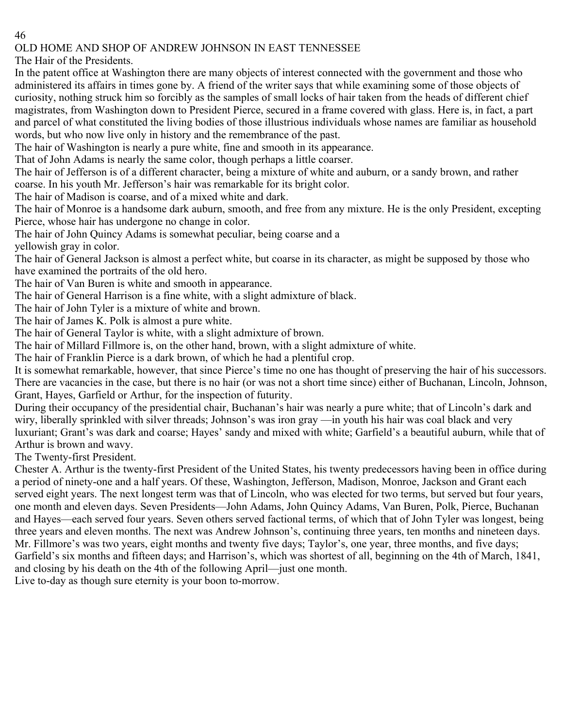# OLD HOME AND SHOP OF ANDREW JOHNSON IN EAST TENNESSEE

The Hair of the Presidents.

In the patent office at Washington there are many objects of interest connected with the government and those who administered its affairs in times gone by. A friend of the writer says that while examining some of those objects of curiosity, nothing struck him so forcibly as the samples of small locks of hair taken from the heads of different chief magistrates, from Washington down to President Pierce, secured in a frame covered with glass. Here is, in fact, a part and parcel of what constituted the living bodies of those illustrious individuals whose names are familiar as household words, but who now live only in history and the remembrance of the past.

The hair of Washington is nearly a pure white, fine and smooth in its appearance.

That of John Adams is nearly the same color, though perhaps a little coarser.

The hair of Jefferson is of a different character, being a mixture of white and auburn, or a sandy brown, and rather coarse. In his youth Mr. Jefferson's hair was remarkable for its bright color.

The hair of Madison is coarse, and of a mixed white and dark.

The hair of Monroe is a handsome dark auburn, smooth, and free from any mixture. He is the only President, excepting Pierce, whose hair has undergone no change in color.

The hair of John Quincy Adams is somewhat peculiar, being coarse and a yellowish gray in color.

The hair of General Jackson is almost a perfect white, but coarse in its character, as might be supposed by those who have examined the portraits of the old hero.

The hair of Van Buren is white and smooth in appearance.

The hair of General Harrison is a fine white, with a slight admixture of black.

The hair of John Tyler is a mixture of white and brown.

The hair of James K. Polk is almost a pure white.

The hair of General Taylor is white, with a slight admixture of brown.

The hair of Millard Fillmore is, on the other hand, brown, with a slight admixture of white.

The hair of Franklin Pierce is a dark brown, of which he had a plentiful crop.

It is somewhat remarkable, however, that since Pierce's time no one has thought of preserving the hair of his successors. There are vacancies in the case, but there is no hair (or was not a short time since) either of Buchanan, Lincoln, Johnson, Grant, Hayes, Garfield or Arthur, for the inspection of futurity.

During their occupancy of the presidential chair, Buchanan's hair was nearly a pure white; that of Lincoln's dark and wiry, liberally sprinkled with silver threads; Johnson's was iron gray —in youth his hair was coal black and very luxuriant; Grant's was dark and coarse; Hayes' sandy and mixed with white; Garfield's a beautiful auburn, while that of Arthur is brown and wavy.

The Twenty-first President.

Chester A. Arthur is the twenty-first President of the United States, his twenty predecessors having been in office during a period of ninety-one and a half years. Of these, Washington, Jefferson, Madison, Monroe, Jackson and Grant each served eight years. The next longest term was that of Lincoln, who was elected for two terms, but served but four years, one month and eleven days. Seven Presidents—John Adams, John Quincy Adams, Van Buren, Polk, Pierce, Buchanan and Hayes—each served four years. Seven others served factional terms, of which that of John Tyler was longest, being three years and eleven months. The next was Andrew Johnson's, continuing three years, ten months and nineteen days. Mr. Fillmore's was two years, eight months and twenty five days; Taylor's, one year, three months, and five days; Garfield's six months and fifteen days; and Harrison's, which was shortest of all, beginning on the 4th of March, 1841, and closing by his death on the 4th of the following April—just one month.

Live to-day as though sure eternity is your boon to-morrow.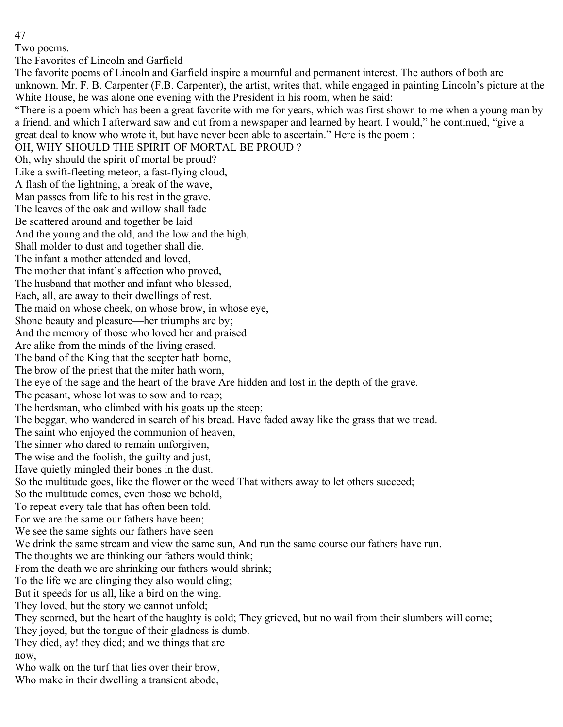Two poems.

The Favorites of Lincoln and Garfield

The favorite poems of Lincoln and Garfield inspire a mournful and permanent interest. The authors of both are unknown. Mr. F. B. Carpenter (F.B. Carpenter), the artist, writes that, while engaged in painting Lincoln's picture at the White House, he was alone one evening with the President in his room, when he said:

"There is a poem which has been a great favorite with me for years, which was first shown to me when a young man by a friend, and which I afterward saw and cut from a newspaper and learned by heart. I would," he continued, "give a great deal to know who wrote it, but have never been able to ascertain." Here is the poem :

OH, WHY SHOULD THE SPIRIT OF MORTAL BE PROUD ?

Oh, why should the spirit of mortal be proud?

Like a swift-fleeting meteor, a fast-flying cloud, A flash of the lightning, a break of the wave,

Man passes from life to his rest in the grave.

The leaves of the oak and willow shall fade

Be scattered around and together be laid

And the young and the old, and the low and the high,

Shall molder to dust and together shall die.

The infant a mother attended and loved,

The mother that infant's affection who proved,

The husband that mother and infant who blessed,

Each, all, are away to their dwellings of rest.

The maid on whose cheek, on whose brow, in whose eye,

Shone beauty and pleasure—her triumphs are by;

And the memory of those who loved her and praised

Are alike from the minds of the living erased.

The band of the King that the scepter hath borne,

The brow of the priest that the miter hath worn,

The eye of the sage and the heart of the brave Are hidden and lost in the depth of the grave.

The peasant, whose lot was to sow and to reap;

The herdsman, who climbed with his goats up the steep;

The beggar, who wandered in search of his bread. Have faded away like the grass that we tread.

The saint who enjoyed the communion of heaven,

The sinner who dared to remain unforgiven,

The wise and the foolish, the guilty and just,

Have quietly mingled their bones in the dust.

So the multitude goes, like the flower or the weed That withers away to let others succeed;

So the multitude comes, even those we behold,

To repeat every tale that has often been told.

For we are the same our fathers have been;

We see the same sights our fathers have seen—

We drink the same stream and view the same sun, And run the same course our fathers have run.

The thoughts we are thinking our fathers would think;

From the death we are shrinking our fathers would shrink;

To the life we are clinging they also would cling;

But it speeds for us all, like a bird on the wing.

They loved, but the story we cannot unfold;

They scorned, but the heart of the haughty is cold; They grieved, but no wail from their slumbers will come;

They joyed, but the tongue of their gladness is dumb.

They died, ay! they died; and we things that are now,

Who walk on the turf that lies over their brow,

Who make in their dwelling a transient abode,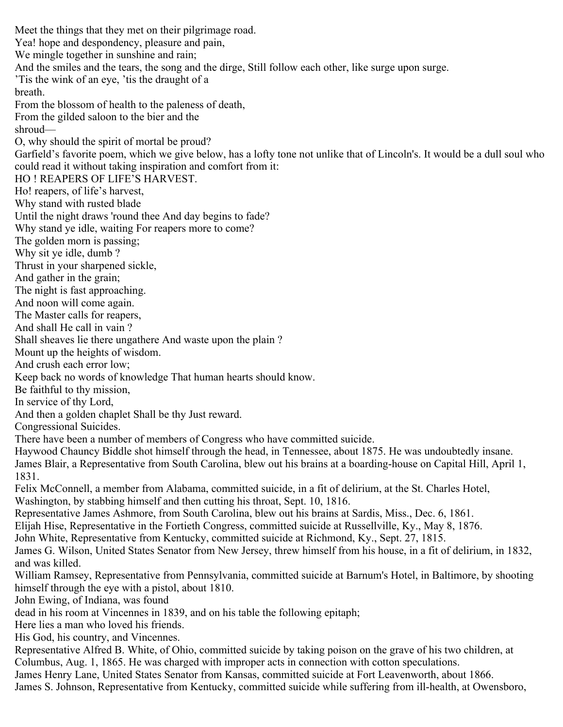Meet the things that they met on their pilgrimage road. Yea! hope and despondency, pleasure and pain, We mingle together in sunshine and rain; And the smiles and the tears, the song and the dirge, Still follow each other, like surge upon surge. 'Tis the wink of an eye, 'tis the draught of a breath. From the blossom of health to the paleness of death, From the gilded saloon to the bier and the shroud— O, why should the spirit of mortal be proud? Garfield's favorite poem, which we give below, has a lofty tone not unlike that of Lincoln's. It would be a dull soul who could read it without taking inspiration and comfort from it: HO ! REAPERS OF LIFE'S HARVEST. Ho! reapers, of life's harvest, Why stand with rusted blade Until the night draws 'round thee And day begins to fade? Why stand ye idle, waiting For reapers more to come? The golden morn is passing; Why sit ye idle, dumb ? Thrust in your sharpened sickle, And gather in the grain; The night is fast approaching. And noon will come again. The Master calls for reapers, And shall He call in vain ? Shall sheaves lie there ungathere And waste upon the plain ? Mount up the heights of wisdom. And crush each error low; Keep back no words of knowledge That human hearts should know. Be faithful to thy mission, In service of thy Lord, And then a golden chaplet Shall be thy Just reward. Congressional Suicides. There have been a number of members of Congress who have committed suicide. Haywood Chauncy Biddle shot himself through the head, in Tennessee, about 1875. He was undoubtedly insane. James Blair, a Representative from South Carolina, blew out his brains at a boarding-house on Capital Hill, April 1, 1831. Felix McConnell, a member from Alabama, committed suicide, in a fit of delirium, at the St. Charles Hotel, Washington, by stabbing himself and then cutting his throat, Sept. 10, 1816. Representative James Ashmore, from South Carolina, blew out his brains at Sardis, Miss., Dec. 6, 1861. Elijah Hise, Representative in the Fortieth Congress, committed suicide at Russellville, Ky., May 8, 1876. John White, Representative from Kentucky, committed suicide at Richmond, Ky., Sept. 27, 1815. James G. Wilson, United States Senator from New Jersey, threw himself from his house, in a fit of delirium, in 1832, and was killed. William Ramsey, Representative from Pennsylvania, committed suicide at Barnum's Hotel, in Baltimore, by shooting himself through the eye with a pistol, about 1810. John Ewing, of Indiana, was found dead in his room at Vincennes in 1839, and on his table the following epitaph; Here lies a man who loved his friends. His God, his country, and Vincennes. Representative Alfred B. White, of Ohio, committed suicide by taking poison on the grave of his two children, at Columbus, Aug. 1, 1865. He was charged with improper acts in connection with cotton speculations. James Henry Lane, United States Senator from Kansas, committed suicide at Fort Leavenworth, about 1866. James S. Johnson, Representative from Kentucky, committed suicide while suffering from ill-health, at Owensboro,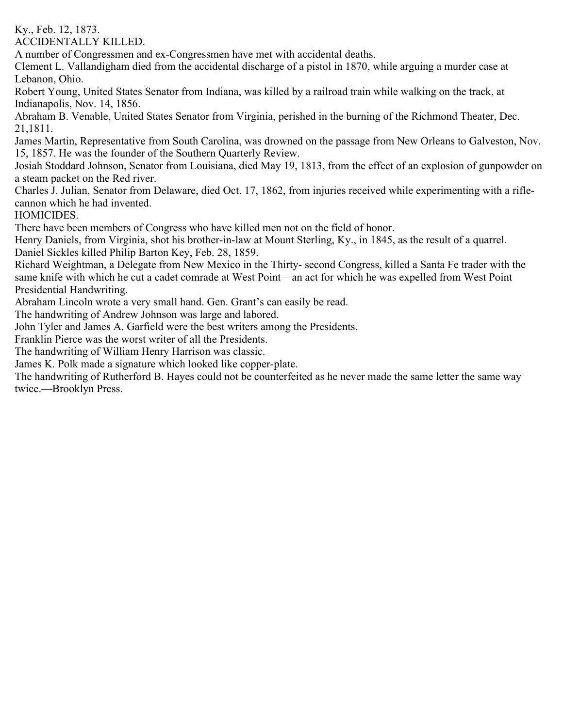Ky., Feb. 12, 1873.

ACCIDENTALLY KILLED.

A number of Congressmen and ex-Congressmen have met with accidental deaths.

Clement L. Vallandigham died from the accidental discharge of a pistol in 1870, while arguing a murder case at Lebanon, Ohio.

Robert Young, United States Senator from Indiana, was killed by a railroad train while walking on the track, at Indianapolis, Nov. 14, 1856.

Abraham B. Venable, United States Senator from Virginia, perished in the burning of the Richmond Theater, Dec. 21,1811.

James Martin, Representative from South Carolina, was drowned on the passage from New Orleans to Galveston, Nov. 15, 1857. He was the founder of the Southern Quarterly Review.

Josiah Stoddard Johnson, Senator from Louisiana, died May 19, 1813, from the effect of an explosion of gunpowder on a steam packet on the Red river.

Charles J. Julian, Senator from Delaware, died Oct. 17, 1862, from injuries received while experimenting with a riflecannon which he had invented.

HOMICIDES.

There have been members of Congress who have killed men not on the field of honor.

Henry Daniels, from Virginia, shot his brother-in-law at Mount Sterling, Ky., in 1845, as the result of a quarrel. Daniel Sickles killed Philip Barton Key, Feb. 28, 1859.

Richard Weightman, a Delegate from New Mexico in the Thirty- second Congress, killed a Santa Fe trader with the same knife with which he cut a cadet comrade at West Point—an act for which he was expelled from West Point Presidential Handwriting.

Abraham Lincoln wrote a very small hand. Gen. Grant's can easily be read.

The handwriting of Andrew Johnson was large and labored.

John Tyler and James A. Garfield were the best writers among the Presidents.

Franklin Pierce was the worst writer of all the Presidents.

The handwriting of William Henry Harrison was classic.

James K. Polk made a signature which looked like copper-plate.

The handwriting of Rutherford B. Hayes could not be counterfeited as he never made the same letter the same way twice.—Brooklyn Press.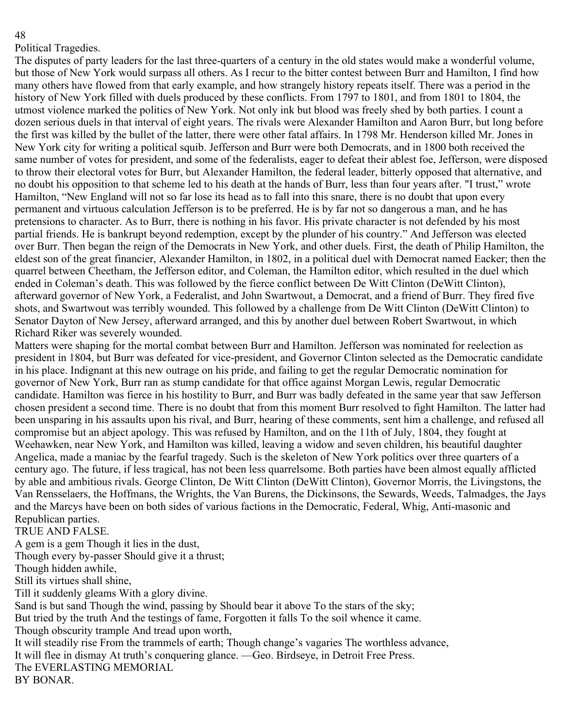#### Political Tragedies.

The disputes of party leaders for the last three-quarters of a century in the old states would make a wonderful volume, but those of New York would surpass all others. As I recur to the bitter contest between Burr and Hamilton, I find how many others have flowed from that early example, and how strangely history repeats itself. There was a period in the history of New York filled with duels produced by these conflicts. From 1797 to 1801, and from 1801 to 1804, the utmost violence marked the politics of New York. Not only ink but blood was freely shed by both parties. I count a dozen serious duels in that interval of eight years. The rivals were Alexander Hamilton and Aaron Burr, but long before the first was killed by the bullet of the latter, there were other fatal affairs. In 1798 Mr. Henderson killed Mr. Jones in New York city for writing a political squib. Jefferson and Burr were both Democrats, and in 1800 both received the same number of votes for president, and some of the federalists, eager to defeat their ablest foe, Jefferson, were disposed to throw their electoral votes for Burr, but Alexander Hamilton, the federal leader, bitterly opposed that alternative, and no doubt his opposition to that scheme led to his death at the hands of Burr, less than four years after. "I trust," wrote Hamilton, "New England will not so far lose its head as to fall into this snare, there is no doubt that upon every permanent and virtuous calculation Jefferson is to be preferred. He is by far not so dangerous a man, and he has pretensions to character. As to Burr, there is nothing in his favor. His private character is not defended by his most partial friends. He is bankrupt beyond redemption, except by the plunder of his country." And Jefferson was elected over Burr. Then began the reign of the Democrats in New York, and other duels. First, the death of Philip Hamilton, the eldest son of the great financier, Alexander Hamilton, in 1802, in a political duel with Democrat named Eacker; then the quarrel between Cheetham, the Jefferson editor, and Coleman, the Hamilton editor, which resulted in the duel which ended in Coleman's death. This was followed by the fierce conflict between De Witt Clinton (DeWitt Clinton), afterward governor of New York, a Federalist, and John Swartwout, a Democrat, and a friend of Burr. They fired five shots, and Swartwout was terribly wounded. This followed by a challenge from De Witt Clinton (DeWitt Clinton) to Senator Dayton of New Jersey, afterward arranged, and this by another duel between Robert Swartwout, in which Richard Riker was severely wounded.

Matters were shaping for the mortal combat between Burr and Hamilton. Jefferson was nominated for reelection as president in 1804, but Burr was defeated for vice-president, and Governor Clinton selected as the Democratic candidate in his place. Indignant at this new outrage on his pride, and failing to get the regular Democratic nomination for governor of New York, Burr ran as stump candidate for that office against Morgan Lewis, regular Democratic candidate. Hamilton was fierce in his hostility to Burr, and Burr was badly defeated in the same year that saw Jefferson chosen president a second time. There is no doubt that from this moment Burr resolved to fight Hamilton. The latter had been unsparing in his assaults upon his rival, and Burr, hearing of these comments, sent him a challenge, and refused all compromise but an abject apology. This was refused by Hamilton, and on the 11th of July, 1804, they fought at Weehawken, near New York, and Hamilton was killed, leaving a widow and seven children, his beautiful daughter Angelica, made a maniac by the fearful tragedy. Such is the skeleton of New York politics over three quarters of a century ago. The future, if less tragical, has not been less quarrelsome. Both parties have been almost equally afflicted by able and ambitious rivals. George Clinton, De Witt Clinton (DeWitt Clinton), Governor Morris, the Livingstons, the Van Rensselaers, the Hoffmans, the Wrights, the Van Burens, the Dickinsons, the Sewards, Weeds, Talmadges, the Jays and the Marcys have been on both sides of various factions in the Democratic, Federal, Whig, Anti-masonic and Republican parties.

#### TRUE AND FALSE.

A gem is a gem Though it lies in the dust,

Though every by-passer Should give it a thrust;

Though hidden awhile,

Still its virtues shall shine,

Till it suddenly gleams With a glory divine.

Sand is but sand Though the wind, passing by Should bear it above To the stars of the sky;

But tried by the truth And the testings of fame, Forgotten it falls To the soil whence it came.

Though obscurity trample And tread upon worth,

It will steadily rise From the trammels of earth; Though change's vagaries The worthless advance,

It will flee in dismay At truth's conquering glance. —Geo. Birdseye, in Detroit Free Press.

The EVERLASTING MEMORIAL

BY BONAR.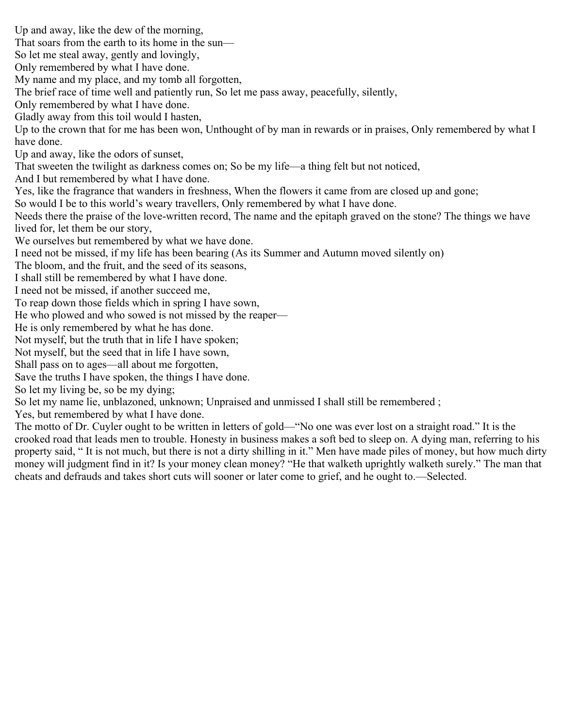Up and away, like the dew of the morning, That soars from the earth to its home in the sun— So let me steal away, gently and lovingly, Only remembered by what I have done. My name and my place, and my tomb all forgotten, The brief race of time well and patiently run, So let me pass away, peacefully, silently, Only remembered by what I have done. Gladly away from this toil would I hasten, Up to the crown that for me has been won, Unthought of by man in rewards or in praises, Only remembered by what I have done. Up and away, like the odors of sunset, That sweeten the twilight as darkness comes on; So be my life—a thing felt but not noticed, And I but remembered by what I have done. Yes, like the fragrance that wanders in freshness, When the flowers it came from are closed up and gone; So would I be to this world's weary travellers, Only remembered by what I have done. Needs there the praise of the love-written record, The name and the epitaph graved on the stone? The things we have lived for, let them be our story, We ourselves but remembered by what we have done. I need not be missed, if my life has been bearing (As its Summer and Autumn moved silently on) The bloom, and the fruit, and the seed of its seasons, I shall still be remembered by what I have done. I need not be missed, if another succeed me, To reap down those fields which in spring I have sown, He who plowed and who sowed is not missed by the reaper— He is only remembered by what he has done. Not myself, but the truth that in life I have spoken; Not myself, but the seed that in life I have sown, Shall pass on to ages—all about me forgotten, Save the truths I have spoken, the things I have done. So let my living be, so be my dying; So let my name lie, unblazoned, unknown; Unpraised and unmissed I shall still be remembered ; Yes, but remembered by what I have done. The motto of Dr. Cuyler ought to be written in letters of gold—"No one was ever lost on a straight road." It is the crooked road that leads men to trouble. Honesty in business makes a soft bed to sleep on. A dying man, referring to his property said, " It is not much, but there is not a dirty shilling in it." Men have made piles of money, but how much dirty

money will judgment find in it? Is your money clean money? "He that walketh uprightly walketh surely." The man that

cheats and defrauds and takes short cuts will sooner or later come to grief, and he ought to.—Selected.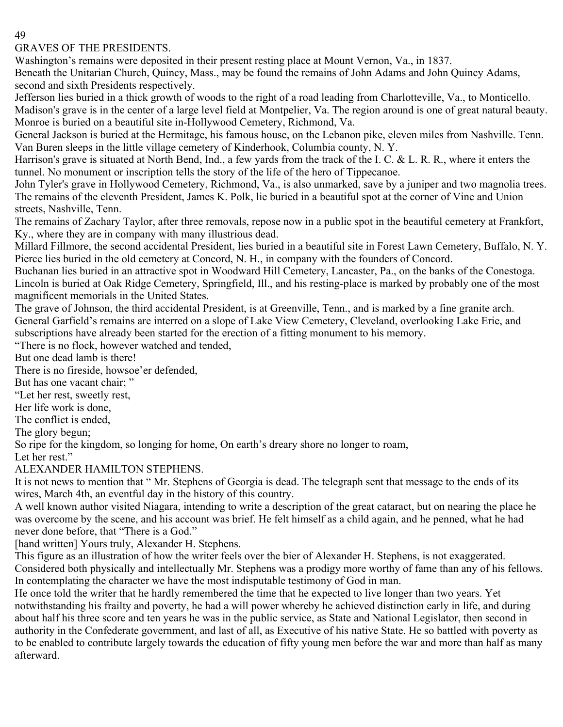# GRAVES OF THE PRESIDENTS.

Washington's remains were deposited in their present resting place at Mount Vernon, Va., in 1837.

Beneath the Unitarian Church, Quincy, Mass., may be found the remains of John Adams and John Quincy Adams, second and sixth Presidents respectively.

Jefferson lies buried in a thick growth of woods to the right of a road leading from Charlotteville, Va., to Monticello. Madison's grave is in the center of a large level field at Montpelier, Va. The region around is one of great natural beauty. Monroe is buried on a beautiful site in-Hollywood Cemetery, Richmond, Va.

General Jackson is buried at the Hermitage, his famous house, on the Lebanon pike, eleven miles from Nashville. Tenn. Van Buren sleeps in the little village cemetery of Kinderhook, Columbia county, N. Y.

Harrison's grave is situated at North Bend, Ind., a few yards from the track of the I. C. & L. R. R., where it enters the tunnel. No monument or inscription tells the story of the life of the hero of Tippecanoe.

John Tyler's grave in Hollywood Cemetery, Richmond, Va., is also unmarked, save by a juniper and two magnolia trees. The remains of the eleventh President, James K. Polk, lie buried in a beautiful spot at the corner of Vine and Union streets, Nashville, Tenn.

The remains of Zachary Taylor, after three removals, repose now in a public spot in the beautiful cemetery at Frankfort, Ky., where they are in company with many illustrious dead.

Millard Fillmore, the second accidental President, lies buried in a beautiful site in Forest Lawn Cemetery, Buffalo, N. Y. Pierce lies buried in the old cemetery at Concord, N. H., in company with the founders of Concord.

Buchanan lies buried in an attractive spot in Woodward Hill Cemetery, Lancaster, Pa., on the banks of the Conestoga. Lincoln is buried at Oak Ridge Cemetery, Springfield, Ill., and his resting-place is marked by probably one of the most magnificent memorials in the United States.

The grave of Johnson, the third accidental President, is at Greenville, Tenn., and is marked by a fine granite arch. General Garfield's remains are interred on a slope of Lake View Cemetery, Cleveland, overlooking Lake Erie, and subscriptions have already been started for the erection of a fitting monument to his memory.

"There is no flock, however watched and tended,

But one dead lamb is there!

There is no fireside, howsoe'er defended,

But has one vacant chair; "

"Let her rest, sweetly rest,

Her life work is done,

The conflict is ended,

The glory begun;

So ripe for the kingdom, so longing for home, On earth's dreary shore no longer to roam,

Let her rest."

# ALEXANDER HAMILTON STEPHENS.

It is not news to mention that " Mr. Stephens of Georgia is dead. The telegraph sent that message to the ends of its wires, March 4th, an eventful day in the history of this country.

A well known author visited Niagara, intending to write a description of the great cataract, but on nearing the place he was overcome by the scene, and his account was brief. He felt himself as a child again, and he penned, what he had never done before, that "There is a God."

[hand written] Yours truly, Alexander H. Stephens.

This figure as an illustration of how the writer feels over the bier of Alexander H. Stephens, is not exaggerated. Considered both physically and intellectually Mr. Stephens was a prodigy more worthy of fame than any of his fellows. In contemplating the character we have the most indisputable testimony of God in man.

He once told the writer that he hardly remembered the time that he expected to live longer than two years. Yet notwithstanding his frailty and poverty, he had a will power whereby he achieved distinction early in life, and during about half his three score and ten years he was in the public service, as State and National Legislator, then second in authority in the Confederate government, and last of all, as Executive of his native State. He so battled with poverty as to be enabled to contribute largely towards the education of fifty young men before the war and more than half as many afterward.

# 49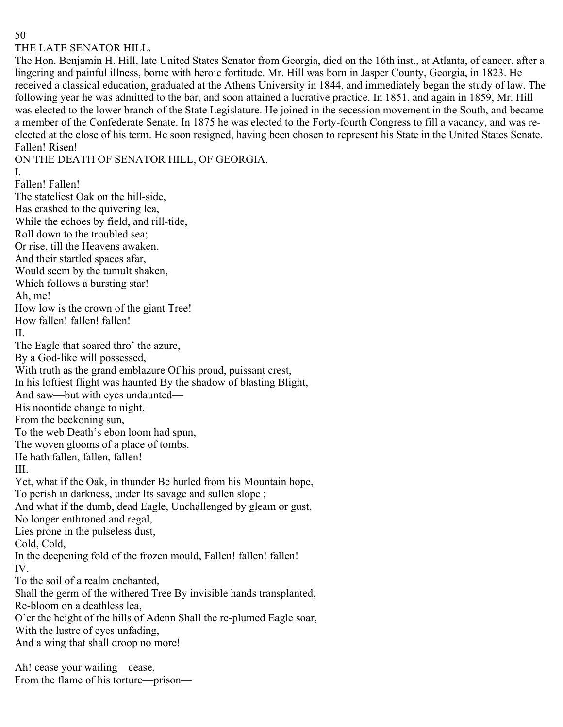#### THE LATE SENATOR HILL.

The Hon. Benjamin H. Hill, late United States Senator from Georgia, died on the 16th inst., at Atlanta, of cancer, after a lingering and painful illness, borne with heroic fortitude. Mr. Hill was born in Jasper County, Georgia, in 1823. He received a classical education, graduated at the Athens University in 1844, and immediately began the study of law. The following year he was admitted to the bar, and soon attained a lucrative practice. In 1851, and again in 1859, Mr. Hill was elected to the lower branch of the State Legislature. He joined in the secession movement in the South, and became a member of the Confederate Senate. In 1875 he was elected to the Forty-fourth Congress to fill a vacancy, and was reelected at the close of his term. He soon resigned, having been chosen to represent his State in the United States Senate. Fallen! Risen!

ON THE DEATH OF SENATOR HILL, OF GEORGIA.

I.

Fallen! Fallen! The stateliest Oak on the hill-side, Has crashed to the quivering lea, While the echoes by field, and rill-tide, Roll down to the troubled sea; Or rise, till the Heavens awaken, And their startled spaces afar, Would seem by the tumult shaken, Which follows a bursting star! Ah, me! How low is the crown of the giant Tree! How fallen! fallen! fallen! II. The Eagle that soared thro' the azure, By a God-like will possessed, With truth as the grand emblazure Of his proud, puissant crest, In his loftiest flight was haunted By the shadow of blasting Blight, And saw—but with eyes undaunted— His noontide change to night, From the beckoning sun, To the web Death's ebon loom had spun, The woven glooms of a place of tombs. He hath fallen, fallen, fallen! III. Yet, what if the Oak, in thunder Be hurled from his Mountain hope, To perish in darkness, under Its savage and sullen slope ; And what if the dumb, dead Eagle, Unchallenged by gleam or gust, No longer enthroned and regal, Lies prone in the pulseless dust, Cold, Cold, In the deepening fold of the frozen mould, Fallen! fallen! fallen! IV. To the soil of a realm enchanted, Shall the germ of the withered Tree By invisible hands transplanted, Re-bloom on a deathless lea, O'er the height of the hills of Adenn Shall the re-plumed Eagle soar, With the lustre of eyes unfading, And a wing that shall droop no more!

Ah! cease your wailing—cease, From the flame of his torture—prison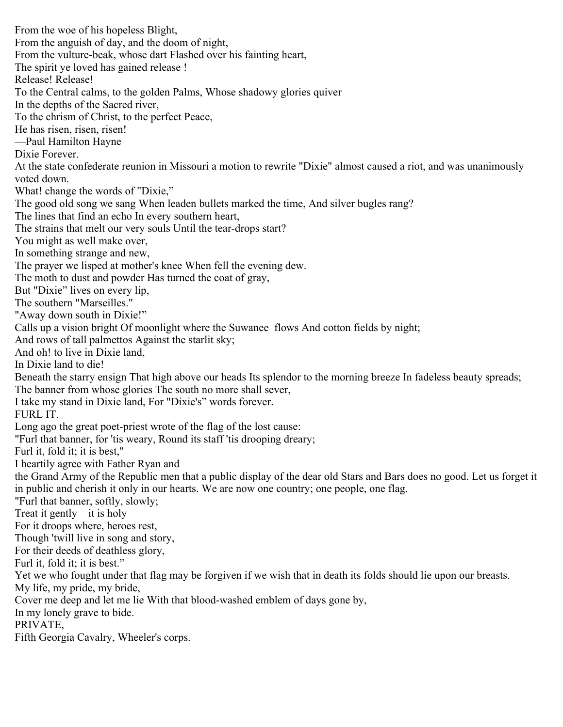From the woe of his hopeless Blight, From the anguish of day, and the doom of night, From the vulture-beak, whose dart Flashed over his fainting heart, The spirit ye loved has gained release ! Release! Release! To the Central calms, to the golden Palms, Whose shadowy glories quiver In the depths of the Sacred river, To the chrism of Christ, to the perfect Peace, He has risen, risen, risen! —Paul Hamilton Hayne Dixie Forever. At the state confederate reunion in Missouri a motion to rewrite "Dixie" almost caused a riot, and was unanimously voted down. What! change the words of "Dixie," The good old song we sang When leaden bullets marked the time, And silver bugles rang? The lines that find an echo In every southern heart, The strains that melt our very souls Until the tear-drops start? You might as well make over, In something strange and new, The prayer we lisped at mother's knee When fell the evening dew. The moth to dust and powder Has turned the coat of gray, But "Dixie" lives on every lip, The southern "Marseilles." "Away down south in Dixie!" Calls up a vision bright Of moonlight where the Suwanee flows And cotton fields by night; And rows of tall palmettos Against the starlit sky; And oh! to live in Dixie land, In Dixie land to die! Beneath the starry ensign That high above our heads Its splendor to the morning breeze In fadeless beauty spreads; The banner from whose glories The south no more shall sever, I take my stand in Dixie land, For "Dixie's" words forever. FURL IT. Long ago the great poet-priest wrote of the flag of the lost cause: "Furl that banner, for 'tis weary, Round its staff 'tis drooping dreary; Furl it, fold it; it is best," I heartily agree with Father Ryan and the Grand Army of the Republic men that a public display of the dear old Stars and Bars does no good. Let us forget it in public and cherish it only in our hearts. We are now one country; one people, one flag. "Furl that banner, softly, slowly; Treat it gently—it is holy— For it droops where, heroes rest, Though 'twill live in song and story, For their deeds of deathless glory, Furl it, fold it; it is best." Yet we who fought under that flag may be forgiven if we wish that in death its folds should lie upon our breasts. My life, my pride, my bride, Cover me deep and let me lie With that blood-washed emblem of days gone by, In my lonely grave to bide. PRIVATE, Fifth Georgia Cavalry, Wheeler's corps.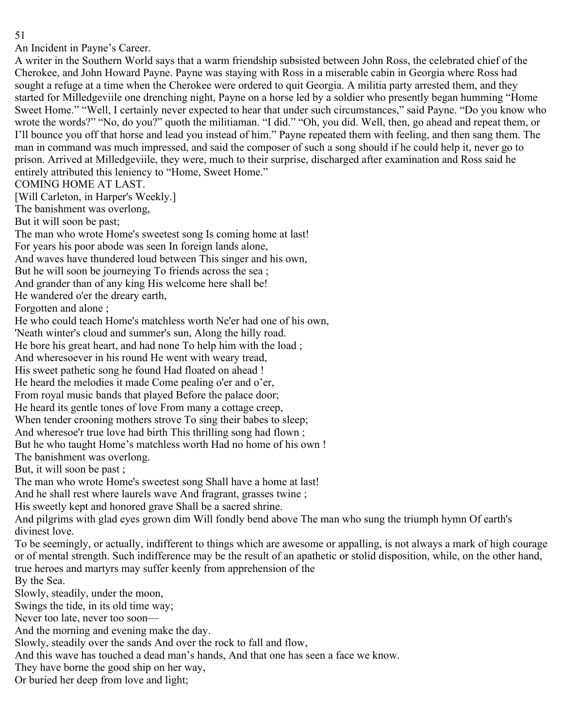An Incident in Payne's Career.

A writer in the Southern World says that a warm friendship subsisted between John Ross, the celebrated chief of the Cherokee, and John Howard Payne. Payne was staying with Ross in a miserable cabin in Georgia where Ross had sought a refuge at a time when the Cherokee were ordered to quit Georgia. A militia party arrested them, and they started for Milledgeviile one drenching night, Payne on a horse led by a soldier who presently began humming "Home Sweet Home." "Well, I certainly never expected to hear that under such circumstances," said Payne. "Do you know who wrote the words?" "No, do you?" quoth the militiaman. "I did." "Oh, you did. Well, then, go ahead and repeat them, or I'll bounce you off that horse and lead you instead of him." Payne repeated them with feeling, and then sang them. The man in command was much impressed, and said the composer of such a song should if he could help it, never go to prison. Arrived at Milledgeviile, they were, much to their surprise, discharged after examination and Ross said he entirely attributed this leniency to "Home, Sweet Home."

COMING HOME AT LAST.

[Will Carleton, in Harper's Weekly.]

The banishment was overlong,

But it will soon be past;

The man who wrote Home's sweetest song Is coming home at last!

For years his poor abode was seen In foreign lands alone,

And waves have thundered loud between This singer and his own,

But he will soon be journeying To friends across the sea ;

And grander than of any king His welcome here shall be!

He wandered o'er the dreary earth,

Forgotten and alone ;

He who could teach Home's matchless worth Ne'er had one of his own,

'Neath winter's cloud and summer's sun, Along the hilly road.

He bore his great heart, and had none To help him with the load ;

And wheresoever in his round He went with weary tread,

His sweet pathetic song he found Had floated on ahead !

He heard the melodies it made Come pealing o'er and o'er,

From royal music bands that played Before the palace door;

He heard its gentle tones of love From many a cottage creep,

When tender crooning mothers strove To sing their babes to sleep;

And wheresoe'r true love had birth This thrilling song had flown ;

But he who taught Home's matchless worth Had no home of his own !

The banishment was overlong.

But, it will soon be past ;

The man who wrote Home's sweetest song Shall have a home at last!

And he shall rest where laurels wave And fragrant, grasses twine ;

His sweetly kept and honored grave Shall be a sacred shrine.

And pilgrims with glad eyes grown dim Will fondly bend above The man who sung the triumph hymn Of earth's divinest love.

To be seemingly, or actually, indifferent to things which are awesome or appalling, is not always a mark of high courage or of mental strength. Such indifference may be the result of an apathetic or stolid disposition, while, on the other hand, true heroes and martyrs may suffer keenly from apprehension of the

By the Sea.

Slowly, steadily, under the moon,

Swings the tide, in its old time way;

Never too late, never too soon—

And the morning and evening make the day.

Slowly, steadily over the sands And over the rock to fall and flow,

And this wave has touched a dead man's hands, And that one has seen a face we know.

They have borne the good ship on her way,

Or buried her deep from love and light;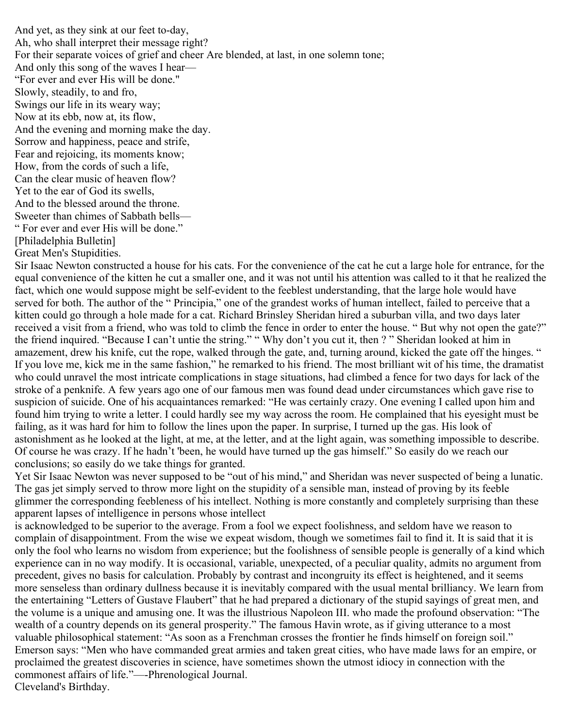And yet, as they sink at our feet to-day, Ah, who shall interpret their message right? For their separate voices of grief and cheer Are blended, at last, in one solemn tone; And only this song of the waves I hear— "For ever and ever His will be done." Slowly, steadily, to and fro, Swings our life in its weary way; Now at its ebb, now at, its flow, And the evening and morning make the day. Sorrow and happiness, peace and strife, Fear and rejoicing, its moments know; How, from the cords of such a life, Can the clear music of heaven flow? Yet to the ear of God its swells, And to the blessed around the throne. Sweeter than chimes of Sabbath bells— " For ever and ever His will be done." [Philadelphia Bulletin] Great Men's Stupidities.

Sir Isaac Newton constructed a house for his cats. For the convenience of the cat he cut a large hole for entrance, for the equal convenience of the kitten he cut a smaller one, and it was not until his attention was called to it that he realized the fact, which one would suppose might be self-evident to the feeblest understanding, that the large hole would have served for both. The author of the " Principia," one of the grandest works of human intellect, failed to perceive that a kitten could go through a hole made for a cat. Richard Brinsley Sheridan hired a suburban villa, and two days later received a visit from a friend, who was told to climb the fence in order to enter the house. " But why not open the gate?" the friend inquired. "Because I can't untie the string." " Why don't you cut it, then ? " Sheridan looked at him in amazement, drew his knife, cut the rope, walked through the gate, and, turning around, kicked the gate off the hinges. " If you love me, kick me in the same fashion," he remarked to his friend. The most brilliant wit of his time, the dramatist who could unravel the most intricate complications in stage situations, had climbed a fence for two days for lack of the stroke of a penknife. A few years ago one of our famous men was found dead under circumstances which gave rise to suspicion of suicide. One of his acquaintances remarked: "He was certainly crazy. One evening I called upon him and found him trying to write a letter. I could hardly see my way across the room. He complained that his eyesight must be failing, as it was hard for him to follow the lines upon the paper. In surprise, I turned up the gas. His look of astonishment as he looked at the light, at me, at the letter, and at the light again, was something impossible to describe. Of course he was crazy. If he hadn't 'been, he would have turned up the gas himself." So easily do we reach our conclusions; so easily do we take things for granted.

Yet Sir Isaac Newton was never supposed to be "out of his mind," and Sheridan was never suspected of being a lunatic. The gas jet simply served to throw more light on the stupidity of a sensible man, instead of proving by its feeble glimmer the corresponding feebleness of his intellect. Nothing is more constantly and completely surprising than these apparent lapses of intelligence in persons whose intellect

is acknowledged to be superior to the average. From a fool we expect foolishness, and seldom have we reason to complain of disappointment. From the wise we expeat wisdom, though we sometimes fail to find it. It is said that it is only the fool who learns no wisdom from experience; but the foolishness of sensible people is generally of a kind which experience can in no way modify. It is occasional, variable, unexpected, of a peculiar quality, admits no argument from precedent, gives no basis for calculation. Probably by contrast and incongruity its effect is heightened, and it seems more senseless than ordinary dullness because it is inevitably compared with the usual mental brilliancy. We learn from the entertaining "Letters of Gustave Flaubert" that he had prepared a dictionary of the stupid sayings of great men, and the volume is a unique and amusing one. It was the illustrious Napoleon III. who made the profound observation: "The wealth of a country depends on its general prosperity." The famous Havin wrote, as if giving utterance to a most valuable philosophical statement: "As soon as a Frenchman crosses the frontier he finds himself on foreign soil." Emerson says: "Men who have commanded great armies and taken great cities, who have made laws for an empire, or proclaimed the greatest discoveries in science, have sometimes shown the utmost idiocy in connection with the commonest affairs of life."—-Phrenological Journal. Cleveland's Birthday.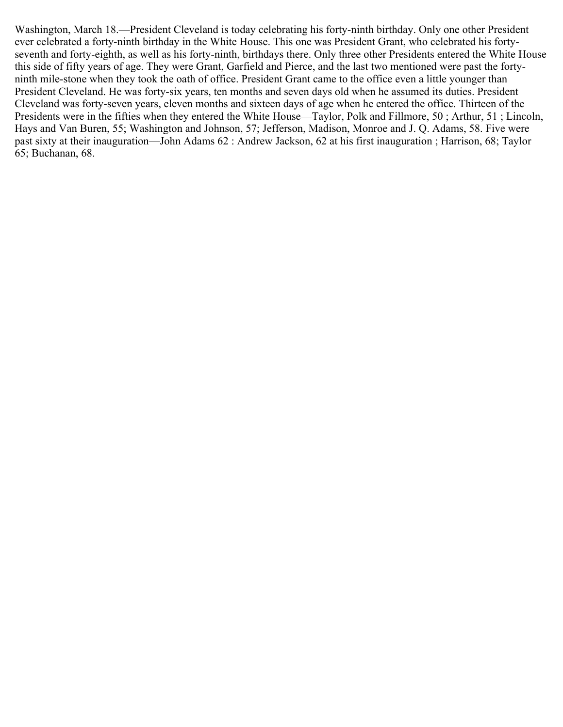Washington, March 18.—President Cleveland is today celebrating his forty-ninth birthday. Only one other President ever celebrated a forty-ninth birthday in the White House. This one was President Grant, who celebrated his fortyseventh and forty-eighth, as well as his forty-ninth, birthdays there. Only three other Presidents entered the White House this side of fifty years of age. They were Grant, Garfield and Pierce, and the last two mentioned were past the fortyninth mile-stone when they took the oath of office. President Grant came to the office even a little younger than President Cleveland. He was forty-six years, ten months and seven days old when he assumed its duties. President Cleveland was forty-seven years, eleven months and sixteen days of age when he entered the office. Thirteen of the Presidents were in the fifties when they entered the White House—Taylor, Polk and Fillmore, 50; Arthur, 51; Lincoln, Hays and Van Buren, 55; Washington and Johnson, 57; Jefferson, Madison, Monroe and J. Q. Adams, 58. Five were past sixty at their inauguration—John Adams 62 : Andrew Jackson, 62 at his first inauguration ; Harrison, 68; Taylor 65; Buchanan, 68.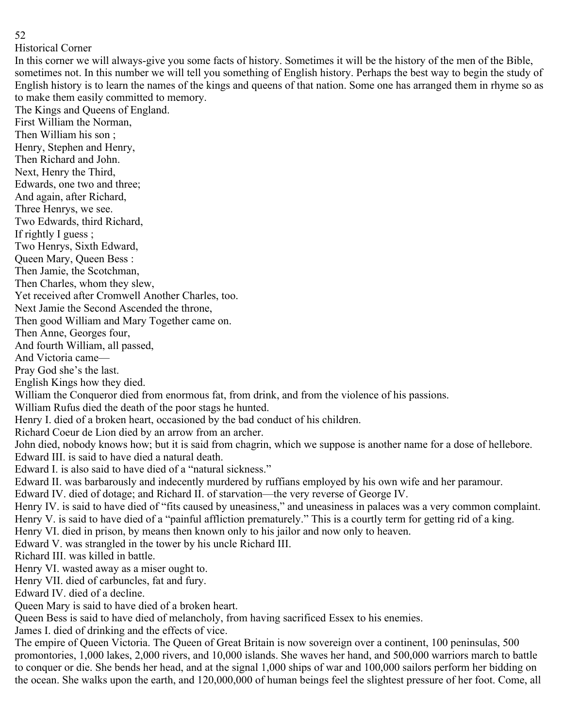#### Historical Corner

In this corner we will always-give you some facts of history. Sometimes it will be the history of the men of the Bible, sometimes not. In this number we will tell you something of English history. Perhaps the best way to begin the study of English history is to learn the names of the kings and queens of that nation. Some one has arranged them in rhyme so as to make them easily committed to memory.

The Kings and Queens of England. First William the Norman, Then William his son ; Henry, Stephen and Henry, Then Richard and John. Next, Henry the Third, Edwards, one two and three; And again, after Richard, Three Henrys, we see. Two Edwards, third Richard, If rightly I guess ; Two Henrys, Sixth Edward, Queen Mary, Queen Bess : Then Jamie, the Scotchman, Then Charles, whom they slew, Yet received after Cromwell Another Charles, too. Next Jamie the Second Ascended the throne, Then good William and Mary Together came on. Then Anne, Georges four, And fourth William, all passed, And Victoria came— Pray God she's the last. English Kings how they died. William the Conqueror died from enormous fat, from drink, and from the violence of his passions. William Rufus died the death of the poor stags he hunted. Henry I. died of a broken heart, occasioned by the bad conduct of his children. Richard Coeur de Lion died by an arrow from an archer. John died, nobody knows how; but it is said from chagrin, which we suppose is another name for a dose of hellebore. Edward III. is said to have died a natural death. Edward I. is also said to have died of a "natural sickness." Edward II. was barbarously and indecently murdered by ruffians employed by his own wife and her paramour. Edward IV. died of dotage; and Richard II. of starvation—the very reverse of George IV. Henry IV. is said to have died of "fits caused by uneasiness," and uneasiness in palaces was a very common complaint. Henry V. is said to have died of a "painful affliction prematurely." This is a courtly term for getting rid of a king. Henry VI. died in prison, by means then known only to his jailor and now only to heaven. Edward V. was strangled in the tower by his uncle Richard III. Richard III. was killed in battle. Henry VI. wasted away as a miser ought to. Henry VII. died of carbuncles, fat and fury.

Edward IV. died of a decline.

Queen Mary is said to have died of a broken heart.

Queen Bess is said to have died of melancholy, from having sacrificed Essex to his enemies.

James I. died of drinking and the effects of vice.

The empire of Queen Victoria. The Queen of Great Britain is now sovereign over a continent, 100 peninsulas, 500 promontories, 1,000 lakes, 2,000 rivers, and 10,000 islands. She waves her hand, and 500,000 warriors march to battle to conquer or die. She bends her head, and at the signal 1,000 ships of war and 100,000 sailors perform her bidding on the ocean. She walks upon the earth, and 120,000,000 of human beings feel the slightest pressure of her foot. Come, all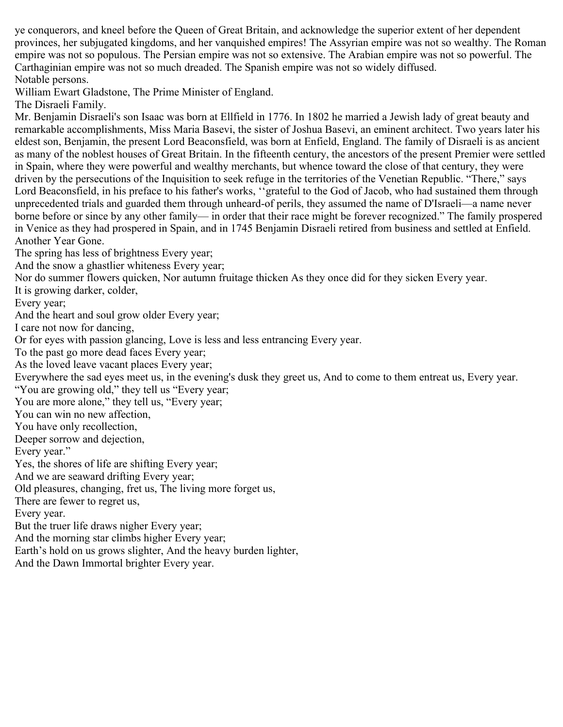ye conquerors, and kneel before the Queen of Great Britain, and acknowledge the superior extent of her dependent provinces, her subjugated kingdoms, and her vanquished empires! The Assyrian empire was not so wealthy. The Roman empire was not so populous. The Persian empire was not so extensive. The Arabian empire was not so powerful. The Carthaginian empire was not so much dreaded. The Spanish empire was not so widely diffused. Notable persons.

William Ewart Gladstone, The Prime Minister of England.

The Disraeli Family.

Mr. Benjamin Disraeli's son Isaac was born at Ellfield in 1776. In 1802 he married a Jewish lady of great beauty and remarkable accomplishments, Miss Maria Basevi, the sister of Joshua Basevi, an eminent architect. Two years later his eldest son, Benjamin, the present Lord Beaconsfield, was born at Enfield, England. The family of Disraeli is as ancient as many of the noblest houses of Great Britain. In the fifteenth century, the ancestors of the present Premier were settled in Spain, where they were powerful and wealthy merchants, but whence toward the close of that century, they were driven by the persecutions of the Inquisition to seek refuge in the territories of the Venetian Republic. "There," says Lord Beaconsfield, in his preface to his father's works, ''grateful to the God of Jacob, who had sustained them through unprecedented trials and guarded them through unheard-of perils, they assumed the name of D'Israeli—a name never borne before or since by any other family— in order that their race might be forever recognized." The family prospered in Venice as they had prospered in Spain, and in 1745 Benjamin Disraeli retired from business and settled at Enfield. Another Year Gone.

The spring has less of brightness Every year;

And the snow a ghastlier whiteness Every year;

Nor do summer flowers quicken, Nor autumn fruitage thicken As they once did for they sicken Every year.

It is growing darker, colder,

Every year;

And the heart and soul grow older Every year;

I care not now for dancing,

Or for eyes with passion glancing, Love is less and less entrancing Every year.

To the past go more dead faces Every year;

As the loved leave vacant places Every year;

Everywhere the sad eyes meet us, in the evening's dusk they greet us, And to come to them entreat us, Every year. "You are growing old," they tell us "Every year;

You are more alone," they tell us, "Every year;

You can win no new affection,

You have only recollection,

Deeper sorrow and dejection,

Every year."

Yes, the shores of life are shifting Every year;

And we are seaward drifting Every year;

Old pleasures, changing, fret us, The living more forget us,

There are fewer to regret us,

Every year.

But the truer life draws nigher Every year;

And the morning star climbs higher Every year;

Earth's hold on us grows slighter, And the heavy burden lighter,

And the Dawn Immortal brighter Every year.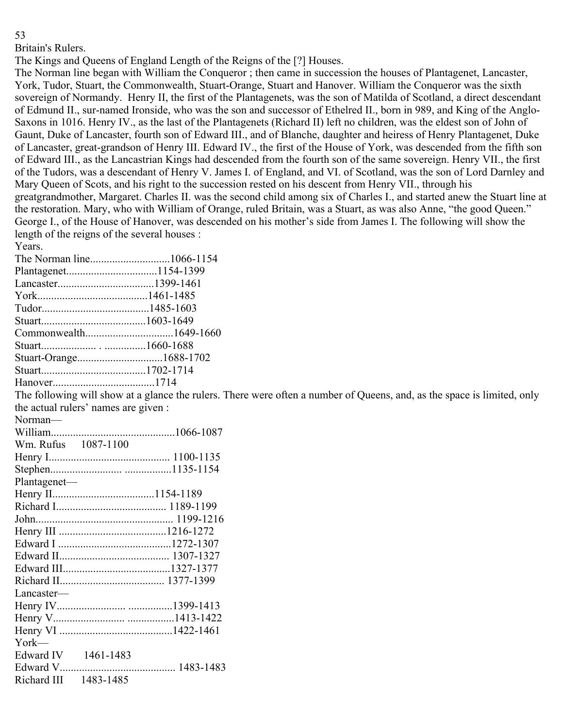Britain's Rulers.

The Kings and Queens of England Length of the Reigns of the [?] Houses.

The Norman line began with William the Conqueror ; then came in succession the houses of Plantagenet, Lancaster, York, Tudor, Stuart, the Commonwealth, Stuart-Orange, Stuart and Hanover. William the Conqueror was the sixth sovereign of Normandy. Henry II, the first of the Plantagenets, was the son of Matilda of Scotland, a direct descendant of Edmund II., sur-named Ironside, who was the son and successor of Ethelred II., born in 989, and King of the Anglo-Saxons in 1016. Henry IV., as the last of the Plantagenets (Richard II) left no children, was the eldest son of John of Gaunt, Duke of Lancaster, fourth son of Edward III., and of Blanche, daughter and heiress of Henry Plantagenet, Duke of Lancaster, great-grandson of Henry III. Edward IV., the first of the House of York, was descended from the fifth son of Edward III., as the Lancastrian Kings had descended from the fourth son of the same sovereign. Henry VII., the first of the Tudors, was a descendant of Henry V. James I. of England, and VI. of Scotland, was the son of Lord Darnley and Mary Queen of Scots, and his right to the succession rested on his descent from Henry VII., through his greatgrandmother, Margaret. Charles II. was the second child among six of Charles I., and started anew the Stuart line at the restoration. Mary, who with William of Orange, ruled Britain, was a Stuart, as was also Anne, "the good Queen." George I., of the House of Hanover, was descended on his mother's side from James I. The following will show the length of the reigns of the several houses : Years.

The Norman line.............................1066-1154 Plantagenet.................................1154-1399 Lancaster...................................1399-1461 York........................................1461-1485 Tudor.......................................1485-1603 Stuart......................................1603-1649 Commonwealth................................1649-1660 Stuart.................... . ...............1660-1688 Stuart-Orange...............................1688-1702 Stuart......................................1702-1714 Hanover.....................................1714 The following will show at a glance the rulers. There were often a number of Queens, and, as the space is limited, only the actual rulers' names are given : Norman— William.............................................1066-1087 Wm. Rufus 1087-1100 Henry I............................................ 1100-1135 Stephen.......................... .................1135-1154 Plantagenet— Henry II.....................................1154-1189 Richard I........................................ 1189-1199 John.................................................. 1199-1216 Henry III .......................................1216-1272 Edward I .........................................1272-1307 Edward II........................................ 1307-1327 Edward III.......................................1327-1377 Richard II...................................... 1377-1399 Lancaster— Henry IV......................... ................1399-1413 Henry V.......................... .................1413-1422 Henry VI .........................................1422-1461 York— Edward IV 1461-1483 Edward V.......................................... 1483-1483 Richard III 1483-1485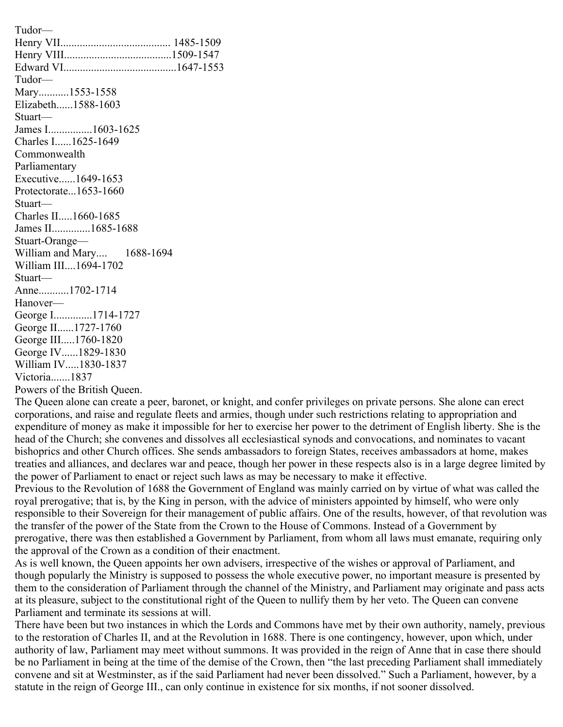Tudor— Henry VII........................................ 1485-1509 Henry VIII.......................................1509-1547 Edward VI.........................................1647-1553 Tudor— Mary...........1553-1558 Elizabeth......1588-1603 Stuart— James I................1603-1625 Charles I......1625-1649 Commonwealth Parliamentary Executive......1649-1653 Protectorate...1653-1660 Stuart— Charles II.....1660-1685 James II..............1685-1688 Stuart-Orange— William and Mary.... 1688-1694 William III....1694-1702 Stuart— Anne...........1702-1714 Hanover— George I..............1714-1727 George II......1727-1760 George III.....1760-1820 George IV......1829-1830 William IV.....1830-1837 Victoria.......1837 Powers of the British Queen.

The Queen alone can create a peer, baronet, or knight, and confer privileges on private persons. She alone can erect corporations, and raise and regulate fleets and armies, though under such restrictions relating to appropriation and expenditure of money as make it impossible for her to exercise her power to the detriment of English liberty. She is the head of the Church; she convenes and dissolves all ecclesiastical synods and convocations, and nominates to vacant bishoprics and other Church offices. She sends ambassadors to foreign States, receives ambassadors at home, makes treaties and alliances, and declares war and peace, though her power in these respects also is in a large degree limited by the power of Parliament to enact or reject such laws as may be necessary to make it effective.

Previous to the Revolution of 1688 the Government of England was mainly carried on by virtue of what was called the royal prerogative; that is, by the King in person, with the advice of ministers appointed by himself, who were only responsible to their Sovereign for their management of public affairs. One of the results, however, of that revolution was the transfer of the power of the State from the Crown to the House of Commons. Instead of a Government by prerogative, there was then established a Government by Parliament, from whom all laws must emanate, requiring only the approval of the Crown as a condition of their enactment.

As is well known, the Queen appoints her own advisers, irrespective of the wishes or approval of Parliament, and though popularly the Ministry is supposed to possess the whole executive power, no important measure is presented by them to the consideration of Parliament through the channel of the Ministry, and Parliament may originate and pass acts at its pleasure, subject to the constitutional right of the Queen to nullify them by her veto. The Queen can convene Parliament and terminate its sessions at will.

There have been but two instances in which the Lords and Commons have met by their own authority, namely, previous to the restoration of Charles II, and at the Revolution in 1688. There is one contingency, however, upon which, under authority of law, Parliament may meet without summons. It was provided in the reign of Anne that in case there should be no Parliament in being at the time of the demise of the Crown, then "the last preceding Parliament shall immediately convene and sit at Westminster, as if the said Parliament had never been dissolved." Such a Parliament, however, by a statute in the reign of George III., can only continue in existence for six months, if not sooner dissolved.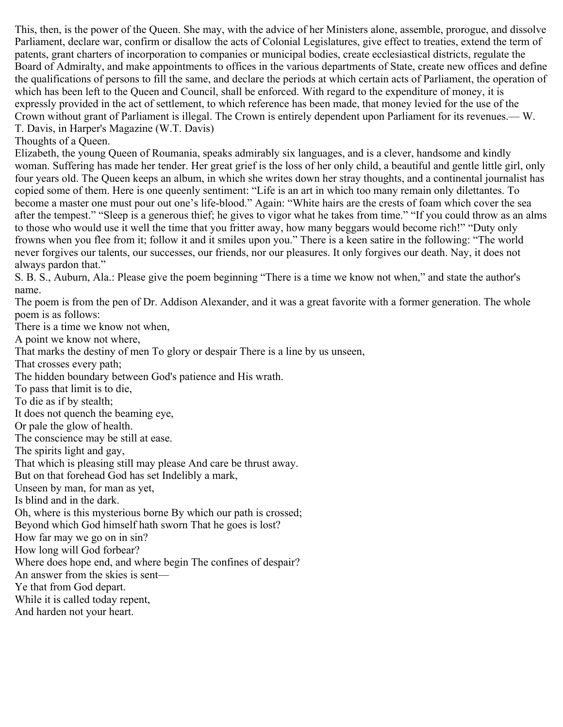This, then, is the power of the Queen. She may, with the advice of her Ministers alone, assemble, prorogue, and dissolve Parliament, declare war, confirm or disallow the acts of Colonial Legislatures, give effect to treaties, extend the term of patents, grant charters of incorporation to companies or municipal bodies, create ecclesiastical districts, regulate the Board of Admiralty, and make appointments to offices in the various departments of State, create new offices and define the qualifications of persons to fill the same, and declare the periods at which certain acts of Parliament, the operation of which has been left to the Queen and Council, shall be enforced. With regard to the expenditure of money, it is expressly provided in the act of settlement, to which reference has been made, that money levied for the use of the Crown without grant of Parliament is illegal. The Crown is entirely dependent upon Parliament for its revenues.— W. T. Davis, in Harper's Magazine (W.T. Davis)

Thoughts of a Queen.

Elizabeth, the young Queen of Roumania, speaks admirably six languages, and is a clever, handsome and kindly woman. Suffering has made her tender. Her great grief is the loss of her only child, a beautiful and gentle little girl, only four years old. The Queen keeps an album, in which she writes down her stray thoughts, and a continental journalist has copied some of them. Here is one queenly sentiment: "Life is an art in which too many remain only dilettantes. To become a master one must pour out one's life-blood." Again: "White hairs are the crests of foam which cover the sea after the tempest." "Sleep is a generous thief; he gives to vigor what he takes from time." "If you could throw as an alms to those who would use it well the time that you fritter away, how many beggars would become rich!" "Duty only frowns when you flee from it; follow it and it smiles upon you." There is a keen satire in the following: "The world never forgives our talents, our successes, our friends, nor our pleasures. It only forgives our death. Nay, it does not always pardon that."

S. B. S., Auburn, Ala.: Please give the poem beginning "There is a time we know not when," and state the author's name.

The poem is from the pen of Dr. Addison Alexander, and it was a great favorite with a former generation. The whole poem is as follows:

There is a time we know not when,

A point we know not where,

That marks the destiny of men To glory or despair There is a line by us unseen,

That crosses every path;

The hidden boundary between God's patience and His wrath.

To pass that limit is to die,

To die as if by stealth;

It does not quench the beaming eye,

Or pale the glow of health.

The conscience may be still at ease.

The spirits light and gay,

That which is pleasing still may please And care be thrust away.

But on that forehead God has set Indelibly a mark,

Unseen by man, for man as yet,

Is blind and in the dark.

Oh, where is this mysterious borne By which our path is crossed;

Beyond which God himself hath sworn That he goes is lost?

How far may we go on in sin?

How long will God forbear?

Where does hope end, and where begin The confines of despair?

An answer from the skies is sent—

Ye that from God depart.

While it is called today repent,

And harden not your heart.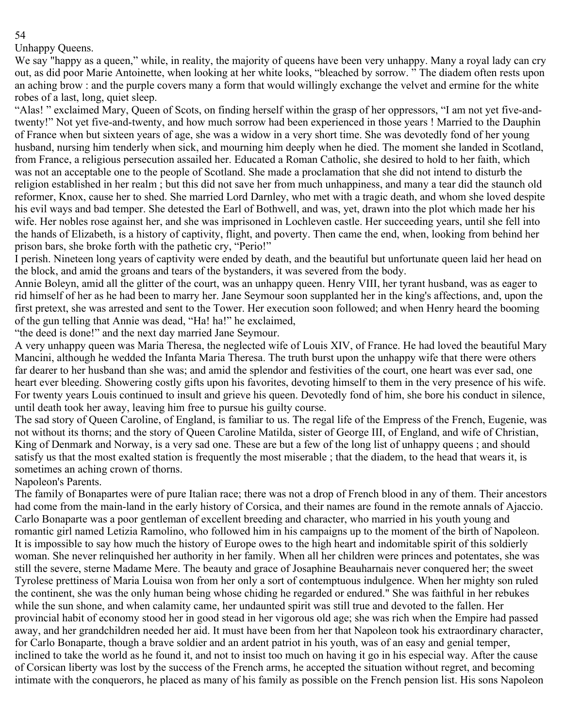# Unhappy Queens.

We say "happy as a queen," while, in reality, the majority of queens have been very unhappy. Many a royal lady can cry out, as did poor Marie Antoinette, when looking at her white looks, "bleached by sorrow. " The diadem often rests upon an aching brow : and the purple covers many a form that would willingly exchange the velvet and ermine for the white robes of a last, long, quiet sleep.

"Alas! " exclaimed Mary, Queen of Scots, on finding herself within the grasp of her oppressors, "I am not yet five-andtwenty!" Not yet five-and-twenty, and how much sorrow had been experienced in those years ! Married to the Dauphin of France when but sixteen years of age, she was a widow in a very short time. She was devotedly fond of her young husband, nursing him tenderly when sick, and mourning him deeply when he died. The moment she landed in Scotland, from France, a religious persecution assailed her. Educated a Roman Catholic, she desired to hold to her faith, which was not an acceptable one to the people of Scotland. She made a proclamation that she did not intend to disturb the religion established in her realm ; but this did not save her from much unhappiness, and many a tear did the staunch old reformer, Knox, cause her to shed. She married Lord Darnley, who met with a tragic death, and whom she loved despite his evil ways and bad temper. She detested the Earl of Bothwell, and was, yet, drawn into the plot which made her his wife. Her nobles rose against her, and she was imprisoned in Lochleven castle. Her succeeding years, until she fell into the hands of Elizabeth, is a history of captivity, flight, and poverty. Then came the end, when, looking from behind her prison bars, she broke forth with the pathetic cry, "Perio!"

I perish. Nineteen long years of captivity were ended by death, and the beautiful but unfortunate queen laid her head on the block, and amid the groans and tears of the bystanders, it was severed from the body.

Annie Boleyn, amid all the glitter of the court, was an unhappy queen. Henry VIII, her tyrant husband, was as eager to rid himself of her as he had been to marry her. Jane Seymour soon supplanted her in the king's affections, and, upon the first pretext, she was arrested and sent to the Tower. Her execution soon followed; and when Henry heard the booming of the gun telling that Annie was dead, "Ha! ha!" he exclaimed,

"the deed is done!" and the next day married Jane Seymour.

A very unhappy queen was Maria Theresa, the neglected wife of Louis XIV, of France. He had loved the beautiful Mary Mancini, although he wedded the Infanta Maria Theresa. The truth burst upon the unhappy wife that there were others far dearer to her husband than she was; and amid the splendor and festivities of the court, one heart was ever sad, one heart ever bleeding. Showering costly gifts upon his favorites, devoting himself to them in the very presence of his wife. For twenty years Louis continued to insult and grieve his queen. Devotedly fond of him, she bore his conduct in silence, until death took her away, leaving him free to pursue his guilty course.

The sad story of Queen Caroline, of England, is familiar to us. The regal life of the Empress of the French, Eugenie, was not without its thorns; and the story of Queen Caroline Matilda, sister of George III, of England, and wife of Christian, King of Denmark and Norway, is a very sad one. These are but a few of the long list of unhappy queens ; and should satisfy us that the most exalted station is frequently the most miserable ; that the diadem, to the head that wears it, is sometimes an aching crown of thorns.

#### Napoleon's Parents.

The family of Bonapartes were of pure Italian race; there was not a drop of French blood in any of them. Their ancestors had come from the main-land in the early history of Corsica, and their names are found in the remote annals of Ajaccio. Carlo Bonaparte was a poor gentleman of excellent breeding and character, who married in his youth young and romantic girl named Letizia Ramolino, who followed him in his campaigns up to the moment of the birth of Napoleon. It is impossible to say how much the history of Europe owes to the high heart and indomitable spirit of this soldierly woman. She never relinquished her authority in her family. When all her children were princes and potentates, she was still the severe, sterne Madame Mere. The beauty and grace of Josaphine Beauharnais never conquered her; the sweet Tyrolese prettiness of Maria Louisa won from her only a sort of contemptuous indulgence. When her mighty son ruled the continent, she was the only human being whose chiding he regarded or endured." She was faithful in her rebukes while the sun shone, and when calamity came, her undaunted spirit was still true and devoted to the fallen. Her provincial habit of economy stood her in good stead in her vigorous old age; she was rich when the Empire had passed away, and her grandchildren needed her aid. It must have been from her that Napoleon took his extraordinary character, for Carlo Bonaparte, though a brave soldier and an ardent patriot in his youth, was of an easy and genial temper, inclined to take the world as he found it, and not to insist too much on having it go in his especial way. After the cause of Corsican liberty was lost by the success of the French arms, he accepted the situation without regret, and becoming intimate with the conquerors, he placed as many of his family as possible on the French pension list. His sons Napoleon

# 54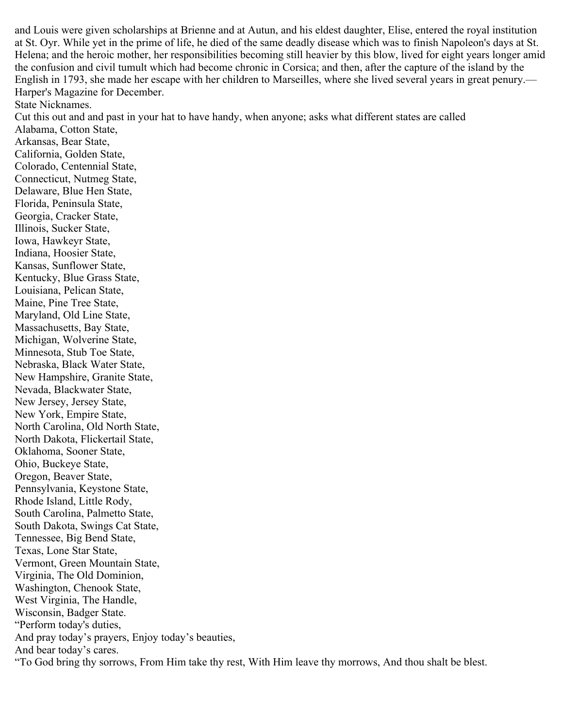and Louis were given scholarships at Brienne and at Autun, and his eldest daughter, Elise, entered the royal institution at St. Oyr. While yet in the prime of life, he died of the same deadly disease which was to finish Napoleon's days at St. Helena; and the heroic mother, her responsibilities becoming still heavier by this blow, lived for eight years longer amid the confusion and civil tumult which had become chronic in Corsica; and then, after the capture of the island by the English in 1793, she made her escape with her children to Marseilles, where she lived several years in great penury.— Harper's Magazine for December.

State Nicknames.

Cut this out and and past in your hat to have handy, when anyone; asks what different states are called

Alabama, Cotton State, Arkansas, Bear State, California, Golden State, Colorado, Centennial State, Connecticut, Nutmeg State, Delaware, Blue Hen State, Florida, Peninsula State, Georgia, Cracker State, Illinois, Sucker State, Iowa, Hawkeyr State, Indiana, Hoosier State, Kansas, Sunflower State, Kentucky, Blue Grass State, Louisiana, Pelican State, Maine, Pine Tree State, Maryland, Old Line State, Massachusetts, Bay State, Michigan, Wolverine State, Minnesota, Stub Toe State, Nebraska, Black Water State, New Hampshire, Granite State, Nevada, Blackwater State, New Jersey, Jersey State, New York, Empire State, North Carolina, Old North State, North Dakota, Flickertail State, Oklahoma, Sooner State, Ohio, Buckeye State, Oregon, Beaver State, Pennsylvania, Keystone State, Rhode Island, Little Rody, South Carolina, Palmetto State, South Dakota, Swings Cat State, Tennessee, Big Bend State, Texas, Lone Star State, Vermont, Green Mountain State, Virginia, The Old Dominion, Washington, Chenook State, West Virginia, The Handle, Wisconsin, Badger State. "Perform today's duties, And pray today's prayers, Enjoy today's beauties, And bear today's cares. "To God bring thy sorrows, From Him take thy rest, With Him leave thy morrows, And thou shalt be blest.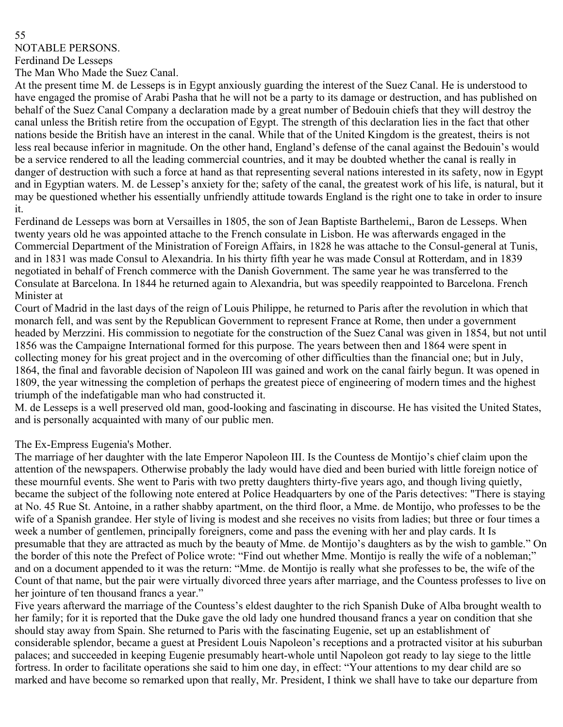#### 55 NOTABLE PERSONS.

Ferdinand De Lesseps

The Man Who Made the Suez Canal.

At the present time M. de Lesseps is in Egypt anxiously guarding the interest of the Suez Canal. He is understood to have engaged the promise of Arabi Pasha that he will not be a party to its damage or destruction, and has published on behalf of the Suez Canal Company a declaration made by a great number of Bedouin chiefs that they will destroy the canal unless the British retire from the occupation of Egypt. The strength of this declaration lies in the fact that other nations beside the British have an interest in the canal. While that of the United Kingdom is the greatest, theirs is not less real because inferior in magnitude. On the other hand, England's defense of the canal against the Bedouin's would be a service rendered to all the leading commercial countries, and it may be doubted whether the canal is really in danger of destruction with such a force at hand as that representing several nations interested in its safety, now in Egypt and in Egyptian waters. M. de Lessep's anxiety for the; safety of the canal, the greatest work of his life, is natural, but it may be questioned whether his essentially unfriendly attitude towards England is the right one to take in order to insure it.

Ferdinand de Lesseps was born at Versailles in 1805, the son of Jean Baptiste Barthelemi,, Baron de Lesseps. When twenty years old he was appointed attache to the French consulate in Lisbon. He was afterwards engaged in the Commercial Department of the Ministration of Foreign Affairs, in 1828 he was attache to the Consul-general at Tunis, and in 1831 was made Consul to Alexandria. In his thirty fifth year he was made Consul at Rotterdam, and in 1839 negotiated in behalf of French commerce with the Danish Government. The same year he was transferred to the Consulate at Barcelona. In 1844 he returned again to Alexandria, but was speedily reappointed to Barcelona. French Minister at

Court of Madrid in the last days of the reign of Louis Philippe, he returned to Paris after the revolution in which that monarch fell, and was sent by the Republican Government to represent France at Rome, then under a government headed by Merzzini. His commission to negotiate for the construction of the Suez Canal was given in 1854, but not until 1856 was the Campaigne International formed for this purpose. The years between then and 1864 were spent in collecting money for his great project and in the overcoming of other difficulties than the financial one; but in July, 1864, the final and favorable decision of Napoleon III was gained and work on the canal fairly begun. It was opened in 1809, the year witnessing the completion of perhaps the greatest piece of engineering of modern times and the highest triumph of the indefatigable man who had constructed it.

M. de Lesseps is a well preserved old man, good-looking and fascinating in discourse. He has visited the United States, and is personally acquainted with many of our public men.

### The Ex-Empress Eugenia's Mother.

The marriage of her daughter with the late Emperor Napoleon III. Is the Countess de Montijo's chief claim upon the attention of the newspapers. Otherwise probably the lady would have died and been buried with little foreign notice of these mournful events. She went to Paris with two pretty daughters thirty-five years ago, and though living quietly, became the subject of the following note entered at Police Headquarters by one of the Paris detectives: "There is staying at No. 45 Rue St. Antoine, in a rather shabby apartment, on the third floor, a Mme. de Montijo, who professes to be the wife of a Spanish grandee. Her style of living is modest and she receives no visits from ladies; but three or four times a week a number of gentlemen, principally foreigners, come and pass the evening with her and play cards. It Is presumable that they are attracted as much by the beauty of Mme. de Montijo's daughters as by the wish to gamble." On the border of this note the Prefect of Police wrote: "Find out whether Mme. Montijo is really the wife of a nobleman;" and on a document appended to it was the return: "Mme. de Montijo is really what she professes to be, the wife of the Count of that name, but the pair were virtually divorced three years after marriage, and the Countess professes to live on her jointure of ten thousand francs a year."

Five years afterward the marriage of the Countess's eldest daughter to the rich Spanish Duke of Alba brought wealth to her family; for it is reported that the Duke gave the old lady one hundred thousand francs a year on condition that she should stay away from Spain. She returned to Paris with the fascinating Eugenie, set up an establishment of considerable splendor, became a guest at President Louis Napoleon's receptions and a protracted visitor at his suburban palaces; and succeeded in keeping Eugenie presumably heart-whole until Napoleon got ready to lay siege to the little fortress. In order to facilitate operations she said to him one day, in effect: "Your attentions to my dear child are so marked and have become so remarked upon that really, Mr. President, I think we shall have to take our departure from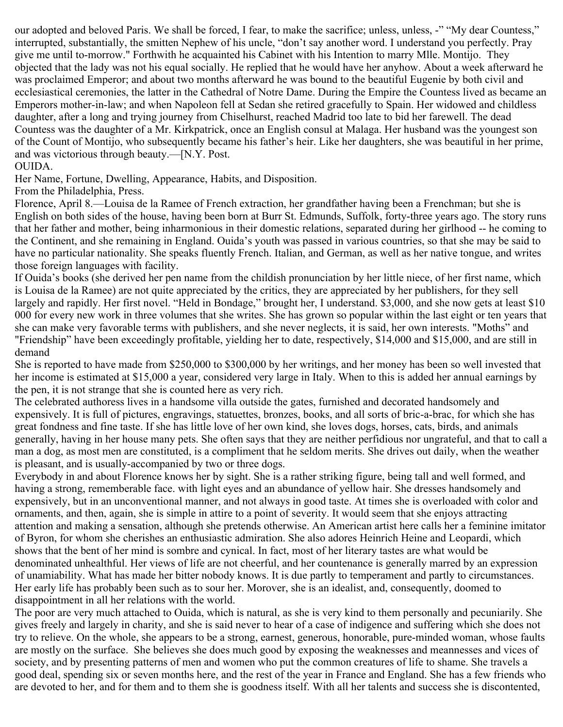our adopted and beloved Paris. We shall be forced, I fear, to make the sacrifice; unless, unless, -" "My dear Countess," interrupted, substantially, the smitten Nephew of his uncle, "don't say another word. I understand you perfectly. Pray give me until to-morrow." Forthwith he acquainted his Cabinet with his Intention to marry Mlle. Montijo. They objected that the lady was not his equal socially. He replied that he would have her anyhow. About a week afterward he was proclaimed Emperor; and about two months afterward he was bound to the beautiful Eugenie by both civil and ecclesiastical ceremonies, the latter in the Cathedral of Notre Dame. During the Empire the Countess lived as became an Emperors mother-in-law; and when Napoleon fell at Sedan she retired gracefully to Spain. Her widowed and childless daughter, after a long and trying journey from Chiselhurst, reached Madrid too late to bid her farewell. The dead Countess was the daughter of a Mr. Kirkpatrick, once an English consul at Malaga. Her husband was the youngest son of the Count of Montijo, who subsequently became his father's heir. Like her daughters, she was beautiful in her prime, and was victorious through beauty.—[N.Y. Post.

### OUIDA.

Her Name, Fortune, Dwelling, Appearance, Habits, and Disposition.

From the Philadelphia, Press.

Florence, April 8.—Louisa de la Ramee of French extraction, her grandfather having been a Frenchman; but she is English on both sides of the house, having been born at Burr St. Edmunds, Suffolk, forty-three years ago. The story runs that her father and mother, being inharmonious in their domestic relations, separated during her girlhood -- he coming to the Continent, and she remaining in England. Ouida's youth was passed in various countries, so that she may be said to have no particular nationality. She speaks fluently French. Italian, and German, as well as her native tongue, and writes those foreign languages with facility.

If Ouida's books (she derived her pen name from the childish pronunciation by her little niece, of her first name, which is Louisa de la Ramee) are not quite appreciated by the critics, they are appreciated by her publishers, for they sell largely and rapidly. Her first novel. "Held in Bondage," brought her, I understand. \$3,000, and she now gets at least \$10 000 for every new work in three volumes that she writes. She has grown so popular within the last eight or ten years that she can make very favorable terms with publishers, and she never neglects, it is said, her own interests. "Moths" and "Friendship" have been exceedingly profitable, yielding her to date, respectively, \$14,000 and \$15,000, and are still in demand

She is reported to have made from \$250,000 to \$300,000 by her writings, and her money has been so well invested that her income is estimated at \$15,000 a year, considered very large in Italy. When to this is added her annual earnings by the pen, it is not strange that she is counted here as very rich.

The celebrated authoress lives in a handsome villa outside the gates, furnished and decorated handsomely and expensively. It is full of pictures, engravings, statuettes, bronzes, books, and all sorts of bric-a-brac, for which she has great fondness and fine taste. If she has little love of her own kind, she loves dogs, horses, cats, birds, and animals generally, having in her house many pets. She often says that they are neither perfidious nor ungrateful, and that to call a man a dog, as most men are constituted, is a compliment that he seldom merits. She drives out daily, when the weather is pleasant, and is usually-accompanied by two or three dogs.

Everybody in and about Florence knows her by sight. She is a rather striking figure, being tall and well formed, and having a strong, rememberable face. with light eyes and an abundance of yellow hair. She dresses handsomely and expensively, but in an unconventional manner, and not always in good taste. At times she is overloaded with color and ornaments, and then, again, she is simple in attire to a point of severity. It would seem that she enjoys attracting attention and making a sensation, although she pretends otherwise. An American artist here calls her a feminine imitator of Byron, for whom she cherishes an enthusiastic admiration. She also adores Heinrich Heine and Leopardi, which shows that the bent of her mind is sombre and cynical. In fact, most of her literary tastes are what would be denominated unhealthful. Her views of life are not cheerful, and her countenance is generally marred by an expression of unamiability. What has made her bitter nobody knows. It is due partly to temperament and partly to circumstances. Her early life has probably been such as to sour her. Morover, she is an idealist, and, consequently, doomed to disappointment in all her relations with the world.

The poor are very much attached to Ouida, which is natural, as she is very kind to them personally and pecuniarily. She gives freely and largely in charity, and she is said never to hear of a case of indigence and suffering which she does not try to relieve. On the whole, she appears to be a strong, earnest, generous, honorable, pure-minded woman, whose faults are mostly on the surface. She believes she does much good by exposing the weaknesses and meannesses and vices of society, and by presenting patterns of men and women who put the common creatures of life to shame. She travels a good deal, spending six or seven months here, and the rest of the year in France and England. She has a few friends who are devoted to her, and for them and to them she is goodness itself. With all her talents and success she is discontented,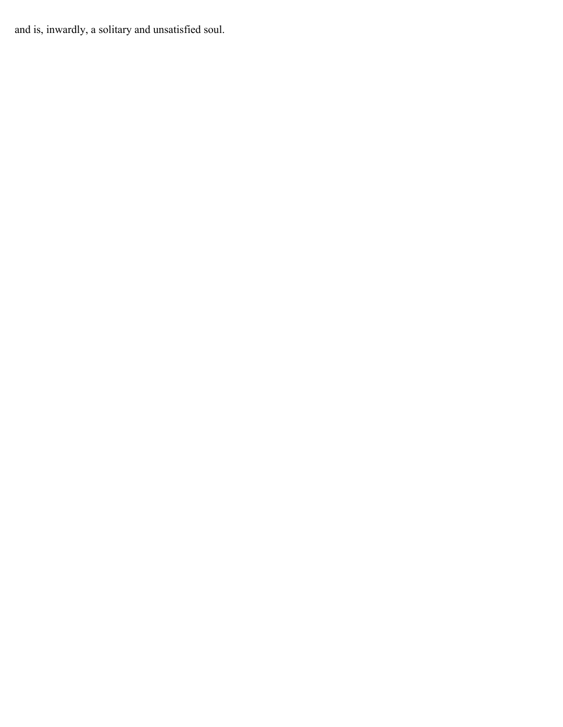and is, inwardly, a solitary and unsatisfied soul.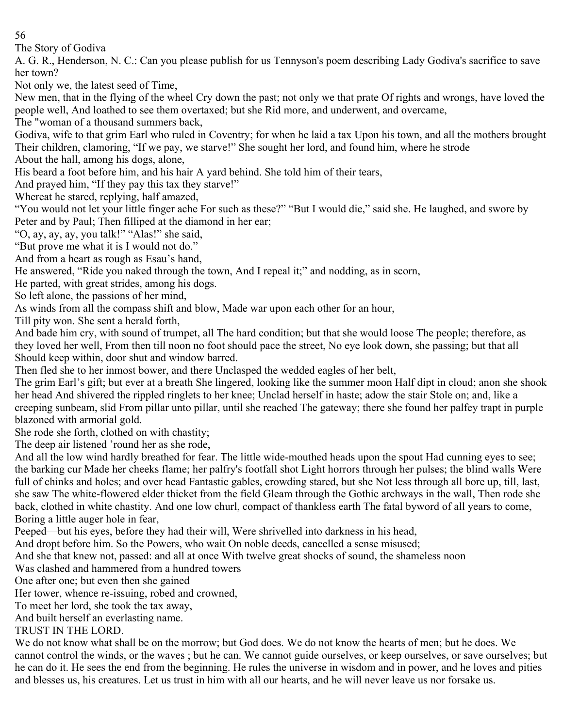The Story of Godiva

A. G. R., Henderson, N. C.: Can you please publish for us Tennyson's poem describing Lady Godiva's sacrifice to save her town?

Not only we, the latest seed of Time,

New men, that in the flying of the wheel Cry down the past; not only we that prate Of rights and wrongs, have loved the people well, And loathed to see them overtaxed; but she Rid more, and underwent, and overcame,

The "woman of a thousand summers back,

Godiva, wife to that grim Earl who ruled in Coventry; for when he laid a tax Upon his town, and all the mothers brought Their children, clamoring, "If we pay, we starve!" She sought her lord, and found him, where he strode

About the hall, among his dogs, alone,

His beard a foot before him, and his hair A yard behind. She told him of their tears,

And prayed him, "If they pay this tax they starve!"

Whereat he stared, replying, half amazed,

"You would not let your little finger ache For such as these?" "But I would die," said she. He laughed, and swore by Peter and by Paul; Then filliped at the diamond in her ear;

"O, ay, ay, ay, you talk!" "Alas!" she said,

"But prove me what it is I would not do."

And from a heart as rough as Esau's hand,

He answered, "Ride you naked through the town, And I repeal it;" and nodding, as in scorn,

He parted, with great strides, among his dogs.

So left alone, the passions of her mind,

As winds from all the compass shift and blow, Made war upon each other for an hour,

Till pity won. She sent a herald forth,

And bade him cry, with sound of trumpet, all The hard condition; but that she would loose The people; therefore, as they loved her well, From then till noon no foot should pace the street, No eye look down, she passing; but that all Should keep within, door shut and window barred.

Then fled she to her inmost bower, and there Unclasped the wedded eagles of her belt,

The grim Earl's gift; but ever at a breath She lingered, looking like the summer moon Half dipt in cloud; anon she shook her head And shivered the rippled ringlets to her knee; Unclad herself in haste; adow the stair Stole on; and, like a creeping sunbeam, slid From pillar unto pillar, until she reached The gateway; there she found her palfey trapt in purple blazoned with armorial gold.

She rode she forth, clothed on with chastity;

The deep air listened 'round her as she rode,

And all the low wind hardly breathed for fear. The little wide-mouthed heads upon the spout Had cunning eyes to see; the barking cur Made her cheeks flame; her palfry's footfall shot Light horrors through her pulses; the blind walls Were full of chinks and holes; and over head Fantastic gables, crowding stared, but she Not less through all bore up, till, last, she saw The white-flowered elder thicket from the field Gleam through the Gothic archways in the wall, Then rode she back, clothed in white chastity. And one low churl, compact of thankless earth The fatal byword of all years to come, Boring a little auger hole in fear,

Peeped—but his eyes, before they had their will, Were shrivelled into darkness in his head,

And dropt before him. So the Powers, who wait On noble deeds, cancelled a sense misused;

And she that knew not, passed: and all at once With twelve great shocks of sound, the shameless noon

Was clashed and hammered from a hundred towers

One after one; but even then she gained

Her tower, whence re-issuing, robed and crowned,

To meet her lord, she took the tax away,

And built herself an everlasting name.

# TRUST IN THE LORD.

We do not know what shall be on the morrow; but God does. We do not know the hearts of men; but he does. We cannot control the winds, or the waves ; but he can. We cannot guide ourselves, or keep ourselves, or save ourselves; but he can do it. He sees the end from the beginning. He rules the universe in wisdom and in power, and he loves and pities and blesses us, his creatures. Let us trust in him with all our hearts, and he will never leave us nor forsake us.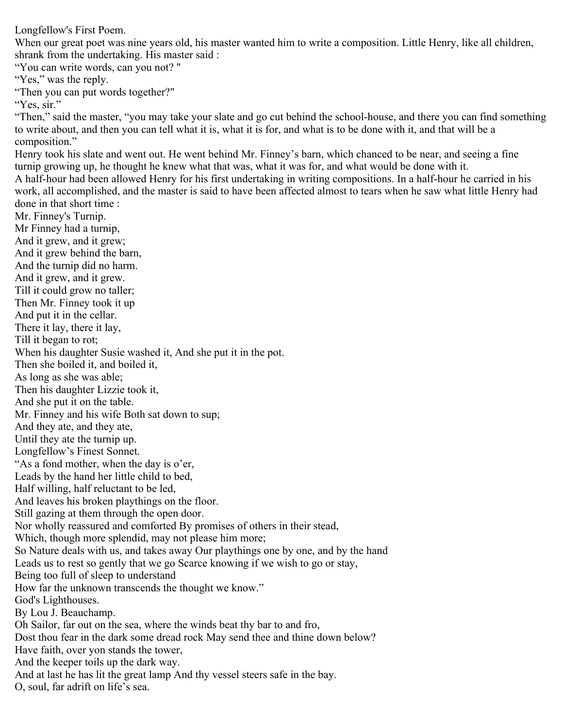Longfellow's First Poem.

When our great poet was nine years old, his master wanted him to write a composition. Little Henry, like all children, shrank from the undertaking. His master said :

"You can write words, can you not? " "Yes," was the reply. "Then you can put words together?" "Yes, sir." "Then," said the master, "you may take your slate and go cut behind the school-house, and there you can find something to write about, and then you can tell what it is, what it is for, and what is to be done with it, and that will be a composition." Henry took his slate and went out. He went behind Mr. Finney's barn, which chanced to be near, and seeing a fine turnip growing up, he thought he knew what that was, what it was for, and what would be done with it. A half-hour had been allowed Henry for his first undertaking in writing compositions. In a half-hour he carried in his work, all accomplished, and the master is said to have been affected almost to tears when he saw what little Henry had done in that short time : Mr. Finney's Turnip. Mr Finney had a turnip, And it grew, and it grew; And it grew behind the barn, And the turnip did no harm. And it grew, and it grew. Till it could grow no taller; Then Mr. Finney took it up And put it in the cellar. There it lay, there it lay, Till it began to rot; When his daughter Susie washed it, And she put it in the pot. Then she boiled it, and boiled it, As long as she was able; Then his daughter Lizzie took it, And she put it on the table. Mr. Finney and his wife Both sat down to sup; And they ate, and they ate, Until they ate the turnip up. Longfellow's Finest Sonnet. "As a fond mother, when the day is o'er, Leads by the hand her little child to bed, Half willing, half reluctant to be led, And leaves his broken playthings on the floor. Still gazing at them through the open door. Nor wholly reassured and comforted By promises of others in their stead, Which, though more splendid, may not please him more; So Nature deals with us, and takes away Our playthings one by one, and by the hand Leads us to rest so gently that we go Scarce knowing if we wish to go or stay, Being too full of sleep to understand How far the unknown transcends the thought we know." God's Lighthouses. By Lou J. Beauchamp. Oh Sailor, far out on the sea, where the winds beat thy bar to and fro, Dost thou fear in the dark some dread rock May send thee and thine down below? Have faith, over yon stands the tower, And the keeper toils up the dark way. And at last he has lit the great lamp And thy vessel steers safe in the bay. O, soul, far adrift on life's sea.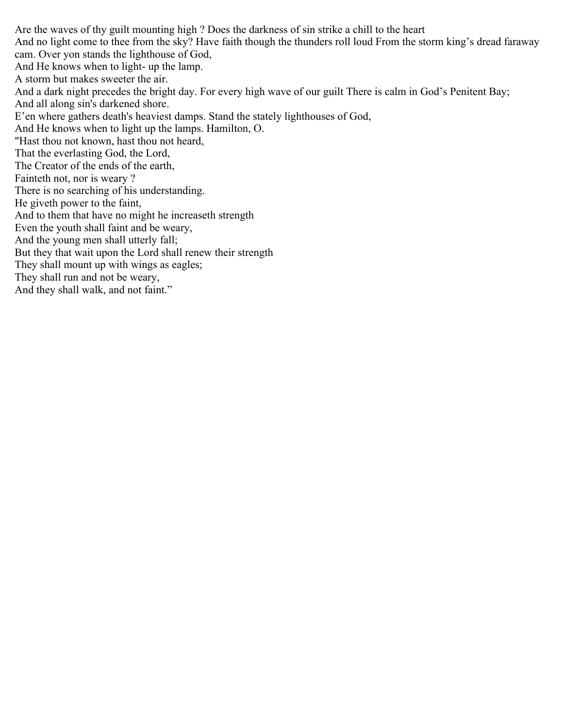Are the waves of thy guilt mounting high ? Does the darkness of sin strike a chill to the heart And no light come to thee from the sky? Have faith though the thunders roll loud From the storm king's dread faraway cam. Over yon stands the lighthouse of God, And He knows when to light- up the lamp. A storm but makes sweeter the air. And a dark night precedes the bright day. For every high wave of our guilt There is calm in God's Penitent Bay; And all along sin's darkened shore. E'en where gathers death's heaviest damps. Stand the stately lighthouses of God, And He knows when to light up the lamps. Hamilton, O. "Hast thou not known, hast thou not heard, That the everlasting God, the Lord, The Creator of the ends of the earth, Fainteth not, nor is weary ? There is no searching of his understanding. He giveth power to the faint, And to them that have no might he increaseth strength Even the youth shall faint and be weary, And the young men shall utterly fall; But they that wait upon the Lord shall renew their strength They shall mount up with wings as eagles; They shall run and not be weary, And they shall walk, and not faint."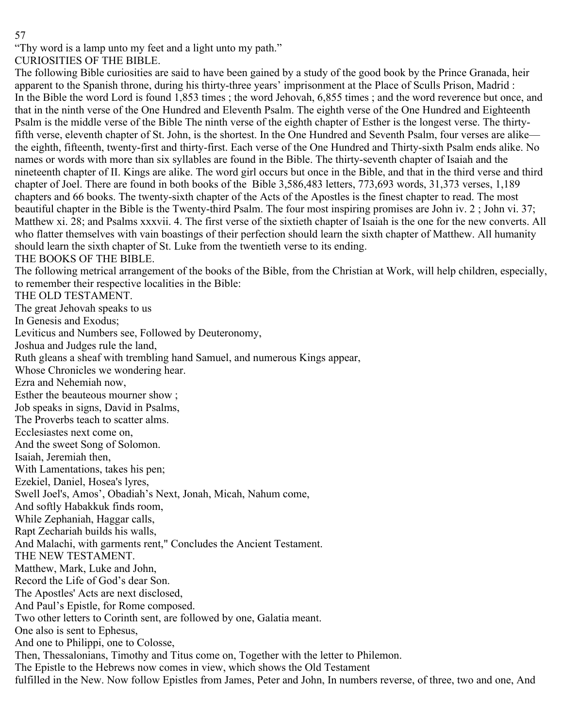"Thy word is a lamp unto my feet and a light unto my path."

CURIOSITIES OF THE BIBLE.

The following Bible curiosities are said to have been gained by a study of the good book by the Prince Granada, heir apparent to the Spanish throne, during his thirty-three years' imprisonment at the Place of Sculls Prison, Madrid : In the Bible the word Lord is found 1,853 times ; the word Jehovah, 6,855 times ; and the word reverence but once, and that in the ninth verse of the One Hundred and Eleventh Psalm. The eighth verse of the One Hundred and Eighteenth Psalm is the middle verse of the Bible The ninth verse of the eighth chapter of Esther is the longest verse. The thirtyfifth verse, eleventh chapter of St. John, is the shortest. In the One Hundred and Seventh Psalm, four verses are alike the eighth, fifteenth, twenty-first and thirty-first. Each verse of the One Hundred and Thirty-sixth Psalm ends alike. No names or words with more than six syllables are found in the Bible. The thirty-seventh chapter of Isaiah and the nineteenth chapter of II. Kings are alike. The word girl occurs but once in the Bible, and that in the third verse and third chapter of Joel. There are found in both books of the Bible 3,586,483 letters, 773,693 words, 31,373 verses, 1,189 chapters and 66 books. The twenty-sixth chapter of the Acts of the Apostles is the finest chapter to read. The most beautiful chapter in the Bible is the Twenty-third Psalm. The four most inspiring promises are John iv. 2 ; John vi. 37; Matthew xi. 28; and Psalms xxxvii. 4. The first verse of the sixtieth chapter of Isaiah is the one for the new converts. All who flatter themselves with vain boastings of their perfection should learn the sixth chapter of Matthew. All humanity should learn the sixth chapter of St. Luke from the twentieth verse to its ending.

# THE BOOKS OF THE BIBLE.

The following metrical arrangement of the books of the Bible, from the Christian at Work, will help children, especially, to remember their respective localities in the Bible:

THE OLD TESTAMENT.

The great Jehovah speaks to us

In Genesis and Exodus;

Leviticus and Numbers see, Followed by Deuteronomy,

Joshua and Judges rule the land,

Ruth gleans a sheaf with trembling hand Samuel, and numerous Kings appear,

Whose Chronicles we wondering hear.

Ezra and Nehemiah now,

Esther the beauteous mourner show ;

Job speaks in signs, David in Psalms,

The Proverbs teach to scatter alms.

Ecclesiastes next come on,

And the sweet Song of Solomon.

Isaiah, Jeremiah then,

With Lamentations, takes his pen;

Ezekiel, Daniel, Hosea's lyres,

Swell Joel's, Amos', Obadiah's Next, Jonah, Micah, Nahum come,

And softly Habakkuk finds room,

While Zephaniah, Haggar calls,

Rapt Zechariah builds his walls,

And Malachi, with garments rent," Concludes the Ancient Testament.

THE NEW TESTAMENT.

Matthew, Mark, Luke and John,

Record the Life of God's dear Son.

The Apostles' Acts are next disclosed,

And Paul's Epistle, for Rome composed.

Two other letters to Corinth sent, are followed by one, Galatia meant.

One also is sent to Ephesus,

And one to Philippi, one to Colosse,

Then, Thessalonians, Timothy and Titus come on, Together with the letter to Philemon.

The Epistle to the Hebrews now comes in view, which shows the Old Testament

fulfilled in the New. Now follow Epistles from James, Peter and John, In numbers reverse, of three, two and one, And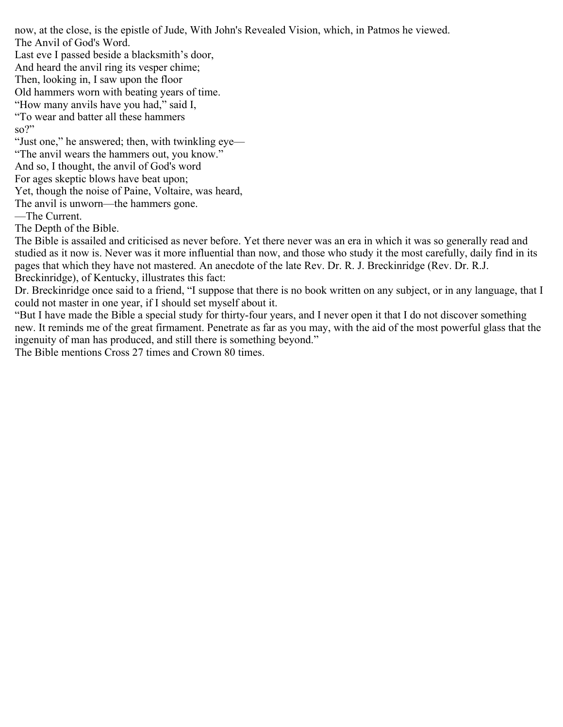now, at the close, is the epistle of Jude, With John's Revealed Vision, which, in Patmos he viewed. The Anvil of God's Word.

Last eve I passed beside a blacksmith's door,

And heard the anvil ring its vesper chime;

Then, looking in, I saw upon the floor

Old hammers worn with beating years of time.

"How many anvils have you had," said I,

"To wear and batter all these hammers

so?"

"Just one," he answered; then, with twinkling eye—

"The anvil wears the hammers out, you know."

And so, I thought, the anvil of God's word

For ages skeptic blows have beat upon;

Yet, though the noise of Paine, Voltaire, was heard,

The anvil is unworn—the hammers gone.

—The Current.

The Depth of the Bible.

The Bible is assailed and criticised as never before. Yet there never was an era in which it was so generally read and studied as it now is. Never was it more influential than now, and those who study it the most carefully, daily find in its pages that which they have not mastered. An anecdote of the late Rev. Dr. R. J. Breckinridge (Rev. Dr. R.J. Breckinridge), of Kentucky, illustrates this fact:

Dr. Breckinridge once said to a friend, "I suppose that there is no book written on any subject, or in any language, that I could not master in one year, if I should set myself about it.

"But I have made the Bible a special study for thirty-four years, and I never open it that I do not discover something new. It reminds me of the great firmament. Penetrate as far as you may, with the aid of the most powerful glass that the ingenuity of man has produced, and still there is something beyond."

The Bible mentions Cross 27 times and Crown 80 times.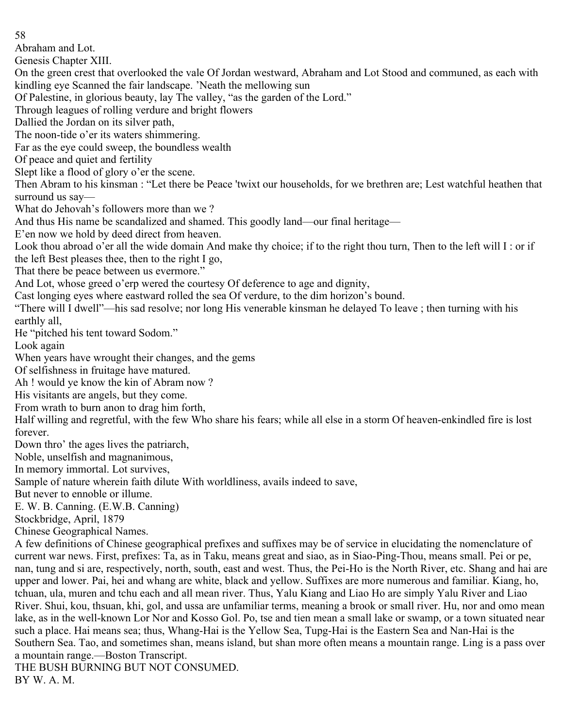Abraham and Lot.

Genesis Chapter XIII.

On the green crest that overlooked the vale Of Jordan westward, Abraham and Lot Stood and communed, as each with kindling eye Scanned the fair landscape. 'Neath the mellowing sun

Of Palestine, in glorious beauty, lay The valley, "as the garden of the Lord."

Through leagues of rolling verdure and bright flowers

Dallied the Jordan on its silver path,

The noon-tide o'er its waters shimmering.

Far as the eye could sweep, the boundless wealth

Of peace and quiet and fertility

Slept like a flood of glory o'er the scene.

Then Abram to his kinsman : "Let there be Peace 'twixt our households, for we brethren are; Lest watchful heathen that surround us say—

What do Jehovah's followers more than we ?

And thus His name be scandalized and shamed. This goodly land—our final heritage—

E'en now we hold by deed direct from heaven.

Look thou abroad o'er all the wide domain And make thy choice; if to the right thou turn, Then to the left will I : or if the left Best pleases thee, then to the right I go,

That there be peace between us evermore."

And Lot, whose greed o'erp wered the courtesy Of deference to age and dignity,

Cast longing eyes where eastward rolled the sea Of verdure, to the dim horizon's bound.

"There will I dwell"—his sad resolve; nor long His venerable kinsman he delayed To leave ; then turning with his earthly all,

He "pitched his tent toward Sodom."

Look again

When years have wrought their changes, and the gems

Of selfishness in fruitage have matured.

Ah ! would ye know the kin of Abram now ?

His visitants are angels, but they come.

From wrath to burn anon to drag him forth,

Half willing and regretful, with the few Who share his fears; while all else in a storm Of heaven-enkindled fire is lost forever.

Down thro' the ages lives the patriarch,

Noble, unselfish and magnanimous,

In memory immortal. Lot survives,

Sample of nature wherein faith dilute With worldliness, avails indeed to save,

But never to ennoble or illume.

E. W. B. Canning. (E.W.B. Canning)

Stockbridge, April, 1879

Chinese Geographical Names.

A few definitions of Chinese geographical prefixes and suffixes may be of service in elucidating the nomenclature of current war news. First, prefixes: Ta, as in Taku, means great and siao, as in Siao-Ping-Thou, means small. Pei or pe, nan, tung and si are, respectively, north, south, east and west. Thus, the Pei-Ho is the North River, etc. Shang and hai are upper and lower. Pai, hei and whang are white, black and yellow. Suffixes are more numerous and familiar. Kiang, ho, tchuan, ula, muren and tchu each and all mean river. Thus, Yalu Kiang and Liao Ho are simply Yalu River and Liao River. Shui, kou, thsuan, khi, gol, and ussa are unfamiliar terms, meaning a brook or small river. Hu, nor and omo mean lake, as in the well-known Lor Nor and Kosso Gol. Po, tse and tien mean a small lake or swamp, or a town situated near such a place. Hai means sea; thus, Whang-Hai is the Yellow Sea, Tupg-Hai is the Eastern Sea and Nan-Hai is the Southern Sea. Tao, and sometimes shan, means island, but shan more often means a mountain range. Ling is a pass over a mountain range.—Boston Transcript.

THE BUSH BURNING BUT NOT CONSUMED. BY W. A. M.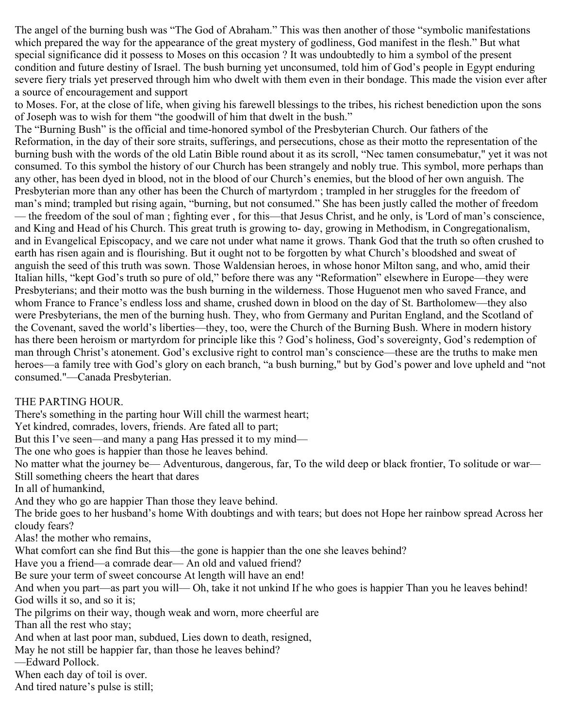The angel of the burning bush was "The God of Abraham." This was then another of those "symbolic manifestations which prepared the way for the appearance of the great mystery of godliness, God manifest in the flesh." But what special significance did it possess to Moses on this occasion ? It was undoubtedly to him a symbol of the present condition and future destiny of Israel. The bush burning yet unconsumed, told him of God's people in Egypt enduring severe fiery trials yet preserved through him who dwelt with them even in their bondage. This made the vision ever after a source of encouragement and support

to Moses. For, at the close of life, when giving his farewell blessings to the tribes, his richest benediction upon the sons of Joseph was to wish for them "the goodwill of him that dwelt in the bush."

The "Burning Bush" is the official and time-honored symbol of the Presbyterian Church. Our fathers of the Reformation, in the day of their sore straits, sufferings, and persecutions, chose as their motto the representation of the burning bush with the words of the old Latin Bible round about it as its scroll, "Nec tamen consumebatur," yet it was not consumed. To this symbol the history of our Church has been strangely and nobly true. This symbol, more perhaps than any other, has been dyed in blood, not in the blood of our Church's enemies, but the blood of her own anguish. The Presbyterian more than any other has been the Church of martyrdom ; trampled in her struggles for the freedom of man's mind; trampled but rising again, "burning, but not consumed." She has been justly called the mother of freedom — the freedom of the soul of man ; fighting ever , for this—that Jesus Christ, and he only, is 'Lord of man's conscience, and King and Head of his Church. This great truth is growing to- day, growing in Methodism, in Congregationalism, and in Evangelical Episcopacy, and we care not under what name it grows. Thank God that the truth so often crushed to earth has risen again and is flourishing. But it ought not to be forgotten by what Church's bloodshed and sweat of anguish the seed of this truth was sown. Those Waldensian heroes, in whose honor Milton sang, and who, amid their Italian hills, "kept God's truth so pure of old," before there was any "Reformation" elsewhere in Europe—they were Presbyterians; and their motto was the bush burning in the wilderness. Those Huguenot men who saved France, and whom France to France's endless loss and shame, crushed down in blood on the day of St. Bartholomew—they also were Presbyterians, the men of the burning hush. They, who from Germany and Puritan England, and the Scotland of the Covenant, saved the world's liberties—they, too, were the Church of the Burning Bush. Where in modern history has there been heroism or martyrdom for principle like this ? God's holiness, God's sovereignty, God's redemption of man through Christ's atonement. God's exclusive right to control man's conscience—these are the truths to make men heroes—a family tree with God's glory on each branch, "a bush burning," but by God's power and love upheld and "not consumed."—Canada Presbyterian.

# THE PARTING HOUR.

There's something in the parting hour Will chill the warmest heart;

Yet kindred, comrades, lovers, friends. Are fated all to part;

But this I've seen—and many a pang Has pressed it to my mind—

The one who goes is happier than those he leaves behind.

No matter what the journey be— Adventurous, dangerous, far, To the wild deep or black frontier, To solitude or war— Still something cheers the heart that dares

In all of humankind,

And they who go are happier Than those they leave behind.

The bride goes to her husband's home With doubtings and with tears; but does not Hope her rainbow spread Across her cloudy fears?

Alas! the mother who remains,

What comfort can she find But this—the gone is happier than the one she leaves behind?

Have you a friend—a comrade dear— An old and valued friend?

Be sure your term of sweet concourse At length will have an end!

And when you part—as part you will— Oh, take it not unkind If he who goes is happier Than you he leaves behind! God wills it so, and so it is;

The pilgrims on their way, though weak and worn, more cheerful are

Than all the rest who stay;

And when at last poor man, subdued, Lies down to death, resigned,

May he not still be happier far, than those he leaves behind?

—Edward Pollock.

When each day of toil is over.

And tired nature's pulse is still;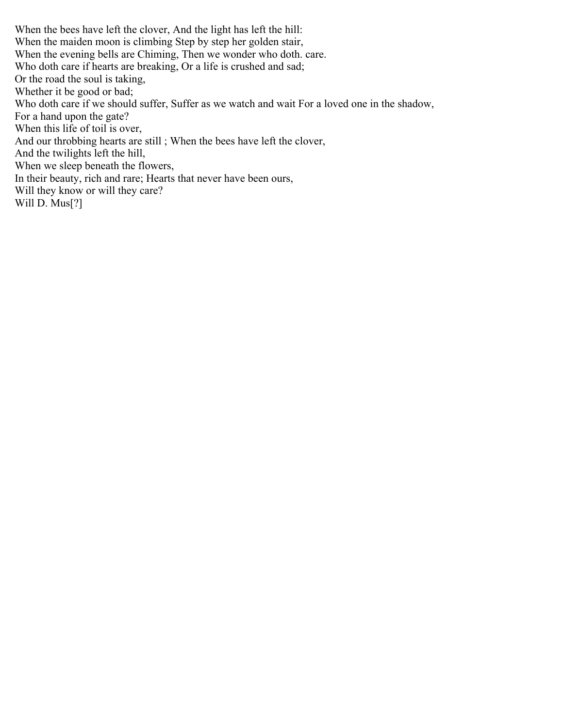When the bees have left the clover, And the light has left the hill: When the maiden moon is climbing Step by step her golden stair, When the evening bells are Chiming, Then we wonder who doth. care. Who doth care if hearts are breaking, Or a life is crushed and sad; Or the road the soul is taking, Whether it be good or bad; Who doth care if we should suffer, Suffer as we watch and wait For a loved one in the shadow, For a hand upon the gate? When this life of toil is over, And our throbbing hearts are still ; When the bees have left the clover, And the twilights left the hill, When we sleep beneath the flowers, In their beauty, rich and rare; Hearts that never have been ours, Will they know or will they care? Will D. Mus<sup>[?]</sup>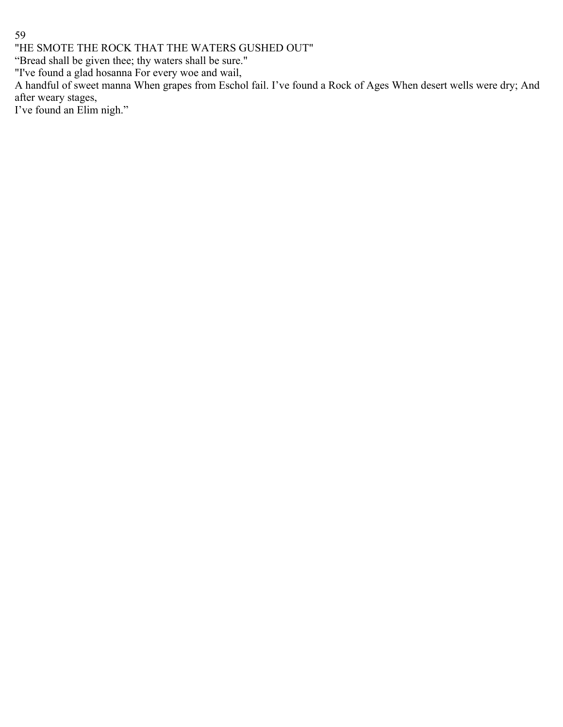"HE SMOTE THE ROCK THAT THE WATERS GUSHED OUT"

"Bread shall be given thee; thy waters shall be sure."

"I've found a glad hosanna For every woe and wail,

A handful of sweet manna When grapes from Eschol fail. I've found a Rock of Ages When desert wells were dry; And after weary stages,

I've found an Elim nigh."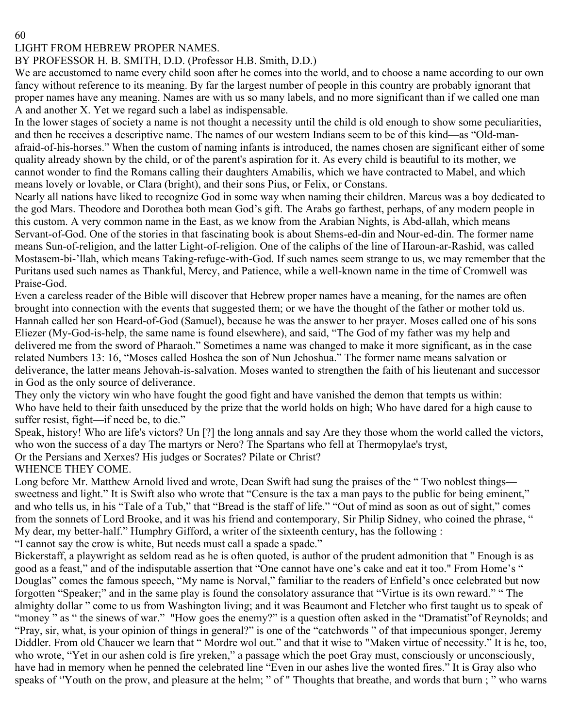# LIGHT FROM HEBREW PROPER NAMES.

# BY PROFESSOR H. B. SMITH, D.D. (Professor H.B. Smith, D.D.)

We are accustomed to name every child soon after he comes into the world, and to choose a name according to our own fancy without reference to its meaning. By far the largest number of people in this country are probably ignorant that proper names have any meaning. Names are with us so many labels, and no more significant than if we called one man A and another X. Yet we regard such a label as indispensable.

In the lower stages of society a name is not thought a necessity until the child is old enough to show some peculiarities, and then he receives a descriptive name. The names of our western Indians seem to be of this kind—as "Old-manafraid-of-his-horses." When the custom of naming infants is introduced, the names chosen are significant either of some quality already shown by the child, or of the parent's aspiration for it. As every child is beautiful to its mother, we cannot wonder to find the Romans calling their daughters Amabilis, which we have contracted to Mabel, and which means lovely or lovable, or Clara (bright), and their sons Pius, or Felix, or Constans.

Nearly all nations have liked to recognize God in some way when naming their children. Marcus was a boy dedicated to the god Mars. Theodore and Dorothea both mean God's gift. The Arabs go farthest, perhaps, of any modern people in this custom. A very common name in the East, as we know from the Arabian Nights, is Abd-allah, which means Servant-of-God. One of the stories in that fascinating book is about Shems-ed-din and Nour-ed-din. The former name means Sun-of-religion, and the latter Light-of-religion. One of the caliphs of the line of Haroun-ar-Rashid, was called Mostasem-bi-'llah, which means Taking-refuge-with-God. If such names seem strange to us, we may remember that the Puritans used such names as Thankful, Mercy, and Patience, while a well-known name in the time of Cromwell was Praise-God.

Even a careless reader of the Bible will discover that Hebrew proper names have a meaning, for the names are often brought into connection with the events that suggested them; or we have the thought of the father or mother told us. Hannah called her son Heard-of-God (Samuel), because he was the answer to her prayer. Moses called one of his sons Eliezer (My-God-is-help, the same name is found elsewhere), and said, "The God of my father was my help and delivered me from the sword of Pharaoh." Sometimes a name was changed to make it more significant, as in the case related Numbers 13: 16, "Moses called Hoshea the son of Nun Jehoshua." The former name means salvation or deliverance, the latter means Jehovah-is-salvation. Moses wanted to strengthen the faith of his lieutenant and successor in God as the only source of deliverance.

They only the victory win who have fought the good fight and have vanished the demon that tempts us within: Who have held to their faith unseduced by the prize that the world holds on high; Who have dared for a high cause to suffer resist, fight—if need be, to die."

Speak, history! Who are life's victors? Un [?] the long annals and say Are they those whom the world called the victors, who won the success of a day The martyrs or Nero? The Spartans who fell at Thermopylae's tryst,

Or the Persians and Xerxes? His judges or Socrates? Pilate or Christ?

WHENCE THEY COME.

Long before Mr. Matthew Arnold lived and wrote, Dean Swift had sung the praises of the "Two noblest things sweetness and light." It is Swift also who wrote that "Censure is the tax a man pays to the public for being eminent," and who tells us, in his "Tale of a Tub," that "Bread is the staff of life." "Out of mind as soon as out of sight," comes from the sonnets of Lord Brooke, and it was his friend and contemporary, Sir Philip Sidney, who coined the phrase, " My dear, my better-half." Humphry Gifford, a writer of the sixteenth century, has the following :

"I cannot say the crow is white, But needs must call a spade a spade."

Bickerstaff, a playwright as seldom read as he is often quoted, is author of the prudent admonition that " Enough is as good as a feast," and of the indisputable assertion that "One cannot have one's cake and eat it too." From Home's " Douglas" comes the famous speech, "My name is Norval," familiar to the readers of Enfield's once celebrated but now forgotten "Speaker;" and in the same play is found the consolatory assurance that "Virtue is its own reward." " The almighty dollar " come to us from Washington living; and it was Beaumont and Fletcher who first taught us to speak of "money" as " the sinews of war." "How goes the enemy?" is a question often asked in the "Dramatist" of Reynolds; and "Pray, sir, what, is your opinion of things in general?" is one of the "catchwords " of that impecunious sponger, Jeremy Diddler. From old Chaucer we learn that " Mordre wol out." and that it wise to "Maken virtue of necessity." It is he, too, who wrote, "Yet in our ashen cold is fire yreken," a passage which the poet Gray must, consciously or unconsciously, have had in memory when he penned the celebrated line "Even in our ashes live the wonted fires." It is Gray also who speaks of ''Youth on the prow, and pleasure at the helm; " of " Thoughts that breathe, and words that burn ; " who warns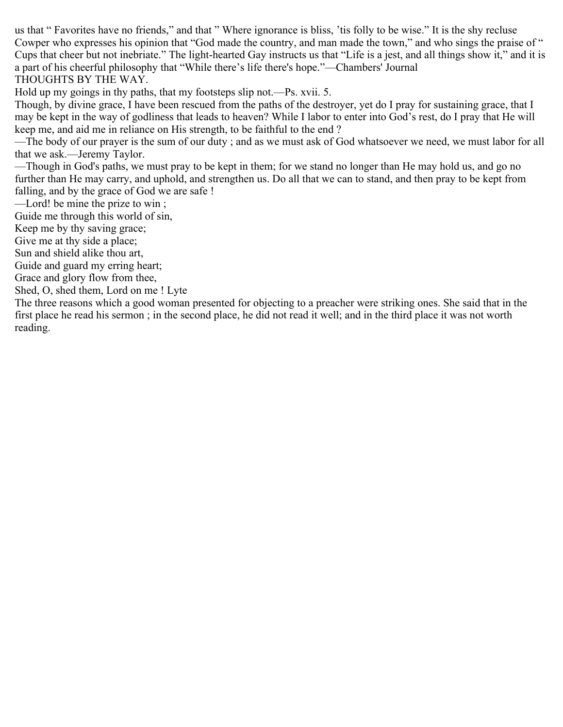us that " Favorites have no friends," and that " Where ignorance is bliss, 'tis folly to be wise." It is the shy recluse Cowper who expresses his opinion that "God made the country, and man made the town," and who sings the praise of " Cups that cheer but not inebriate." The light-hearted Gay instructs us that "Life is a jest, and all things show it," and it is a part of his cheerful philosophy that "While there's life there's hope."—Chambers' Journal THOUGHTS BY THE WAY.

Hold up my goings in thy paths, that my footsteps slip not.—Ps. xvii. 5.

Though, by divine grace, I have been rescued from the paths of the destroyer, yet do I pray for sustaining grace, that I may be kept in the way of godliness that leads to heaven? While I labor to enter into God's rest, do I pray that He will keep me, and aid me in reliance on His strength, to be faithful to the end ?

—The body of our prayer is the sum of our duty ; and as we must ask of God whatsoever we need, we must labor for all that we ask.—Jeremy Taylor.

—Though in God's paths, we must pray to be kept in them; for we stand no longer than He may hold us, and go no further than He may carry, and uphold, and strengthen us. Do all that we can to stand, and then pray to be kept from falling, and by the grace of God we are safe !

—Lord! be mine the prize to win ;

Guide me through this world of sin,

Keep me by thy saving grace;

Give me at thy side a place;

Sun and shield alike thou art,

Guide and guard my erring heart;

Grace and glory flow from thee,

Shed, O, shed them, Lord on me ! Lyte

The three reasons which a good woman presented for objecting to a preacher were striking ones. She said that in the first place he read his sermon ; in the second place, he did not read it well; and in the third place it was not worth reading.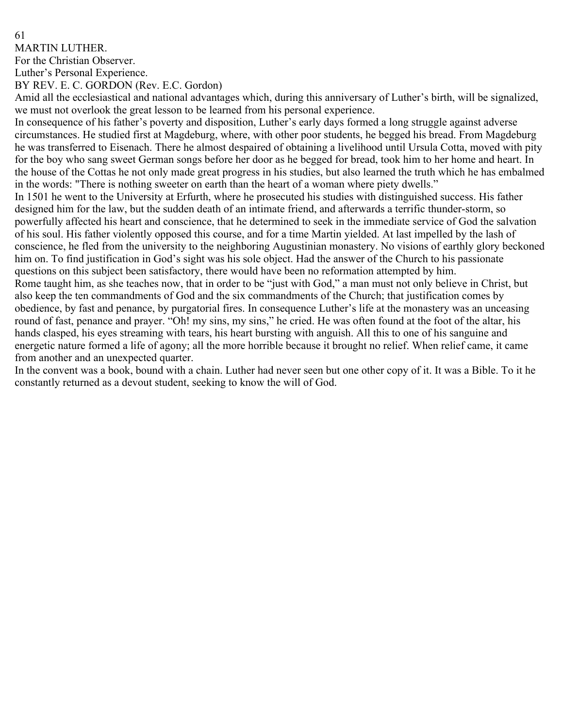MARTIN LUTHER.

For the Christian Observer.

Luther's Personal Experience.

BY REV. E. C. GORDON (Rev. E.C. Gordon)

Amid all the ecclesiastical and national advantages which, during this anniversary of Luther's birth, will be signalized, we must not overlook the great lesson to be learned from his personal experience.

In consequence of his father's poverty and disposition, Luther's early days formed a long struggle against adverse circumstances. He studied first at Magdeburg, where, with other poor students, he begged his bread. From Magdeburg he was transferred to Eisenach. There he almost despaired of obtaining a livelihood until Ursula Cotta, moved with pity for the boy who sang sweet German songs before her door as he begged for bread, took him to her home and heart. In the house of the Cottas he not only made great progress in his studies, but also learned the truth which he has embalmed in the words: "There is nothing sweeter on earth than the heart of a woman where piety dwells."

In 1501 he went to the University at Erfurth, where he prosecuted his studies with distinguished success. His father designed him for the law, but the sudden death of an intimate friend, and afterwards a terrific thunder-storm, so powerfully affected his heart and conscience, that he determined to seek in the immediate service of God the salvation of his soul. His father violently opposed this course, and for a time Martin yielded. At last impelled by the lash of conscience, he fled from the university to the neighboring Augustinian monastery. No visions of earthly glory beckoned him on. To find justification in God's sight was his sole object. Had the answer of the Church to his passionate questions on this subject been satisfactory, there would have been no reformation attempted by him.

Rome taught him, as she teaches now, that in order to be "just with God," a man must not only believe in Christ, but also keep the ten commandments of God and the six commandments of the Church; that justification comes by obedience, by fast and penance, by purgatorial fires. In consequence Luther's life at the monastery was an unceasing round of fast, penance and prayer. "Oh! my sins, my sins," he cried. He was often found at the foot of the altar, his hands clasped, his eyes streaming with tears, his heart bursting with anguish. All this to one of his sanguine and energetic nature formed a life of agony; all the more horrible because it brought no relief. When relief came, it came from another and an unexpected quarter.

In the convent was a book, bound with a chain. Luther had never seen but one other copy of it. It was a Bible. To it he constantly returned as a devout student, seeking to know the will of God.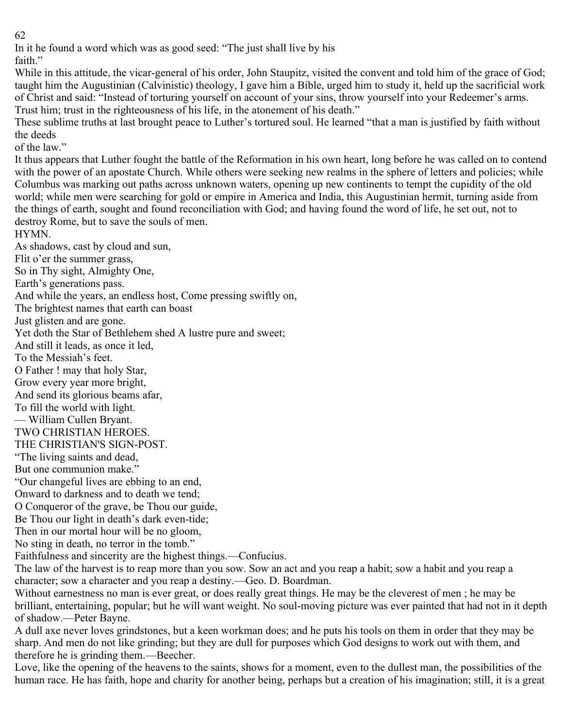In it he found a word which was as good seed: "The just shall live by his

faith."

While in this attitude, the vicar-general of his order, John Staupitz, visited the convent and told him of the grace of God; taught him the Augustinian (Calvinistic) theology, I gave him a Bible, urged him to study it, held up the sacrificial work of Christ and said: "Instead of torturing yourself on account of your sins, throw yourself into your Redeemer's arms. Trust him; trust in the righteousness of his life, in the atonement of his death."

These sublime truths at last brought peace to Luther's tortured soul. He learned "that a man is justified by faith without the deeds

of the law."

It thus appears that Luther fought the battle of the Reformation in his own heart, long before he was called on to contend with the power of an apostate Church. While others were seeking new realms in the sphere of letters and policies; while Columbus was marking out paths across unknown waters, opening up new continents to tempt the cupidity of the old world; while men were searching for gold or empire in America and India, this Augustinian hermit, turning aside from the things of earth, sought and found reconciliation with God; and having found the word of life, he set out, not to destroy Rome, but to save the souls of men.

HYMN.

As shadows, cast by cloud and sun,

Flit o'er the summer grass,

So in Thy sight, Almighty One,

Earth's generations pass.

And while the years, an endless host, Come pressing swiftly on,

The brightest names that earth can boast

Just glisten and are gone.

Yet doth the Star of Bethlehem shed A lustre pure and sweet;

And still it leads, as once it led,

To the Messiah's feet.

O Father ! may that holy Star,

Grow every year more bright,

And send its glorious beams afar,

To fill the world with light.

— William Cullen Bryant.

TWO CHRISTIAN HEROES.

THE CHRISTIAN'S SIGN-POST.

"The living saints and dead, But one communion make."

"Our changeful lives are ebbing to an end,

Onward to darkness and to death we tend;

O Conqueror of the grave, be Thou our guide,

Be Thou our light in death's dark even-tide;

Then in our mortal hour will be no gloom,

No sting in death, no terror in the tomb."

Faithfulness and sincerity are the highest things.—Confucius.

The law of the harvest is to reap more than you sow. Sow an act and you reap a habit; sow a habit and you reap a character; sow a character and you reap a destiny.—Geo. D. Boardman.

Without earnestness no man is ever great, or does really great things. He may be the cleverest of men; he may be brilliant, entertaining, popular; but he will want weight. No soul-moving picture was ever painted that had not in it depth of shadow.—Peter Bayne.

A dull axe never loves grindstones, but a keen workman does; and he puts his tools on them in order that they may be sharp. And men do not like grinding; but they are dull for purposes which God designs to work out with them, and therefore he is grinding them.—Beecher.

Love, like the opening of the heavens to the saints, shows for a moment, even to the dullest man, the possibilities of the human race. He has faith, hope and charity for another being, perhaps but a creation of his imagination; still, it is a great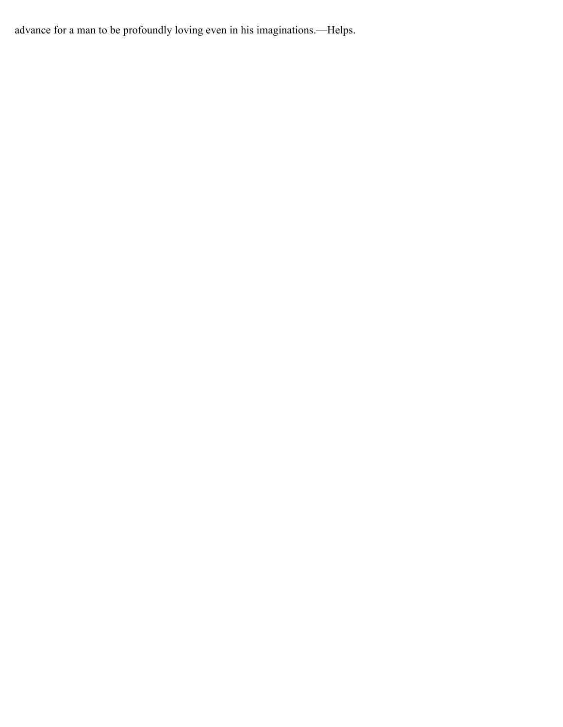advance for a man to be profoundly loving even in his imaginations.—Helps.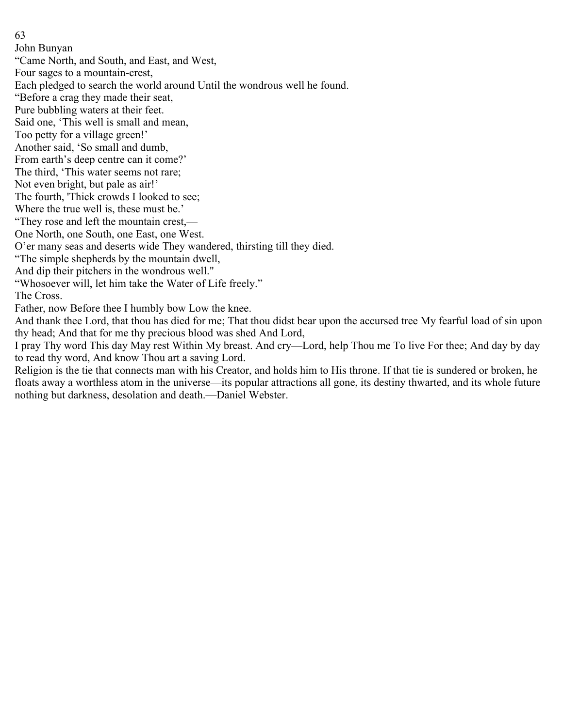John Bunyan

"Came North, and South, and East, and West,

Four sages to a mountain-crest,

Each pledged to search the world around Until the wondrous well he found.

"Before a crag they made their seat,

Pure bubbling waters at their feet.

Said one, 'This well is small and mean,

Too petty for a village green!'

Another said, 'So small and dumb,

From earth's deep centre can it come?'

The third, 'This water seems not rare;

Not even bright, but pale as air!'

The fourth, 'Thick crowds I looked to see;

Where the true well is, these must be.'

"They rose and left the mountain crest,—

One North, one South, one East, one West.

O'er many seas and deserts wide They wandered, thirsting till they died.

"The simple shepherds by the mountain dwell,

And dip their pitchers in the wondrous well."

"Whosoever will, let him take the Water of Life freely."

The Cross.

Father, now Before thee I humbly bow Low the knee.

And thank thee Lord, that thou has died for me; That thou didst bear upon the accursed tree My fearful load of sin upon thy head; And that for me thy precious blood was shed And Lord,

I pray Thy word This day May rest Within My breast. And cry—Lord, help Thou me To live For thee; And day by day to read thy word, And know Thou art a saving Lord.

Religion is the tie that connects man with his Creator, and holds him to His throne. If that tie is sundered or broken, he floats away a worthless atom in the universe—its popular attractions all gone, its destiny thwarted, and its whole future nothing but darkness, desolation and death.—Daniel Webster.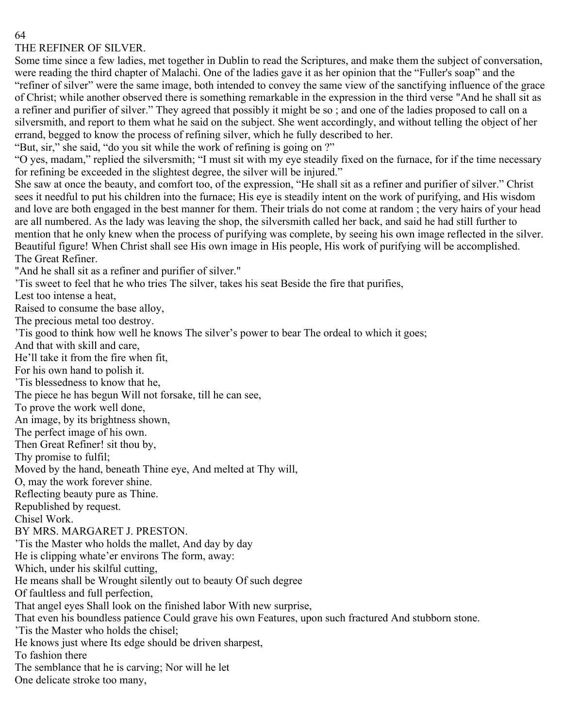## THE REFINER OF SILVER.

Some time since a few ladies, met together in Dublin to read the Scriptures, and make them the subject of conversation, were reading the third chapter of Malachi. One of the ladies gave it as her opinion that the "Fuller's soap" and the "refiner of silver" were the same image, both intended to convey the same view of the sanctifying influence of the grace of Christ; while another observed there is something remarkable in the expression in the third verse "And he shall sit as a refiner and purifier of silver." They agreed that possibly it might be so ; and one of the ladies proposed to call on a silversmith, and report to them what he said on the subject. She went accordingly, and without telling the object of her errand, begged to know the process of refining silver, which he fully described to her.

"But, sir," she said, "do you sit while the work of refining is going on ?"

"O yes, madam," replied the silversmith; "I must sit with my eye steadily fixed on the furnace, for if the time necessary for refining be exceeded in the slightest degree, the silver will be injured."

She saw at once the beauty, and comfort too, of the expression, "He shall sit as a refiner and purifier of silver." Christ sees it needful to put his children into the furnace; His eye is steadily intent on the work of purifying, and His wisdom and love are both engaged in the best manner for them. Their trials do not come at random ; the very hairs of your head are all numbered. As the lady was leaving the shop, the silversmith called her back, and said he had still further to mention that he only knew when the process of purifying was complete, by seeing his own image reflected in the silver. Beautiful figure! When Christ shall see His own image in His people, His work of purifying will be accomplished. The Great Refiner.

"And he shall sit as a refiner and purifier of silver."

'Tis sweet to feel that he who tries The silver, takes his seat Beside the fire that purifies,

Lest too intense a heat,

Raised to consume the base alloy,

The precious metal too destroy.

'Tis good to think how well he knows The silver's power to bear The ordeal to which it goes;

And that with skill and care,

He'll take it from the fire when fit,

For his own hand to polish it.

'Tis blessedness to know that he,

The piece he has begun Will not forsake, till he can see,

To prove the work well done,

An image, by its brightness shown,

The perfect image of his own.

Then Great Refiner! sit thou by,

Thy promise to fulfil;

Moved by the hand, beneath Thine eye, And melted at Thy will,

O, may the work forever shine.

Reflecting beauty pure as Thine.

Republished by request.

Chisel Work.

BY MRS. MARGARET J. PRESTON.

'Tis the Master who holds the mallet, And day by day

He is clipping whate'er environs The form, away:

Which, under his skilful cutting,

He means shall be Wrought silently out to beauty Of such degree

Of faultless and full perfection,

That angel eyes Shall look on the finished labor With new surprise,

That even his boundless patience Could grave his own Features, upon such fractured And stubborn stone.

'Tis the Master who holds the chisel;

He knows just where Its edge should be driven sharpest,

To fashion there

The semblance that he is carving; Nor will he let

One delicate stroke too many,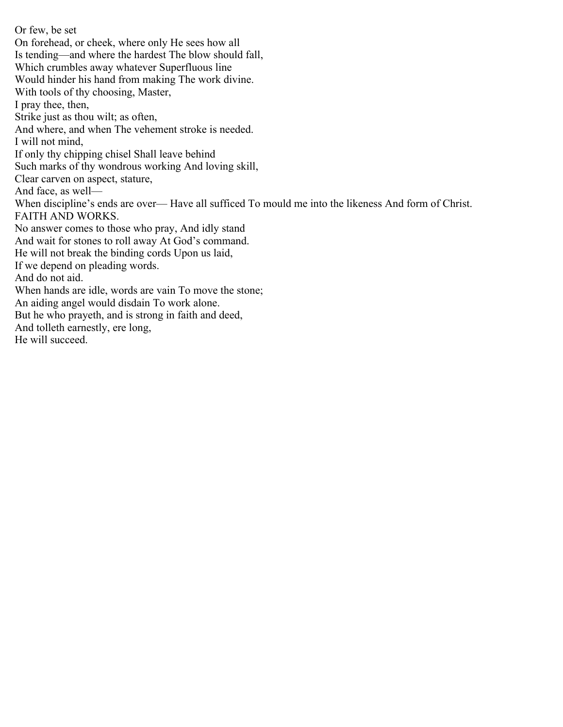Or few, be set On forehead, or cheek, where only He sees how all Is tending—and where the hardest The blow should fall, Which crumbles away whatever Superfluous line Would hinder his hand from making The work divine. With tools of thy choosing, Master, I pray thee, then, Strike just as thou wilt; as often, And where, and when The vehement stroke is needed. I will not mind, If only thy chipping chisel Shall leave behind Such marks of thy wondrous working And loving skill, Clear carven on aspect, stature, And face, as well— When discipline's ends are over— Have all sufficed To mould me into the likeness And form of Christ. FAITH AND WORKS. No answer comes to those who pray, And idly stand And wait for stones to roll away At God's command. He will not break the binding cords Upon us laid, If we depend on pleading words. And do not aid. When hands are idle, words are vain To move the stone; An aiding angel would disdain To work alone. But he who prayeth, and is strong in faith and deed, And tolleth earnestly, ere long, He will succeed.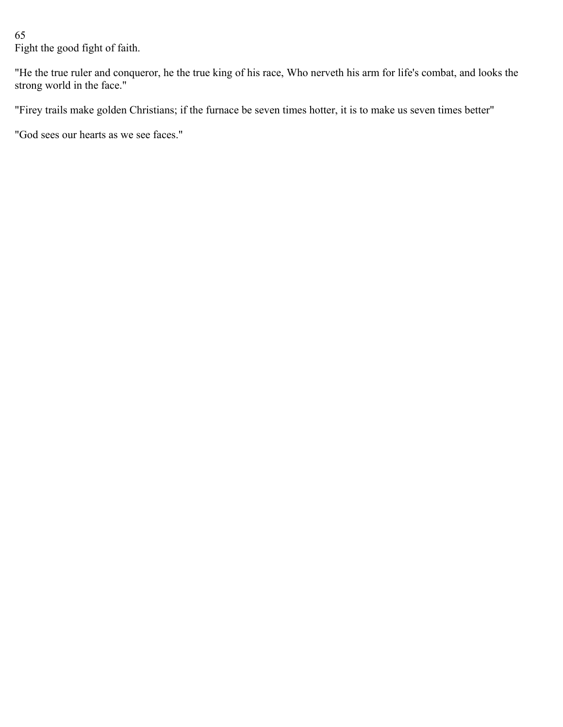Fight the good fight of faith.

"He the true ruler and conqueror, he the true king of his race, Who nerveth his arm for life's combat, and looks the strong world in the face."

"Firey trails make golden Christians; if the furnace be seven times hotter, it is to make us seven times better"

"God sees our hearts as we see faces."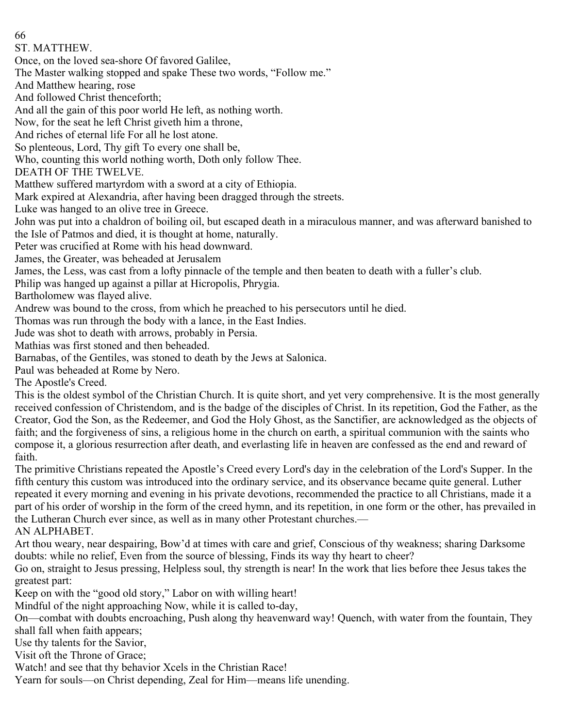ST. MATTHEW.

Once, on the loved sea-shore Of favored Galilee,

The Master walking stopped and spake These two words, "Follow me."

And Matthew hearing, rose

And followed Christ thenceforth;

And all the gain of this poor world He left, as nothing worth.

Now, for the seat he left Christ giveth him a throne,

And riches of eternal life For all he lost atone.

So plenteous, Lord, Thy gift To every one shall be,

Who, counting this world nothing worth, Doth only follow Thee.

DEATH OF THE TWELVE.

Matthew suffered martyrdom with a sword at a city of Ethiopia.

Mark expired at Alexandria, after having been dragged through the streets.

Luke was hanged to an olive tree in Greece.

John was put into a chaldron of boiling oil, but escaped death in a miraculous manner, and was afterward banished to the Isle of Patmos and died, it is thought at home, naturally.

Peter was crucified at Rome with his head downward.

James, the Greater, was beheaded at Jerusalem

James, the Less, was cast from a lofty pinnacle of the temple and then beaten to death with a fuller's club.

Philip was hanged up against a pillar at Hicropolis, Phrygia.

Bartholomew was flayed alive.

Andrew was bound to the cross, from which he preached to his persecutors until he died.

Thomas was run through the body with a lance, in the East Indies.

Jude was shot to death with arrows, probably in Persia.

Mathias was first stoned and then beheaded.

Barnabas, of the Gentiles, was stoned to death by the Jews at Salonica.

Paul was beheaded at Rome by Nero.

The Apostle's Creed.

This is the oldest symbol of the Christian Church. It is quite short, and yet very comprehensive. It is the most generally received confession of Christendom, and is the badge of the disciples of Christ. In its repetition, God the Father, as the Creator, God the Son, as the Redeemer, and God the Holy Ghost, as the Sanctifier, are acknowledged as the objects of faith; and the forgiveness of sins, a religious home in the church on earth, a spiritual communion with the saints who compose it, a glorious resurrection after death, and everlasting life in heaven are confessed as the end and reward of faith.

The primitive Christians repeated the Apostle's Creed every Lord's day in the celebration of the Lord's Supper. In the fifth century this custom was introduced into the ordinary service, and its observance became quite general. Luther repeated it every morning and evening in his private devotions, recommended the practice to all Christians, made it a part of his order of worship in the form of the creed hymn, and its repetition, in one form or the other, has prevailed in the Lutheran Church ever since, as well as in many other Protestant churches.—

AN ALPHABET.

Art thou weary, near despairing, Bow'd at times with care and grief, Conscious of thy weakness; sharing Darksome doubts: while no relief, Even from the source of blessing, Finds its way thy heart to cheer?

Go on, straight to Jesus pressing, Helpless soul, thy strength is near! In the work that lies before thee Jesus takes the greatest part:

Keep on with the "good old story," Labor on with willing heart!

Mindful of the night approaching Now, while it is called to-day,

On—combat with doubts encroaching, Push along thy heavenward way! Quench, with water from the fountain, They shall fall when faith appears;

Use thy talents for the Savior,

Visit oft the Throne of Grace;

Watch! and see that thy behavior Xcels in the Christian Race!

Yearn for souls—on Christ depending, Zeal for Him—means life unending.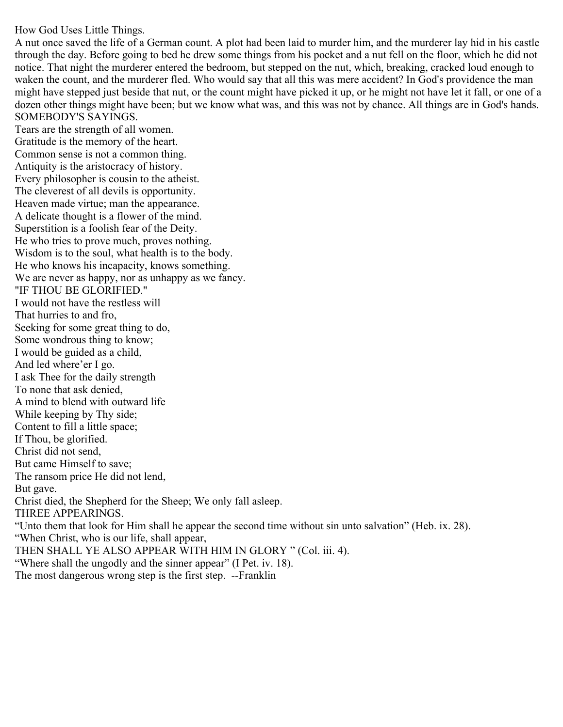## How God Uses Little Things.

A nut once saved the life of a German count. A plot had been laid to murder him, and the murderer lay hid in his castle through the day. Before going to bed he drew some things from his pocket and a nut fell on the floor, which he did not notice. That night the murderer entered the bedroom, but stepped on the nut, which, breaking, cracked loud enough to waken the count, and the murderer fled. Who would say that all this was mere accident? In God's providence the man might have stepped just beside that nut, or the count might have picked it up, or he might not have let it fall, or one of a dozen other things might have been; but we know what was, and this was not by chance. All things are in God's hands. SOMEBODY'S SAYINGS.

Tears are the strength of all women. Gratitude is the memory of the heart. Common sense is not a common thing. Antiquity is the aristocracy of history. Every philosopher is cousin to the atheist. The cleverest of all devils is opportunity. Heaven made virtue; man the appearance. A delicate thought is a flower of the mind. Superstition is a foolish fear of the Deity. He who tries to prove much, proves nothing. Wisdom is to the soul, what health is to the body. He who knows his incapacity, knows something. We are never as happy, nor as unhappy as we fancy. "IF THOU BE GLORIFIED." I would not have the restless will That hurries to and fro, Seeking for some great thing to do, Some wondrous thing to know; I would be guided as a child, And led where'er I go. I ask Thee for the daily strength To none that ask denied, A mind to blend with outward life While keeping by Thy side; Content to fill a little space; If Thou, be glorified. Christ did not send, But came Himself to save; The ransom price He did not lend, But gave. Christ died, the Shepherd for the Sheep; We only fall asleep. THREE APPEARINGS. "Unto them that look for Him shall he appear the second time without sin unto salvation" (Heb. ix. 28). "When Christ, who is our life, shall appear, THEN SHALL YE ALSO APPEAR WITH HIM IN GLORY " (Col. iii. 4).

"Where shall the ungodly and the sinner appear" (I Pet. iv. 18).

The most dangerous wrong step is the first step. --Franklin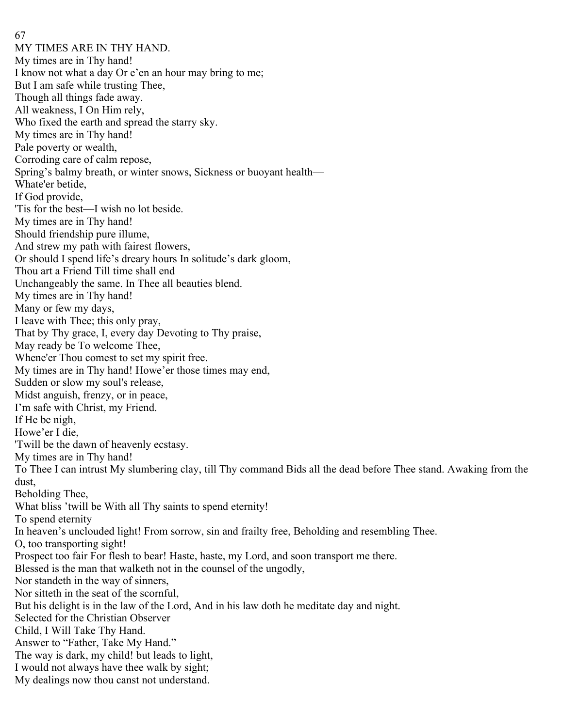MY TIMES ARE IN THY HAND. My times are in Thy hand! I know not what a day Or e'en an hour may bring to me; But I am safe while trusting Thee, Though all things fade away. All weakness, I On Him rely, Who fixed the earth and spread the starry sky. My times are in Thy hand! Pale poverty or wealth, Corroding care of calm repose, Spring's balmy breath, or winter snows, Sickness or buoyant health— Whate'er betide, If God provide, 'Tis for the best—I wish no lot beside. My times are in Thy hand! Should friendship pure illume, And strew my path with fairest flowers, Or should I spend life's dreary hours In solitude's dark gloom, Thou art a Friend Till time shall end Unchangeably the same. In Thee all beauties blend. My times are in Thy hand! Many or few my days, I leave with Thee; this only pray, That by Thy grace, I, every day Devoting to Thy praise, May ready be To welcome Thee, Whene'er Thou comest to set my spirit free. My times are in Thy hand! Howe'er those times may end, Sudden or slow my soul's release, Midst anguish, frenzy, or in peace, I'm safe with Christ, my Friend. If He be nigh, Howe'er I die, 'Twill be the dawn of heavenly ecstasy. My times are in Thy hand! To Thee I can intrust My slumbering clay, till Thy command Bids all the dead before Thee stand. Awaking from the dust, Beholding Thee, What bliss 'twill be With all Thy saints to spend eternity! To spend eternity In heaven's unclouded light! From sorrow, sin and frailty free, Beholding and resembling Thee. O, too transporting sight! Prospect too fair For flesh to bear! Haste, haste, my Lord, and soon transport me there. Blessed is the man that walketh not in the counsel of the ungodly, Nor standeth in the way of sinners, Nor sitteth in the seat of the scornful, But his delight is in the law of the Lord, And in his law doth he meditate day and night. Selected for the Christian Observer Child, I Will Take Thy Hand. Answer to "Father, Take My Hand." The way is dark, my child! but leads to light, I would not always have thee walk by sight; My dealings now thou canst not understand.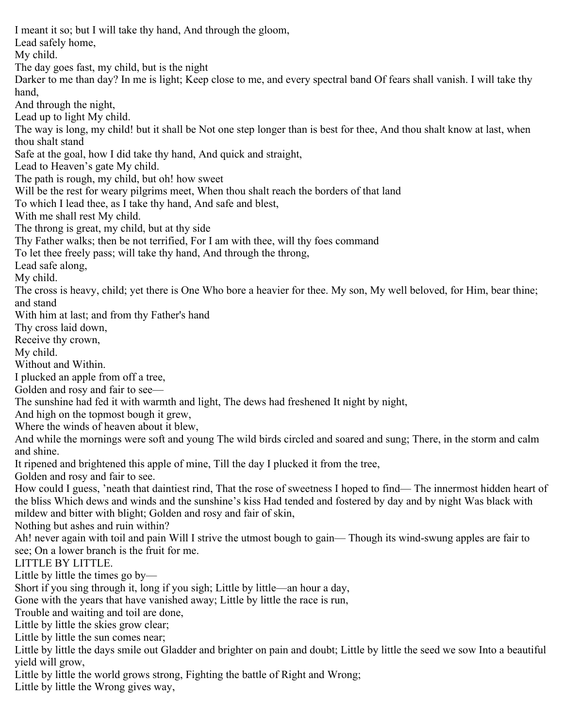I meant it so; but I will take thy hand, And through the gloom, Lead safely home, My child. The day goes fast, my child, but is the night Darker to me than day? In me is light; Keep close to me, and every spectral band Of fears shall vanish. I will take thy hand, And through the night, Lead up to light My child. The way is long, my child! but it shall be Not one step longer than is best for thee, And thou shalt know at last, when thou shalt stand Safe at the goal, how I did take thy hand, And quick and straight, Lead to Heaven's gate My child. The path is rough, my child, but oh! how sweet Will be the rest for weary pilgrims meet, When thou shalt reach the borders of that land To which I lead thee, as I take thy hand, And safe and blest, With me shall rest My child. The throng is great, my child, but at thy side Thy Father walks; then be not terrified, For I am with thee, will thy foes command To let thee freely pass; will take thy hand, And through the throng, Lead safe along, My child. The cross is heavy, child; yet there is One Who bore a heavier for thee. My son, My well beloved, for Him, bear thine; and stand With him at last; and from thy Father's hand Thy cross laid down, Receive thy crown, My child. Without and Within. I plucked an apple from off a tree, Golden and rosy and fair to see— The sunshine had fed it with warmth and light, The dews had freshened It night by night, And high on the topmost bough it grew, Where the winds of heaven about it blew, And while the mornings were soft and young The wild birds circled and soared and sung; There, in the storm and calm and shine. It ripened and brightened this apple of mine, Till the day I plucked it from the tree, Golden and rosy and fair to see. How could I guess, 'neath that daintiest rind, That the rose of sweetness I hoped to find— The innermost hidden heart of the bliss Which dews and winds and the sunshine's kiss Had tended and fostered by day and by night Was black with mildew and bitter with blight; Golden and rosy and fair of skin, Nothing but ashes and ruin within? Ah! never again with toil and pain Will I strive the utmost bough to gain— Though its wind-swung apples are fair to see; On a lower branch is the fruit for me. LITTLE BY LITTLE. Little by little the times go by— Short if you sing through it, long if you sigh; Little by little—an hour a day, Gone with the years that have vanished away; Little by little the race is run, Trouble and waiting and toil are done, Little by little the skies grow clear; Little by little the sun comes near; Little by little the days smile out Gladder and brighter on pain and doubt; Little by little the seed we sow Into a beautiful yield will grow, Little by little the world grows strong, Fighting the battle of Right and Wrong; Little by little the Wrong gives way,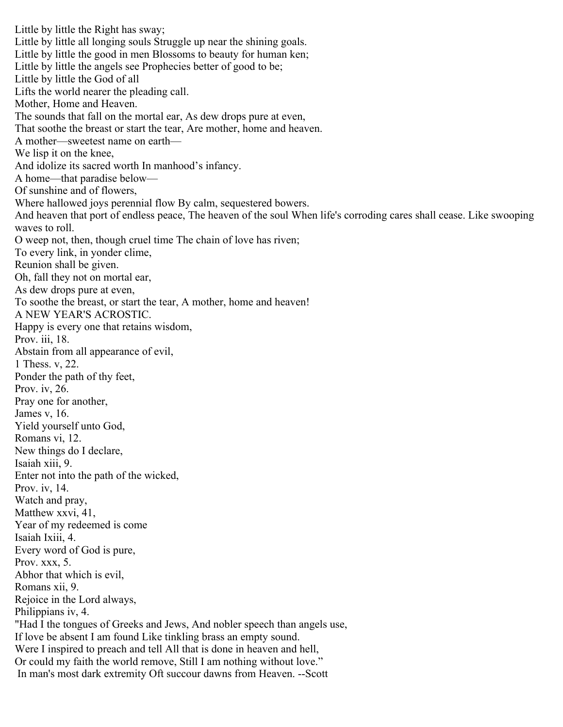Little by little the Right has sway; Little by little all longing souls Struggle up near the shining goals. Little by little the good in men Blossoms to beauty for human ken; Little by little the angels see Prophecies better of good to be; Little by little the God of all Lifts the world nearer the pleading call. Mother, Home and Heaven. The sounds that fall on the mortal ear, As dew drops pure at even, That soothe the breast or start the tear, Are mother, home and heaven. A mother—sweetest name on earth— We lisp it on the knee, And idolize its sacred worth In manhood's infancy. A home—that paradise below— Of sunshine and of flowers, Where hallowed joys perennial flow By calm, sequestered bowers. And heaven that port of endless peace, The heaven of the soul When life's corroding cares shall cease. Like swooping waves to roll. O weep not, then, though cruel time The chain of love has riven; To every link, in yonder clime, Reunion shall be given. Oh, fall they not on mortal ear, As dew drops pure at even, To soothe the breast, or start the tear, A mother, home and heaven! A NEW YEAR'S ACROSTIC. Happy is every one that retains wisdom, Prov. iii, 18. Abstain from all appearance of evil, 1 Thess. v, 22. Ponder the path of thy feet, Prov. iv, 26. Pray one for another, James v, 16. Yield yourself unto God, Romans vi, 12. New things do I declare, Isaiah xiii, 9. Enter not into the path of the wicked, Prov. iv, 14. Watch and pray, Matthew xxvi, 41, Year of my redeemed is come Isaiah Ixiii, 4. Every word of God is pure, Prov. xxx, 5. Abhor that which is evil, Romans xii, 9. Rejoice in the Lord always, Philippians iv, 4. "Had I the tongues of Greeks and Jews, And nobler speech than angels use, If love be absent I am found Like tinkling brass an empty sound. Were I inspired to preach and tell All that is done in heaven and hell, Or could my faith the world remove, Still I am nothing without love." In man's most dark extremity Oft succour dawns from Heaven. --Scott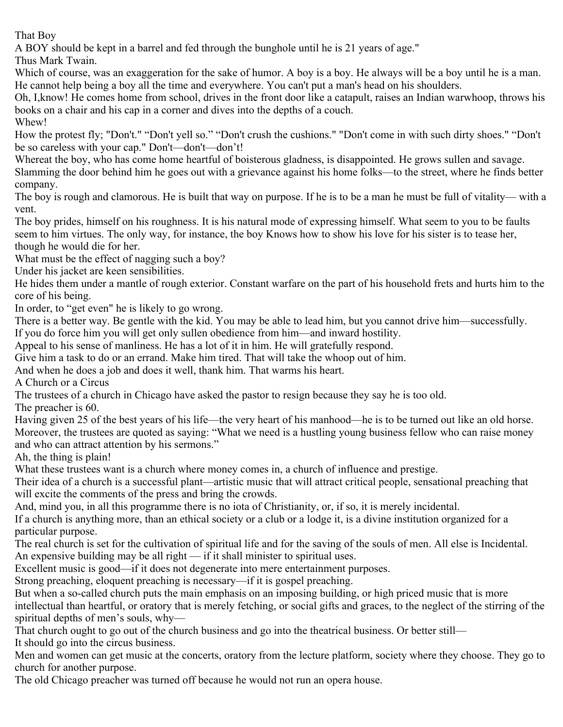That Boy

A BOY should be kept in a barrel and fed through the bunghole until he is 21 years of age."

Thus Mark Twain.

Which of course, was an exaggeration for the sake of humor. A boy is a boy. He always will be a boy until he is a man. He cannot help being a boy all the time and everywhere. You can't put a man's head on his shoulders.

Oh, I,know! He comes home from school, drives in the front door like a catapult, raises an Indian warwhoop, throws his books on a chair and his cap in a corner and dives into the depths of a couch.

Whew!

How the protest fly; "Don't." "Don't yell so." "Don't crush the cushions." "Don't come in with such dirty shoes." "Don't be so careless with your cap." Don't—don't—don't!

Whereat the boy, who has come home heartful of boisterous gladness, is disappointed. He grows sullen and savage.

Slamming the door behind him he goes out with a grievance against his home folks—to the street, where he finds better company.

The boy is rough and clamorous. He is built that way on purpose. If he is to be a man he must be full of vitality— with a vent.

The boy prides, himself on his roughness. It is his natural mode of expressing himself. What seem to you to be faults seem to him virtues. The only way, for instance, the boy Knows how to show his love for his sister is to tease her, though he would die for her.

What must be the effect of nagging such a boy?

Under his jacket are keen sensibilities.

He hides them under a mantle of rough exterior. Constant warfare on the part of his household frets and hurts him to the core of his being.

In order, to "get even" he is likely to go wrong.

There is a better way. Be gentle with the kid. You may be able to lead him, but you cannot drive him—successfully.

If you do force him you will get only sullen obedience from him—and inward hostility.

Appeal to his sense of manliness. He has a lot of it in him. He will gratefully respond.

Give him a task to do or an errand. Make him tired. That will take the whoop out of him.

And when he does a job and does it well, thank him. That warms his heart.

A Church or a Circus

The trustees of a church in Chicago have asked the pastor to resign because they say he is too old.

The preacher is 60.

Having given 25 of the best years of his life—the very heart of his manhood—he is to be turned out like an old horse. Moreover, the trustees are quoted as saying: "What we need is a hustling young business fellow who can raise money and who can attract attention by his sermons."

Ah, the thing is plain!

What these trustees want is a church where money comes in, a church of influence and prestige.

Their idea of a church is a successful plant—artistic music that will attract critical people, sensational preaching that will excite the comments of the press and bring the crowds.

And, mind you, in all this programme there is no iota of Christianity, or, if so, it is merely incidental.

If a church is anything more, than an ethical society or a club or a lodge it, is a divine institution organized for a particular purpose.

The real church is set for the cultivation of spiritual life and for the saving of the souls of men. All else is Incidental. An expensive building may be all right — if it shall minister to spiritual uses.

Excellent music is good—if it does not degenerate into mere entertainment purposes.

Strong preaching, eloquent preaching is necessary—if it is gospel preaching.

But when a so-called church puts the main emphasis on an imposing building, or high priced music that is more intellectual than heartful, or oratory that is merely fetching, or social gifts and graces, to the neglect of the stirring of the spiritual depths of men's souls, why—

That church ought to go out of the church business and go into the theatrical business. Or better still— It should go into the circus business.

Men and women can get music at the concerts, oratory from the lecture platform, society where they choose. They go to church for another purpose.

The old Chicago preacher was turned off because he would not run an opera house.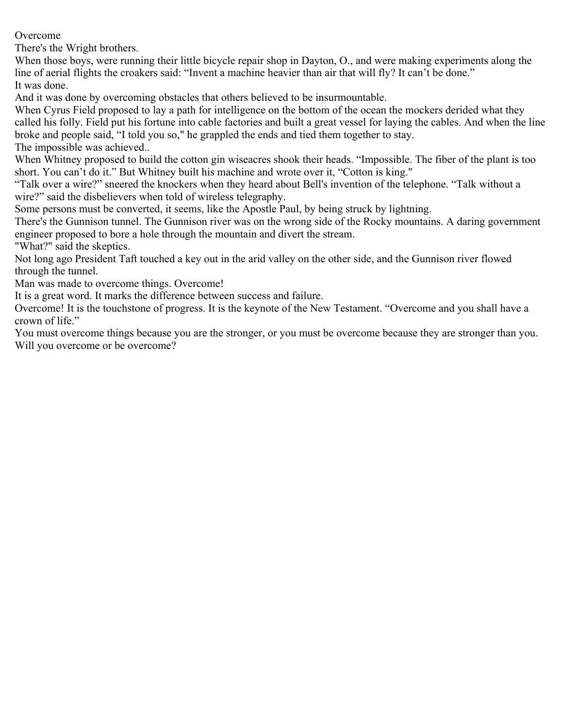Overcome

There's the Wright brothers.

When those boys, were running their little bicycle repair shop in Dayton, O., and were making experiments along the line of aerial flights the croakers said: "Invent a machine heavier than air that will fly? It can't be done." It was done.

And it was done by overcoming obstacles that others believed to be insurmountable.

When Cyrus Field proposed to lay a path for intelligence on the bottom of the ocean the mockers derided what they called his folly. Field put his fortune into cable factories and built a great vessel for laying the cables. And when the line broke and people said, "I told you so," he grappled the ends and tied them together to stay. The impossible was achieved..

When Whitney proposed to build the cotton gin wiseacres shook their heads. "Impossible. The fiber of the plant is too short. You can't do it." But Whitney built his machine and wrote over it, "Cotton is king."

"Talk over a wire?" sneered the knockers when they heard about Bell's invention of the telephone. "Talk without a wire?" said the disbelievers when told of wireless telegraphy.

Some persons must be converted, it seems, like the Apostle Paul, by being struck by lightning.

There's the Gunnison tunnel. The Gunnison river was on the wrong side of the Rocky mountains. A daring government engineer proposed to bore a hole through the mountain and divert the stream.

"What?" said the skeptics.

Not long ago President Taft touched a key out in the arid valley on the other side, and the Gunnison river flowed through the tunnel.

Man was made to overcome things. Overcome!

It is a great word. It marks the difference between success and failure.

Overcome! It is the touchstone of progress. It is the keynote of the New Testament. "Overcome and you shall have a crown of life."

You must overcome things because you are the stronger, or you must be overcome because they are stronger than you. Will you overcome or be overcome?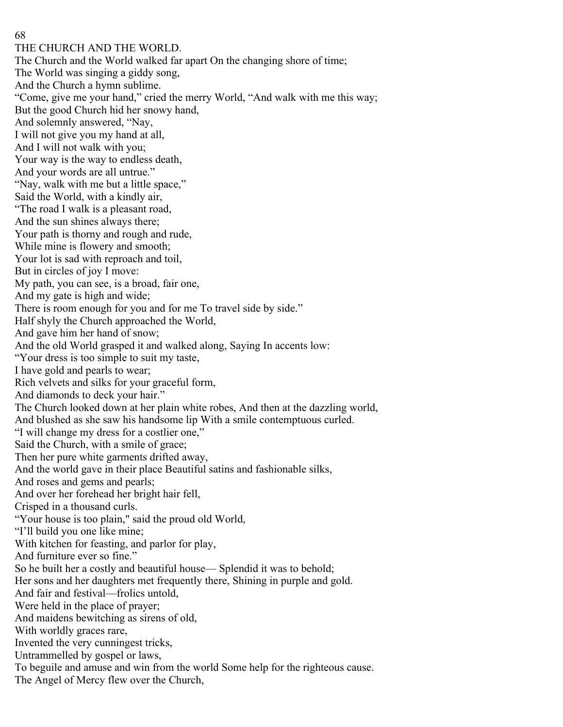THE CHURCH AND THE WORLD. The Church and the World walked far apart On the changing shore of time; The World was singing a giddy song, And the Church a hymn sublime. "Come, give me your hand," cried the merry World, "And walk with me this way; But the good Church hid her snowy hand, And solemnly answered, "Nay, I will not give you my hand at all, And I will not walk with you; Your way is the way to endless death, And your words are all untrue." "Nay, walk with me but a little space," Said the World, with a kindly air, "The road I walk is a pleasant road, And the sun shines always there; Your path is thorny and rough and rude, While mine is flowery and smooth; Your lot is sad with reproach and toil, But in circles of joy I move: My path, you can see, is a broad, fair one, And my gate is high and wide; There is room enough for you and for me To travel side by side." Half shyly the Church approached the World, And gave him her hand of snow; And the old World grasped it and walked along, Saying In accents low: "Your dress is too simple to suit my taste, I have gold and pearls to wear; Rich velvets and silks for your graceful form, And diamonds to deck your hair." The Church looked down at her plain white robes, And then at the dazzling world, And blushed as she saw his handsome lip With a smile contemptuous curled. "I will change my dress for a costlier one," Said the Church, with a smile of grace; Then her pure white garments drifted away, And the world gave in their place Beautiful satins and fashionable silks, And roses and gems and pearls; And over her forehead her bright hair fell, Crisped in a thousand curls. "Your house is too plain," said the proud old World, "I'll build you one like mine; With kitchen for feasting, and parlor for play, And furniture ever so fine." So he built her a costly and beautiful house— Splendid it was to behold; Her sons and her daughters met frequently there, Shining in purple and gold. And fair and festival—frolics untold, Were held in the place of prayer; And maidens bewitching as sirens of old, With worldly graces rare, Invented the very cunningest tricks, Untrammelled by gospel or laws, To beguile and amuse and win from the world Some help for the righteous cause. The Angel of Mercy flew over the Church,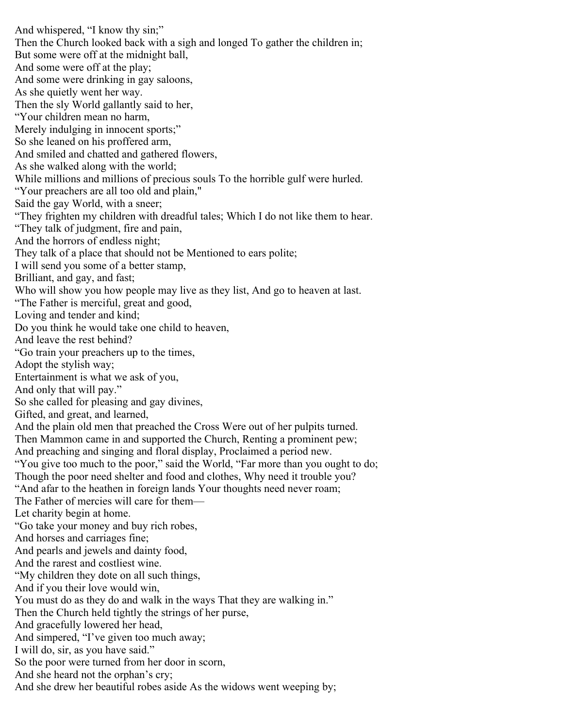And whispered, "I know thy sin;" Then the Church looked back with a sigh and longed To gather the children in; But some were off at the midnight ball, And some were off at the play; And some were drinking in gay saloons, As she quietly went her way. Then the sly World gallantly said to her, "Your children mean no harm, Merely indulging in innocent sports;" So she leaned on his proffered arm, And smiled and chatted and gathered flowers, As she walked along with the world; While millions and millions of precious souls To the horrible gulf were hurled. "Your preachers are all too old and plain," Said the gay World, with a sneer; "They frighten my children with dreadful tales; Which I do not like them to hear. "They talk of judgment, fire and pain, And the horrors of endless night; They talk of a place that should not be Mentioned to ears polite; I will send you some of a better stamp, Brilliant, and gay, and fast; Who will show you how people may live as they list, And go to heaven at last. "The Father is merciful, great and good, Loving and tender and kind; Do you think he would take one child to heaven, And leave the rest behind? "Go train your preachers up to the times, Adopt the stylish way; Entertainment is what we ask of you, And only that will pay." So she called for pleasing and gay divines, Gifted, and great, and learned, And the plain old men that preached the Cross Were out of her pulpits turned. Then Mammon came in and supported the Church, Renting a prominent pew; And preaching and singing and floral display, Proclaimed a period new. "You give too much to the poor," said the World, "Far more than you ought to do; Though the poor need shelter and food and clothes, Why need it trouble you? "And afar to the heathen in foreign lands Your thoughts need never roam; The Father of mercies will care for them— Let charity begin at home. "Go take your money and buy rich robes, And horses and carriages fine; And pearls and jewels and dainty food, And the rarest and costliest wine. "My children they dote on all such things, And if you their love would win, You must do as they do and walk in the ways That they are walking in." Then the Church held tightly the strings of her purse, And gracefully lowered her head, And simpered, "I've given too much away; I will do, sir, as you have said." So the poor were turned from her door in scorn, And she heard not the orphan's cry; And she drew her beautiful robes aside As the widows went weeping by;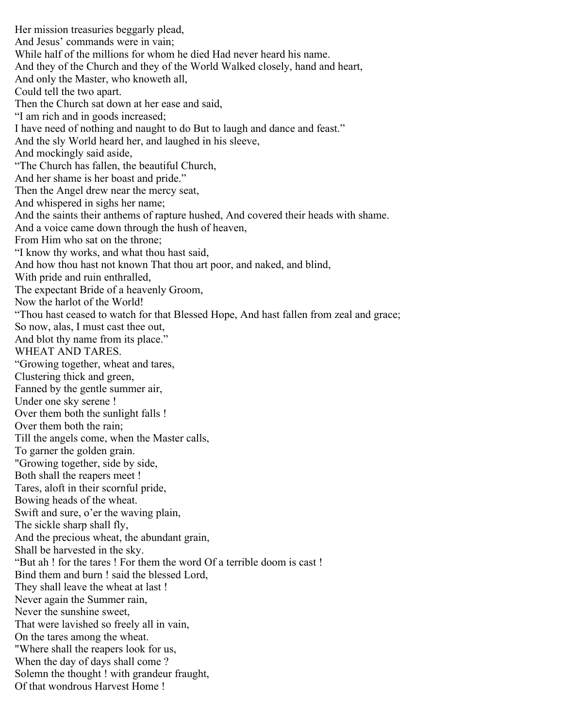Her mission treasuries beggarly plead, And Jesus' commands were in vain; While half of the millions for whom he died Had never heard his name. And they of the Church and they of the World Walked closely, hand and heart, And only the Master, who knoweth all, Could tell the two apart. Then the Church sat down at her ease and said, "I am rich and in goods increased; I have need of nothing and naught to do But to laugh and dance and feast." And the sly World heard her, and laughed in his sleeve, And mockingly said aside, "The Church has fallen, the beautiful Church, And her shame is her boast and pride." Then the Angel drew near the mercy seat, And whispered in sighs her name; And the saints their anthems of rapture hushed, And covered their heads with shame. And a voice came down through the hush of heaven, From Him who sat on the throne; "I know thy works, and what thou hast said, And how thou hast not known That thou art poor, and naked, and blind, With pride and ruin enthralled, The expectant Bride of a heavenly Groom, Now the harlot of the World! "Thou hast ceased to watch for that Blessed Hope, And hast fallen from zeal and grace; So now, alas, I must cast thee out, And blot thy name from its place." WHEAT AND TARES. "Growing together, wheat and tares, Clustering thick and green, Fanned by the gentle summer air, Under one sky serene ! Over them both the sunlight falls ! Over them both the rain; Till the angels come, when the Master calls, To garner the golden grain. "Growing together, side by side, Both shall the reapers meet ! Tares, aloft in their scornful pride, Bowing heads of the wheat. Swift and sure, o'er the waving plain, The sickle sharp shall fly, And the precious wheat, the abundant grain, Shall be harvested in the sky. "But ah ! for the tares ! For them the word Of a terrible doom is cast ! Bind them and burn ! said the blessed Lord, They shall leave the wheat at last ! Never again the Summer rain, Never the sunshine sweet, That were lavished so freely all in vain, On the tares among the wheat. "Where shall the reapers look for us, When the day of days shall come ? Solemn the thought ! with grandeur fraught, Of that wondrous Harvest Home !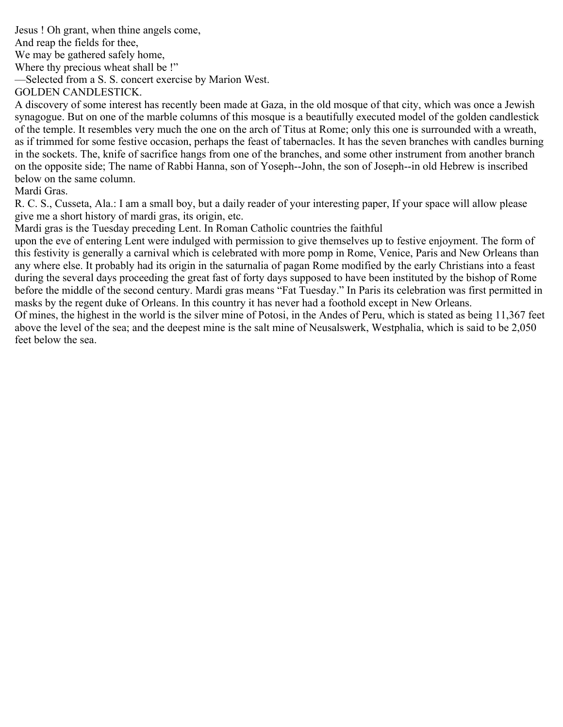Jesus ! Oh grant, when thine angels come,

And reap the fields for thee,

We may be gathered safely home,

Where thy precious wheat shall be !"

—Selected from a S. S. concert exercise by Marion West.

GOLDEN CANDLESTICK.

A discovery of some interest has recently been made at Gaza, in the old mosque of that city, which was once a Jewish synagogue. But on one of the marble columns of this mosque is a beautifully executed model of the golden candlestick of the temple. It resembles very much the one on the arch of Titus at Rome; only this one is surrounded with a wreath, as if trimmed for some festive occasion, perhaps the feast of tabernacles. It has the seven branches with candles burning in the sockets. The, knife of sacrifice hangs from one of the branches, and some other instrument from another branch on the opposite side; The name of Rabbi Hanna, son of Yoseph--John, the son of Joseph--in old Hebrew is inscribed below on the same column.

Mardi Gras.

R. C. S., Cusseta, Ala.: I am a small boy, but a daily reader of your interesting paper, If your space will allow please give me a short history of mardi gras, its origin, etc.

Mardi gras is the Tuesday preceding Lent. In Roman Catholic countries the faithful

upon the eve of entering Lent were indulged with permission to give themselves up to festive enjoyment. The form of this festivity is generally a carnival which is celebrated with more pomp in Rome, Venice, Paris and New Orleans than any where else. It probably had its origin in the saturnalia of pagan Rome modified by the early Christians into a feast during the several days proceeding the great fast of forty days supposed to have been instituted by the bishop of Rome before the middle of the second century. Mardi gras means "Fat Tuesday." In Paris its celebration was first permitted in masks by the regent duke of Orleans. In this country it has never had a foothold except in New Orleans.

Of mines, the highest in the world is the silver mine of Potosi, in the Andes of Peru, which is stated as being 11,367 feet above the level of the sea; and the deepest mine is the salt mine of Neusalswerk, Westphalia, which is said to be 2,050 feet below the sea.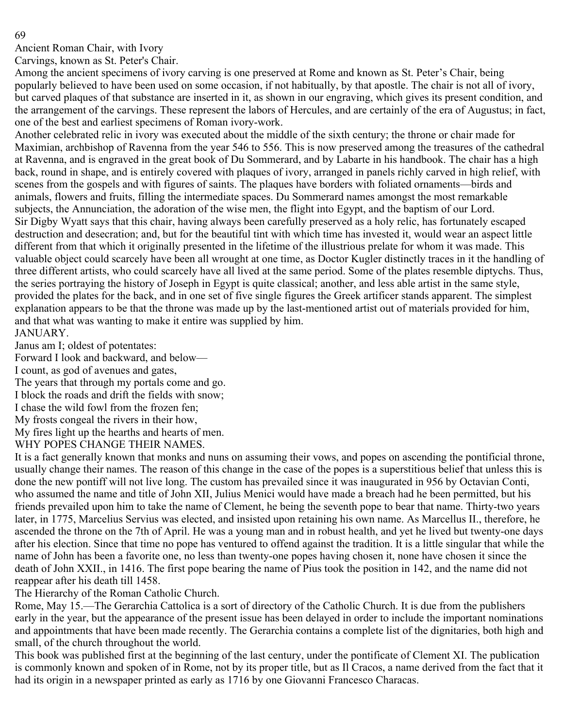Ancient Roman Chair, with Ivory

Carvings, known as St. Peter's Chair.

Among the ancient specimens of ivory carving is one preserved at Rome and known as St. Peter's Chair, being popularly believed to have been used on some occasion, if not habitually, by that apostle. The chair is not all of ivory, but carved plaques of that substance are inserted in it, as shown in our engraving, which gives its present condition, and the arrangement of the carvings. These represent the labors of Hercules, and are certainly of the era of Augustus; in fact, one of the best and earliest specimens of Roman ivory-work.

Another celebrated relic in ivory was executed about the middle of the sixth century; the throne or chair made for Maximian, archbishop of Ravenna from the year 546 to 556. This is now preserved among the treasures of the cathedral at Ravenna, and is engraved in the great book of Du Sommerard, and by Labarte in his handbook. The chair has a high back, round in shape, and is entirely covered with plaques of ivory, arranged in panels richly carved in high relief, with scenes from the gospels and with figures of saints. The plaques have borders with foliated ornaments—birds and animals, flowers and fruits, filling the intermediate spaces. Du Sommerard names amongst the most remarkable subjects, the Annunciation, the adoration of the wise men, the flight into Egypt, and the baptism of our Lord. Sir Digby Wyatt says that this chair, having always been carefully preserved as a holy relic, has fortunately escaped destruction and desecration; and, but for the beautiful tint with which time has invested it, would wear an aspect little different from that which it originally presented in the lifetime of the illustrious prelate for whom it was made. This valuable object could scarcely have been all wrought at one time, as Doctor Kugler distinctly traces in it the handling of three different artists, who could scarcely have all lived at the same period. Some of the plates resemble diptychs. Thus, the series portraying the history of Joseph in Egypt is quite classical; another, and less able artist in the same style, provided the plates for the back, and in one set of five single figures the Greek artificer stands apparent. The simplest explanation appears to be that the throne was made up by the last-mentioned artist out of materials provided for him, and that what was wanting to make it entire was supplied by him. JANUARY.

Janus am I; oldest of potentates:

Forward I look and backward, and below—

I count, as god of avenues and gates,

The years that through my portals come and go.

I block the roads and drift the fields with snow;

I chase the wild fowl from the frozen fen;

My frosts congeal the rivers in their how,

My fires light up the hearths and hearts of men.

WHY POPES CHANGE THEIR NAMES.

It is a fact generally known that monks and nuns on assuming their vows, and popes on ascending the pontificial throne, usually change their names. The reason of this change in the case of the popes is a superstitious belief that unless this is done the new pontiff will not live long. The custom has prevailed since it was inaugurated in 956 by Octavian Conti, who assumed the name and title of John XII, Julius Menici would have made a breach had he been permitted, but his friends prevailed upon him to take the name of Clement, he being the seventh pope to bear that name. Thirty-two years later, in 1775, Marcelius Servius was elected, and insisted upon retaining his own name. As Marcellus II., therefore, he ascended the throne on the 7th of April. He was a young man and in robust health, and yet he lived but twenty-one days after his election. Since that time no pope has ventured to offend against the tradition. It is a little singular that while the name of John has been a favorite one, no less than twenty-one popes having chosen it, none have chosen it since the death of John XXII., in 1416. The first pope bearing the name of Pius took the position in 142, and the name did not reappear after his death till 1458.

The Hierarchy of the Roman Catholic Church.

Rome, May 15.—The Gerarchia Cattolica is a sort of directory of the Catholic Church. It is due from the publishers early in the year, but the appearance of the present issue has been delayed in order to include the important nominations and appointments that have been made recently. The Gerarchia contains a complete list of the dignitaries, both high and small, of the church throughout the world.

This book was published first at the beginning of the last century, under the pontificate of Clement XI. The publication is commonly known and spoken of in Rome, not by its proper title, but as Il Cracos, a name derived from the fact that it had its origin in a newspaper printed as early as 1716 by one Giovanni Francesco Characas.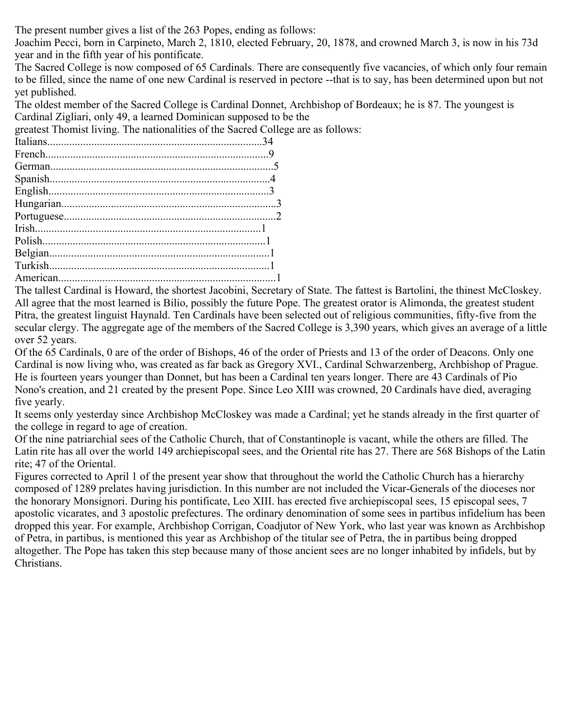The present number gives a list of the 263 Popes, ending as follows:

Joachim Pecci, born in Carpineto, March 2, 1810, elected February, 20, 1878, and crowned March 3, is now in his 73d year and in the fifth year of his pontificate.

The Sacred College is now composed of 65 Cardinals. There are consequently five vacancies, of which only four remain to be filled, since the name of one new Cardinal is reserved in pectore --that is to say, has been determined upon but not yet published.

The oldest member of the Sacred College is Cardinal Donnet, Archbishop of Bordeaux; he is 87. The youngest is Cardinal Zigliari, only 49, a learned Dominican supposed to be the

greatest Thomist living. The nationalities of the Sacred College are as follows:

The tallest Cardinal is Howard, the shortest Jacobini, Secretary of State. The fattest is Bartolini, the thinest McCloskey. All agree that the most learned is Bilio, possibly the future Pope. The greatest orator is Alimonda, the greatest student Pitra, the greatest linguist Haynald. Ten Cardinals have been selected out of religious communities, fifty-five from the secular clergy. The aggregate age of the members of the Sacred College is 3,390 years, which gives an average of a little over 52 years.

Of the 65 Cardinals, 0 are of the order of Bishops, 46 of the order of Priests and 13 of the order of Deacons. Only one Cardinal is now living who, was created as far back as Gregory XVI., Cardinal Schwarzenberg, Archbishop of Prague. He is fourteen years younger than Donnet, but has been a Cardinal ten years longer. There are 43 Cardinals of Pio Nono's creation, and 21 created by the present Pope. Since Leo XIII was crowned, 20 Cardinals have died, averaging five yearly.

It seems only yesterday since Archbishop McCloskey was made a Cardinal; yet he stands already in the first quarter of the college in regard to age of creation.

Of the nine patriarchial sees of the Catholic Church, that of Constantinople is vacant, while the others are filled. The Latin rite has all over the world 149 archiepiscopal sees, and the Oriental rite has 27. There are 568 Bishops of the Latin rite; 47 of the Oriental.

Figures corrected to April 1 of the present year show that throughout the world the Catholic Church has a hierarchy composed of 1289 prelates having jurisdiction. In this number are not included the Vicar-Generals of the dioceses nor the honorary Monsignori. During his pontificate, Leo XIII. has erected five archiepiscopal sees, 15 episcopal sees, 7 apostolic vicarates, and 3 apostolic prefectures. The ordinary denomination of some sees in partibus infidelium has been dropped this year. For example, Archbishop Corrigan, Coadjutor of New York, who last year was known as Archbishop of Petra, in partibus, is mentioned this year as Archbishop of the titular see of Petra, the in partibus being dropped altogether. The Pope has taken this step because many of those ancient sees are no longer inhabited by infidels, but by Christians.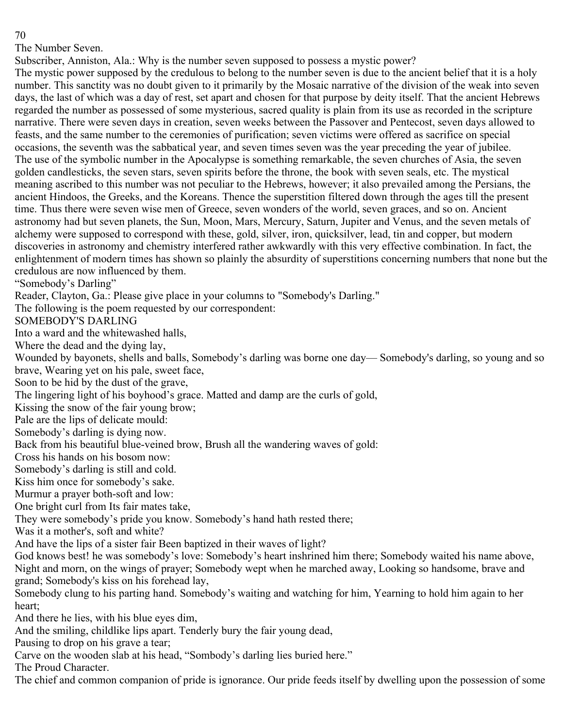The Number Seven.

Subscriber, Anniston, Ala.: Why is the number seven supposed to possess a mystic power?

The mystic power supposed by the credulous to belong to the number seven is due to the ancient belief that it is a holy number. This sanctity was no doubt given to it primarily by the Mosaic narrative of the division of the weak into seven days, the last of which was a day of rest, set apart and chosen for that purpose by deity itself. That the ancient Hebrews regarded the number as possessed of some mysterious, sacred quality is plain from its use as recorded in the scripture narrative. There were seven days in creation, seven weeks between the Passover and Pentecost, seven days allowed to feasts, and the same number to the ceremonies of purification; seven victims were offered as sacrifice on special occasions, the seventh was the sabbatical year, and seven times seven was the year preceding the year of jubilee. The use of the symbolic number in the Apocalypse is something remarkable, the seven churches of Asia, the seven golden candlesticks, the seven stars, seven spirits before the throne, the book with seven seals, etc. The mystical meaning ascribed to this number was not peculiar to the Hebrews, however; it also prevailed among the Persians, the ancient Hindoos, the Greeks, and the Koreans. Thence the superstition filtered down through the ages till the present time. Thus there were seven wise men of Greece, seven wonders of the world, seven graces, and so on. Ancient astronomy had but seven planets, the Sun, Moon, Mars, Mercury, Saturn, Jupiter and Venus, and the seven metals of alchemy were supposed to correspond with these, gold, silver, iron, quicksilver, lead, tin and copper, but modern discoveries in astronomy and chemistry interfered rather awkwardly with this very effective combination. In fact, the enlightenment of modern times has shown so plainly the absurdity of superstitions concerning numbers that none but the credulous are now influenced by them.

"Somebody's Darling"

Reader, Clayton, Ga.: Please give place in your columns to "Somebody's Darling."

The following is the poem requested by our correspondent:

SOMEBODY'S DARLING

Into a ward and the whitewashed halls,

Where the dead and the dying lay,

Wounded by bayonets, shells and balls, Somebody's darling was borne one day— Somebody's darling, so young and so brave, Wearing yet on his pale, sweet face,

Soon to be hid by the dust of the grave,

The lingering light of his boyhood's grace. Matted and damp are the curls of gold,

Kissing the snow of the fair young brow;

Pale are the lips of delicate mould:

Somebody's darling is dying now.

Back from his beautiful blue-veined brow, Brush all the wandering waves of gold:

Cross his hands on his bosom now:

Somebody's darling is still and cold.

Kiss him once for somebody's sake.

Murmur a prayer both-soft and low:

One bright curl from Its fair mates take,

They were somebody's pride you know. Somebody's hand hath rested there;

Was it a mother's, soft and white?

And have the lips of a sister fair Been baptized in their waves of light?

God knows best! he was somebody's love: Somebody's heart inshrined him there; Somebody waited his name above, Night and morn, on the wings of prayer; Somebody wept when he marched away, Looking so handsome, brave and grand; Somebody's kiss on his forehead lay,

Somebody clung to his parting hand. Somebody's waiting and watching for him, Yearning to hold him again to her heart;

And there he lies, with his blue eyes dim,

And the smiling, childlike lips apart. Tenderly bury the fair young dead,

Pausing to drop on his grave a tear;

Carve on the wooden slab at his head, "Sombody's darling lies buried here."

The Proud Character.

The chief and common companion of pride is ignorance. Our pride feeds itself by dwelling upon the possession of some

70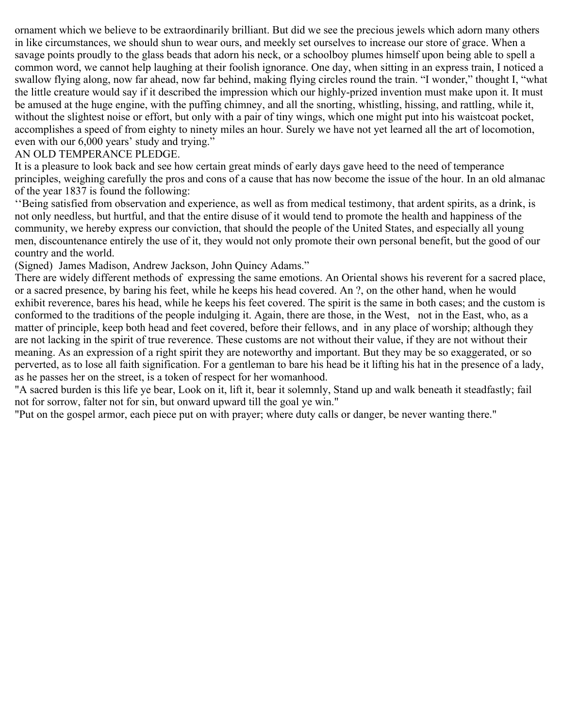ornament which we believe to be extraordinarily brilliant. But did we see the precious jewels which adorn many others in like circumstances, we should shun to wear ours, and meekly set ourselves to increase our store of grace. When a savage points proudly to the glass beads that adorn his neck, or a schoolboy plumes himself upon being able to spell a common word, we cannot help laughing at their foolish ignorance. One day, when sitting in an express train, I noticed a swallow flying along, now far ahead, now far behind, making flying circles round the train. "I wonder," thought I, "what the little creature would say if it described the impression which our highly-prized invention must make upon it. It must be amused at the huge engine, with the puffing chimney, and all the snorting, whistling, hissing, and rattling, while it, without the slightest noise or effort, but only with a pair of tiny wings, which one might put into his waistcoat pocket, accomplishes a speed of from eighty to ninety miles an hour. Surely we have not yet learned all the art of locomotion, even with our 6,000 years' study and trying."

# AN OLD TEMPERANCE PLEDGE.

It is a pleasure to look back and see how certain great minds of early days gave heed to the need of temperance principles, weighing carefully the pros and cons of a cause that has now become the issue of the hour. In an old almanac of the year 1837 is found the following:

''Being satisfied from observation and experience, as well as from medical testimony, that ardent spirits, as a drink, is not only needless, but hurtful, and that the entire disuse of it would tend to promote the health and happiness of the community, we hereby express our conviction, that should the people of the United States, and especially all young men, discountenance entirely the use of it, they would not only promote their own personal benefit, but the good of our country and the world.

(Signed) James Madison, Andrew Jackson, John Quincy Adams."

There are widely different methods of expressing the same emotions. An Oriental shows his reverent for a sacred place, or a sacred presence, by baring his feet, while he keeps his head covered. An ?, on the other hand, when he would exhibit reverence, bares his head, while he keeps his feet covered. The spirit is the same in both cases; and the custom is conformed to the traditions of the people indulging it. Again, there are those, in the West, not in the East, who, as a matter of principle, keep both head and feet covered, before their fellows, and in any place of worship; although they are not lacking in the spirit of true reverence. These customs are not without their value, if they are not without their meaning. As an expression of a right spirit they are noteworthy and important. But they may be so exaggerated, or so perverted, as to lose all faith signification. For a gentleman to bare his head be it lifting his hat in the presence of a lady, as he passes her on the street, is a token of respect for her womanhood.

"A sacred burden is this life ye bear, Look on it, lift it, bear it solemnly, Stand up and walk beneath it steadfastly; fail not for sorrow, falter not for sin, but onward upward till the goal ye win."

"Put on the gospel armor, each piece put on with prayer; where duty calls or danger, be never wanting there."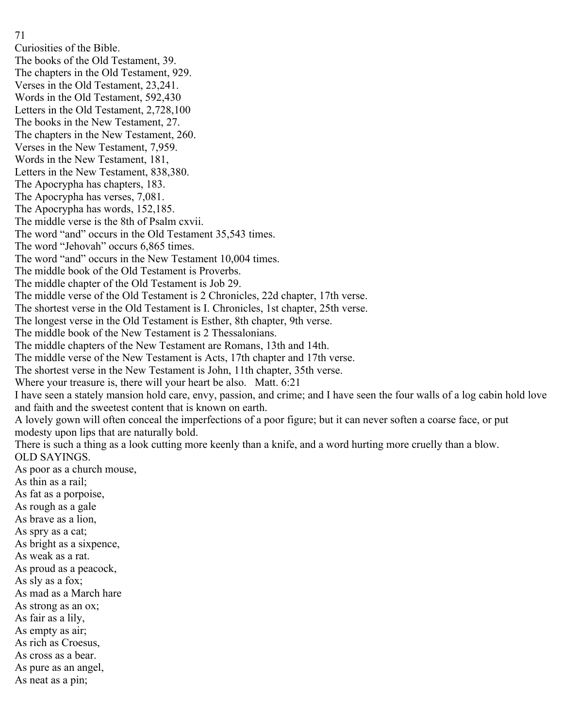- 71
- Curiosities of the Bible.
- The books of the Old Testament, 39.
- The chapters in the Old Testament, 929.
- Verses in the Old Testament, 23,241.
- Words in the Old Testament, 592,430
- Letters in the Old Testament, 2,728,100
- The books in the New Testament, 27.
- The chapters in the New Testament, 260.
- Verses in the New Testament, 7,959.
- Words in the New Testament, 181,
- Letters in the New Testament, 838,380.
- The Apocrypha has chapters, 183.
- The Apocrypha has verses, 7,081.
- The Apocrypha has words, 152,185.
- The middle verse is the 8th of Psalm cxvii.
- The word "and" occurs in the Old Testament 35,543 times.
- The word "Jehovah" occurs 6,865 times.
- The word "and" occurs in the New Testament 10,004 times.
- The middle book of the Old Testament is Proverbs.
- The middle chapter of the Old Testament is Job 29.
- The middle verse of the Old Testament is 2 Chronicles, 22d chapter, 17th verse.
- The shortest verse in the Old Testament is I. Chronicles, 1st chapter, 25th verse.
- The longest verse in the Old Testament is Esther, 8th chapter, 9th verse.
- The middle book of the New Testament is 2 Thessalonians.
- The middle chapters of the New Testament are Romans, 13th and 14th.
- The middle verse of the New Testament is Acts, 17th chapter and 17th verse.
- The shortest verse in the New Testament is John, 11th chapter, 35th verse.
- Where your treasure is, there will your heart be also. Matt. 6:21
- I have seen a stately mansion hold care, envy, passion, and crime; and I have seen the four walls of a log cabin hold love and faith and the sweetest content that is known on earth.
- A lovely gown will often conceal the imperfections of a poor figure; but it can never soften a coarse face, or put modesty upon lips that are naturally bold.
- There is such a thing as a look cutting more keenly than a knife, and a word hurting more cruelly than a blow. OLD SAYINGS.
- As poor as a church mouse,
- As thin as a rail;
- As fat as a porpoise,
- As rough as a gale
- As brave as a lion,
- As spry as a cat;
- As bright as a sixpence,
- As weak as a rat.
- As proud as a peacock,
- As sly as a fox;
- As mad as a March hare
- As strong as an ox;
- As fair as a lily,
- As empty as air;
- As rich as Croesus,
- As cross as a bear.
- As pure as an angel,
- As neat as a pin;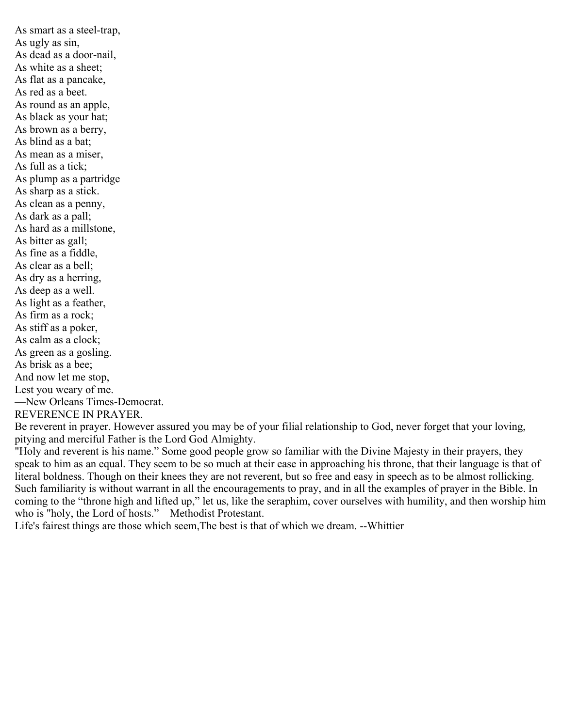As smart as a steel-trap, As ugly as sin, As dead as a door-nail, As white as a sheet; As flat as a pancake, As red as a beet. As round as an apple, As black as your hat; As brown as a berry, As blind as a bat; As mean as a miser, As full as a tick; As plump as a partridge As sharp as a stick. As clean as a penny, As dark as a pall; As hard as a millstone, As bitter as gall; As fine as a fiddle, As clear as a bell; As dry as a herring, As deep as a well. As light as a feather, As firm as a rock; As stiff as a poker, As calm as a clock; As green as a gosling. As brisk as a bee; And now let me stop, Lest you weary of me. —New Orleans Times-Democrat. REVERENCE IN PRAYER.

Be reverent in prayer. However assured you may be of your filial relationship to God, never forget that your loving, pitying and merciful Father is the Lord God Almighty.

"Holy and reverent is his name." Some good people grow so familiar with the Divine Majesty in their prayers, they speak to him as an equal. They seem to be so much at their ease in approaching his throne, that their language is that of literal boldness. Though on their knees they are not reverent, but so free and easy in speech as to be almost rollicking. Such familiarity is without warrant in all the encouragements to pray, and in all the examples of prayer in the Bible. In coming to the "throne high and lifted up," let us, like the seraphim, cover ourselves with humility, and then worship him who is "holy, the Lord of hosts."—Methodist Protestant.

Life's fairest things are those which seem,The best is that of which we dream. --Whittier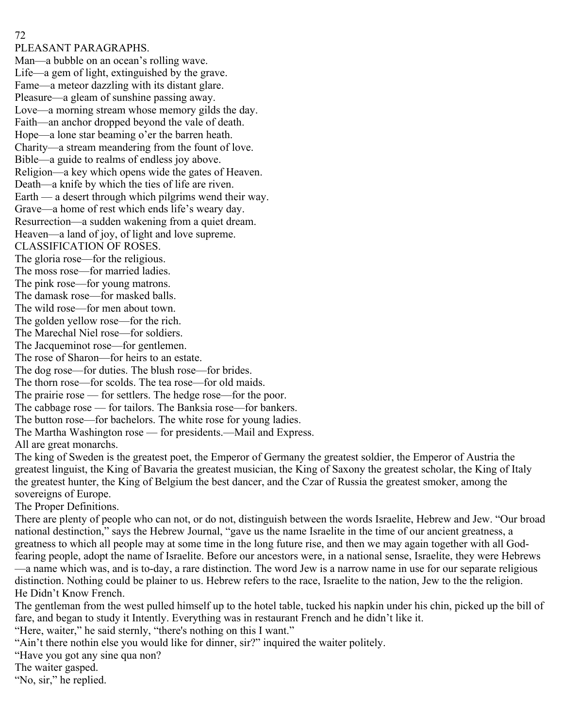PLEASANT PARAGRAPHS.

Man—a bubble on an ocean's rolling wave. Life—a gem of light, extinguished by the grave. Fame—a meteor dazzling with its distant glare. Pleasure—a gleam of sunshine passing away. Love—a morning stream whose memory gilds the day. Faith—an anchor dropped beyond the vale of death. Hope—a lone star beaming o'er the barren heath. Charity—a stream meandering from the fount of love. Bible—a guide to realms of endless joy above. Religion—a key which opens wide the gates of Heaven. Death—a knife by which the ties of life are riven. Earth — a desert through which pilgrims wend their way. Grave—a home of rest which ends life's weary day. Resurrection—a sudden wakening from a quiet dream. Heaven—a land of joy, of light and love supreme. CLASSIFICATION OF ROSES. The gloria rose—for the religious. The moss rose—for married ladies. The pink rose—for young matrons. The damask rose—for masked balls. The wild rose—for men about town. The golden yellow rose—for the rich. The Marechal Niel rose—for soldiers. The Jacqueminot rose—for gentlemen. The rose of Sharon—for heirs to an estate. The dog rose—for duties. The blush rose—for brides. The thorn rose—for scolds. The tea rose—for old maids. The prairie rose — for settlers. The hedge rose—for the poor. The cabbage rose — for tailors. The Banksia rose—for bankers. The button rose—for bachelors. The white rose for young ladies. The Martha Washington rose — for presidents.—Mail and Express. All are great monarchs.

The king of Sweden is the greatest poet, the Emperor of Germany the greatest soldier, the Emperor of Austria the greatest linguist, the King of Bavaria the greatest musician, the King of Saxony the greatest scholar, the King of Italy the greatest hunter, the King of Belgium the best dancer, and the Czar of Russia the greatest smoker, among the sovereigns of Europe.

The Proper Definitions.

There are plenty of people who can not, or do not, distinguish between the words Israelite, Hebrew and Jew. "Our broad national destinction," says the Hebrew Journal, "gave us the name Israelite in the time of our ancient greatness, a greatness to which all people may at some time in the long future rise, and then we may again together with all Godfearing people, adopt the name of Israelite. Before our ancestors were, in a national sense, Israelite, they were Hebrews —a name which was, and is to-day, a rare distinction. The word Jew is a narrow name in use for our separate religious distinction. Nothing could be plainer to us. Hebrew refers to the race, Israelite to the nation, Jew to the the religion. He Didn't Know French.

The gentleman from the west pulled himself up to the hotel table, tucked his napkin under his chin, picked up the bill of fare, and began to study it Intently. Everything was in restaurant French and he didn't like it.

"Here, waiter," he said sternly, "there's nothing on this I want."

"Ain't there nothin else you would like for dinner, sir?" inquired the waiter politely.

"Have you got any sine qua non?

The waiter gasped.

"No, sir," he replied.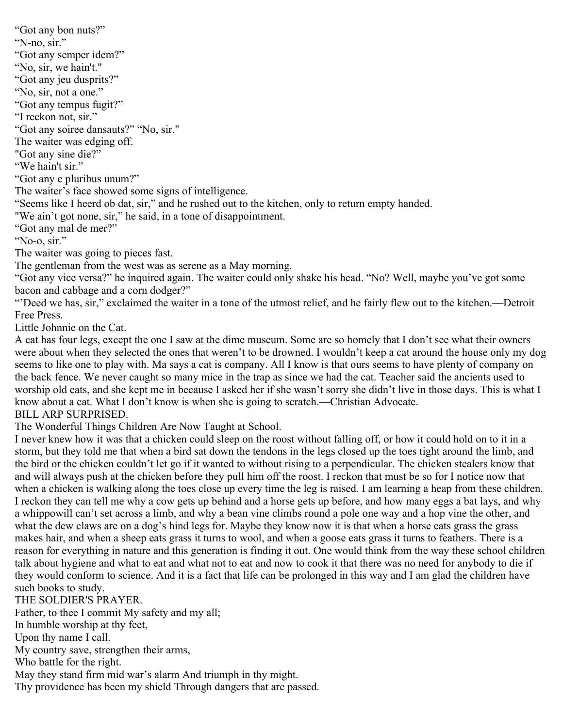"Got any bon nuts?" "N-no, sir." "Got any semper idem?" "No, sir, we hain't." "Got any jeu dusprits?" "No, sir, not a one." "Got any tempus fugit?" "I reckon not, sir." "Got any soiree dansauts?" "No, sir." The waiter was edging off. "Got any sine die?" "We hain't sir." "Got any e pluribus unum?" The waiter's face showed some signs of intelligence. "Seems like I heerd ob dat, sir," and he rushed out to the kitchen, only to return empty handed. "We ain't got none, sir," he said, in a tone of disappointment. "Got any mal de mer?" "No-o, sir." The waiter was going to pieces fast. The gentleman from the west was as serene as a May morning. "Got any vice versa?" he inquired again. The waiter could only shake his head. "No? Well, maybe you've got some

bacon and cabbage and a corn dodger?"

"'Deed we has, sir," exclaimed the waiter in a tone of the utmost relief, and he fairly flew out to the kitchen.—Detroit Free Press.

Little Johnnie on the Cat.

A cat has four legs, except the one I saw at the dime museum. Some are so homely that I don't see what their owners were about when they selected the ones that weren't to be drowned. I wouldn't keep a cat around the house only my dog seems to like one to play with. Ma says a cat is company. All I know is that ours seems to have plenty of company on the back fence. We never caught so many mice in the trap as since we had the cat. Teacher said the ancients used to worship old cats, and she kept me in because I asked her if she wasn't sorry she didn't live in those days. This is what I know about a cat. What I don't know is when she is going to scratch.—Christian Advocate.

## BILL ARP SURPRISED.

The Wonderful Things Children Are Now Taught at School.

I never knew how it was that a chicken could sleep on the roost without falling off, or how it could hold on to it in a storm, but they told me that when a bird sat down the tendons in the legs closed up the toes tight around the limb, and the bird or the chicken couldn't let go if it wanted to without rising to a perpendicular. The chicken stealers know that and will always push at the chicken before they pull him off the roost. I reckon that must be so for I notice now that when a chicken is walking along the toes close up every time the leg is raised. I am learning a heap from these children. I reckon they can tell me why a cow gets up behind and a horse gets up before, and how many eggs a bat lays, and why a whippowill can't set across a limb, and why a bean vine climbs round a pole one way and a hop vine the other, and what the dew claws are on a dog's hind legs for. Maybe they know now it is that when a horse eats grass the grass makes hair, and when a sheep eats grass it turns to wool, and when a goose eats grass it turns to feathers. There is a reason for everything in nature and this generation is finding it out. One would think from the way these school children talk about hygiene and what to eat and what not to eat and now to cook it that there was no need for anybody to die if they would conform to science. And it is a fact that life can be prolonged in this way and I am glad the children have such books to study.

# THE SOLDIER'S PRAYER.

Father, to thee I commit My safety and my all;

In humble worship at thy feet,

Upon thy name I call.

My country save, strengthen their arms,

Who battle for the right.

May they stand firm mid war's alarm And triumph in thy might.

Thy providence has been my shield Through dangers that are passed.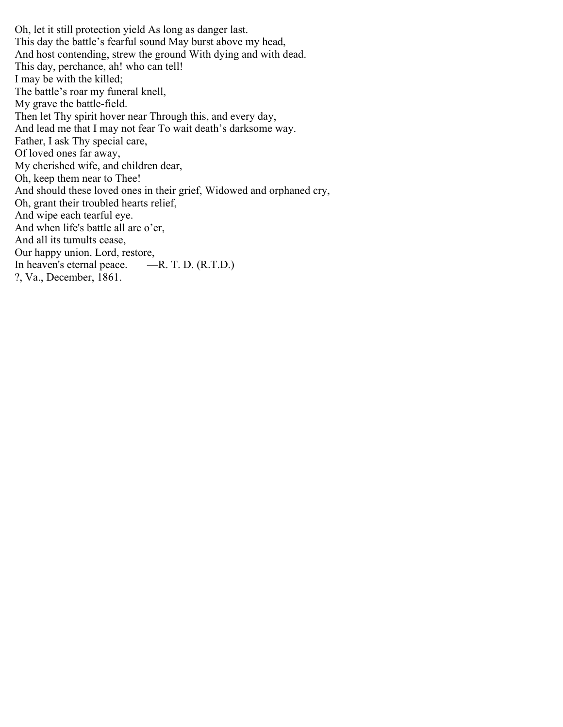Oh, let it still protection yield As long as danger last. This day the battle's fearful sound May burst above my head, And host contending, strew the ground With dying and with dead. This day, perchance, ah! who can tell! I may be with the killed; The battle's roar my funeral knell, My grave the battle-field. Then let Thy spirit hover near Through this, and every day, And lead me that I may not fear To wait death's darksome way. Father, I ask Thy special care, Of loved ones far away, My cherished wife, and children dear, Oh, keep them near to Thee! And should these loved ones in their grief, Widowed and orphaned cry, Oh, grant their troubled hearts relief, And wipe each tearful eye. And when life's battle all are o'er, And all its tumults cease, Our happy union. Lord, restore, In heaven's eternal peace. —R. T. D. (R.T.D.) ?, Va., December, 1861.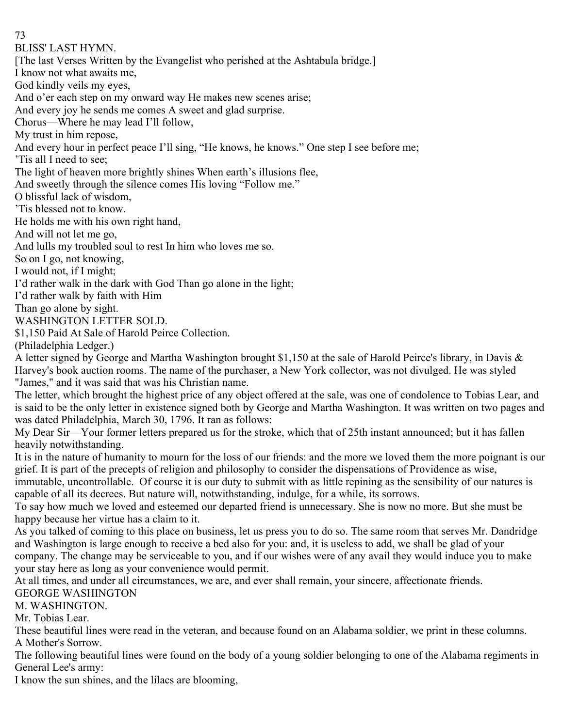BLISS' LAST HYMN.

[The last Verses Written by the Evangelist who perished at the Ashtabula bridge.]

I know not what awaits me,

God kindly veils my eyes,

And o'er each step on my onward way He makes new scenes arise;

And every joy he sends me comes A sweet and glad surprise.

Chorus—Where he may lead I'll follow,

My trust in him repose,

And every hour in perfect peace I'll sing, "He knows, he knows." One step I see before me;

'Tis all I need to see;

The light of heaven more brightly shines When earth's illusions flee,

And sweetly through the silence comes His loving "Follow me."

O blissful lack of wisdom,

'Tis blessed not to know.

He holds me with his own right hand,

And will not let me go,

And lulls my troubled soul to rest In him who loves me so.

So on I go, not knowing,

I would not, if I might;

I'd rather walk in the dark with God Than go alone in the light;

I'd rather walk by faith with Him

Than go alone by sight.

WASHINGTON LETTER SOLD.

\$1,150 Paid At Sale of Harold Peirce Collection.

(Philadelphia Ledger.)

A letter signed by George and Martha Washington brought \$1,150 at the sale of Harold Peirce's library, in Davis & Harvey's book auction rooms. The name of the purchaser, a New York collector, was not divulged. He was styled "James," and it was said that was his Christian name.

The letter, which brought the highest price of any object offered at the sale, was one of condolence to Tobias Lear, and is said to be the only letter in existence signed both by George and Martha Washington. It was written on two pages and was dated Philadelphia, March 30, 1796. It ran as follows:

My Dear Sir—Your former letters prepared us for the stroke, which that of 25th instant announced; but it has fallen heavily notwithstanding.

It is in the nature of humanity to mourn for the loss of our friends: and the more we loved them the more poignant is our grief. It is part of the precepts of religion and philosophy to consider the dispensations of Providence as wise,

immutable, uncontrollable. Of course it is our duty to submit with as little repining as the sensibility of our natures is capable of all its decrees. But nature will, notwithstanding, indulge, for a while, its sorrows.

To say how much we loved and esteemed our departed friend is unnecessary. She is now no more. But she must be happy because her virtue has a claim to it.

As you talked of coming to this place on business, let us press you to do so. The same room that serves Mr. Dandridge and Washington is large enough to receive a bed also for you: and, it is useless to add, we shall be glad of your company. The change may be serviceable to you, and if our wishes were of any avail they would induce you to make your stay here as long as your convenience would permit.

At all times, and under all circumstances, we are, and ever shall remain, your sincere, affectionate friends.

# GEORGE WASHINGTON

M. WASHINGTON.

Mr. Tobias Lear.

These beautiful lines were read in the veteran, and because found on an Alabama soldier, we print in these columns. A Mother's Sorrow.

The following beautiful lines were found on the body of a young soldier belonging to one of the Alabama regiments in General Lee's army:

I know the sun shines, and the lilacs are blooming,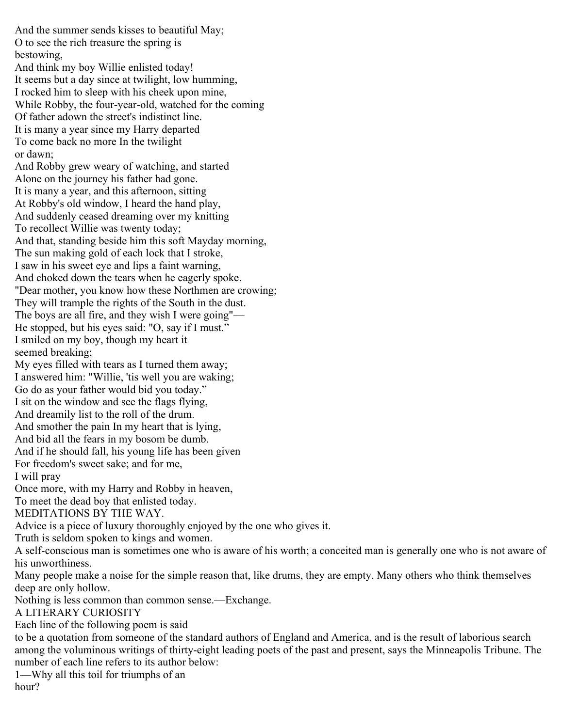And the summer sends kisses to beautiful May; O to see the rich treasure the spring is bestowing, And think my boy Willie enlisted today! It seems but a day since at twilight, low humming, I rocked him to sleep with his cheek upon mine, While Robby, the four-year-old, watched for the coming Of father adown the street's indistinct line. It is many a year since my Harry departed To come back no more In the twilight or dawn; And Robby grew weary of watching, and started Alone on the journey his father had gone. It is many a year, and this afternoon, sitting At Robby's old window, I heard the hand play, And suddenly ceased dreaming over my knitting To recollect Willie was twenty today; And that, standing beside him this soft Mayday morning, The sun making gold of each lock that I stroke, I saw in his sweet eye and lips a faint warning, And choked down the tears when he eagerly spoke. "Dear mother, you know how these Northmen are crowing; They will trample the rights of the South in the dust. The boys are all fire, and they wish I were going"— He stopped, but his eyes said: "O, say if I must." I smiled on my boy, though my heart it seemed breaking; My eyes filled with tears as I turned them away; I answered him: "Willie, 'tis well you are waking; Go do as your father would bid you today." I sit on the window and see the flags flying, And dreamily list to the roll of the drum. And smother the pain In my heart that is lying, And bid all the fears in my bosom be dumb. And if he should fall, his young life has been given For freedom's sweet sake; and for me, I will pray Once more, with my Harry and Robby in heaven, To meet the dead boy that enlisted today. MEDITATIONS BY THE WAY. Advice is a piece of luxury thoroughly enjoyed by the one who gives it. Truth is seldom spoken to kings and women. A self-conscious man is sometimes one who is aware of his worth; a conceited man is generally one who is not aware of his unworthiness. Many people make a noise for the simple reason that, like drums, they are empty. Many others who think themselves deep are only hollow. Nothing is less common than common sense.—Exchange. A LITERARY CURIOSITY Each line of the following poem is said to be a quotation from someone of the standard authors of England and America, and is the result of laborious search among the voluminous writings of thirty-eight leading poets of the past and present, says the Minneapolis Tribune. The number of each line refers to its author below:

1—Why all this toil for triumphs of an

hour?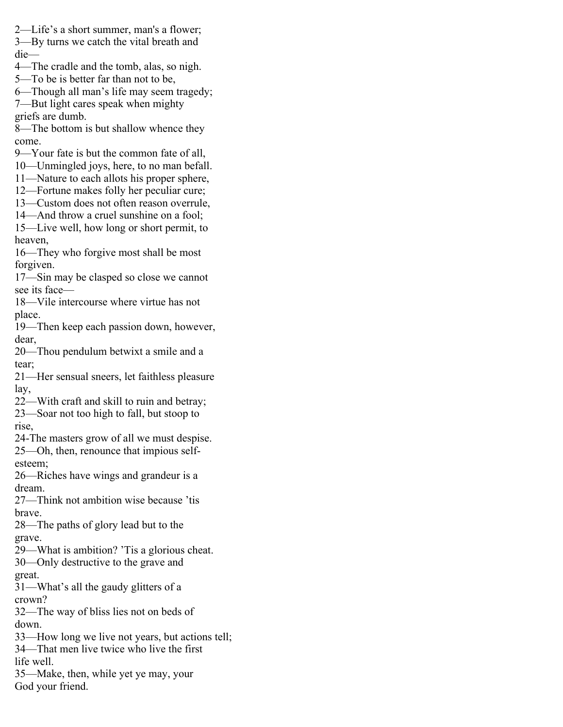2—Life's a short summer, man's a flower;

3—By turns we catch the vital breath and die—

- 4—The cradle and the tomb, alas, so nigh.
- 5—To be is better far than not to be,
- 6—Though all man's life may seem tragedy;
- 7—But light cares speak when mighty griefs are dumb.

8—The bottom is but shallow whence they come.

- 9—Your fate is but the common fate of all,
- 10—Unmingled joys, here, to no man befall.
- 11—Nature to each allots his proper sphere,
- 12—Fortune makes folly her peculiar cure;
- 13—Custom does not often reason overrule,
- 14—And throw a cruel sunshine on a fool;
- 15—Live well, how long or short permit, to heaven,
- 16—They who forgive most shall be most forgiven.
- 17—Sin may be clasped so close we cannot see its face—
- 18—Vile intercourse where virtue has not place.
- 19—Then keep each passion down, however, dear,
- 20—Thou pendulum betwixt a smile and a tear;
- 21—Her sensual sneers, let faithless pleasure lay,
- 22—With craft and skill to ruin and betray;
- 23—Soar not too high to fall, but stoop to rise,
- 24-The masters grow of all we must despise.
- 25—Oh, then, renounce that impious selfesteem;
- 26—Riches have wings and grandeur is a dream.
- 27—Think not ambition wise because 'tis brave.
- 28—The paths of glory lead but to the grave.
- 29—What is ambition? 'Tis a glorious cheat.
- 30—Only destructive to the grave and great.
- 31—What's all the gaudy glitters of a crown?
- 32—The way of bliss lies not on beds of down.
- 33—How long we live not years, but actions tell;
- 34—That men live twice who live the first
- life well.
- 35—Make, then, while yet ye may, your God your friend.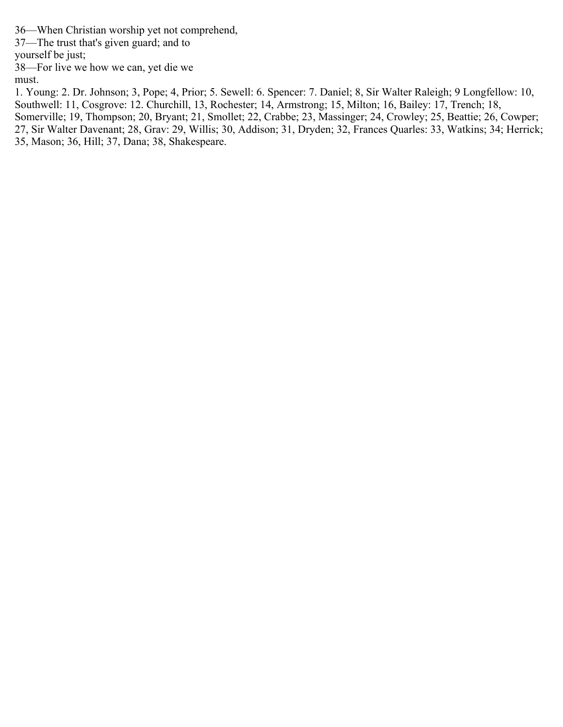36—When Christian worship yet not comprehend,

37—The trust that's given guard; and to

yourself be just;

38—For live we how we can, yet die we must.

1. Young: 2. Dr. Johnson; 3, Pope; 4, Prior; 5. Sewell: 6. Spencer: 7. Daniel; 8, Sir Walter Raleigh; 9 Longfellow: 10, Southwell: 11, Cosgrove: 12. Churchill, 13, Rochester; 14, Armstrong; 15, Milton; 16, Bailey: 17, Trench; 18,

Somerville; 19, Thompson; 20, Bryant; 21, Smollet; 22, Crabbe; 23, Massinger; 24, Crowley; 25, Beattie; 26, Cowper;

27, Sir Walter Davenant; 28, Grav: 29, Willis; 30, Addison; 31, Dryden; 32, Frances Quarles: 33, Watkins; 34; Herrick; 35, Mason; 36, Hill; 37, Dana; 38, Shakespeare.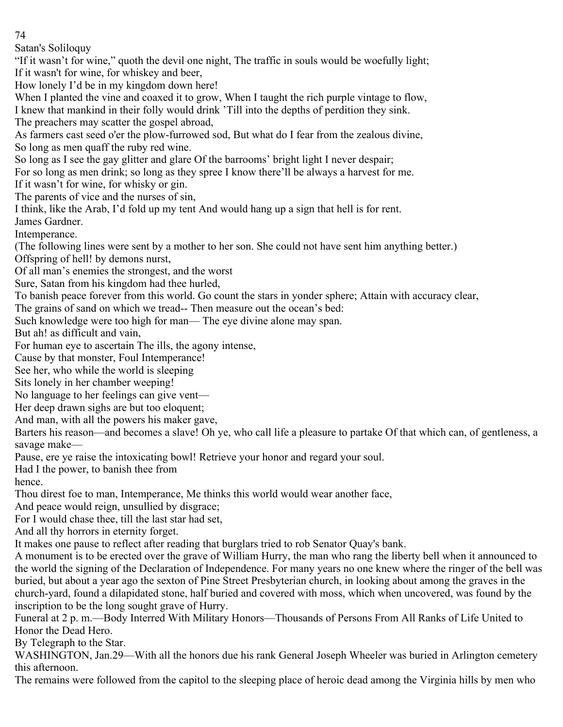Satan's Soliloquy

"If it wasn't for wine," quoth the devil one night, The traffic in souls would be woefully light; If it wasn't for wine, for whiskey and beer,

How lonely I'd be in my kingdom down here!

When I planted the vine and coaxed it to grow, When I taught the rich purple vintage to flow, I knew that mankind in their folly would drink 'Till into the depths of perdition they sink.

The preachers may scatter the gospel abroad,

As farmers cast seed o'er the plow-furrowed sod, But what do I fear from the zealous divine, So long as men quaff the ruby red wine.

So long as I see the gay glitter and glare Of the barrooms' bright light I never despair;

For so long as men drink; so long as they spree I know there'll be always a harvest for me.

If it wasn't for wine, for whisky or gin.

The parents of vice and the nurses of sin,

I think, like the Arab, I'd fold up my tent And would hang up a sign that hell is for rent.

James Gardner.

Intemperance.

(The following lines were sent by a mother to her son. She could not have sent him anything better.) Offspring of hell! by demons nurst,

Of all man's enemies the strongest, and the worst

Sure, Satan from his kingdom had thee hurled,

To banish peace forever from this world. Go count the stars in yonder sphere; Attain with accuracy clear,

The grains of sand on which we tread-- Then measure out the ocean's bed:

Such knowledge were too high for man— The eye divine alone may span.

But ah! as difficult and vain,

For human eye to ascertain The ills, the agony intense,

Cause by that monster, Foul Intemperance!

See her, who while the world is sleeping

Sits lonely in her chamber weeping!

No language to her feelings can give vent—

Her deep drawn sighs are but too eloquent;

And man, with all the powers his maker gave,

Barters his reason—and becomes a slave! Oh ye, who call life a pleasure to partake Of that which can, of gentleness, a savage make—

Pause, ere ye raise the intoxicating bowl! Retrieve your honor and regard your soul.

Had I the power, to banish thee from

hence.

Thou direst foe to man, Intemperance, Me thinks this world would wear another face,

And peace would reign, unsullied by disgrace;

For I would chase thee, till the last star had set,

And all thy horrors in eternity forget.

It makes one pause to reflect after reading that burglars tried to rob Senator Quay's bank.

A monument is to be erected over the grave of William Hurry, the man who rang the liberty bell when it announced to the world the signing of the Declaration of Independence. For many years no one knew where the ringer of the bell was buried, but about a year ago the sexton of Pine Street Presbyterian church, in looking about among the graves in the church-yard, found a dilapidated stone, half buried and covered with moss, which when uncovered, was found by the inscription to be the long sought grave of Hurry.

Funeral at 2 p. m.—Body Interred With Military Honors—Thousands of Persons From All Ranks of Life United to Honor the Dead Hero.

By Telegraph to the Star.

WASHINGTON, Jan.29—With all the honors due his rank General Joseph Wheeler was buried in Arlington cemetery this afternoon.

The remains were followed from the capitol to the sleeping place of heroic dead among the Virginia hills by men who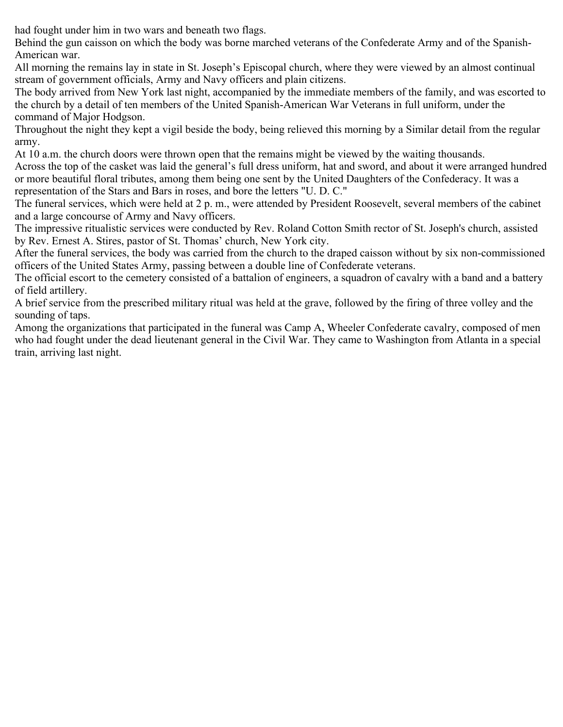had fought under him in two wars and beneath two flags.

Behind the gun caisson on which the body was borne marched veterans of the Confederate Army and of the Spanish-American war.

All morning the remains lay in state in St. Joseph's Episcopal church, where they were viewed by an almost continual stream of government officials, Army and Navy officers and plain citizens.

The body arrived from New York last night, accompanied by the immediate members of the family, and was escorted to the church by a detail of ten members of the United Spanish-American War Veterans in full uniform, under the command of Major Hodgson.

Throughout the night they kept a vigil beside the body, being relieved this morning by a Similar detail from the regular army.

At 10 a.m. the church doors were thrown open that the remains might be viewed by the waiting thousands.

Across the top of the casket was laid the general's full dress uniform, hat and sword, and about it were arranged hundred or more beautiful floral tributes, among them being one sent by the United Daughters of the Confederacy. It was a representation of the Stars and Bars in roses, and bore the letters "U. D. C."

The funeral services, which were held at 2 p. m., were attended by President Roosevelt, several members of the cabinet and a large concourse of Army and Navy officers.

The impressive ritualistic services were conducted by Rev. Roland Cotton Smith rector of St. Joseph's church, assisted by Rev. Ernest A. Stires, pastor of St. Thomas' church, New York city.

After the funeral services, the body was carried from the church to the draped caisson without by six non-commissioned officers of the United States Army, passing between a double line of Confederate veterans.

The official escort to the cemetery consisted of a battalion of engineers, a squadron of cavalry with a band and a battery of field artillery.

A brief service from the prescribed military ritual was held at the grave, followed by the firing of three volley and the sounding of taps.

Among the organizations that participated in the funeral was Camp A, Wheeler Confederate cavalry, composed of men who had fought under the dead lieutenant general in the Civil War. They came to Washington from Atlanta in a special train, arriving last night.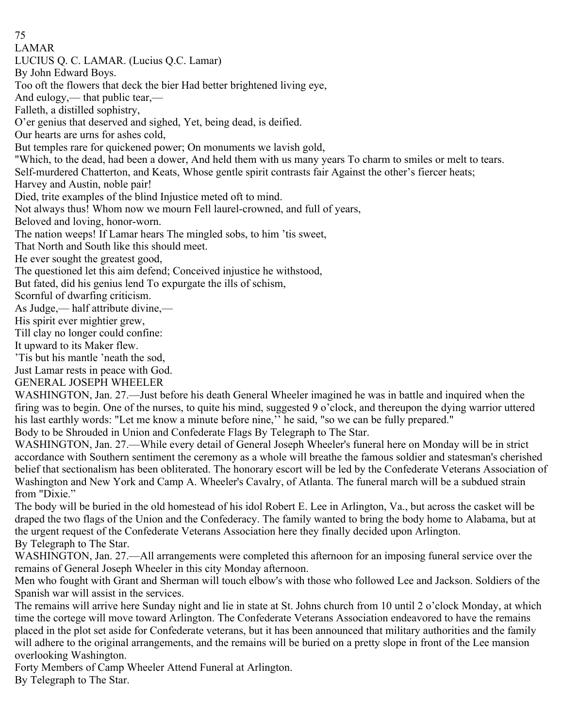75 LAMAR LUCIUS Q. C. LAMAR. (Lucius Q.C. Lamar) By John Edward Boys. Too oft the flowers that deck the bier Had better brightened living eye, And eulogy,— that public tear,— Falleth, a distilled sophistry, O'er genius that deserved and sighed, Yet, being dead, is deified. Our hearts are urns for ashes cold, But temples rare for quickened power; On monuments we lavish gold, "Which, to the dead, had been a dower, And held them with us many years To charm to smiles or melt to tears. Self-murdered Chatterton, and Keats, Whose gentle spirit contrasts fair Against the other's fiercer heats; Harvey and Austin, noble pair! Died, trite examples of the blind Injustice meted oft to mind. Not always thus! Whom now we mourn Fell laurel-crowned, and full of years, Beloved and loving, honor-worn. The nation weeps! If Lamar hears The mingled sobs, to him 'tis sweet, That North and South like this should meet. He ever sought the greatest good, The questioned let this aim defend; Conceived injustice he withstood, But fated, did his genius lend To expurgate the ills of schism, Scornful of dwarfing criticism. As Judge,— half attribute divine,— His spirit ever mightier grew, Till clay no longer could confine: It upward to its Maker flew. 'Tis but his mantle 'neath the sod, Just Lamar rests in peace with God. GENERAL JOSEPH WHEELER WASHINGTON, Jan. 27.—Just before his death General Wheeler imagined he was in battle and inquired when the firing was to begin. One of the nurses, to quite his mind, suggested 9 o'clock, and thereupon the dying warrior uttered his last earthly words: "Let me know a minute before nine," he said, "so we can be fully prepared." Body to be Shrouded in Union and Confederate Flags By Telegraph to The Star.

WASHINGTON, Jan. 27.—While every detail of General Joseph Wheeler's funeral here on Monday will be in strict accordance with Southern sentiment the ceremony as a whole will breathe the famous soldier and statesman's cherished belief that sectionalism has been obliterated. The honorary escort will be led by the Confederate Veterans Association of Washington and New York and Camp A. Wheeler's Cavalry, of Atlanta. The funeral march will be a subdued strain from "Dixie."

The body will be buried in the old homestead of his idol Robert E. Lee in Arlington, Va., but across the casket will be draped the two flags of the Union and the Confederacy. The family wanted to bring the body home to Alabama, but at the urgent request of the Confederate Veterans Association here they finally decided upon Arlington. By Telegraph to The Star.

WASHINGTON, Jan. 27.—All arrangements were completed this afternoon for an imposing funeral service over the remains of General Joseph Wheeler in this city Monday afternoon.

Men who fought with Grant and Sherman will touch elbow's with those who followed Lee and Jackson. Soldiers of the Spanish war will assist in the services.

The remains will arrive here Sunday night and lie in state at St. Johns church from 10 until 2 o'clock Monday, at which time the cortege will move toward Arlington. The Confederate Veterans Association endeavored to have the remains placed in the plot set aside for Confederate veterans, but it has been announced that military authorities and the family will adhere to the original arrangements, and the remains will be buried on a pretty slope in front of the Lee mansion overlooking Washington.

Forty Members of Camp Wheeler Attend Funeral at Arlington.

By Telegraph to The Star.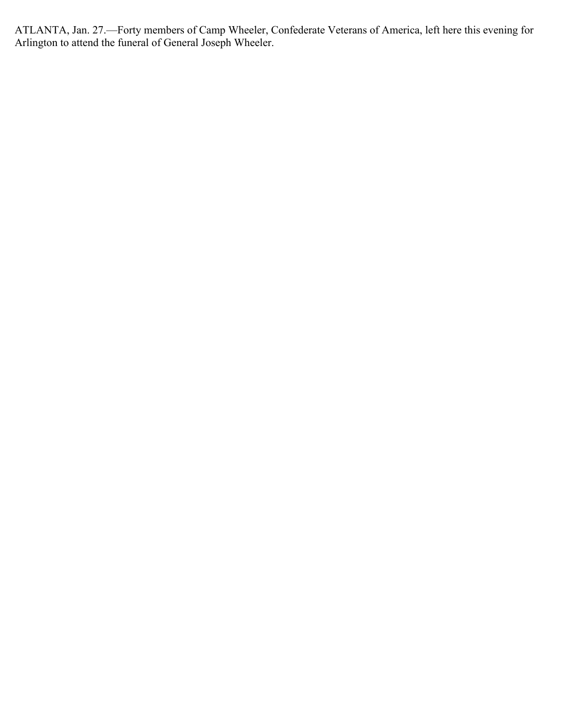ATLANTA, Jan. 27.—Forty members of Camp Wheeler, Confederate Veterans of America, left here this evening for Arlington to attend the funeral of General Joseph Wheeler.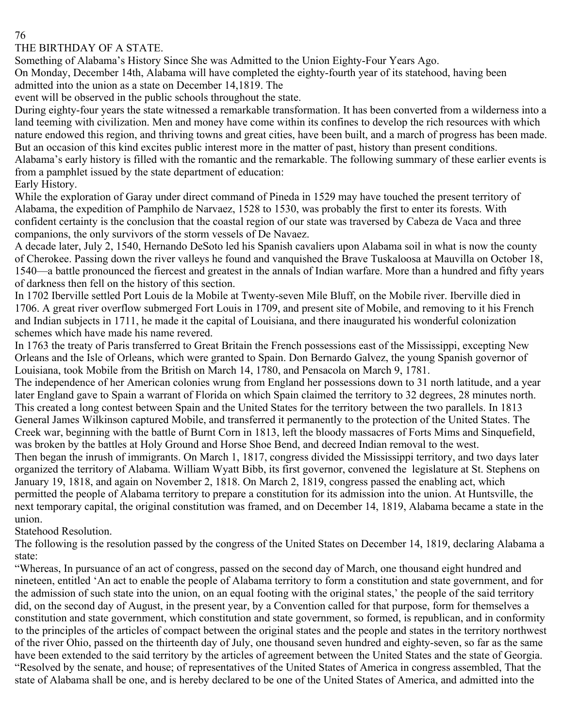### THE BIRTHDAY OF A STATE.

Something of Alabama's History Since She was Admitted to the Union Eighty-Four Years Ago.

On Monday, December 14th, Alabama will have completed the eighty-fourth year of its statehood, having been admitted into the union as a state on December 14,1819. The

event will be observed in the public schools throughout the state.

During eighty-four years the state witnessed a remarkable transformation. It has been converted from a wilderness into a land teeming with civilization. Men and money have come within its confines to develop the rich resources with which nature endowed this region, and thriving towns and great cities, have been built, and a march of progress has been made. But an occasion of this kind excites public interest more in the matter of past, history than present conditions.

Alabama's early history is filled with the romantic and the remarkable. The following summary of these earlier events is from a pamphlet issued by the state department of education:

Early History.

While the exploration of Garay under direct command of Pineda in 1529 may have touched the present territory of Alabama, the expedition of Pamphilo de Narvaez, 1528 to 1530, was probably the first to enter its forests. With confident certainty is the conclusion that the coastal region of our state was traversed by Cabeza de Vaca and three companions, the only survivors of the storm vessels of De Navaez.

A decade later, July 2, 1540, Hernando DeSoto led his Spanish cavaliers upon Alabama soil in what is now the county of Cherokee. Passing down the river valleys he found and vanquished the Brave Tuskaloosa at Mauvilla on October 18, 1540—a battle pronounced the fiercest and greatest in the annals of Indian warfare. More than a hundred and fifty years of darkness then fell on the history of this section.

In 1702 Iberville settled Port Louis de la Mobile at Twenty-seven Mile Bluff, on the Mobile river. Iberville died in 1706. A great river overflow submerged Fort Louis in 1709, and present site of Mobile, and removing to it his French and Indian subjects in 1711, he made it the capital of Louisiana, and there inaugurated his wonderful colonization schemes which have made his name revered.

In 1763 the treaty of Paris transferred to Great Britain the French possessions east of the Mississippi, excepting New Orleans and the Isle of Orleans, which were granted to Spain. Don Bernardo Galvez, the young Spanish governor of Louisiana, took Mobile from the British on March 14, 1780, and Pensacola on March 9, 1781.

The independence of her American colonies wrung from England her possessions down to 31 north latitude, and a year later England gave to Spain a warrant of Florida on which Spain claimed the territory to 32 degrees, 28 minutes north. This created a long contest between Spain and the United States for the territory between the two parallels. In 1813 General James Wilkinson captured Mobile, and transferred it permanently to the protection of the United States. The Creek war, beginning with the battle of Burnt Corn in 1813, left the bloody massacres of Forts Mims and Sinquefield, was broken by the battles at Holy Ground and Horse Shoe Bend, and decreed Indian removal to the west.

Then began the inrush of immigrants. On March 1, 1817, congress divided the Mississippi territory, and two days later organized the territory of Alabama. William Wyatt Bibb, its first governor, convened the legislature at St. Stephens on January 19, 1818, and again on November 2, 1818. On March 2, 1819, congress passed the enabling act, which permitted the people of Alabama territory to prepare a constitution for its admission into the union. At Huntsville, the next temporary capital, the original constitution was framed, and on December 14, 1819, Alabama became a state in the union.

Statehood Resolution.

The following is the resolution passed by the congress of the United States on December 14, 1819, declaring Alabama a state:

"Whereas, In pursuance of an act of congress, passed on the second day of March, one thousand eight hundred and nineteen, entitled 'An act to enable the people of Alabama territory to form a constitution and state government, and for the admission of such state into the union, on an equal footing with the original states,' the people of the said territory did, on the second day of August, in the present year, by a Convention called for that purpose, form for themselves a constitution and state government, which constitution and state government, so formed, is republican, and in conformity to the principles of the articles of compact between the original states and the people and states in the territory northwest of the river Ohio, passed on the thirteenth day of July, one thousand seven hundred and eighty-seven, so far as the same have been extended to the said territory by the articles of agreement between the United States and the state of Georgia. "Resolved by the senate, and house; of representatives of the United States of America in congress assembled, That the state of Alabama shall be one, and is hereby declared to be one of the United States of America, and admitted into the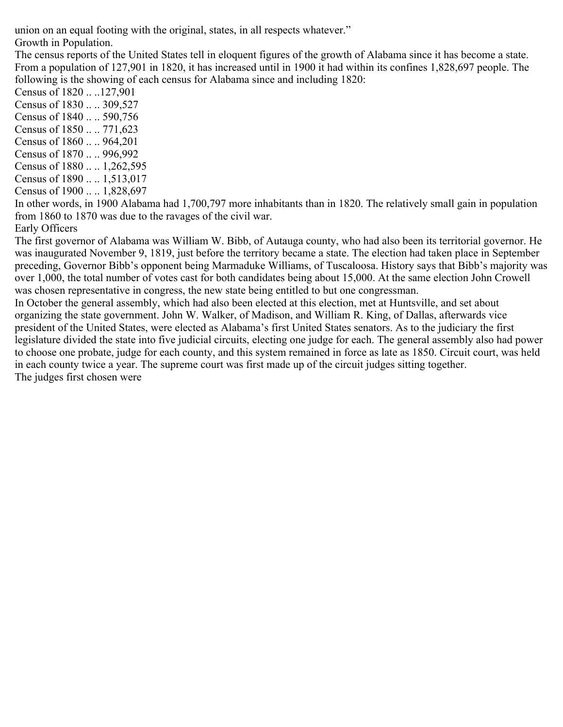union on an equal footing with the original, states, in all respects whatever." Growth in Population.

The census reports of the United States tell in eloquent figures of the growth of Alabama since it has become a state. From a population of 127,901 in 1820, it has increased until in 1900 it had within its confines 1,828,697 people. The following is the showing of each census for Alabama since and including 1820:

Census of 1820 .. ..127,901 Census of 1830 .. .. 309,527 Census of 1840 .. .. 590,756 Census of 1850 .. .. 771,623 Census of 1860 .. .. 964,201 Census of 1870 .. .. 996,992 Census of 1880 .. .. 1,262,595 Census of 1890 .. .. 1,513,017

Census of 1900 .. .. 1,828,697

In other words, in 1900 Alabama had 1,700,797 more inhabitants than in 1820. The relatively small gain in population from 1860 to 1870 was due to the ravages of the civil war.

#### Early Officers

The first governor of Alabama was William W. Bibb, of Autauga county, who had also been its territorial governor. He was inaugurated November 9, 1819, just before the territory became a state. The election had taken place in September preceding, Governor Bibb's opponent being Marmaduke Williams, of Tuscaloosa. History says that Bibb's majority was over 1,000, the total number of votes cast for both candidates being about 15,000. At the same election John Crowell was chosen representative in congress, the new state being entitled to but one congressman.

In October the general assembly, which had also been elected at this election, met at Huntsville, and set about organizing the state government. John W. Walker, of Madison, and William R. King, of Dallas, afterwards vice president of the United States, were elected as Alabama's first United States senators. As to the judiciary the first legislature divided the state into five judicial circuits, electing one judge for each. The general assembly also had power to choose one probate, judge for each county, and this system remained in force as late as 1850. Circuit court, was held in each county twice a year. The supreme court was first made up of the circuit judges sitting together. The judges first chosen were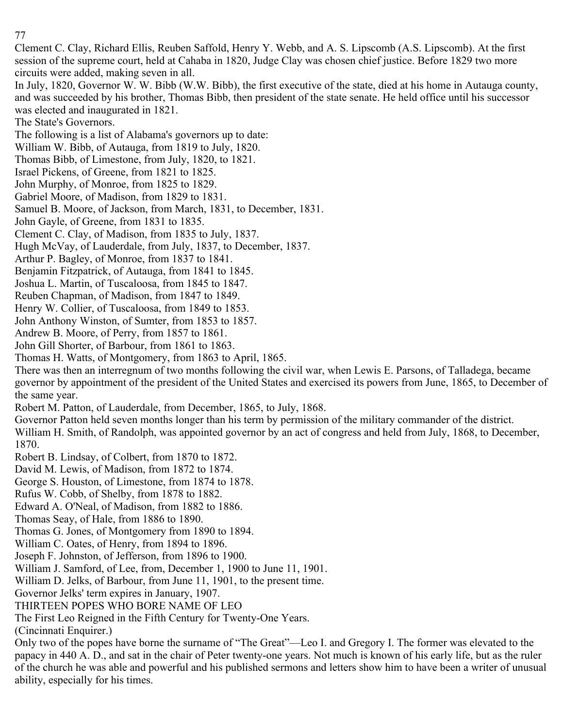Clement C. Clay, Richard Ellis, Reuben Saffold, Henry Y. Webb, and A. S. Lipscomb (A.S. Lipscomb). At the first session of the supreme court, held at Cahaba in 1820, Judge Clay was chosen chief justice. Before 1829 two more circuits were added, making seven in all.

In July, 1820, Governor W. W. Bibb (W.W. Bibb), the first executive of the state, died at his home in Autauga county, and was succeeded by his brother, Thomas Bibb, then president of the state senate. He held office until his successor was elected and inaugurated in 1821.

The State's Governors.

The following is a list of Alabama's governors up to date:

William W. Bibb, of Autauga, from 1819 to July, 1820.

Thomas Bibb, of Limestone, from July, 1820, to 1821.

Israel Pickens, of Greene, from 1821 to 1825.

John Murphy, of Monroe, from 1825 to 1829.

Gabriel Moore, of Madison, from 1829 to 1831.

Samuel B. Moore, of Jackson, from March, 1831, to December, 1831.

John Gayle, of Greene, from 1831 to 1835.

Clement C. Clay, of Madison, from 1835 to July, 1837.

Hugh McVay, of Lauderdale, from July, 1837, to December, 1837.

Arthur P. Bagley, of Monroe, from 1837 to 1841.

Benjamin Fitzpatrick, of Autauga, from 1841 to 1845.

Joshua L. Martin, of Tuscaloosa, from 1845 to 1847.

Reuben Chapman, of Madison, from 1847 to 1849.

Henry W. Collier, of Tuscaloosa, from 1849 to 1853.

John Anthony Winston, of Sumter, from 1853 to 1857.

Andrew B. Moore, of Perry, from 1857 to 1861.

John Gill Shorter, of Barbour, from 1861 to 1863.

Thomas H. Watts, of Montgomery, from 1863 to April, 1865.

There was then an interregnum of two months following the civil war, when Lewis E. Parsons, of Talladega, became governor by appointment of the president of the United States and exercised its powers from June, 1865, to December of the same year.

Robert M. Patton, of Lauderdale, from December, 1865, to July, 1868.

Governor Patton held seven months longer than his term by permission of the military commander of the district.

William H. Smith, of Randolph, was appointed governor by an act of congress and held from July, 1868, to December, 1870.

Robert B. Lindsay, of Colbert, from 1870 to 1872.

David M. Lewis, of Madison, from 1872 to 1874.

George S. Houston, of Limestone, from 1874 to 1878.

Rufus W. Cobb, of Shelby, from 1878 to 1882.

Edward A. O'Neal, of Madison, from 1882 to 1886.

Thomas Seay, of Hale, from 1886 to 1890.

Thomas G. Jones, of Montgomery from 1890 to 1894.

William C. Oates, of Henry, from 1894 to 1896.

Joseph F. Johnston, of Jefferson, from 1896 to 1900.

William J. Samford, of Lee, from, December 1, 1900 to June 11, 1901.

William D. Jelks, of Barbour, from June 11, 1901, to the present time.

Governor Jelks' term expires in January, 1907.

THIRTEEN POPES WHO BORE NAME OF LEO

The First Leo Reigned in the Fifth Century for Twenty-One Years.

(Cincinnati Enquirer.)

Only two of the popes have borne the surname of "The Great"—Leo I. and Gregory I. The former was elevated to the papacy in 440 A. D., and sat in the chair of Peter twenty-one years. Not much is known of his early life, but as the ruler of the church he was able and powerful and his published sermons and letters show him to have been a writer of unusual ability, especially for his times.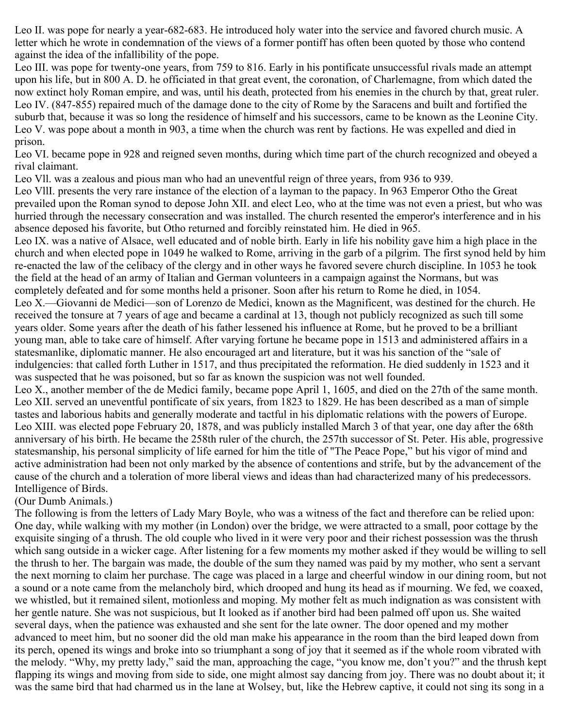Leo II. was pope for nearly a year-682-683. He introduced holy water into the service and favored church music. A letter which he wrote in condemnation of the views of a former pontiff has often been quoted by those who contend against the idea of the infallibility of the pope.

Leo III. was pope for twenty-one years, from 759 to 816. Early in his pontificate unsuccessful rivals made an attempt upon his life, but in 800 A. D. he officiated in that great event, the coronation, of Charlemagne, from which dated the now extinct holy Roman empire, and was, until his death, protected from his enemies in the church by that, great ruler. Leo IV. (847-855) repaired much of the damage done to the city of Rome by the Saracens and built and fortified the suburb that, because it was so long the residence of himself and his successors, came to be known as the Leonine City. Leo V. was pope about a month in 903, a time when the church was rent by factions. He was expelled and died in prison.

Leo VI. became pope in 928 and reigned seven months, during which time part of the church recognized and obeyed a rival claimant.

Leo Vll. was a zealous and pious man who had an uneventful reign of three years, from 936 to 939.

Leo VllI. presents the very rare instance of the election of a layman to the papacy. In 963 Emperor Otho the Great prevailed upon the Roman synod to depose John XII. and elect Leo, who at the time was not even a priest, but who was hurried through the necessary consecration and was installed. The church resented the emperor's interference and in his absence deposed his favorite, but Otho returned and forcibly reinstated him. He died in 965.

Leo IX. was a native of Alsace, well educated and of noble birth. Early in life his nobility gave him a high place in the church and when elected pope in 1049 he walked to Rome, arriving in the garb of a pilgrim. The first synod held by him re-enacted the law of the celibacy of the clergy and in other ways he favored severe church discipline. In 1053 he took the field at the head of an army of Italian and German volunteers in a campaign against the Normans, but was completely defeated and for some months held a prisoner. Soon after his return to Rome he died, in 1054. Leo X.—Giovanni de Medici—son of Lorenzo de Medici, known as the Magnificent, was destined for the church. He received the tonsure at 7 years of age and became a cardinal at 13, though not publicly recognized as such till some years older. Some years after the death of his father lessened his influence at Rome, but he proved to be a brilliant young man, able to take care of himself. After varying fortune he became pope in 1513 and administered affairs in a statesmanlike, diplomatic manner. He also encouraged art and literature, but it was his sanction of the "sale of indulgencies: that called forth Luther in 1517, and thus precipitated the reformation. He died suddenly in 1523 and it was suspected that he was poisoned, but so far as known the suspicion was not well founded.

Leo X., another member of the de Medici family, became pope April 1, 1605, and died on the 27th of the same month. Leo XII. served an uneventful pontificate of six years, from 1823 to 1829. He has been described as a man of simple tastes and laborious habits and generally moderate and tactful in his diplomatic relations with the powers of Europe. Leo XIII. was elected pope February 20, 1878, and was publicly installed March 3 of that year, one day after the 68th anniversary of his birth. He became the 258th ruler of the church, the 257th successor of St. Peter. His able, progressive statesmanship, his personal simplicity of life earned for him the title of "The Peace Pope," but his vigor of mind and active administration had been not only marked by the absence of contentions and strife, but by the advancement of the cause of the church and a toleration of more liberal views and ideas than had characterized many of his predecessors. Intelligence of Birds.

## (Our Dumb Animals.)

The following is from the letters of Lady Mary Boyle, who was a witness of the fact and therefore can be relied upon: One day, while walking with my mother (in London) over the bridge, we were attracted to a small, poor cottage by the exquisite singing of a thrush. The old couple who lived in it were very poor and their richest possession was the thrush which sang outside in a wicker cage. After listening for a few moments my mother asked if they would be willing to sell the thrush to her. The bargain was made, the double of the sum they named was paid by my mother, who sent a servant the next morning to claim her purchase. The cage was placed in a large and cheerful window in our dining room, but not a sound or a note came from the melancholy bird, which drooped and hung its head as if mourning. We fed, we coaxed, we whistled, but it remained silent, motionless and moping. My mother felt as much indignation as was consistent with her gentle nature. She was not suspicious, but It looked as if another bird had been palmed off upon us. She waited several days, when the patience was exhausted and she sent for the late owner. The door opened and my mother advanced to meet him, but no sooner did the old man make his appearance in the room than the bird leaped down from its perch, opened its wings and broke into so triumphant a song of joy that it seemed as if the whole room vibrated with the melody. "Why, my pretty lady," said the man, approaching the cage, "you know me, don't you?" and the thrush kept flapping its wings and moving from side to side, one might almost say dancing from joy. There was no doubt about it; it was the same bird that had charmed us in the lane at Wolsey, but, like the Hebrew captive, it could not sing its song in a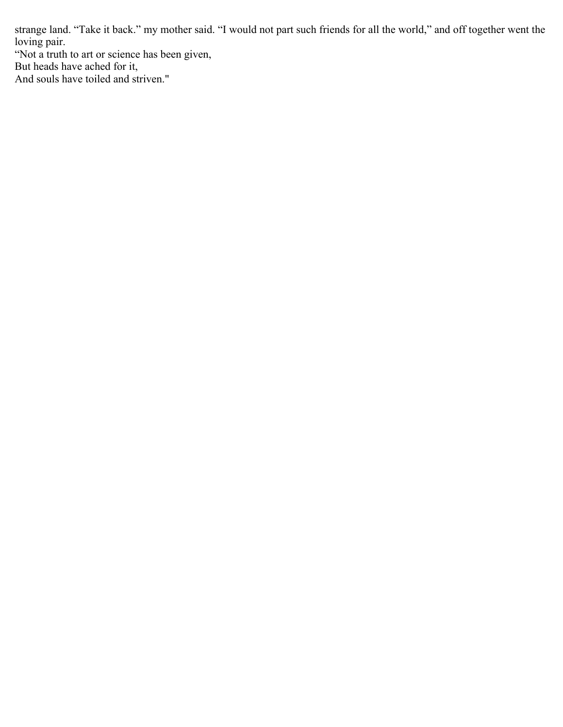strange land. "Take it back." my mother said. "I would not part such friends for all the world," and off together went the loving pair.

"Not a truth to art or science has been given,

But heads have ached for it,

And souls have toiled and striven."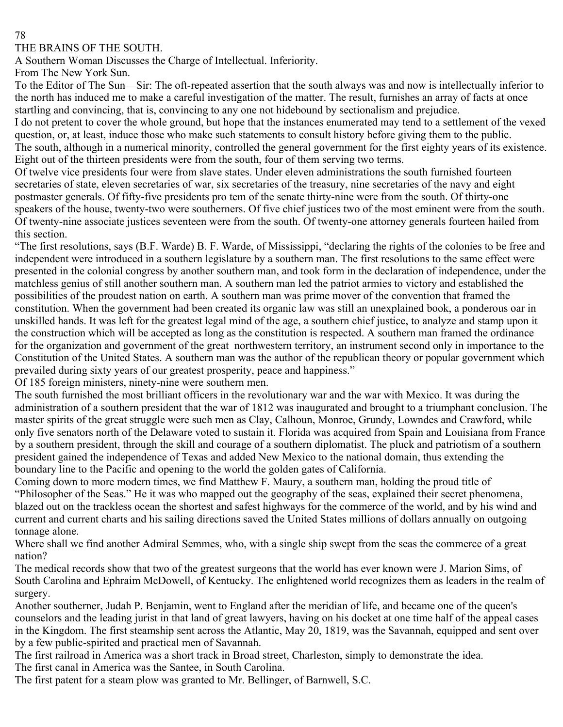#### THE BRAINS OF THE SOUTH.

A Southern Woman Discusses the Charge of Intellectual. Inferiority.

From The New York Sun.

To the Editor of The Sun—Sir: The oft-repeated assertion that the south always was and now is intellectually inferior to the north has induced me to make a careful investigation of the matter. The result, furnishes an array of facts at once startling and convincing, that is, convincing to any one not hidebound by sectionalism and prejudice.

I do not pretent to cover the whole ground, but hope that the instances enumerated may tend to a settlement of the vexed question, or, at least, induce those who make such statements to consult history before giving them to the public. The south, although in a numerical minority, controlled the general government for the first eighty years of its existence. Eight out of the thirteen presidents were from the south, four of them serving two terms.

Of twelve vice presidents four were from slave states. Under eleven administrations the south furnished fourteen secretaries of state, eleven secretaries of war, six secretaries of the treasury, nine secretaries of the navy and eight postmaster generals. Of fifty-five presidents pro tem of the senate thirty-nine were from the south. Of thirty-one speakers of the house, twenty-two were southerners. Of five chief justices two of the most eminent were from the south. Of twenty-nine associate justices seventeen were from the south. Of twenty-one attorney generals fourteen hailed from this section.

"The first resolutions, says (B.F. Warde) B. F. Warde, of Mississippi, "declaring the rights of the colonies to be free and independent were introduced in a southern legislature by a southern man. The first resolutions to the same effect were presented in the colonial congress by another southern man, and took form in the declaration of independence, under the matchless genius of still another southern man. A southern man led the patriot armies to victory and established the possibilities of the proudest nation on earth. A southern man was prime mover of the convention that framed the constitution. When the government had been created its organic law was still an unexplained book, a ponderous oar in unskilled hands. It was left for the greatest legal mind of the age, a southern chief justice, to analyze and stamp upon it the construction which will be accepted as long as the constitution is respected. A southern man framed the ordinance for the organization and government of the great northwestern territory, an instrument second only in importance to the Constitution of the United States. A southern man was the author of the republican theory or popular government which prevailed during sixty years of our greatest prosperity, peace and happiness."

Of 185 foreign ministers, ninety-nine were southern men.

The south furnished the most brilliant officers in the revolutionary war and the war with Mexico. It was during the administration of a southern president that the war of 1812 was inaugurated and brought to a triumphant conclusion. The master spirits of the great struggle were such men as Clay, Calhoun, Monroe, Grundy, Lowndes and Crawford, while only five senators north of the Delaware voted to sustain it. Florida was acquired from Spain and Louisiana from France by a southern president, through the skill and courage of a southern diplomatist. The pluck and patriotism of a southern president gained the independence of Texas and added New Mexico to the national domain, thus extending the boundary line to the Pacific and opening to the world the golden gates of California.

Coming down to more modern times, we find Matthew F. Maury, a southern man, holding the proud title of "Philosopher of the Seas." He it was who mapped out the geography of the seas, explained their secret phenomena, blazed out on the trackless ocean the shortest and safest highways for the commerce of the world, and by his wind and current and current charts and his sailing directions saved the United States millions of dollars annually on outgoing tonnage alone.

Where shall we find another Admiral Semmes, who, with a single ship swept from the seas the commerce of a great nation?

The medical records show that two of the greatest surgeons that the world has ever known were J. Marion Sims, of South Carolina and Ephraim McDowell, of Kentucky. The enlightened world recognizes them as leaders in the realm of surgery.

Another southerner, Judah P. Benjamin, went to England after the meridian of life, and became one of the queen's counselors and the leading jurist in that land of great lawyers, having on his docket at one time half of the appeal cases in the Kingdom. The first steamship sent across the Atlantic, May 20, 1819, was the Savannah, equipped and sent over by a few public-spirited and practical men of Savannah.

The first railroad in America was a short track in Broad street, Charleston, simply to demonstrate the idea. The first canal in America was the Santee, in South Carolina.

The first patent for a steam plow was granted to Mr. Bellinger, of Barnwell, S.C.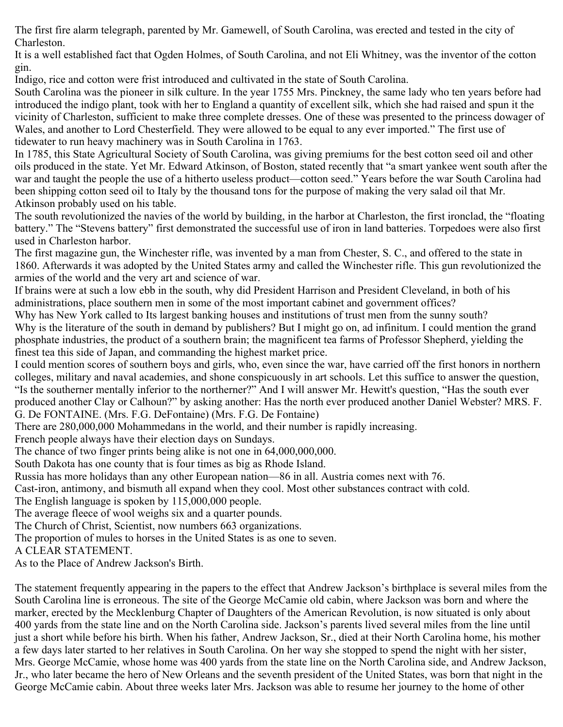The first fire alarm telegraph, parented by Mr. Gamewell, of South Carolina, was erected and tested in the city of Charleston.

It is a well established fact that Ogden Holmes, of South Carolina, and not Eli Whitney, was the inventor of the cotton gin.

Indigo, rice and cotton were frist introduced and cultivated in the state of South Carolina.

South Carolina was the pioneer in silk culture. In the year 1755 Mrs. Pinckney, the same lady who ten years before had introduced the indigo plant, took with her to England a quantity of excellent silk, which she had raised and spun it the vicinity of Charleston, sufficient to make three complete dresses. One of these was presented to the princess dowager of Wales, and another to Lord Chesterfield. They were allowed to be equal to any ever imported." The first use of tidewater to run heavy machinery was in South Carolina in 1763.

In 1785, this State Agricultural Society of South Carolina, was giving premiums for the best cotton seed oil and other oils produced in the state. Yet Mr. Edward Atkinson, of Boston, stated recently that "a smart yankee went south after the war and taught the people the use of a hitherto useless product—cotton seed." Years before the war South Carolina had been shipping cotton seed oil to Italy by the thousand tons for the purpose of making the very salad oil that Mr. Atkinson probably used on his table.

The south revolutionized the navies of the world by building, in the harbor at Charleston, the first ironclad, the "floating battery." The "Stevens battery" first demonstrated the successful use of iron in land batteries. Torpedoes were also first used in Charleston harbor.

The first magazine gun, the Winchester rifle, was invented by a man from Chester, S. C., and offered to the state in 1860. Afterwards it was adopted by the United States army and called the Winchester rifle. This gun revolutionized the armies of the world and the very art and science of war.

If brains were at such a low ebb in the south, why did President Harrison and President Cleveland, in both of his administrations, place southern men in some of the most important cabinet and government offices?

Why has New York called to Its largest banking houses and institutions of trust men from the sunny south? Why is the literature of the south in demand by publishers? But I might go on, ad infinitum. I could mention the grand phosphate industries, the product of a southern brain; the magnificent tea farms of Professor Shepherd, yielding the finest tea this side of Japan, and commanding the highest market price.

I could mention scores of southern boys and girls, who, even since the war, have carried off the first honors in northern colleges, military and naval academies, and shone conspicuously in art schools. Let this suffice to answer the question, "Is the southerner mentally inferior to the northerner?" And I will answer Mr. Hewitt's question, "Has the south ever produced another Clay or Calhoun?" by asking another: Has the north ever produced another Daniel Webster? MRS. F. G. De FONTAINE. (Mrs. F.G. DeFontaine) (Mrs. F.G. De Fontaine)

There are 280,000,000 Mohammedans in the world, and their number is rapidly increasing.

French people always have their election days on Sundays.

The chance of two finger prints being alike is not one in 64,000,000,000.

South Dakota has one county that is four times as big as Rhode Island.

Russia has more holidays than any other European nation—86 in all. Austria comes next with 76.

Cast-iron, antimony, and bismuth all expand when they cool. Most other substances contract with cold.

The English language is spoken by 115,000,000 people.

The average fleece of wool weighs six and a quarter pounds.

The Church of Christ, Scientist, now numbers 663 organizations.

The proportion of mules to horses in the United States is as one to seven.

A CLEAR STATEMENT.

As to the Place of Andrew Jackson's Birth.

The statement frequently appearing in the papers to the effect that Andrew Jackson's birthplace is several miles from the South Carolina line is erroneous. The site of the George McCamie old cabin, where Jackson was born and where the marker, erected by the Mecklenburg Chapter of Daughters of the American Revolution, is now situated is only about 400 yards from the state line and on the North Carolina side. Jackson's parents lived several miles from the line until just a short while before his birth. When his father, Andrew Jackson, Sr., died at their North Carolina home, his mother a few days later started to her relatives in South Carolina. On her way she stopped to spend the night with her sister, Mrs. George McCamie, whose home was 400 yards from the state line on the North Carolina side, and Andrew Jackson, Jr., who later became the hero of New Orleans and the seventh president of the United States, was born that night in the George McCamie cabin. About three weeks later Mrs. Jackson was able to resume her journey to the home of other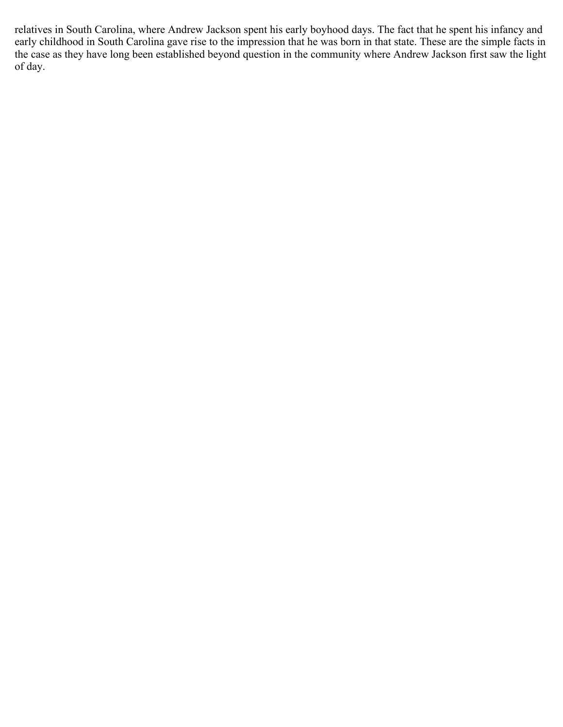relatives in South Carolina, where Andrew Jackson spent his early boyhood days. The fact that he spent his infancy and early childhood in South Carolina gave rise to the impression that he was born in that state. These are the simple facts in the case as they have long been established beyond question in the community where Andrew Jackson first saw the light of day.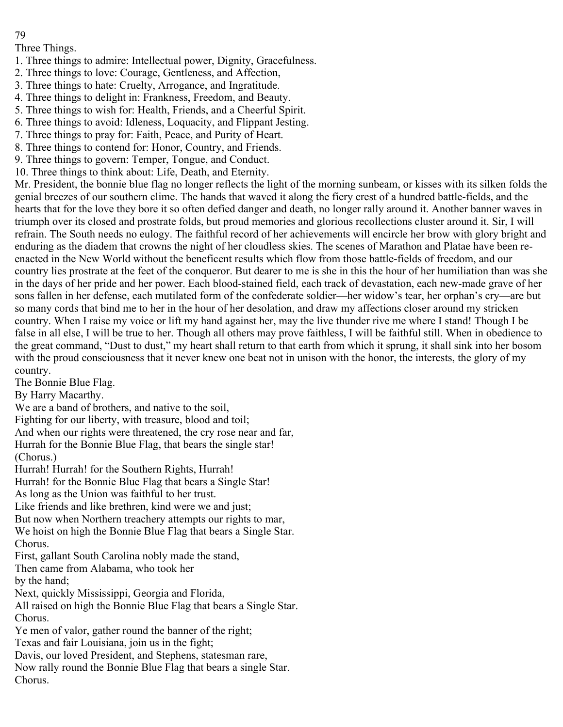Three Things.

- 1. Three things to admire: Intellectual power, Dignity, Gracefulness.
- 2. Three things to love: Courage, Gentleness, and Affection,
- 3. Three things to hate: Cruelty, Arrogance, and Ingratitude.
- 4. Three things to delight in: Frankness, Freedom, and Beauty.
- 5. Three things to wish for: Health, Friends, and a Cheerful Spirit.
- 6. Three things to avoid: Idleness, Loquacity, and Flippant Jesting.
- 7. Three things to pray for: Faith, Peace, and Purity of Heart.
- 8. Three things to contend for: Honor, Country, and Friends.
- 9. Three things to govern: Temper, Tongue, and Conduct.
- 10. Three things to think about: Life, Death, and Eternity.

Mr. President, the bonnie blue flag no longer reflects the light of the morning sunbeam, or kisses with its silken folds the genial breezes of our southern clime. The hands that waved it along the fiery crest of a hundred battle-fields, and the hearts that for the love they bore it so often defied danger and death, no longer rally around it. Another banner waves in triumph over its closed and prostrate folds, but proud memories and glorious recollections cluster around it. Sir, I will refrain. The South needs no eulogy. The faithful record of her achievements will encircle her brow with glory bright and enduring as the diadem that crowns the night of her cloudless skies. The scenes of Marathon and Platae have been reenacted in the New World without the beneficent results which flow from those battle-fields of freedom, and our country lies prostrate at the feet of the conqueror. But dearer to me is she in this the hour of her humiliation than was she in the days of her pride and her power. Each blood-stained field, each track of devastation, each new-made grave of her sons fallen in her defense, each mutilated form of the confederate soldier—her widow's tear, her orphan's cry—are but so many cords that bind me to her in the hour of her desolation, and draw my affections closer around my stricken country. When I raise my voice or lift my hand against her, may the live thunder rive me where I stand! Though I be false in all else, I will be true to her. Though all others may prove faithless, I will be faithful still. When in obedience to the great command, "Dust to dust," my heart shall return to that earth from which it sprung, it shall sink into her bosom with the proud consciousness that it never knew one beat not in unison with the honor, the interests, the glory of my country.

The Bonnie Blue Flag.

By Harry Macarthy.

We are a band of brothers, and native to the soil,

Fighting for our liberty, with treasure, blood and toil;

And when our rights were threatened, the cry rose near and far,

Hurrah for the Bonnie Blue Flag, that bears the single star!

(Chorus.)

Hurrah! Hurrah! for the Southern Rights, Hurrah!

Hurrah! for the Bonnie Blue Flag that bears a Single Star!

As long as the Union was faithful to her trust.

Like friends and like brethren, kind were we and just;

But now when Northern treachery attempts our rights to mar,

- We hoist on high the Bonnie Blue Flag that bears a Single Star. Chorus.
- First, gallant South Carolina nobly made the stand,

Then came from Alabama, who took her

by the hand;

Next, quickly Mississippi, Georgia and Florida,

All raised on high the Bonnie Blue Flag that bears a Single Star. Chorus.

Ye men of valor, gather round the banner of the right;

Texas and fair Louisiana, join us in the fight;

Davis, our loved President, and Stephens, statesman rare,

Now rally round the Bonnie Blue Flag that bears a single Star. Chorus.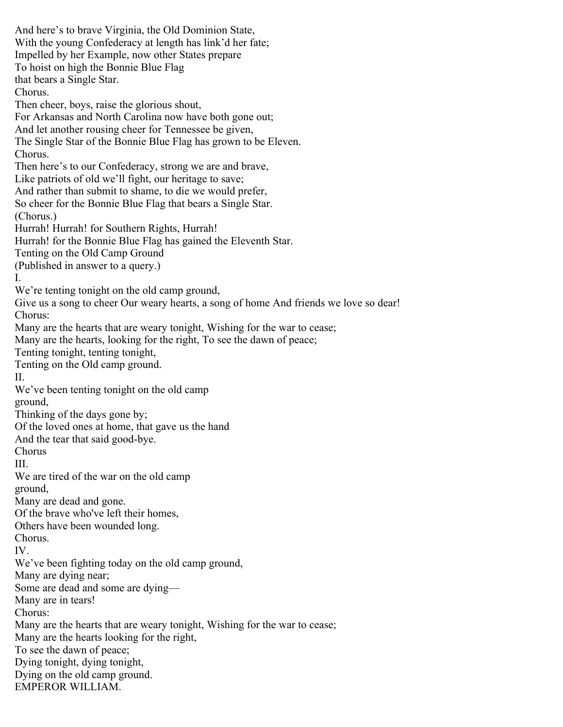And here's to brave Virginia, the Old Dominion State, With the young Confederacy at length has link'd her fate; Impelled by her Example, now other States prepare To hoist on high the Bonnie Blue Flag that bears a Single Star. Chorus. Then cheer, boys, raise the glorious shout, For Arkansas and North Carolina now have both gone out; And let another rousing cheer for Tennessee be given, The Single Star of the Bonnie Blue Flag has grown to be Eleven. Chorus. Then here's to our Confederacy, strong we are and brave, Like patriots of old we'll fight, our heritage to save; And rather than submit to shame, to die we would prefer, So cheer for the Bonnie Blue Flag that bears a Single Star. (Chorus.) Hurrah! Hurrah! for Southern Rights, Hurrah! Hurrah! for the Bonnie Blue Flag has gained the Eleventh Star. Tenting on the Old Camp Ground (Published in answer to a query.) I. We're tenting tonight on the old camp ground, Give us a song to cheer Our weary hearts, a song of home And friends we love so dear! Chorus: Many are the hearts that are weary tonight, Wishing for the war to cease; Many are the hearts, looking for the right, To see the dawn of peace; Tenting tonight, tenting tonight, Tenting on the Old camp ground. II. We've been tenting tonight on the old camp ground, Thinking of the days gone by; Of the loved ones at home, that gave us the hand And the tear that said good-bye. Chorus III. We are tired of the war on the old camp ground, Many are dead and gone. Of the brave who've left their homes, Others have been wounded long. Chorus. IV. We've been fighting today on the old camp ground, Many are dying near; Some are dead and some are dying— Many are in tears! Chorus: Many are the hearts that are weary tonight, Wishing for the war to cease; Many are the hearts looking for the right, To see the dawn of peace; Dying tonight, dying tonight, Dying on the old camp ground. EMPEROR WILLIAM.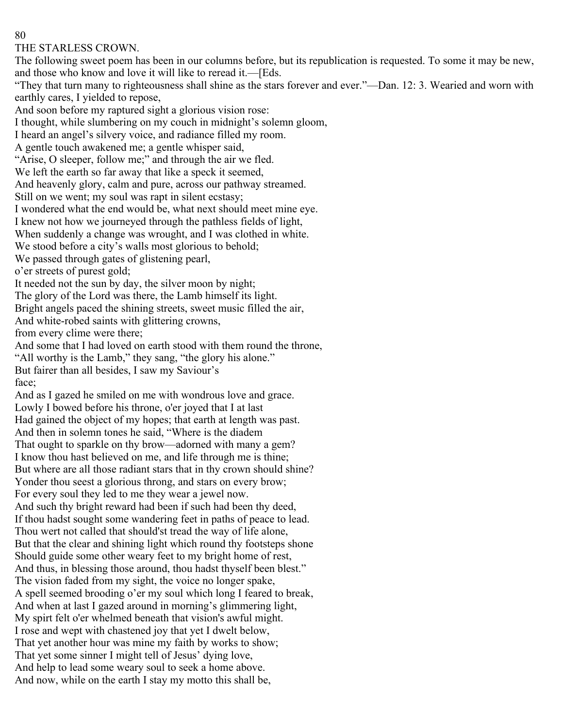#### THE STARLESS CROWN.

The following sweet poem has been in our columns before, but its republication is requested. To some it may be new, and those who know and love it will like to reread it.—[Eds.

"They that turn many to righteousness shall shine as the stars forever and ever."—Dan. 12: 3. Wearied and worn with earthly cares, I yielded to repose,

And soon before my raptured sight a glorious vision rose:

I thought, while slumbering on my couch in midnight's solemn gloom,

I heard an angel's silvery voice, and radiance filled my room.

A gentle touch awakened me; a gentle whisper said,

"Arise, O sleeper, follow me;" and through the air we fled.

We left the earth so far away that like a speck it seemed,

And heavenly glory, calm and pure, across our pathway streamed.

Still on we went; my soul was rapt in silent ecstasy;

I wondered what the end would be, what next should meet mine eye.

I knew not how we journeyed through the pathless fields of light,

When suddenly a change was wrought, and I was clothed in white.

We stood before a city's walls most glorious to behold;

We passed through gates of glistening pearl,

o'er streets of purest gold;

It needed not the sun by day, the silver moon by night;

The glory of the Lord was there, the Lamb himself its light.

Bright angels paced the shining streets, sweet music filled the air,

And white-robed saints with glittering crowns,

from every clime were there;

And some that I had loved on earth stood with them round the throne,

"All worthy is the Lamb," they sang, "the glory his alone."

But fairer than all besides, I saw my Saviour's face;

And as I gazed he smiled on me with wondrous love and grace. Lowly I bowed before his throne, o'er joyed that I at last Had gained the object of my hopes; that earth at length was past. And then in solemn tones he said, "Where is the diadem That ought to sparkle on thy brow—adorned with many a gem? I know thou hast believed on me, and life through me is thine; But where are all those radiant stars that in thy crown should shine? Yonder thou seest a glorious throng, and stars on every brow; For every soul they led to me they wear a jewel now. And such thy bright reward had been if such had been thy deed, If thou hadst sought some wandering feet in paths of peace to lead. Thou wert not called that should'st tread the way of life alone, But that the clear and shining light which round thy footsteps shone Should guide some other weary feet to my bright home of rest, And thus, in blessing those around, thou hadst thyself been blest." The vision faded from my sight, the voice no longer spake, A spell seemed brooding o'er my soul which long I feared to break, And when at last I gazed around in morning's glimmering light, My spirt felt o'er whelmed beneath that vision's awful might. I rose and wept with chastened joy that yet I dwelt below, That yet another hour was mine my faith by works to show; That yet some sinner I might tell of Jesus' dying love, And help to lead some weary soul to seek a home above. And now, while on the earth I stay my motto this shall be,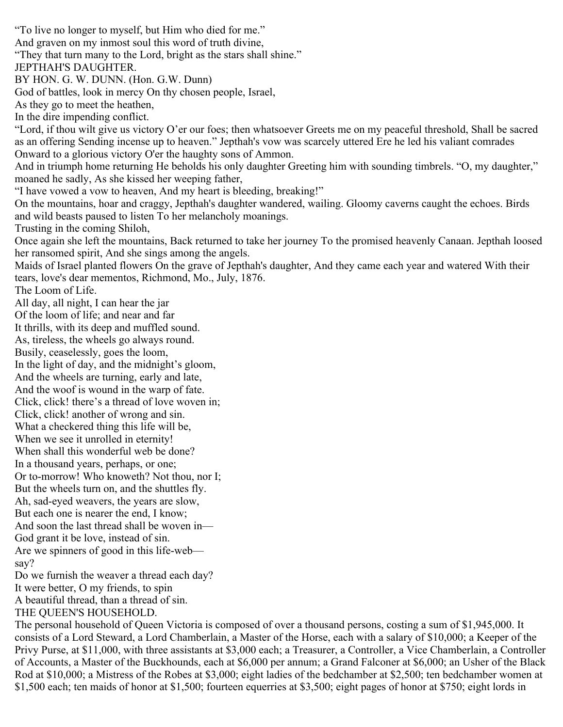"To live no longer to myself, but Him who died for me." And graven on my inmost soul this word of truth divine, "They that turn many to the Lord, bright as the stars shall shine." JEPTHAH'S DAUGHTER. BY HON. G. W. DUNN. (Hon. G.W. Dunn) God of battles, look in mercy On thy chosen people, Israel, As they go to meet the heathen, In the dire impending conflict. "Lord, if thou wilt give us victory O'er our foes; then whatsoever Greets me on my peaceful threshold, Shall be sacred as an offering Sending incense up to heaven." Jepthah's vow was scarcely uttered Ere he led his valiant comrades Onward to a glorious victory O'er the haughty sons of Ammon. And in triumph home returning He beholds his only daughter Greeting him with sounding timbrels. "O, my daughter," moaned he sadly, As she kissed her weeping father, "I have vowed a vow to heaven, And my heart is bleeding, breaking!" On the mountains, hoar and craggy, Jepthah's daughter wandered, wailing. Gloomy caverns caught the echoes. Birds and wild beasts paused to listen To her melancholy moanings. Trusting in the coming Shiloh, Once again she left the mountains, Back returned to take her journey To the promised heavenly Canaan. Jepthah loosed her ransomed spirit, And she sings among the angels. Maids of Israel planted flowers On the grave of Jepthah's daughter, And they came each year and watered With their tears, love's dear mementos, Richmond, Mo., July, 1876. The Loom of Life. All day, all night, I can hear the jar Of the loom of life; and near and far It thrills, with its deep and muffled sound. As, tireless, the wheels go always round. Busily, ceaselessly, goes the loom, In the light of day, and the midnight's gloom, And the wheels are turning, early and late, And the woof is wound in the warp of fate. Click, click! there's a thread of love woven in; Click, click! another of wrong and sin. What a checkered thing this life will be, When we see it unrolled in eternity! When shall this wonderful web be done? In a thousand years, perhaps, or one; Or to-morrow! Who knoweth? Not thou, nor I; But the wheels turn on, and the shuttles fly. Ah, sad-eyed weavers, the years are slow, But each one is nearer the end, I know; And soon the last thread shall be woven in— God grant it be love, instead of sin. Are we spinners of good in this life-web say? Do we furnish the weaver a thread each day? It were better, O my friends, to spin A beautiful thread, than a thread of sin. THE QUEEN'S HOUSEHOLD.

The personal household of Queen Victoria is composed of over a thousand persons, costing a sum of \$1,945,000. It consists of a Lord Steward, a Lord Chamberlain, a Master of the Horse, each with a salary of \$10,000; a Keeper of the Privy Purse, at \$11,000, with three assistants at \$3,000 each; a Treasurer, a Controller, a Vice Chamberlain, a Controller of Accounts, a Master of the Buckhounds, each at \$6,000 per annum; a Grand Falconer at \$6,000; an Usher of the Black Rod at \$10,000; a Mistress of the Robes at \$3,000; eight ladies of the bedchamber at \$2,500; ten bedchamber women at \$1,500 each; ten maids of honor at \$1,500; fourteen equerries at \$3,500; eight pages of honor at \$750; eight lords in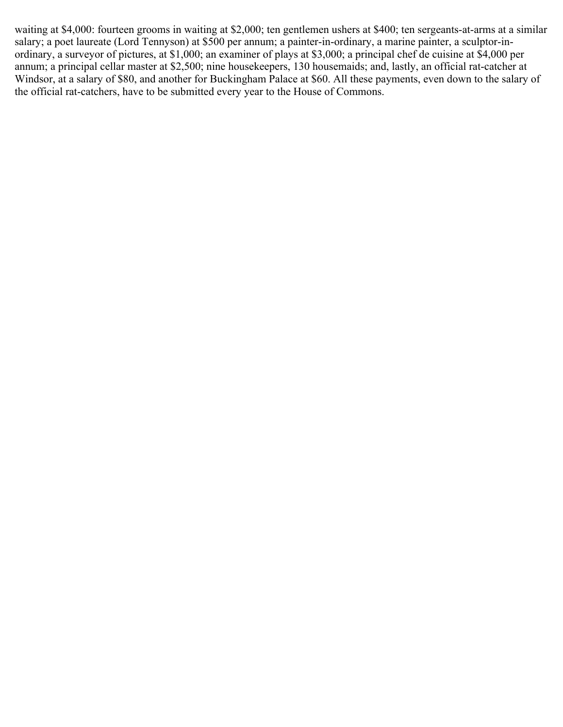waiting at \$4,000: fourteen grooms in waiting at \$2,000; ten gentlemen ushers at \$400; ten sergeants-at-arms at a similar salary; a poet laureate (Lord Tennyson) at \$500 per annum; a painter-in-ordinary, a marine painter, a sculptor-inordinary, a surveyor of pictures, at \$1,000; an examiner of plays at \$3,000; a principal chef de cuisine at \$4,000 per annum; a principal cellar master at \$2,500; nine housekeepers, 130 housemaids; and, lastly, an official rat-catcher at Windsor, at a salary of \$80, and another for Buckingham Palace at \$60. All these payments, even down to the salary of the official rat-catchers, have to be submitted every year to the House of Commons.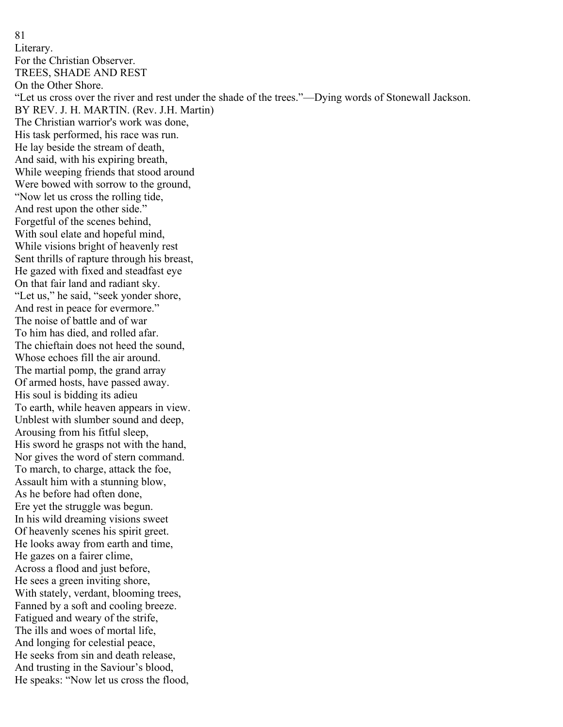81 Literary. For the Christian Observer. TREES, SHADE AND REST On the Other Shore. "Let us cross over the river and rest under the shade of the trees."—Dying words of Stonewall Jackson. BY REV. J. H. MARTIN. (Rev. J.H. Martin) The Christian warrior's work was done, His task performed, his race was run. He lay beside the stream of death, And said, with his expiring breath, While weeping friends that stood around Were bowed with sorrow to the ground, "Now let us cross the rolling tide, And rest upon the other side." Forgetful of the scenes behind, With soul elate and hopeful mind, While visions bright of heavenly rest Sent thrills of rapture through his breast, He gazed with fixed and steadfast eye On that fair land and radiant sky. "Let us," he said, "seek yonder shore, And rest in peace for evermore." The noise of battle and of war To him has died, and rolled afar. The chieftain does not heed the sound, Whose echoes fill the air around. The martial pomp, the grand array Of armed hosts, have passed away. His soul is bidding its adieu To earth, while heaven appears in view. Unblest with slumber sound and deep, Arousing from his fitful sleep, His sword he grasps not with the hand, Nor gives the word of stern command. To march, to charge, attack the foe, Assault him with a stunning blow, As he before had often done, Ere yet the struggle was begun. In his wild dreaming visions sweet Of heavenly scenes his spirit greet. He looks away from earth and time, He gazes on a fairer clime, Across a flood and just before, He sees a green inviting shore, With stately, verdant, blooming trees, Fanned by a soft and cooling breeze. Fatigued and weary of the strife, The ills and woes of mortal life, And longing for celestial peace, He seeks from sin and death release, And trusting in the Saviour's blood, He speaks: "Now let us cross the flood,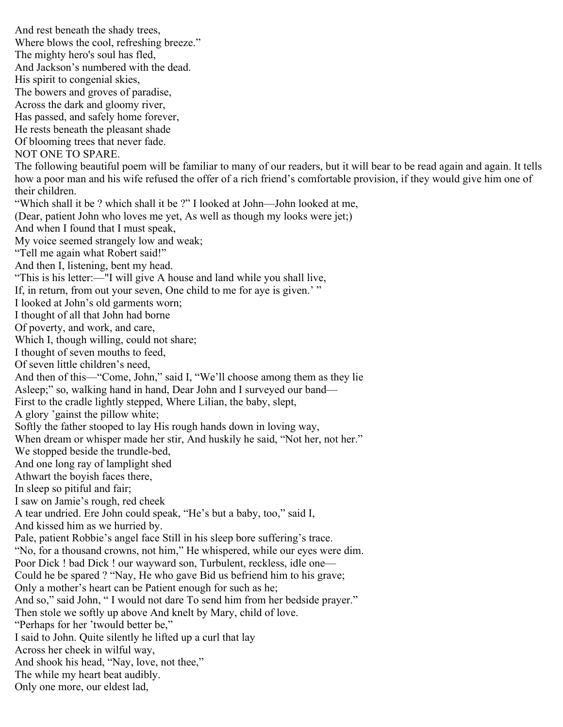And rest beneath the shady trees, Where blows the cool, refreshing breeze." The mighty hero's soul has fled, And Jackson's numbered with the dead. His spirit to congenial skies, The bowers and groves of paradise, Across the dark and gloomy river, Has passed, and safely home forever, He rests beneath the pleasant shade Of blooming trees that never fade. NOT ONE TO SPARE. The following beautiful poem will be familiar to many of our readers, but it will bear to be read again and again. It tells how a poor man and his wife refused the offer of a rich friend's comfortable provision, if they would give him one of their children. "Which shall it be ? which shall it be ?" I looked at John—John looked at me, (Dear, patient John who loves me yet, As well as though my looks were jet;) And when I found that I must speak, My voice seemed strangely low and weak; "Tell me again what Robert said!" And then I, listening, bent my head. "This is his letter:—"I will give A house and land while you shall live, If, in return, from out your seven, One child to me for aye is given.'" I looked at John's old garments worn; I thought of all that John had borne Of poverty, and work, and care, Which I, though willing, could not share; I thought of seven mouths to feed, Of seven little children's need, And then of this—"Come, John," said I, "We'll choose among them as they lie Asleep;" so, walking hand in hand, Dear John and I surveyed our band— First to the cradle lightly stepped, Where Lilian, the baby, slept, A glory 'gainst the pillow white; Softly the father stooped to lay His rough hands down in loving way, When dream or whisper made her stir, And huskily he said, "Not her, not her." We stopped beside the trundle-bed, And one long ray of lamplight shed Athwart the boyish faces there, In sleep so pitiful and fair; I saw on Jamie's rough, red cheek A tear undried. Ere John could speak, "He's but a baby, too," said I, And kissed him as we hurried by. Pale, patient Robbie's angel face Still in his sleep bore suffering's trace. "No, for a thousand crowns, not him," He whispered, while our eyes were dim. Poor Dick ! bad Dick ! our wayward son, Turbulent, reckless, idle one— Could he be spared ? "Nay, He who gave Bid us befriend him to his grave; Only a mother's heart can be Patient enough for such as he; And so," said John, " I would not dare To send him from her bedside prayer." Then stole we softly up above And knelt by Mary, child of love. "Perhaps for her 'twould better be," I said to John. Quite silently he lifted up a curl that lay Across her cheek in wilful way, And shook his head, "Nay, love, not thee," The while my heart beat audibly. Only one more, our eldest lad,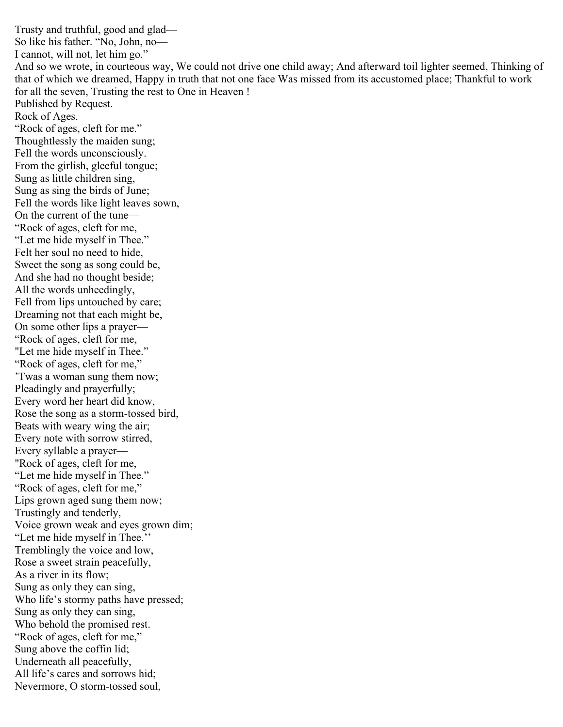Trusty and truthful, good and glad— So like his father. "No, John, no— I cannot, will not, let him go." And so we wrote, in courteous way, We could not drive one child away; And afterward toil lighter seemed, Thinking of that of which we dreamed, Happy in truth that not one face Was missed from its accustomed place; Thankful to work for all the seven, Trusting the rest to One in Heaven ! Published by Request. Rock of Ages. "Rock of ages, cleft for me." Thoughtlessly the maiden sung; Fell the words unconsciously. From the girlish, gleeful tongue; Sung as little children sing, Sung as sing the birds of June; Fell the words like light leaves sown, On the current of the tune— "Rock of ages, cleft for me, "Let me hide myself in Thee." Felt her soul no need to hide, Sweet the song as song could be, And she had no thought beside; All the words unheedingly, Fell from lips untouched by care; Dreaming not that each might be, On some other lips a prayer— "Rock of ages, cleft for me, "Let me hide myself in Thee." "Rock of ages, cleft for me," 'Twas a woman sung them now; Pleadingly and prayerfully; Every word her heart did know, Rose the song as a storm-tossed bird, Beats with weary wing the air; Every note with sorrow stirred, Every syllable a prayer— "Rock of ages, cleft for me, "Let me hide myself in Thee." "Rock of ages, cleft for me," Lips grown aged sung them now; Trustingly and tenderly, Voice grown weak and eyes grown dim; "Let me hide myself in Thee.'' Tremblingly the voice and low, Rose a sweet strain peacefully, As a river in its flow; Sung as only they can sing, Who life's stormy paths have pressed; Sung as only they can sing, Who behold the promised rest. "Rock of ages, cleft for me," Sung above the coffin lid; Underneath all peacefully, All life's cares and sorrows hid; Nevermore, O storm-tossed soul,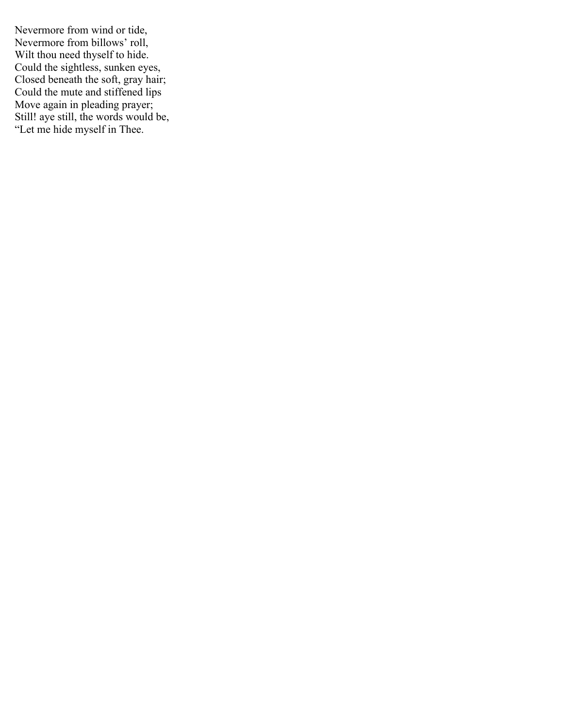Nevermore from wind or tide, Nevermore from billows' roll, Wilt thou need thyself to hide. Could the sightless, sunken eyes, Closed beneath the soft, gray hair; Could the mute and stiffened lips Move again in pleading prayer; Still! aye still, the words would be, "Let me hide myself in Thee.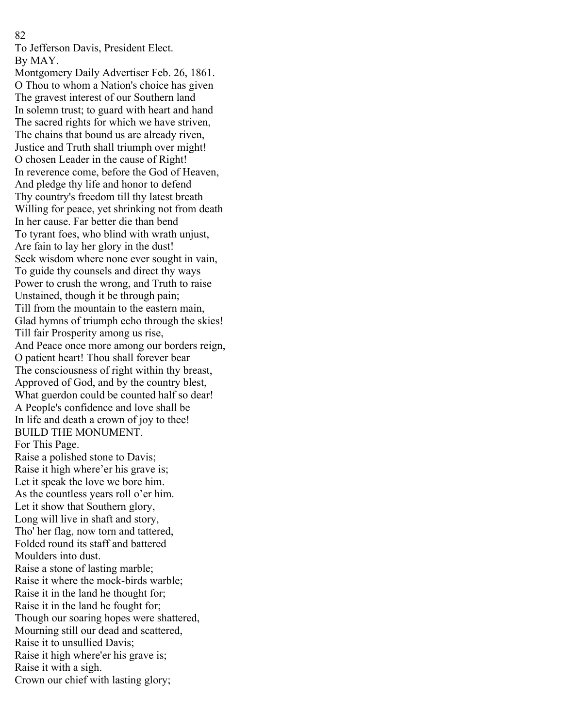To Jefferson Davis, President Elect. By MAY.

Montgomery Daily Advertiser Feb. 26, 1861. O Thou to whom a Nation's choice has given The gravest interest of our Southern land In solemn trust; to guard with heart and hand The sacred rights for which we have striven, The chains that bound us are already riven, Justice and Truth shall triumph over might! O chosen Leader in the cause of Right! In reverence come, before the God of Heaven, And pledge thy life and honor to defend Thy country's freedom till thy latest breath Willing for peace, yet shrinking not from death In her cause. Far better die than bend To tyrant foes, who blind with wrath unjust, Are fain to lay her glory in the dust! Seek wisdom where none ever sought in vain, To guide thy counsels and direct thy ways Power to crush the wrong, and Truth to raise Unstained, though it be through pain; Till from the mountain to the eastern main, Glad hymns of triumph echo through the skies! Till fair Prosperity among us rise, And Peace once more among our borders reign, O patient heart! Thou shall forever bear The consciousness of right within thy breast, Approved of God, and by the country blest, What guerdon could be counted half so dear! A People's confidence and love shall be In life and death a crown of joy to thee! BUILD THE MONUMENT. For This Page. Raise a polished stone to Davis; Raise it high where'er his grave is; Let it speak the love we bore him. As the countless years roll o'er him. Let it show that Southern glory, Long will live in shaft and story, Tho' her flag, now torn and tattered, Folded round its staff and battered Moulders into dust. Raise a stone of lasting marble; Raise it where the mock-birds warble; Raise it in the land he thought for; Raise it in the land he fought for; Though our soaring hopes were shattered, Mourning still our dead and scattered, Raise it to unsullied Davis; Raise it high where'er his grave is; Raise it with a sigh. Crown our chief with lasting glory;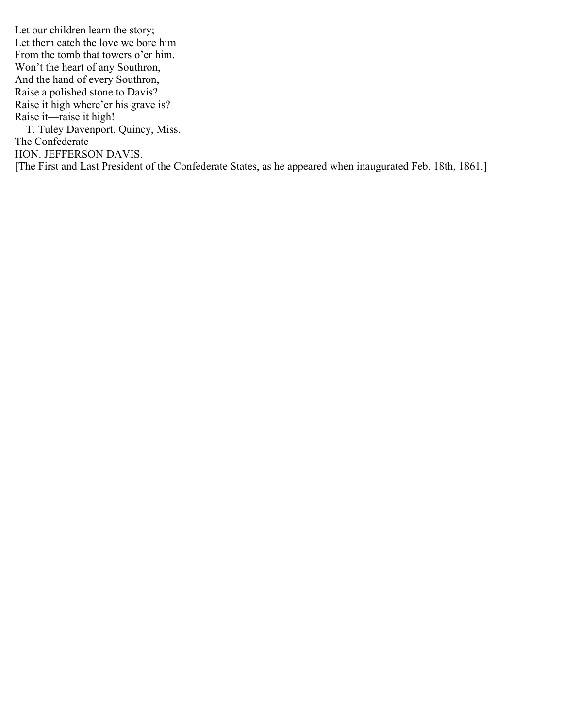Let our children learn the story; Let them catch the love we bore him From the tomb that towers o'er him. Won't the heart of any Southron, And the hand of every Southron, Raise a polished stone to Davis? Raise it high where'er his grave is? Raise it—raise it high! —T. Tuley Davenport. Quincy, Miss. The Confederate HON. JEFFERSON DAVIS. [The First and Last President of the Confederate States, as he appeared when inaugurated Feb. 18th, 1861.]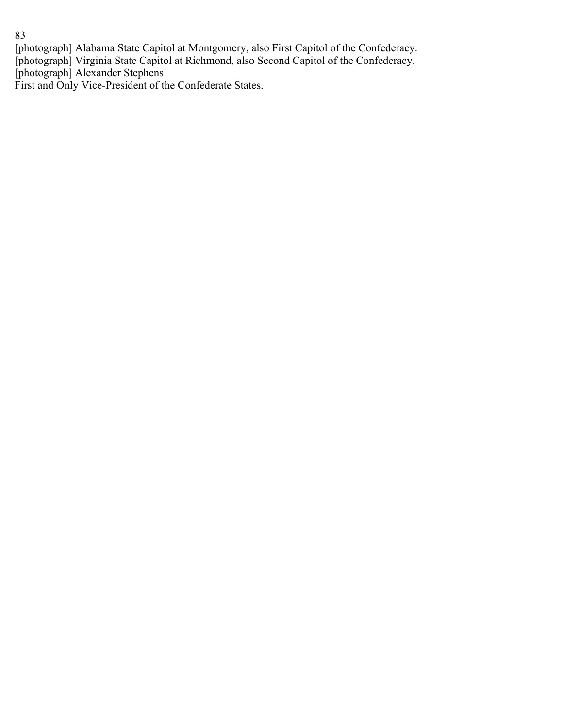[photograph] Alabama State Capitol at Montgomery, also First Capitol of the Confederacy. [photograph] Virginia State Capitol at Richmond, also Second Capitol of the Confederacy. [photograph] Alexander Stephens First and Only Vice-President of the Confederate States.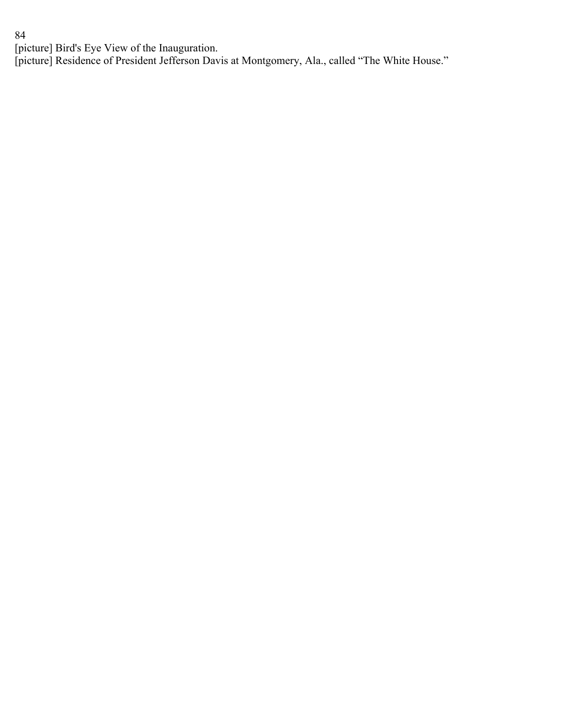[picture] Bird's Eye View of the Inauguration.

[picture] Residence of President Jefferson Davis at Montgomery, Ala., called "The White House."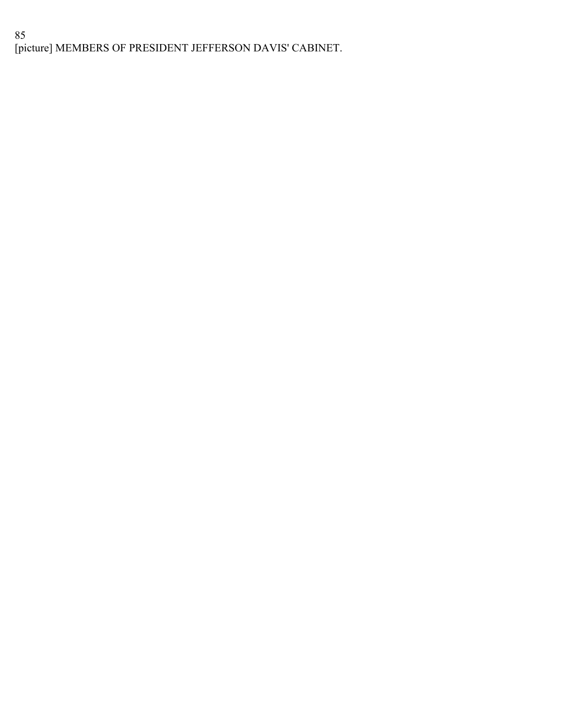# 85 [picture] MEMBERS OF PRESIDENT JEFFERSON DAVIS' CABINET.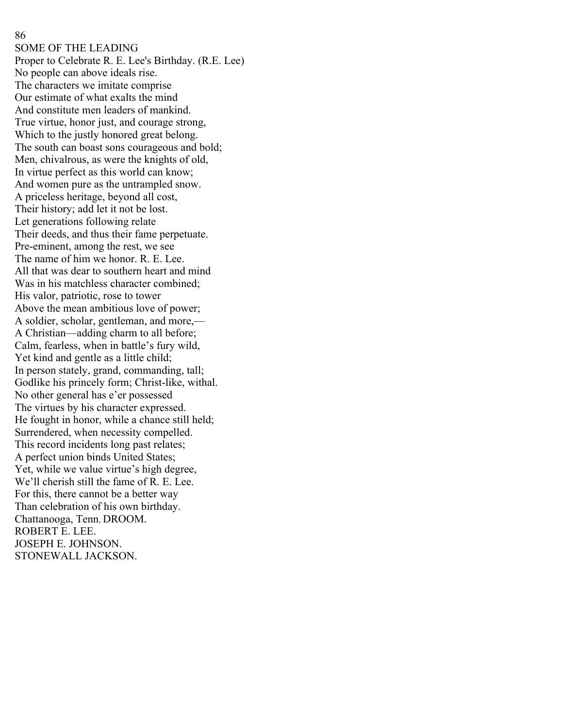SOME OF THE LEADING Proper to Celebrate R. E. Lee's Birthday. (R.E. Lee) No people can above ideals rise. The characters we imitate comprise Our estimate of what exalts the mind And constitute men leaders of mankind. True virtue, honor just, and courage strong, Which to the justly honored great belong. The south can boast sons courageous and bold; Men, chivalrous, as were the knights of old, In virtue perfect as this world can know; And women pure as the untrampled snow. A priceless heritage, beyond all cost, Their history; add let it not be lost. Let generations following relate Their deeds, and thus their fame perpetuate. Pre-eminent, among the rest, we see The name of him we honor. R. E. Lee. All that was dear to southern heart and mind Was in his matchless character combined; His valor, patriotic, rose to tower Above the mean ambitious love of power; A soldier, scholar, gentleman, and more,— A Christian—adding charm to all before; Calm, fearless, when in battle's fury wild, Yet kind and gentle as a little child; In person stately, grand, commanding, tall; Godlike his princely form; Christ-like, withal. No other general has e'er possessed The virtues by his character expressed. He fought in honor, while a chance still held; Surrendered, when necessity compelled. This record incidents long past relates; A perfect union binds United States; Yet, while we value virtue's high degree, We'll cherish still the fame of R. E. Lee. For this, there cannot be a better way Than celebration of his own birthday. Chattanooga, Tenn.DROOM. ROBERT E. LEE. JOSEPH E. JOHNSON. STONEWALL JACKSON.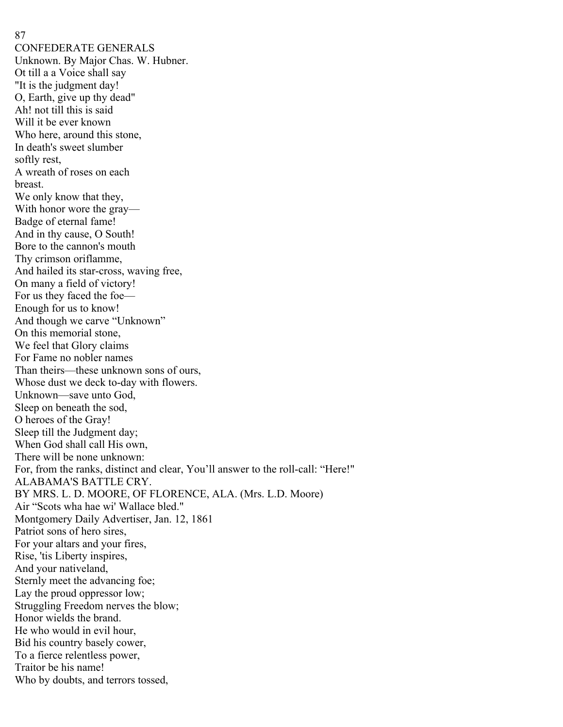CONFEDERATE GENERALS Unknown. By Major Chas. W. Hubner. Ot till a a Voice shall say "It is the judgment day! O, Earth, give up thy dead" Ah! not till this is said Will it be ever known Who here, around this stone, In death's sweet slumber softly rest, A wreath of roses on each breast. We only know that they, With honor wore the gray— Badge of eternal fame! And in thy cause, O South! Bore to the cannon's mouth Thy crimson oriflamme, And hailed its star-cross, waving free, On many a field of victory! For us they faced the foe— Enough for us to know! And though we carve "Unknown" On this memorial stone, We feel that Glory claims For Fame no nobler names Than theirs—these unknown sons of ours, Whose dust we deck to-day with flowers. Unknown—save unto God, Sleep on beneath the sod, O heroes of the Gray! Sleep till the Judgment day; When God shall call His own, There will be none unknown: For, from the ranks, distinct and clear, You'll answer to the roll-call: "Here!" ALABAMA'S BATTLE CRY. BY MRS. L. D. MOORE, OF FLORENCE, ALA. (Mrs. L.D. Moore) Air "Scots wha hae wi' Wallace bled." Montgomery Daily Advertiser, Jan. 12, 1861 Patriot sons of hero sires, For your altars and your fires, Rise, 'tis Liberty inspires, And your nativeland, Sternly meet the advancing foe; Lay the proud oppressor low; Struggling Freedom nerves the blow; Honor wields the brand. He who would in evil hour, Bid his country basely cower, To a fierce relentless power, Traitor be his name! Who by doubts, and terrors tossed,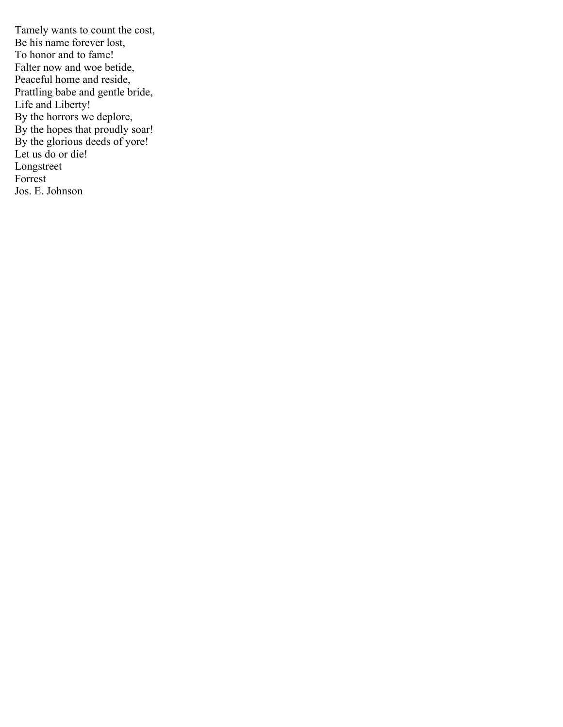Tamely wants to count the cost, Be his name forever lost, To honor and to fame! Falter now and woe betide, Peaceful home and reside, Prattling babe and gentle bride, Life and Liberty! By the horrors we deplore, By the hopes that proudly soar! By the glorious deeds of yore! Let us do or die! Longstreet Forrest Jos. E. Johnson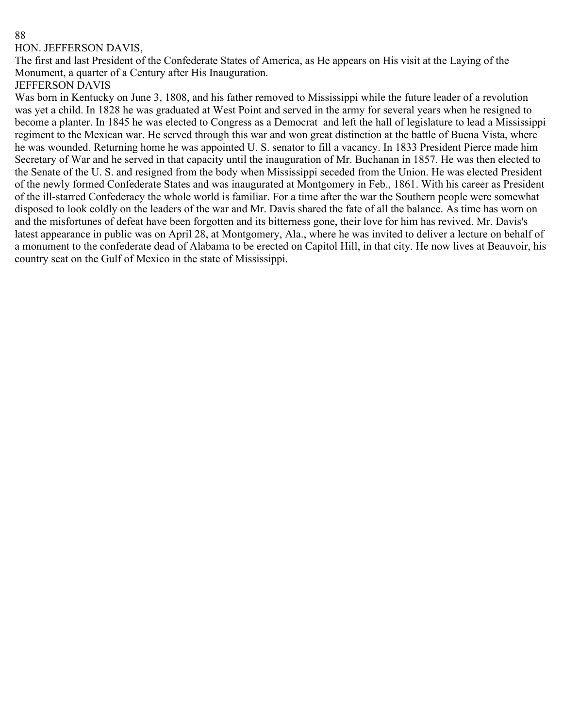#### HON. JEFFERSON DAVIS,

The first and last President of the Confederate States of America, as He appears on His visit at the Laying of the Monument, a quarter of a Century after His Inauguration.

### JEFFERSON DAVIS

Was born in Kentucky on June 3, 1808, and his father removed to Mississippi while the future leader of a revolution was yet a child. In 1828 he was graduated at West Point and served in the army for several years when he resigned to become a planter. In 1845 he was elected to Congress as a Democrat and left the hall of legislature to lead a Mississippi regiment to the Mexican war. He served through this war and won great distinction at the battle of Buena Vista, where he was wounded. Returning home he was appointed U. S. senator to fill a vacancy. In 1833 President Pierce made him Secretary of War and he served in that capacity until the inauguration of Mr. Buchanan in 1857. He was then elected to the Senate of the U. S. and resigned from the body when Mississippi seceded from the Union. He was elected President of the newly formed Confederate States and was inaugurated at Montgomery in Feb., 1861. With his career as President of the ill-starred Confederacy the whole world is familiar. For a time after the war the Southern people were somewhat disposed to look coldly on the leaders of the war and Mr. Davis shared the fate of all the balance. As time has worn on and the misfortunes of defeat have been forgotten and its bitterness gone, their love for him has revived. Mr. Davis's latest appearance in public was on April 28, at Montgomery, Ala., where he was invited to deliver a lecture on behalf of a monument to the confederate dead of Alabama to be erected on Capitol Hill, in that city. He now lives at Beauvoir, his country seat on the Gulf of Mexico in the state of Mississippi.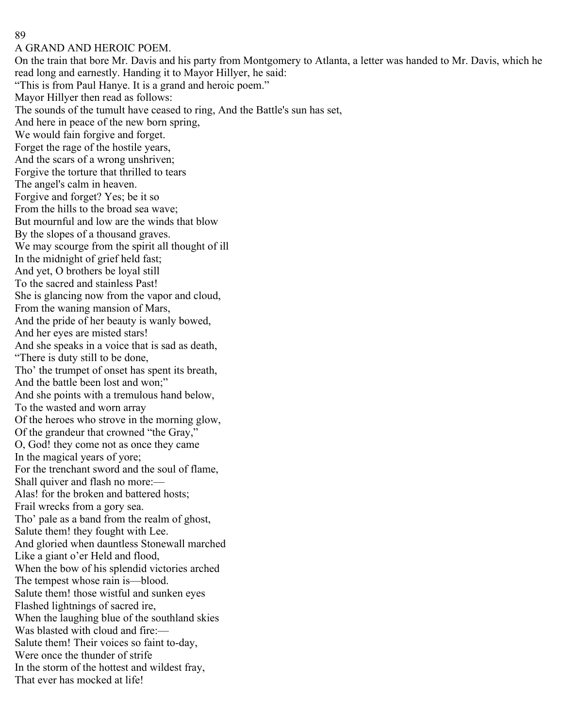### 89

### A GRAND AND HEROIC POEM.

On the train that bore Mr. Davis and his party from Montgomery to Atlanta, a letter was handed to Mr. Davis, which he read long and earnestly. Handing it to Mayor Hillyer, he said: "This is from Paul Hanye. It is a grand and heroic poem." Mayor Hillyer then read as follows: The sounds of the tumult have ceased to ring, And the Battle's sun has set, And here in peace of the new born spring, We would fain forgive and forget. Forget the rage of the hostile years, And the scars of a wrong unshriven; Forgive the torture that thrilled to tears The angel's calm in heaven. Forgive and forget? Yes; be it so From the hills to the broad sea wave; But mournful and low are the winds that blow By the slopes of a thousand graves. We may scourge from the spirit all thought of ill In the midnight of grief held fast; And yet, O brothers be loyal still To the sacred and stainless Past! She is glancing now from the vapor and cloud, From the waning mansion of Mars, And the pride of her beauty is wanly bowed, And her eyes are misted stars! And she speaks in a voice that is sad as death, "There is duty still to be done, Tho' the trumpet of onset has spent its breath, And the battle been lost and won;" And she points with a tremulous hand below, To the wasted and worn array Of the heroes who strove in the morning glow, Of the grandeur that crowned "the Gray," O, God! they come not as once they came In the magical years of yore; For the trenchant sword and the soul of flame, Shall quiver and flash no more:— Alas! for the broken and battered hosts; Frail wrecks from a gory sea. Tho' pale as a band from the realm of ghost, Salute them! they fought with Lee. And gloried when dauntless Stonewall marched Like a giant o'er Held and flood, When the bow of his splendid victories arched The tempest whose rain is—blood. Salute them! those wistful and sunken eyes Flashed lightnings of sacred ire, When the laughing blue of the southland skies Was blasted with cloud and fire:— Salute them! Their voices so faint to-day, Were once the thunder of strife In the storm of the hottest and wildest fray, That ever has mocked at life!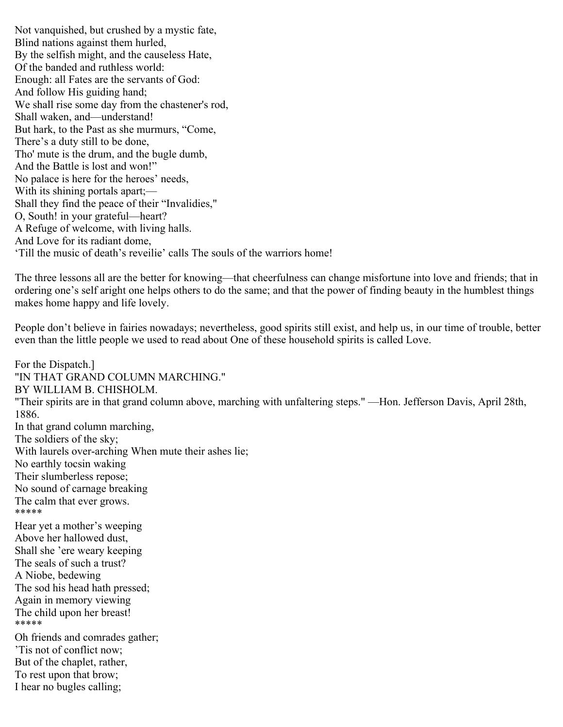Not vanquished, but crushed by a mystic fate, Blind nations against them hurled, By the selfish might, and the causeless Hate, Of the banded and ruthless world: Enough: all Fates are the servants of God: And follow His guiding hand; We shall rise some day from the chastener's rod, Shall waken, and—understand! But hark, to the Past as she murmurs, "Come, There's a duty still to be done, Tho' mute is the drum, and the bugle dumb, And the Battle is lost and won!" No palace is here for the heroes' needs, With its shining portals apart;— Shall they find the peace of their "Invalidies," O, South! in your grateful—heart? A Refuge of welcome, with living halls. And Love for its radiant dome, 'Till the music of death's reveilie' calls The souls of the warriors home!

The three lessons all are the better for knowing—that cheerfulness can change misfortune into love and friends; that in ordering one's self aright one helps others to do the same; and that the power of finding beauty in the humblest things makes home happy and life lovely.

People don't believe in fairies nowadays; nevertheless, good spirits still exist, and help us, in our time of trouble, better even than the little people we used to read about One of these household spirits is called Love.

For the Dispatch.] "IN THAT GRAND COLUMN MARCHING." BY WILLIAM B. CHISHOLM. "Their spirits are in that grand column above, marching with unfaltering steps." —Hon. Jefferson Davis, April 28th, 1886. In that grand column marching, The soldiers of the sky; With laurels over-arching When mute their ashes lie; No earthly tocsin waking Their slumberless repose; No sound of carnage breaking The calm that ever grows. \*\*\*\*\* Hear yet a mother's weeping Above her hallowed dust, Shall she 'ere weary keeping The seals of such a trust? A Niobe, bedewing The sod his head hath pressed; Again in memory viewing The child upon her breast! \*\*\*\*\* Oh friends and comrades gather; 'Tis not of conflict now; But of the chaplet, rather, To rest upon that brow; I hear no bugles calling;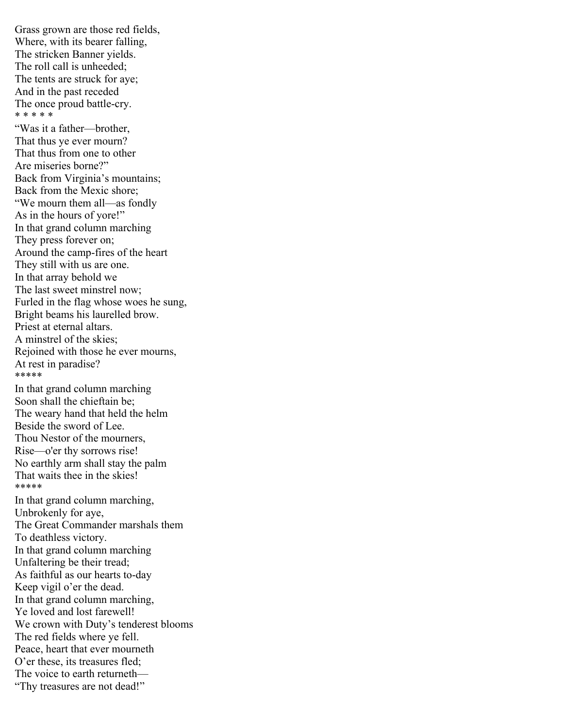Grass grown are those red fields, Where, with its bearer falling, The stricken Banner yields. The roll call is unheeded; The tents are struck for aye; And in the past receded The once proud battle-cry. \* \* \* \* \*

"Was it a father—brother, That thus ye ever mourn? That thus from one to other Are miseries borne?" Back from Virginia's mountains; Back from the Mexic shore; "We mourn them all—as fondly As in the hours of yore!" In that grand column marching They press forever on; Around the camp-fires of the heart They still with us are one. In that array behold we The last sweet minstrel now; Furled in the flag whose woes he sung, Bright beams his laurelled brow. Priest at eternal altars. A minstrel of the skies; Rejoined with those he ever mourns, At rest in paradise? \*\*\*\*\*

In that grand column marching Soon shall the chieftain be; The weary hand that held the helm Beside the sword of Lee. Thou Nestor of the mourners, Rise—o'er thy sorrows rise! No earthly arm shall stay the palm That waits thee in the skies! \*\*\*\*\* In that grand column marching,

Unbrokenly for aye, The Great Commander marshals them To deathless victory. In that grand column marching Unfaltering be their tread; As faithful as our hearts to-day Keep vigil o'er the dead. In that grand column marching, Ye loved and lost farewell! We crown with Duty's tenderest blooms The red fields where ye fell. Peace, heart that ever mourneth O'er these, its treasures fled; The voice to earth returneth— "Thy treasures are not dead!"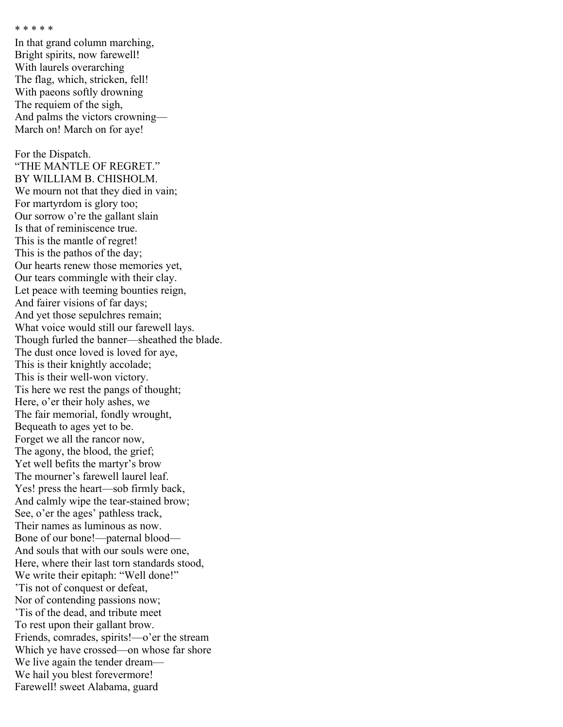```
* * * * *
```
In that grand column marching, Bright spirits, now farewell! With laurels overarching The flag, which, stricken, fell! With paeons softly drowning The requiem of the sigh, And palms the victors crowning— March on! March on for aye!

For the Dispatch. "THE MANTLE OF REGRET." BY WILLIAM B. CHISHOLM. We mourn not that they died in vain; For martyrdom is glory too; Our sorrow o're the gallant slain Is that of reminiscence true. This is the mantle of regret! This is the pathos of the day; Our hearts renew those memories yet, Our tears commingle with their clay. Let peace with teeming bounties reign, And fairer visions of far days; And yet those sepulchres remain; What voice would still our farewell lays. Though furled the banner—sheathed the blade. The dust once loved is loved for aye, This is their knightly accolade; This is their well-won victory. Tis here we rest the pangs of thought; Here, o'er their holy ashes, we The fair memorial, fondly wrought, Bequeath to ages yet to be. Forget we all the rancor now, The agony, the blood, the grief; Yet well befits the martyr's brow The mourner's farewell laurel leaf. Yes! press the heart—sob firmly back, And calmly wipe the tear-stained brow; See, o'er the ages' pathless track, Their names as luminous as now. Bone of our bone!—paternal blood— And souls that with our souls were one, Here, where their last torn standards stood, We write their epitaph: "Well done!" 'Tis not of conquest or defeat, Nor of contending passions now; 'Tis of the dead, and tribute meet To rest upon their gallant brow. Friends, comrades, spirits!—o'er the stream Which ye have crossed—on whose far shore We live again the tender dream— We hail you blest forevermore! Farewell! sweet Alabama, guard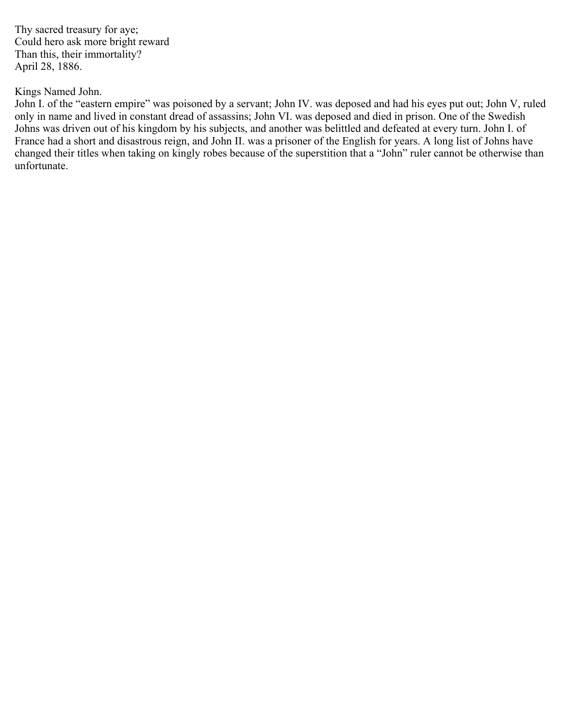Thy sacred treasury for aye; Could hero ask more bright reward Than this, their immortality? April 28, 1886.

## Kings Named John.

John I. of the "eastern empire" was poisoned by a servant; John IV. was deposed and had his eyes put out; John V, ruled only in name and lived in constant dread of assassins; John VI. was deposed and died in prison. One of the Swedish Johns was driven out of his kingdom by his subjects, and another was belittled and defeated at every turn. John I. of France had a short and disastrous reign, and John II. was a prisoner of the English for years. A long list of Johns have changed their titles when taking on kingly robes because of the superstition that a "John" ruler cannot be otherwise than unfortunate.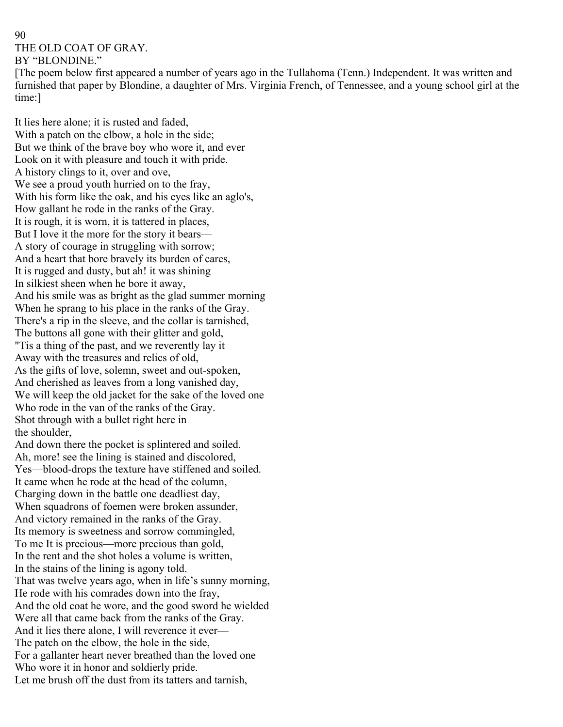# 90 THE OLD COAT OF GRAY. BY "BLONDINE."

[The poem below first appeared a number of years ago in the Tullahoma (Tenn.) Independent. It was written and furnished that paper by Blondine, a daughter of Mrs. Virginia French, of Tennessee, and a young school girl at the time:]

It lies here alone; it is rusted and faded, With a patch on the elbow, a hole in the side; But we think of the brave boy who wore it, and ever Look on it with pleasure and touch it with pride. A history clings to it, over and ove, We see a proud youth hurried on to the fray, With his form like the oak, and his eyes like an aglo's, How gallant he rode in the ranks of the Gray. It is rough, it is worn, it is tattered in places, But I love it the more for the story it bears— A story of courage in struggling with sorrow; And a heart that bore bravely its burden of cares, It is rugged and dusty, but ah! it was shining In silkiest sheen when he bore it away, And his smile was as bright as the glad summer morning When he sprang to his place in the ranks of the Gray. There's a rip in the sleeve, and the collar is tarnished, The buttons all gone with their glitter and gold, "Tis a thing of the past, and we reverently lay it Away with the treasures and relics of old, As the gifts of love, solemn, sweet and out-spoken, And cherished as leaves from a long vanished day, We will keep the old jacket for the sake of the loved one Who rode in the van of the ranks of the Gray. Shot through with a bullet right here in the shoulder,

And down there the pocket is splintered and soiled. Ah, more! see the lining is stained and discolored, Yes—blood-drops the texture have stiffened and soiled. It came when he rode at the head of the column, Charging down in the battle one deadliest day, When squadrons of foemen were broken assunder, And victory remained in the ranks of the Gray. Its memory is sweetness and sorrow commingled, To me It is precious—more precious than gold, In the rent and the shot holes a volume is written, In the stains of the lining is agony told. That was twelve years ago, when in life's sunny morning, He rode with his comrades down into the fray, And the old coat he wore, and the good sword he wielded Were all that came back from the ranks of the Gray. And it lies there alone, I will reverence it ever— The patch on the elbow, the hole in the side, For a gallanter heart never breathed than the loved one Who wore it in honor and soldierly pride. Let me brush off the dust from its tatters and tarnish,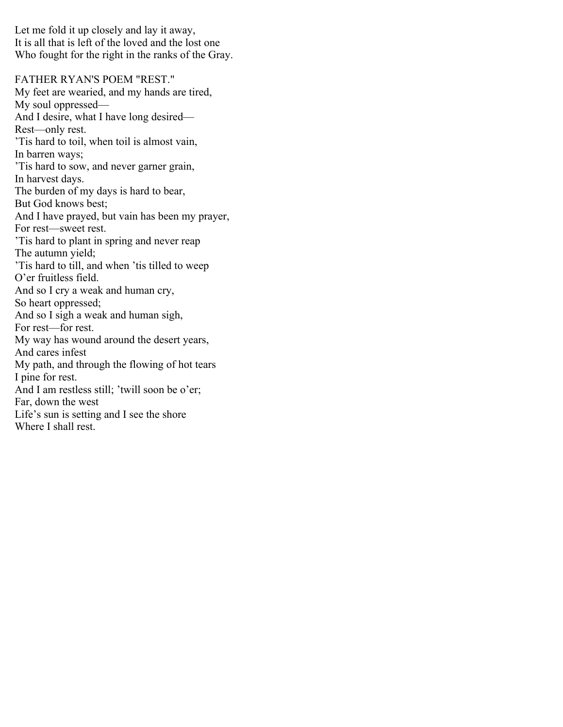Let me fold it up closely and lay it away, It is all that is left of the loved and the lost one Who fought for the right in the ranks of the Gray.

FATHER RYAN'S POEM "REST." My feet are wearied, and my hands are tired, My soul oppressed— And I desire, what I have long desired— Rest—only rest. 'Tis hard to toil, when toil is almost vain, In barren ways; 'Tis hard to sow, and never garner grain, In harvest days. The burden of my days is hard to bear, But God knows best; And I have prayed, but vain has been my prayer, For rest—sweet rest. 'Tis hard to plant in spring and never reap The autumn yield; 'Tis hard to till, and when 'tis tilled to weep O'er fruitless field. And so I cry a weak and human cry, So heart oppressed; And so I sigh a weak and human sigh, For rest—for rest. My way has wound around the desert years, And cares infest My path, and through the flowing of hot tears I pine for rest. And I am restless still; 'twill soon be o'er; Far, down the west Life's sun is setting and I see the shore Where I shall rest.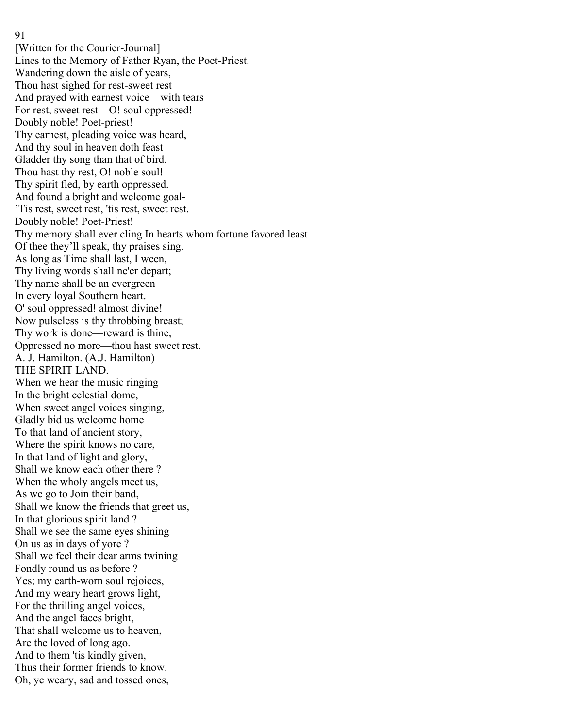91

[Written for the Courier-Journal] Lines to the Memory of Father Ryan, the Poet-Priest. Wandering down the aisle of years, Thou hast sighed for rest-sweet rest— And prayed with earnest voice—with tears For rest, sweet rest—O! soul oppressed! Doubly noble! Poet-priest! Thy earnest, pleading voice was heard, And thy soul in heaven doth feast— Gladder thy song than that of bird. Thou hast thy rest, O! noble soul! Thy spirit fled, by earth oppressed. And found a bright and welcome goal- 'Tis rest, sweet rest, 'tis rest, sweet rest. Doubly noble! Poet-Priest! Thy memory shall ever cling In hearts whom fortune favored least— Of thee they'll speak, thy praises sing. As long as Time shall last, I ween, Thy living words shall ne'er depart; Thy name shall be an evergreen In every loyal Southern heart. O' soul oppressed! almost divine! Now pulseless is thy throbbing breast; Thy work is done—reward is thine, Oppressed no more—thou hast sweet rest. A. J. Hamilton. (A.J. Hamilton) THE SPIRIT LAND. When we hear the music ringing In the bright celestial dome, When sweet angel voices singing, Gladly bid us welcome home To that land of ancient story, Where the spirit knows no care, In that land of light and glory, Shall we know each other there ? When the wholy angels meet us, As we go to Join their band, Shall we know the friends that greet us, In that glorious spirit land ? Shall we see the same eyes shining On us as in days of yore ? Shall we feel their dear arms twining Fondly round us as before ? Yes; my earth-worn soul rejoices, And my weary heart grows light, For the thrilling angel voices, And the angel faces bright, That shall welcome us to heaven, Are the loved of long ago. And to them 'tis kindly given, Thus their former friends to know. Oh, ye weary, sad and tossed ones,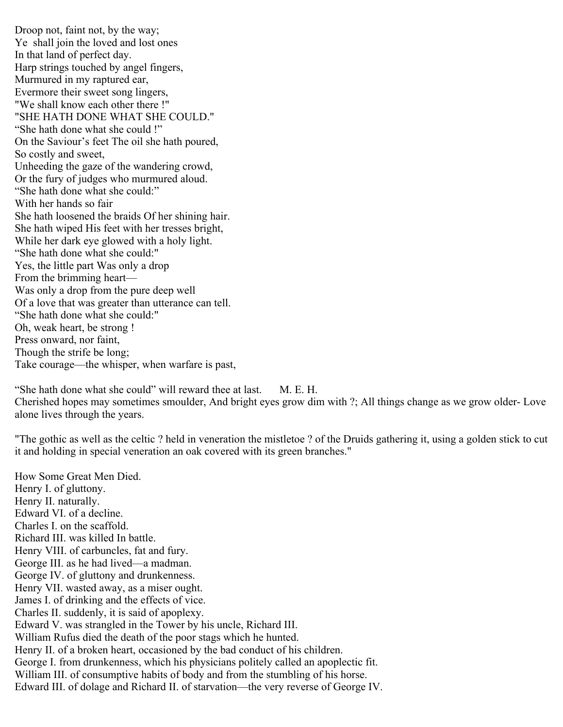Droop not, faint not, by the way; Ye shall join the loved and lost ones In that land of perfect day. Harp strings touched by angel fingers, Murmured in my raptured ear, Evermore their sweet song lingers, "We shall know each other there !" "SHE HATH DONE WHAT SHE COULD." "She hath done what she could !" On the Saviour's feet The oil she hath poured, So costly and sweet, Unheeding the gaze of the wandering crowd, Or the fury of judges who murmured aloud. "She hath done what she could:" With her hands so fair She hath loosened the braids Of her shining hair. She hath wiped His feet with her tresses bright, While her dark eye glowed with a holy light. "She hath done what she could:" Yes, the little part Was only a drop From the brimming heart— Was only a drop from the pure deep well Of a love that was greater than utterance can tell. "She hath done what she could:" Oh, weak heart, be strong ! Press onward, nor faint, Though the strife be long; Take courage—the whisper, when warfare is past,

"She hath done what she could" will reward thee at last. M. E. H. Cherished hopes may sometimes smoulder, And bright eyes grow dim with ?; All things change as we grow older- Love alone lives through the years.

"The gothic as well as the celtic ? held in veneration the mistletoe ? of the Druids gathering it, using a golden stick to cut it and holding in special veneration an oak covered with its green branches."

How Some Great Men Died. Henry I. of gluttony. Henry II. naturally. Edward VI. of a decline. Charles I. on the scaffold. Richard III. was killed In battle. Henry VIII. of carbuncles, fat and fury. George III. as he had lived—a madman. George IV. of gluttony and drunkenness. Henry VII. wasted away, as a miser ought. James I. of drinking and the effects of vice. Charles II. suddenly, it is said of apoplexy. Edward V. was strangled in the Tower by his uncle, Richard III. William Rufus died the death of the poor stags which he hunted. Henry II. of a broken heart, occasioned by the bad conduct of his children. George I. from drunkenness, which his physicians politely called an apoplectic fit. William III. of consumptive habits of body and from the stumbling of his horse. Edward III. of dolage and Richard II. of starvation—the very reverse of George IV.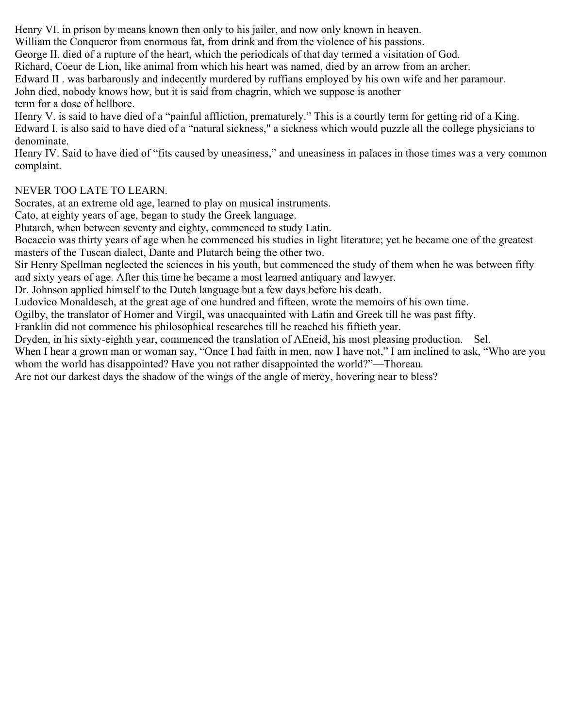Henry VI. in prison by means known then only to his jailer, and now only known in heaven.

William the Conqueror from enormous fat, from drink and from the violence of his passions.

George II. died of a rupture of the heart, which the periodicals of that day termed a visitation of God.

Richard, Coeur de Lion, like animal from which his heart was named, died by an arrow from an archer.

Edward II . was barbarously and indecently murdered by ruffians employed by his own wife and her paramour.

John died, nobody knows how, but it is said from chagrin, which we suppose is another term for a dose of hellbore.

Henry V. is said to have died of a "painful affliction, prematurely." This is a courtly term for getting rid of a King. Edward I. is also said to have died of a "natural sickness," a sickness which would puzzle all the college physicians to denominate.

Henry IV. Said to have died of "fits caused by uneasiness," and uneasiness in palaces in those times was a very common complaint.

# NEVER TOO LATE TO LEARN.

Socrates, at an extreme old age, learned to play on musical instruments.

Cato, at eighty years of age, began to study the Greek language.

Plutarch, when between seventy and eighty, commenced to study Latin.

Bocaccio was thirty years of age when he commenced his studies in light literature; yet he became one of the greatest masters of the Tuscan dialect, Dante and Plutarch being the other two.

Sir Henry Spellman neglected the sciences in his youth, but commenced the study of them when he was between fifty and sixty years of age. After this time he became a most learned antiquary and lawyer.

Dr. Johnson applied himself to the Dutch language but a few days before his death.

Ludovico Monaldesch, at the great age of one hundred and fifteen, wrote the memoirs of his own time.

Ogilby, the translator of Homer and Virgil, was unacquainted with Latin and Greek till he was past fifty.

Franklin did not commence his philosophical researches till he reached his fiftieth year.

Dryden, in his sixty-eighth year, commenced the translation of AEneid, his most pleasing production.—Sel.

When I hear a grown man or woman say, "Once I had faith in men, now I have not," I am inclined to ask, "Who are you whom the world has disappointed? Have you not rather disappointed the world?"—Thoreau.

Are not our darkest days the shadow of the wings of the angle of mercy, hovering near to bless?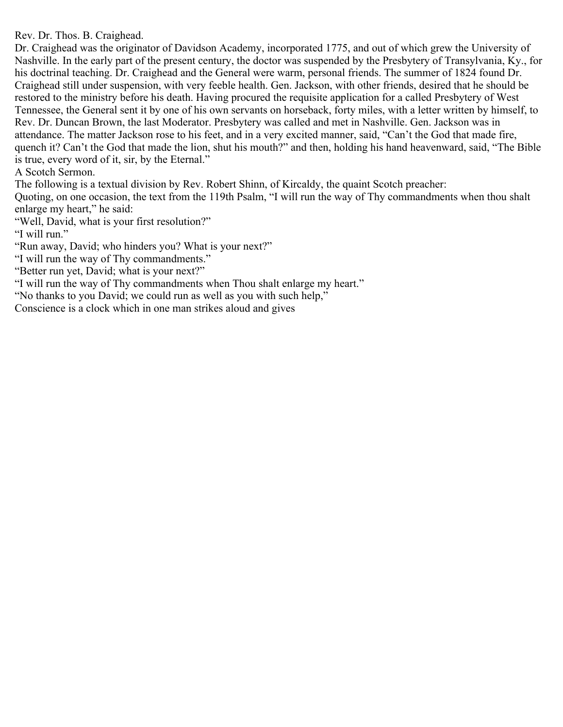Rev. Dr. Thos. B. Craighead.

Dr. Craighead was the originator of Davidson Academy, incorporated 1775, and out of which grew the University of Nashville. In the early part of the present century, the doctor was suspended by the Presbytery of Transylvania, Ky., for his doctrinal teaching. Dr. Craighead and the General were warm, personal friends. The summer of 1824 found Dr. Craighead still under suspension, with very feeble health. Gen. Jackson, with other friends, desired that he should be restored to the ministry before his death. Having procured the requisite application for a called Presbytery of West Tennessee, the General sent it by one of his own servants on horseback, forty miles, with a letter written by himself, to Rev. Dr. Duncan Brown, the last Moderator. Presbytery was called and met in Nashville. Gen. Jackson was in attendance. The matter Jackson rose to his feet, and in a very excited manner, said, "Can't the God that made fire, quench it? Can't the God that made the lion, shut his mouth?" and then, holding his hand heavenward, said, "The Bible is true, every word of it, sir, by the Eternal."

A Scotch Sermon.

The following is a textual division by Rev. Robert Shinn, of Kircaldy, the quaint Scotch preacher:

Quoting, on one occasion, the text from the 119th Psalm, "I will run the way of Thy commandments when thou shalt enlarge my heart," he said:

"Well, David, what is your first resolution?"

"I will run."

"Run away, David; who hinders you? What is your next?"

"I will run the way of Thy commandments."

"Better run yet, David; what is your next?"

"I will run the way of Thy commandments when Thou shalt enlarge my heart."

"No thanks to you David; we could run as well as you with such help,"

Conscience is a clock which in one man strikes aloud and gives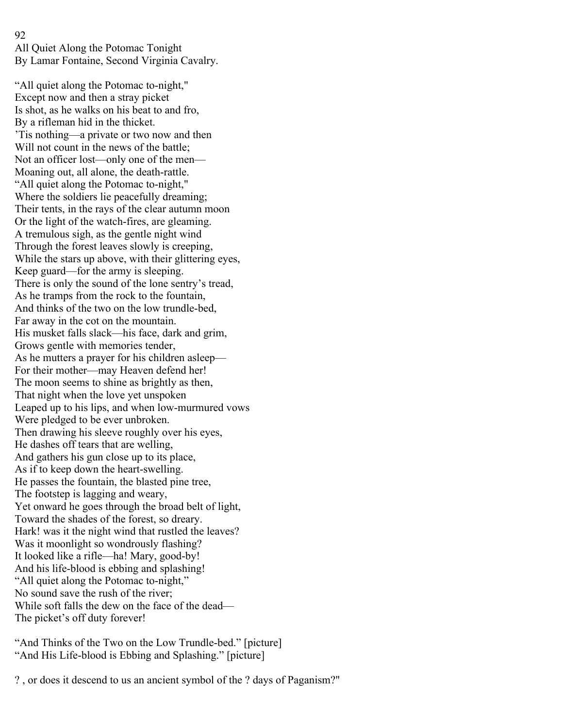### 92

All Quiet Along the Potomac Tonight By Lamar Fontaine, Second Virginia Cavalry.

"All quiet along the Potomac to-night," Except now and then a stray picket Is shot, as he walks on his beat to and fro, By a rifleman hid in the thicket. 'Tis nothing—a private or two now and then Will not count in the news of the battle; Not an officer lost—only one of the men— Moaning out, all alone, the death-rattle. "All quiet along the Potomac to-night," Where the soldiers lie peacefully dreaming; Their tents, in the rays of the clear autumn moon Or the light of the watch-fires, are gleaming. A tremulous sigh, as the gentle night wind Through the forest leaves slowly is creeping, While the stars up above, with their glittering eyes, Keep guard—for the army is sleeping. There is only the sound of the lone sentry's tread, As he tramps from the rock to the fountain, And thinks of the two on the low trundle-bed, Far away in the cot on the mountain. His musket falls slack—his face, dark and grim, Grows gentle with memories tender, As he mutters a prayer for his children asleep— For their mother—may Heaven defend her! The moon seems to shine as brightly as then, That night when the love yet unspoken Leaped up to his lips, and when low-murmured vows Were pledged to be ever unbroken. Then drawing his sleeve roughly over his eyes, He dashes off tears that are welling, And gathers his gun close up to its place, As if to keep down the heart-swelling. He passes the fountain, the blasted pine tree, The footstep is lagging and weary, Yet onward he goes through the broad belt of light, Toward the shades of the forest, so dreary. Hark! was it the night wind that rustled the leaves? Was it moonlight so wondrously flashing? It looked like a rifle—ha! Mary, good-by! And his life-blood is ebbing and splashing! "All quiet along the Potomac to-night," No sound save the rush of the river; While soft falls the dew on the face of the dead— The picket's off duty forever!

"And Thinks of the Two on the Low Trundle-bed." [picture] "And His Life-blood is Ebbing and Splashing." [picture]

? , or does it descend to us an ancient symbol of the ? days of Paganism?"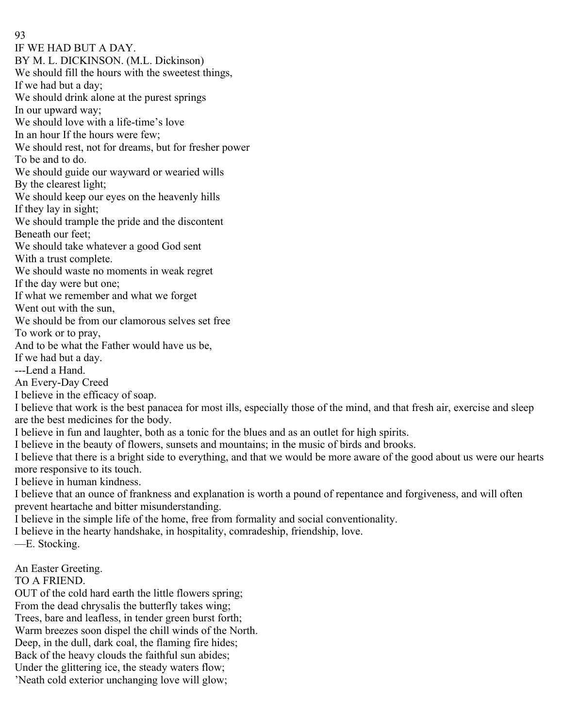93 IF WE HAD BUT A DAY. BY M. L. DICKINSON. (M.L. Dickinson) We should fill the hours with the sweetest things, If we had but a day; We should drink alone at the purest springs In our upward way; We should love with a life-time's love In an hour If the hours were few; We should rest, not for dreams, but for fresher power To be and to do. We should guide our wayward or wearied wills By the clearest light; We should keep our eyes on the heavenly hills If they lay in sight; We should trample the pride and the discontent Beneath our feet; We should take whatever a good God sent With a trust complete. We should waste no moments in weak regret If the day were but one; If what we remember and what we forget Went out with the sun, We should be from our clamorous selves set free To work or to pray, And to be what the Father would have us be, If we had but a day. ---Lend a Hand. An Every-Day Creed I believe in the efficacy of soap. I believe that work is the best panacea for most ills, especially those of the mind, and that fresh air, exercise and sleep are the best medicines for the body. I believe in fun and laughter, both as a tonic for the blues and as an outlet for high spirits. I believe in the beauty of flowers, sunsets and mountains; in the music of birds and brooks. I believe that there is a bright side to everything, and that we would be more aware of the good about us were our hearts more responsive to its touch. I believe in human kindness.

I believe that an ounce of frankness and explanation is worth a pound of repentance and forgiveness, and will often prevent heartache and bitter misunderstanding.

I believe in the simple life of the home, free from formality and social conventionality.

I believe in the hearty handshake, in hospitality, comradeship, friendship, love.

—E. Stocking.

An Easter Greeting.

TO A FRIEND.

OUT of the cold hard earth the little flowers spring; From the dead chrysalis the butterfly takes wing; Trees, bare and leafless, in tender green burst forth; Warm breezes soon dispel the chill winds of the North. Deep, in the dull, dark coal, the flaming fire hides; Back of the heavy clouds the faithful sun abides; Under the glittering ice, the steady waters flow; 'Neath cold exterior unchanging love will glow;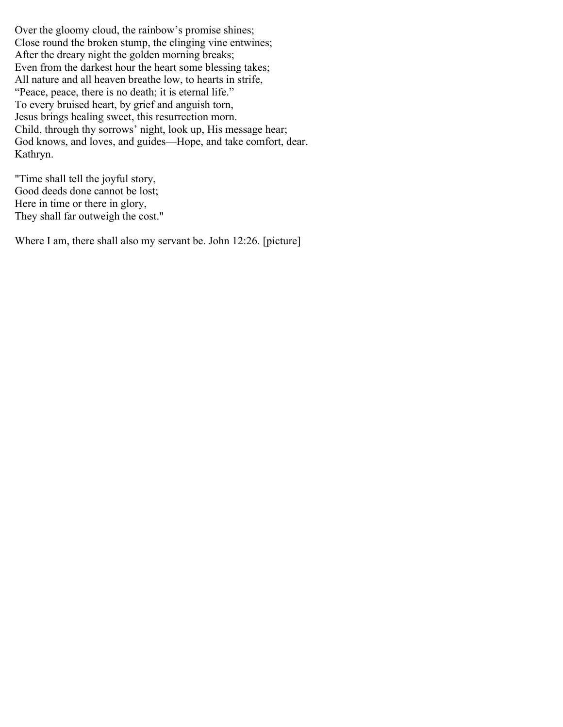Over the gloomy cloud, the rainbow's promise shines; Close round the broken stump, the clinging vine entwines; After the dreary night the golden morning breaks; Even from the darkest hour the heart some blessing takes; All nature and all heaven breathe low, to hearts in strife, "Peace, peace, there is no death; it is eternal life." To every bruised heart, by grief and anguish torn, Jesus brings healing sweet, this resurrection morn. Child, through thy sorrows' night, look up, His message hear; God knows, and loves, and guides—Hope, and take comfort, dear. Kathryn.

"Time shall tell the joyful story, Good deeds done cannot be lost; Here in time or there in glory, They shall far outweigh the cost."

Where I am, there shall also my servant be. John 12:26. [picture]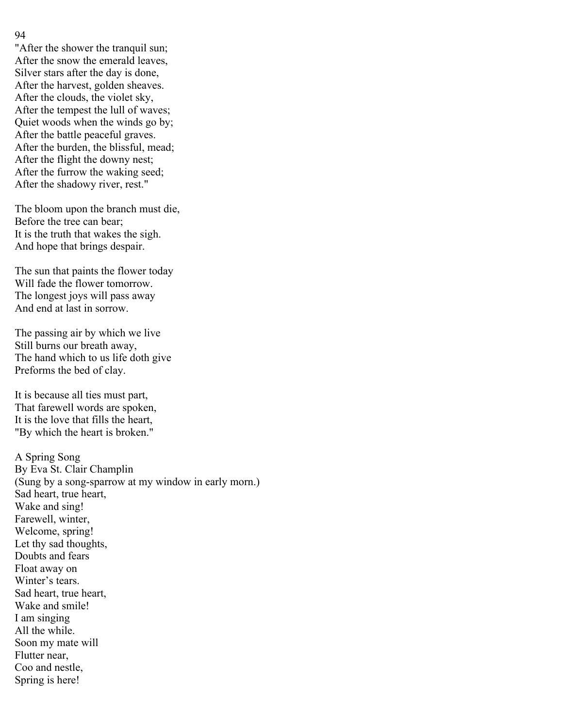### 94

"After the shower the tranquil sun; After the snow the emerald leaves, Silver stars after the day is done, After the harvest, golden sheaves. After the clouds, the violet sky, After the tempest the lull of waves; Quiet woods when the winds go by; After the battle peaceful graves. After the burden, the blissful, mead; After the flight the downy nest; After the furrow the waking seed; After the shadowy river, rest."

The bloom upon the branch must die, Before the tree can bear; It is the truth that wakes the sigh. And hope that brings despair.

The sun that paints the flower today Will fade the flower tomorrow. The longest joys will pass away And end at last in sorrow.

The passing air by which we live Still burns our breath away, The hand which to us life doth give Preforms the bed of clay.

It is because all ties must part, That farewell words are spoken, It is the love that fills the heart, "By which the heart is broken."

A Spring Song By Eva St. Clair Champlin (Sung by a song-sparrow at my window in early morn.) Sad heart, true heart, Wake and sing! Farewell, winter, Welcome, spring! Let thy sad thoughts, Doubts and fears Float away on Winter's tears. Sad heart, true heart, Wake and smile! I am singing All the while. Soon my mate will Flutter near, Coo and nestle, Spring is here!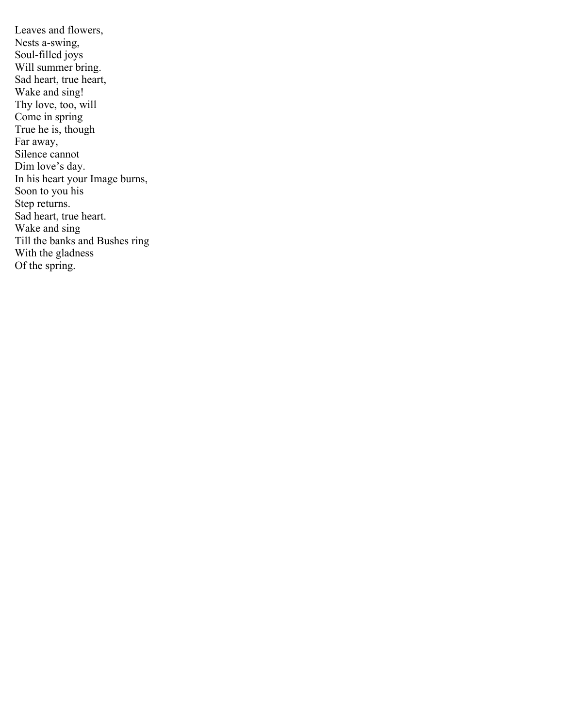Leaves and flowers, Nests a-swing, Soul-filled joys Will summer bring. Sad heart, true heart, Wake and sing! Thy love, too, will Come in spring True he is, though Far away, Silence cannot Dim love's day. In his heart your Image burns, Soon to you his Step returns. Sad heart, true heart. Wake and sing Till the banks and Bushes ring With the gladness Of the spring.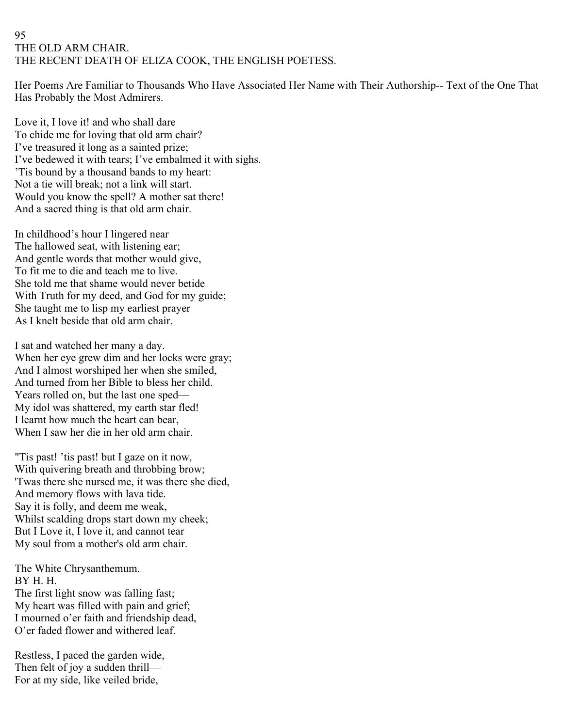## 95 THE OLD ARM CHAIR. THE RECENT DEATH OF ELIZA COOK, THE ENGLISH POETESS.

Her Poems Are Familiar to Thousands Who Have Associated Her Name with Their Authorship-- Text of the One That Has Probably the Most Admirers.

Love it, I love it! and who shall dare To chide me for loving that old arm chair? I've treasured it long as a sainted prize; I've bedewed it with tears; I've embalmed it with sighs. 'Tis bound by a thousand bands to my heart: Not a tie will break; not a link will start. Would you know the spell? A mother sat there! And a sacred thing is that old arm chair.

In childhood's hour I lingered near The hallowed seat, with listening ear; And gentle words that mother would give, To fit me to die and teach me to live. She told me that shame would never betide With Truth for my deed, and God for my guide; She taught me to lisp my earliest prayer As I knelt beside that old arm chair.

I sat and watched her many a day. When her eye grew dim and her locks were gray; And I almost worshiped her when she smiled, And turned from her Bible to bless her child. Years rolled on, but the last one sped— My idol was shattered, my earth star fled! I learnt how much the heart can bear, When I saw her die in her old arm chair.

"Tis past! 'tis past! but I gaze on it now, With quivering breath and throbbing brow; 'Twas there she nursed me, it was there she died, And memory flows with lava tide. Say it is folly, and deem me weak, Whilst scalding drops start down my cheek; But I Love it, I love it, and cannot tear My soul from a mother's old arm chair.

The White Chrysanthemum. BY H. H. The first light snow was falling fast; My heart was filled with pain and grief; I mourned o'er faith and friendship dead, O'er faded flower and withered leaf.

Restless, I paced the garden wide, Then felt of joy a sudden thrill— For at my side, like veiled bride,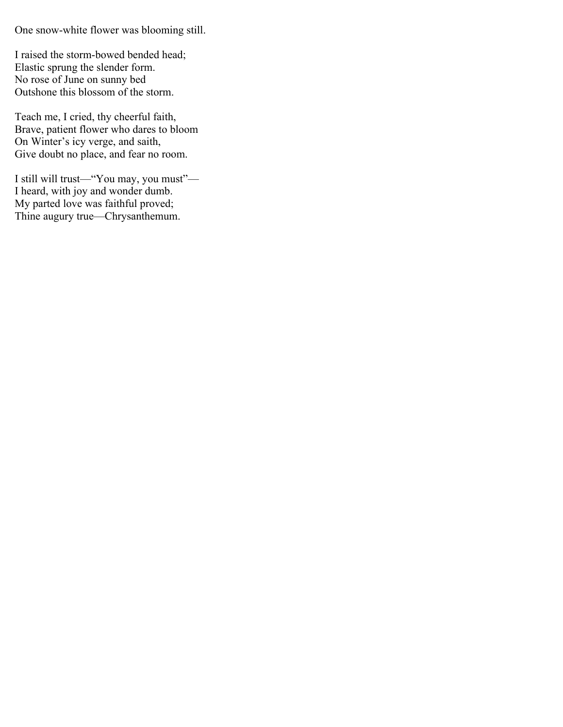One snow-white flower was blooming still.

I raised the storm-bowed bended head; Elastic sprung the slender form. No rose of June on sunny bed Outshone this blossom of the storm.

Teach me, I cried, thy cheerful faith, Brave, patient flower who dares to bloom On Winter's icy verge, and saith, Give doubt no place, and fear no room.

I still will trust—"You may, you must"— I heard, with joy and wonder dumb. My parted love was faithful proved; Thine augury true—Chrysanthemum.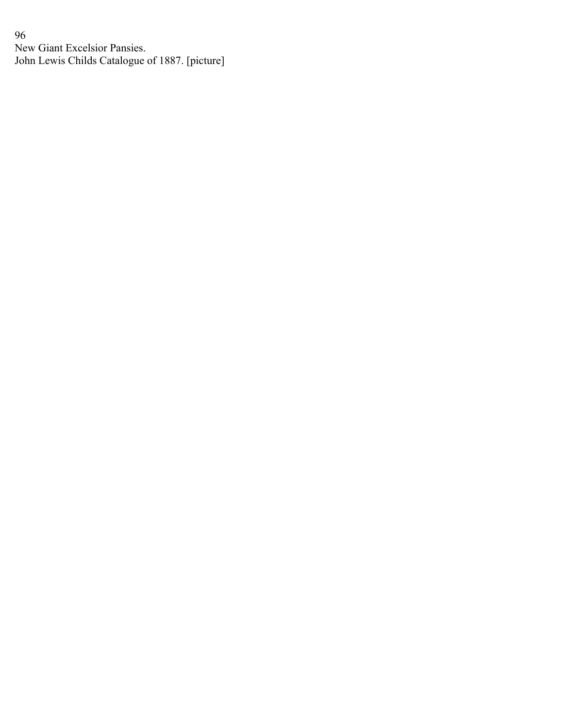96 New Giant Excelsior Pansies. John Lewis Childs Catalogue of 1887. [picture]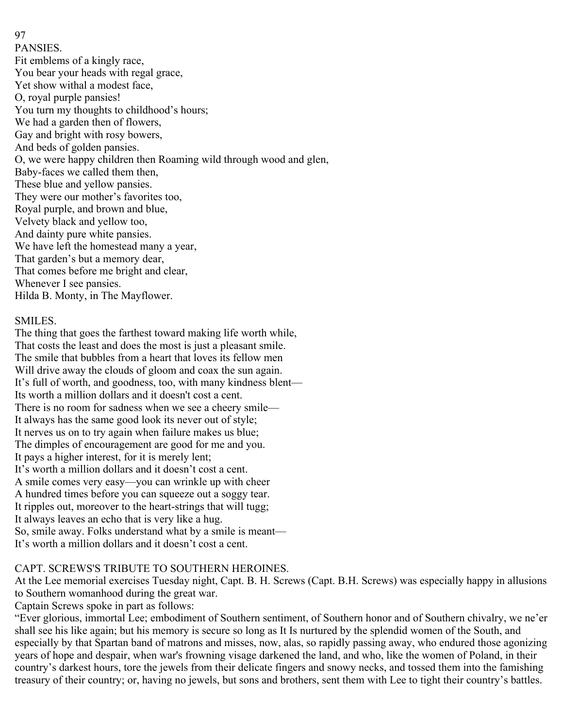PANSIES. Fit emblems of a kingly race, You bear your heads with regal grace, Yet show withal a modest face, O, royal purple pansies! You turn my thoughts to childhood's hours; We had a garden then of flowers, Gay and bright with rosy bowers, And beds of golden pansies. O, we were happy children then Roaming wild through wood and glen, Baby-faces we called them then, These blue and yellow pansies. They were our mother's favorites too, Royal purple, and brown and blue, Velvety black and yellow too, And dainty pure white pansies. We have left the homestead many a year, That garden's but a memory dear, That comes before me bright and clear, Whenever I see pansies. Hilda B. Monty, in The Mayflower.

## SMILES.

97

The thing that goes the farthest toward making life worth while, That costs the least and does the most is just a pleasant smile. The smile that bubbles from a heart that loves its fellow men Will drive away the clouds of gloom and coax the sun again. It's full of worth, and goodness, too, with many kindness blent— Its worth a million dollars and it doesn't cost a cent. There is no room for sadness when we see a cheery smile— It always has the same good look its never out of style; It nerves us on to try again when failure makes us blue; The dimples of encouragement are good for me and you. It pays a higher interest, for it is merely lent; It's worth a million dollars and it doesn't cost a cent. A smile comes very easy—you can wrinkle up with cheer A hundred times before you can squeeze out a soggy tear. It ripples out, moreover to the heart-strings that will tugg; It always leaves an echo that is very like a hug. So, smile away. Folks understand what by a smile is meant— It's worth a million dollars and it doesn't cost a cent.

# CAPT. SCREWS'S TRIBUTE TO SOUTHERN HEROINES.

At the Lee memorial exercises Tuesday night, Capt. B. H. Screws (Capt. B.H. Screws) was especially happy in allusions to Southern womanhood during the great war.

Captain Screws spoke in part as follows:

"Ever glorious, immortal Lee; embodiment of Southern sentiment, of Southern honor and of Southern chivalry, we ne'er shall see his like again; but his memory is secure so long as It Is nurtured by the splendid women of the South, and especially by that Spartan band of matrons and misses, now, alas, so rapidly passing away, who endured those agonizing years of hope and despair, when war's frowning visage darkened the land, and who, like the women of Poland, in their country's darkest hours, tore the jewels from their delicate fingers and snowy necks, and tossed them into the famishing treasury of their country; or, having no jewels, but sons and brothers, sent them with Lee to tight their country's battles.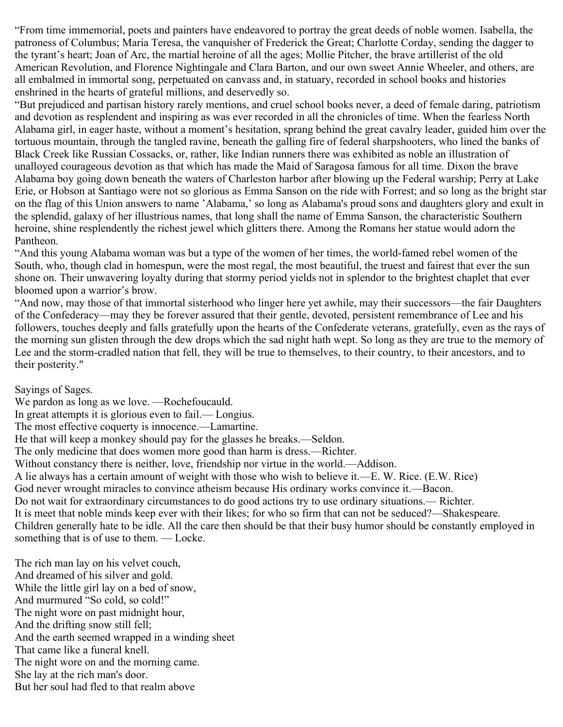"From time immemorial, poets and painters have endeavored to portray the great deeds of noble women. Isabella, the patroness of Columbus; Maria Teresa, the vanquisher of Frederick the Great; Charlotte Corday, sending the dagger to the tyrant's heart; Joan of Arc, the martial heroine of all the ages; Mollie Pitcher, the brave artillerist of the old American Revolution, and Florence Nightingale and Clara Barton, and our own sweet Annie Wheeler, and others, are all embalmed in immortal song, perpetuated on canvass and, in statuary, recorded in school books and histories enshrined in the hearts of grateful millions, and deservedly so.

"But prejudiced and partisan history rarely mentions, and cruel school books never, a deed of female daring, patriotism and devotion as resplendent and inspiring as was ever recorded in all the chronicles of time. When the fearless North Alabama girl, in eager haste, without a moment's hesitation, sprang behind the great cavalry leader, guided him over the tortuous mountain, through the tangled ravine, beneath the galling fire of federal sharpshooters, who lined the banks of Black Creek like Russian Cossacks, or, rather, like Indian runners there was exhibited as noble an illustration of unalloyed courageous devotion as that which has made the Maid of Saragosa famous for all time. Dixon the brave Alabama boy going down beneath the waters of Charleston harbor after blowing up the Federal warship; Perry at Lake Erie, or Hobson at Santiago were not so glorious as Emma Sanson on the ride with Forrest; and so long as the bright star on the flag of this Union answers to name 'Alabama,' so long as Alabama's proud sons and daughters glory and exult in the splendid, galaxy of her illustrious names, that long shall the name of Emma Sanson, the characteristic Southern heroine, shine resplendently the richest jewel which glitters there. Among the Romans her statue would adorn the Pantheon.

"And this young Alabama woman was but a type of the women of her times, the world-famed rebel women of the South, who, though clad in homespun, were the most regal, the most beautiful, the truest and fairest that ever the sun shone on. Their unwavering loyalty during that stormy period yields not in splendor to the brightest chaplet that ever bloomed upon a warrior's brow.

"And now, may those of that immortal sisterhood who linger here yet awhile, may their successors—the fair Daughters of the Confederacy—may they be forever assured that their gentle, devoted, persistent remembrance of Lee and his followers, touches deeply and falls gratefully upon the hearts of the Confederate veterans, gratefully, even as the rays of the morning sun glisten through the dew drops which the sad night hath wept. So long as they are true to the memory of Lee and the storm-cradled nation that fell, they will be true to themselves, to their country, to their ancestors, and to their posterity."

Sayings of Sages.

We pardon as long as we love. —Rochefoucauld. In great attempts it is glorious even to fail.— Longius. The most effective coquerty is innocence.—Lamartine. He that will keep a monkey should pay for the glasses he breaks.—Seldon. The only medicine that does women more good than harm is dress.—Richter. Without constancy there is neither, love, friendship nor virtue in the world.—Addison. A lie always has a certain amount of weight with those who wish to believe it.—E. W. Rice. (E.W. Rice) God never wrought miracles to convince atheism because His ordinary works convince it.—Bacon. Do not wait for extraordinary circumstances to do good actions try to use ordinary situations.— Richter. It is meet that noble minds keep ever with their likes; for who so firm that can not be seduced?—Shakespeare. Children generally hate to be idle. All the care then should be that their busy humor should be constantly employed in something that is of use to them. — Locke.

The rich man lay on his velvet couch, And dreamed of his silver and gold. While the little girl lay on a bed of snow, And murmured "So cold, so cold!" The night wore on past midnight hour, And the drifting snow still fell; And the earth seemed wrapped in a winding sheet That came like a funeral knell. The night wore on and the morning came. She lay at the rich man's door. But her soul had fled to that realm above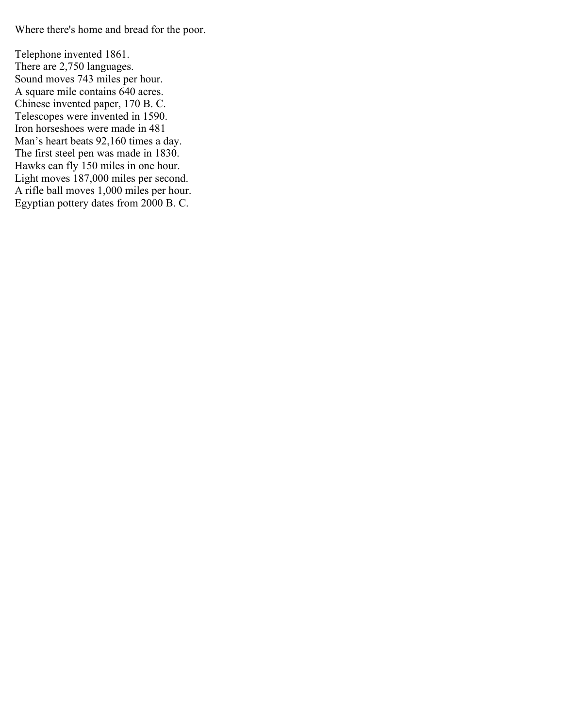Where there's home and bread for the poor.

Telephone invented 1861. There are 2,750 languages. Sound moves 743 miles per hour. A square mile contains 640 acres. Chinese invented paper, 170 B. C. Telescopes were invented in 1590. Iron horseshoes were made in 481 Man's heart beats 92,160 times a day. The first steel pen was made in 1830. Hawks can fly 150 miles in one hour. Light moves 187,000 miles per second. A rifle ball moves 1,000 miles per hour. Egyptian pottery dates from 2000 B. C.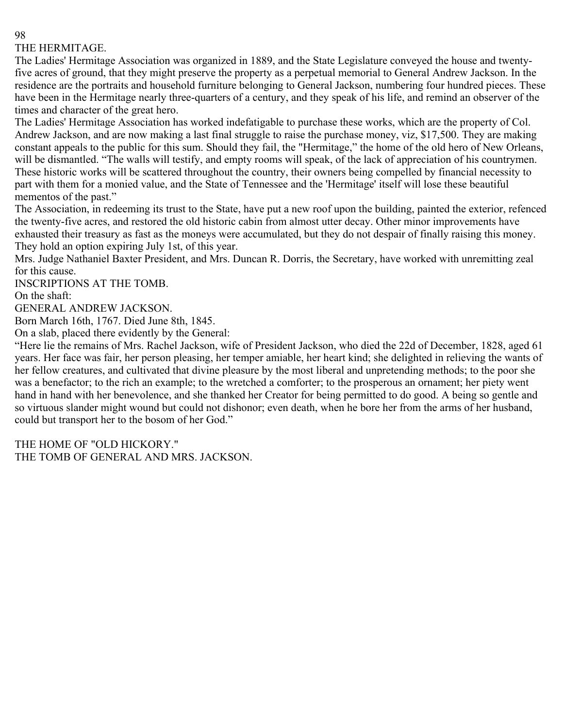# THE HERMITAGE.

The Ladies' Hermitage Association was organized in 1889, and the State Legislature conveyed the house and twentyfive acres of ground, that they might preserve the property as a perpetual memorial to General Andrew Jackson. In the residence are the portraits and household furniture belonging to General Jackson, numbering four hundred pieces. These have been in the Hermitage nearly three-quarters of a century, and they speak of his life, and remind an observer of the times and character of the great hero.

The Ladies' Hermitage Association has worked indefatigable to purchase these works, which are the property of Col. Andrew Jackson, and are now making a last final struggle to raise the purchase money, viz, \$17,500. They are making constant appeals to the public for this sum. Should they fail, the "Hermitage," the home of the old hero of New Orleans, will be dismantled. "The walls will testify, and empty rooms will speak, of the lack of appreciation of his countrymen. These historic works will be scattered throughout the country, their owners being compelled by financial necessity to part with them for a monied value, and the State of Tennessee and the 'Hermitage' itself will lose these beautiful mementos of the past."

The Association, in redeeming its trust to the State, have put a new roof upon the building, painted the exterior, refenced the twenty-five acres, and restored the old historic cabin from almost utter decay. Other minor improvements have exhausted their treasury as fast as the moneys were accumulated, but they do not despair of finally raising this money. They hold an option expiring July 1st, of this year.

Mrs. Judge Nathaniel Baxter President, and Mrs. Duncan R. Dorris, the Secretary, have worked with unremitting zeal for this cause.

INSCRIPTIONS AT THE TOMB.

On the shaft:

GENERAL ANDREW JACKSON.

Born March 16th, 1767. Died June 8th, 1845.

On a slab, placed there evidently by the General:

"Here lie the remains of Mrs. Rachel Jackson, wife of President Jackson, who died the 22d of December, 1828, aged 61 years. Her face was fair, her person pleasing, her temper amiable, her heart kind; she delighted in relieving the wants of her fellow creatures, and cultivated that divine pleasure by the most liberal and unpretending methods; to the poor she was a benefactor; to the rich an example; to the wretched a comforter; to the prosperous an ornament; her piety went hand in hand with her benevolence, and she thanked her Creator for being permitted to do good. A being so gentle and so virtuous slander might wound but could not dishonor; even death, when he bore her from the arms of her husband, could but transport her to the bosom of her God."

THE HOME OF "OLD HICKORY." THE TOMB OF GENERAL AND MRS. JACKSON.

#### 98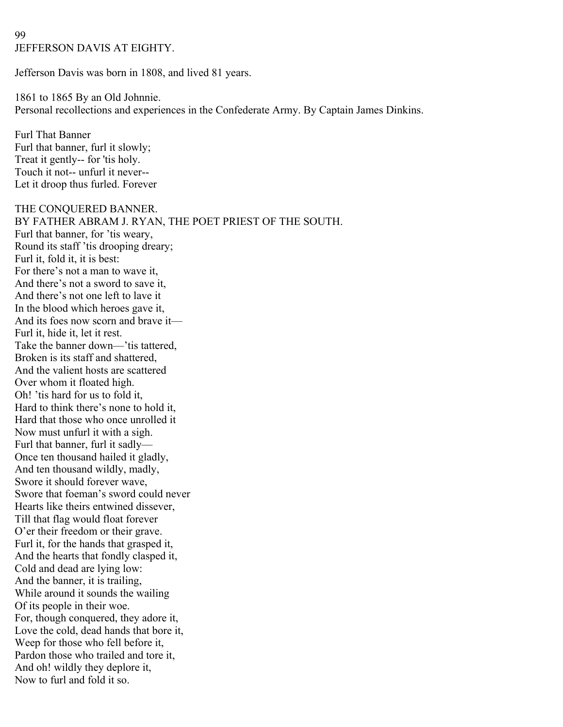## 99 JEFFERSON DAVIS AT EIGHTY.

Jefferson Davis was born in 1808, and lived 81 years.

1861 to 1865 By an Old Johnnie. Personal recollections and experiences in the Confederate Army. By Captain James Dinkins.

Furl That Banner Furl that banner, furl it slowly; Treat it gently-- for 'tis holy. Touch it not-- unfurl it never-- Let it droop thus furled. Forever

THE CONQUERED BANNER. BY FATHER ABRAM J. RYAN, THE POET PRIEST OF THE SOUTH. Furl that banner, for 'tis weary, Round its staff 'tis drooping dreary; Furl it, fold it, it is best: For there's not a man to wave it, And there's not a sword to save it, And there's not one left to lave it In the blood which heroes gave it, And its foes now scorn and brave it— Furl it, hide it, let it rest. Take the banner down—'tis tattered, Broken is its staff and shattered, And the valient hosts are scattered Over whom it floated high. Oh! 'tis hard for us to fold it, Hard to think there's none to hold it, Hard that those who once unrolled it Now must unfurl it with a sigh. Furl that banner, furl it sadly— Once ten thousand hailed it gladly, And ten thousand wildly, madly, Swore it should forever wave, Swore that foeman's sword could never Hearts like theirs entwined dissever, Till that flag would float forever O'er their freedom or their grave. Furl it, for the hands that grasped it, And the hearts that fondly clasped it, Cold and dead are lying low: And the banner, it is trailing, While around it sounds the wailing Of its people in their woe. For, though conquered, they adore it, Love the cold, dead hands that bore it, Weep for those who fell before it, Pardon those who trailed and tore it, And oh! wildly they deplore it, Now to furl and fold it so.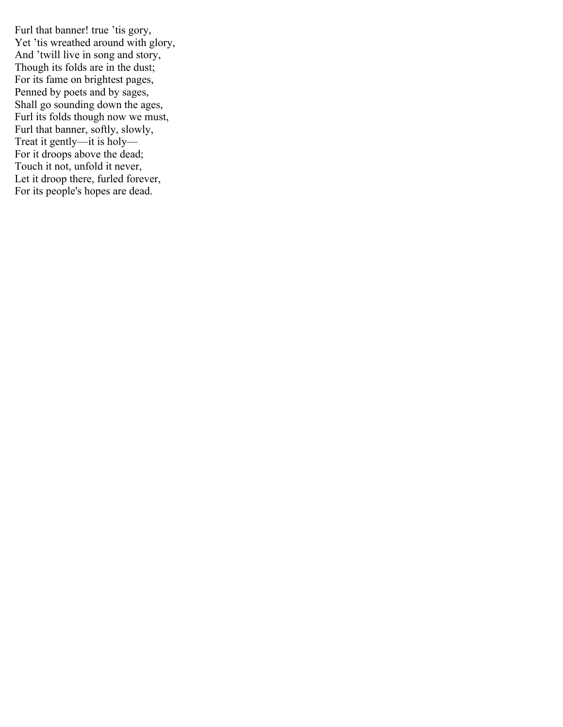Furl that banner! true 'tis gory, Yet 'tis wreathed around with glory, And 'twill live in song and story, Though its folds are in the dust; For its fame on brightest pages, Penned by poets and by sages, Shall go sounding down the ages, Furl its folds though now we must, Furl that banner, softly, slowly, Treat it gently—it is holy— For it droops above the dead; Touch it not, unfold it never, Let it droop there, furled forever, For its people's hopes are dead.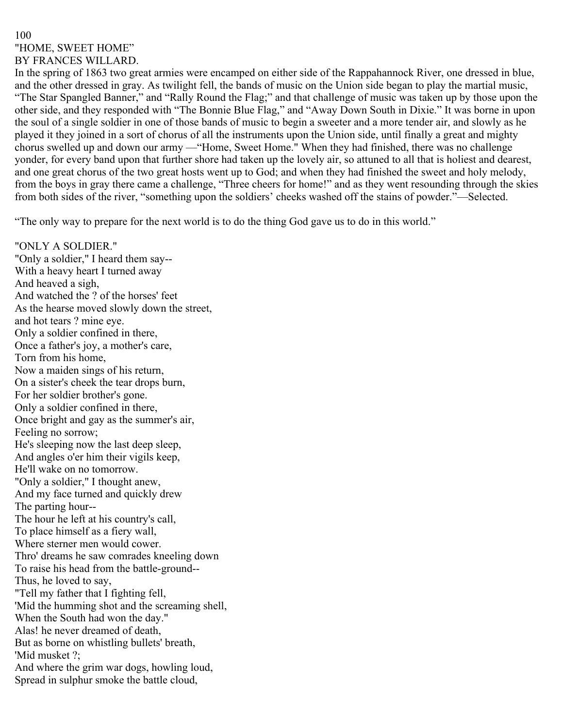# 100 "HOME, SWEET HOME" BY FRANCES WILLARD.

In the spring of 1863 two great armies were encamped on either side of the Rappahannock River, one dressed in blue, and the other dressed in gray. As twilight fell, the bands of music on the Union side began to play the martial music, "The Star Spangled Banner," and "Rally Round the Flag;" and that challenge of music was taken up by those upon the other side, and they responded with "The Bonnie Blue Flag," and "Away Down South in Dixie." It was borne in upon the soul of a single soldier in one of those bands of music to begin a sweeter and a more tender air, and slowly as he played it they joined in a sort of chorus of all the instruments upon the Union side, until finally a great and mighty chorus swelled up and down our army —"Home, Sweet Home." When they had finished, there was no challenge yonder, for every band upon that further shore had taken up the lovely air, so attuned to all that is holiest and dearest, and one great chorus of the two great hosts went up to God; and when they had finished the sweet and holy melody, from the boys in gray there came a challenge, "Three cheers for home!" and as they went resounding through the skies from both sides of the river, "something upon the soldiers' cheeks washed off the stains of powder."—Selected.

"The only way to prepare for the next world is to do the thing God gave us to do in this world."

"ONLY A SOLDIER." "Only a soldier," I heard them say-- With a heavy heart I turned away And heaved a sigh, And watched the ? of the horses' feet As the hearse moved slowly down the street, and hot tears ? mine eye. Only a soldier confined in there, Once a father's joy, a mother's care, Torn from his home, Now a maiden sings of his return, On a sister's cheek the tear drops burn, For her soldier brother's gone. Only a soldier confined in there, Once bright and gay as the summer's air, Feeling no sorrow; He's sleeping now the last deep sleep, And angles o'er him their vigils keep, He'll wake on no tomorrow. "Only a soldier," I thought anew, And my face turned and quickly drew The parting hour-- The hour he left at his country's call, To place himself as a fiery wall, Where sterner men would cower. Thro' dreams he saw comrades kneeling down To raise his head from the battle-ground-- Thus, he loved to say, "Tell my father that I fighting fell, 'Mid the humming shot and the screaming shell, When the South had won the day." Alas! he never dreamed of death, But as borne on whistling bullets' breath, 'Mid musket ?; And where the grim war dogs, howling loud, Spread in sulphur smoke the battle cloud,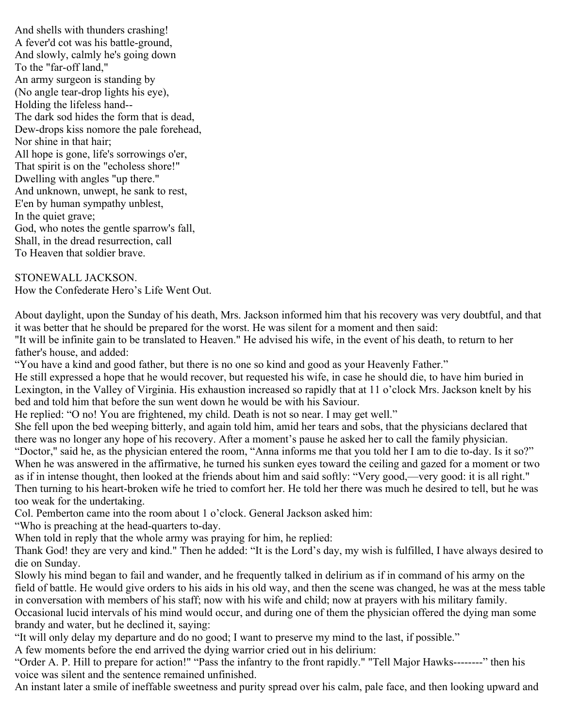And shells with thunders crashing! A fever'd cot was his battle-ground, And slowly, calmly he's going down To the "far-off land," An army surgeon is standing by (No angle tear-drop lights his eye), Holding the lifeless hand-- The dark sod hides the form that is dead, Dew-drops kiss nomore the pale forehead, Nor shine in that hair; All hope is gone, life's sorrowings o'er, That spirit is on the "echoless shore!" Dwelling with angles "up there." And unknown, unwept, he sank to rest, E'en by human sympathy unblest, In the quiet grave; God, who notes the gentle sparrow's fall, Shall, in the dread resurrection, call To Heaven that soldier brave.

STONEWALL JACKSON. How the Confederate Hero's Life Went Out.

About daylight, upon the Sunday of his death, Mrs. Jackson informed him that his recovery was very doubtful, and that it was better that he should be prepared for the worst. He was silent for a moment and then said:

"It will be infinite gain to be translated to Heaven." He advised his wife, in the event of his death, to return to her father's house, and added:

"You have a kind and good father, but there is no one so kind and good as your Heavenly Father."

He still expressed a hope that he would recover, but requested his wife, in case he should die, to have him buried in Lexington, in the Valley of Virginia. His exhaustion increased so rapidly that at 11 o'clock Mrs. Jackson knelt by his bed and told him that before the sun went down he would be with his Saviour.

He replied: "O no! You are frightened, my child. Death is not so near. I may get well."

She fell upon the bed weeping bitterly, and again told him, amid her tears and sobs, that the physicians declared that there was no longer any hope of his recovery. After a moment's pause he asked her to call the family physician.

"Doctor," said he, as the physician entered the room, "Anna informs me that you told her I am to die to-day. Is it so?" When he was answered in the affirmative, he turned his sunken eyes toward the ceiling and gazed for a moment or two as if in intense thought, then looked at the friends about him and said softly: "Very good,—very good: it is all right." Then turning to his heart-broken wife he tried to comfort her. He told her there was much he desired to tell, but he was too weak for the undertaking.

Col. Pemberton came into the room about 1 o'clock. General Jackson asked him:

"Who is preaching at the head-quarters to-day.

When told in reply that the whole army was praying for him, he replied:

Thank God! they are very and kind." Then he added: "It is the Lord's day, my wish is fulfilled, I have always desired to die on Sunday.

Slowly his mind began to fail and wander, and he frequently talked in delirium as if in command of his army on the field of battle. He would give orders to his aids in his old way, and then the scene was changed, he was at the mess table in conversation with members of his staff; now with his wife and child; now at prayers with his military family.

Occasional lucid intervals of his mind would occur, and during one of them the physician offered the dying man some brandy and water, but he declined it, saying:

"It will only delay my departure and do no good; I want to preserve my mind to the last, if possible."

A few moments before the end arrived the dying warrior cried out in his delirium:

"Order A. P. Hill to prepare for action!" "Pass the infantry to the front rapidly." "Tell Major Hawks--------" then his voice was silent and the sentence remained unfinished.

An instant later a smile of ineffable sweetness and purity spread over his calm, pale face, and then looking upward and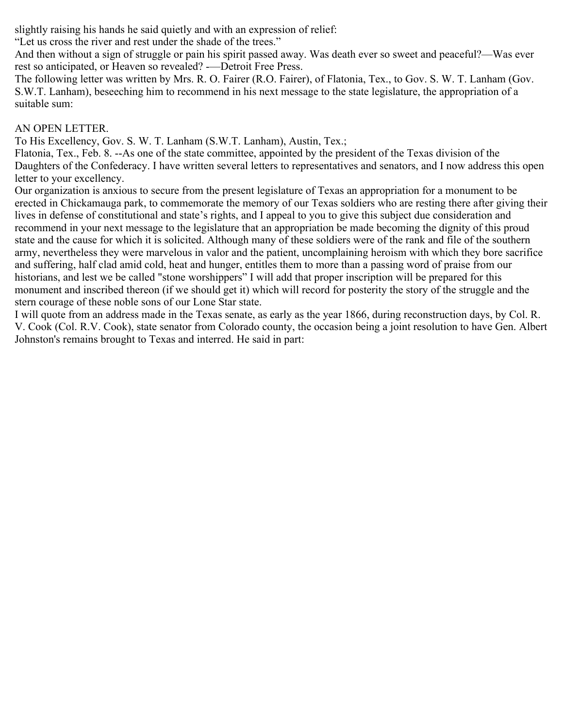slightly raising his hands he said quietly and with an expression of relief:

"Let us cross the river and rest under the shade of the trees."

And then without a sign of struggle or pain his spirit passed away. Was death ever so sweet and peaceful?—Was ever rest so anticipated, or Heaven so revealed? -—Detroit Free Press.

The following letter was written by Mrs. R. O. Fairer (R.O. Fairer), of Flatonia, Tex., to Gov. S. W. T. Lanham (Gov. S.W.T. Lanham), beseeching him to recommend in his next message to the state legislature, the appropriation of a suitable sum:

# AN OPEN LETTER.

To His Excellency, Gov. S. W. T. Lanham (S.W.T. Lanham), Austin, Tex.;

Flatonia, Tex., Feb. 8. --As one of the state committee, appointed by the president of the Texas division of the Daughters of the Confederacy. I have written several letters to representatives and senators, and I now address this open letter to your excellency.

Our organization is anxious to secure from the present legislature of Texas an appropriation for a monument to be erected in Chickamauga park, to commemorate the memory of our Texas soldiers who are resting there after giving their lives in defense of constitutional and state's rights, and I appeal to you to give this subject due consideration and recommend in your next message to the legislature that an appropriation be made becoming the dignity of this proud state and the cause for which it is solicited. Although many of these soldiers were of the rank and file of the southern army, nevertheless they were marvelous in valor and the patient, uncomplaining heroism with which they bore sacrifice and suffering, half clad amid cold, heat and hunger, entitles them to more than a passing word of praise from our historians, and lest we be called "stone worshippers" I will add that proper inscription will be prepared for this monument and inscribed thereon (if we should get it) which will record for posterity the story of the struggle and the stern courage of these noble sons of our Lone Star state.

I will quote from an address made in the Texas senate, as early as the year 1866, during reconstruction days, by Col. R. V. Cook (Col. R.V. Cook), state senator from Colorado county, the occasion being a joint resolution to have Gen. Albert Johnston's remains brought to Texas and interred. He said in part: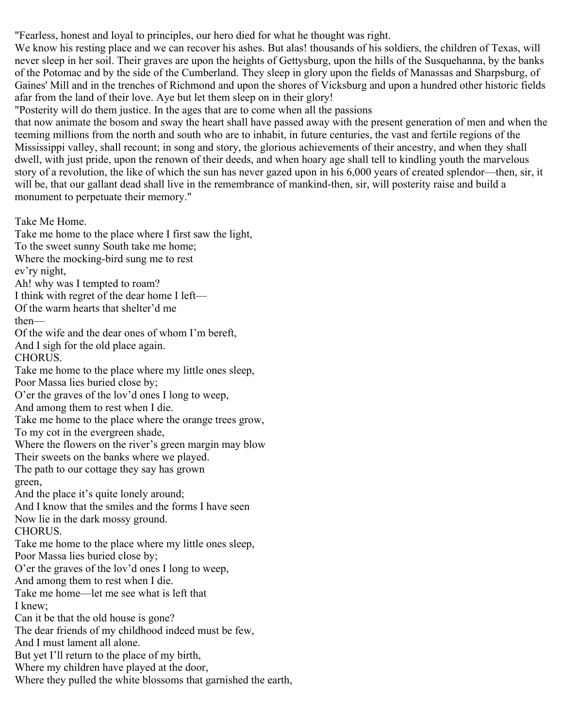"Fearless, honest and loyal to principles, our hero died for what he thought was right.

We know his resting place and we can recover his ashes. But alas! thousands of his soldiers, the children of Texas, will never sleep in her soil. Their graves are upon the heights of Gettysburg, upon the hills of the Susquehanna, by the banks of the Potomac and by the side of the Cumberland. They sleep in glory upon the fields of Manassas and Sharpsburg, of Gaines' Mill and in the trenches of Richmond and upon the shores of Vicksburg and upon a hundred other historic fields afar from the land of their love. Aye but let them sleep on in their glory!

"Posterity will do them justice. In the ages that are to come when all the passions

that now animate the bosom and sway the heart shall have passed away with the present generation of men and when the teeming millions from the north and south who are to inhabit, in future centuries, the vast and fertile regions of the Mississippi valley, shall recount; in song and story, the glorious achievements of their ancestry, and when they shall dwell, with just pride, upon the renown of their deeds, and when hoary age shall tell to kindling youth the marvelous story of a revolution, the like of which the sun has never gazed upon in his 6,000 years of created splendor—then, sir, it will be, that our gallant dead shall live in the remembrance of mankind-then, sir, will posterity raise and build a monument to perpetuate their memory."

Take Me Home.

Take me home to the place where I first saw the light, To the sweet sunny South take me home; Where the mocking-bird sung me to rest ev'ry night, Ah! why was I tempted to roam? I think with regret of the dear home I left— Of the warm hearts that shelter'd me then— Of the wife and the dear ones of whom I'm bereft, And I sigh for the old place again. CHORUS. Take me home to the place where my little ones sleep, Poor Massa lies buried close by; O'er the graves of the lov'd ones I long to weep, And among them to rest when I die. Take me home to the place where the orange trees grow, To my cot in the evergreen shade, Where the flowers on the river's green margin may blow Their sweets on the banks where we played. The path to our cottage they say has grown green, And the place it's quite lonely around; And I know that the smiles and the forms I have seen Now lie in the dark mossy ground. CHORUS. Take me home to the place where my little ones sleep, Poor Massa lies buried close by; O'er the graves of the lov'd ones I long to weep, And among them to rest when I die. Take me home—let me see what is left that I knew; Can it be that the old house is gone? The dear friends of my childhood indeed must be few, And I must lament all alone. But yet I'll return to the place of my birth, Where my children have played at the door, Where they pulled the white blossoms that garnished the earth,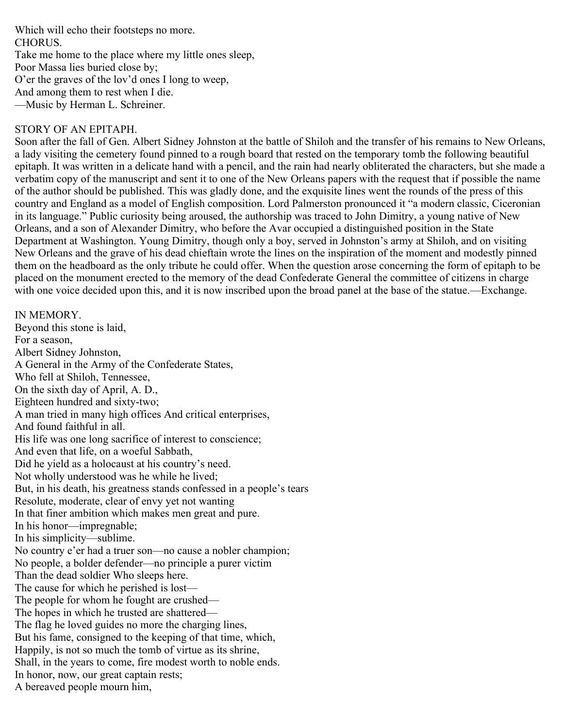Which will echo their footsteps no more. CHORUS. Take me home to the place where my little ones sleep, Poor Massa lies buried close by; O'er the graves of the lov'd ones I long to weep, And among them to rest when I die. —Music by Herman L. Schreiner.

## STORY OF AN EPITAPH.

Soon after the fall of Gen. Albert Sidney Johnston at the battle of Shiloh and the transfer of his remains to New Orleans, a lady visiting the cemetery found pinned to a rough board that rested on the temporary tomb the following beautiful epitaph. It was written in a delicate hand with a pencil, and the rain had nearly obliterated the characters, but she made a verbatim copy of the manuscript and sent it to one of the New Orleans papers with the request that if possible the name of the author should be published. This was gladly done, and the exquisite lines went the rounds of the press of this country and England as a model of English composition. Lord Palmerston pronounced it "a modern classic, Ciceronian in its language." Public curiosity being aroused, the authorship was traced to John Dimitry, a young native of New Orleans, and a son of Alexander Dimitry, who before the Avar occupied a distinguished position in the State Department at Washington. Young Dimitry, though only a boy, served in Johnston's army at Shiloh, and on visiting New Orleans and the grave of his dead chieftain wrote the lines on the inspiration of the moment and modestly pinned them on the headboard as the only tribute he could offer. When the question arose concerning the form of epitaph to be placed on the monument erected to the memory of the dead Confederate General the committee of citizens in charge with one voice decided upon this, and it is now inscribed upon the broad panel at the base of the statue.—Exchange.

#### IN MEMORY.

Beyond this stone is laid, For a season, Albert Sidney Johnston, A General in the Army of the Confederate States, Who fell at Shiloh, Tennessee, On the sixth day of April, A. D., Eighteen hundred and sixty-two; A man tried in many high offices And critical enterprises, And found faithful in all. His life was one long sacrifice of interest to conscience; And even that life, on a woeful Sabbath, Did he yield as a holocaust at his country's need. Not wholly understood was he while he lived; But, in his death, his greatness stands confessed in a people's tears Resolute, moderate, clear of envy yet not wanting In that finer ambition which makes men great and pure. In his honor—impregnable; In his simplicity—sublime. No country e'er had a truer son—no cause a nobler champion; No people, a bolder defender—no principle a purer victim Than the dead soldier Who sleeps here. The cause for which he perished is lost— The people for whom he fought are crushed— The hopes in which he trusted are shattered— The flag he loved guides no more the charging lines, But his fame, consigned to the keeping of that time, which, Happily, is not so much the tomb of virtue as its shrine, Shall, in the years to come, fire modest worth to noble ends. In honor, now, our great captain rests; A bereaved people mourn him,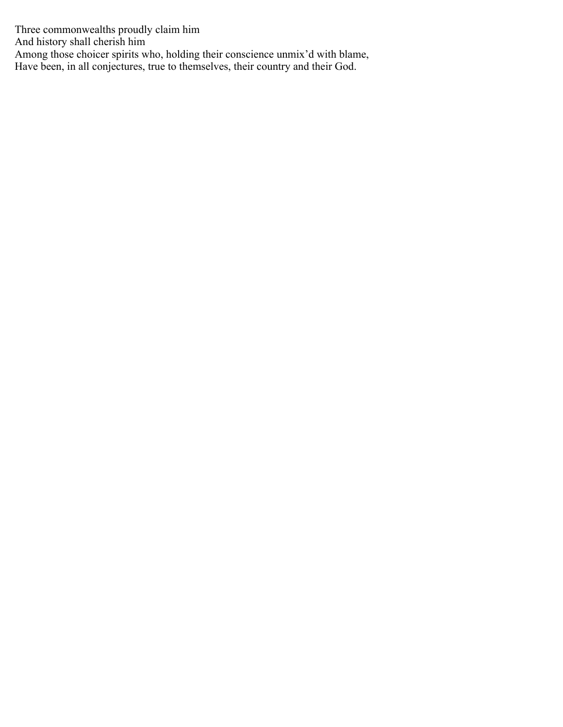Three commonwealths proudly claim him And history shall cherish him Among those choicer spirits who, holding their conscience unmix'd with blame, Have been, in all conjectures, true to themselves, their country and their God.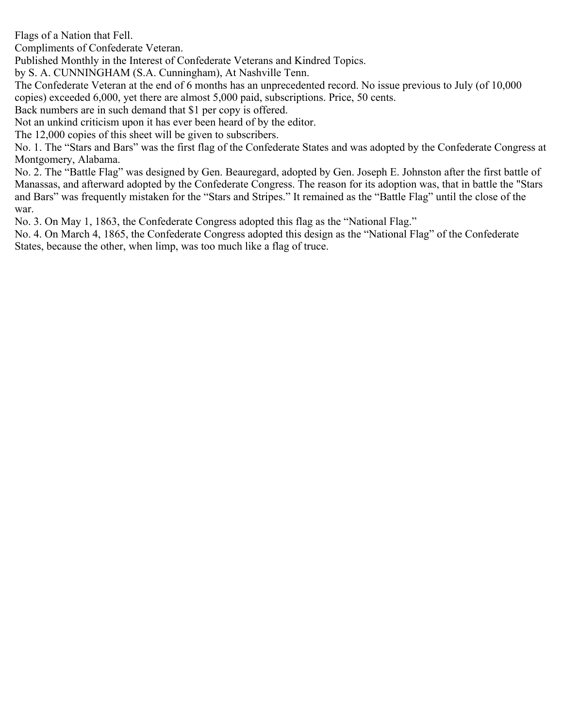Flags of a Nation that Fell.

Compliments of Confederate Veteran.

Published Monthly in the Interest of Confederate Veterans and Kindred Topics.

by S. A. CUNNINGHAM (S.A. Cunningham), At Nashville Tenn.

The Confederate Veteran at the end of 6 months has an unprecedented record. No issue previous to July (of 10,000 copies) exceeded 6,000, yet there are almost 5,000 paid, subscriptions. Price, 50 cents.

Back numbers are in such demand that \$1 per copy is offered.

Not an unkind criticism upon it has ever been heard of by the editor.

The 12,000 copies of this sheet will be given to subscribers.

No. 1. The "Stars and Bars" was the first flag of the Confederate States and was adopted by the Confederate Congress at Montgomery, Alabama.

No. 2. The "Battle Flag" was designed by Gen. Beauregard, adopted by Gen. Joseph E. Johnston after the first battle of Manassas, and afterward adopted by the Confederate Congress. The reason for its adoption was, that in battle the "Stars and Bars" was frequently mistaken for the "Stars and Stripes." It remained as the "Battle Flag" until the close of the war.

No. 3. On May 1, 1863, the Confederate Congress adopted this flag as the "National Flag."

No. 4. On March 4, 1865, the Confederate Congress adopted this design as the "National Flag" of the Confederate States, because the other, when limp, was too much like a flag of truce.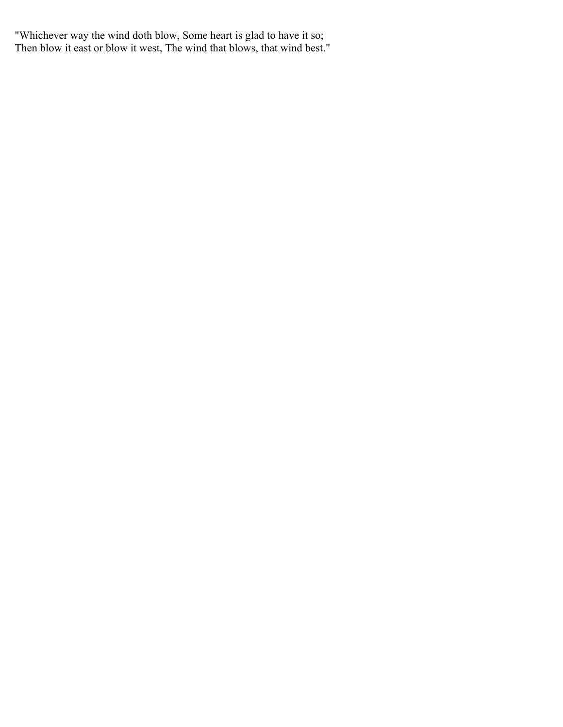"Whichever way the wind doth blow, Some heart is glad to have it so; Then blow it east or blow it west, The wind that blows, that wind best."